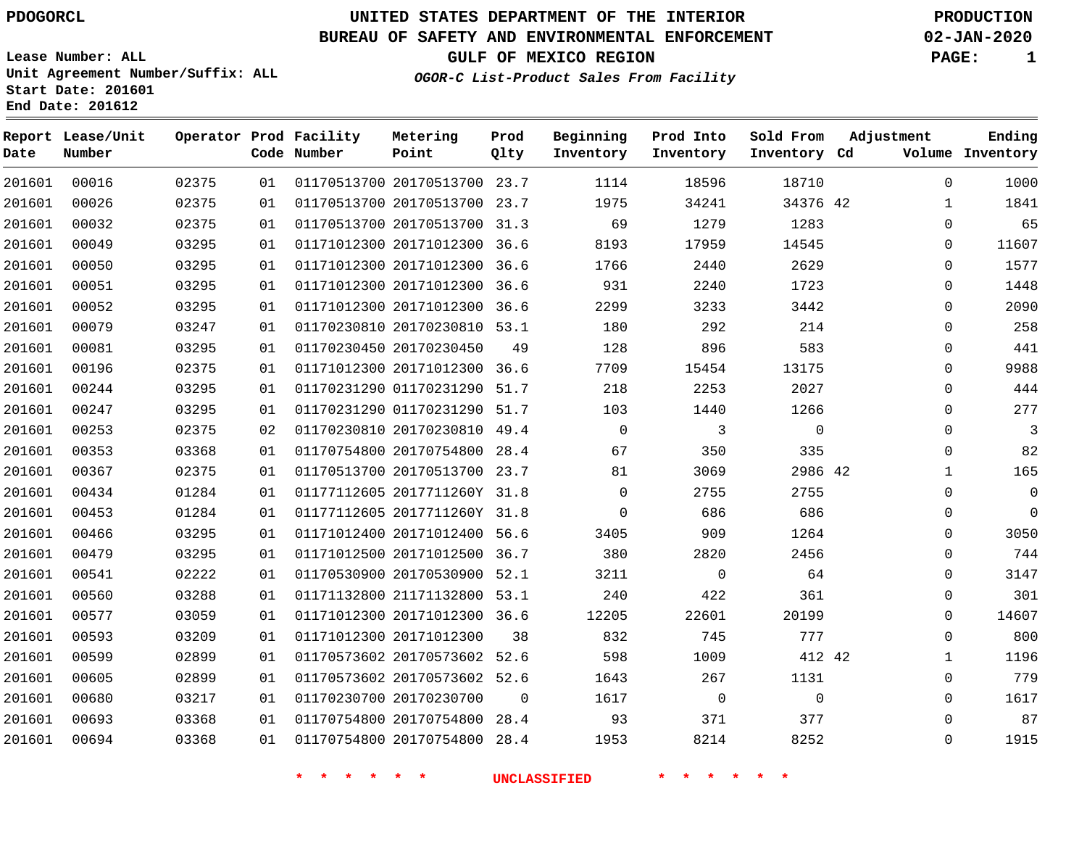**End Date: 201612**

### **UNITED STATES DEPARTMENT OF THE INTERIOR PDOGORCL PRODUCTION**

### **BUREAU OF SAFETY AND ENVIRONMENTAL ENFORCEMENT 02-JAN-2020**

**Lease Number: ALL Unit Agreement Number/Suffix: ALL Start Date: 201601**

**GULF OF MEXICO REGION PAGE: 1**

**OGOR-C List-Product Sales From Facility**

| Date   | Report Lease/Unit<br>Number |       |    | Operator Prod Facility<br>Code Number | Metering<br>Point            | Prod<br>Qlty | Beginning<br>Inventory | Prod Into<br>Inventory | Sold From<br>Inventory Cd | Adjustment   | Ending<br>Volume Inventory |
|--------|-----------------------------|-------|----|---------------------------------------|------------------------------|--------------|------------------------|------------------------|---------------------------|--------------|----------------------------|
| 201601 | 00016                       | 02375 | 01 |                                       | 01170513700 20170513700 23.7 |              | 1114                   | 18596                  | 18710                     | $\Omega$     | 1000                       |
| 201601 | 00026                       | 02375 | 01 |                                       | 01170513700 20170513700 23.7 |              | 1975                   | 34241                  | 34376 42                  | 1            | 1841                       |
| 201601 | 00032                       | 02375 | 01 |                                       | 01170513700 20170513700 31.3 |              | 69                     | 1279                   | 1283                      | $\Omega$     | 65                         |
| 201601 | 00049                       | 03295 | 01 |                                       | 01171012300 20171012300 36.6 |              | 8193                   | 17959                  | 14545                     | 0            | 11607                      |
| 201601 | 00050                       | 03295 | 01 |                                       | 01171012300 20171012300 36.6 |              | 1766                   | 2440                   | 2629                      | $\Omega$     | 1577                       |
| 201601 | 00051                       | 03295 | 01 |                                       | 01171012300 20171012300 36.6 |              | 931                    | 2240                   | 1723                      | $\mathbf 0$  | 1448                       |
| 201601 | 00052                       | 03295 | 01 |                                       | 01171012300 20171012300 36.6 |              | 2299                   | 3233                   | 3442                      | $\mathbf 0$  | 2090                       |
| 201601 | 00079                       | 03247 | 01 |                                       | 01170230810 20170230810 53.1 |              | 180                    | 292                    | 214                       | $\Omega$     | 258                        |
| 201601 | 00081                       | 03295 | 01 |                                       | 01170230450 20170230450      | 49           | 128                    | 896                    | 583                       | 0            | 441                        |
| 201601 | 00196                       | 02375 | 01 |                                       | 01171012300 20171012300 36.6 |              | 7709                   | 15454                  | 13175                     | 0            | 9988                       |
| 201601 | 00244                       | 03295 | 01 |                                       | 01170231290 01170231290 51.7 |              | 218                    | 2253                   | 2027                      | $\mathbf 0$  | 444                        |
| 201601 | 00247                       | 03295 | 01 |                                       | 01170231290 01170231290 51.7 |              | 103                    | 1440                   | 1266                      | $\Omega$     | 277                        |
| 201601 | 00253                       | 02375 | 02 |                                       | 01170230810 20170230810 49.4 |              | $\mathbf 0$            | 3                      | $\Omega$                  | $\Omega$     | 3                          |
| 201601 | 00353                       | 03368 | 01 |                                       | 01170754800 20170754800 28.4 |              | 67                     | 350                    | 335                       | 0            | 82                         |
| 201601 | 00367                       | 02375 | 01 |                                       | 01170513700 20170513700 23.7 |              | 81                     | 3069                   | 2986 42                   | 1            | 165                        |
| 201601 | 00434                       | 01284 | 01 |                                       | 01177112605 2017711260Y 31.8 |              | $\mathbf 0$            | 2755                   | 2755                      | 0            | $\overline{0}$             |
| 201601 | 00453                       | 01284 | 01 |                                       | 01177112605 2017711260Y 31.8 |              | $\Omega$               | 686                    | 686                       | 0            | $\mathbf 0$                |
| 201601 | 00466                       | 03295 | 01 |                                       | 01171012400 20171012400 56.6 |              | 3405                   | 909                    | 1264                      | 0            | 3050                       |
| 201601 | 00479                       | 03295 | 01 |                                       | 01171012500 20171012500 36.7 |              | 380                    | 2820                   | 2456                      | 0            | 744                        |
| 201601 | 00541                       | 02222 | 01 |                                       | 01170530900 20170530900 52.1 |              | 3211                   | $\overline{0}$         | 64                        | 0            | 3147                       |
| 201601 | 00560                       | 03288 | 01 |                                       | 01171132800 21171132800 53.1 |              | 240                    | 422                    | 361                       | $\Omega$     | 301                        |
| 201601 | 00577                       | 03059 | 01 |                                       | 01171012300 20171012300 36.6 |              | 12205                  | 22601                  | 20199                     | 0            | 14607                      |
| 201601 | 00593                       | 03209 | 01 |                                       | 01171012300 20171012300      | 38           | 832                    | 745                    | 777                       | $\mathbf 0$  | 800                        |
| 201601 | 00599                       | 02899 | 01 |                                       | 01170573602 20170573602 52.6 |              | 598                    | 1009                   | 412 42                    | $\mathbf{1}$ | 1196                       |
| 201601 | 00605                       | 02899 | 01 |                                       | 01170573602 20170573602 52.6 |              | 1643                   | 267                    | 1131                      | 0            | 779                        |
| 201601 | 00680                       | 03217 | 01 |                                       | 01170230700 20170230700      | $\Omega$     | 1617                   | $\mathbf 0$            | $\Omega$                  | 0            | 1617                       |
| 201601 | 00693                       | 03368 | 01 |                                       | 01170754800 20170754800      | 28.4         | 93                     | 371                    | 377                       | 0            | 87                         |
| 201601 | 00694                       | 03368 | 01 |                                       | 01170754800 20170754800 28.4 |              | 1953                   | 8214                   | 8252                      | $\Omega$     | 1915                       |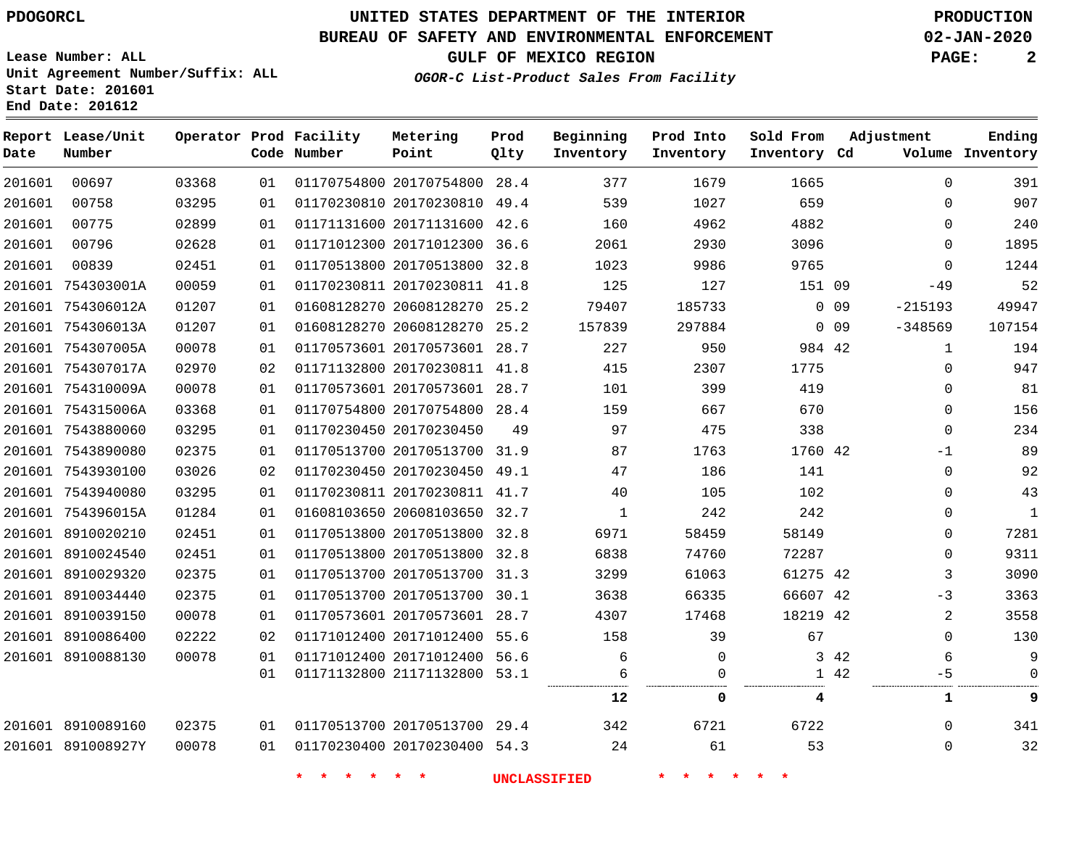**End Date: 201612**

### **UNITED STATES DEPARTMENT OF THE INTERIOR PDOGORCL PRODUCTION**

### **BUREAU OF SAFETY AND ENVIRONMENTAL ENFORCEMENT 02-JAN-2020**

**Lease Number: ALL Unit Agreement Number/Suffix: ALL Start Date: 201601**

**OGOR-C List-Product Sales From Facility**

**GULF OF MEXICO REGION PAGE: 2**

| Date   | Report Lease/Unit<br>Number |       |    | Operator Prod Facility<br>Code Number | Metering<br>Point            | Prod<br>Qlty | Beginning<br>Inventory | Prod Into<br>Inventory | Sold From<br>Inventory Cd | Adjustment              | Ending<br>Volume Inventory |
|--------|-----------------------------|-------|----|---------------------------------------|------------------------------|--------------|------------------------|------------------------|---------------------------|-------------------------|----------------------------|
| 201601 | 00697                       | 03368 | 01 |                                       | 01170754800 20170754800      | 28.4         | 377                    | 1679                   | 1665                      | $\Omega$                | 391                        |
| 201601 | 00758                       | 03295 | 01 |                                       | 01170230810 20170230810 49.4 |              | 539                    | 1027                   | 659                       | $\Omega$                | 907                        |
| 201601 | 00775                       | 02899 | 01 |                                       | 01171131600 20171131600      | 42.6         | 160                    | 4962                   | 4882                      | $\Omega$                | 240                        |
| 201601 | 00796                       | 02628 | 01 |                                       | 01171012300 20171012300      | 36.6         | 2061                   | 2930                   | 3096                      | 0                       | 1895                       |
| 201601 | 00839                       | 02451 | 01 |                                       | 01170513800 20170513800 32.8 |              | 1023                   | 9986                   | 9765                      | $\Omega$                | 1244                       |
|        | 201601 754303001A           | 00059 | 01 |                                       | 01170230811 20170230811 41.8 |              | 125                    | 127                    | 151 09                    | $-49$                   | 52                         |
|        | 201601 754306012A           | 01207 | 01 |                                       | 01608128270 20608128270 25.2 |              | 79407                  | 185733                 |                           | $0\quad09$<br>$-215193$ | 49947                      |
|        | 201601 754306013A           | 01207 | 01 |                                       | 01608128270 20608128270      | 25.2         | 157839                 | 297884                 |                           | $-348569$<br>0.09       | 107154                     |
|        | 201601 754307005A           | 00078 | 01 |                                       | 01170573601 20170573601 28.7 |              | 227                    | 950                    | 984 42                    | $\mathbf{1}$            | 194                        |
|        | 201601 754307017A           | 02970 | 02 |                                       | 01171132800 20170230811 41.8 |              | 415                    | 2307                   | 1775                      | $\Omega$                | 947                        |
|        | 201601 754310009A           | 00078 | 01 |                                       | 01170573601 20170573601 28.7 |              | 101                    | 399                    | 419                       | 0                       | 81                         |
|        | 201601 754315006A           | 03368 | 01 |                                       | 01170754800 20170754800 28.4 |              | 159                    | 667                    | 670                       | $\mathbf 0$             | 156                        |
|        | 201601 7543880060           | 03295 | 01 |                                       | 01170230450 20170230450      | 49           | 97                     | 475                    | 338                       | $\Omega$                | 234                        |
|        | 201601 7543890080           | 02375 | 01 |                                       | 01170513700 20170513700 31.9 |              | 87                     | 1763                   | 1760 42                   | -1                      | 89                         |
|        | 201601 7543930100           | 03026 | 02 |                                       | 01170230450 20170230450 49.1 |              | 47                     | 186                    | 141                       | $\Omega$                | 92                         |
|        | 201601 7543940080           | 03295 | 01 |                                       | 01170230811 20170230811 41.7 |              | 40                     | 105                    | 102                       | 0                       | 43                         |
|        | 201601 754396015A           | 01284 | 01 |                                       | 01608103650 20608103650 32.7 |              | $\mathbf{1}$           | 242                    | 242                       | 0                       | $\mathbf{1}$               |
|        | 201601 8910020210           | 02451 | 01 |                                       | 01170513800 20170513800      | 32.8         | 6971                   | 58459                  | 58149                     | $\Omega$                | 7281                       |
|        | 201601 8910024540           | 02451 | 01 |                                       | 01170513800 20170513800 32.8 |              | 6838                   | 74760                  | 72287                     | 0                       | 9311                       |
|        | 201601 8910029320           | 02375 | 01 |                                       | 01170513700 20170513700      | 31.3         | 3299                   | 61063                  | 61275 42                  | 3                       | 3090                       |
|        | 201601 8910034440           | 02375 | 01 |                                       | 01170513700 20170513700      | 30.1         | 3638                   | 66335                  | 66607 42                  | -3                      | 3363                       |
|        | 201601 8910039150           | 00078 | 01 |                                       | 01170573601 20170573601 28.7 |              | 4307                   | 17468                  | 18219 42                  | 2                       | 3558                       |
|        | 201601 8910086400           | 02222 | 02 |                                       | 01171012400 20171012400      | 55.6         | 158                    | 39                     | 67                        | $\Omega$                | 130                        |
|        | 201601 8910088130           | 00078 | 01 |                                       | 01171012400 20171012400 56.6 |              | 6                      | $\mathbf 0$            |                           | 3 42<br>6               | 9                          |
|        |                             |       | 01 |                                       | 01171132800 21171132800 53.1 |              | 6                      | $\Omega$               |                           | 1 42<br>$-5$            | $\Omega$                   |
|        |                             |       |    |                                       |                              |              | 12                     | 0                      | 4                         | 1                       | 9                          |
|        | 201601 8910089160           | 02375 | 01 |                                       | 01170513700 20170513700 29.4 |              | 342                    | 6721                   | 6722                      | $\Omega$                | 341                        |
|        | 201601 891008927Y           | 00078 | 01 |                                       | 01170230400 20170230400 54.3 |              | 24                     | 61                     | 53                        | 0                       | 32                         |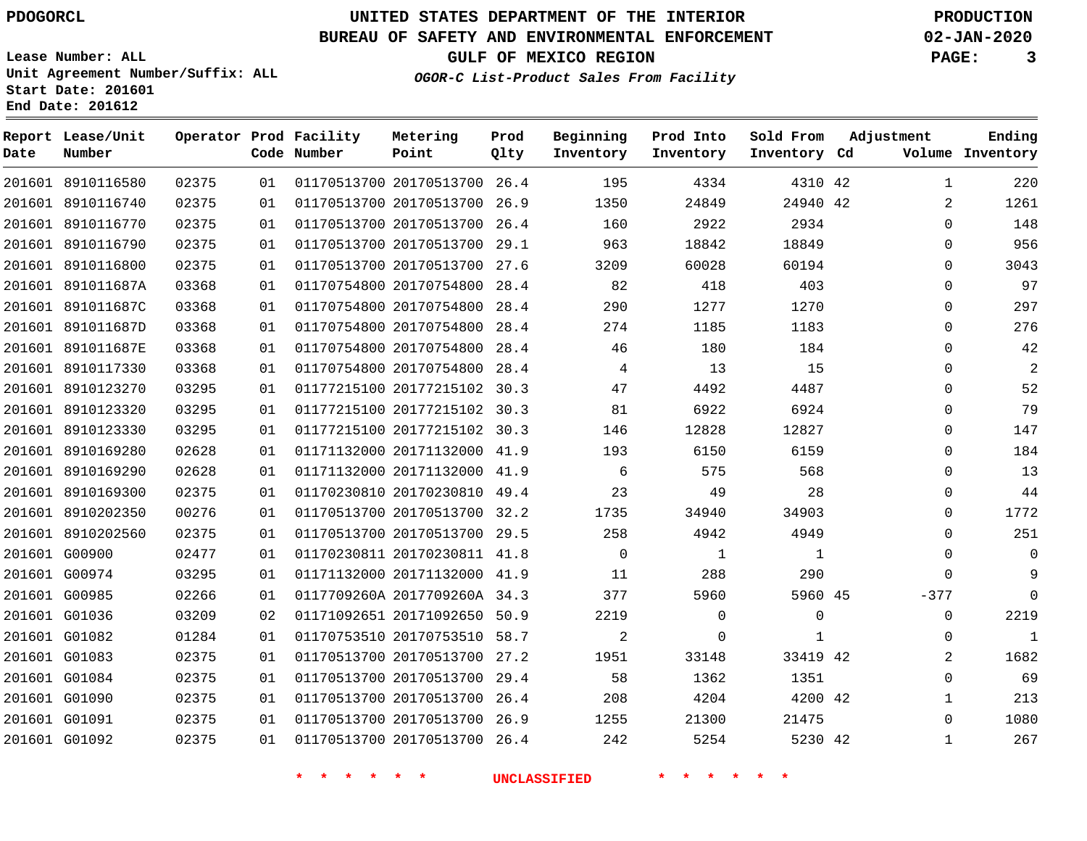**Lease Number: ALL**

**Start Date: 201601 End Date: 201612**

## **UNITED STATES DEPARTMENT OF THE INTERIOR PDOGORCL PRODUCTION**

### **BUREAU OF SAFETY AND ENVIRONMENTAL ENFORCEMENT 02-JAN-2020**

**Unit Agreement Number/Suffix: ALL**

**GULF OF MEXICO REGION PAGE: 3**

**OGOR-C List-Product Sales From Facility**

| Date | Report Lease/Unit<br>Number |       |    | Operator Prod Facility<br>Code Number | Metering<br>Point            | Prod<br>Qlty | Beginning<br>Inventory | Prod Into<br>Inventory | Sold From<br>Inventory Cd | Adjustment | Ending<br>Volume Inventory |
|------|-----------------------------|-------|----|---------------------------------------|------------------------------|--------------|------------------------|------------------------|---------------------------|------------|----------------------------|
|      | 201601 8910116580           | 02375 | 01 |                                       | 01170513700 20170513700 26.4 |              | 195                    | 4334                   | 4310 42                   |            | 220<br>1                   |
|      | 201601 8910116740           | 02375 | 01 |                                       | 01170513700 20170513700 26.9 |              | 1350                   | 24849                  | 24940 42                  |            | 2<br>1261                  |
|      | 201601 8910116770           | 02375 | 01 |                                       | 01170513700 20170513700      | 26.4         | 160                    | 2922                   | 2934                      |            | 148<br>$\mathbf 0$         |
|      | 201601 8910116790           | 02375 | 01 |                                       | 01170513700 20170513700 29.1 |              | 963                    | 18842                  | 18849                     |            | 956<br>$\Omega$            |
|      | 201601 8910116800           | 02375 | 01 |                                       | 01170513700 20170513700 27.6 |              | 3209                   | 60028                  | 60194                     |            | 3043<br>$\Omega$           |
|      | 201601 891011687A           | 03368 | 01 |                                       | 01170754800 20170754800 28.4 |              | 82                     | 418                    | 403                       |            | 97<br>$\mathbf 0$          |
|      | 201601 891011687C           | 03368 | 01 |                                       | 01170754800 20170754800 28.4 |              | 290                    | 1277                   | 1270                      |            | 297<br>$\Omega$            |
|      | 201601 891011687D           | 03368 | 01 |                                       | 01170754800 20170754800 28.4 |              | 274                    | 1185                   | 1183                      |            | 276<br>0                   |
|      | 201601 891011687E           | 03368 | 01 |                                       | 01170754800 20170754800 28.4 |              | 46                     | 180                    | 184                       |            | 42<br>$\Omega$             |
|      | 201601 8910117330           | 03368 | 01 |                                       | 01170754800 20170754800 28.4 |              | $\overline{4}$         | 13                     | 15                        |            | $\overline{2}$<br>0        |
|      | 201601 8910123270           | 03295 | 01 |                                       | 01177215100 20177215102 30.3 |              | 47                     | 4492                   | 4487                      |            | 52<br>$\Omega$             |
|      | 201601 8910123320           | 03295 | 01 |                                       | 01177215100 20177215102 30.3 |              | 81                     | 6922                   | 6924                      |            | 79<br>$\Omega$             |
|      | 201601 8910123330           | 03295 | 01 |                                       | 01177215100 20177215102 30.3 |              | 146                    | 12828                  | 12827                     |            | 147<br>$\Omega$            |
|      | 201601 8910169280           | 02628 | 01 |                                       | 01171132000 20171132000 41.9 |              | 193                    | 6150                   | 6159                      |            | 184<br>$\Omega$            |
|      | 201601 8910169290           | 02628 | 01 |                                       | 01171132000 20171132000 41.9 |              | 6                      | 575                    | 568                       |            | 13<br>$\mathbf 0$          |
|      | 201601 8910169300           | 02375 | 01 |                                       | 01170230810 20170230810 49.4 |              | 23                     | 49                     | 28                        |            | 0<br>44                    |
|      | 201601 8910202350           | 00276 | 01 |                                       | 01170513700 20170513700 32.2 |              | 1735                   | 34940                  | 34903                     |            | 1772<br>$\Omega$           |
|      | 201601 8910202560           | 02375 | 01 |                                       | 01170513700 20170513700 29.5 |              | 258                    | 4942                   | 4949                      |            | 251<br>$\Omega$            |
|      | 201601 G00900               | 02477 | 01 |                                       | 01170230811 20170230811 41.8 |              | $\mathbf 0$            | $\mathbf{1}$           | 1                         |            | $\Omega$<br>$\mathbf 0$    |
|      | 201601 G00974               | 03295 | 01 |                                       | 01171132000 20171132000 41.9 |              | 11                     | 288                    | 290                       |            | 9<br>$\mathbf 0$           |
|      | 201601 G00985               | 02266 | 01 |                                       | 0117709260A 2017709260A 34.3 |              | 377                    | 5960                   | 5960 45                   | $-377$     | $\Omega$                   |
|      | 201601 G01036               | 03209 | 02 |                                       | 01171092651 20171092650 50.9 |              | 2219                   | $\mathbf 0$            | $\mathbf 0$               |            | 2219<br>$\mathbf 0$        |
|      | 201601 G01082               | 01284 | 01 |                                       | 01170753510 20170753510 58.7 |              | $\overline{2}$         | $\mathbf 0$            | 1                         |            | $\mathbf 1$<br>$\Omega$    |
|      | 201601 G01083               | 02375 | 01 |                                       | 01170513700 20170513700      | 27.2         | 1951                   | 33148                  | 33419 42                  |            | 1682<br>2                  |
|      | 201601 G01084               | 02375 | 01 |                                       | 01170513700 20170513700 29.4 |              | 58                     | 1362                   | 1351                      |            | 69<br>$\Omega$             |
|      | 201601 G01090               | 02375 | 01 |                                       | 01170513700 20170513700 26.4 |              | 208                    | 4204                   | 4200 42                   |            | 213<br>$\mathbf 1$         |
|      | 201601 G01091               | 02375 | 01 |                                       | 01170513700 20170513700 26.9 |              | 1255                   | 21300                  | 21475                     |            | 1080<br>$\Omega$           |
|      | 201601 G01092               | 02375 | 01 |                                       | 01170513700 20170513700 26.4 |              | 242                    | 5254                   | 5230 42                   |            | 267<br>$\mathbf{1}$        |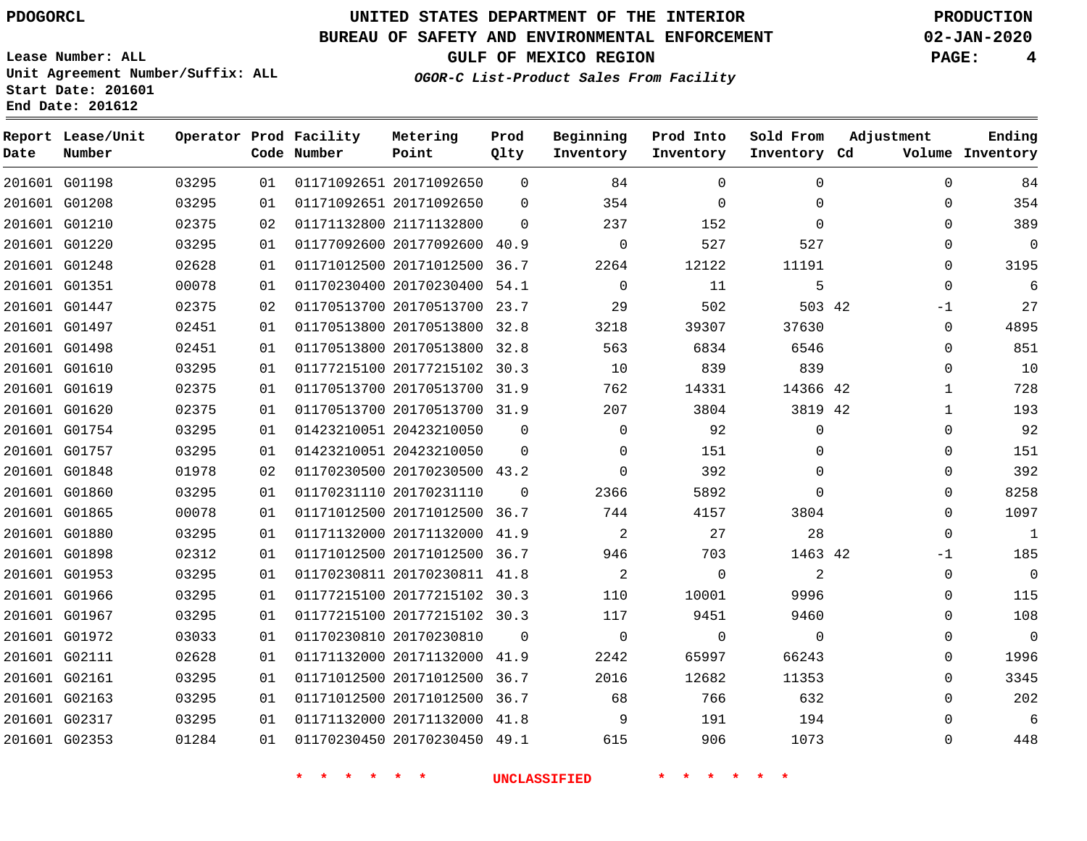#### **BUREAU OF SAFETY AND ENVIRONMENTAL ENFORCEMENT 02-JAN-2020**

**Lease Number: ALL**

**GULF OF MEXICO REGION PAGE: 4**

**OGOR-C List-Product Sales From Facility**

**Unit Agreement Number/Suffix: ALL Start Date: 201601 End Date: 201612**

| Date          | Report Lease/Unit<br>Number |       |    | Operator Prod Facility<br>Code Number | Metering<br>Point            | Prod<br>Qlty | Beginning<br>Inventory | Prod Into<br>Inventory | Sold From<br>Inventory Cd | Adjustment  | Ending<br>Volume Inventory |
|---------------|-----------------------------|-------|----|---------------------------------------|------------------------------|--------------|------------------------|------------------------|---------------------------|-------------|----------------------------|
|               | 201601 G01198               | 03295 | 01 |                                       | 01171092651 20171092650      | $\Omega$     | 84                     | $\Omega$               | $\Omega$                  | $\Omega$    | 84                         |
|               | 201601 G01208               | 03295 | 01 |                                       | 01171092651 20171092650      | $\Omega$     | 354                    | $\mathbf 0$            | 0                         | 0           | 354                        |
|               | 201601 G01210               | 02375 | 02 |                                       | 01171132800 21171132800      | $\Omega$     | 237                    | 152                    | $\Omega$                  | $\Omega$    | 389                        |
|               | 201601 G01220               | 03295 | 01 |                                       | 01177092600 20177092600 40.9 |              | $\mathbf 0$            | 527                    | 527                       | 0           | $\mathbf 0$                |
|               | 201601 G01248               | 02628 | 01 |                                       | 01171012500 20171012500 36.7 |              | 2264                   | 12122                  | 11191                     | 0           | 3195                       |
|               | 201601 G01351               | 00078 | 01 |                                       | 01170230400 20170230400 54.1 |              | $\mathbf 0$            | 11                     | 5                         | $\mathbf 0$ | 6                          |
|               | 201601 G01447               | 02375 | 02 |                                       | 01170513700 20170513700 23.7 |              | 29                     | 502                    | 503 42                    | -1          | 27                         |
|               | 201601 G01497               | 02451 | 01 |                                       | 01170513800 20170513800 32.8 |              | 3218                   | 39307                  | 37630                     | 0           | 4895                       |
|               | 201601 G01498               | 02451 | 01 |                                       | 01170513800 20170513800 32.8 |              | 563                    | 6834                   | 6546                      | 0           | 851                        |
|               | 201601 G01610               | 03295 | 01 |                                       | 01177215100 20177215102 30.3 |              | 10                     | 839                    | 839                       | 0           | 10                         |
|               | 201601 G01619               | 02375 | 01 |                                       | 01170513700 20170513700 31.9 |              | 762                    | 14331                  | 14366 42                  | 1           | 728                        |
|               | 201601 G01620               | 02375 | 01 |                                       | 01170513700 20170513700 31.9 |              | 207                    | 3804                   | 3819 42                   | 1           | 193                        |
|               | 201601 G01754               | 03295 | 01 |                                       | 01423210051 20423210050      | $\Omega$     | $\Omega$               | 92                     | $\Omega$                  | $\Omega$    | 92                         |
|               | 201601 G01757               | 03295 | 01 |                                       | 01423210051 20423210050      | $\Omega$     | $\Omega$               | 151                    | 0                         | 0           | 151                        |
|               | 201601 G01848               | 01978 | 02 |                                       | 01170230500 20170230500 43.2 |              | $\mathbf 0$            | 392                    | $\mathbf 0$               | 0           | 392                        |
|               | 201601 G01860               | 03295 | 01 |                                       | 01170231110 20170231110      | $\Omega$     | 2366                   | 5892                   | $\Omega$                  | 0           | 8258                       |
|               | 201601 G01865               | 00078 | 01 |                                       | 01171012500 20171012500 36.7 |              | 744                    | 4157                   | 3804                      | 0           | 1097                       |
|               | 201601 G01880               | 03295 | 01 |                                       | 01171132000 20171132000 41.9 |              | 2                      | 27                     | 28                        | $\Omega$    | $\mathbf{1}$               |
|               | 201601 G01898               | 02312 | 01 |                                       | 01171012500 20171012500 36.7 |              | 946                    | 703                    | 1463 42                   | -1          | 185                        |
|               | 201601 G01953               | 03295 | 01 |                                       | 01170230811 20170230811 41.8 |              | $\overline{a}$         | $\Omega$               | 2                         | 0           | $\overline{0}$             |
|               | 201601 G01966               | 03295 | 01 |                                       | 01177215100 20177215102 30.3 |              | 110                    | 10001                  | 9996                      | 0           | 115                        |
|               | 201601 G01967               | 03295 | 01 |                                       | 01177215100 20177215102 30.3 |              | 117                    | 9451                   | 9460                      | 0           | 108                        |
|               | 201601 G01972               | 03033 | 01 |                                       | 01170230810 20170230810      | $\Omega$     | $\mathbf 0$            | $\mathbf 0$            | $\mathbf 0$               | 0           | $\overline{0}$             |
| 201601 G02111 |                             | 02628 | 01 |                                       | 01171132000 20171132000 41.9 |              | 2242                   | 65997                  | 66243                     | 0           | 1996                       |
| 201601 G02161 |                             | 03295 | 01 |                                       | 01171012500 20171012500 36.7 |              | 2016                   | 12682                  | 11353                     | $\Omega$    | 3345                       |
|               | 201601 G02163               | 03295 | 01 |                                       | 01171012500 20171012500 36.7 |              | 68                     | 766                    | 632                       | $\mathbf 0$ | 202                        |
|               | 201601 G02317               | 03295 | 01 |                                       | 01171132000 20171132000 41.8 |              | 9                      | 191                    | 194                       | 0           | 6                          |
|               | 201601 G02353               | 01284 | 01 |                                       | 01170230450 20170230450 49.1 |              | 615                    | 906                    | 1073                      | $\Omega$    | 448                        |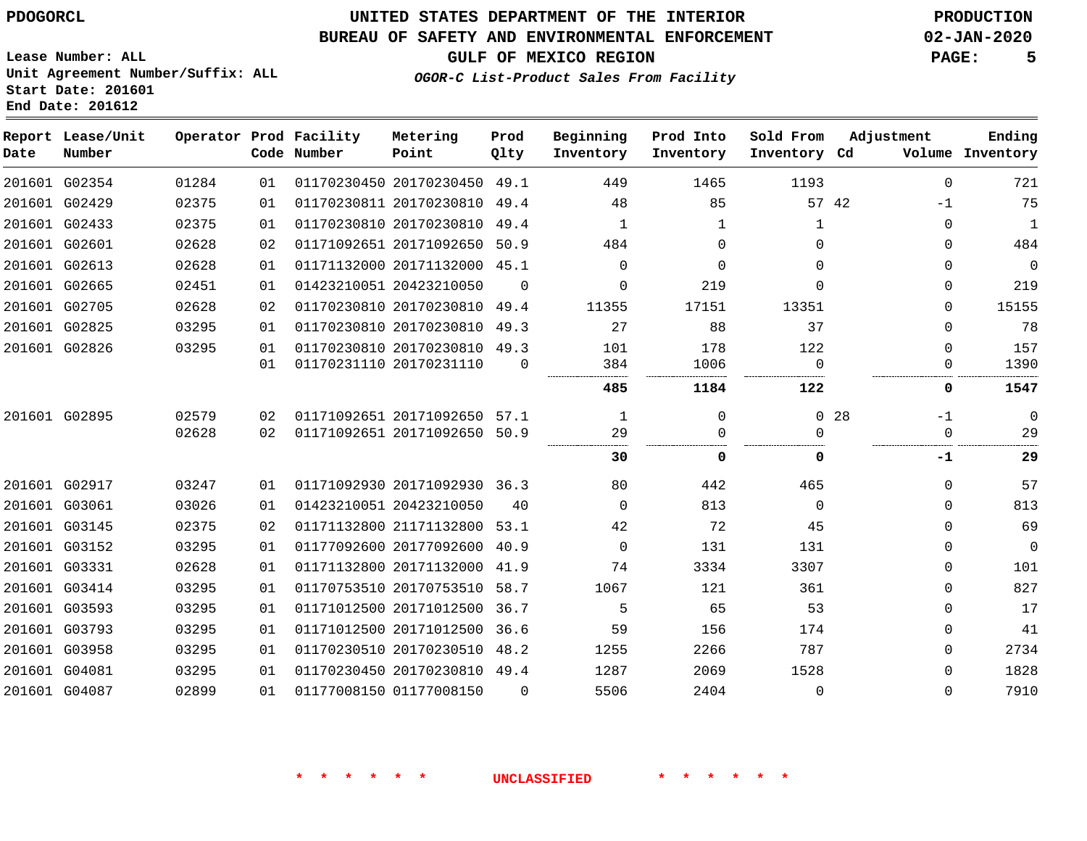### **BUREAU OF SAFETY AND ENVIRONMENTAL ENFORCEMENT 02-JAN-2020**

**OGOR-C List-Product Sales From Facility**

**GULF OF MEXICO REGION PAGE: 5**

**Lease Number: ALL Unit Agreement Number/Suffix: ALL Start Date: 201601 End Date: 201612**

| Ending<br>Volume Inventory | Adjustment | Sold From<br>Inventory Cd | Prod Into<br>Inventory | Beginning<br>Inventory | Prod<br>Qlty | Metering<br>Point            | Operator Prod Facility<br>Code Number |    |       | Report Lease/Unit<br>Number | Date |
|----------------------------|------------|---------------------------|------------------------|------------------------|--------------|------------------------------|---------------------------------------|----|-------|-----------------------------|------|
| 721                        | $\Omega$   | 1193                      | 1465                   | 449                    |              | 01170230450 20170230450 49.1 |                                       | 01 | 01284 | 201601 G02354               |      |
| 75                         | -1         | 57 42                     | 85                     | 48                     | 49.4         | 01170230811 20170230810      |                                       | 01 | 02375 | 201601 G02429               |      |
| 1                          | $\Omega$   | 1                         | 1                      | 1                      |              | 01170230810 20170230810 49.4 |                                       | 01 | 02375 | 201601 G02433               |      |
| 484                        | $\Omega$   | $\Omega$                  | $\Omega$               | 484                    | 50.9         | 01171092651 20171092650      |                                       | 02 | 02628 | 201601 G02601               |      |
| $\mathbf 0$                | $\Omega$   | $\Omega$                  | $\Omega$               | $\Omega$               |              | 01171132000 20171132000 45.1 |                                       | 01 | 02628 | 201601 G02613               |      |
| 219                        | $\Omega$   | $\Omega$                  | 219                    | $\Omega$               | $\Omega$     |                              | 01423210051 20423210050               | 01 | 02451 | 201601 G02665               |      |
| 15155                      | $\Omega$   | 13351                     | 17151                  | 11355                  | 49.4         | 01170230810 20170230810      |                                       | 02 | 02628 | 201601 G02705               |      |
| 78                         | $\Omega$   | 37                        | 88                     | 27                     |              | 01170230810 20170230810 49.3 |                                       | 01 | 03295 | 201601 G02825               |      |
| 157                        | $\Omega$   | 122                       | 178                    | 101                    |              | 01170230810 20170230810 49.3 |                                       | 01 | 03295 | 201601 G02826               |      |
| 1390                       | $\Omega$   | $\Omega$                  | 1006                   | 384                    | $\Omega$     |                              | 01170231110 20170231110               | 01 |       |                             |      |
| 1547                       | 0          | 122                       | 1184                   | 485                    |              |                              |                                       |    |       |                             |      |
| $\mathbf 0$                | -1         | 0 <sub>28</sub>           | $\Omega$               | 1                      |              | 01171092651 20171092650 57.1 |                                       | 02 | 02579 | 201601 G02895               |      |
| 29                         | $\Omega$   | $\Omega$                  | $\Omega$               | 29                     |              | 01171092651 20171092650 50.9 |                                       | 02 | 02628 |                             |      |
| 29                         | -1         | 0                         | 0                      | 30                     |              |                              |                                       |    |       |                             |      |
| 57                         | $\Omega$   | 465                       | 442                    | 80                     |              | 01171092930 20171092930 36.3 |                                       | 01 | 03247 | 201601 G02917               |      |
| 813                        | $\Omega$   | $\Omega$                  | 813                    | $\Omega$               | 40           |                              | 01423210051 20423210050               | 01 | 03026 | 201601 G03061               |      |
| 69                         | $\Omega$   | 45                        | 72                     | 42                     |              | 01171132800 21171132800 53.1 |                                       | 02 | 02375 | 201601 G03145               |      |
| $\overline{0}$             | $\Omega$   | 131                       | 131                    | $\Omega$               | 40.9         | 01177092600 20177092600      |                                       | 01 | 03295 | 201601 G03152               |      |
| 101                        | $\Omega$   | 3307                      | 3334                   | 74                     | 41.9         | 01171132800 20171132000      |                                       | 01 | 02628 | 201601 G03331               |      |
| 827                        | $\Omega$   | 361                       | 121                    | 1067                   |              | 01170753510 20170753510 58.7 |                                       | 01 | 03295 | 201601 G03414               |      |
| 17                         | 0          | 53                        | 65                     | 5                      | 36.7         | 01171012500 20171012500      |                                       | 01 | 03295 | 201601 G03593               |      |
| 41                         | 0          | 174                       | 156                    | 59                     | 36.6         |                              | 01171012500 20171012500               | 01 | 03295 | 201601 G03793               |      |
| 2734                       | $\Omega$   | 787                       | 2266                   | 1255                   |              | 01170230510 20170230510 48.2 |                                       | 01 | 03295 | 201601 G03958               |      |
| 1828                       | 0          | 1528                      | 2069                   | 1287                   |              | 01170230450 20170230810 49.4 |                                       | 01 | 03295 | 201601 G04081               |      |
| 7910                       | $\Omega$   | $\Omega$                  | 2404                   | 5506                   | $\Omega$     |                              | 01177008150 01177008150               | 01 | 02899 | 201601 G04087               |      |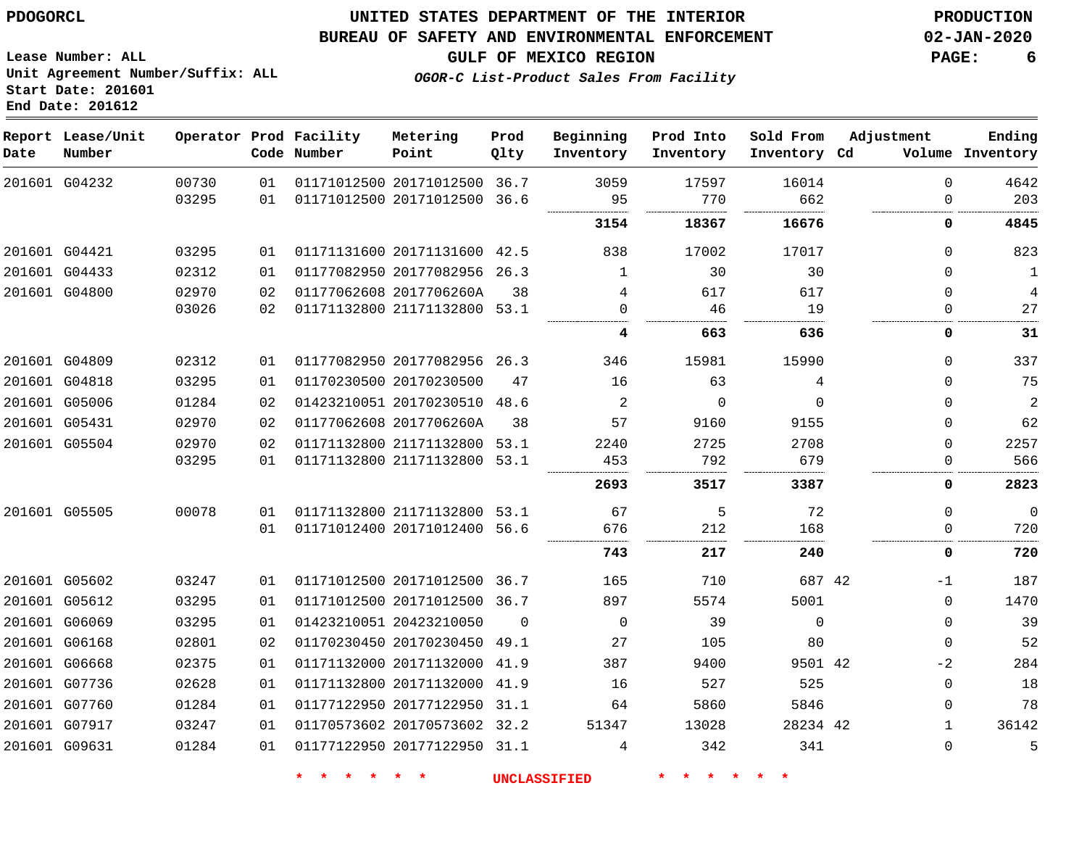#### **BUREAU OF SAFETY AND ENVIRONMENTAL ENFORCEMENT 02-JAN-2020**

**GULF OF MEXICO REGION PAGE: 6**

**Lease Number: ALL Unit Agreement Number/Suffix: ALL Start Date: 201601 End Date: 201612**

**OGOR-C List-Product Sales From Facility**

| Date | Report Lease/Unit<br>Number |       |                 | Operator Prod Facility<br>Code Number | Metering<br>Point            | Prod<br>Qlty | Beginning<br>Inventory | Prod Into<br>Inventory | Sold From<br>Inventory Cd | Adjustment   | Ending<br>Volume Inventory |
|------|-----------------------------|-------|-----------------|---------------------------------------|------------------------------|--------------|------------------------|------------------------|---------------------------|--------------|----------------------------|
|      | 201601 G04232               | 00730 | 01              |                                       | 01171012500 20171012500 36.7 |              | 3059                   | 17597                  | 16014                     | $\Omega$     | 4642                       |
|      |                             | 03295 | 01              |                                       | 01171012500 20171012500      | 36.6         | 95                     | 770                    | 662                       | 0            | 203                        |
|      |                             |       |                 |                                       |                              |              | 3154                   | 18367                  | 16676                     | 0            | 4845                       |
|      | 201601 G04421               | 03295 | 01              |                                       | 01171131600 20171131600 42.5 |              | 838                    | 17002                  | 17017                     | $\Omega$     | 823                        |
|      | 201601 G04433               | 02312 | 01              |                                       | 01177082950 20177082956 26.3 |              | 1                      | 30                     | 30                        | 0            | 1                          |
|      | 201601 G04800               | 02970 | 02              |                                       | 01177062608 2017706260A      | 38           | 4                      | 617                    | 617                       | $\Omega$     | 4                          |
|      |                             | 03026 | 02              |                                       | 01171132800 21171132800 53.1 |              | $\Omega$               | 46                     | 19                        | 0            | 27                         |
|      |                             |       |                 |                                       |                              |              | 4                      | 663                    | 636                       | 0            | 31                         |
|      | 201601 G04809               | 02312 | 01              |                                       | 01177082950 20177082956 26.3 |              | 346                    | 15981                  | 15990                     | 0            | 337                        |
|      | 201601 G04818               | 03295 | 01              |                                       | 01170230500 20170230500      | 47           | 16                     | 63                     | 4                         | 0            | 75                         |
|      | 201601 G05006               | 01284 | 02              |                                       | 01423210051 20170230510 48.6 |              | 2                      | $\Omega$               | $\Omega$                  | 0            | $\overline{c}$             |
|      | 201601 G05431               | 02970 | 02              |                                       | 01177062608 2017706260A      | 38           | 57                     | 9160                   | 9155                      | 0            | 62                         |
|      | 201601 G05504               | 02970 | 02              |                                       | 01171132800 21171132800 53.1 |              | 2240                   | 2725                   | 2708                      | $\Omega$     | 2257                       |
|      |                             | 03295 | 01              |                                       | 01171132800 21171132800 53.1 |              | 453                    | 792                    | 679                       | 0            | 566                        |
|      |                             |       |                 |                                       |                              |              | 2693                   | 3517                   | 3387                      | 0            | 2823                       |
|      | 201601 G05505               | 00078 | 01              |                                       | 01171132800 21171132800 53.1 |              | 67                     | 5                      | 72                        | $\Omega$     | $\mathbf 0$                |
|      |                             |       | 01              |                                       | 01171012400 20171012400 56.6 |              | 676                    | 212                    | 168                       | 0            | 720                        |
|      |                             |       |                 |                                       |                              |              | 743                    | 217                    | 240                       | 0            | 720                        |
|      | 201601 G05602               | 03247 | 01              |                                       | 01171012500 20171012500 36.7 |              | 165                    | 710                    | 687 42                    | $-1$         | 187                        |
|      | 201601 G05612               | 03295 | 01              |                                       | 01171012500 20171012500 36.7 |              | 897                    | 5574                   | 5001                      | 0            | 1470                       |
|      | 201601 G06069               | 03295 | 01              |                                       | 01423210051 20423210050      | $\Omega$     | $\mathbf 0$            | 39                     | $\Omega$                  | $\Omega$     | 39                         |
|      | 201601 G06168               | 02801 | 02 <sub>2</sub> |                                       | 01170230450 20170230450 49.1 |              | 27                     | 105                    | 80                        | 0            | 52                         |
|      | 201601 G06668               | 02375 | 01              |                                       | 01171132000 20171132000 41.9 |              | 387                    | 9400                   | 9501 42                   | $-2$         | 284                        |
|      | 201601 G07736               | 02628 | 01              |                                       | 01171132800 20171132000      | 41.9         | 16                     | 527                    | 525                       | 0            | 18                         |
|      | 201601 G07760               | 01284 | 01              |                                       | 01177122950 20177122950 31.1 |              | 64                     | 5860                   | 5846                      | $\Omega$     | 78                         |
|      | 201601 G07917               | 03247 | 01              |                                       | 01170573602 20170573602 32.2 |              | 51347                  | 13028                  | 28234 42                  | $\mathbf{1}$ | 36142                      |
|      | 201601 G09631               | 01284 | 01              |                                       | 01177122950 20177122950 31.1 |              | 4                      | 342                    | 341                       | 0            | 5                          |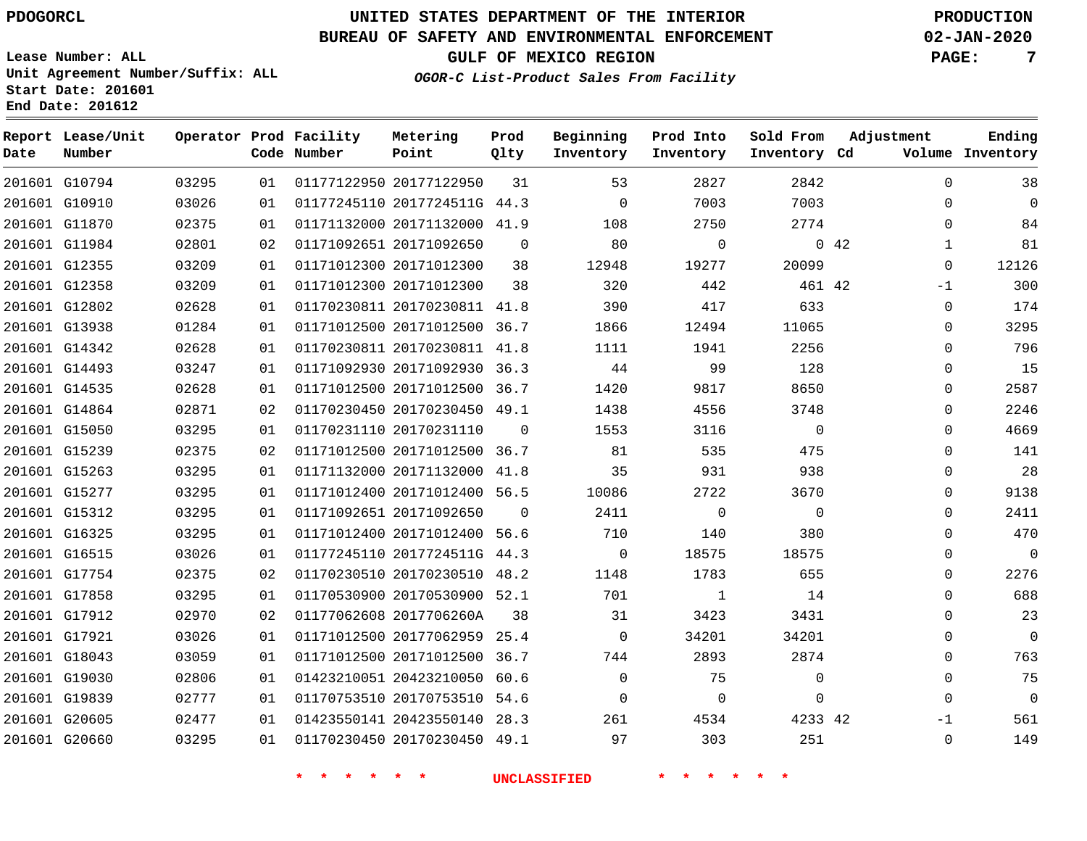### **UNITED STATES DEPARTMENT OF THE INTERIOR PDOGORCL PRODUCTION**

### **BUREAU OF SAFETY AND ENVIRONMENTAL ENFORCEMENT 02-JAN-2020**

**Lease Number: ALL**

**GULF OF MEXICO REGION PAGE: 7**

**OGOR-C List-Product Sales From Facility**

| Unit Agreement Number/Suffix: ALL<br>Start Date: 201601 |                        |  |
|---------------------------------------------------------|------------------------|--|
| End Date: 201612<br>Report Lease/Unit                   | Operator Prod Facility |  |

| Date | Report Lease/Unit<br>Number |       |    | Operator Prod Facility<br>Code Number | Metering<br>Point            | Prod<br>Qlty | Beginning<br>Inventory | Prod Into<br>Inventory | Sold From<br>Inventory Cd | Adjustment          | Ending<br>Volume Inventory |
|------|-----------------------------|-------|----|---------------------------------------|------------------------------|--------------|------------------------|------------------------|---------------------------|---------------------|----------------------------|
|      | 201601 G10794               | 03295 | 01 |                                       | 01177122950 20177122950      | 31           | 53                     | 2827                   | 2842                      | $\Omega$            | 38                         |
|      | 201601 G10910               | 03026 | 01 |                                       | 01177245110 2017724511G 44.3 |              | $\mathbf 0$            | 7003                   | 7003                      | 0                   | $\mathbf 0$                |
|      | 201601 G11870               | 02375 | 01 |                                       | 01171132000 20171132000 41.9 |              | 108                    | 2750                   | 2774                      | $\Omega$            | 84                         |
|      | 201601 G11984               | 02801 | 02 |                                       | 01171092651 20171092650      | $\Omega$     | 80                     | $\mathbf 0$            |                           | 042<br>$\mathbf{1}$ | 81                         |
|      | 201601 G12355               | 03209 | 01 |                                       | 01171012300 20171012300      | 38           | 12948                  | 19277                  | 20099                     | $\Omega$            | 12126                      |
|      | 201601 G12358               | 03209 | 01 |                                       | 01171012300 20171012300      | 38           | 320                    | 442                    | 461 42                    | $-1$                | 300                        |
|      | 201601 G12802               | 02628 | 01 |                                       | 01170230811 20170230811 41.8 |              | 390                    | 417                    | 633                       | $\mathbf{0}$        | 174                        |
|      | 201601 G13938               | 01284 | 01 |                                       | 01171012500 20171012500 36.7 |              | 1866                   | 12494                  | 11065                     | $\mathbf 0$         | 3295                       |
|      | 201601 G14342               | 02628 | 01 |                                       | 01170230811 20170230811 41.8 |              | 1111                   | 1941                   | 2256                      | $\Omega$            | 796                        |
|      | 201601 G14493               | 03247 | 01 |                                       | 01171092930 20171092930 36.3 |              | 44                     | 99                     | 128                       | 0                   | 15                         |
|      | 201601 G14535               | 02628 | 01 |                                       | 01171012500 20171012500 36.7 |              | 1420                   | 9817                   | 8650                      | $\mathbf 0$         | 2587                       |
|      | 201601 G14864               | 02871 | 02 |                                       | 01170230450 20170230450 49.1 |              | 1438                   | 4556                   | 3748                      | $\mathbf 0$         | 2246                       |
|      | 201601 G15050               | 03295 | 01 |                                       | 01170231110 20170231110      | $\Omega$     | 1553                   | 3116                   | $\Omega$                  | $\Omega$            | 4669                       |
|      | 201601 G15239               | 02375 | 02 |                                       | 01171012500 20171012500 36.7 |              | 81                     | 535                    | 475                       | $\mathbf{0}$        | 141                        |
|      | 201601 G15263               | 03295 | 01 |                                       | 01171132000 20171132000 41.8 |              | 35                     | 931                    | 938                       | 0                   | 28                         |
|      | 201601 G15277               | 03295 | 01 |                                       | 01171012400 20171012400 56.5 |              | 10086                  | 2722                   | 3670                      | 0                   | 9138                       |
|      | 201601 G15312               | 03295 | 01 |                                       | 01171092651 20171092650      | $\Omega$     | 2411                   | $\mathbf{0}$           | $\Omega$                  | $\Omega$            | 2411                       |
|      | 201601 G16325               | 03295 | 01 |                                       | 01171012400 20171012400 56.6 |              | 710                    | 140                    | 380                       | 0                   | 470                        |
|      | 201601 G16515               | 03026 | 01 |                                       | 01177245110 2017724511G 44.3 |              | 0                      | 18575                  | 18575                     | $\Omega$            | $\overline{0}$             |
|      | 201601 G17754               | 02375 | 02 |                                       | 01170230510 20170230510 48.2 |              | 1148                   | 1783                   | 655                       | $\mathbf 0$         | 2276                       |
|      | 201601 G17858               | 03295 | 01 |                                       | 01170530900 20170530900 52.1 |              | 701                    | $\mathbf{1}$           | 14                        | $\mathbf 0$         | 688                        |
|      | 201601 G17912               | 02970 | 02 |                                       | 01177062608 2017706260A      | 38           | 31                     | 3423                   | 3431                      | $\Omega$            | 23                         |
|      | 201601 G17921               | 03026 | 01 |                                       | 01171012500 20177062959 25.4 |              | $\mathbf 0$            | 34201                  | 34201                     | 0                   | $\mathbf 0$                |
|      | 201601 G18043               | 03059 | 01 |                                       | 01171012500 20171012500 36.7 |              | 744                    | 2893                   | 2874                      | $\mathbf{0}$        | 763                        |
|      | 201601 G19030               | 02806 | 01 |                                       | 01423210051 20423210050 60.6 |              | $\mathbf 0$            | 75                     | $\mathbf 0$               | $\mathbf 0$         | 75                         |
|      | 201601 G19839               | 02777 | 01 |                                       | 01170753510 20170753510 54.6 |              | $\mathbf 0$            | $\mathbf 0$            | $\Omega$                  | $\Omega$            | $\mathbf 0$                |
|      | 201601 G20605               | 02477 | 01 |                                       | 01423550141 20423550140 28.3 |              | 261                    | 4534                   | 4233 42                   | $-1$                | 561                        |
|      | 201601 G20660               | 03295 | 01 |                                       | 01170230450 20170230450 49.1 |              | 97                     | 303                    | 251                       | $\mathbf 0$         | 149                        |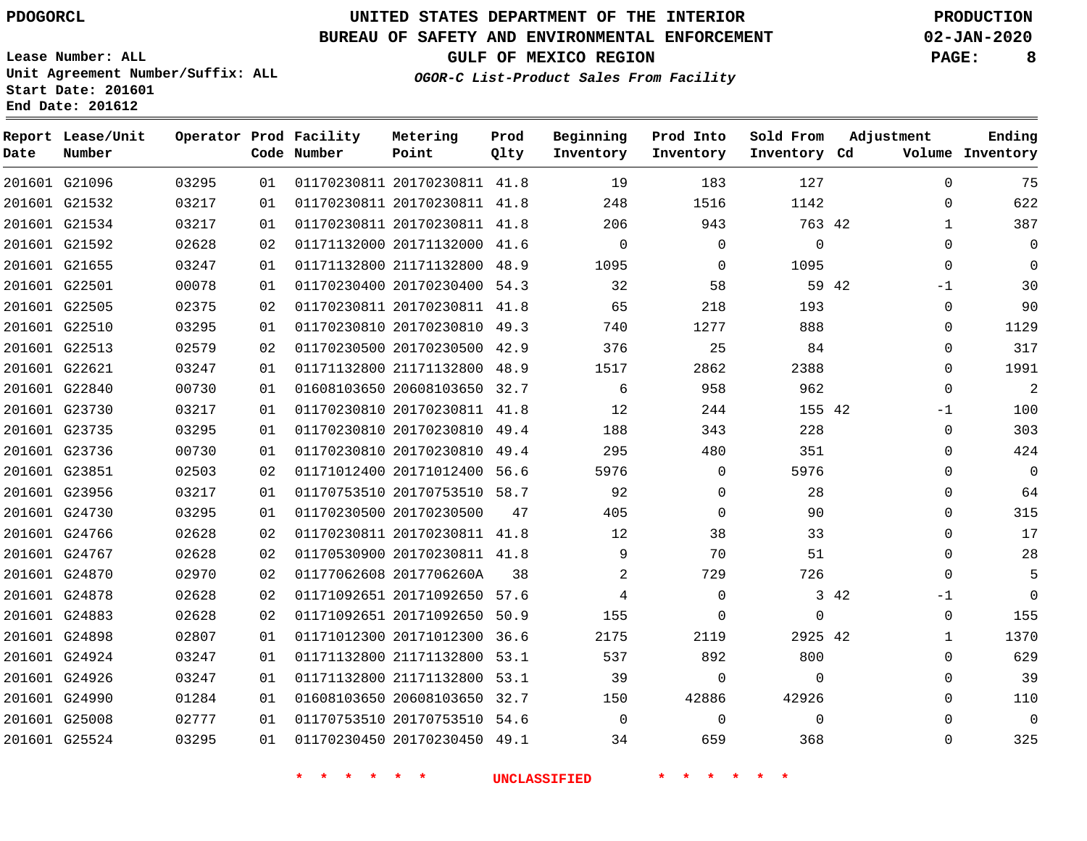### **BUREAU OF SAFETY AND ENVIRONMENTAL ENFORCEMENT 02-JAN-2020**

**Lease Number: ALL Unit Agreement Number/Suffix: ALL Start Date: 201601**

**OGOR-C List-Product Sales From Facility**

**GULF OF MEXICO REGION PAGE: 8**

**End Date: 201612**

| Date | Report Lease/Unit<br>Number |       |    | Operator Prod Facility<br>Code Number | Metering<br>Point            | Prod<br>Qlty | Beginning<br>Inventory | Prod Into<br>Inventory | Sold From<br>Inventory Cd | Adjustment |              | Ending<br>Volume Inventory |
|------|-----------------------------|-------|----|---------------------------------------|------------------------------|--------------|------------------------|------------------------|---------------------------|------------|--------------|----------------------------|
|      | 201601 G21096               | 03295 | 01 |                                       | 01170230811 20170230811 41.8 |              | 19                     | 183                    | 127                       |            | $\Omega$     | 75                         |
|      | 201601 G21532               | 03217 | 01 |                                       | 01170230811 20170230811 41.8 |              | 248                    | 1516                   | 1142                      |            | $\mathbf{0}$ | 622                        |
|      | 201601 G21534               | 03217 | 01 |                                       | 01170230811 20170230811 41.8 |              | 206                    | 943                    | 763 42                    |            | $\mathbf{1}$ | 387                        |
|      | 201601 G21592               | 02628 | 02 |                                       | 01171132000 20171132000 41.6 |              | $\mathbf 0$            | $\mathbf 0$            | $\mathbf 0$               |            | $\Omega$     | $\mathbf 0$                |
|      | 201601 G21655               | 03247 | 01 |                                       | 01171132800 21171132800 48.9 |              | 1095                   | $\mathbf{0}$           | 1095                      |            | $\mathbf 0$  | $\Omega$                   |
|      | 201601 G22501               | 00078 | 01 |                                       | 01170230400 20170230400 54.3 |              | 32                     | 58                     | 59 42                     |            | $-1$         | 30                         |
|      | 201601 G22505               | 02375 | 02 |                                       | 01170230811 20170230811 41.8 |              | 65                     | 218                    | 193                       |            | $\mathbf 0$  | 90                         |
|      | 201601 G22510               | 03295 | 01 |                                       | 01170230810 20170230810 49.3 |              | 740                    | 1277                   | 888                       |            | $\Omega$     | 1129                       |
|      | 201601 G22513               | 02579 | 02 |                                       | 01170230500 20170230500 42.9 |              | 376                    | 25                     | 84                        |            | $\mathbf 0$  | 317                        |
|      | 201601 G22621               | 03247 | 01 |                                       | 01171132800 21171132800 48.9 |              | 1517                   | 2862                   | 2388                      |            | $\Omega$     | 1991                       |
|      | 201601 G22840               | 00730 | 01 |                                       | 01608103650 20608103650 32.7 |              | 6                      | 958                    | 962                       |            | $\mathbf 0$  | $\overline{2}$             |
|      | 201601 G23730               | 03217 | 01 |                                       | 01170230810 20170230811 41.8 |              | 12                     | 244                    | 155 42                    |            | $-1$         | 100                        |
|      | 201601 G23735               | 03295 | 01 |                                       | 01170230810 20170230810 49.4 |              | 188                    | 343                    | 228                       |            | $\Omega$     | 303                        |
|      | 201601 G23736               | 00730 | 01 |                                       | 01170230810 20170230810 49.4 |              | 295                    | 480                    | 351                       |            | $\Omega$     | 424                        |
|      | 201601 G23851               | 02503 | 02 |                                       | 01171012400 20171012400 56.6 |              | 5976                   | $\mathbf 0$            | 5976                      |            | $\Omega$     | $\mathbf 0$                |
|      | 201601 G23956               | 03217 | 01 |                                       | 01170753510 20170753510 58.7 |              | 92                     | $\Omega$               | 28                        |            | $\Omega$     | 64                         |
|      | 201601 G24730               | 03295 | 01 |                                       | 01170230500 20170230500      | 47           | 405                    | $\Omega$               | 90                        |            | $\Omega$     | 315                        |
|      | 201601 G24766               | 02628 | 02 |                                       | 01170230811 20170230811 41.8 |              | 12                     | 38                     | 33                        |            | $\Omega$     | 17                         |
|      | 201601 G24767               | 02628 | 02 |                                       | 01170530900 20170230811 41.8 |              | 9                      | 70                     | 51                        |            | 0            | 28                         |
|      | 201601 G24870               | 02970 | 02 |                                       | 01177062608 2017706260A      | 38           | 2                      | 729                    | 726                       |            | $\Omega$     | 5                          |
|      | 201601 G24878               | 02628 | 02 |                                       | 01171092651 20171092650 57.6 |              | 4                      | $\Omega$               |                           | 3 42       | -1           | $\Omega$                   |
|      | 201601 G24883               | 02628 | 02 |                                       | 01171092651 20171092650 50.9 |              | 155                    | $\Omega$               | $\Omega$                  |            | $\mathbf 0$  | 155                        |
|      | 201601 G24898               | 02807 | 01 |                                       | 01171012300 20171012300 36.6 |              | 2175                   | 2119                   | 2925 42                   |            | 1            | 1370                       |
|      | 201601 G24924               | 03247 | 01 |                                       | 01171132800 21171132800 53.1 |              | 537                    | 892                    | 800                       |            | $\Omega$     | 629                        |
|      | 201601 G24926               | 03247 | 01 |                                       | 01171132800 21171132800 53.1 |              | 39                     | $\Omega$               | $\Omega$                  |            | $\Omega$     | 39                         |
|      | 201601 G24990               | 01284 | 01 |                                       | 01608103650 20608103650 32.7 |              | 150                    | 42886                  | 42926                     |            | $\Omega$     | 110                        |
|      | 201601 G25008               | 02777 | 01 |                                       | 01170753510 20170753510 54.6 |              | $\Omega$               | $\Omega$               | $\Omega$                  |            | $\Omega$     | $\mathbf 0$                |
|      | 201601 G25524               | 03295 | 01 |                                       | 01170230450 20170230450 49.1 |              | 34                     | 659                    | 368                       |            | $\Omega$     | 325                        |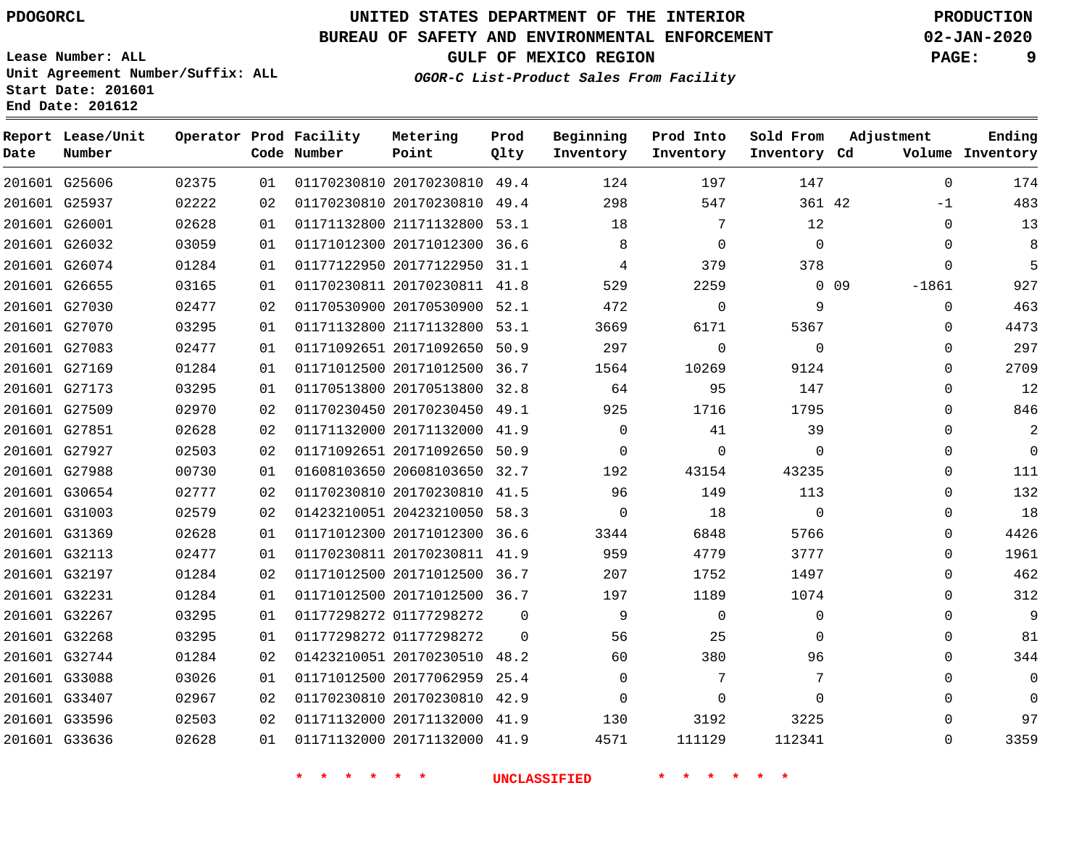**End Date: 201612**

**Report Lease/Unit**

**Number**

 G25606 G25937 G26001 G26032 G26074 G26655 G27030 G27070 G27083 G27169 G27173 G27509 G27851 G27927 G27988 G30654 G31003 G31369 G32113 G32197 G32231 G32267 G32268 G32744 G33088 G33407 G33596 G33636

**Date**

### **UNITED STATES DEPARTMENT OF THE INTERIOR PDOGORCL PRODUCTION**

**Prod Qlty**

#### **BUREAU OF SAFETY AND ENVIRONMENTAL ENFORCEMENT 02-JAN-2020**

**Lease Number: ALL Unit Agreement Number/Suffix: ALL Start Date: 201601**

 $0.275$ 

**Operator Prod Facility**

**Code Number**

**OGOR-C List-Product Sales From Facility**

**Sold From Inventory**

**Prod Into Inventory**

**Beginning Inventory**

**GULF OF MEXICO REGION PAGE: 9**

**Inventory Cd Volume**

**Adjustment**

 -1  $\Omega$   $\Omega$ -1861  $\Omega$  $\Omega$  $\Omega$  $\Omega$  $\Omega$  $\Omega$  $\Omega$   $\Omega$  $\overline{0}$  $\Omega$  $\Omega$  $\Omega$  $\Omega$   $\Omega$  $\Omega$   $\Omega$   $\Omega$ 

**Ending**

| 02375 | 01 | 01170230810 20170230810 | 49.4     | 124      | 197         | 147         |    |
|-------|----|-------------------------|----------|----------|-------------|-------------|----|
| 02222 | 02 | 01170230810 20170230810 | 49.4     | 298      | 547         | 361 42      |    |
| 02628 | 01 | 01171132800 21171132800 | 53.1     | 18       | 7           | 12          |    |
| 03059 | 01 | 01171012300 20171012300 | 36.6     | 8        | $\Omega$    | $\Omega$    |    |
| 01284 | 01 | 01177122950 20177122950 | 31.1     | 4        | 379         | 378         |    |
| 03165 | 01 | 01170230811 20170230811 | 41.8     | 529      | 2259        | 0           | 09 |
| 02477 | 02 | 01170530900 20170530900 | 52.1     | 472      | 0           | 9           |    |
| 03295 | 01 | 01171132800 21171132800 | 53.1     | 3669     | 6171        | 5367        |    |
| 02477 | 01 | 01171092651 20171092650 | 50.9     | 297      | $\mathbf 0$ | $\mathbf 0$ |    |
| 01284 | 01 | 01171012500 20171012500 | 36.7     | 1564     | 10269       | 9124        |    |
| 03295 | 01 | 01170513800 20170513800 | 32.8     | 64       | 95          | 147         |    |
| 02970 | 02 | 01170230450 20170230450 | 49.1     | 925      | 1716        | 1795        |    |
| 02628 | 02 | 01171132000 20171132000 | 41.9     | $\Omega$ | 41          | 39          |    |
| 02503 | 02 | 01171092651 20171092650 | 50.9     | 0        | $\Omega$    | $\Omega$    |    |
| 00730 | 01 | 01608103650 20608103650 | 32.7     | 192      | 43154       | 43235       |    |
| 02777 | 02 | 01170230810 20170230810 | 41.5     | 96       | 149         | 113         |    |
| 02579 | 02 | 01423210051 20423210050 | 58.3     | 0        | 18          | $\mathbf 0$ |    |
| 02628 | 01 | 01171012300 20171012300 | 36.6     | 3344     | 6848        | 5766        |    |
| 02477 | 01 | 01170230811 20170230811 | 41.9     | 959      | 4779        | 3777        |    |
| 01284 | 02 | 01171012500 20171012500 | 36.7     | 207      | 1752        | 1497        |    |
| 01284 | 01 | 01171012500 20171012500 | 36.7     | 197      | 1189        | 1074        |    |
| 03295 | 01 | 01177298272 01177298272 | $\Omega$ | 9        | $\Omega$    | $\mathbf 0$ |    |
| 03295 | 01 | 01177298272 01177298272 | $\Omega$ | 56       | 25          | 0           |    |
| 01284 | 02 | 01423210051 20170230510 | 48.2     | 60       | 380         | 96          |    |

 20177062959 25.4 20170230810 42.9 20171132000 41.9 20171132000 41.9

**Metering Point**

**\* \* \* \* \* \* UNCLASSIFIED \* \* \* \* \* \***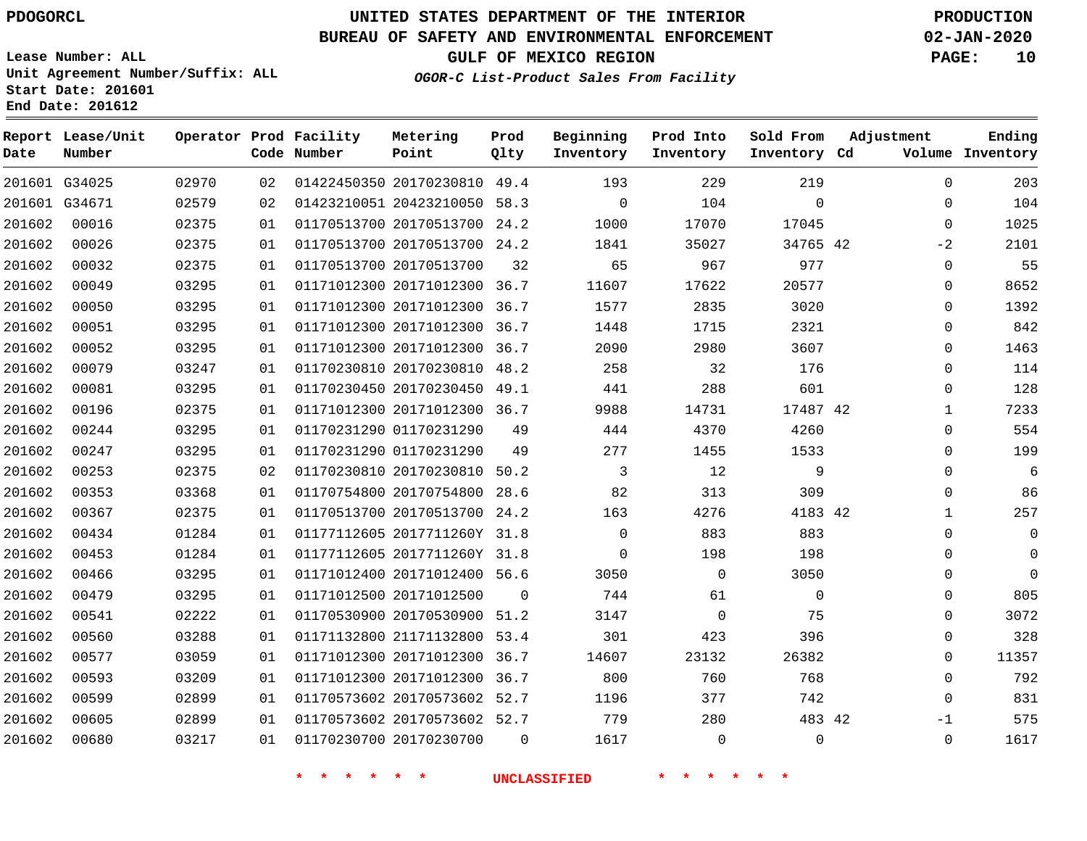### **BUREAU OF SAFETY AND ENVIRONMENTAL ENFORCEMENT 02-JAN-2020**

**Lease Number: ALL Unit Agreement Number/Suffix: ALL Start Date: 201601**

**OGOR-C List-Product Sales From Facility**

**GULF OF MEXICO REGION PAGE: 10**

# **End Date: 201612**

| Date   | Report Lease/Unit<br>Number |       |    | Operator Prod Facility<br>Code Number | Metering<br>Point            | Prod<br>Qlty | Beginning<br>Inventory | Prod Into<br>Inventory | Sold From<br>Inventory Cd | Adjustment   | Ending<br>Volume Inventory |
|--------|-----------------------------|-------|----|---------------------------------------|------------------------------|--------------|------------------------|------------------------|---------------------------|--------------|----------------------------|
|        | 201601 G34025               | 02970 | 02 |                                       | 01422450350 20170230810 49.4 |              | 193                    | 229                    | 219                       | $\mathbf{0}$ | 203                        |
|        | 201601 G34671               | 02579 | 02 |                                       | 01423210051 20423210050 58.3 |              | $\mathbf 0$            | 104                    | $\Omega$                  | $\Omega$     | 104                        |
| 201602 | 00016                       | 02375 | 01 |                                       | 01170513700 20170513700      | 24.2         | 1000                   | 17070                  | 17045                     | $\Omega$     | 1025                       |
| 201602 | 00026                       | 02375 | 01 |                                       | 01170513700 20170513700 24.2 |              | 1841                   | 35027                  | 34765 42                  | $-2$         | 2101                       |
| 201602 | 00032                       | 02375 | 01 |                                       | 01170513700 20170513700      | 32           | 65                     | 967                    | 977                       | $\mathbf{0}$ | 55                         |
| 201602 | 00049                       | 03295 | 01 |                                       | 01171012300 20171012300 36.7 |              | 11607                  | 17622                  | 20577                     | 0            | 8652                       |
| 201602 | 00050                       | 03295 | 01 |                                       | 01171012300 20171012300      | 36.7         | 1577                   | 2835                   | 3020                      | 0            | 1392                       |
| 201602 | 00051                       | 03295 | 01 |                                       | 01171012300 20171012300 36.7 |              | 1448                   | 1715                   | 2321                      | 0            | 842                        |
| 201602 | 00052                       | 03295 | 01 |                                       | 01171012300 20171012300      | 36.7         | 2090                   | 2980                   | 3607                      | $\Omega$     | 1463                       |
| 201602 | 00079                       | 03247 | 01 |                                       | 01170230810 20170230810 48.2 |              | 258                    | 32                     | 176                       | 0            | 114                        |
| 201602 | 00081                       | 03295 | 01 |                                       | 01170230450 20170230450 49.1 |              | 441                    | 288                    | 601                       | 0            | 128                        |
| 201602 | 00196                       | 02375 | 01 |                                       | 01171012300 20171012300 36.7 |              | 9988                   | 14731                  | 17487 42                  | $\mathbf{1}$ | 7233                       |
| 201602 | 00244                       | 03295 | 01 |                                       | 01170231290 01170231290      | 49           | 444                    | 4370                   | 4260                      | 0            | 554                        |
| 201602 | 00247                       | 03295 | 01 |                                       | 01170231290 01170231290      | 49           | 277                    | 1455                   | 1533                      | 0            | 199                        |
| 201602 | 00253                       | 02375 | 02 |                                       | 01170230810 20170230810 50.2 |              | 3                      | 12                     | 9                         | 0            | 6                          |
| 201602 | 00353                       | 03368 | 01 |                                       | 01170754800 20170754800 28.6 |              | 82                     | 313                    | 309                       | 0            | 86                         |
| 201602 | 00367                       | 02375 | 01 |                                       | 01170513700 20170513700 24.2 |              | 163                    | 4276                   | 4183 42                   | $\mathbf{1}$ | 257                        |
| 201602 | 00434                       | 01284 | 01 |                                       | 01177112605 2017711260Y 31.8 |              | $\mathbf 0$            | 883                    | 883                       | 0            | $\mathbf 0$                |
| 201602 | 00453                       | 01284 | 01 |                                       | 01177112605 2017711260Y 31.8 |              | $\Omega$               | 198                    | 198                       | 0            | $\mathbf 0$                |
| 201602 | 00466                       | 03295 | 01 |                                       | 01171012400 20171012400 56.6 |              | 3050                   | $\mathsf{O}$           | 3050                      | 0            | $\mathbf 0$                |
| 201602 | 00479                       | 03295 | 01 |                                       | 01171012500 20171012500      | $\Omega$     | 744                    | 61                     | $\mathbf 0$               | 0            | 805                        |
| 201602 | 00541                       | 02222 | 01 |                                       | 01170530900 20170530900 51.2 |              | 3147                   | $\mathbf 0$            | 75                        | $\mathbf{0}$ | 3072                       |
| 201602 | 00560                       | 03288 | 01 |                                       | 01171132800 21171132800 53.4 |              | 301                    | 423                    | 396                       | 0            | 328                        |
| 201602 | 00577                       | 03059 | 01 |                                       | 01171012300 20171012300      | 36.7         | 14607                  | 23132                  | 26382                     | $\mathbf 0$  | 11357                      |
| 201602 | 00593                       | 03209 | 01 |                                       | 01171012300 20171012300 36.7 |              | 800                    | 760                    | 768                       | $\Omega$     | 792                        |
| 201602 | 00599                       | 02899 | 01 |                                       | 01170573602 20170573602 52.7 |              | 1196                   | 377                    | 742                       | 0            | 831                        |
| 201602 | 00605                       | 02899 | 01 |                                       | 01170573602 20170573602 52.7 |              | 779                    | 280                    | 483 42                    | $-1$         | 575                        |
| 201602 | 00680                       | 03217 | 01 |                                       | 01170230700 20170230700      | $\Omega$     | 1617                   | $\mathbf 0$            | $\Omega$                  | $\Omega$     | 1617                       |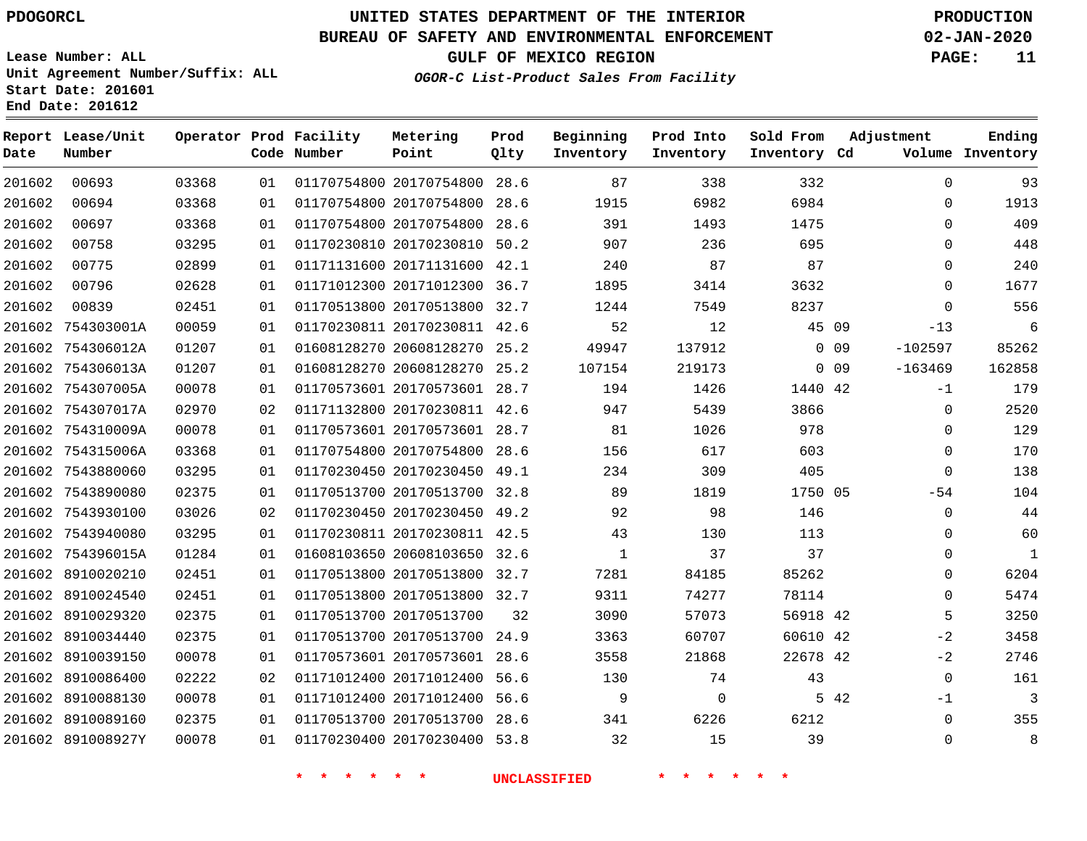**Report Lease/Unit**

**Number**

**Date**

### **UNITED STATES DEPARTMENT OF THE INTERIOR PDOGORCL PRODUCTION**

**Prod Qlty**

#### **BUREAU OF SAFETY AND ENVIRONMENTAL ENFORCEMENT 02-JAN-2020**

**Lease Number: ALL Unit Agreement Number/Suffix: ALL Start Date: 201601 End Date: 201612**

**Operator Prod Facility**

**Code Number**

**OGOR-C List-Product Sales From Facility**

**Beginning Inventory** **Prod Into Inventory** **Sold From Inventory**

**GULF OF MEXICO REGION PAGE: 11**

**Inventory Cd Volume**

**Adjustment**

**Ending**

| 6984<br>6982<br>0<br>1475<br>1493<br>0<br>0<br>236<br>695<br>87<br>87<br>0<br>3414<br>3632<br>$\mathbf 0$<br>8237<br>$\mathbf 0$<br>7549<br>12<br>45 09<br>$-13$<br>137912<br>$\Omega$<br>09<br>$-102597$<br>219173<br>$-163469$<br>0 <sub>09</sub><br>1426<br>1440 42<br>$-1$<br>5439<br>3866<br>$\mathbf 0$<br>1026<br>978<br>$\boldsymbol{0}$<br>$\mathbf 0$<br>617<br>603<br>$\mathbf 0$<br>309<br>405<br>1819<br>1750 05<br>$-54$<br>98<br>$\mathbf 0$<br>146<br>0<br>130<br>113<br>$\mathbf 0$<br>37<br>37<br>84185<br>85262<br>0<br>74277<br>$\mathbf 0$<br>78114 |       |              |      |                              |    |       |            |
|--------------------------------------------------------------------------------------------------------------------------------------------------------------------------------------------------------------------------------------------------------------------------------------------------------------------------------------------------------------------------------------------------------------------------------------------------------------------------------------------------------------------------------------------------------------------------|-------|--------------|------|------------------------------|----|-------|------------|
|                                                                                                                                                                                                                                                                                                                                                                                                                                                                                                                                                                          |       | 1915         | 28.6 | 01170754800 20170754800      | 01 | 03368 | 00694      |
|                                                                                                                                                                                                                                                                                                                                                                                                                                                                                                                                                                          |       | 391          |      | 01170754800 20170754800 28.6 | 01 | 03368 | 00697      |
|                                                                                                                                                                                                                                                                                                                                                                                                                                                                                                                                                                          |       | 907          |      | 01170230810 20170230810 50.2 | 01 | 03295 | 00758      |
|                                                                                                                                                                                                                                                                                                                                                                                                                                                                                                                                                                          |       | 240          |      | 01171131600 20171131600 42.1 | 01 | 02899 | 00775      |
|                                                                                                                                                                                                                                                                                                                                                                                                                                                                                                                                                                          |       | 1895         |      | 01171012300 20171012300 36.7 | 01 | 02628 | 00796      |
|                                                                                                                                                                                                                                                                                                                                                                                                                                                                                                                                                                          |       | 1244         |      | 01170513800 20170513800 32.7 | 01 | 02451 | 00839      |
|                                                                                                                                                                                                                                                                                                                                                                                                                                                                                                                                                                          |       | 52           |      | 01170230811 20170230811 42.6 | 01 | 00059 | 754303001A |
|                                                                                                                                                                                                                                                                                                                                                                                                                                                                                                                                                                          |       | 49947        |      | 01608128270 20608128270 25.2 | 01 | 01207 | 754306012A |
|                                                                                                                                                                                                                                                                                                                                                                                                                                                                                                                                                                          |       | 107154       |      | 01608128270 20608128270 25.2 | 01 | 01207 | 754306013A |
|                                                                                                                                                                                                                                                                                                                                                                                                                                                                                                                                                                          |       | 194          |      | 01170573601 20170573601 28.7 | 01 | 00078 | 754307005A |
|                                                                                                                                                                                                                                                                                                                                                                                                                                                                                                                                                                          |       | 947          |      | 01171132800 20170230811 42.6 | 02 | 02970 | 754307017A |
|                                                                                                                                                                                                                                                                                                                                                                                                                                                                                                                                                                          |       | 81           |      | 01170573601 20170573601 28.7 | 01 | 00078 | 754310009A |
|                                                                                                                                                                                                                                                                                                                                                                                                                                                                                                                                                                          |       | 156          |      | 01170754800 20170754800 28.6 | 01 | 03368 | 754315006A |
|                                                                                                                                                                                                                                                                                                                                                                                                                                                                                                                                                                          |       | 234          |      | 01170230450 20170230450 49.1 | 01 | 03295 | 7543880060 |
|                                                                                                                                                                                                                                                                                                                                                                                                                                                                                                                                                                          |       | 89           |      | 01170513700 20170513700 32.8 | 01 | 02375 | 7543890080 |
|                                                                                                                                                                                                                                                                                                                                                                                                                                                                                                                                                                          |       | 92           |      | 01170230450 20170230450 49.2 | 02 | 03026 | 7543930100 |
|                                                                                                                                                                                                                                                                                                                                                                                                                                                                                                                                                                          |       | 43           |      | 01170230811 20170230811 42.5 | 01 | 03295 | 7543940080 |
|                                                                                                                                                                                                                                                                                                                                                                                                                                                                                                                                                                          |       | $\mathbf{1}$ |      | 01608103650 20608103650 32.6 | 01 | 01284 | 754396015A |
|                                                                                                                                                                                                                                                                                                                                                                                                                                                                                                                                                                          |       | 7281         |      | 01170513800 20170513800 32.7 | 01 | 02451 | 8910020210 |
|                                                                                                                                                                                                                                                                                                                                                                                                                                                                                                                                                                          |       | 9311         |      | 01170513800 20170513800 32.7 | 01 | 02451 | 8910024540 |
| 5<br>56918 42                                                                                                                                                                                                                                                                                                                                                                                                                                                                                                                                                            | 57073 | 3090         | 32   | 01170513700 20170513700      | 01 | 02375 | 8910029320 |
| 60610 42<br>$-2$<br>60707                                                                                                                                                                                                                                                                                                                                                                                                                                                                                                                                                |       | 3363         |      | 01170513700 20170513700 24.9 | 01 | 02375 | 8910034440 |
| 21868<br>22678 42<br>$-2$                                                                                                                                                                                                                                                                                                                                                                                                                                                                                                                                                |       | 3558         |      | 01170573601 20170573601 28.6 | 01 | 00078 | 8910039150 |
| $\mathbf 0$<br>74<br>43                                                                                                                                                                                                                                                                                                                                                                                                                                                                                                                                                  |       | 130          |      | 01171012400 20171012400 56.6 | 02 | 02222 | 8910086400 |
| 5 42<br>$-1$<br>$\mathbf 0$                                                                                                                                                                                                                                                                                                                                                                                                                                                                                                                                              |       | 9            |      | 01171012400 20171012400 56.6 | 01 | 00078 | 8910088130 |
| 6212<br>$\mathbf 0$<br>6226                                                                                                                                                                                                                                                                                                                                                                                                                                                                                                                                              |       | 341          |      | 01170513700 20170513700 28.6 | 01 | 02375 | 8910089160 |
| 15<br>39<br>$\mathbf 0$                                                                                                                                                                                                                                                                                                                                                                                                                                                                                                                                                  |       | 32           |      | 01170230400 20170230400 53.8 | 01 | 00078 | 891008927Y |

**Metering Point**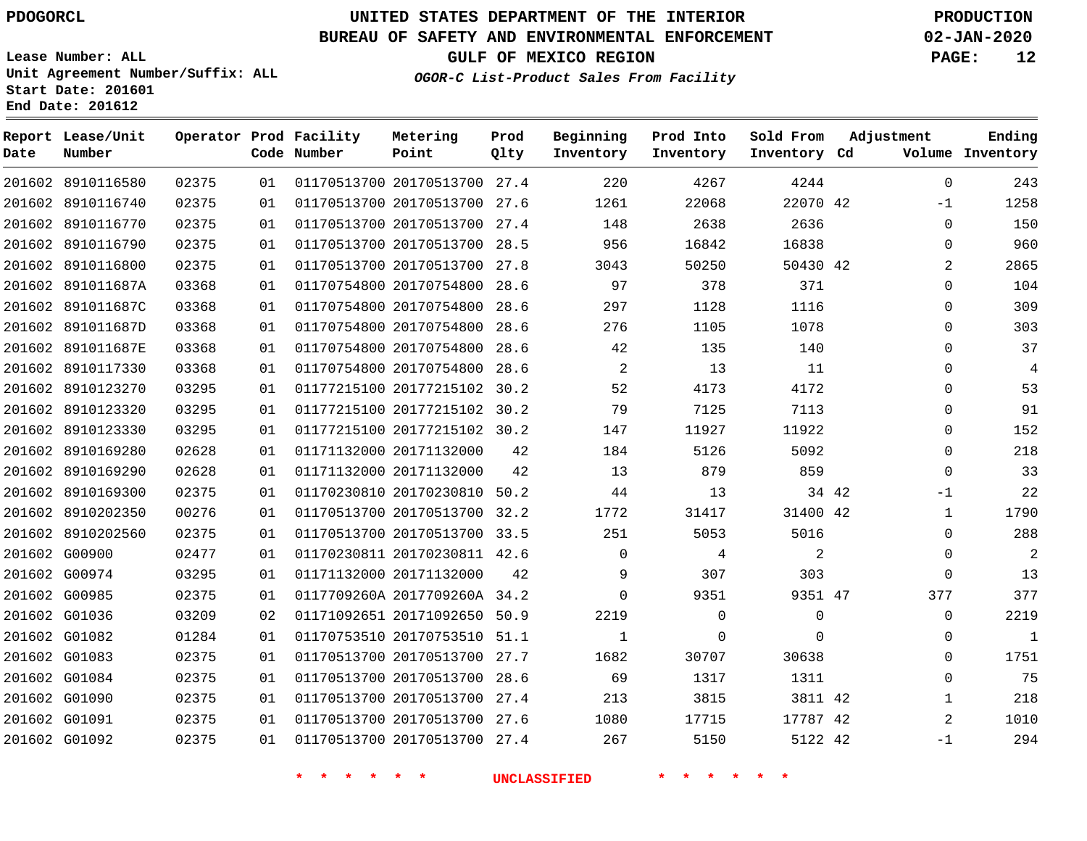8910116580 8910116740

**Report Lease/Unit**

**Number**

### **UNITED STATES DEPARTMENT OF THE INTERIOR PDOGORCL PRODUCTION**

**Prod Qlty**

#### **BUREAU OF SAFETY AND ENVIRONMENTAL ENFORCEMENT 02-JAN-2020**

**Lease Number: ALL Unit Agreement Number/Suffix: ALL Start Date: 201601 End Date: 201612**

> 

**Operator Prod Facility**

**Code Number**

 20170513700 27.4 20170513700 27.6

**Metering Point**

  **OGOR-C List-Product Sales From Facility**

 

 

**Prod Into Inventory**

**Beginning Inventory**

**GULF OF MEXICO REGION PAGE: 12**

**Inventory Cd Volume**

**Adjustment**

 -1  $\Omega$   $\Omega$  $\Omega$   $\Omega$   $\Omega$  $\overline{0}$  $\overline{0}$  $\overline{0}$ -1  $\Omega$  $\Omega$  $\overline{0}$  -1

**Ending**

42

**Sold From Inventory**

|               |                   |       |    |                              |    | <b>UNCLASSIFIED</b> |             |                |  |
|---------------|-------------------|-------|----|------------------------------|----|---------------------|-------------|----------------|--|
| 201602 G01092 |                   | 02375 | 01 | 01170513700 20170513700 27.4 |    | 267                 | 5150        | 5122 42        |  |
| 201602 G01091 |                   | 02375 | 01 | 01170513700 20170513700 27.6 |    | 1080                | 17715       | 17787 42       |  |
| 201602 G01090 |                   | 02375 | 01 | 01170513700 20170513700 27.4 |    | 213                 | 3815        | 3811 42        |  |
| 201602 G01084 |                   | 02375 | 01 | 01170513700 20170513700 28.6 |    | 69                  | 1317        | 1311           |  |
| 201602 G01083 |                   | 02375 | 01 | 01170513700 20170513700 27.7 |    | 1682                | 30707       | 30638          |  |
| 201602 G01082 |                   | 01284 | 01 | 01170753510 20170753510 51.1 |    | 1                   | $\Omega$    | $\mathbf{0}$   |  |
| 201602 G01036 |                   | 03209 | 02 | 01171092651 20171092650 50.9 |    | 2219                | $\mathbf 0$ | $\mathbf 0$    |  |
| 201602 G00985 |                   | 02375 | 01 | 0117709260A 2017709260A 34.2 |    | $\Omega$            | 9351        | 9351 47        |  |
|               | 201602 G00974     | 03295 | 01 | 01171132000 20171132000      | 42 | 9                   | 307         | 303            |  |
| 201602 G00900 |                   | 02477 | 01 | 01170230811 20170230811 42.6 |    | $\Omega$            | 4           | $\overline{2}$ |  |
|               | 201602 8910202560 | 02375 | 01 | 01170513700 20170513700 33.5 |    | 251                 | 5053        | 5016           |  |
|               | 201602 8910202350 | 00276 | 01 | 01170513700 20170513700 32.2 |    | 1772                | 31417       | 31400 42       |  |
|               | 201602 8910169300 | 02375 | 01 | 01170230810 20170230810 50.2 |    | 44                  | 13          | 34 42          |  |
|               | 201602 8910169290 | 02628 | 01 | 01171132000 20171132000      | 42 | 13                  | 879         | 859            |  |
|               | 201602 8910169280 | 02628 | 01 | 01171132000 20171132000      | 42 | 184                 | 5126        | 5092           |  |
|               | 201602 8910123330 | 03295 | 01 | 01177215100 20177215102 30.2 |    | 147                 | 11927       | 11922          |  |
|               | 201602 8910123320 | 03295 | 01 | 01177215100 20177215102 30.2 |    | 79                  | 7125        | 7113           |  |
|               | 201602 8910123270 | 03295 | 01 | 01177215100 20177215102 30.2 |    | 52                  | 4173        | 4172           |  |
|               | 201602 8910117330 | 03368 | 01 | 01170754800 20170754800 28.6 |    | 2                   | 13          | 11             |  |
|               | 201602 891011687E | 03368 | 01 | 01170754800 20170754800 28.6 |    | 42                  | 135         | 140            |  |
|               | 201602 891011687D | 03368 | 01 | 01170754800 20170754800 28.6 |    | 276                 | 1105        | 1078           |  |
|               | 201602 891011687C | 03368 | 01 | 01170754800 20170754800 28.6 |    | 297                 | 1128        | 1116           |  |
|               | 201602 891011687A | 03368 | 01 | 01170754800 20170754800 28.6 |    | 97                  | 378         | 371            |  |
|               | 201602 8910116800 | 02375 | 01 | 01170513700 20170513700 27.8 |    | 3043                | 50250       | 50430 42       |  |
|               | 201602 8910116790 | 02375 | 01 | 01170513700 20170513700 28.5 |    | 956                 | 16842       | 16838          |  |
|               | 201602 8910116770 | 02375 | 01 | 01170513700 20170513700 27.4 |    | 148                 | 2638        | 2636           |  |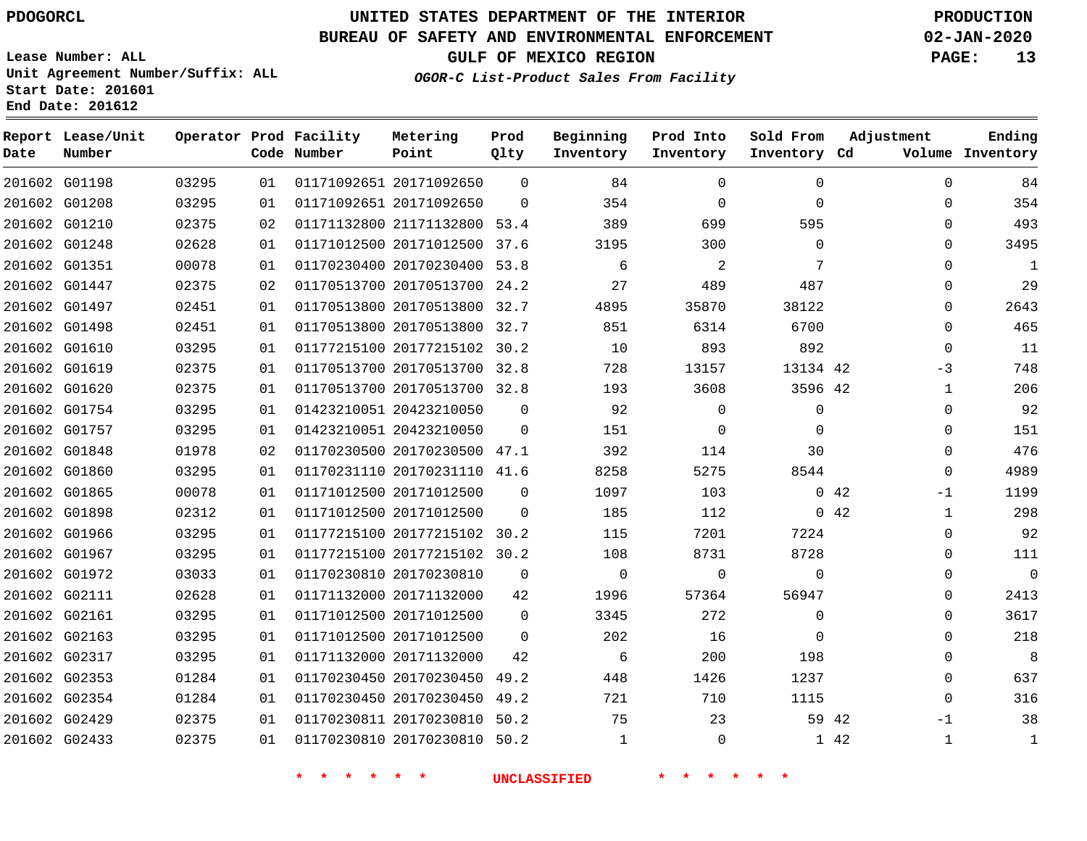G01198 G01208 G01210 G01248 G01351 G01447 G01497 G01498 G01610 G01619 G01620 G01754 G01757 G01848 G01860 G01865 G01898 G01966 G01967 G01972 G02111 G02161 G02163 G02317 G02353 G02354 G02429 G02433

**Date**

**Report Lease/Unit**

**Number**

### **UNITED STATES DEPARTMENT OF THE INTERIOR PDOGORCL PRODUCTION**

#### **BUREAU OF SAFETY AND ENVIRONMENTAL ENFORCEMENT 02-JAN-2020**

**Lease Number: ALL Unit Agreement Number/Suffix: ALL Start Date: 201601 End Date: 201612**

**Operator Prod Facility**

**OGOR-C List-Product Sales From Facility**

**Beginning Inventory** **Prod Into Inventory** **Sold From Inventory**

**GULF OF MEXICO REGION PAGE: 13**

  $\Omega$  $\Omega$  $\Omega$  $\Omega$  $\Omega$  $\Omega$  $\Omega$  -3  $\Omega$  $\Omega$   $\Omega$ -1  $\Omega$  $\Omega$  $\Omega$   $\Omega$  $\Omega$   $\Omega$  -1 

**Adjustment**

**Ending**

| Volume Inventory |              |      | Inventory Cd | Inventory   | Inventory | Qlty        | Point                        | Code Number |    |       |
|------------------|--------------|------|--------------|-------------|-----------|-------------|------------------------------|-------------|----|-------|
| 84               | $\Omega$     |      | $\Omega$     | $\Omega$    | 84        | $\Omega$    | 01171092651 20171092650      |             | 01 | 03295 |
| 354              | $\mathbf{0}$ |      | $\Omega$     | $\mathbf 0$ | 354       | $\Omega$    | 01171092651 20171092650      |             | 01 | 03295 |
| 493              | $\Omega$     |      | 595          | 699         | 389       | 53.4        | 01171132800 21171132800      |             | 02 | 02375 |
| 3495             | $\Omega$     |      | $\Omega$     | 300         | 3195      |             | 01171012500 20171012500 37.6 |             | 01 | 02628 |
| $\mathbf{1}$     | $\Omega$     |      | 7            | 2           | 6         | 53.8        | 01170230400 20170230400      |             | 01 | 00078 |
| 29               | $\Omega$     |      | 487          | 489         | 27        | 24.2        | 01170513700 20170513700      |             | 02 | 02375 |
| 2643             | $\mathbf{0}$ |      | 38122        | 35870       | 4895      | 32.7        | 01170513800 20170513800      |             | 01 | 02451 |
| 465              | $\Omega$     |      | 6700         | 6314        | 851       | 32.7        | 01170513800 20170513800      |             | 01 | 02451 |
| 11               | $\Omega$     |      | 892          | 893         | 10        | 30.2        | 01177215100 20177215102      |             | 01 | 03295 |
| 748              | $-3$         |      | 13134 42     | 13157       | 728       | 32.8        | 01170513700 20170513700      |             | 01 | 02375 |
| 206              | $\mathbf 1$  |      | 3596 42      | 3608        | 193       |             | 01170513700 20170513700 32.8 |             | 01 | 02375 |
| 92               | $\Omega$     |      | $\Omega$     | $\Omega$    | 92        | $\Omega$    | 01423210051 20423210050      |             | 01 | 03295 |
| 151              | $\Omega$     |      | 0            | $\Omega$    | 151       | $\Omega$    | 01423210051 20423210050      |             | 01 | 03295 |
| 476              | $\Omega$     |      | 30           | 114         | 392       |             | 01170230500 20170230500 47.1 |             | 02 | 01978 |
| 4989             | $\Omega$     |      | 8544         | 5275        | 8258      |             | 01170231110 20170231110 41.6 |             | 01 | 03295 |
| 1199             | $-1$         | 0.42 |              | 103         | 1097      | $\Omega$    | 01171012500 20171012500      |             | 01 | 00078 |
| 298              | $\mathbf 1$  | 0.42 |              | 112         | 185       | $\mathbf 0$ | 01171012500 20171012500      |             | 01 | 02312 |
| 92               | $\Omega$     |      | 7224         | 7201        | 115       | 30.2        | 01177215100 20177215102      |             | 01 | 03295 |
| 111              | $\Omega$     |      | 8728         | 8731        | 108       | 30.2        | 01177215100 20177215102      |             | 01 | 03295 |
| 0                | $\Omega$     |      | $\Omega$     | $\Omega$    | $\Omega$  | $\Omega$    | 01170230810 20170230810      |             | 01 | 03033 |
| 2413             | $\Omega$     |      | 56947        | 57364       | 1996      | 42          | 01171132000 20171132000      |             | 01 | 02628 |
| 3617             | $\Omega$     |      | 0            | 272         | 3345      | $\Omega$    | 01171012500 20171012500      |             | 01 | 03295 |

**Prod Qlty**

 20171012500 20171132000

 20170230450 49.2 20170230450 49.2 20170230810 50.2 20170230810 50.2

**Metering Point**

 $\Omega$ 

**\* \* \* \* \* \* UNCLASSIFIED \* \* \* \* \* \***

42 42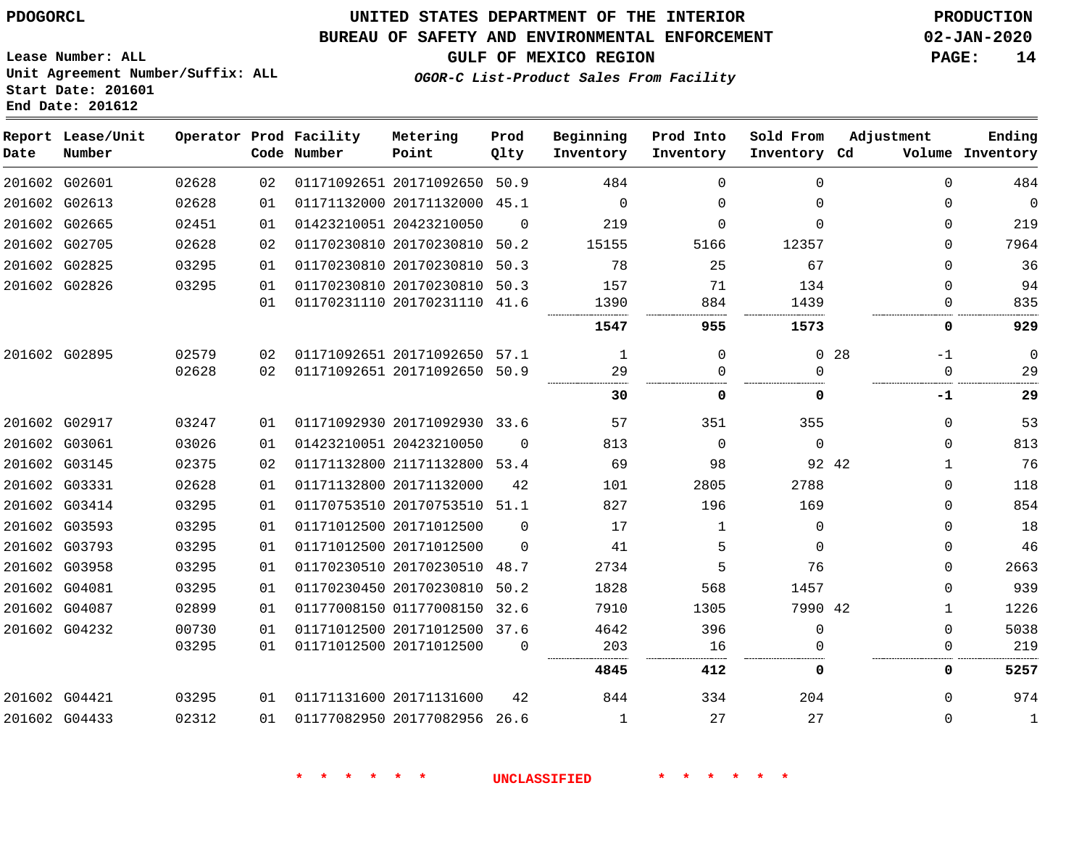#### **BUREAU OF SAFETY AND ENVIRONMENTAL ENFORCEMENT 02-JAN-2020**

**Lease Number: ALL Unit Agreement Number/Suffix: ALL Start Date: 201601 End Date: 201612**

**GULF OF MEXICO REGION PAGE: 14**

**OGOR-C List-Product Sales From Facility**

| Date | Report Lease/Unit<br>Number |       |    | Operator Prod Facility<br>Code Number | Metering<br>Point            | Prod<br>Qlty | Beginning<br>Inventory | Prod Into<br>Inventory | Sold From<br>Inventory Cd | Adjustment            | Ending<br>Volume Inventory |
|------|-----------------------------|-------|----|---------------------------------------|------------------------------|--------------|------------------------|------------------------|---------------------------|-----------------------|----------------------------|
|      | 201602 G02601               | 02628 | 02 |                                       | 01171092651 20171092650 50.9 |              | 484                    | $\Omega$               | $\Omega$                  | $\Omega$              | 484                        |
|      | 201602 G02613               | 02628 | 01 |                                       | 01171132000 20171132000 45.1 |              | $\Omega$               | $\Omega$               | $\Omega$                  | $\Omega$              | $\mathbf 0$                |
|      | 201602 G02665               | 02451 | 01 |                                       | 01423210051 20423210050      | $\Omega$     | 219                    | $\Omega$               | $\Omega$                  | $\Omega$              | 219                        |
|      | 201602 G02705               | 02628 | 02 |                                       | 01170230810 20170230810 50.2 |              | 15155                  | 5166                   | 12357                     | $\Omega$              | 7964                       |
|      | 201602 G02825               | 03295 | 01 |                                       | 01170230810 20170230810 50.3 |              | 78                     | 25                     | 67                        | $\Omega$              | 36                         |
|      | 201602 G02826               | 03295 | 01 |                                       | 01170230810 20170230810      | 50.3         | 157                    | 71                     | 134                       | $\Omega$              | 94                         |
|      |                             |       | 01 |                                       | 01170231110 20170231110 41.6 |              | 1390                   | 884                    | 1439                      | $\Omega$              | 835                        |
|      |                             |       |    |                                       |                              |              | 1547                   | 955                    | 1573                      | 0                     | 929                        |
|      | 201602 G02895               | 02579 | 02 |                                       | 01171092651 20171092650 57.1 |              | 1                      | $\Omega$               | $\Omega$                  | 28<br>$-1$            | $\Omega$                   |
|      |                             | 02628 | 02 |                                       | 01171092651 20171092650 50.9 |              | 29                     | <sup>0</sup>           | $\Omega$                  | $\Omega$              | 29                         |
|      |                             |       |    |                                       |                              |              | 30                     | 0                      | 0                         | -1                    | 29                         |
|      | 201602 G02917               | 03247 | 01 |                                       | 01171092930 20171092930 33.6 |              | 57                     | 351                    | 355                       | $\Omega$              | 53                         |
|      | 201602 G03061               | 03026 | 01 |                                       | 01423210051 20423210050      | $\Omega$     | 813                    | $\Omega$               | $\Omega$                  | $\Omega$              | 813                        |
|      | 201602 G03145               | 02375 | 02 |                                       | 01171132800 21171132800 53.4 |              | 69                     | 98                     |                           | 92 42<br>$\mathbf{1}$ | 76                         |
|      | 201602 G03331               | 02628 | 01 |                                       | 01171132800 20171132000      | 42           | 101                    | 2805                   | 2788                      | $\Omega$              | 118                        |
|      | 201602 G03414               | 03295 | 01 |                                       | 01170753510 20170753510 51.1 |              | 827                    | 196                    | 169                       | $\Omega$              | 854                        |
|      | 201602 G03593               | 03295 | 01 |                                       | 01171012500 20171012500      | $\Omega$     | 17                     | $\mathbf{1}$           | $\Omega$                  | $\Omega$              | 18                         |
|      | 201602 G03793               | 03295 | 01 |                                       | 01171012500 20171012500      | $\Omega$     | 41                     | 5                      | $\Omega$                  | $\Omega$              | 46                         |
|      | 201602 G03958               | 03295 | 01 |                                       | 01170230510 20170230510      | 48.7         | 2734                   | 5                      | 76                        | $\Omega$              | 2663                       |
|      | 201602 G04081               | 03295 | 01 |                                       | 01170230450 20170230810 50.2 |              | 1828                   | 568                    | 1457                      | $\Omega$              | 939                        |
|      | 201602 G04087               | 02899 | 01 |                                       | 01177008150 01177008150      | 32.6         | 7910                   | 1305                   | 7990 42                   | $\mathbf{1}$          | 1226                       |
|      | 201602 G04232               | 00730 | 01 |                                       | 01171012500 20171012500 37.6 |              | 4642                   | 396                    | $\Omega$                  | $\Omega$              | 5038                       |
|      |                             | 03295 | 01 |                                       | 01171012500 20171012500      | $\Omega$     | 203<br>                | 16                     |                           | $\Omega$<br>          | 219                        |
|      |                             |       |    |                                       |                              |              | 4845                   | 412                    | 0                         | 0                     | 5257                       |
|      | 201602 G04421               | 03295 | 01 |                                       | 01171131600 20171131600      | 42           | 844                    | 334                    | 204                       | $\Omega$              | 974                        |
|      | 201602 G04433               | 02312 | 01 |                                       | 01177082950 20177082956 26.6 |              | 1                      | 27                     | 27                        | $\Omega$              | $\mathbf{1}$               |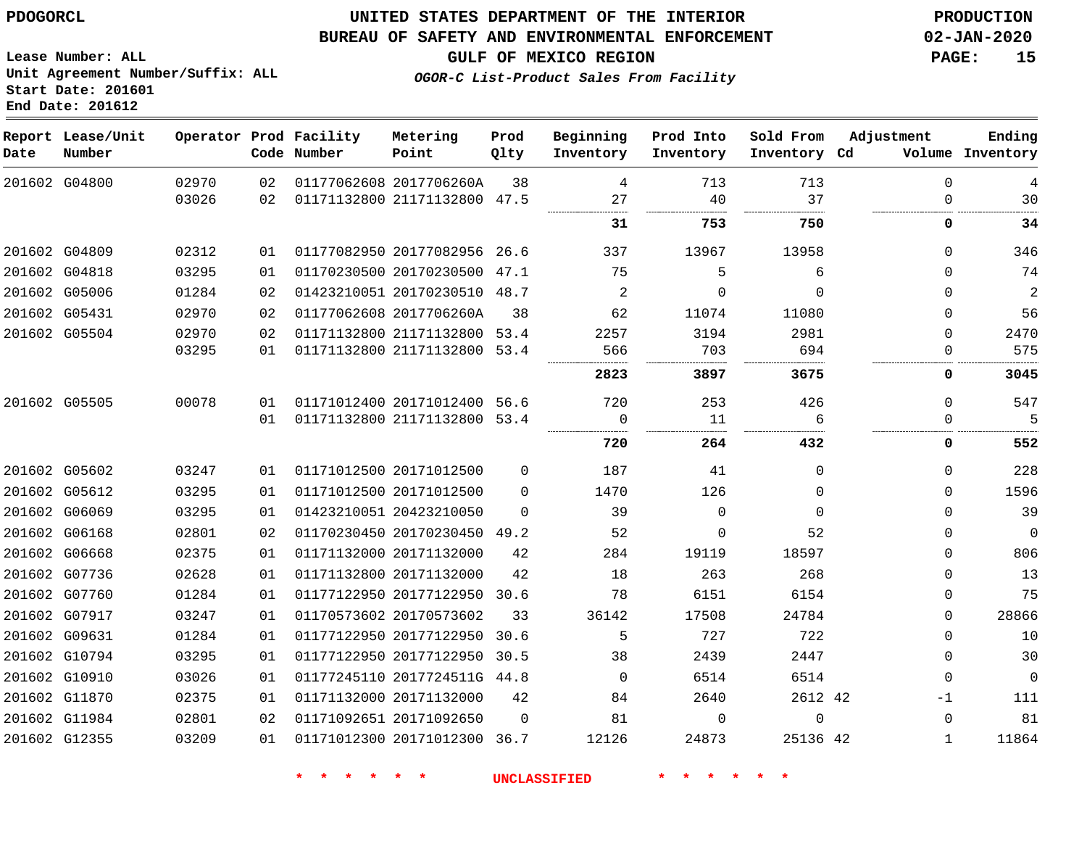#### **BUREAU OF SAFETY AND ENVIRONMENTAL ENFORCEMENT 02-JAN-2020**

**GULF OF MEXICO REGION PAGE: 15**

**Lease Number: ALL Unit Agreement Number/Suffix: ALL Start Date: 201601 End Date: 201612**

**OGOR-C List-Product Sales From Facility**

| Date          | Report Lease/Unit<br>Number |       |    | Operator Prod Facility<br>Code Number | Metering<br>Point            | Prod<br>Qlty | Beginning<br>Inventory | Prod Into<br>Inventory | Sold From<br>Inventory Cd | Adjustment   | Ending<br>Volume Inventory |
|---------------|-----------------------------|-------|----|---------------------------------------|------------------------------|--------------|------------------------|------------------------|---------------------------|--------------|----------------------------|
|               | 201602 G04800               | 02970 | 02 |                                       | 01177062608 2017706260A      | 38           | 4                      | 713                    | 713                       | $\mathbf 0$  | 4                          |
|               |                             | 03026 | 02 |                                       | 01171132800 21171132800 47.5 |              | 27                     | 40                     | 37                        | $\Omega$     | 30                         |
|               |                             |       |    |                                       |                              |              | 31                     | 753                    | 750                       | 0            | 34                         |
|               | 201602 G04809               | 02312 | 01 |                                       | 01177082950 20177082956 26.6 |              | 337                    | 13967                  | 13958                     | $\mathbf 0$  | 346                        |
| 201602 G04818 |                             | 03295 | 01 |                                       | 01170230500 20170230500      | 47.1         | 75                     | 5                      | 6                         | $\Omega$     | 74                         |
|               | 201602 G05006               | 01284 | 02 |                                       | 01423210051 20170230510 48.7 |              | 2                      | 0                      | $\Omega$                  | $\Omega$     | $\overline{a}$             |
|               | 201602 G05431               | 02970 | 02 |                                       | 01177062608 2017706260A      | 38           | 62                     | 11074                  | 11080                     | 0            | 56                         |
|               | 201602 G05504               | 02970 | 02 |                                       | 01171132800 21171132800 53.4 |              | 2257                   | 3194                   | 2981                      | $\Omega$     | 2470                       |
|               |                             | 03295 | 01 |                                       | 01171132800 21171132800      | 53.4         | 566                    | 703                    | 694                       | 0            | 575                        |
|               |                             |       |    |                                       |                              |              | 2823                   | 3897                   | 3675                      | 0            | 3045                       |
|               | 201602 G05505               | 00078 | 01 |                                       | 01171012400 20171012400 56.6 |              | 720                    | 253                    | 426                       | $\mathbf 0$  | 547                        |
|               |                             |       | 01 |                                       | 01171132800 21171132800 53.4 |              | 0                      | 11                     | 6                         | 0            | 5                          |
|               |                             |       |    |                                       |                              |              | 720                    | 264                    | 432                       | 0            | 552                        |
|               | 201602 G05602               | 03247 | 01 |                                       | 01171012500 20171012500      | 0            | 187                    | 41                     | $\Omega$                  | $\mathbf 0$  | 228                        |
|               | 201602 G05612               | 03295 | 01 |                                       | 01171012500 20171012500      | $\Omega$     | 1470                   | 126                    | $\Omega$                  | $\mathbf 0$  | 1596                       |
|               | 201602 G06069               | 03295 | 01 |                                       | 01423210051 20423210050      | $\Omega$     | 39                     | $\Omega$               | $\Omega$                  | $\Omega$     | 39                         |
|               | 201602 G06168               | 02801 | 02 |                                       | 01170230450 20170230450      | 49.2         | 52                     | $\Omega$               | 52                        | $\mathbf 0$  | $\mathbf 0$                |
|               | 201602 G06668               | 02375 | 01 |                                       | 01171132000 20171132000      | 42           | 284                    | 19119                  | 18597                     | $\mathbf 0$  | 806                        |
|               | 201602 G07736               | 02628 | 01 |                                       | 01171132800 20171132000      | 42           | 18                     | 263                    | 268                       | $\mathbf 0$  | 13                         |
|               | 201602 G07760               | 01284 | 01 |                                       | 01177122950 20177122950      | 30.6         | 78                     | 6151                   | 6154                      | $\mathbf 0$  | 75                         |
|               | 201602 G07917               | 03247 | 01 |                                       | 01170573602 20170573602      | 33           | 36142                  | 17508                  | 24784                     | $\mathbf 0$  | 28866                      |
|               | 201602 G09631               | 01284 | 01 |                                       | 01177122950 20177122950      | 30.6         | 5                      | 727                    | 722                       | $\mathbf 0$  | 10                         |
|               | 201602 G10794               | 03295 | 01 |                                       | 01177122950 20177122950      | 30.5         | 38                     | 2439                   | 2447                      | $\mathbf 0$  | 30                         |
|               | 201602 G10910               | 03026 | 01 |                                       | 01177245110 2017724511G 44.8 |              | $\Omega$               | 6514                   | 6514                      | $\mathbf 0$  | $\mathbf 0$                |
|               | 201602 G11870               | 02375 | 01 |                                       | 01171132000 20171132000      | 42           | 84                     | 2640                   | 2612 42                   | $-1$         | 111                        |
|               | 201602 G11984               | 02801 | 02 |                                       | 01171092651 20171092650      | $\Omega$     | 81                     | $\Omega$               | $\Omega$                  | $\mathbf 0$  | 81                         |
|               | 201602 G12355               | 03209 | 01 |                                       | 01171012300 20171012300 36.7 |              | 12126                  | 24873                  | 25136 42                  | $\mathbf{1}$ | 11864                      |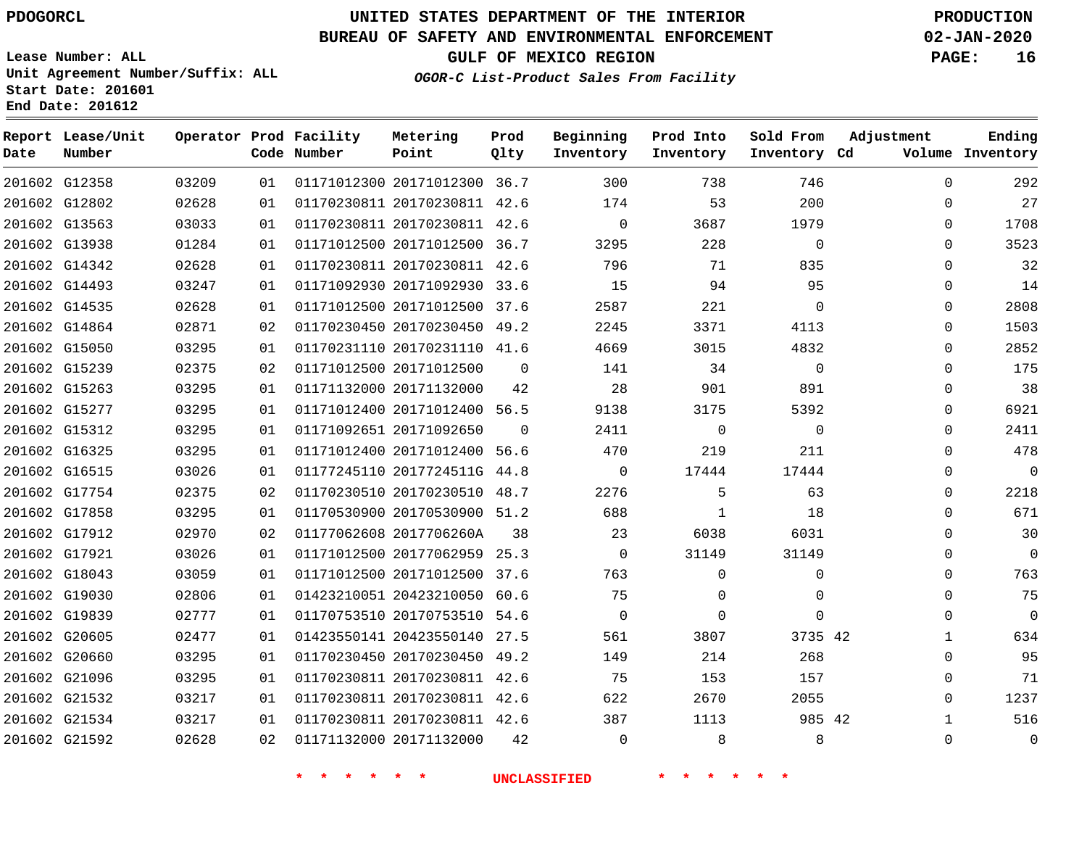G12358

**Date**

**Report Lease/Unit**

**Number**

 G21534 G21592

### **UNITED STATES DEPARTMENT OF THE INTERIOR PDOGORCL PRODUCTION**

#### **BUREAU OF SAFETY AND ENVIRONMENTAL ENFORCEMENT 02-JAN-2020**

**Lease Number: ALL Unit Agreement Number/Suffix: ALL Start Date: 201601 End Date: 201612**

**Operator Prod Facility**

**Code Number**

20171012300 36.7

**Metering Point**

    **GULF OF MEXICO REGION PAGE: 16**

**Prod Qlty**

**Inventory Cd Volume**

**Adjustment**

 

**Ending**

  $\Omega$ 

  $\Omega$ 

**OGOR-C List-Product Sales From Facility**

**Beginning Inventory**

**Sold From Inventory**

**Prod Into Inventory**

|               | 201602 G12802 | 02628 | 01 | 01170230811 20170230811 42.6 |          | 174      | 53       | 200      | 0        | 27          |
|---------------|---------------|-------|----|------------------------------|----------|----------|----------|----------|----------|-------------|
|               | 201602 G13563 | 03033 | 01 | 01170230811 20170230811 42.6 |          | 0        | 3687     | 1979     | 0        | 1708        |
|               | 201602 G13938 | 01284 | 01 | 01171012500 20171012500 36.7 |          | 3295     | 228      | 0        | $\Omega$ | 3523        |
|               | 201602 G14342 | 02628 | 01 | 01170230811 20170230811 42.6 |          | 796      | 71       | 835      | $\Omega$ | 32          |
|               | 201602 G14493 | 03247 | 01 | 01171092930 20171092930 33.6 |          | 15       | 94       | 95       | 0        | 14          |
|               | 201602 G14535 | 02628 | 01 | 01171012500 20171012500 37.6 |          | 2587     | 221      | 0        | 0        | 2808        |
|               | 201602 G14864 | 02871 | 02 | 01170230450 20170230450 49.2 |          | 2245     | 3371     | 4113     | $\Omega$ | 1503        |
|               | 201602 G15050 | 03295 | 01 | 01170231110 20170231110 41.6 |          | 4669     | 3015     | 4832     | $\Omega$ | 2852        |
|               | 201602 G15239 | 02375 | 02 | 01171012500 20171012500      | $\Omega$ | 141      | 34       | $\Omega$ | $\Omega$ | 175         |
|               | 201602 G15263 | 03295 | 01 | 01171132000 20171132000      | 42       | 28       | 901      | 891      | $\Omega$ | 38          |
|               | 201602 G15277 | 03295 | 01 | 01171012400 20171012400 56.5 |          | 9138     | 3175     | 5392     | $\Omega$ | 6921        |
|               | 201602 G15312 | 03295 | 01 | 01171092651 20171092650      | $\Omega$ | 2411     | 0        | 0        | $\Omega$ | 2411        |
|               | 201602 G16325 | 03295 | 01 | 01171012400 20171012400 56.6 |          | 470      | 219      | 211      | $\Omega$ | 478         |
|               | 201602 G16515 | 03026 | 01 | 01177245110 2017724511G 44.8 |          | 0        | 17444    | 17444    | $\Omega$ | $\mathbf 0$ |
|               | 201602 G17754 | 02375 | 02 | 01170230510 20170230510 48.7 |          | 2276     | 5        | 63       | $\Omega$ | 2218        |
|               | 201602 G17858 | 03295 | 01 | 01170530900 20170530900 51.2 |          | 688      |          | 18       | 0        | 671         |
|               | 201602 G17912 | 02970 | 02 | 01177062608 2017706260A      | 38       | 23       | 6038     | 6031     | $\Omega$ | 30          |
| 201602 G17921 |               | 03026 | 01 | 01171012500 20177062959 25.3 |          | 0        | 31149    | 31149    | 0        | $\mathbf 0$ |
|               | 201602 G18043 | 03059 | 01 | 01171012500 20171012500 37.6 |          | 763      | $\Omega$ | 0        | $\Omega$ | 763         |
|               | 201602 G19030 | 02806 | 01 | 01423210051 20423210050 60.6 |          | 75       | $\Omega$ | $\Omega$ | 0        | 75          |
|               | 201602 G19839 | 02777 | 01 | 01170753510 20170753510 54.6 |          | $\Omega$ | $\Omega$ | 0        | 0        | $\Omega$    |
|               | 201602 G20605 | 02477 | 01 | 01423550141 20423550140 27.5 |          | 561      | 3807     | 3735 42  |          | 634         |
|               | 201602 G20660 | 03295 | 01 | 01170230450 20170230450 49.2 |          | 149      | 214      | 268      | $\Omega$ | 95          |
|               | 201602 G21096 | 03295 | 01 | 01170230811 20170230811 42.6 |          | 75       | 153      | 157      | $\Omega$ | 71          |
|               | 201602 G21532 | 03217 | 01 | 01170230811 20170230811 42.6 |          | 622      | 2670     | 2055     | $\Omega$ | 1237        |

20170230811 42.6

20171132000

  $\Omega$ 

  42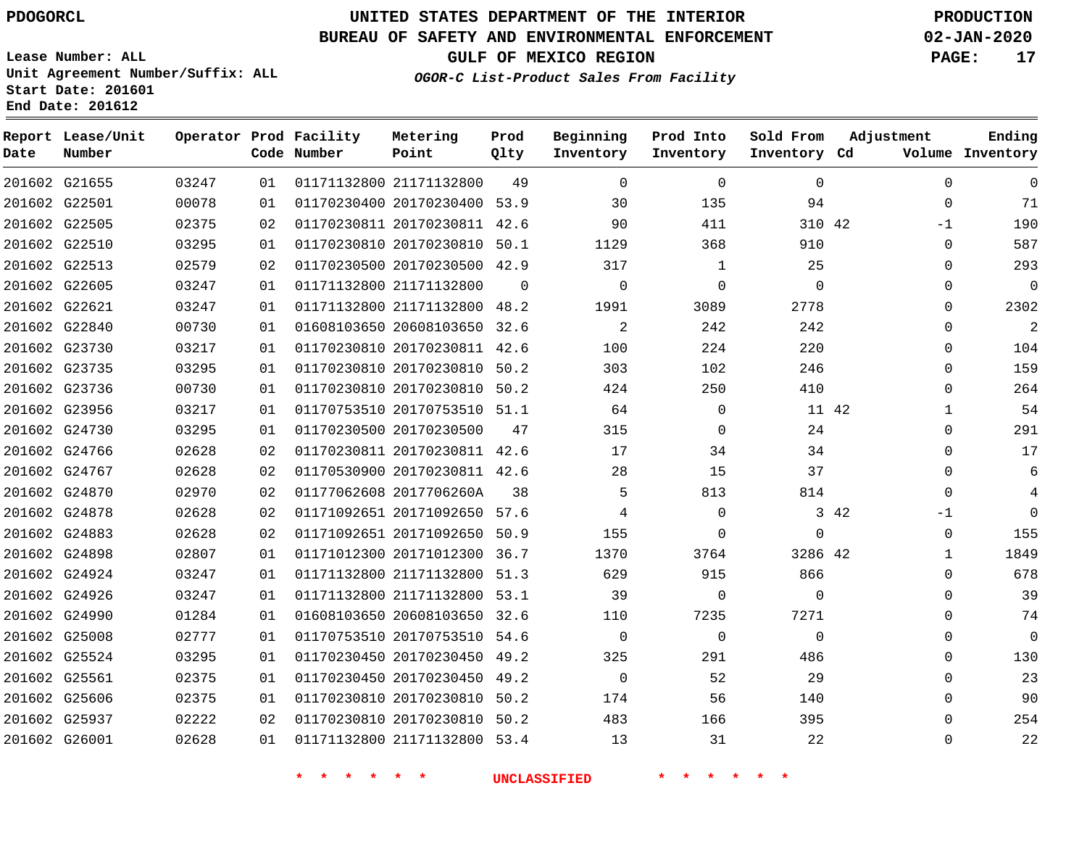G21655 G22501 G22505 G22510 G22513 G22605 G22621 G22840 G23730 G23735 G23736 G23956 G24730 G24766 G24767 G24870 G24878 G24883 G24898 G24924 G24926 G24990 G25008 G25524 G25561 G25606 G25937 G26001

**Date**

**Report Lease/Unit**

**Number**

### **UNITED STATES DEPARTMENT OF THE INTERIOR PDOGORCL PRODUCTION**

**Prod Qlty**

 $\Omega$ 

#### **BUREAU OF SAFETY AND ENVIRONMENTAL ENFORCEMENT 02-JAN-2020**

**Lease Number: ALL Unit Agreement Number/Suffix: ALL Start Date: 201601 End Date: 201612**

**Operator Prod Facility**

**Code Number**

21171132800

21171132800

 20170230400 53.9 20170230811 42.6 20170230810 50.1 20170230500 42.9

**Metering Point**

 21171132800 48.2 20608103650 32.6

**OGOR-C List-Product Sales From Facility**

**Prod Into Inventory**

**Beginning Inventory**

**GULF OF MEXICO REGION PAGE: 17**

**Inventory Cd Volume**

**Adjustment**

 $\Omega$  $\Omega$ -1  $\Omega$  $\Omega$  $\Omega$  $\Omega$  $\Omega$  $\Omega$  $\Omega$  $\Omega$   $\Omega$  $\Omega$  $\Omega$  $\overline{0}$  $-1$  $\Omega$   $\Omega$   $\Omega$  $\Omega$   $\Omega$   $\Omega$  $\Omega$ 

**Ending**

42

 

**Sold From Inventory**

42

42

42

 $\Omega$ 

| 03217 | 01 | 01170230810 20170230811      | 42.6 | 100      | 224      |  |
|-------|----|------------------------------|------|----------|----------|--|
| 03295 | 01 | 01170230810 20170230810      | 50.2 | 303      | 102      |  |
| 00730 | 01 | 01170230810 20170230810 50.2 |      | 424      | 250      |  |
| 03217 | 01 | 01170753510 20170753510 51.1 |      | 64       | $\Omega$ |  |
| 03295 | 01 | 01170230500 20170230500      | 47   | 315      | $\Omega$ |  |
| 02628 | 02 | 01170230811 20170230811      | 42.6 | 17       | 34       |  |
| 02628 | 02 | 01170530900 20170230811      | 42.6 | 28       | 15       |  |
| 02970 | 02 | 01177062608 2017706260A      | 38   | 5        | 813      |  |
| 02628 | 02 | 01171092651 20171092650 57.6 |      | 4        | $\Omega$ |  |
| 02628 | 02 | 01171092651 20171092650 50.9 |      | 155      | $\Omega$ |  |
| 02807 | 01 | 01171012300 20171012300 36.7 |      | 1370     | 3764     |  |
| 03247 | 01 | 01171132800 21171132800      | 51.3 | 629      | 915      |  |
| 03247 | 01 | 01171132800 21171132800 53.1 |      | 39       | $\Omega$ |  |
| 01284 | 01 | 01608103650 20608103650 32.6 |      | 110      | 7235     |  |
| 02777 | 01 | 01170753510 20170753510      | 54.6 | $\Omega$ | $\Omega$ |  |
| 03295 | 01 | 01170230450 20170230450      | 49.2 | 325      | 291      |  |
| 02375 | 01 | 01170230450 20170230450      | 49.2 | $\Omega$ | 52       |  |
| 02375 | 01 | 01170230810 20170230810 50.2 |      | 174      | 56       |  |
| 02222 | 02 | 01170230810 20170230810 50.2 |      | 483      | 166      |  |
| 02628 | 01 | 01171132800 21171132800 53.4 |      | 13       | 31       |  |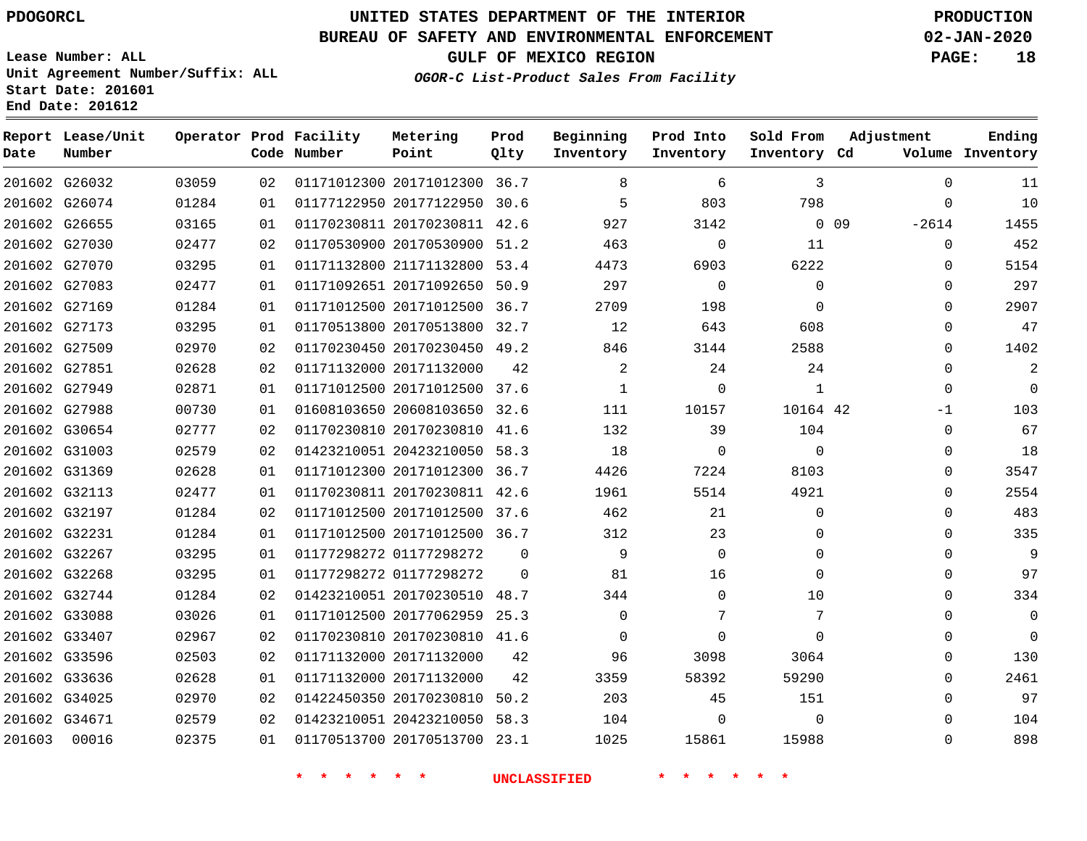#### **BUREAU OF SAFETY AND ENVIRONMENTAL ENFORCEMENT 02-JAN-2020**

**Lease Number: ALL Unit Agreement Number/Suffix: ALL Start Date: 201601 End Date: 201612**

**OGOR-C List-Product Sales From Facility**

**GULF OF MEXICO REGION PAGE: 18**

| Date   | Report Lease/Unit<br>Number |       |    | Operator Prod Facility<br>Code Number | Metering<br>Point            | Prod<br>Qlty | Beginning<br>Inventory | Prod Into<br>Inventory | Sold From<br>Inventory Cd | Adjustment                 | Ending<br>Volume Inventory |
|--------|-----------------------------|-------|----|---------------------------------------|------------------------------|--------------|------------------------|------------------------|---------------------------|----------------------------|----------------------------|
|        | 201602 G26032               | 03059 | 02 |                                       | 01171012300 20171012300      | 36.7         | 8                      | 6                      | 3                         | $\Omega$                   | 11                         |
|        | 201602 G26074               | 01284 | 01 |                                       | 01177122950 20177122950      | 30.6         | 5                      | 803                    | 798                       | $\mathbf{0}$               | 10                         |
|        | 201602 G26655               | 03165 | 01 |                                       | 01170230811 20170230811      | 42.6         | 927                    | 3142                   |                           | 0 <sub>09</sub><br>$-2614$ | 1455                       |
|        | 201602 G27030               | 02477 | 02 |                                       | 01170530900 20170530900 51.2 |              | 463                    | $\mathbf 0$            | 11                        | $\mathbf 0$                | 452                        |
|        | 201602 G27070               | 03295 | 01 |                                       | 01171132800 21171132800      | 53.4         | 4473                   | 6903                   | 6222                      | 0                          | 5154                       |
|        | 201602 G27083               | 02477 | 01 |                                       | 01171092651 20171092650      | 50.9         | 297                    | $\Omega$               | $\mathbf 0$               | 0                          | 297                        |
|        | 201602 G27169               | 01284 | 01 |                                       | 01171012500 20171012500      | 36.7         | 2709                   | 198                    | $\mathbf 0$               | 0                          | 2907                       |
|        | 201602 G27173               | 03295 | 01 |                                       | 01170513800 20170513800 32.7 |              | 12                     | 643                    | 608                       | $\mathbf{0}$               | 47                         |
|        | 201602 G27509               | 02970 | 02 |                                       | 01170230450 20170230450 49.2 |              | 846                    | 3144                   | 2588                      | 0                          | 1402                       |
|        | 201602 G27851               | 02628 | 02 |                                       | 01171132000 20171132000      | 42           | $\overline{a}$         | 24                     | 24                        | 0                          | $\mathbf{2}$               |
|        | 201602 G27949               | 02871 | 01 |                                       | 01171012500 20171012500      | 37.6         | 1                      | $\mathbf 0$            | $\mathbf{1}$              | 0                          | $\Omega$                   |
|        | 201602 G27988               | 00730 | 01 |                                       | 01608103650 20608103650 32.6 |              | 111                    | 10157                  | 10164 42                  | $-1$                       | 103                        |
|        | 201602 G30654               | 02777 | 02 |                                       | 01170230810 20170230810 41.6 |              | 132                    | 39                     | 104                       | $\mathbf 0$                | 67                         |
|        | 201602 G31003               | 02579 | 02 |                                       | 01423210051 20423210050 58.3 |              | 18                     | $\Omega$               | $\Omega$                  | $\mathbf 0$                | 18                         |
|        | 201602 G31369               | 02628 | 01 |                                       | 01171012300 20171012300      | 36.7         | 4426                   | 7224                   | 8103                      | $\Omega$                   | 3547                       |
|        | 201602 G32113               | 02477 | 01 |                                       | 01170230811 20170230811 42.6 |              | 1961                   | 5514                   | 4921                      | $\Omega$                   | 2554                       |
|        | 201602 G32197               | 01284 | 02 |                                       | 01171012500 20171012500      | 37.6         | 462                    | 21                     | $\Omega$                  | $\Omega$                   | 483                        |
|        | 201602 G32231               | 01284 | 01 |                                       | 01171012500 20171012500 36.7 |              | 312                    | 23                     | $\Omega$                  | $\Omega$                   | 335                        |
|        | 201602 G32267               | 03295 | 01 |                                       | 01177298272 01177298272      | $\Omega$     | 9                      | $\Omega$               | $\Omega$                  | $\mathbf 0$                | 9                          |
|        | 201602 G32268               | 03295 | 01 |                                       | 01177298272 01177298272      | $\Omega$     | 81                     | 16                     | $\Omega$                  | $\Omega$                   | 97                         |
|        | 201602 G32744               | 01284 | 02 |                                       | 01423210051 20170230510      | 48.7         | 344                    | $\Omega$               | 10                        | 0                          | 334                        |
|        | 201602 G33088               | 03026 | 01 |                                       | 01171012500 20177062959      | 25.3         | $\Omega$               | 7                      | 7                         | $\mathbf 0$                | $\Omega$                   |
|        | 201602 G33407               | 02967 | 02 |                                       | 01170230810 20170230810 41.6 |              | $\Omega$               | $\Omega$               | $\Omega$                  | 0                          | $\Omega$                   |
|        | 201602 G33596               | 02503 | 02 |                                       | 01171132000 20171132000      | 42           | 96                     | 3098                   | 3064                      | $\Omega$                   | 130                        |
|        | 201602 G33636               | 02628 | 01 |                                       | 01171132000 20171132000      | 42           | 3359                   | 58392                  | 59290                     | $\Omega$                   | 2461                       |
|        | 201602 G34025               | 02970 | 02 |                                       | 01422450350 20170230810      | 50.2         | 203                    | 45                     | 151                       | $\Omega$                   | 97                         |
|        | 201602 G34671               | 02579 | 02 |                                       | 01423210051 20423210050 58.3 |              | 104                    | $\Omega$               | $\Omega$                  | $\Omega$                   | 104                        |
| 201603 | 00016                       | 02375 | 01 |                                       | 01170513700 20170513700 23.1 |              | 1025                   | 15861                  | 15988                     | $\Omega$                   | 898                        |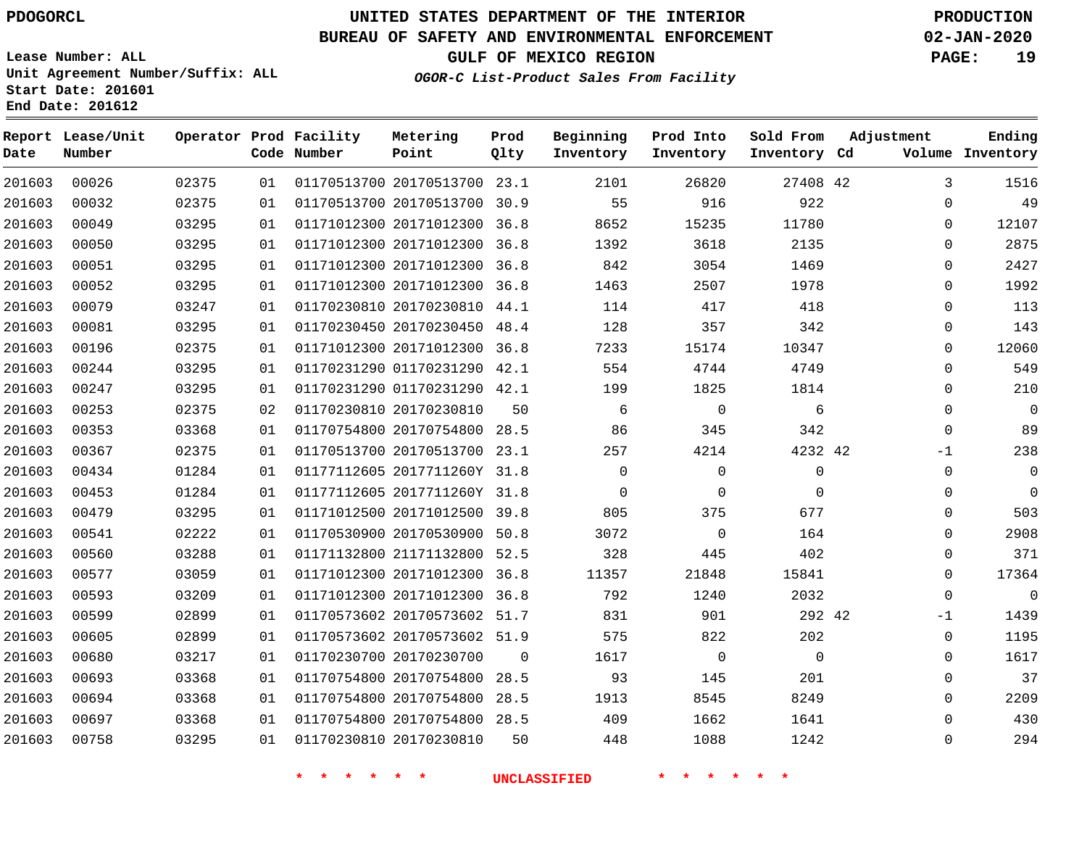### **UNITED STATES DEPARTMENT OF THE INTERIOR PDOGORCL PRODUCTION**

#### **BUREAU OF SAFETY AND ENVIRONMENTAL ENFORCEMENT 02-JAN-2020**

**Lease Number: ALL Unit Agreement Number/Suffix: ALL Start Date: 201601**

**OGOR-C List-Product Sales From Facility**

**GULF OF MEXICO REGION PAGE: 19**

**End Date: 201612**

| Date   | Report Lease/Unit<br>Number |       |    | Operator Prod Facility<br>Code Number | Metering<br>Point            | Prod<br>Qlty   | Beginning<br>Inventory | Prod Into<br>Inventory | Sold From<br>Inventory Cd | Adjustment   | Ending<br>Volume Inventory |
|--------|-----------------------------|-------|----|---------------------------------------|------------------------------|----------------|------------------------|------------------------|---------------------------|--------------|----------------------------|
| 201603 | 00026                       | 02375 | 01 |                                       | 01170513700 20170513700 23.1 |                | 2101                   | 26820                  | 27408 42                  | 3            | 1516                       |
| 201603 | 00032                       | 02375 | 01 |                                       | 01170513700 20170513700 30.9 |                | 55                     | 916                    | 922                       | $\Omega$     | 49                         |
| 201603 | 00049                       | 03295 | 01 |                                       | 01171012300 20171012300      | 36.8           | 8652                   | 15235                  | 11780                     | $\Omega$     | 12107                      |
| 201603 | 00050                       | 03295 | 01 |                                       | 01171012300 20171012300      | 36.8           | 1392                   | 3618                   | 2135                      | $\mathbf 0$  | 2875                       |
| 201603 | 00051                       | 03295 | 01 |                                       | 01171012300 20171012300      | 36.8           | 842                    | 3054                   | 1469                      | $\Omega$     | 2427                       |
| 201603 | 00052                       | 03295 | 01 |                                       | 01171012300 20171012300      | 36.8           | 1463                   | 2507                   | 1978                      | 0            | 1992                       |
| 201603 | 00079                       | 03247 | 01 |                                       | 01170230810 20170230810 44.1 |                | 114                    | 417                    | 418                       | $\mathbf 0$  | 113                        |
| 201603 | 00081                       | 03295 | 01 |                                       | 01170230450 20170230450 48.4 |                | 128                    | 357                    | 342                       | $\mathbf 0$  | 143                        |
| 201603 | 00196                       | 02375 | 01 |                                       | 01171012300 20171012300 36.8 |                | 7233                   | 15174                  | 10347                     | $\mathbf 0$  | 12060                      |
| 201603 | 00244                       | 03295 | 01 |                                       | 01170231290 01170231290 42.1 |                | 554                    | 4744                   | 4749                      | $\mathbf 0$  | 549                        |
| 201603 | 00247                       | 03295 | 01 |                                       | 01170231290 01170231290 42.1 |                | 199                    | 1825                   | 1814                      | $\mathbf 0$  | 210                        |
| 201603 | 00253                       | 02375 | 02 |                                       | 01170230810 20170230810      | 50             | 6                      | $\overline{0}$         | 6                         | $\mathbf 0$  | $\mathbf 0$                |
| 201603 | 00353                       | 03368 | 01 |                                       | 01170754800 20170754800 28.5 |                | 86                     | 345                    | 342                       | $\Omega$     | 89                         |
| 201603 | 00367                       | 02375 | 01 |                                       | 01170513700 20170513700 23.1 |                | 257                    | 4214                   | 4232 42                   | $-1$         | 238                        |
| 201603 | 00434                       | 01284 | 01 |                                       | 01177112605 2017711260Y 31.8 |                | $\Omega$               | $\mathbf 0$            | $\mathbf 0$               | $\Omega$     | $\mathbf{0}$               |
| 201603 | 00453                       | 01284 | 01 |                                       | 01177112605 2017711260Y 31.8 |                | $\mathsf{O}$           | 0                      | $\Omega$                  | $\mathbf 0$  | $\Omega$                   |
| 201603 | 00479                       | 03295 | 01 |                                       | 01171012500 20171012500 39.8 |                | 805                    | 375                    | 677                       | $\mathbf 0$  | 503                        |
| 201603 | 00541                       | 02222 | 01 |                                       | 01170530900 20170530900 50.8 |                | 3072                   | $\overline{0}$         | 164                       | $\mathbf 0$  | 2908                       |
| 201603 | 00560                       | 03288 | 01 |                                       | 01171132800 21171132800 52.5 |                | 328                    | 445                    | 402                       | $\mathbf{0}$ | 371                        |
| 201603 | 00577                       | 03059 | 01 |                                       | 01171012300 20171012300 36.8 |                | 11357                  | 21848                  | 15841                     | $\Omega$     | 17364                      |
| 201603 | 00593                       | 03209 | 01 |                                       | 01171012300 20171012300 36.8 |                | 792                    | 1240                   | 2032                      | $\mathbf 0$  | $\mathbf 0$                |
| 201603 | 00599                       | 02899 | 01 |                                       | 01170573602 20170573602 51.7 |                | 831                    | 901                    | 292 42                    | $-1$         | 1439                       |
| 201603 | 00605                       | 02899 | 01 |                                       | 01170573602 20170573602 51.9 |                | 575                    | 822                    | 202                       | $\mathbf 0$  | 1195                       |
| 201603 | 00680                       | 03217 | 01 |                                       | 01170230700 20170230700      | $\overline{0}$ | 1617                   | $\overline{0}$         | $\mathbf 0$               | $\mathbf 0$  | 1617                       |
| 201603 | 00693                       | 03368 | 01 |                                       | 01170754800 20170754800      | 28.5           | 93                     | 145                    | 201                       | $\mathbf 0$  | 37                         |
| 201603 | 00694                       | 03368 | 01 |                                       | 01170754800 20170754800      | 28.5           | 1913                   | 8545                   | 8249                      | $\mathbf 0$  | 2209                       |
| 201603 | 00697                       | 03368 | 01 |                                       | 01170754800 20170754800 28.5 |                | 409                    | 1662                   | 1641                      | $\mathbf{0}$ | 430                        |
| 201603 | 00758                       | 03295 | 01 |                                       | 01170230810 20170230810      | 50             | 448                    | 1088                   | 1242                      | $\Omega$     | 294                        |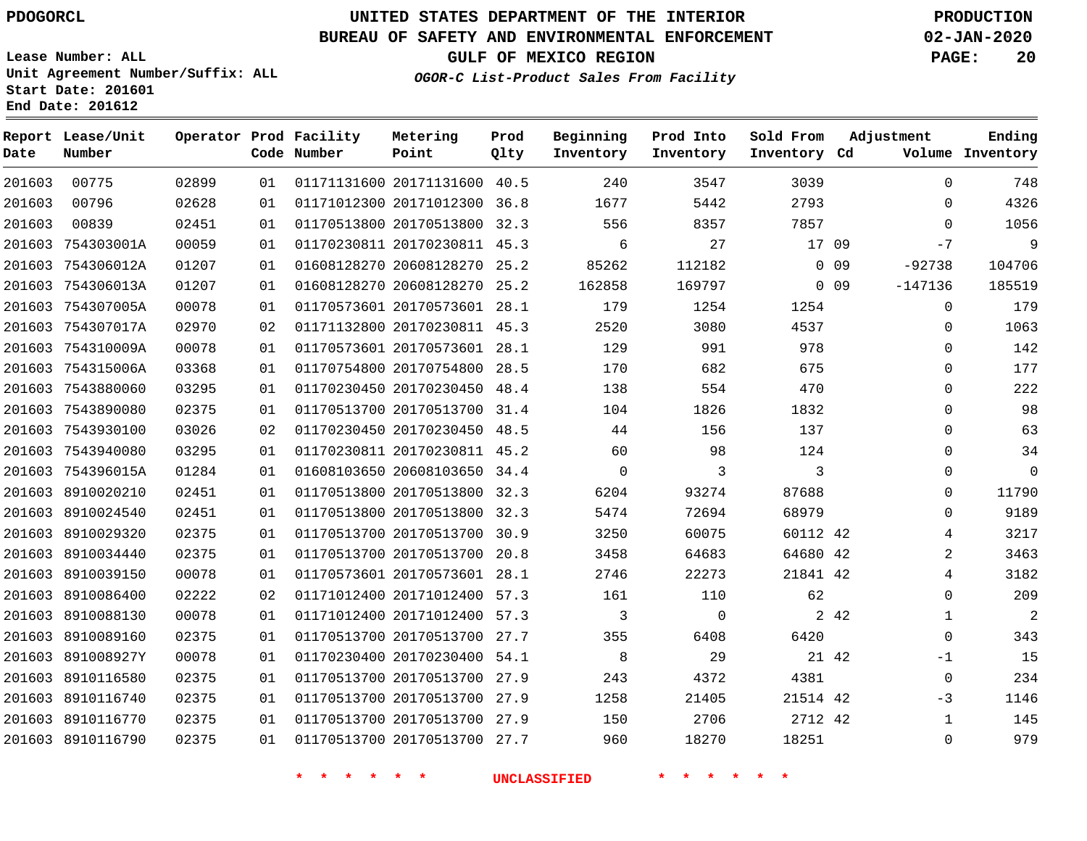**Report Lease/Unit**

**Number**

### **UNITED STATES DEPARTMENT OF THE INTERIOR PDOGORCL PRODUCTION**

**Prod Qlty**

**Metering Point**

#### **BUREAU OF SAFETY AND ENVIRONMENTAL ENFORCEMENT 02-JAN-2020**

**Lease Number: ALL Unit Agreement Number/Suffix: ALL Start Date: 201601 End Date: 201612**

**Operator Prod Facility**

**OGOR-C List-Product Sales From Facility**

**Beginning Inventory** **Prod Into Inventory** **Sold From Inventory**

**GULF OF MEXICO REGION PAGE: 20**

**Adjustment**

**Ending**

| Date   | Number            |       |    | Code Number                | Point                        | Qlty | Inventory           | Inventory    | Inventory Cd    |            |                | Volume Inventory |
|--------|-------------------|-------|----|----------------------------|------------------------------|------|---------------------|--------------|-----------------|------------|----------------|------------------|
| 201603 | 00775             | 02899 | 01 |                            | 01171131600 20171131600 40.5 |      | 240                 | 3547         | 3039            |            | $\mathbf 0$    | 748              |
| 201603 | 00796             | 02628 | 01 |                            | 01171012300 20171012300 36.8 |      | 1677                | 5442         | 2793            |            | $\Omega$       | 4326             |
| 201603 | 00839             | 02451 | 01 |                            | 01170513800 20170513800 32.3 |      | 556                 | 8357         | 7857            |            | $\mathbf 0$    | 1056             |
|        | 201603 754303001A | 00059 | 01 |                            | 01170230811 20170230811 45.3 |      | 6                   | 27           | 17 09           |            | $-7$           | 9                |
|        | 201603 754306012A | 01207 | 01 |                            | 01608128270 20608128270 25.2 |      | 85262               | 112182       |                 | $0\quad09$ | $-92738$       | 104706           |
|        | 201603 754306013A | 01207 | 01 |                            | 01608128270 20608128270 25.2 |      | 162858              | 169797       |                 | $0\quad09$ | $-147136$      | 185519           |
|        | 201603 754307005A | 00078 | 01 |                            | 01170573601 20170573601 28.1 |      | 179                 | 1254         | 1254            |            | $\mathbf 0$    | 179              |
|        | 201603 754307017A | 02970 | 02 |                            | 01171132800 20170230811 45.3 |      | 2520                | 3080         | 4537            |            | $\Omega$       | 1063             |
|        | 201603 754310009A | 00078 | 01 |                            | 01170573601 20170573601 28.1 |      | 129                 | 991          | 978             |            | $\mathbf 0$    | 142              |
|        | 201603 754315006A | 03368 | 01 |                            | 01170754800 20170754800 28.5 |      | 170                 | 682          | 675             |            | $\mathbf 0$    | 177              |
|        | 201603 7543880060 | 03295 | 01 |                            | 01170230450 20170230450 48.4 |      | 138                 | 554          | 470             |            | $\Omega$       | 222              |
|        | 201603 7543890080 | 02375 | 01 |                            | 01170513700 20170513700 31.4 |      | 104                 | 1826         | 1832            |            | 0              | 98               |
|        | 201603 7543930100 | 03026 | 02 |                            | 01170230450 20170230450 48.5 |      | 44                  | 156          | 137             |            | 0              | 63               |
|        | 201603 7543940080 | 03295 | 01 |                            | 01170230811 20170230811 45.2 |      | 60                  | 98           | 124             |            | $\Omega$       | 34               |
|        | 201603 754396015A | 01284 | 01 |                            | 01608103650 20608103650 34.4 |      | $\mathsf{O}$        | 3            | 3               |            | 0              | $\overline{0}$   |
|        | 201603 8910020210 | 02451 | 01 |                            | 01170513800 20170513800 32.3 |      | 6204                | 93274        | 87688           |            | 0              | 11790            |
|        | 201603 8910024540 | 02451 | 01 |                            | 01170513800 20170513800 32.3 |      | 5474                | 72694        | 68979           |            | $\Omega$       | 9189             |
|        | 201603 8910029320 | 02375 | 01 |                            | 01170513700 20170513700 30.9 |      | 3250                | 60075        | 60112 42        |            | 4              | 3217             |
|        | 201603 8910034440 | 02375 | 01 |                            | 01170513700 20170513700 20.8 |      | 3458                | 64683        | 64680 42        |            | $\overline{2}$ | 3463             |
|        | 201603 8910039150 | 00078 | 01 |                            | 01170573601 20170573601 28.1 |      | 2746                | 22273        | 21841 42        |            | 4              | 3182             |
|        | 201603 8910086400 | 02222 | 02 |                            | 01171012400 20171012400 57.3 |      | 161                 | 110          | 62              |            | $\mathbf 0$    | 209              |
|        | 201603 8910088130 | 00078 | 01 |                            | 01171012400 20171012400 57.3 |      | 3                   | $\mathsf{O}$ |                 | 2 42       | $\mathbf 1$    | $\overline{a}$   |
|        | 201603 8910089160 | 02375 | 01 |                            | 01170513700 20170513700 27.7 |      | 355                 | 6408         | 6420            |            | $\mathbf 0$    | 343              |
|        | 201603 891008927Y | 00078 | 01 |                            | 01170230400 20170230400 54.1 |      | 8                   | 29           | 21 42           |            | $-1$           | 15               |
|        | 201603 8910116580 | 02375 | 01 |                            | 01170513700 20170513700 27.9 |      | 243                 | 4372         | 4381            |            | 0              | 234              |
|        | 201603 8910116740 | 02375 | 01 |                            | 01170513700 20170513700 27.9 |      | 1258                | 21405        | 21514 42        |            | -3             | 1146             |
|        | 201603 8910116770 | 02375 | 01 |                            | 01170513700 20170513700 27.9 |      | 150                 | 2706         | 2712 42         |            | $\mathbf{1}$   | 145              |
|        | 201603 8910116790 | 02375 | 01 |                            | 01170513700 20170513700 27.7 |      | 960                 | 18270        | 18251           |            | 0              | 979              |
|        |                   |       |    | $\star$ $\star$<br>* * * * |                              |      | <b>UNCLASSIFIED</b> | *<br>* * *   | $\star$ $\star$ |            |                |                  |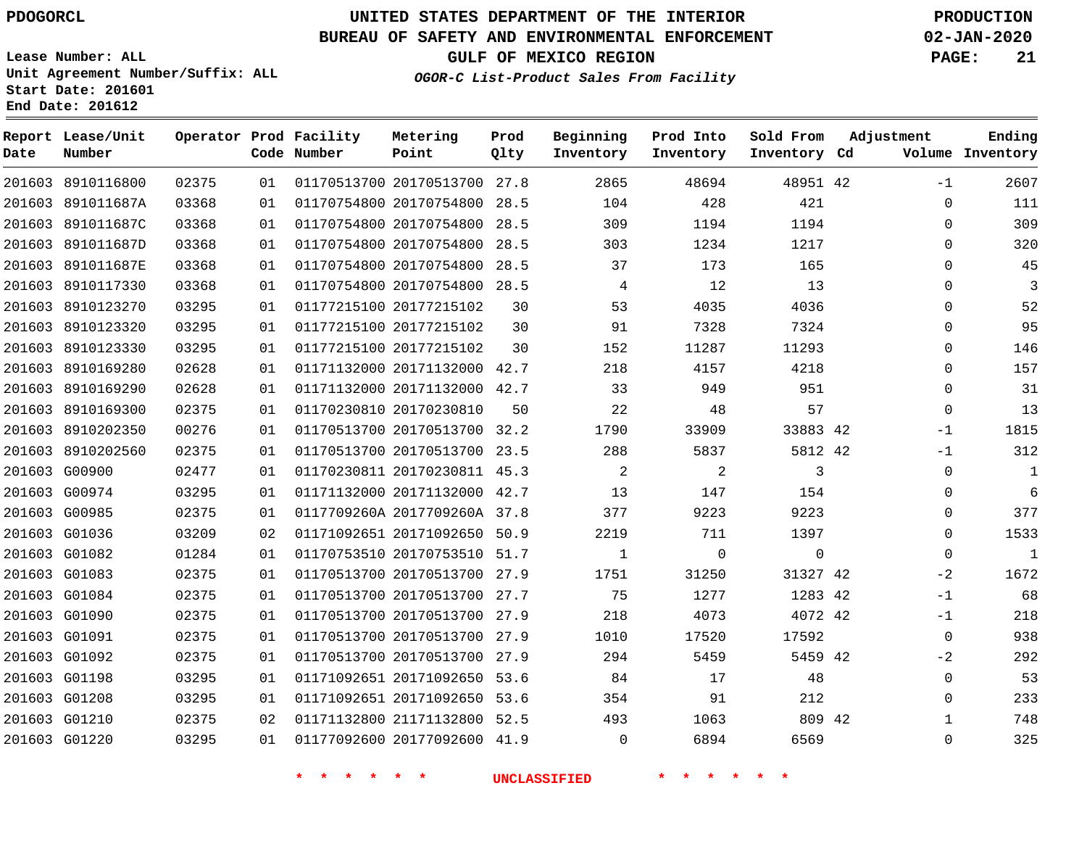### **UNITED STATES DEPARTMENT OF THE INTERIOR PDOGORCL PRODUCTION**

**Prod Qlty**

#### **BUREAU OF SAFETY AND ENVIRONMENTAL ENFORCEMENT 02-JAN-2020**

**Lease Number: ALL Unit Agreement Number/Suffix: ALL Start Date: 201601**

**Operator Prod Facility**

**Code Number**

**End Date: 201612**

**Report Lease/Unit**

**Number**

 G01210 G01220     **GULF OF MEXICO REGION PAGE: 21**

**Inventory Cd Volume**

**Adjustment**

**Ending**

**OGOR-C List-Product Sales From Facility**

**Beginning Inventory** **Prod Into Inventory** **Sold From Inventory**

| 201603 8910116800 | 02375 | 01 | 01170513700 20170513700 27.8 |    | 2865 | 48694       | 48951 42    | $-1$        | 2607         |
|-------------------|-------|----|------------------------------|----|------|-------------|-------------|-------------|--------------|
| 201603 891011687A | 03368 | 01 | 01170754800 20170754800 28.5 |    | 104  | 428         | 421         | $\mathbf 0$ | 111          |
| 201603 891011687C | 03368 | 01 | 01170754800 20170754800 28.5 |    | 309  | 1194        | 1194        | $\Omega$    | 309          |
| 201603 891011687D | 03368 | 01 | 01170754800 20170754800 28.5 |    | 303  | 1234        | 1217        | $\Omega$    | 320          |
| 201603 891011687E | 03368 | 01 | 01170754800 20170754800 28.5 |    | 37   | 173         | 165         | $\Omega$    | 45           |
| 201603 8910117330 | 03368 | 01 | 01170754800 20170754800 28.5 |    | 4    | 12          | 13          | $\Omega$    | 3            |
| 201603 8910123270 | 03295 | 01 | 01177215100 20177215102      | 30 | 53   | 4035        | 4036        | 0           | 52           |
| 201603 8910123320 | 03295 | 01 | 01177215100 20177215102      | 30 | 91   | 7328        | 7324        | $\Omega$    | 95           |
| 201603 8910123330 | 03295 | 01 | 01177215100 20177215102      | 30 | 152  | 11287       | 11293       | $\Omega$    | 146          |
| 201603 8910169280 | 02628 | 01 | 01171132000 20171132000 42.7 |    | 218  | 4157        | 4218        | $\Omega$    | 157          |
| 201603 8910169290 | 02628 | 01 | 01171132000 20171132000 42.7 |    | 33   | 949         | 951         | 0           | 31           |
| 201603 8910169300 | 02375 | 01 | 01170230810 20170230810      | 50 | 22   | 48          | 57          | $\Omega$    | 13           |
| 201603 8910202350 | 00276 | 01 | 01170513700 20170513700 32.2 |    | 1790 | 33909       | 33883 42    | $-1$        | 1815         |
| 201603 8910202560 | 02375 | 01 | 01170513700 20170513700 23.5 |    | 288  | 5837        | 5812 42     | $-1$        | 312          |
| 201603 G00900     | 02477 | 01 | 01170230811 20170230811 45.3 |    | 2    | 2           | 3           | 0           | $\mathbf{1}$ |
| 201603 G00974     | 03295 | 01 | 01171132000 20171132000 42.7 |    | 13   | 147         | 154         | 0           | 6            |
| 201603 G00985     | 02375 | 01 | 0117709260A 2017709260A 37.8 |    | 377  | 9223        | 9223        | 0           | 377          |
| 201603 G01036     | 03209 | 02 | 01171092651 20171092650 50.9 |    | 2219 | 711         | 1397        | $\Omega$    | 1533         |
| 201603 G01082     | 01284 | 01 | 01170753510 20170753510 51.7 |    | 1    | $\mathbf 0$ | $\mathbf 0$ | $\mathbf 0$ | $\mathbf{1}$ |
| 201603 G01083     | 02375 | 01 | 01170513700 20170513700 27.9 |    | 1751 | 31250       | 31327 42    | $-2$        | 1672         |
| 201603 G01084     | 02375 | 01 | 01170513700 20170513700 27.7 |    | 75   | 1277        | 1283 42     | $-1$        | 68           |
| 201603 G01090     | 02375 | 01 | 01170513700 20170513700 27.9 |    | 218  | 4073        | 4072 42     | $-1$        | 218          |
| 201603 G01091     | 02375 | 01 | 01170513700 20170513700 27.9 |    | 1010 | 17520       | 17592       | $\mathbf 0$ | 938          |
| 201603 G01092     | 02375 | 01 | 01170513700 20170513700 27.9 |    | 294  | 5459        | 5459 42     | $-2$        | 292          |
| 201603 G01198     | 03295 | 01 | 01171092651 20171092650 53.6 |    | 84   | 17          | 48          | $\Omega$    | 53           |
| 201603 G01208     | 03295 | 01 | 01171092651 20171092650 53.6 |    | 354  | 91          | 212         | $\Omega$    | 233          |
|                   |       |    |                              |    |      |             |             |             |              |

 21171132800 52.5 20177092600 41.9

**Metering Point**

  $\Omega$ 

**\* \* \* \* \* \* UNCLASSIFIED \* \* \* \* \* \***

  42

 

  $\Omega$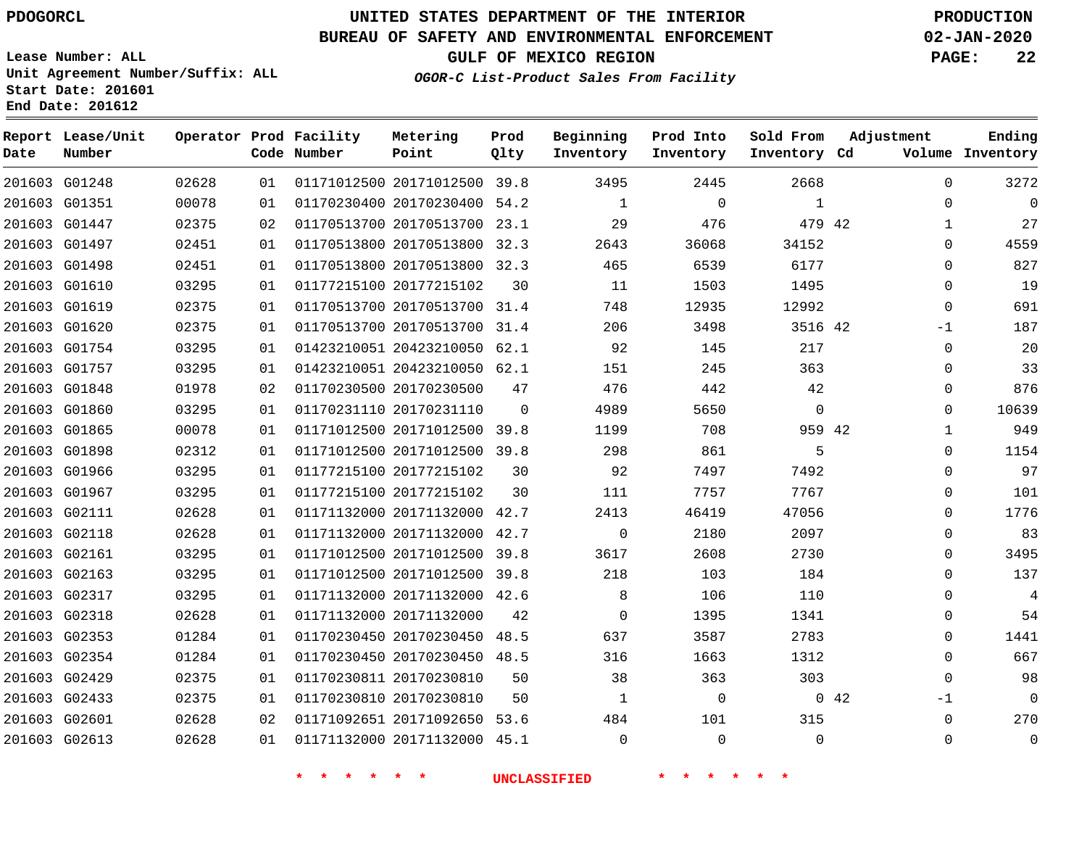G01248 G01351 G01447 G01497 G01498 G01610 G01619 G01620 G01754 G01757 G01848 G01860 G01865 G01898 G01966 G01967 G02111 G02118 G02161 G02163 G02317 G02318 G02353 G02354 G02429 G02433 G02601 G02613

**Date**

**Report Lease/Unit**

**Number**

### **UNITED STATES DEPARTMENT OF THE INTERIOR PDOGORCL PRODUCTION**

**Prod Qlty**

#### **BUREAU OF SAFETY AND ENVIRONMENTAL ENFORCEMENT 02-JAN-2020**

**Lease Number: ALL Unit Agreement Number/Suffix: ALL Start Date: 201601 End Date: 201612**

**Operator Prod Facility**

**Code Number**

 20171012500 39.8 20170230400 54.2 20170513700 23.1 20170513800 32.3 20170513800 32.3

**Metering Point**

 20170513700 31.4 20170513700 31.4

20177215102

**OGOR-C List-Product Sales From Facility**

**Prod Into Inventory**

**Beginning Inventory**

**Inventory Cd Volume**

**Adjustment**

  $\Omega$   $\Omega$  $\Omega$  $\Omega$  $\Omega$ -1  $\Omega$  $\Omega$  $\Omega$  $\Omega$   $\Omega$  $\overline{0}$  $\Omega$  $\Omega$  $\Omega$  $\Omega$   $\Omega$  $\Omega$   $\Omega$ -1  $\Omega$ 

**GULF OF MEXICO REGION PAGE: 22**

**Ending**

|       |    |                         | <b>UNCLASSIFIED</b> |              |          |  |
|-------|----|-------------------------|---------------------|--------------|----------|--|
| 02628 | 01 | 01171132000 20171132000 | 45.1                | 0            | 0        |  |
| 02628 | 02 | 01171092651 20171092650 | 53.6                | 484          | 101      |  |
| 02375 | 01 | 01170230810 20170230810 | 50                  | $\mathbf{1}$ | $\Omega$ |  |
| 02375 | 01 | 01170230811 20170230810 | 50                  | 38           | 363      |  |
| 01284 | 01 | 01170230450 20170230450 | 48.5                | 316          | 1663     |  |
| 01284 | 01 | 01170230450 20170230450 | 48.5                | 637          | 3587     |  |
| 02628 | 01 | 01171132000 20171132000 | 42                  | 0            | 1395     |  |
| 03295 | 01 | 01171132000 20171132000 | 42.6                | 8            | 106      |  |
| 03295 | 01 | 01171012500 20171012500 | 39.8                | 218          | 103      |  |
| 03295 | 01 | 01171012500 20171012500 | 39.8                | 3617         | 2608     |  |
| 02628 | 01 | 01171132000 20171132000 | 42.7                | 0            | 2180     |  |
| 02628 | 01 | 01171132000 20171132000 | 42.7                | 2413         | 46419    |  |
| 03295 | 01 | 01177215100 20177215102 | 30                  | 111          | 7757     |  |
| 03295 | 01 | 01177215100 20177215102 | 30                  | 92           | 7497     |  |
| 02312 | 01 | 01171012500 20171012500 | 39.8                | 298          | 861      |  |
| 00078 | 01 | 01171012500 20171012500 | 39.8                | 1199         | 708      |  |
| 03295 | 01 | 01170231110 20170231110 | $\mathbf 0$         | 4989         | 5650     |  |
| 01978 | 02 | 01170230500 20170230500 | 47                  | 476          | 442      |  |
| 03295 | 01 | 01423210051 20423210050 | 62.1                | 151          | 245      |  |
| 03295 | 01 | 01423210051 20423210050 | 62.1                | 92           | 145      |  |

42

 

**Sold From Inventory**

> > 42

42

42

  $\Omega$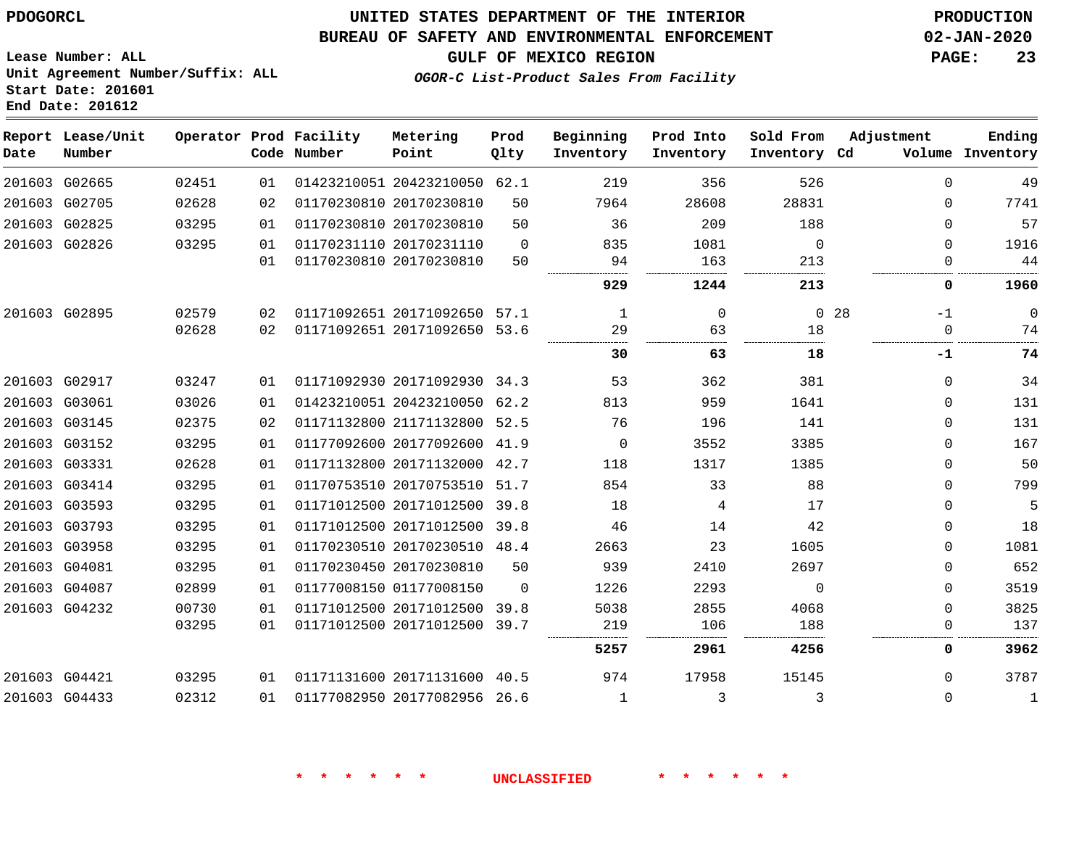#### **BUREAU OF SAFETY AND ENVIRONMENTAL ENFORCEMENT 02-JAN-2020**

**OGOR-C List-Product Sales From Facility**

**GULF OF MEXICO REGION PAGE: 23**

**Lease Number: ALL Unit Agreement Number/Suffix: ALL Start Date: 201601 End Date: 201612**

| Date | Report Lease/Unit<br>Number |       |    | Operator Prod Facility<br>Code Number | Metering<br>Point            | Prod<br>Qlty | Beginning<br>Inventory | Prod Into<br>Inventory | Sold From<br>Inventory Cd | Adjustment              | Ending<br>Volume Inventory |
|------|-----------------------------|-------|----|---------------------------------------|------------------------------|--------------|------------------------|------------------------|---------------------------|-------------------------|----------------------------|
|      | 201603 G02665               | 02451 | 01 |                                       | 01423210051 20423210050 62.1 |              | 219                    | 356                    | 526                       |                         | $\Omega$<br>49             |
|      | 201603 G02705               | 02628 | 02 |                                       | 01170230810 20170230810      | 50           | 7964                   | 28608                  | 28831                     |                         | 7741<br>$\Omega$           |
|      | 201603 G02825               | 03295 | 01 |                                       | 01170230810 20170230810      | 50           | 36                     | 209                    | 188                       |                         | 57<br>0                    |
|      | 201603 G02826               | 03295 | 01 |                                       | 01170231110 20170231110      | $\Omega$     | 835                    | 1081                   | $\Omega$                  |                         | 1916<br>$\Omega$           |
|      |                             |       | 01 |                                       | 01170230810 20170230810      | 50           | 94                     | 163                    | 213                       |                         | 44<br>$\Omega$             |
|      |                             |       |    |                                       |                              |              | 929                    | 1244                   | 213                       |                         | 0<br>1960                  |
|      | 201603 G02895               | 02579 | 02 |                                       | 01171092651 20171092650 57.1 |              | 1                      | $\Omega$               |                           | 0 <sub>28</sub><br>$-1$ | 0                          |
|      |                             | 02628 | 02 |                                       | 01171092651 20171092650 53.6 |              | 29                     | 63                     | 18                        |                         | 74<br>$\Omega$             |
|      |                             |       |    |                                       |                              |              | 30                     | 63                     | 18                        | -1                      | 74                         |
|      | 201603 G02917               | 03247 | 01 |                                       | 01171092930 20171092930 34.3 |              | 53                     | 362                    | 381                       |                         | 34<br>$\Omega$             |
|      | 201603 G03061               | 03026 | 01 |                                       | 01423210051 20423210050      | 62.2         | 813                    | 959                    | 1641                      |                         | 131<br>$\Omega$            |
|      | 201603 G03145               | 02375 | 02 |                                       | 01171132800 21171132800 52.5 |              | 76                     | 196                    | 141                       |                         | 131<br>$\Omega$            |
|      | 201603 G03152               | 03295 | 01 |                                       | 01177092600 20177092600      | 41.9         | $\Omega$               | 3552                   | 3385                      |                         | 167<br>$\Omega$            |
|      | 201603 G03331               | 02628 | 01 |                                       | 01171132800 20171132000      | 42.7         | 118                    | 1317                   | 1385                      |                         | 50<br>0                    |
|      | 201603 G03414               | 03295 | 01 |                                       | 01170753510 20170753510 51.7 |              | 854                    | 33                     | 88                        |                         | 799<br>$\Omega$            |
|      | 201603 G03593               | 03295 | 01 |                                       | 01171012500 20171012500      | 39.8         | 18                     | 4                      | 17                        |                         | 5<br>$\Omega$              |
|      | 201603 G03793               | 03295 | 01 |                                       | 01171012500 20171012500      | 39.8         | 46                     | 14                     | 42                        |                         | 18<br>0                    |
|      | 201603 G03958               | 03295 | 01 |                                       | 01170230510 20170230510 48.4 |              | 2663                   | 23                     | 1605                      |                         | 1081<br>$\Omega$           |
|      | 201603 G04081               | 03295 | 01 |                                       | 01170230450 20170230810      | 50           | 939                    | 2410                   | 2697                      |                         | 652<br>0                   |
|      | 201603 G04087               | 02899 | 01 |                                       | 01177008150 01177008150      | $\Omega$     | 1226                   | 2293                   | $\Omega$                  |                         | 3519<br>$\Omega$           |
|      | 201603 G04232               | 00730 | 01 |                                       | 01171012500 20171012500      | 39.8         | 5038                   | 2855                   | 4068                      |                         | 3825<br>0                  |
|      |                             | 03295 | 01 |                                       | 01171012500 20171012500 39.7 |              | 219                    | 106                    | 188                       |                         | 137<br>0                   |
|      |                             |       |    |                                       |                              |              | 5257                   | 2961                   | 4256                      |                         | 0<br>3962                  |
|      | 201603 G04421               | 03295 | 01 |                                       | 01171131600 20171131600 40.5 |              | 974                    | 17958                  | 15145                     |                         | 3787<br>$\Omega$           |
|      | 201603 G04433               | 02312 | 01 |                                       | 01177082950 20177082956      | 26.6         | $\mathbf{1}$           | 3                      | 3                         |                         | $\Omega$<br>$\mathbf 1$    |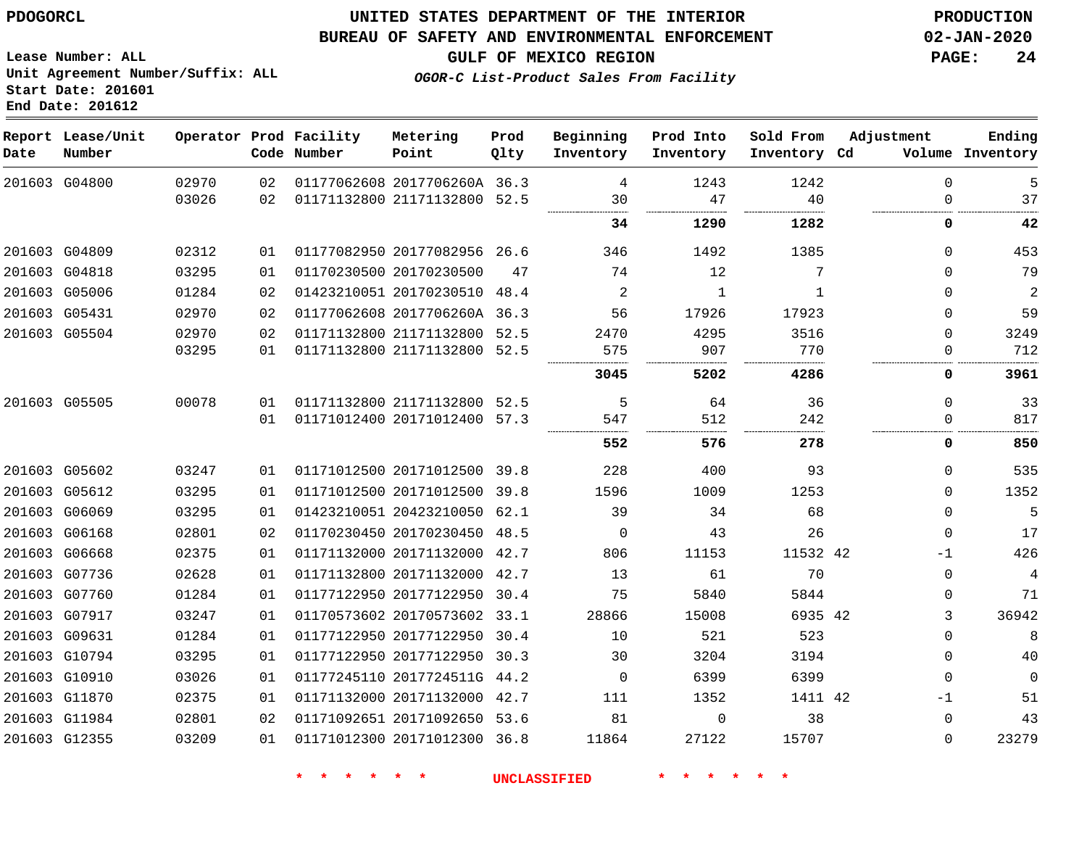**Report Date**

 G11870 G11984 G12355    

### **UNITED STATES DEPARTMENT OF THE INTERIOR PDOGORCL PRODUCTION**

#### **BUREAU OF SAFETY AND ENVIRONMENTAL ENFORCEMENT 02-JAN-2020**

**OGOR-C List-Product Sales From Facility**

**GULF OF MEXICO REGION PAGE: 24**

............................

 $-1$   $\Omega$  **Ending Inventory**

**Lease Number: ALL Unit Agreement Number/Suffix: ALL Start Date: 201601 End Date: 201612**

| Date | Report Lease/Unit<br>Number |       |    | Operator Prod Facility<br>Code Number | Metering<br>Point            | Prod<br>Qlty | Beginning<br>Inventory | Prod Into<br>Inventory | Sold From<br>Inventory Cd | Adjustment<br>Volume |
|------|-----------------------------|-------|----|---------------------------------------|------------------------------|--------------|------------------------|------------------------|---------------------------|----------------------|
|      | 201603 G04800               | 02970 | 02 |                                       | 01177062608 2017706260A 36.3 |              | 4                      | 1243                   | 1242                      | $\mathbf 0$          |
|      |                             | 03026 | 02 |                                       | 01171132800 21171132800 52.5 |              | 30                     | 47                     | 40                        | $\Omega$             |
|      |                             |       |    |                                       |                              |              | 34                     | 1290                   | 1282                      | 0                    |
|      | 201603 G04809               | 02312 | 01 |                                       | 01177082950 20177082956 26.6 |              | 346                    | 1492                   | 1385                      | $\mathbf 0$          |
|      | 201603 G04818               | 03295 | 01 |                                       | 01170230500 20170230500      | 47           | 74                     | 12                     | 7                         | $\mathbf 0$          |
|      | 201603 G05006               | 01284 | 02 |                                       | 01423210051 20170230510 48.4 |              | 2                      | 1                      | 1                         | $\mathbf 0$          |
|      | 201603 G05431               | 02970 | 02 |                                       | 01177062608 2017706260A 36.3 |              | 56                     | 17926                  | 17923                     | $\mathbf 0$          |
|      | 201603 G05504               | 02970 | 02 |                                       | 01171132800 21171132800 52.5 |              | 2470                   | 4295                   | 3516                      | $\mathbf 0$          |
|      |                             | 03295 | 01 |                                       | 01171132800 21171132800 52.5 |              | 575                    | 907                    | 770                       | $\Omega$             |
|      |                             |       |    |                                       |                              |              | 3045                   | 5202                   | 4286                      | 0                    |
|      | 201603 G05505               | 00078 | 01 |                                       | 01171132800 21171132800 52.5 |              | 5                      | 64                     | 36                        | $\mathbf 0$          |
|      |                             |       | 01 |                                       | 01171012400 20171012400 57.3 |              | 547                    | 512                    | 242                       | $\Omega$             |
|      |                             |       |    |                                       |                              |              | 552                    | 576                    | 278                       | 0                    |
|      | 201603 G05602               | 03247 | 01 |                                       | 01171012500 20171012500 39.8 |              | 228                    | 400                    | 93                        | $\mathbf 0$          |
|      | 201603 G05612               | 03295 | 01 |                                       | 01171012500 20171012500 39.8 |              | 1596                   | 1009                   | 1253                      | $\mathbf 0$          |
|      | 201603 G06069               | 03295 | 01 |                                       | 01423210051 20423210050 62.1 |              | 39                     | 34                     | 68                        | $\mathbf 0$          |
|      | 201603 G06168               | 02801 | 02 |                                       | 01170230450 20170230450      | 48.5         | $\Omega$               | 43                     | 26                        | $\mathbf 0$          |
|      | 201603 G06668               | 02375 | 01 |                                       | 01171132000 20171132000 42.7 |              | 806                    | 11153                  | 11532 42                  | $-1$                 |
|      | 201603 G07736               | 02628 | 01 |                                       | 01171132800 20171132000      | 42.7         | 13                     | 61                     | 70                        | $\mathbf 0$          |
|      | 201603 G07760               | 01284 | 01 |                                       | 01177122950 20177122950 30.4 |              | 75                     | 5840                   | 5844                      | $\mathbf 0$          |
|      | 201603 G07917               | 03247 | 01 |                                       | 01170573602 20170573602 33.1 |              | 28866                  | 15008                  | 6935 42                   | 3                    |
|      | 201603 G09631               | 01284 | 01 |                                       | 01177122950 20177122950 30.4 |              | 10                     | 521                    | 523                       | $\mathbf 0$          |
|      | 201603 G10794               | 03295 | 01 |                                       | 01177122950 20177122950 30.3 |              | 30                     | 3204                   | 3194                      | $\mathbf 0$          |
|      | 201603 G10910               | 03026 | 01 |                                       | 01177245110 2017724511G 44.2 |              | $\Omega$               | 6399                   | 6399                      | $\mathbf 0$          |

 

 20171132000 42.7 20171092650 53.6 20171012300 36.8

**\* \* \* \* \* \* UNCLASSIFIED \* \* \* \* \* \***

  42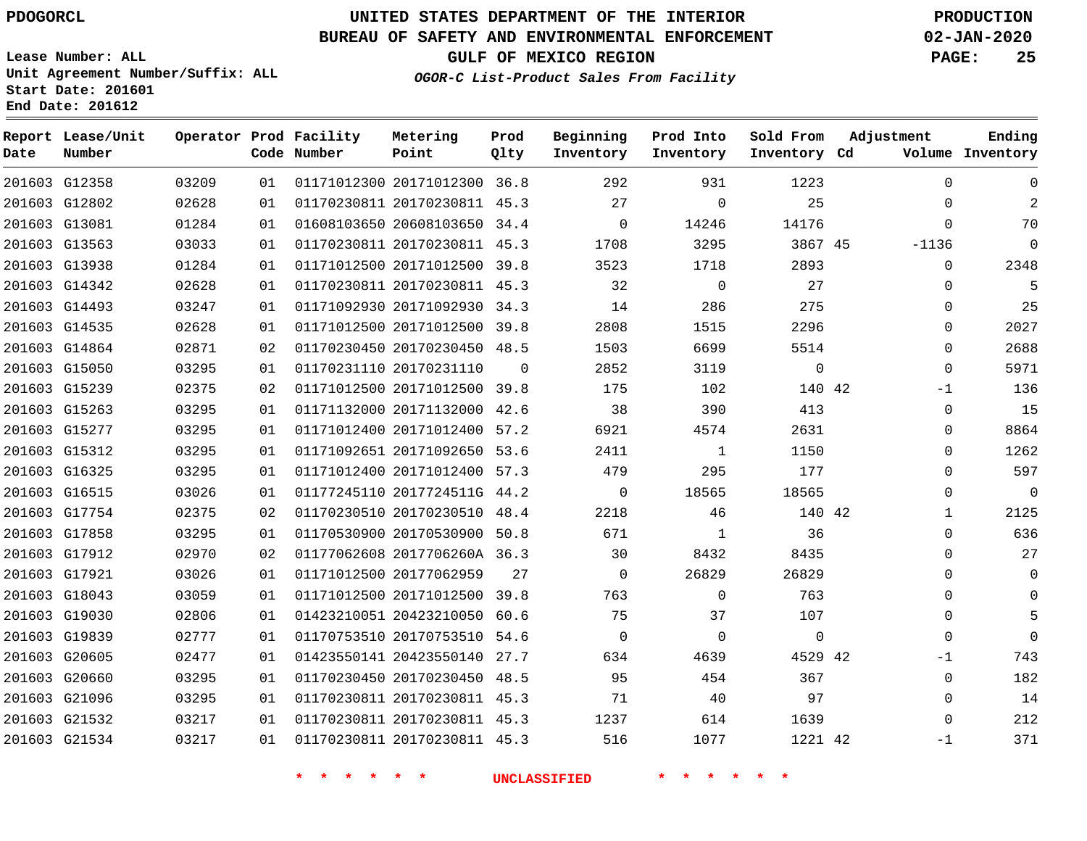G12358 G12802

**Date**

**Report Lease/Unit**

**Number**

 G19839 G20605 G20660 G21096 G21532 G21534

### **UNITED STATES DEPARTMENT OF THE INTERIOR PDOGORCL PRODUCTION**

**Prod Qlty**

#### **BUREAU OF SAFETY AND ENVIRONMENTAL ENFORCEMENT 02-JAN-2020**

**Lease Number: ALL Unit Agreement Number/Suffix: ALL Start Date: 201601 End Date: 201612**

> 

**Operator Prod Facility**

**Code Number**

 20171012300 36.8 20170230811 45.3

**Metering Point**

 

**GULF OF MEXICO REGION PAGE: 25**

**Inventory Cd Volume**

**Adjustment**

  $\Omega$ 

 $\Omega$ -1 -1

**Ending**

**OGOR-C List-Product Sales From Facility**

**Beginning Inventory**

> 

  $\Omega$   

**Sold From Inventory**

**Prod Into Inventory**

| 201603 G13081 | 01284 | 01 |                         | 01608103650 20608103650 34.4 |          | $\Omega$ | 14246       | 14176    | $\Omega$ |
|---------------|-------|----|-------------------------|------------------------------|----------|----------|-------------|----------|----------|
| 201603 G13563 | 03033 | 01 | 01170230811 20170230811 |                              | 45.3     | 1708     | 3295        | 3867 45  | $-1136$  |
| 201603 G13938 | 01284 | 01 | 01171012500 20171012500 |                              | 39.8     | 3523     | 1718        | 2893     | $\Omega$ |
| 201603 G14342 | 02628 | 01 |                         | 01170230811 20170230811 45.3 |          | 32       | $\Omega$    | 27       | $\Omega$ |
| 201603 G14493 | 03247 | 01 | 01171092930 20171092930 |                              | 34.3     | 14       | 286         | 275      | $\Omega$ |
| 201603 G14535 | 02628 | 01 | 01171012500 20171012500 |                              | 39.8     | 2808     | 1515        | 2296     | $\Omega$ |
| 201603 G14864 | 02871 | 02 | 01170230450 20170230450 |                              | 48.5     | 1503     | 6699        | 5514     | $\Omega$ |
| 201603 G15050 | 03295 | 01 | 01170231110 20170231110 |                              | $\Omega$ | 2852     | 3119        | $\Omega$ | $\Omega$ |
| 201603 G15239 | 02375 | 02 | 01171012500 20171012500 |                              | 39.8     | 175      | 102         | 140 42   | $-1$     |
| 201603 G15263 | 03295 | 01 | 01171132000 20171132000 |                              | 42.6     | 38       | 390         | 413      | $\Omega$ |
| 201603 G15277 | 03295 | 01 | 01171012400 20171012400 |                              | 57.2     | 6921     | 4574        | 2631     | $\Omega$ |
| 201603 G15312 | 03295 | 01 | 01171092651 20171092650 |                              | 53.6     | 2411     | $\mathbf 1$ | 1150     | $\Omega$ |
| 201603 G16325 | 03295 | 01 | 01171012400 20171012400 |                              | 57.3     | 479      | 295         | 177      | $\Omega$ |
| 201603 G16515 | 03026 | 01 | 01177245110 2017724511G |                              | 44.2     | $\Omega$ | 18565       | 18565    | $\Omega$ |
| 201603 G17754 | 02375 | 02 | 01170230510 20170230510 |                              | 48.4     | 2218     | 46          | 140 42   |          |
| 201603 G17858 | 03295 | 01 | 01170530900 20170530900 |                              | 50.8     | 671      |             | 36       | $\Omega$ |
| 201603 G17912 | 02970 | 02 | 01177062608 2017706260A |                              | 36.3     | 30       | 8432        | 8435     | $\Omega$ |
| 201603 G17921 | 03026 | 01 | 01171012500 20177062959 |                              | 27       | $\Omega$ | 26829       | 26829    | $\Omega$ |
| 201603 G18043 | 03059 | 01 | 01171012500 20171012500 |                              | 39.8     | 763      | $\Omega$    | 763      | $\Omega$ |
| 201603 G19030 | 02806 | 01 | 01423210051 20423210050 |                              | 60.6     | 75       | 37          | 107      | $\Omega$ |

 20170753510 54.6 20423550140 27.7 20170230450 48.5 20170230811 45.3 20170230811 45.3 20170230811 45.3

**\* \* \* \* \* \* UNCLASSIFIED \* \* \* \* \* \***

42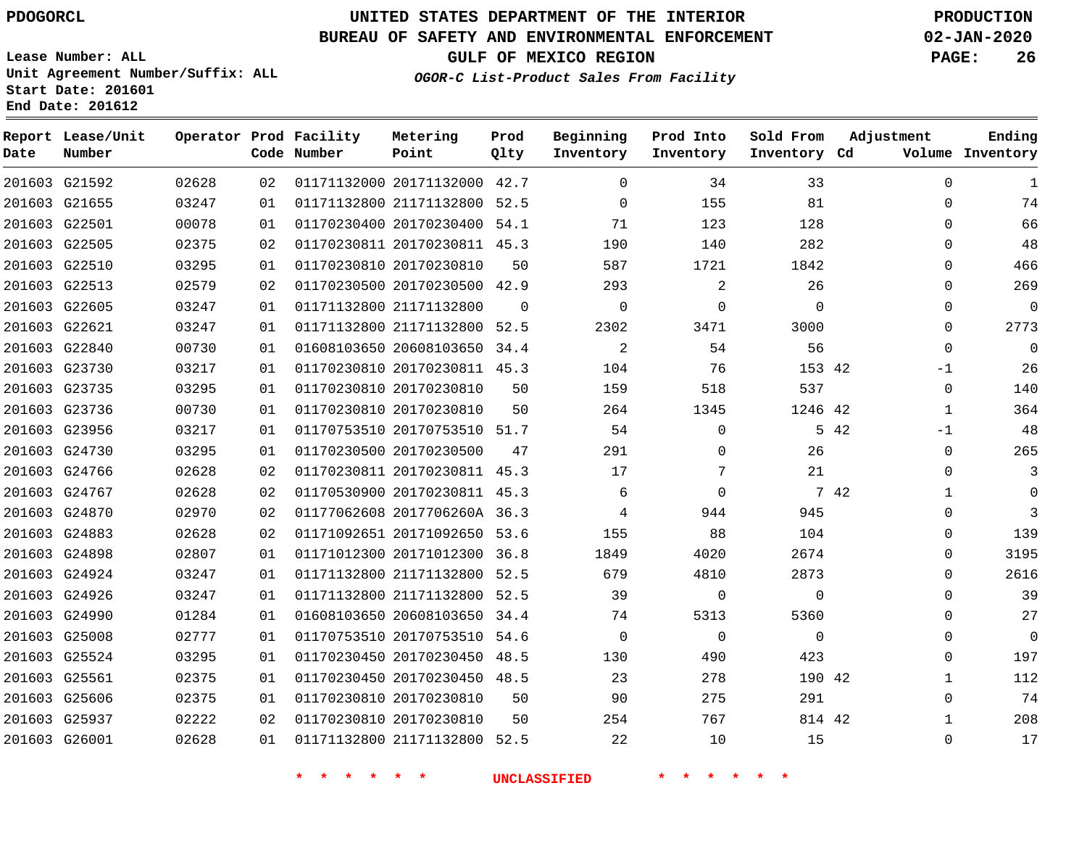G25606 G25937 G26001    

### **UNITED STATES DEPARTMENT OF THE INTERIOR PDOGORCL PRODUCTION**

#### **BUREAU OF SAFETY AND ENVIRONMENTAL ENFORCEMENT 02-JAN-2020**

**Lease Number: ALL Unit Agreement Number/Suffix: ALL Start Date: 201601 End Date: 201612**

**OGOR-C List-Product Sales From Facility**

**GULF OF MEXICO REGION PAGE: 26**

  $\Omega$  $\Omega$   $\Omega$  $\Omega$  $\Omega$  -1 -1  $\Omega$   $\Omega$  $\Omega$  $\Omega$  $\Omega$  $\overline{0}$  $\Omega$  $\Omega$   $\Omega$ 

| Date | Report Lease/Unit<br>Number |       |    | Operator Prod Facility<br>Code Number | Metering<br>Point            | Prod<br>Qlty | Beginning<br>Inventory | Prod Into<br>Inventory | Sold From<br>Inventory Cd | Adjustment           | Ending<br>Volume Inventory |
|------|-----------------------------|-------|----|---------------------------------------|------------------------------|--------------|------------------------|------------------------|---------------------------|----------------------|----------------------------|
|      | 201603 G21592               | 02628 | 02 |                                       | 01171132000 20171132000 42.7 |              | $\Omega$               | 34                     | 33                        | $\mathbf 0$          | 1                          |
|      | 201603 G21655               | 03247 | 01 |                                       | 01171132800 21171132800      | 52.5         | $\Omega$               | 155                    | 81                        | $\Omega$             | 74                         |
|      | 201603 G22501               | 00078 | 01 |                                       | 01170230400 20170230400      | 54.1         | 71                     | 123                    | 128                       | $\Omega$             | 66                         |
|      | 201603 G22505               | 02375 | 02 |                                       | 01170230811 20170230811 45.3 |              | 190                    | 140                    | 282                       | $\Omega$             | 48                         |
|      | 201603 G22510               | 03295 | 01 |                                       | 01170230810 20170230810      | 50           | 587                    | 1721                   | 1842                      | $\Omega$             | 466                        |
|      | 201603 G22513               | 02579 | 02 |                                       | 01170230500 20170230500 42.9 |              | 293                    | $\overline{2}$         | 26                        | 0                    | 269                        |
|      | 201603 G22605               | 03247 | 01 |                                       | 01171132800 21171132800      | $\Omega$     | $\Omega$               | $\mathbf{0}$           | $\Omega$                  | $\Omega$             | 0                          |
|      | 201603 G22621               | 03247 | 01 |                                       | 01171132800 21171132800 52.5 |              | 2302                   | 3471                   | 3000                      | $\mathbf 0$          | 2773                       |
|      | 201603 G22840               | 00730 | 01 |                                       | 01608103650 20608103650      | 34.4         | 2                      | 54                     | 56                        | $\mathbf 0$          | 0                          |
|      | 201603 G23730               | 03217 | 01 |                                       | 01170230810 20170230811 45.3 |              | 104                    | 76                     | 153 42                    | $-1$                 | 26                         |
|      | 201603 G23735               | 03295 | 01 |                                       | 01170230810 20170230810      | 50           | 159                    | 518                    | 537                       | $\Omega$             | 140                        |
|      | 201603 G23736               | 00730 | 01 |                                       | 01170230810 20170230810      | 50           | 264                    | 1345                   | 1246 42                   | $\mathbf{1}$         | 364                        |
|      | 201603 G23956               | 03217 | 01 |                                       | 01170753510 20170753510 51.7 |              | 54                     | $\mathbf 0$            |                           | 5 42<br>$-1$         | 48                         |
|      | 201603 G24730               | 03295 | 01 |                                       | 01170230500 20170230500      | 47           | 291                    | $\Omega$               | 26                        | $\mathbf 0$          | 265                        |
|      | 201603 G24766               | 02628 | 02 |                                       | 01170230811 20170230811 45.3 |              | 17                     | 7                      | 21                        | $\Omega$             | 3                          |
|      | 201603 G24767               | 02628 | 02 |                                       | 01170530900 20170230811 45.3 |              | 6                      | $\Omega$               |                           | 7 42<br>$\mathbf{1}$ | 0                          |
|      | 201603 G24870               | 02970 | 02 |                                       | 01177062608 2017706260A 36.3 |              | 4                      | 944                    | 945                       | 0                    | 3                          |
|      | 201603 G24883               | 02628 | 02 |                                       | 01171092651 20171092650 53.6 |              | 155                    | 88                     | 104                       | 0                    | 139                        |
|      | 201603 G24898               | 02807 | 01 |                                       | 01171012300 20171012300 36.8 |              | 1849                   | 4020                   | 2674                      | $\Omega$             | 3195                       |
|      | 201603 G24924               | 03247 | 01 |                                       | 01171132800 21171132800      | 52.5         | 679                    | 4810                   | 2873                      | $\Omega$             | 2616                       |
|      | 201603 G24926               | 03247 | 01 |                                       | 01171132800 21171132800      | 52.5         | 39                     | $\mathbf 0$            | $\Omega$                  | $\Omega$             | 39                         |
|      | 201603 G24990               | 01284 | 01 |                                       | 01608103650 20608103650      | 34.4         | 74                     | 5313                   | 5360                      | $\Omega$             | 27                         |
|      | 201603 G25008               | 02777 | 01 |                                       | 01170753510 20170753510      | 54.6         | $\Omega$               | $\Omega$               | $\Omega$                  | 0                    | $\overline{0}$             |
|      | 201603 G25524               | 03295 | 01 |                                       | 01170230450 20170230450      | 48.5         | 130                    | 490                    | 423                       | $\Omega$             | 197                        |
|      | 201603 G25561               | 02375 | 01 |                                       | 01170230450 20170230450      | 48.5         | 23                     | 278                    | 190 42                    | $\mathbf{1}$         | 112                        |

**\* \* \* \* \* \* UNCLASSIFIED \* \* \* \* \* \***

 20170230810 20170230810

21171132800 52.5

 

 

 

42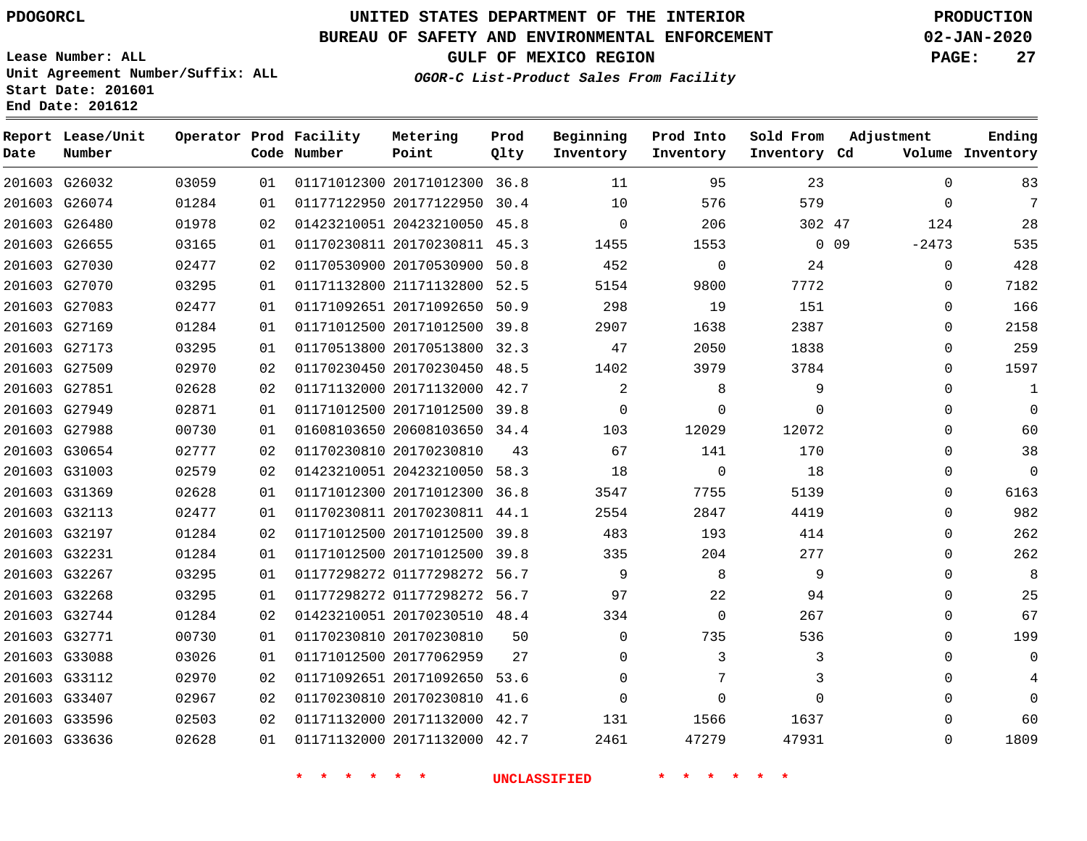**Report Lease/Unit**

**Number**

### **UNITED STATES DEPARTMENT OF THE INTERIOR PDOGORCL PRODUCTION**

**Prod Qlty**

#### **BUREAU OF SAFETY AND ENVIRONMENTAL ENFORCEMENT 02-JAN-2020**

**Lease Number: ALL Unit Agreement Number/Suffix: ALL Start Date: 201601 End Date: 201612**

**Operator Prod Facility**

**Code Number**

**OGOR-C List-Product Sales From Facility**

**Beginning Inventory**

**Prod Into Inventory**

**Sold From Inventory**

**Inventory Cd Volume**

**Adjustment**

**GULF OF MEXICO REGION PAGE: 27**

**Ending**

| 95<br>23<br>201603 G26032<br>03059<br>01171012300 20171012300 36.8<br>11<br>01<br>579<br>201603 G26074<br>01284<br>01177122950 20177122950 30.4<br>10<br>576<br>01<br>201603 G26480<br>01978<br>01423210051 20423210050 45.8<br>$\overline{0}$<br>206<br>02<br>302 47<br>01170230811 20170230811 45.3<br>$0\quad09$<br>201603 G26655<br>03165<br>1455<br>1553<br>01 | $\overline{0}$<br>$\overline{0}$<br>124<br>$-2473$<br>$\mathbf 0$<br>$\mathbf 0$ |
|---------------------------------------------------------------------------------------------------------------------------------------------------------------------------------------------------------------------------------------------------------------------------------------------------------------------------------------------------------------------|----------------------------------------------------------------------------------|
|                                                                                                                                                                                                                                                                                                                                                                     |                                                                                  |
|                                                                                                                                                                                                                                                                                                                                                                     |                                                                                  |
|                                                                                                                                                                                                                                                                                                                                                                     |                                                                                  |
|                                                                                                                                                                                                                                                                                                                                                                     |                                                                                  |
| 201603 G27030<br>01170530900 20170530900 50.8<br>452<br>24<br>02477<br>02<br>$\overline{0}$                                                                                                                                                                                                                                                                         |                                                                                  |
| 201603 G27070<br>01171132800 21171132800 52.5<br>7772<br>03295<br>01<br>5154<br>9800                                                                                                                                                                                                                                                                                |                                                                                  |
| 298<br>19<br>201603 G27083<br>02477<br>01171092651 20171092650 50.9<br>151<br>01                                                                                                                                                                                                                                                                                    | $\mathbf 0$                                                                      |
| 201603 G27169<br>01284<br>01171012500 20171012500 39.8<br>2907<br>1638<br>2387<br>01                                                                                                                                                                                                                                                                                | $\Omega$                                                                         |
| 201603 G27173<br>03295<br>01170513800 20170513800 32.3<br>47<br>2050<br>1838<br>01                                                                                                                                                                                                                                                                                  | $\Omega$                                                                         |
| 201603 G27509<br>02970<br>01170230450 20170230450 48.5<br>3784<br>02<br>1402<br>3979                                                                                                                                                                                                                                                                                | $\Omega$                                                                         |
| $\overline{\phantom{a}}$<br>8<br>201603 G27851<br>02628<br>01171132000 20171132000 42.7<br>9<br>02                                                                                                                                                                                                                                                                  | $\Omega$                                                                         |
| 01171012500 20171012500 39.8<br>$\overline{0}$<br>201603 G27949<br>02871<br>$\Omega$<br>$\Omega$<br>01                                                                                                                                                                                                                                                              | $\Omega$                                                                         |
| 201603 G27988<br>00730<br>01608103650 20608103650 34.4<br>103<br>12029<br>12072<br>01                                                                                                                                                                                                                                                                               | $\Omega$                                                                         |
| 201603 G30654<br>02777<br>01170230810 20170230810 43<br>67<br>141<br>02<br>170                                                                                                                                                                                                                                                                                      | $\Omega$                                                                         |
| $\overline{0}$<br>18<br>201603 G31003<br>02579<br>01423210051 20423210050 58.3<br>18<br>02                                                                                                                                                                                                                                                                          | $\Omega$                                                                         |
| 5139<br>201603 G31369<br>02628<br>01171012300 20171012300 36.8<br>3547<br>7755<br>01                                                                                                                                                                                                                                                                                | $\Omega$                                                                         |
| 201603 G32113<br>01170230811 20170230811 44.1<br>4419<br>02477<br>2554<br>2847<br>01                                                                                                                                                                                                                                                                                | $\Omega$                                                                         |
| 201603 G32197<br>01171012500 20171012500 39.8<br>01284<br>483<br>193<br>414<br>02                                                                                                                                                                                                                                                                                   | $\Omega$                                                                         |
| 201603 G32231<br>01284<br>01171012500 20171012500 39.8<br>204<br>277<br>01<br>335                                                                                                                                                                                                                                                                                   | $\Omega$                                                                         |
| 201603 G32267<br>$\overline{9}$<br>8 <sup>8</sup><br>9<br>03295<br>01177298272 01177298272 56.7<br>01                                                                                                                                                                                                                                                               | $\Omega$                                                                         |
| 201603 G32268<br>03295<br>01177298272 01177298272 56.7<br>97<br>22<br>01<br>94                                                                                                                                                                                                                                                                                      | $\Omega$                                                                         |
| 201603 G32744<br>01423210051 20170230510 48.4<br>267<br>01284<br>02<br>334<br>$\overline{0}$                                                                                                                                                                                                                                                                        | $\Omega$                                                                         |
| 201603 G32771<br>00730<br>01170230810 20170230810 50<br>$\Omega$<br>735<br>536<br>01                                                                                                                                                                                                                                                                                | $\Omega$                                                                         |
| 01171012500 20177062959 27<br>$\overline{3}$<br>201603 G33088<br>03026<br>$\Omega$<br>3<br>01                                                                                                                                                                                                                                                                       | $\Omega$                                                                         |
| 201603 G33112<br>02970<br>01171092651 20171092650 53.6<br>$\Omega$<br>7<br>3<br>02                                                                                                                                                                                                                                                                                  | $\Omega$                                                                         |
| 201603 G33407<br>01170230810 20170230810 41.6<br>$\overline{0}$<br>$\Omega$<br>02967<br>02<br>0                                                                                                                                                                                                                                                                     | $\Omega$                                                                         |
| 201603 G33596<br>02503<br>01171132000 20171132000 42.7<br>1637<br>02<br>131<br>1566                                                                                                                                                                                                                                                                                 | $\Omega$                                                                         |
| 02628<br>01171132000 20171132000 42.7 2461<br>201603 G33636<br>01<br>47279<br>47931                                                                                                                                                                                                                                                                                 | $\Omega$                                                                         |
| 一天<br>一天<br>一大<br>一天<br>UNCLASSIFIED                                                                                                                                                                                                                                                                                                                                |                                                                                  |

**Metering Point**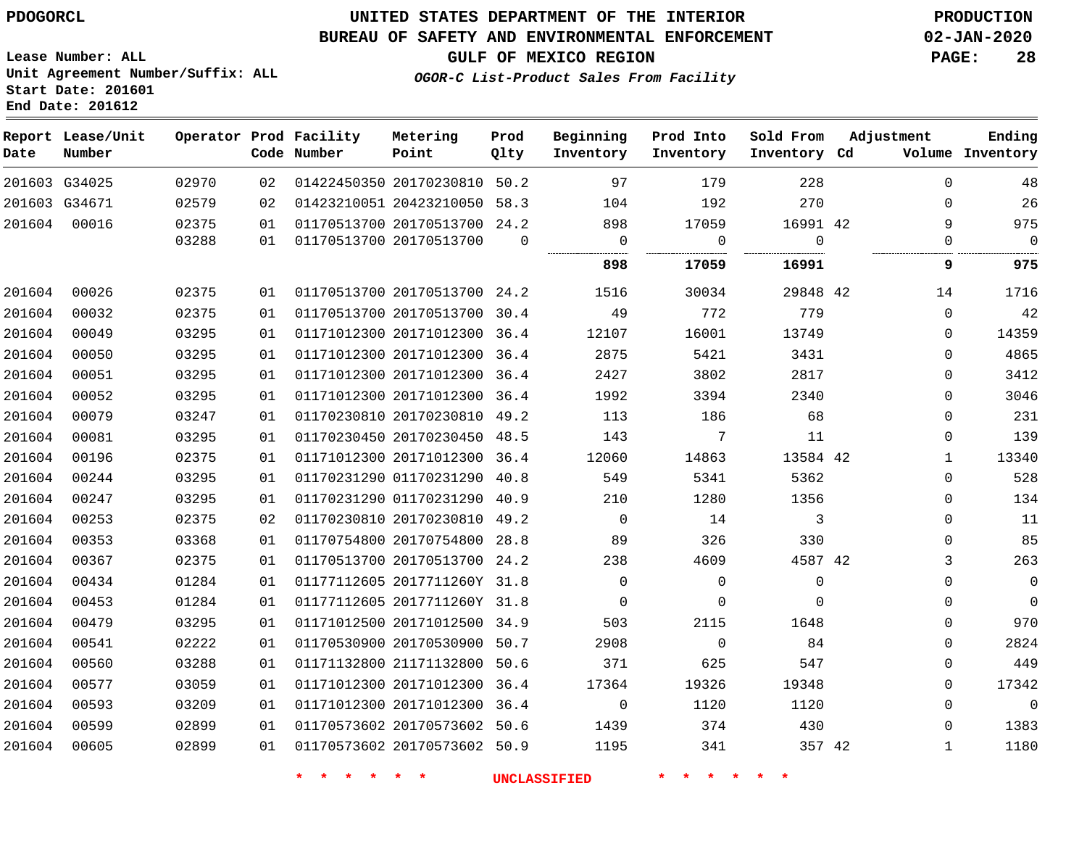### **UNITED STATES DEPARTMENT OF THE INTERIOR PDOGORCL PRODUCTION**

**Prod**

**Metering**

#### **BUREAU OF SAFETY AND ENVIRONMENTAL ENFORCEMENT 02-JAN-2020**

**Lease Number: ALL Unit Agreement Number/Suffix: ALL Start Date: 201601 End Date: 201612**

**OGOR-C List-Product Sales From Facility**

**Beginning**

**Prod Into**

**Sold From**

**Adjustment**

**GULF OF MEXICO REGION PAGE: 28**

**Ending**

| Date   | Report Lease/Unit<br>Number |       |    | Operator Prod Facility<br>Code Number | Metering<br>Point            | Prod<br>Qlty | Beginning<br>Inventory | Prod Into<br>Inventory    | Sold From<br>Inventory Cd | Adjustment   | Ending<br>Volume Inventory |
|--------|-----------------------------|-------|----|---------------------------------------|------------------------------|--------------|------------------------|---------------------------|---------------------------|--------------|----------------------------|
|        | 201603 G34025               | 02970 | 02 |                                       | 01422450350 20170230810 50.2 |              | 97                     | 179                       | 228                       | $\mathbf 0$  | 48                         |
|        | 201603 G34671               | 02579 | 02 |                                       | 01423210051 20423210050 58.3 |              | 104                    | 192                       | 270                       | $\Omega$     | 26                         |
| 201604 | 00016                       | 02375 | 01 |                                       | 01170513700 20170513700 24.2 |              | 898                    | 17059                     | 16991 42                  | 9            | 975                        |
|        |                             | 03288 | 01 |                                       | 01170513700 20170513700      | $\mathbf 0$  | $\mathbf 0$            | $\Omega$                  | $\Omega$<br>.             | $\Omega$     | $\mathbf 0$                |
|        |                             |       |    |                                       |                              |              | 898                    | 17059                     | 16991                     | 9            | 975                        |
| 201604 | 00026                       | 02375 | 01 |                                       | 01170513700 20170513700 24.2 |              | 1516                   | 30034                     | 29848 42                  | 14           | 1716                       |
| 201604 | 00032                       | 02375 | 01 |                                       | 01170513700 20170513700 30.4 |              | 49                     | 772                       | 779                       | $\mathbf 0$  | 42                         |
| 201604 | 00049                       | 03295 | 01 |                                       | 01171012300 20171012300 36.4 |              | 12107                  | 16001                     | 13749                     | 0            | 14359                      |
| 201604 | 00050                       | 03295 | 01 |                                       | 01171012300 20171012300 36.4 |              | 2875                   | 5421                      | 3431                      | 0            | 4865                       |
| 201604 | 00051                       | 03295 | 01 |                                       | 01171012300 20171012300 36.4 |              | 2427                   | 3802                      | 2817                      | $\mathbf{0}$ | 3412                       |
| 201604 | 00052                       | 03295 | 01 |                                       | 01171012300 20171012300 36.4 |              | 1992                   | 3394                      | 2340                      | $\Omega$     | 3046                       |
| 201604 | 00079                       | 03247 | 01 |                                       | 01170230810 20170230810 49.2 |              | 113                    | 186                       | 68                        | $\mathbf 0$  | 231                        |
| 201604 | 00081                       | 03295 | 01 |                                       | 01170230450 20170230450 48.5 |              | 143                    | 7                         | 11                        | 0            | 139                        |
| 201604 | 00196                       | 02375 | 01 |                                       | 01171012300 20171012300 36.4 |              | 12060                  | 14863                     | 13584 42                  | $\mathbf{1}$ | 13340                      |
| 201604 | 00244                       | 03295 | 01 |                                       | 01170231290 01170231290 40.8 |              | 549                    | 5341                      | 5362                      | $\mathbf 0$  | 528                        |
| 201604 | 00247                       | 03295 | 01 |                                       | 01170231290 01170231290 40.9 |              | 210                    | 1280                      | 1356                      | $\mathbf{0}$ | 134                        |
| 201604 | 00253                       | 02375 | 02 |                                       | 01170230810 20170230810 49.2 |              | $\mathbf 0$            | 14                        | 3                         | $\mathbf 0$  | 11                         |
| 201604 | 00353                       | 03368 | 01 |                                       | 01170754800 20170754800 28.8 |              | 89                     | 326                       | 330                       | $\Omega$     | 85                         |
| 201604 | 00367                       | 02375 | 01 |                                       | 01170513700 20170513700 24.2 |              | 238                    | 4609                      | 4587 42                   | 3            | 263                        |
| 201604 | 00434                       | 01284 | 01 |                                       | 01177112605 2017711260Y 31.8 |              | $\Omega$               | $\Omega$                  | $\mathbf 0$               | $\Omega$     | $\mathbb O$                |
| 201604 | 00453                       | 01284 | 01 |                                       | 01177112605 2017711260Y 31.8 |              | $\mathbf 0$            | $\mathbf 0$               | $\Omega$                  | $\mathbf{0}$ | $\mathbf 0$                |
| 201604 | 00479                       | 03295 | 01 |                                       | 01171012500 20171012500 34.9 |              | 503                    | 2115                      | 1648                      | $\Omega$     | 970                        |
| 201604 | 00541                       | 02222 | 01 |                                       | 01170530900 20170530900 50.7 |              | 2908                   | $\mathbf 0$               | 84                        | $\mathbf 0$  | 2824                       |
| 201604 | 00560                       | 03288 | 01 |                                       | 01171132800 21171132800 50.6 |              | 371                    | 625                       | 547                       | 0            | 449                        |
| 201604 | 00577                       | 03059 | 01 |                                       | 01171012300 20171012300 36.4 |              | 17364                  | 19326                     | 19348                     | $\Omega$     | 17342                      |
| 201604 | 00593                       | 03209 | 01 |                                       | 01171012300 20171012300 36.4 |              | $\mathsf{O}$           | 1120                      | 1120                      | $\Omega$     | $\mathbb O$                |
| 201604 | 00599                       | 02899 | 01 |                                       | 01170573602 20170573602 50.6 |              | 1439                   | 374                       | 430                       | 0            | 1383                       |
| 201604 | 00605                       | 02899 | 01 |                                       | 01170573602 20170573602 50.9 |              | 1195                   | 341                       | 357 42                    | $\mathbf{1}$ | 1180                       |
|        |                             |       |    | 一大<br>一大<br>一大                        | $\star$ $\star$              |              | <b>UNCLASSIFIED</b>    | $\star$<br>一大<br>一大<br>*. | $\star$ $\star$           |              |                            |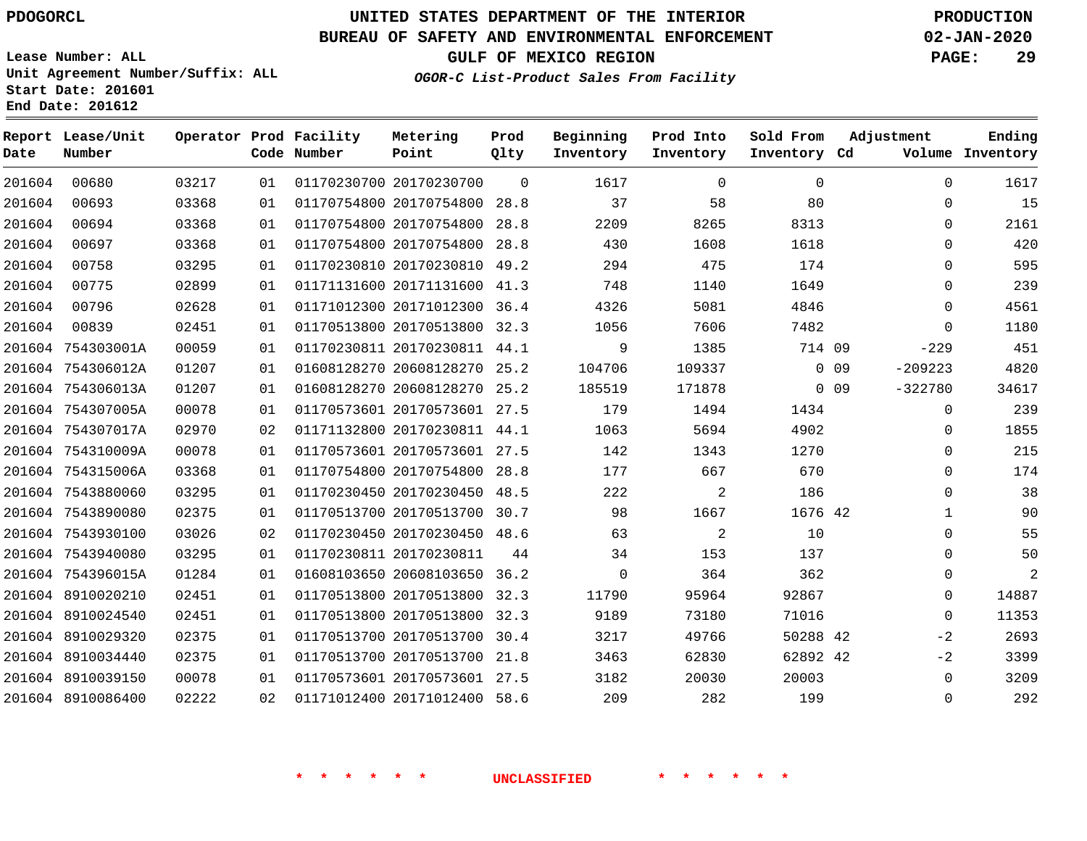**Date**

**End Date: 201612**

**Report Lease/Unit**

**Number**

### **UNITED STATES DEPARTMENT OF THE INTERIOR PDOGORCL PRODUCTION**

**Prod Qlty**

#### **BUREAU OF SAFETY AND ENVIRONMENTAL ENFORCEMENT 02-JAN-2020**

**Lease Number: ALL Unit Agreement Number/Suffix: ALL Start Date: 201601**

**Operator Prod Facility**

**Code Number**

**OGOR-C List-Product Sales From Facility**

**Beginning Inventory** **Sold From Inventory**

**Prod Into Inventory**

**GULF OF MEXICO REGION PAGE: 29**

**Inventory Cd Volume**

**Adjustment**

  $\Omega$   $\Omega$  $\Omega$  -229 -209223 -322780

> $\Omega$  $\Omega$   $\Omega$  $\overline{0}$   $\Omega$  $\Omega$  $\Omega$   $-2$  $-2$

**Ending**

|        | $\Omega$ | $\mathbf 0$    | 1617     | $\Omega$ | 01170230700 20170230700      | 01 | 03217 | 00680             | 201604 |
|--------|----------|----------------|----------|----------|------------------------------|----|-------|-------------------|--------|
|        | 80       | 58             | 37       | 28.8     | 01170754800 20170754800      | 01 | 03368 | 00693             | 201604 |
|        | 8313     | 8265           | 2209     | 28.8     | 01170754800 20170754800      | 01 | 03368 | 00694             | 201604 |
|        | 1618     | 1608           | 430      | 28.8     | 01170754800 20170754800      | 01 | 03368 | 00697             | 201604 |
|        | 174      | 475            | 294      | 49.2     | 01170230810 20170230810      | 01 | 03295 | 00758             | 201604 |
|        | 1649     | 1140           | 748      | 41.3     | 01171131600 20171131600      | 01 | 02899 | 00775             | 201604 |
|        | 4846     | 5081           | 4326     | 36.4     | 01171012300 20171012300      | 01 | 02628 | 00796             | 201604 |
|        | 7482     | 7606           | 1056     | 32.3     | 01170513800 20170513800      | 01 | 02451 | 00839             | 201604 |
|        | 714 09   | 1385           | 9        | 44.1     | 01170230811 20170230811      | 01 | 00059 | 754303001A        | 201604 |
| $0$ 09 |          | 109337         | 104706   | 25.2     | 01608128270 20608128270      | 01 | 01207 | 754306012A        | 201604 |
| $0$ 09 |          | 171878         | 185519   | 25.2     | 01608128270 20608128270      | 01 | 01207 | 754306013A        | 201604 |
|        | 1434     | 1494           | 179      |          | 01170573601 20170573601 27.5 | 01 | 00078 | 201604 754307005A |        |
|        | 4902     | 5694           | 1063     | 44.1     | 01171132800 20170230811      | 02 | 02970 | 754307017A        | 201604 |
|        | 1270     | 1343           | 142      | 27.5     | 01170573601 20170573601      | 01 | 00078 | 201604 754310009A |        |
|        | 670      | 667            | 177      | 28.8     | 01170754800 20170754800      | 01 | 03368 | 201604 754315006A |        |
|        | 186      | 2              | 222      | 48.5     | 01170230450 20170230450      | 01 | 03295 | 201604 7543880060 |        |
|        | 1676 42  | 1667           | 98       | 30.7     | 01170513700 20170513700      | 01 | 02375 | 7543890080        | 201604 |
|        | 10       | $\overline{2}$ | 63       | 48.6     | 01170230450 20170230450      | 02 | 03026 | 7543930100        | 201604 |
|        | 137      | 153            | 34       | 44       | 01170230811 20170230811      | 01 | 03295 | 7543940080        | 201604 |
|        | 362      | 364            | $\Omega$ | 36.2     | 01608103650 20608103650      | 01 | 01284 | 201604 754396015A |        |
|        | 92867    | 95964          | 11790    | 32.3     | 01170513800 20170513800      | 01 | 02451 | 201604 8910020210 |        |
|        | 71016    | 73180          | 9189     | 32.3     | 01170513800 20170513800      | 01 | 02451 | 8910024540        | 201604 |
|        | 50288 42 | 49766          | 3217     | 30.4     | 01170513700 20170513700      | 01 | 02375 | 201604 8910029320 |        |
|        | 62892 42 | 62830          | 3463     | 21.8     | 01170513700 20170513700      | 01 | 02375 | 8910034440        | 201604 |
|        | 20003    | 20030          | 3182     | 27.5     | 01170573601 20170573601      | 01 | 00078 | 201604 8910039150 |        |
|        | 199      | 282            | 209      | 58.6     | 01171012400 20171012400      | 02 | 02222 | 8910086400        | 201604 |

**Metering Point**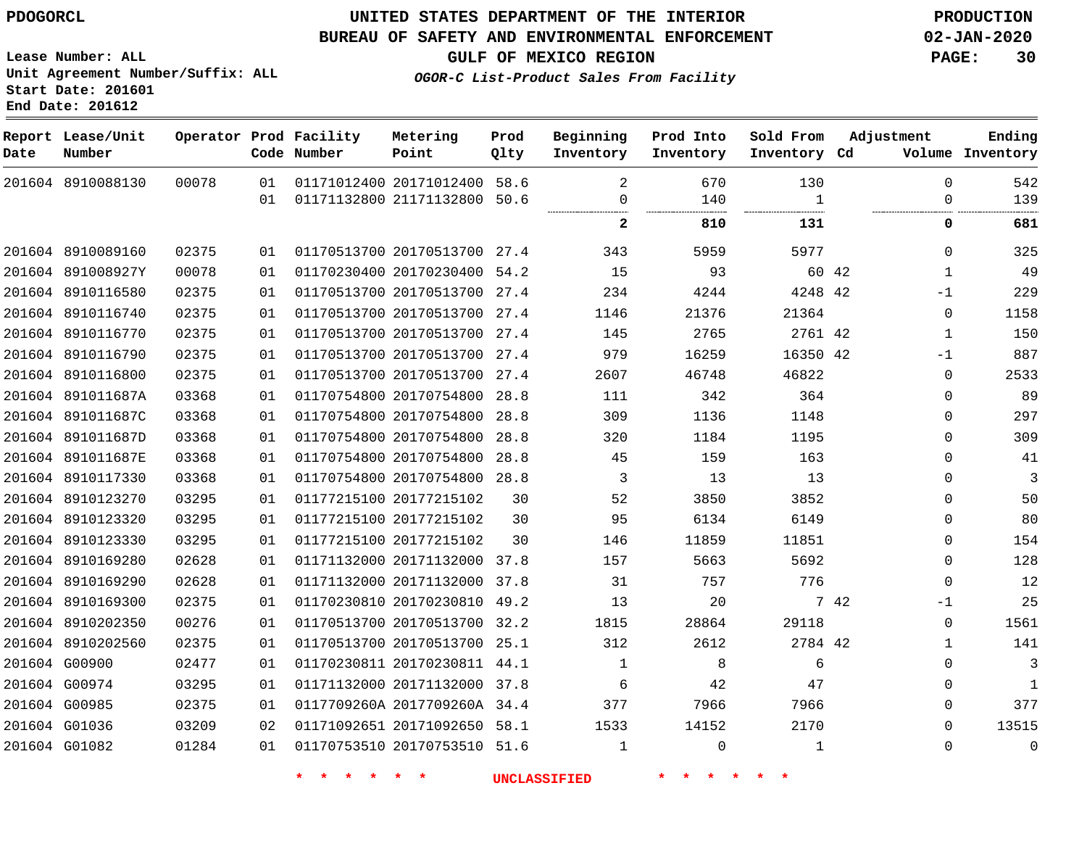8910088130

**Report Lease/Unit**

**Number**

### **UNITED STATES DEPARTMENT OF THE INTERIOR PDOGORCL PRODUCTION**

**Prod Qlty**

#### **BUREAU OF SAFETY AND ENVIRONMENTAL ENFORCEMENT 02-JAN-2020**

**Lease Number: ALL Unit Agreement Number/Suffix: ALL Start Date: 201601 End Date: 201612**

**Operator Prod Facility**

**Code Number**

 20171012400 58.6 21171132800 50.6

**Metering Point**

  **OGOR-C List-Product Sales From Facility**

**Beginning Inventory**

> $\Omega$

   

**Sold From Inventory**

**Prod Into Inventory**

**GULF OF MEXICO REGION PAGE: 30**

**Inventory Cd Volume**

**Adjustment**

  $\Omega$ 

 

**Ending**

|                   |       |    |                              |    |                |          | .        |       |              |                |
|-------------------|-------|----|------------------------------|----|----------------|----------|----------|-------|--------------|----------------|
|                   |       |    |                              |    | 2              | 810      | 131      |       | 0            | 681            |
| 201604 8910089160 | 02375 | 01 | 01170513700 20170513700 27.4 |    | 343            | 5959     | 5977     |       | $\Omega$     | 325            |
| 201604 891008927Y | 00078 | 01 | 01170230400 20170230400 54.2 |    | 15             | 93       |          | 60 42 | $\mathbf{1}$ | 49             |
| 201604 8910116580 | 02375 | 01 | 01170513700 20170513700 27.4 |    | 234            | 4244     | 4248 42  |       | $-1$         | 229            |
| 201604 8910116740 | 02375 | 01 | 01170513700 20170513700 27.4 |    | 1146           | 21376    | 21364    |       | $\mathbf 0$  | 1158           |
| 201604 8910116770 | 02375 | 01 | 01170513700 20170513700 27.4 |    | 145            | 2765     | 2761 42  |       | $\mathbf{1}$ | 150            |
| 201604 8910116790 | 02375 | 01 | 01170513700 20170513700 27.4 |    | 979            | 16259    | 16350 42 |       | $-1$         | 887            |
| 201604 8910116800 | 02375 | 01 | 01170513700 20170513700 27.4 |    | 2607           | 46748    | 46822    |       | $\mathbf 0$  | 2533           |
| 201604 891011687A | 03368 | 01 | 01170754800 20170754800 28.8 |    | 111            | 342      | 364      |       | $\Omega$     | 89             |
| 201604 891011687C | 03368 | 01 | 01170754800 20170754800 28.8 |    | 309            | 1136     | 1148     |       | $\Omega$     | 297            |
| 201604 891011687D | 03368 | 01 | 01170754800 20170754800 28.8 |    | 320            | 1184     | 1195     |       | $\Omega$     | 309            |
| 201604 891011687E | 03368 | 01 | 01170754800 20170754800 28.8 |    | 45             | 159      | 163      |       | $\Omega$     | 41             |
| 201604 8910117330 | 03368 | 01 | 01170754800 20170754800 28.8 |    | 3              | 13       | 13       |       | $\Omega$     | $\overline{3}$ |
| 201604 8910123270 | 03295 | 01 | 01177215100 20177215102      | 30 | 52             | 3850     | 3852     |       | 0            | 50             |
| 201604 8910123320 | 03295 | 01 | 01177215100 20177215102      | 30 | 95             | 6134     | 6149     |       | $\Omega$     | 80             |
| 201604 8910123330 | 03295 | 01 | 01177215100 20177215102      | 30 | 146            | 11859    | 11851    |       | $\mathbf 0$  | 154            |
| 201604 8910169280 | 02628 | 01 | 01171132000 20171132000 37.8 |    | 157            | 5663     | 5692     |       | $\Omega$     | 128            |
| 201604 8910169290 | 02628 | 01 | 01171132000 20171132000 37.8 |    | 31             | 757      | 776      |       | $\Omega$     | 12             |
| 201604 8910169300 | 02375 | 01 | 01170230810 20170230810 49.2 |    | 13             | -20      |          | 7 42  | $-1$         | 25             |
| 201604 8910202350 | 00276 | 01 | 01170513700 20170513700 32.2 |    | 1815           | 28864    | 29118    |       | $\mathbf{0}$ | 1561           |
| 201604 8910202560 | 02375 | 01 | 01170513700 20170513700 25.1 |    | 312            | 2612     | 2784 42  |       | $\mathbf{1}$ | 141            |
| 201604 G00900     | 02477 | 01 | 01170230811 20170230811 44.1 |    | $\overline{1}$ | 8        | 6        |       | $\Omega$     | 3              |
| 201604 G00974     | 03295 | 01 | 01171132000 20171132000 37.8 |    | 6              | 42       | 47       |       | $\Omega$     | 1              |
| 201604 G00985     | 02375 | 01 | 0117709260A 2017709260A 34.4 |    | 377            | 7966     | 7966     |       | $\mathbf{0}$ | 377            |
| 201604 G01036     | 03209 | 02 | 01171092651 20171092650 58.1 |    | 1533           | 14152    | 2170     |       | $\Omega$     | 13515          |
| 201604 G01082     | 01284 | 01 | 01170753510 20170753510 51.6 |    | 1              | $\Omega$ | 1        |       | $\Omega$     | 0              |
|                   |       |    |                              |    |                |          |          |       |              |                |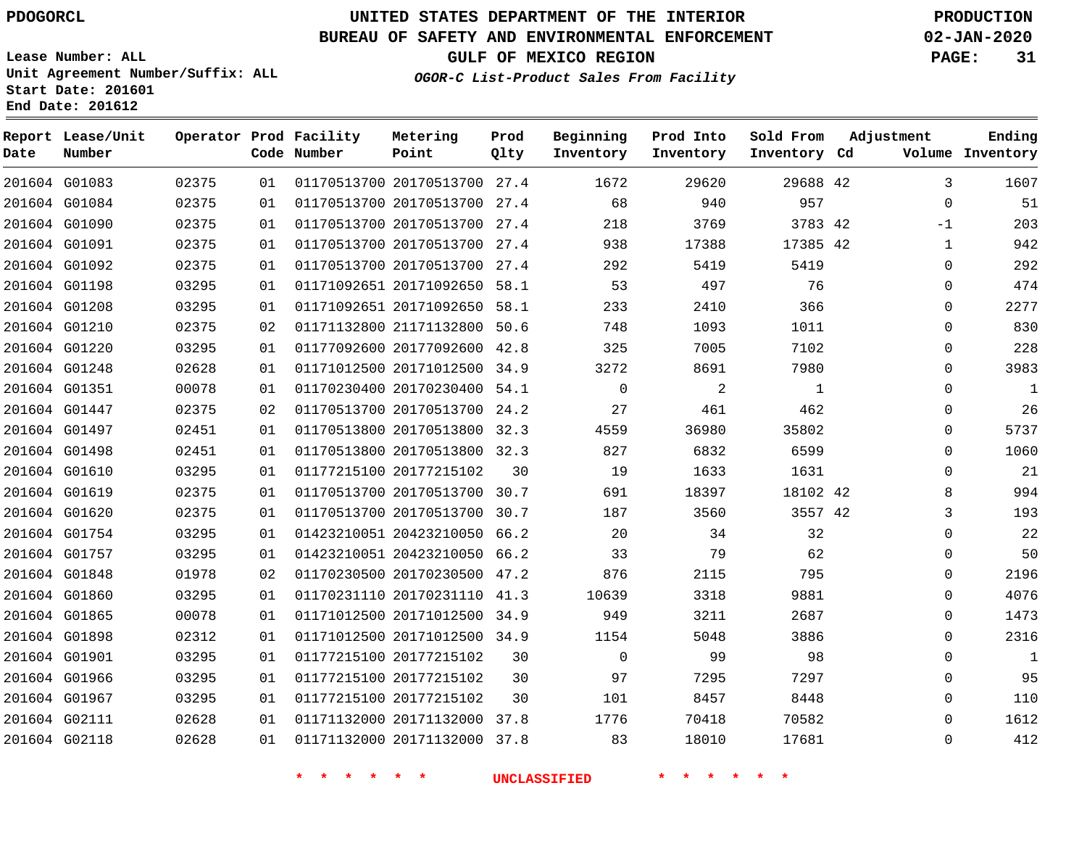**Report Lease/Unit**

### **UNITED STATES DEPARTMENT OF THE INTERIOR PDOGORCL PRODUCTION**

**Prod**

#### **BUREAU OF SAFETY AND ENVIRONMENTAL ENFORCEMENT 02-JAN-2020**

**Lease Number: ALL Unit Agreement Number/Suffix: ALL Start Date: 201601 End Date: 201612**

**Operator Prod Facility**

**OGOR-C List-Product Sales From Facility**

**Beginning**

**Prod Into**

**Sold From**

**GULF OF MEXICO REGION PAGE: 31**

**Adjustment**

**Ending**

| Date | Number        |       |    | Code Number | Point                        | Qlty | Inventory   | Inventory | Inventory Cd |              | Volume Inventory |
|------|---------------|-------|----|-------------|------------------------------|------|-------------|-----------|--------------|--------------|------------------|
|      | 201604 G01083 | 02375 | 01 |             | 01170513700 20170513700 27.4 |      | 1672        | 29620     | 29688 42     | 3            | 1607             |
|      | 201604 G01084 | 02375 | 01 |             | 01170513700 20170513700 27.4 |      | 68          | 940       | 957          | $\mathbf{0}$ | 51               |
|      | 201604 G01090 | 02375 | 01 |             | 01170513700 20170513700 27.4 |      | 218         | 3769      | 3783 42      | -1           | 203              |
|      | 201604 G01091 | 02375 | 01 |             | 01170513700 20170513700 27.4 |      | 938         | 17388     | 17385 42     | 1            | 942              |
|      | 201604 G01092 | 02375 | 01 |             | 01170513700 20170513700 27.4 |      | 292         | 5419      | 5419         | $\Omega$     | 292              |
|      | 201604 G01198 | 03295 | 01 |             | 01171092651 20171092650 58.1 |      | 53          | 497       | 76           | $\Omega$     | 474              |
|      | 201604 G01208 | 03295 | 01 |             | 01171092651 20171092650 58.1 |      | 233         | 2410      | 366          | 0            | 2277             |
|      | 201604 G01210 | 02375 | 02 |             | 01171132800 21171132800 50.6 |      | 748         | 1093      | 1011         | $\Omega$     | 830              |
|      | 201604 G01220 | 03295 | 01 |             | 01177092600 20177092600 42.8 |      | 325         | 7005      | 7102         | $\Omega$     | 228              |
|      | 201604 G01248 | 02628 | 01 |             | 01171012500 20171012500 34.9 |      | 3272        | 8691      | 7980         | $\Omega$     | 3983             |
|      | 201604 G01351 | 00078 | 01 |             | 01170230400 20170230400 54.1 |      | $\mathbf 0$ | 2         | 1            | $\Omega$     | 1                |
|      | 201604 G01447 | 02375 | 02 |             | 01170513700 20170513700 24.2 |      | 27          | 461       | 462          | 0            | 26               |
|      | 201604 G01497 | 02451 | 01 |             | 01170513800 20170513800 32.3 |      | 4559        | 36980     | 35802        | $\Omega$     | 5737             |
|      | 201604 G01498 | 02451 | 01 |             | 01170513800 20170513800 32.3 |      | 827         | 6832      | 6599         | $\Omega$     | 1060             |
|      | 201604 G01610 | 03295 | 01 |             | 01177215100 20177215102      | 30   | 19          | 1633      | 1631         | 0            | 21               |
|      | 201604 G01619 | 02375 | 01 |             | 01170513700 20170513700 30.7 |      | 691         | 18397     | 18102 42     | 8            | 994              |
|      | 201604 G01620 | 02375 | 01 |             | 01170513700 20170513700 30.7 |      | 187         | 3560      | 3557 42      | 3            | 193              |
|      | 201604 G01754 | 03295 | 01 |             | 01423210051 20423210050 66.2 |      | 20          | 34        | 32           | 0            | 22               |
|      | 201604 G01757 | 03295 | 01 |             | 01423210051 20423210050 66.2 |      | 33          | 79        | 62           | 0            | 50               |
|      | 201604 G01848 | 01978 | 02 |             | 01170230500 20170230500 47.2 |      | 876         | 2115      | 795          | $\Omega$     | 2196             |
|      | 201604 G01860 | 03295 | 01 |             | 01170231110 20170231110 41.3 |      | 10639       | 3318      | 9881         | $\Omega$     | 4076             |
|      | 201604 G01865 | 00078 | 01 |             | 01171012500 20171012500 34.9 |      | 949         | 3211      | 2687         | $\Omega$     | 1473             |
|      | 201604 G01898 | 02312 | 01 |             | 01171012500 20171012500 34.9 |      | 1154        | 5048      | 3886         | $\Omega$     | 2316             |
|      | 201604 G01901 | 03295 | 01 |             | 01177215100 20177215102      | 30   | 0           | 99        | 98           | $\Omega$     | 1                |
|      | 201604 G01966 | 03295 | 01 |             | 01177215100 20177215102      | 30   | 97          | 7295      | 7297         | 0            | 95               |
|      | 201604 G01967 | 03295 | 01 |             | 01177215100 20177215102      | 30   | 101         | 8457      | 8448         | $\Omega$     | 110              |
|      | 201604 G02111 | 02628 | 01 |             | 01171132000 20171132000 37.8 |      | 1776        | 70418     | 70582        | $\Omega$     | 1612             |
|      | 201604 G02118 | 02628 | 01 |             | 01171132000 20171132000 37.8 |      | 83          | 18010     | 17681        | $\Omega$     | 412              |

**Metering**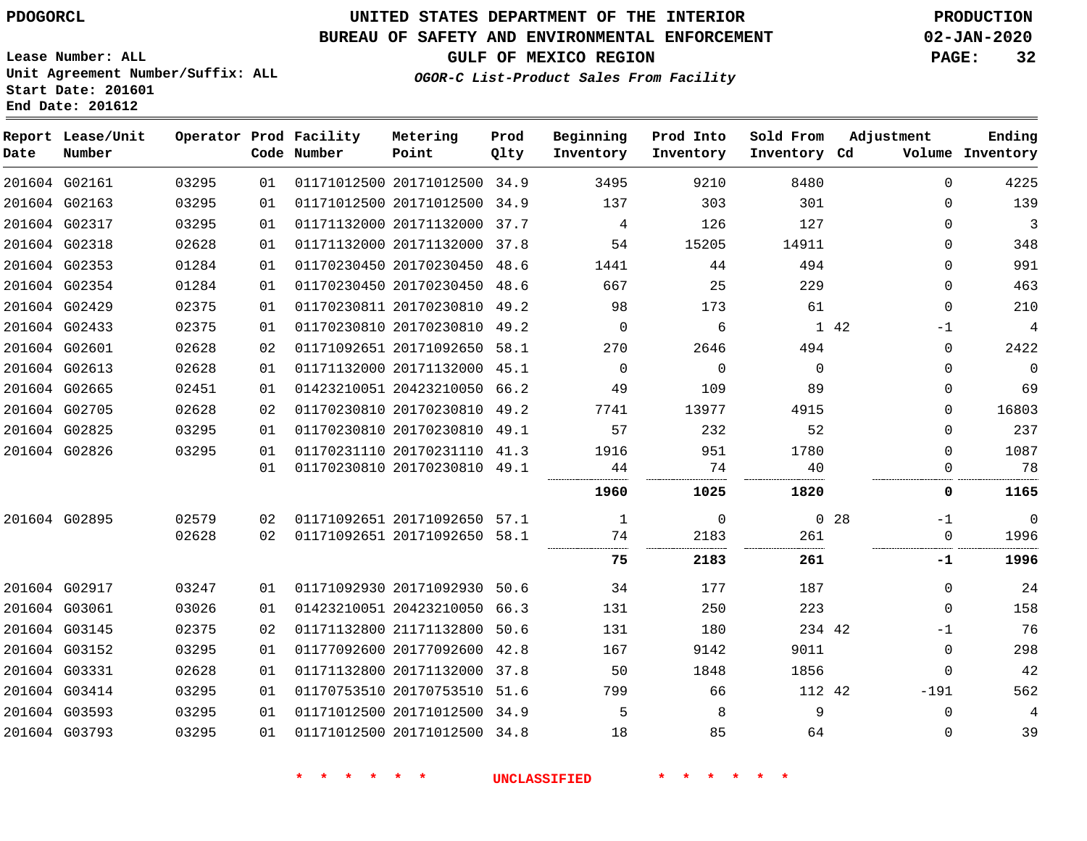**Report Lease/Unit**

**Number**

### **UNITED STATES DEPARTMENT OF THE INTERIOR PDOGORCL PRODUCTION**

**Prod Qlty**

#### **BUREAU OF SAFETY AND ENVIRONMENTAL ENFORCEMENT 02-JAN-2020**

**Lease Number: ALL Unit Agreement Number/Suffix: ALL Start Date: 201601 End Date: 201612**

**Operator Prod Facility**

**Code Number**

**OGOR-C List-Product Sales From Facility**

**Sold From Inventory**

**Prod Into Inventory**

**Beginning Inventory**

**GULF OF MEXICO REGION PAGE: 32**

**Inventory Cd Volume**

**Adjustment**

**Ending**

-1  $\overline{0}$ 

**-1**

 

|               |                                |                |          |                                                              | <b>UNCLASSIFIED</b> |          |             |             |                            |
|---------------|--------------------------------|----------------|----------|--------------------------------------------------------------|---------------------|----------|-------------|-------------|----------------------------|
|               |                                |                |          |                                                              |                     |          |             |             |                            |
|               | 201604 G03593<br>201604 G03793 | 03295<br>03295 | 01<br>01 | 01171012500 20171012500 34.9<br>01171012500 20171012500 34.8 | 5<br>18             | 8<br>85  | 9<br>64     |             | $\mathbf 0$<br>$\mathbf 0$ |
|               | 201604 G03414                  | 03295          | 01       | 01170753510 20170753510 51.6                                 | 799                 | 66       | 112 42      |             | $-191$                     |
|               | 201604 G03331                  | 02628          | 01       | 01171132800 20171132000 37.8                                 | 50                  | 1848     | 1856        |             | $\mathbf 0$                |
|               | 201604 G03152                  | 03295          | 01       | 01177092600 20177092600 42.8                                 | 167                 | 9142     | 9011        |             | $\overline{0}$             |
|               | 201604 G03145                  | 02375          | 02       | 01171132800 21171132800 50.6                                 | 131                 | 180      | 234 42      |             | $-1$                       |
|               | 201604 G03061                  | 03026          | 01       | 01423210051 20423210050 66.3                                 | 131                 | 250      | 223         |             | $\overline{0}$             |
|               | 201604 G02917                  | 03247          | 01       | 01171092930 20171092930 50.6                                 | 34                  | 177      | 187         |             | $\mathbf 0$                |
|               |                                |                |          |                                                              | 75                  | 2183     | 261         |             | -1                         |
|               |                                | 02628          | 02       | 01171092651 20171092650 58.1                                 | 74                  | 2183     | 261         |             | $\Omega$                   |
|               | 201604 G02895                  | 02579          | 02       | 01171092651 20171092650 57.1                                 | 1                   | 0        |             | $0\quad 28$ | $-1$                       |
|               |                                |                |          |                                                              | 1960                | 1025     | 1820        |             | 0                          |
|               |                                |                | 01       | 01170230810 20170230810 49.1                                 | 44                  | 74       | 40          |             | $\Omega$                   |
|               | 201604 G02826                  | 03295          | 01       | 01170231110 20170231110 41.3                                 | 1916                | 951      | 1780        |             | 0                          |
|               | 201604 G02825                  | 03295          | 01       | 01170230810 20170230810 49.1                                 | 57                  | 232      | 52          |             | $\mathbf 0$                |
| 201604 G02705 |                                | 02628          | 02       | 01170230810 20170230810 49.2                                 | 7741                | 13977    | 4915        |             | $\mathbf 0$                |
|               | 201604 G02665                  | 02451          | 01       | 01423210051 20423210050 66.2                                 | 49                  | 109      | 89          |             | $\mathbf 0$                |
| 201604 G02613 |                                | 02628          | 01       | 01171132000 20171132000 45.1                                 | $\Omega$            | $\Omega$ | $\mathbf 0$ |             | $\mathbf 0$                |
|               | 201604 G02601                  | 02628          | 02       | 01171092651 20171092650 58.1                                 | 270                 | 2646     | 494         |             | $\mathbf 0$                |
|               | 201604 G02433                  | 02375          | 01       | 01170230810 20170230810 49.2                                 | $\Omega$            | 6        |             | 1 42        | $-1$                       |
|               | 201604 G02429                  | 02375          | 01       | 01170230811 20170230810 49.2                                 | 98                  | 173      | 61          |             | $\mathbf 0$                |
|               | 201604 G02354                  | 01284          | 01       | 01170230450 20170230450 48.6                                 | 667                 | 25       | 229         |             | $\mathbf 0$                |
|               | 201604 G02353                  | 01284          | 01       | 01170230450 20170230450 48.6                                 | 1441                | 44       | 494         |             | $\mathbf 0$                |
| 201604 G02318 |                                | 02628          | 01       | 01171132000 20171132000 37.8                                 | 54                  | 15205    | 14911       |             | $\mathbf 0$                |
|               | 201604 G02317                  | 03295          | 01       | 01171132000 20171132000 37.7                                 | 4                   | 126      | 127         |             | $\mathbf 0$                |
|               | 201604 G02163                  | 03295          | 01       | 01171012500 20171012500 34.9                                 | 137                 | 303      | 301         |             | 0                          |
|               | 201604 G02161                  | 03295          | 01       | 01171012500 20171012500 34.9                                 | 3495                | 9210     | 8480        |             | $\Omega$                   |

**Metering Point**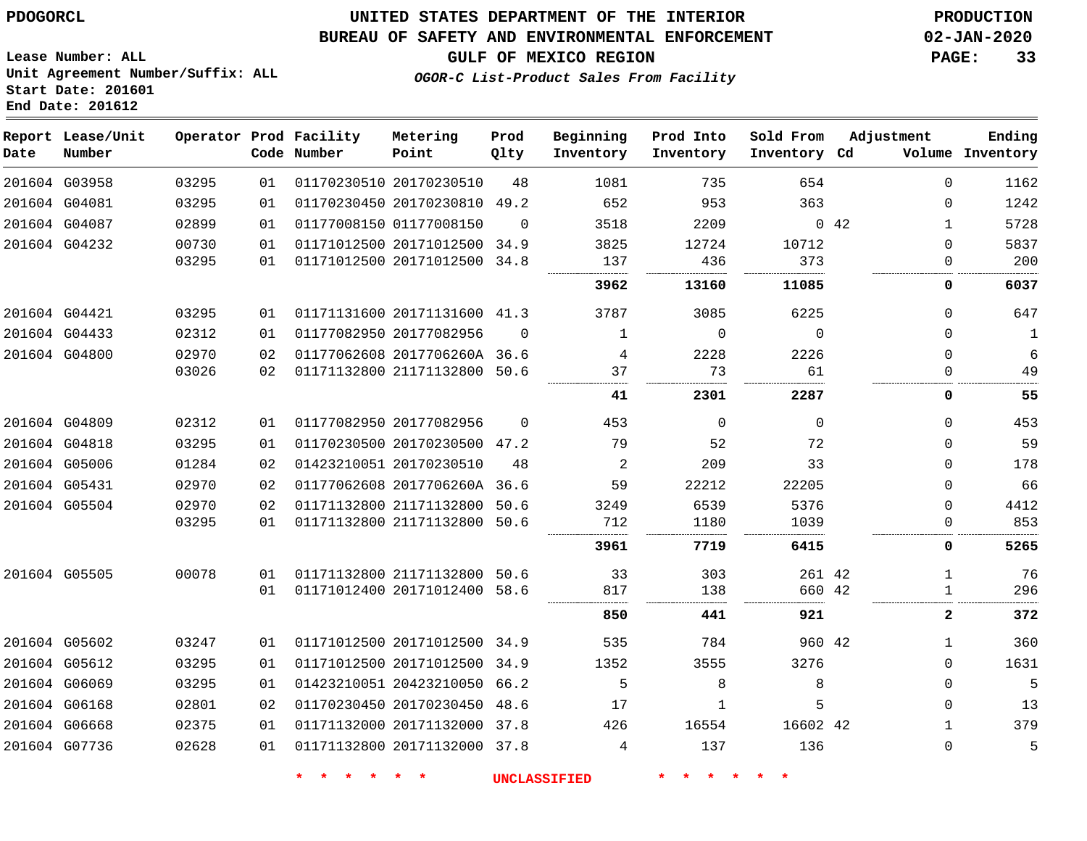#### **BUREAU OF SAFETY AND ENVIRONMENTAL ENFORCEMENT 02-JAN-2020**

**OGOR-C List-Product Sales From Facility**

**GULF OF MEXICO REGION PAGE: 33**

**Lease Number: ALL Unit Agreement Number/Suffix: ALL Start Date: 201601 End Date: 201612**

| Date          | Report Lease/Unit<br>Number |       |    | Operator Prod Facility<br>Code Number | Metering<br>Point            | Prod<br>Qlty | Beginning<br>Inventory | Prod Into<br>Inventory | Sold From<br>Inventory Cd | Adjustment   | Ending<br>Volume Inventory |
|---------------|-----------------------------|-------|----|---------------------------------------|------------------------------|--------------|------------------------|------------------------|---------------------------|--------------|----------------------------|
|               | 201604 G03958               | 03295 | 01 |                                       | 01170230510 20170230510      | 48           | 1081                   | 735                    | 654                       | $\Omega$     | 1162                       |
|               | 201604 G04081               | 03295 | 01 |                                       | 01170230450 20170230810 49.2 |              | 652                    | 953                    | 363                       | $\Omega$     | 1242                       |
|               | 201604 G04087               | 02899 | 01 |                                       | 01177008150 01177008150      | $\Omega$     | 3518                   | 2209                   |                           | 042          | 5728                       |
|               | 201604 G04232               | 00730 | 01 |                                       | 01171012500 20171012500 34.9 |              | 3825                   | 12724                  | 10712                     | $\Omega$     | 5837                       |
|               |                             | 03295 | 01 |                                       | 01171012500 20171012500 34.8 |              | 137                    | 436                    | 373                       | 0            | 200                        |
|               |                             |       |    |                                       |                              |              | 3962                   | 13160                  | 11085                     | 0            | 6037                       |
|               | 201604 G04421               | 03295 | 01 |                                       | 01171131600 20171131600 41.3 |              | 3787                   | 3085                   | 6225                      | $\mathbf 0$  | 647                        |
|               | 201604 G04433               | 02312 | 01 |                                       | 01177082950 20177082956      | $\Omega$     | 1                      | $\Omega$               | $\Omega$                  | $\Omega$     | 1                          |
|               | 201604 G04800               | 02970 | 02 |                                       | 01177062608 2017706260A 36.6 |              | 4                      | 2228                   | 2226                      | 0            | 6                          |
|               |                             | 03026 | 02 |                                       | 01171132800 21171132800      | 50.6         | 37                     | 73                     | 61                        | $\Omega$     | 49                         |
|               |                             |       |    |                                       |                              |              | 41                     | 2301                   | 2287                      | 0            | 55                         |
|               | 201604 G04809               | 02312 | 01 |                                       | 01177082950 20177082956      | $\Omega$     | 453                    | $\Omega$               | $\Omega$                  | $\Omega$     | 453                        |
|               | 201604 G04818               | 03295 | 01 |                                       | 01170230500 20170230500 47.2 |              | 79                     | 52                     | 72                        | $\Omega$     | 59                         |
|               | 201604 G05006               | 01284 | 02 |                                       | 01423210051 20170230510      | 48           | 2                      | 209                    | 33                        | $\Omega$     | 178                        |
| 201604 G05431 |                             | 02970 | 02 |                                       | 01177062608 2017706260A 36.6 |              | 59                     | 22212                  | 22205                     | $\Omega$     | 66                         |
|               | 201604 G05504               | 02970 | 02 |                                       | 01171132800 21171132800      | 50.6         | 3249                   | 6539                   | 5376                      | $\Omega$     | 4412                       |
|               |                             | 03295 | 01 |                                       | 01171132800 21171132800      | 50.6         | 712<br>.               | 1180                   | 1039                      | $\Omega$     | 853                        |
|               |                             |       |    |                                       |                              |              | 3961                   | 7719                   | 6415                      | 0            | 5265                       |
|               | 201604 G05505               | 00078 | 01 |                                       | 01171132800 21171132800      | 50.6         | 33                     | 303                    | 261 42                    | 1            | 76                         |
|               |                             |       | 01 |                                       | 01171012400 20171012400      | 58.6         | 817                    | 138                    | 660 42                    | 1            | 296                        |
|               |                             |       |    |                                       |                              |              | 850                    | 441                    | 921                       | $\mathbf{2}$ | 372                        |
|               | 201604 G05602               | 03247 | 01 |                                       | 01171012500 20171012500 34.9 |              | 535                    | 784                    | 960 42                    | $\mathbf{1}$ | 360                        |
|               | 201604 G05612               | 03295 | 01 |                                       | 01171012500 20171012500 34.9 |              | 1352                   | 3555                   | 3276                      | 0            | 1631                       |
|               | 201604 G06069               | 03295 | 01 |                                       | 01423210051 20423210050      | 66.2         | 5                      | 8                      | 8                         | $\Omega$     | 5                          |
|               | 201604 G06168               | 02801 | 02 |                                       | 01170230450 20170230450 48.6 |              | 17                     | 1                      | 5                         | 0            | 13                         |
| 201604 G06668 |                             | 02375 | 01 |                                       | 01171132000 20171132000 37.8 |              | 426                    | 16554                  | 16602 42                  | $\mathbf{1}$ | 379                        |
|               | 201604 G07736               | 02628 | 01 |                                       | 01171132800 20171132000 37.8 |              | 4                      | 137                    | 136                       | $\mathbf 0$  | 5                          |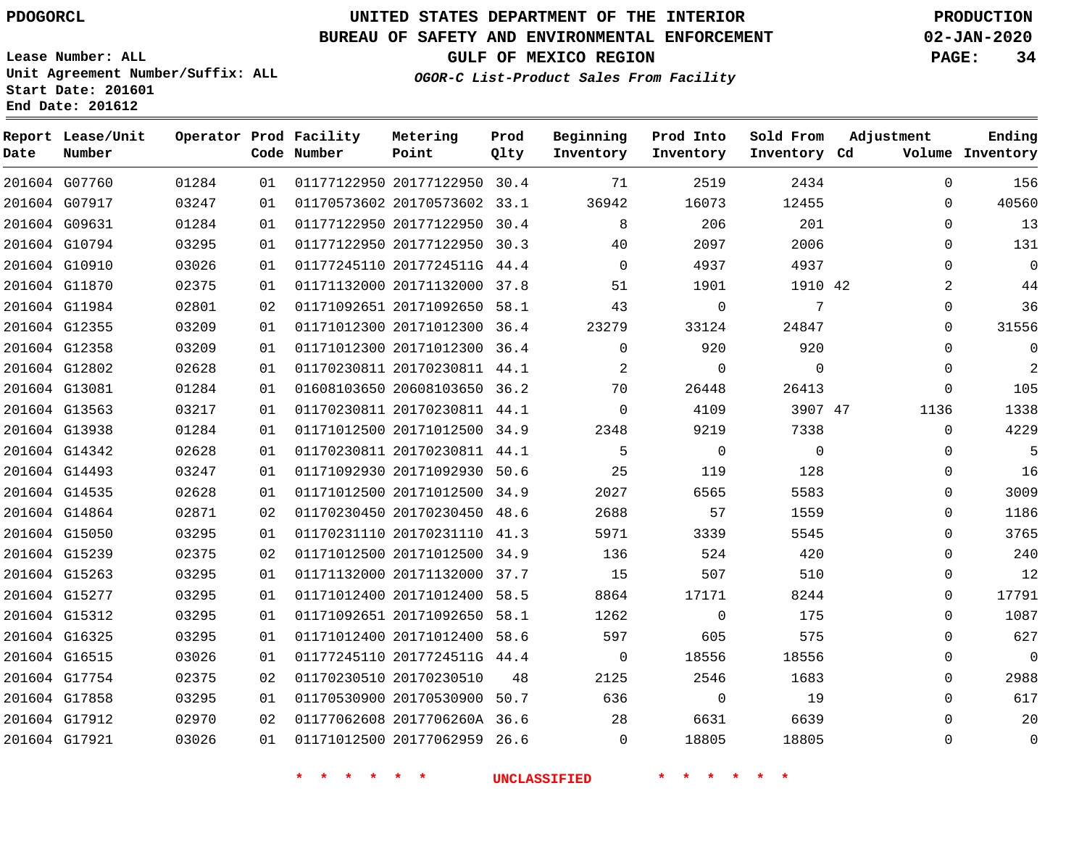### **BUREAU OF SAFETY AND ENVIRONMENTAL ENFORCEMENT 02-JAN-2020**

**Lease Number: ALL Unit Agreement Number/Suffix: ALL Start Date: 201601**

**End Date: 201612**

**OGOR-C List-Product Sales From Facility**

**GULF OF MEXICO REGION PAGE: 34**

| Date | Report Lease/Unit<br>Number |       |    | Operator Prod Facility<br>Code Number | Metering<br>Point            | Prod<br>Qlty | Beginning<br>Inventory | Prod Into<br>Inventory | Sold From<br>Inventory Cd | Adjustment  | Ending<br>Volume Inventory |
|------|-----------------------------|-------|----|---------------------------------------|------------------------------|--------------|------------------------|------------------------|---------------------------|-------------|----------------------------|
|      | 201604 G07760               | 01284 | 01 |                                       | 01177122950 20177122950 30.4 |              | 71                     | 2519                   | 2434                      | $\mathbf 0$ | 156                        |
|      | 201604 G07917               | 03247 | 01 |                                       | 01170573602 20170573602 33.1 |              | 36942                  | 16073                  | 12455                     | $\mathbf 0$ | 40560                      |
|      | 201604 G09631               | 01284 | 01 |                                       | 01177122950 20177122950 30.4 |              | 8                      | 206                    | 201                       | $\mathbf 0$ | 13                         |
|      | 201604 G10794               | 03295 | 01 |                                       | 01177122950 20177122950 30.3 |              | 40                     | 2097                   | 2006                      | $\Omega$    | 131                        |
|      | 201604 G10910               | 03026 | 01 |                                       | 01177245110 2017724511G 44.4 |              | $\Omega$               | 4937                   | 4937                      | $\Omega$    | $\Omega$                   |
|      | 201604 G11870               | 02375 | 01 |                                       | 01171132000 20171132000 37.8 |              | 51                     | 1901                   | 1910 42                   | 2           | 44                         |
|      | 201604 G11984               | 02801 | 02 |                                       | 01171092651 20171092650 58.1 |              | 43                     | $\mathbf 0$            | 7                         | $\Omega$    | 36                         |
|      | 201604 G12355               | 03209 | 01 |                                       | 01171012300 20171012300 36.4 |              | 23279                  | 33124                  | 24847                     | $\Omega$    | 31556                      |
|      | 201604 G12358               | 03209 | 01 |                                       | 01171012300 20171012300 36.4 |              | $\Omega$               | 920                    | 920                       | $\Omega$    | $\mathbf 0$                |
|      | 201604 G12802               | 02628 | 01 |                                       | 01170230811 20170230811 44.1 |              | $\overline{2}$         | $\Omega$               | $\Omega$                  | $\Omega$    | 2                          |
|      | 201604 G13081               | 01284 | 01 |                                       | 01608103650 20608103650 36.2 |              | 70                     | 26448                  | 26413                     | $\mathbf 0$ | 105                        |
|      | 201604 G13563               | 03217 | 01 |                                       | 01170230811 20170230811 44.1 |              | $\Omega$               | 4109                   | 3907 47                   | 1136        | 1338                       |
|      | 201604 G13938               | 01284 | 01 |                                       | 01171012500 20171012500 34.9 |              | 2348                   | 9219                   | 7338                      | $\Omega$    | 4229                       |
|      | 201604 G14342               | 02628 | 01 |                                       | 01170230811 20170230811 44.1 |              | 5                      | $\Omega$               | $\Omega$                  | $\Omega$    | 5                          |
|      | 201604 G14493               | 03247 | 01 |                                       | 01171092930 20171092930 50.6 |              | 25                     | 119                    | 128                       | $\mathbf 0$ | 16                         |
|      | 201604 G14535               | 02628 | 01 |                                       | 01171012500 20171012500 34.9 |              | 2027                   | 6565                   | 5583                      | $\Omega$    | 3009                       |
|      | 201604 G14864               | 02871 | 02 |                                       | 01170230450 20170230450 48.6 |              | 2688                   | 57                     | 1559                      | $\Omega$    | 1186                       |
|      | 201604 G15050               | 03295 | 01 |                                       | 01170231110 20170231110 41.3 |              | 5971                   | 3339                   | 5545                      | $\mathbf 0$ | 3765                       |
|      | 201604 G15239               | 02375 | 02 |                                       | 01171012500 20171012500 34.9 |              | 136                    | 524                    | 420                       | $\mathbf 0$ | 240                        |
|      | 201604 G15263               | 03295 | 01 |                                       | 01171132000 20171132000 37.7 |              | 15                     | 507                    | 510                       | $\mathbf 0$ | 12                         |
|      | 201604 G15277               | 03295 | 01 |                                       | 01171012400 20171012400 58.5 |              | 8864                   | 17171                  | 8244                      | $\Omega$    | 17791                      |
|      | 201604 G15312               | 03295 | 01 |                                       | 01171092651 20171092650 58.1 |              | 1262                   | $\Omega$               | 175                       | $\Omega$    | 1087                       |
|      | 201604 G16325               | 03295 | 01 |                                       | 01171012400 20171012400 58.6 |              | 597                    | 605                    | 575                       | $\Omega$    | 627                        |
|      | 201604 G16515               | 03026 | 01 |                                       | 01177245110 2017724511G 44.4 |              | $\overline{0}$         | 18556                  | 18556                     | $\Omega$    | $\overline{0}$             |
|      | 201604 G17754               | 02375 | 02 |                                       | 01170230510 20170230510      | 48           | 2125                   | 2546                   | 1683                      | $\Omega$    | 2988                       |
|      | 201604 G17858               | 03295 | 01 |                                       | 01170530900 20170530900 50.7 |              | 636                    | $\overline{0}$         | 19                        | $\Omega$    | 617                        |
|      | 201604 G17912               | 02970 | 02 |                                       | 01177062608 2017706260A 36.6 |              | 28                     | 6631                   | 6639                      | 0           | 20                         |
|      | 201604 G17921               | 03026 | 01 |                                       | 01171012500 20177062959 26.6 |              | $\Omega$               | 18805                  | 18805                     | $\Omega$    | $\mathbf 0$                |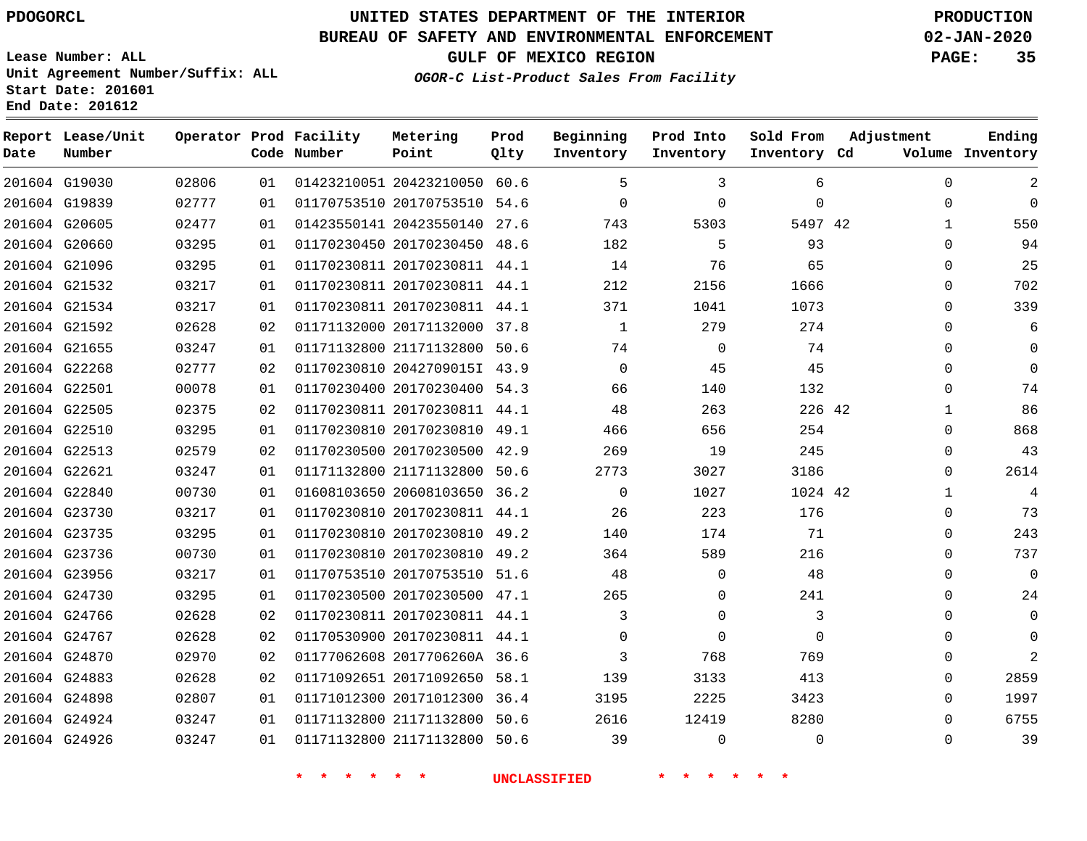G19030

**Date**

**Report Lease/Unit**

**Number**

### **UNITED STATES DEPARTMENT OF THE INTERIOR PDOGORCL PRODUCTION**

**Prod Qlty**

#### **BUREAU OF SAFETY AND ENVIRONMENTAL ENFORCEMENT 02-JAN-2020**

**Lease Number: ALL Unit Agreement Number/Suffix: ALL Start Date: 201601 End Date: 201612**

**Operator Prod Facility**

**Code Number**

20423210050 60.6

**Metering Point**

**OGOR-C List-Product Sales From Facility**

**Beginning Inventory**

  $\overline{\phantom{0}}$ 

**Sold From Inventory**

**Prod Into Inventory**

**GULF OF MEXICO REGION PAGE: 35**

**Inventory Cd Volume**

**Adjustment**

  $\Omega$   $\Omega$  $\Omega$  $\Omega$  $\Omega$   $\Omega$  $\Omega$  $\Omega$   $\Omega$  $\Omega$  $\Omega$  $\Omega$  $\Omega$  $\Omega$  $\Omega$   $\Omega$ 

**Ending**

| 201604 G19839 |               | 02777 | 01 | 01170753510 20170753510 54.6 |                     | $\overline{0}$ | $\mathbf 0$    | 0           |  |
|---------------|---------------|-------|----|------------------------------|---------------------|----------------|----------------|-------------|--|
|               | 201604 G20605 | 02477 | 01 | 01423550141 20423550140 27.6 |                     | 743            | 5303           | 5497 42     |  |
| 201604 G20660 |               | 03295 | 01 | 01170230450 20170230450 48.6 |                     | 182            | 5              | 93          |  |
|               | 201604 G21096 | 03295 | 01 | 01170230811 20170230811 44.1 |                     | 14             | 76             | 65          |  |
|               | 201604 G21532 | 03217 | 01 | 01170230811 20170230811 44.1 |                     | 212            | 2156           | 1666        |  |
|               | 201604 G21534 | 03217 | 01 | 01170230811 20170230811 44.1 |                     | 371            | 1041           | 1073        |  |
|               | 201604 G21592 | 02628 | 02 | 01171132000 20171132000 37.8 |                     | $\mathbf{1}$   | 279            | 274         |  |
|               | 201604 G21655 | 03247 | 01 | 01171132800 21171132800 50.6 |                     | 74             | $\overline{0}$ | 74          |  |
| 201604 G22268 |               | 02777 | 02 | 01170230810 2042709015I 43.9 |                     | $\Omega$       | 45             | 45          |  |
| 201604 G22501 |               | 00078 | 01 | 01170230400 20170230400 54.3 |                     | 66             | 140            | 132         |  |
| 201604 G22505 |               | 02375 | 02 | 01170230811 20170230811 44.1 |                     | 48             | 263            | 226 42      |  |
| 201604 G22510 |               | 03295 | 01 | 01170230810 20170230810 49.1 |                     | 466            | 656            | 254         |  |
|               | 201604 G22513 | 02579 | 02 | 01170230500 20170230500 42.9 |                     | 269            | 19             | 245         |  |
| 201604 G22621 |               | 03247 | 01 | 01171132800 21171132800 50.6 |                     | 2773           | 3027           | 3186        |  |
| 201604 G22840 |               | 00730 | 01 | 01608103650 20608103650 36.2 |                     | $\overline{0}$ | 1027           | 1024 42     |  |
| 201604 G23730 |               | 03217 | 01 | 01170230810 20170230811 44.1 |                     | 26             | 223            | 176         |  |
| 201604 G23735 |               | 03295 | 01 | 01170230810 20170230810 49.2 |                     | 140            | 174            | 71          |  |
| 201604 G23736 |               | 00730 | 01 | 01170230810 20170230810 49.2 |                     | 364            | 589            | 216         |  |
| 201604 G23956 |               | 03217 | 01 | 01170753510 20170753510 51.6 |                     | 48             | $\mathbf 0$    | 48          |  |
|               | 201604 G24730 | 03295 | 01 | 01170230500 20170230500 47.1 |                     | 265            | $\mathbf 0$    | 241         |  |
| 201604 G24766 |               | 02628 | 02 | 01170230811 20170230811 44.1 |                     | $\mathbf{3}$   | $\Omega$       | 3           |  |
|               | 201604 G24767 | 02628 | 02 | 01170530900 20170230811 44.1 |                     | $\Omega$       | $\Omega$       | $\mathbf 0$ |  |
| 201604 G24870 |               | 02970 | 02 | 01177062608 2017706260A 36.6 |                     | $\mathbf{3}$   | 768            | 769         |  |
| 201604 G24883 |               | 02628 | 02 | 01171092651 20171092650 58.1 |                     | 139            | 3133           | 413         |  |
| 201604 G24898 |               | 02807 | 01 | 01171012300 20171012300 36.4 |                     | 3195           | 2225           | 3423        |  |
|               | 201604 G24924 | 03247 | 01 | 01171132800 21171132800 50.6 |                     | 2616           | 12419          | 8280        |  |
|               | 201604 G24926 | 03247 | 01 | 01171132800 21171132800 50.6 |                     | 39             | $\Omega$       | 0           |  |
|               |               |       |    |                              | <b>UNCLASSIFIED</b> |                |                |             |  |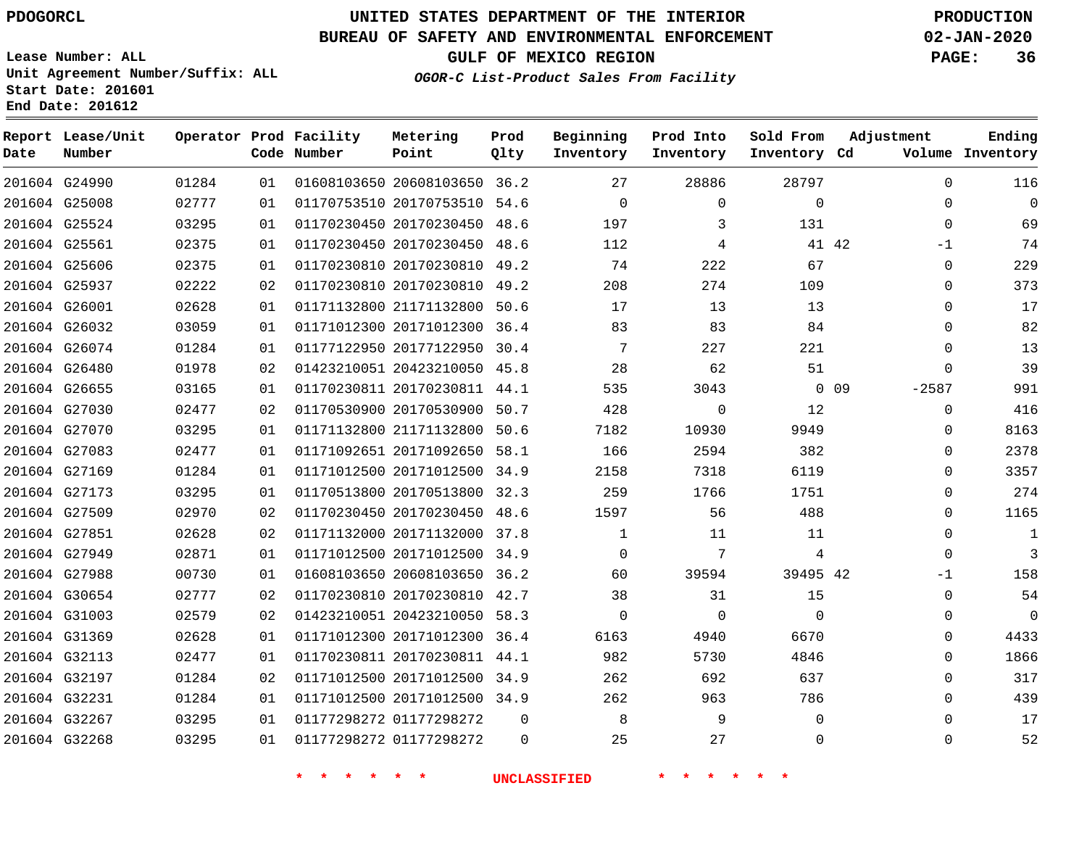**Report Lease/Unit**

**Number**

### **UNITED STATES DEPARTMENT OF THE INTERIOR PDOGORCL PRODUCTION**

**Prod Qlty**

#### **BUREAU OF SAFETY AND ENVIRONMENTAL ENFORCEMENT 02-JAN-2020**

**Lease Number: ALL Unit Agreement Number/Suffix: ALL Start Date: 201601 End Date: 201612**

**Operator Prod Facility**

**Code Number**

**OGOR-C List-Product Sales From Facility**

**Beginning Inventory** **Prod Into Inventory** **Sold From Inventory**

**GULF OF MEXICO REGION PAGE: 36**

**Inventory Cd Volume**

**Adjustment**

**Ending**

| 201604 G24990 | 01284 | 01 |                    | 01608103650 20608103650 36.2 |                | 27                  | 28886           | 28797          |        | $\Omega$    |
|---------------|-------|----|--------------------|------------------------------|----------------|---------------------|-----------------|----------------|--------|-------------|
| 201604 G25008 | 02777 | 01 |                    | 01170753510 20170753510 54.6 |                | $\overline{0}$      | 0               | $\overline{0}$ |        | $\Omega$    |
| 201604 G25524 | 03295 | 01 |                    | 01170230450 20170230450 48.6 |                | 197                 | 3               | 131            |        | $\Omega$    |
| 201604 G25561 | 02375 | 01 |                    | 01170230450 20170230450 48.6 |                | 112                 | 4               |                | 41 42  | $-1$        |
| 201604 G25606 | 02375 | 01 |                    | 01170230810 20170230810 49.2 |                | 74                  | 222             | 67             |        | $\mathbf 0$ |
| 201604 G25937 | 02222 | 02 |                    | 01170230810 20170230810 49.2 |                | 208                 | 274             | 109            |        | $\mathbf 0$ |
| 201604 G26001 | 02628 | 01 |                    | 01171132800 21171132800 50.6 |                | 17                  | 13              | 13             |        | $\mathbf 0$ |
| 201604 G26032 | 03059 | 01 |                    | 01171012300 20171012300 36.4 |                | 83                  | 83              | 84             |        | $\Omega$    |
| 201604 G26074 | 01284 | 01 |                    | 01177122950 20177122950 30.4 |                | 7                   | 227             | 221            |        | $\mathbf 0$ |
| 201604 G26480 | 01978 | 02 |                    | 01423210051 20423210050 45.8 |                | 28                  | 62              | 51             |        | $\mathbf 0$ |
| 201604 G26655 | 03165 | 01 |                    | 01170230811 20170230811 44.1 |                | 535                 | 3043            |                | $0$ 09 | $-2587$     |
| 201604 G27030 | 02477 | 02 |                    | 01170530900 20170530900 50.7 |                | 428                 | $\mathsf{O}$    | 12             |        | $\Omega$    |
| 201604 G27070 | 03295 | 01 |                    | 01171132800 21171132800 50.6 |                | 7182                | 10930           | 9949           |        | $\Omega$    |
| 201604 G27083 | 02477 | 01 |                    | 01171092651 20171092650 58.1 |                | 166                 | 2594            | 382            |        | $\Omega$    |
| 201604 G27169 | 01284 | 01 |                    | 01171012500 20171012500 34.9 |                | 2158                | 7318            | 6119           |        | $\Omega$    |
| 201604 G27173 | 03295 | 01 |                    | 01170513800 20170513800 32.3 |                | 259                 | 1766            | 1751           |        | $\Omega$    |
| 201604 G27509 | 02970 | 02 |                    | 01170230450 20170230450 48.6 |                | 1597                | 56              | 488            |        | $\Omega$    |
| 201604 G27851 | 02628 | 02 |                    | 01171132000 20171132000 37.8 |                | 1                   | 11              | 11             |        | $\mathbf 0$ |
| 201604 G27949 | 02871 | 01 |                    | 01171012500 20171012500 34.9 |                | $\overline{0}$      | $7\phantom{.0}$ | $\overline{4}$ |        | $\Omega$    |
| 201604 G27988 | 00730 | 01 |                    | 01608103650 20608103650 36.2 |                | 60                  | 39594           | 39495 42       |        | $-1$        |
| 201604 G30654 | 02777 | 02 |                    | 01170230810 20170230810 42.7 |                | 38                  | 31              | 15             |        | $\mathbf 0$ |
| 201604 G31003 | 02579 | 02 |                    | 01423210051 20423210050 58.3 |                | $\Omega$            | 0               | $\Omega$       |        | $\mathbf 0$ |
| 201604 G31369 | 02628 | 01 |                    | 01171012300 20171012300 36.4 |                | 6163                | 4940            | 6670           |        | $\mathbf 0$ |
| 201604 G32113 | 02477 | 01 |                    | 01170230811 20170230811 44.1 |                | 982                 | 5730            | 4846           |        | $\Omega$    |
| 201604 G32197 | 01284 | 02 |                    | 01171012500 20171012500 34.9 |                | 262                 | 692             | 637            |        | $\Omega$    |
| 201604 G32231 | 01284 | 01 |                    | 01171012500 20171012500 34.9 |                | 262                 | 963             | 786            |        | $\Omega$    |
| 201604 G32267 | 03295 | 01 |                    | 01177298272 01177298272      | $\overline{0}$ | 8                   | 9               | $\mathbf{0}$   |        | $\mathbf 0$ |
| 201604 G32268 | 03295 | 01 |                    | 01177298272 01177298272      | $\overline{0}$ | 25                  | 27              | 0              |        | $\mathbf 0$ |
|               |       |    | $\star$<br>$\star$ | 一天<br>一大                     |                | <b>UNCLASSIFIED</b> |                 |                |        |             |

**Metering Point**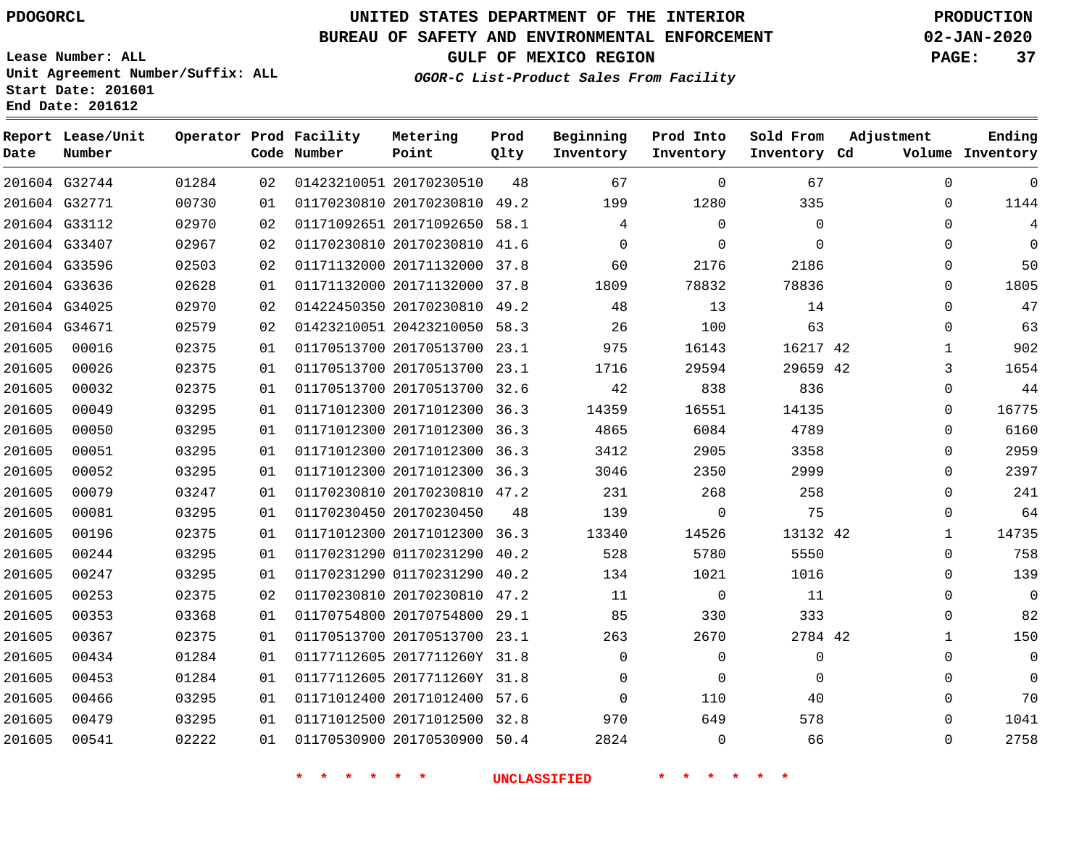#### **BUREAU OF SAFETY AND ENVIRONMENTAL ENFORCEMENT 02-JAN-2020**

**Lease Number: ALL Unit Agreement Number/Suffix: ALL Start Date: 201601**

**Operator Prod Facility**

**Code Number**

20170230510

**Metering Point**

**End Date: 201612**

**Report Lease/Unit**

**Number**

G32744

**Date**

      **GULF OF MEXICO REGION PAGE: 37**

**Prod Qlty**

**Inventory Cd Volume**

**Adjustment**

  $\Omega$ 

**Ending**

**OGOR-C List-Product Sales From Facility**

**Beginning Inventory**

**Sold From Inventory**

**Prod Into Inventory**

| 1144        | $\Omega$ | 335      | 1280        | 199      |      | 01170230810 20170230810 49.2 | 01 | 00730 | 201604 G32771 |        |
|-------------|----------|----------|-------------|----------|------|------------------------------|----|-------|---------------|--------|
| 4           | $\Omega$ | $\Omega$ | $\Omega$    | 4        |      | 01171092651 20171092650 58.1 | 02 | 02970 | 201604 G33112 |        |
| $\Omega$    | $\Omega$ | $\Omega$ | 0           | 0        | 41.6 | 01170230810 20170230810      | 02 | 02967 | 201604 G33407 |        |
| 50          | $\Omega$ | 2186     | 2176        | 60       | 37.8 | 01171132000 20171132000      | 02 | 02503 | 201604 G33596 |        |
| 1805        | $\Omega$ | 78836    | 78832       | 1809     | 37.8 | 01171132000 20171132000      | 01 | 02628 | 201604 G33636 |        |
| 47          | 0        | 14       | 13          | 48       | 49.2 | 01422450350 20170230810      | 02 | 02970 | 201604 G34025 |        |
| 63          | 0        | 63       | 100         | 26       |      | 01423210051 20423210050 58.3 | 02 | 02579 | 201604 G34671 |        |
| 902         |          | 16217 42 | 16143       | 975      | 23.1 | 01170513700 20170513700      | 01 | 02375 | 00016         | 201605 |
| 1654        | 3        | 29659 42 | 29594       | 1716     | 23.1 | 01170513700 20170513700      | 01 | 02375 | 00026         | 201605 |
| 44          | $\Omega$ | 836      | 838         | 42       |      | 01170513700 20170513700 32.6 | 01 | 02375 | 00032         | 201605 |
| 16775       | 0        | 14135    | 16551       | 14359    |      | 01171012300 20171012300 36.3 | 01 | 03295 | 00049         | 201605 |
| 6160        | $\Omega$ | 4789     | 6084        | 4865     | 36.3 | 01171012300 20171012300      | 01 | 03295 | 00050         | 201605 |
| 2959        | $\Omega$ | 3358     | 2905        | 3412     | 36.3 | 01171012300 20171012300      | 01 | 03295 | 00051         | 201605 |
| 2397        | $\Omega$ | 2999     | 2350        | 3046     | 36.3 | 01171012300 20171012300      | 01 | 03295 | 00052         | 201605 |
| 241         | $\Omega$ | 258      | 268         | 231      | 47.2 | 01170230810 20170230810      | 01 | 03247 | 00079         | 201605 |
| 64          | $\Omega$ | 75       | $\Omega$    | 139      | 48   | 01170230450 20170230450      | 01 | 03295 | 00081         | 201605 |
| 14735       | 1        | 13132 42 | 14526       | 13340    | 36.3 | 01171012300 20171012300      | 01 | 02375 | 00196         | 201605 |
| 758         | $\Omega$ | 5550     | 5780        | 528      | 40.2 | 01170231290 01170231290      | 01 | 03295 | 00244         | 201605 |
| 139         | $\Omega$ | 1016     | 1021        | 134      | 40.2 | 01170231290 01170231290      | 01 | 03295 | 00247         | 201605 |
| $\mathbf 0$ | 0        | 11       | $\mathbf 0$ | 11       | 47.2 | 01170230810 20170230810      | 02 | 02375 | 00253         | 201605 |
| 82          | 0        | 333      | 330         | 85       | 29.1 | 01170754800 20170754800      | 01 | 03368 | 00353         | 201605 |
| 150         |          | 2784 42  | 2670        | 263      |      | 01170513700 20170513700 23.1 | 01 | 02375 | 00367         | 201605 |
| $\mathbf 0$ | 0        | 0        | $\Omega$    | $\Omega$ |      | 01177112605 2017711260Y 31.8 | 01 | 01284 | 00434         | 201605 |
| $\Omega$    | 0        | $\Omega$ | $\Omega$    | 0        |      | 01177112605 2017711260Y 31.8 | 01 | 01284 | 00453         | 201605 |
| 70          | $\Omega$ | 40       | 110         | 0        |      | 01171012400 20171012400 57.6 | 01 | 03295 | 00466         | 201605 |

01170530900 20170530900 50.4

20171012500 32.8

 

 

  $\Omega$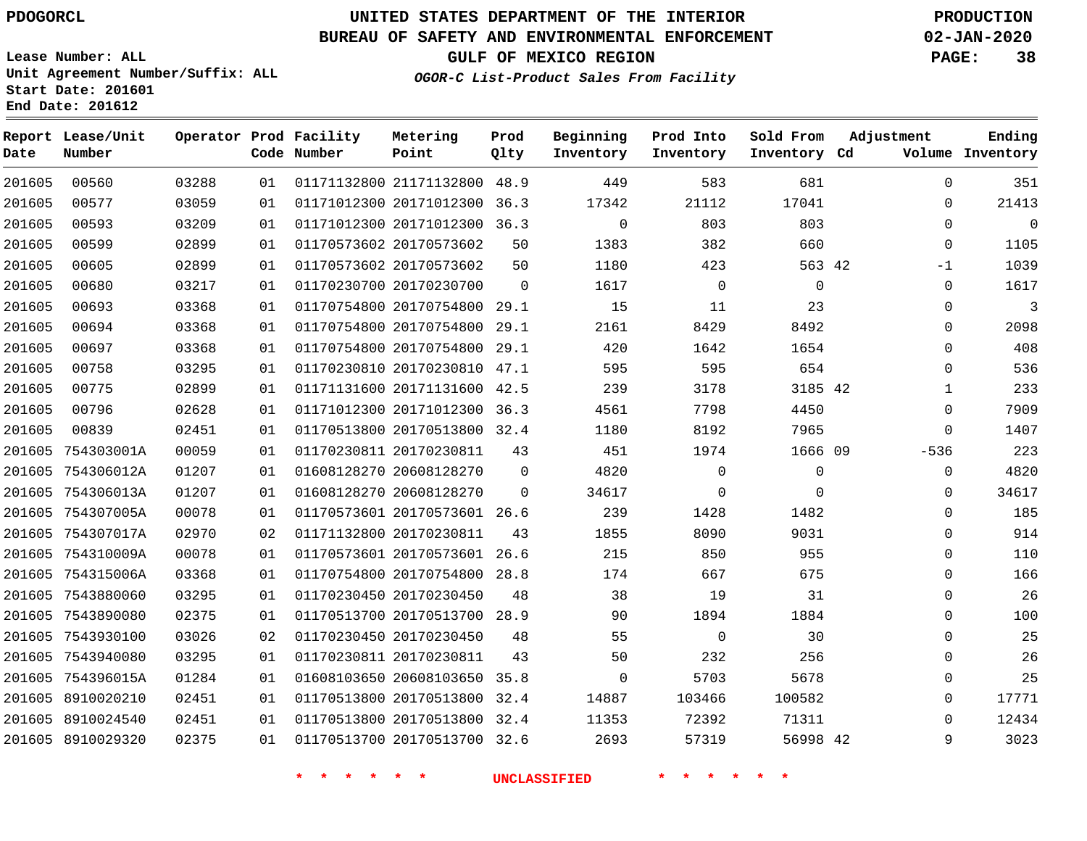**Date**

**End Date: 201612**

**Report Lease/Unit**

**Number**

### **UNITED STATES DEPARTMENT OF THE INTERIOR PDOGORCL PRODUCTION**

**Prod Qlty**

#### **BUREAU OF SAFETY AND ENVIRONMENTAL ENFORCEMENT 02-JAN-2020**

**Lease Number: ALL Unit Agreement Number/Suffix: ALL Start Date: 201601**

**Operator Prod Facility**

**Code Number**

**OGOR-C List-Product Sales From Facility**

**Beginning Inventory** **Prod Into Inventory** **Sold From Inventory**

**GULF OF MEXICO REGION PAGE: 38**

**Inventory Cd Volume**

**Adjustment**

**Ending**

| 201605 | 00560             | 03288 | 01 |                         | 01171132800 21171132800 48.9 |              | 449            | 583            | 681          |  |
|--------|-------------------|-------|----|-------------------------|------------------------------|--------------|----------------|----------------|--------------|--|
| 201605 | 00577             | 03059 | 01 |                         | 01171012300 20171012300 36.3 |              | 17342          | 21112          | 17041        |  |
| 201605 | 00593             | 03209 | 01 |                         | 01171012300 20171012300 36.3 |              | $\overline{0}$ | 803            | 803          |  |
| 201605 | 00599             | 02899 | 01 |                         | 01170573602 20170573602      | 50           | 1383           | 382            | 660          |  |
| 201605 | 00605             | 02899 | 01 |                         | 01170573602 20170573602      | 50           | 1180           | 423            | 563 42       |  |
| 201605 | 00680             | 03217 | 01 |                         | 01170230700 20170230700      | $\Omega$     | 1617           | $\overline{0}$ | $\mathbf 0$  |  |
| 201605 | 00693             | 03368 | 01 |                         | 01170754800 20170754800 29.1 |              | 15             | 11             | 23           |  |
| 201605 | 00694             | 03368 | 01 |                         | 01170754800 20170754800 29.1 |              | 2161           | 8429           | 8492         |  |
| 201605 | 00697             | 03368 | 01 |                         | 01170754800 20170754800 29.1 |              | 420            | 1642           | 1654         |  |
| 201605 | 00758             | 03295 | 01 |                         | 01170230810 20170230810 47.1 |              | 595            | 595            | 654          |  |
| 201605 | 00775             | 02899 | 01 |                         | 01171131600 20171131600 42.5 |              | 239            | 3178           | 3185 42      |  |
| 201605 | 00796             | 02628 | 01 |                         | 01171012300 20171012300 36.3 |              | 4561           | 7798           | 4450         |  |
| 201605 | 00839             | 02451 | 01 |                         | 01170513800 20170513800 32.4 |              | 1180           | 8192           | 7965         |  |
|        | 201605 754303001A | 00059 | 01 |                         | 01170230811 20170230811      | 43           | 451            | 1974           | 1666 09      |  |
|        | 201605 754306012A | 01207 | 01 |                         | 01608128270 20608128270      | $\mathbf{0}$ | 4820           | $\overline{0}$ | $\mathbf{0}$ |  |
|        | 201605 754306013A | 01207 | 01 |                         | 01608128270 20608128270      | $\mathbf{0}$ | 34617          | $\overline{0}$ | $\mathbf 0$  |  |
|        | 201605 754307005A | 00078 | 01 |                         | 01170573601 20170573601 26.6 |              | 239            | 1428           | 1482         |  |
|        | 201605 754307017A | 02970 | 02 | 01171132800 20170230811 |                              | 43           | 1855           | 8090           | 9031         |  |
|        | 201605 754310009A | 00078 | 01 |                         | 01170573601 20170573601 26.6 |              | 215            | 850            | 955          |  |
|        | 201605 754315006A | 03368 | 01 |                         | 01170754800 20170754800 28.8 |              | 174            | 667            | 675          |  |
|        | 201605 7543880060 | 03295 | 01 | 01170230450 20170230450 |                              | 48           | 38             | 19             | 31           |  |
|        | 201605 7543890080 | 02375 | 01 |                         | 01170513700 20170513700 28.9 |              | 90             | 1894           | 1884         |  |
|        | 201605 7543930100 | 03026 | 02 |                         | 01170230450 20170230450      | 48           | 55             | $\overline{0}$ | 30           |  |
|        | 201605 7543940080 | 03295 | 01 |                         | 01170230811 20170230811      | 43           | 50             | 232            | 256          |  |
|        | 201605 754396015A | 01284 | 01 |                         | 01608103650 20608103650 35.8 |              | $\overline{0}$ | 5703           | 5678         |  |
|        | 201605 8910020210 | 02451 | 01 |                         | 01170513800 20170513800 32.4 |              | 14887          | 103466         | 100582       |  |
|        | 201605 8910024540 | 02451 | 01 |                         | 01170513800 20170513800 32.4 |              | 11353          | 72392          | 71311        |  |
|        | 201605 8910029320 | 02375 | 01 |                         | 01170513700 20170513700 32.6 |              | 2693           | 57319          | 56998 42     |  |
|        |                   |       |    |                         |                              |              |                |                |              |  |

**Metering Point**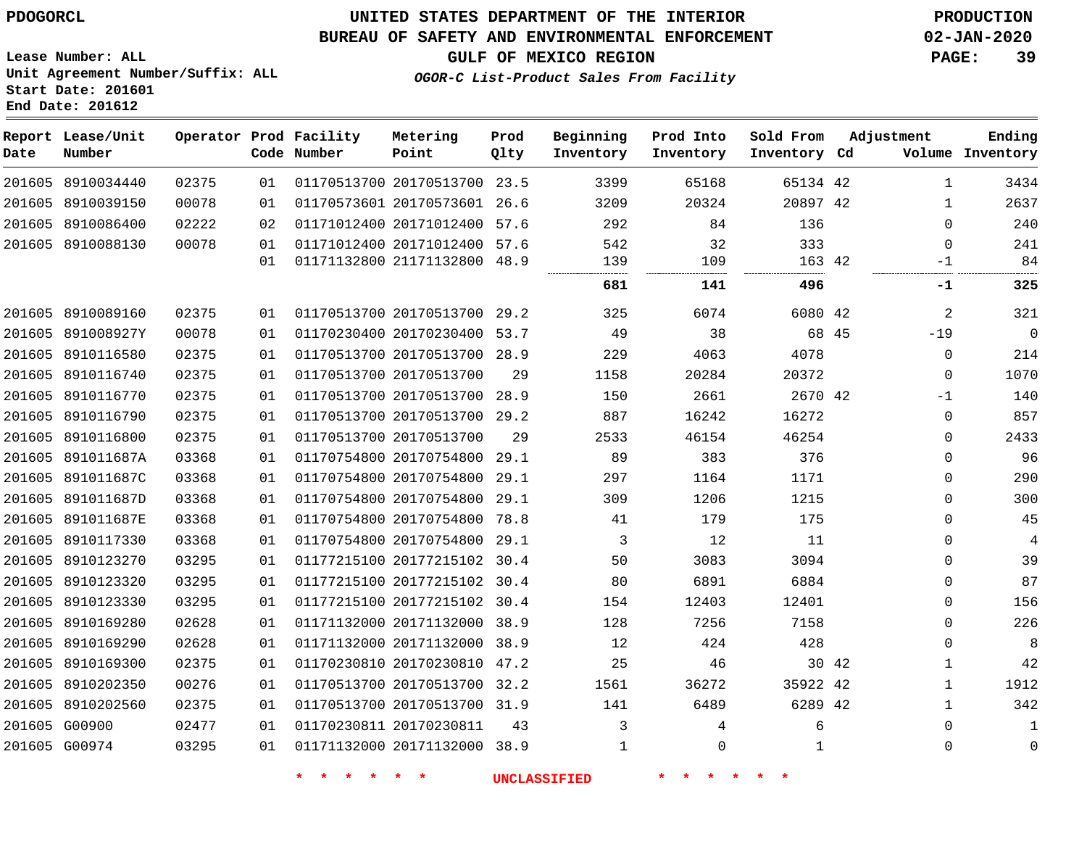**Date**

 8910202560 G00900 G00974

   

### **UNITED STATES DEPARTMENT OF THE INTERIOR PDOGORCL PRODUCTION**

#### **BUREAU OF SAFETY AND ENVIRONMENTAL ENFORCEMENT 02-JAN-2020**

**Lease Number: ALL Unit Agreement Number/Suffix: ALL Start Date: 201601 End Date: 201612**

**OGOR-C List-Product Sales From Facility**

**GULF OF MEXICO REGION PAGE: 39**

 -19  $\Omega$ -1  $\Omega$  $\Omega$  $\Omega$  $\Omega$  $\Omega$   $\Omega$   $\Omega$  $\Omega$   $\Omega$  $\Omega$ 

| Date   | Report Lease/Unit<br>Number |       |    | Operator Prod Facility<br>Code Number | Metering<br>Point            | Prod<br>Qlty | Beginning<br>Inventory | Prod Into<br>Inventory | Sold From<br>Inventory Cd | Adjustment   | Ending<br>Volume Inventory |
|--------|-----------------------------|-------|----|---------------------------------------|------------------------------|--------------|------------------------|------------------------|---------------------------|--------------|----------------------------|
|        | 201605 8910034440           | 02375 | 01 |                                       | 01170513700 20170513700 23.5 |              | 3399                   | 65168                  | 65134 42                  | $\mathbf{1}$ | 3434                       |
|        | 201605 8910039150           | 00078 | 01 |                                       | 01170573601 20170573601 26.6 |              | 3209                   | 20324                  | 20897 42                  | $\mathbf{1}$ | 2637                       |
|        | 201605 8910086400           | 02222 | 02 |                                       | 01171012400 20171012400 57.6 |              | 292                    | 84                     | 136                       | $\Omega$     | 240                        |
|        | 201605 8910088130           | 00078 | 01 |                                       | 01171012400 20171012400 57.6 |              | 542                    | 32                     | 333                       | $\Omega$     | 241                        |
|        |                             |       | 01 |                                       | 01171132800 21171132800 48.9 |              | 139<br>                | 109                    | 163 42                    | -1           | 84                         |
|        |                             |       |    |                                       |                              |              | 681                    | 141                    | 496                       | -1           | 325                        |
|        | 201605 8910089160           | 02375 | 01 |                                       | 01170513700 20170513700 29.2 |              | 325                    | 6074                   | 6080 42                   | 2            | 321                        |
|        | 201605 891008927Y           | 00078 | 01 |                                       | 01170230400 20170230400 53.7 |              | 49                     | 38                     | 68 45                     | $-19$        | $\mathbf 0$                |
| 201605 | 8910116580                  | 02375 | 01 |                                       | 01170513700 20170513700 28.9 |              | 229                    | 4063                   | 4078                      | $\mathbf 0$  | 214                        |
|        | 201605 8910116740           | 02375 | 01 |                                       | 01170513700 20170513700      | 29           | 1158                   | 20284                  | 20372                     | $\mathbf 0$  | 1070                       |
|        | 201605 8910116770           | 02375 | 01 |                                       | 01170513700 20170513700 28.9 |              | 150                    | 2661                   | 2670 42                   | $-1$         | 140                        |
|        | 201605 8910116790           | 02375 | 01 |                                       | 01170513700 20170513700 29.2 |              | 887                    | 16242                  | 16272                     | 0            | 857                        |
|        | 201605 8910116800           | 02375 | 01 |                                       | 01170513700 20170513700      | 29           | 2533                   | 46154                  | 46254                     | $\Omega$     | 2433                       |
| 201605 | 891011687A                  | 03368 | 01 |                                       | 01170754800 20170754800      | 29.1         | 89                     | 383                    | 376                       | $\Omega$     | 96                         |
|        | 201605 891011687C           | 03368 | 01 |                                       | 01170754800 20170754800 29.1 |              | 297                    | 1164                   | 1171                      | $\mathbf 0$  | 290                        |
|        | 201605 891011687D           | 03368 | 01 |                                       | 01170754800 20170754800      | 29.1         | 309                    | 1206                   | 1215                      | $\Omega$     | 300                        |
|        | 201605 891011687E           | 03368 | 01 |                                       | 01170754800 20170754800      | 78.8         | 41                     | 179                    | 175                       | $\Omega$     | 45                         |
|        | 201605 8910117330           | 03368 | 01 |                                       | 01170754800 20170754800      | 29.1         | 3                      | 12                     | 11                        | $\Omega$     | $\overline{4}$             |
|        | 201605 8910123270           | 03295 | 01 |                                       | 01177215100 20177215102 30.4 |              | 50                     | 3083                   | 3094                      | $\Omega$     | 39                         |
|        | 201605 8910123320           | 03295 | 01 |                                       | 01177215100 20177215102 30.4 |              | 80                     | 6891                   | 6884                      | $\mathbf 0$  | 87                         |
|        | 201605 8910123330           | 03295 | 01 |                                       | 01177215100 20177215102 30.4 |              | 154                    | 12403                  | 12401                     | 0            | 156                        |
|        | 201605 8910169280           | 02628 | 01 |                                       | 01171132000 20171132000 38.9 |              | 128                    | 7256                   | 7158                      | $\Omega$     | 226                        |
|        | 201605 8910169290           | 02628 | 01 |                                       | 01171132000 20171132000 38.9 |              | 12                     | 424                    | 428                       | $\mathbf 0$  | 8                          |
|        | 201605 8910169300           | 02375 | 01 |                                       | 01170230810 20170230810 47.2 |              | 25                     | 46                     | 30 42                     | $\mathbf{1}$ | 42                         |
|        | 201605 8910202350           | 00276 | 01 |                                       | 01170513700 20170513700 32.2 |              | 1561                   | 36272                  | 35922 42                  | $\mathbf{1}$ | 1912                       |

20170513700 31.9

20171132000 38.9

20170230811

 

**\* \* \* \* \* \* UNCLASSIFIED \* \* \* \* \* \***

  $\Omega$ 

42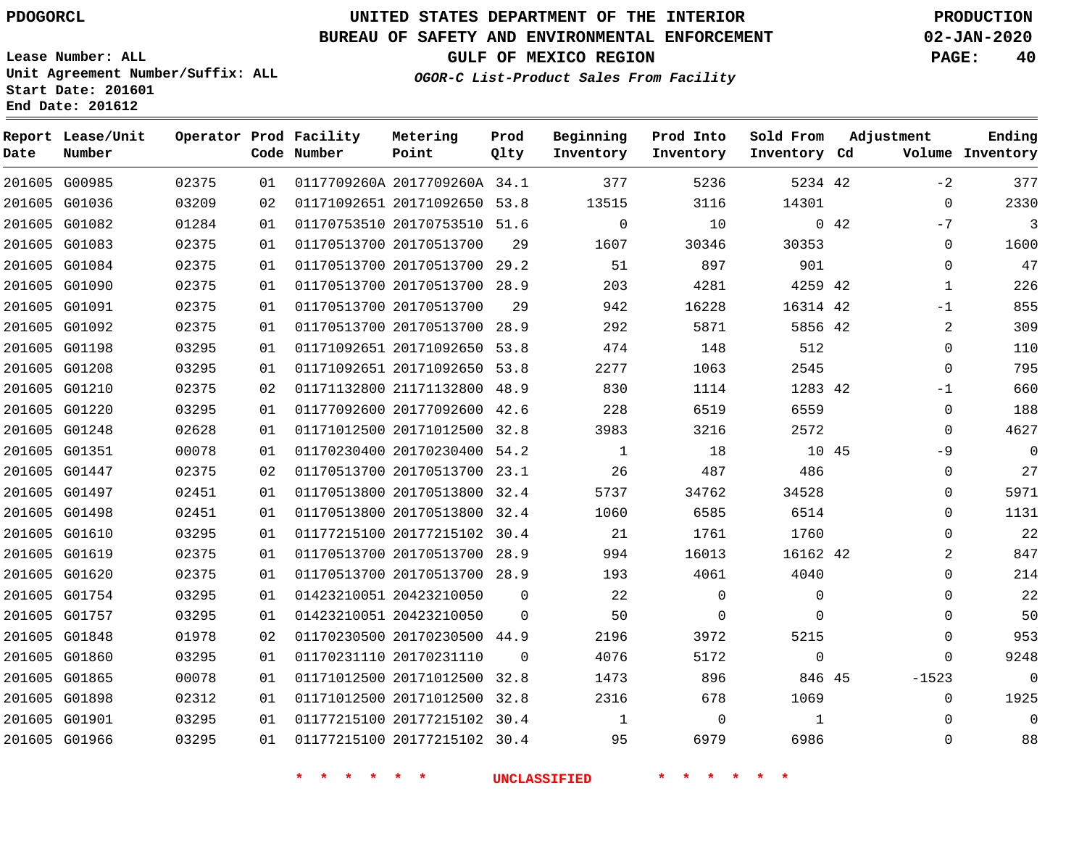**Start Date: 201601 End Date: 201612**

# **UNITED STATES DEPARTMENT OF THE INTERIOR PDOGORCL PRODUCTION**

### **BUREAU OF SAFETY AND ENVIRONMENTAL ENFORCEMENT 02-JAN-2020**

**Lease Number: ALL Unit Agreement Number/Suffix: ALL**

**GULF OF MEXICO REGION PAGE: 40**

**OGOR-C List-Product Sales From Facility**

| Date          | Report Lease/Unit<br>Number |       |    | Operator Prod Facility<br>Code Number | Metering<br>Point            | Prod<br>Qlty | Beginning<br>Inventory | Prod Into<br>Inventory | Sold From<br>Inventory Cd |     | Adjustment  | Ending<br>Volume Inventory |
|---------------|-----------------------------|-------|----|---------------------------------------|------------------------------|--------------|------------------------|------------------------|---------------------------|-----|-------------|----------------------------|
|               | 201605 G00985               | 02375 | 01 |                                       | 0117709260A 2017709260A 34.1 |              | 377                    | 5236                   | 5234 42                   |     | $-2$        | 377                        |
| 201605 G01036 |                             | 03209 | 02 |                                       | 01171092651 20171092650 53.8 |              | 13515                  | 3116                   | 14301                     |     | $\Omega$    | 2330                       |
|               | 201605 G01082               | 01284 | 01 |                                       | 01170753510 20170753510 51.6 |              | $\mathbf 0$            | 10                     |                           | 042 | $-7$        | 3                          |
| 201605 G01083 |                             | 02375 | 01 |                                       | 01170513700 20170513700      | 29           | 1607                   | 30346                  | 30353                     |     | $\mathbf 0$ | 1600                       |
|               | 201605 G01084               | 02375 | 01 |                                       | 01170513700 20170513700      | 29.2         | 51                     | 897                    | 901                       |     | $\Omega$    | 47                         |
|               | 201605 G01090               | 02375 | 01 |                                       | 01170513700 20170513700 28.9 |              | 203                    | 4281                   | 4259 42                   |     | $\mathbf 1$ | 226                        |
|               | 201605 G01091               | 02375 | 01 |                                       | 01170513700 20170513700      | 29           | 942                    | 16228                  | 16314 42                  |     | $-1$        | 855                        |
|               | 201605 G01092               | 02375 | 01 |                                       | 01170513700 20170513700 28.9 |              | 292                    | 5871                   | 5856 42                   |     | 2           | 309                        |
| 201605 G01198 |                             | 03295 | 01 |                                       | 01171092651 20171092650      | 53.8         | 474                    | 148                    | 512                       |     | $\mathbf 0$ | 110                        |
| 201605 G01208 |                             | 03295 | 01 |                                       | 01171092651 20171092650 53.8 |              | 2277                   | 1063                   | 2545                      |     | $\mathbf 0$ | 795                        |
| 201605 G01210 |                             | 02375 | 02 |                                       | 01171132800 21171132800 48.9 |              | 830                    | 1114                   | 1283 42                   |     | $-1$        | 660                        |
| 201605 G01220 |                             | 03295 | 01 |                                       | 01177092600 20177092600 42.6 |              | 228                    | 6519                   | 6559                      |     | $\mathbf 0$ | 188                        |
| 201605 G01248 |                             | 02628 | 01 |                                       | 01171012500 20171012500 32.8 |              | 3983                   | 3216                   | 2572                      |     | 0           | 4627                       |
|               | 201605 G01351               | 00078 | 01 |                                       | 01170230400 20170230400 54.2 |              | $\mathbf{1}$           | 18                     | 10 45                     |     | -9          | $\Omega$                   |
|               | 201605 G01447               | 02375 | 02 |                                       | 01170513700 20170513700 23.1 |              | 26                     | 487                    | 486                       |     | $\mathbf 0$ | 27                         |
| 201605 G01497 |                             | 02451 | 01 |                                       | 01170513800 20170513800      | 32.4         | 5737                   | 34762                  | 34528                     |     | 0           | 5971                       |
| 201605 G01498 |                             | 02451 | 01 |                                       | 01170513800 20170513800 32.4 |              | 1060                   | 6585                   | 6514                      |     | $\mathbf 0$ | 1131                       |
|               | 201605 G01610               | 03295 | 01 |                                       | 01177215100 20177215102 30.4 |              | 21                     | 1761                   | 1760                      |     | $\mathbf 0$ | 22                         |
| 201605 G01619 |                             | 02375 | 01 |                                       | 01170513700 20170513700 28.9 |              | 994                    | 16013                  | 16162 42                  |     | 2           | 847                        |
|               | 201605 G01620               | 02375 | 01 |                                       | 01170513700 20170513700 28.9 |              | 193                    | 4061                   | 4040                      |     | $\mathbf 0$ | 214                        |
|               | 201605 G01754               | 03295 | 01 |                                       | 01423210051 20423210050      | $\Omega$     | 22                     | $\Omega$               | $\Omega$                  |     | $\Omega$    | 22                         |
|               | 201605 G01757               | 03295 | 01 |                                       | 01423210051 20423210050      | $\Omega$     | 50                     | $\mathbf 0$            | $\Omega$                  |     | $\Omega$    | 50                         |
| 201605 G01848 |                             | 01978 | 02 |                                       | 01170230500 20170230500 44.9 |              | 2196                   | 3972                   | 5215                      |     | 0           | 953                        |
| 201605 G01860 |                             | 03295 | 01 |                                       | 01170231110 20170231110      | $\Omega$     | 4076                   | 5172                   | $\mathbf 0$               |     | $\Omega$    | 9248                       |
| 201605 G01865 |                             | 00078 | 01 |                                       | 01171012500 20171012500      | 32.8         | 1473                   | 896                    | 846 45                    |     | $-1523$     | $\Omega$                   |
| 201605 G01898 |                             | 02312 | 01 |                                       | 01171012500 20171012500 32.8 |              | 2316                   | 678                    | 1069                      |     | 0           | 1925                       |
|               | 201605 G01901               | 03295 | 01 |                                       | 01177215100 20177215102      | 30.4         | 1                      | 0                      | $\mathbf{1}$              |     | $\mathbf 0$ | $\Omega$                   |
|               | 201605 G01966               | 03295 | 01 |                                       | 01177215100 20177215102 30.4 |              | 95                     | 6979                   | 6986                      |     | $\mathbf 0$ | 88                         |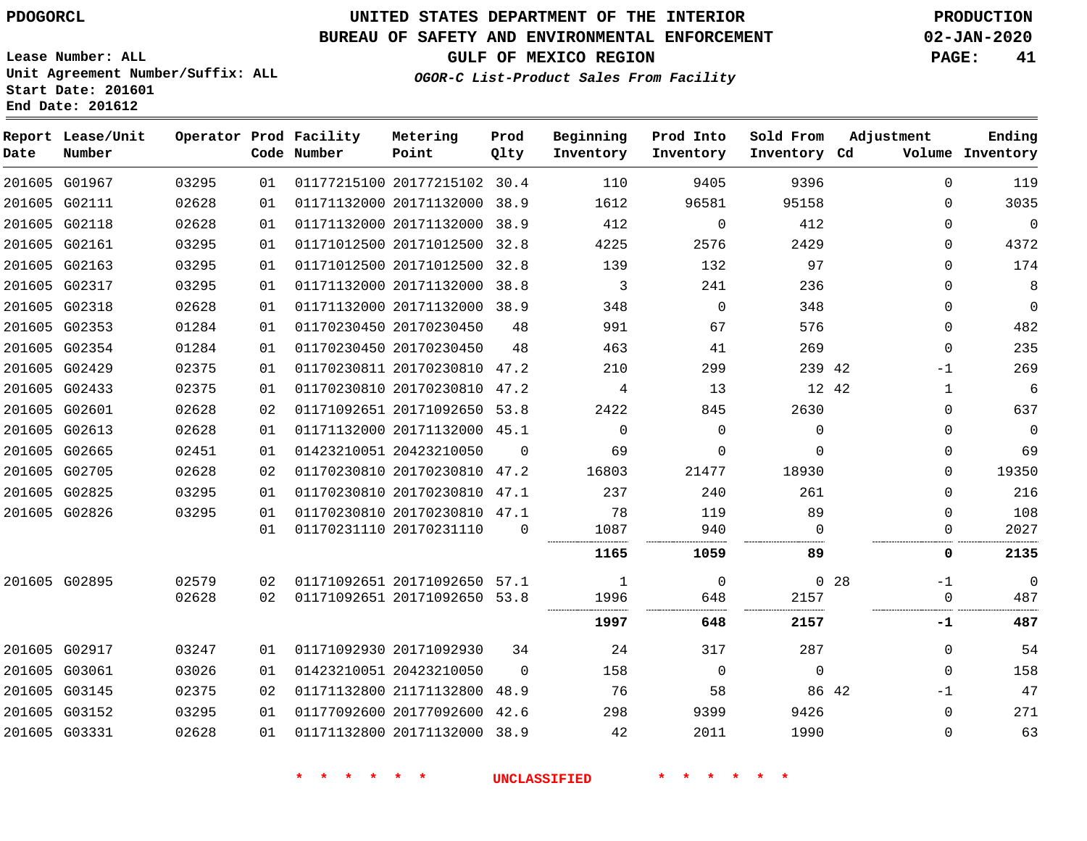**Start Date: 201601 End Date: 201612**

# **UNITED STATES DEPARTMENT OF THE INTERIOR PDOGORCL PRODUCTION**

### **BUREAU OF SAFETY AND ENVIRONMENTAL ENFORCEMENT 02-JAN-2020**

**Lease Number: ALL Unit Agreement Number/Suffix: ALL**

**GULF OF MEXICO REGION PAGE: 41**

**OGOR-C List-Product Sales From Facility**

| Date | Report Lease/Unit<br>Number |       |    | Operator Prod Facility<br>Code Number | Metering<br>Point            | Prod<br>Qlty | Beginning<br>Inventory | Prod Into<br>Inventory | Sold From<br>Inventory Cd | Adjustment            | Ending<br>Volume Inventory |
|------|-----------------------------|-------|----|---------------------------------------|------------------------------|--------------|------------------------|------------------------|---------------------------|-----------------------|----------------------------|
|      | 201605 G01967               | 03295 | 01 |                                       | 01177215100 20177215102 30.4 |              | 110                    | 9405                   | 9396                      | $\Omega$              | 119                        |
|      | 201605 G02111               | 02628 | 01 |                                       | 01171132000 20171132000 38.9 |              | 1612                   | 96581                  | 95158                     | $\Omega$              | 3035                       |
|      | 201605 G02118               | 02628 | 01 |                                       | 01171132000 20171132000 38.9 |              | 412                    | $\mathbf 0$            | 412                       | $\Omega$              | $\overline{0}$             |
|      | 201605 G02161               | 03295 | 01 |                                       | 01171012500 20171012500 32.8 |              | 4225                   | 2576                   | 2429                      | 0                     | 4372                       |
|      | 201605 G02163               | 03295 | 01 |                                       | 01171012500 20171012500 32.8 |              | 139                    | 132                    | 97                        | $\Omega$              | 174                        |
|      | 201605 G02317               | 03295 | 01 |                                       | 01171132000 20171132000 38.8 |              | 3                      | 241                    | 236                       | $\Omega$              | 8                          |
|      | 201605 G02318               | 02628 | 01 |                                       | 01171132000 20171132000 38.9 |              | 348                    | $\Omega$               | 348                       | $\Omega$              | $\mathbf 0$                |
|      | 201605 G02353               | 01284 | 01 |                                       | 01170230450 20170230450      | 48           | 991                    | 67                     | 576                       | $\Omega$              | 482                        |
|      | 201605 G02354               | 01284 | 01 |                                       | 01170230450 20170230450      | 48           | 463                    | 41                     | 269                       | 0                     | 235                        |
|      | 201605 G02429               | 02375 | 01 |                                       | 01170230811 20170230810 47.2 |              | 210                    | 299                    | 239 42                    | -1                    | 269                        |
|      | 201605 G02433               | 02375 | 01 |                                       | 01170230810 20170230810 47.2 |              | 4                      | 13                     | 12 42                     | 1                     | 6                          |
|      | 201605 G02601               | 02628 | 02 |                                       | 01171092651 20171092650 53.8 |              | 2422                   | 845                    | 2630                      | 0                     | 637                        |
|      | 201605 G02613               | 02628 | 01 |                                       | 01171132000 20171132000 45.1 |              | $\Omega$               | $\Omega$               | $\Omega$                  | $\Omega$              | $\mathbf 0$                |
|      | 201605 G02665               | 02451 | 01 |                                       | 01423210051 20423210050      | $\Omega$     | 69                     | $\Omega$               | $\Omega$                  | $\Omega$              | 69                         |
|      | 201605 G02705               | 02628 | 02 |                                       | 01170230810 20170230810      | 47.2         | 16803                  | 21477                  | 18930                     | $\Omega$              | 19350                      |
|      | 201605 G02825               | 03295 | 01 |                                       | 01170230810 20170230810 47.1 |              | 237                    | 240                    | 261                       | $\Omega$              | 216                        |
|      | 201605 G02826               | 03295 | 01 |                                       | 01170230810 20170230810 47.1 |              | 78                     | 119                    | 89                        | $\Omega$              | 108                        |
|      |                             |       | 01 |                                       | 01170231110 20170231110      | $\Omega$     | 1087                   | 940                    | $\Omega$                  | $\Omega$              | 2027                       |
|      |                             |       |    |                                       |                              |              | 1165                   | 1059                   | 89                        | 0                     | 2135                       |
|      | 201605 G02895               | 02579 | 02 |                                       | 01171092651 20171092650 57.1 |              | 1                      | $\mathbf 0$            |                           | 0 <sub>28</sub><br>-1 | $\Omega$                   |
|      |                             | 02628 | 02 |                                       | 01171092651 20171092650 53.8 |              | 1996                   | 648                    | 2157                      | 0                     | 487                        |
|      |                             |       |    |                                       |                              |              | 1997                   | 648                    | 2157                      | -1                    | 487                        |
|      | 201605 G02917               | 03247 | 01 |                                       | 01171092930 20171092930      | 34           | 24                     | 317                    | 287                       | $\Omega$              | 54                         |
|      | 201605 G03061               | 03026 | 01 |                                       | 01423210051 20423210050      | $\Omega$     | 158                    | $\mathbf 0$            | $\Omega$                  | $\Omega$              | 158                        |
|      | 201605 G03145               | 02375 | 02 |                                       | 01171132800 21171132800      | 48.9         | 76                     | 58                     | 86 42                     | $-1$                  | 47                         |
|      | 201605 G03152               | 03295 | 01 |                                       | 01177092600 20177092600 42.6 |              | 298                    | 9399                   | 9426                      | $\Omega$              | 271                        |
|      | 201605 G03331               | 02628 | 01 |                                       | 01171132800 20171132000 38.9 |              | 42                     | 2011                   | 1990                      | $\Omega$              | 63                         |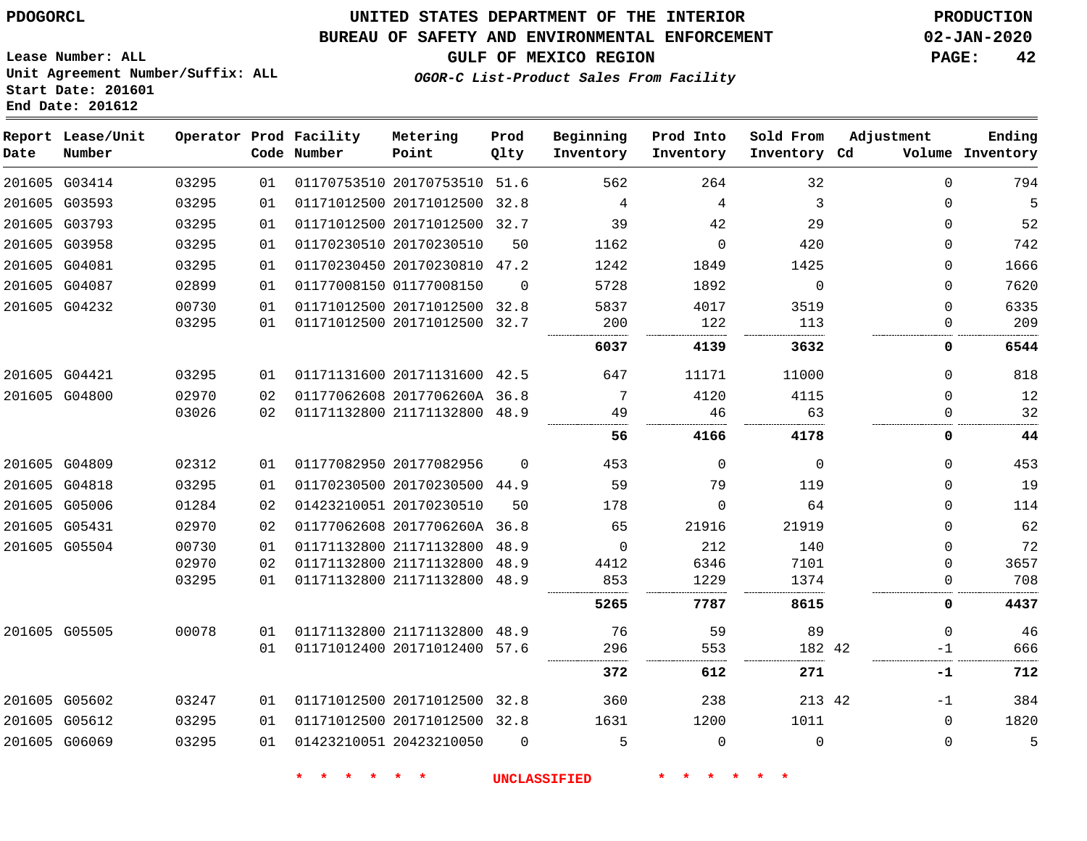**Lease Number: ALL**

**Report Lease/Unit**

### **UNITED STATES DEPARTMENT OF THE INTERIOR PDOGORCL PRODUCTION**

**Prod**

#### **BUREAU OF SAFETY AND ENVIRONMENTAL ENFORCEMENT 02-JAN-2020**

**GULF OF MEXICO REGION PAGE: 42**

**Metering**

**Adjustment**

**Ending**

**Unit Agreement Number/Suffix: ALL Start Date: 201601 End Date: 201612**

**Operator Prod Facility**

**OGOR-C List-Product Sales From Facility**

**Beginning Prod Into Sold From**

| Date | Number        |       |    | Code Number | Point                        | Qlty     | Inventory | Inventory   | Inventory Cd |          | Volume Inventory |
|------|---------------|-------|----|-------------|------------------------------|----------|-----------|-------------|--------------|----------|------------------|
|      | 201605 G03414 | 03295 | 01 |             | 01170753510 20170753510 51.6 |          | 562       | 264         | 32           | $\Omega$ | 794              |
|      | 201605 G03593 | 03295 | 01 |             | 01171012500 20171012500 32.8 |          | 4         | 4           | 3            | 0        | 5                |
|      | 201605 G03793 | 03295 | 01 |             | 01171012500 20171012500 32.7 |          | 39        | 42          | 29           | 0        | 52               |
|      | 201605 G03958 | 03295 | 01 |             | 01170230510 20170230510      | 50       | 1162      | $\mathbf 0$ | 420          | 0        | 742              |
|      | 201605 G04081 | 03295 | 01 |             | 01170230450 20170230810 47.2 |          | 1242      | 1849        | 1425         | $\Omega$ | 1666             |
|      | 201605 G04087 | 02899 | 01 |             | 01177008150 01177008150      | $\Omega$ | 5728      | 1892        | $\Omega$     | $\Omega$ | 7620             |
|      | 201605 G04232 | 00730 | 01 |             | 01171012500 20171012500 32.8 |          | 5837      | 4017        | 3519         | $\Omega$ | 6335             |
|      |               | 03295 | 01 |             | 01171012500 20171012500 32.7 |          | 200       | 122         | 113          | $\Omega$ | 209              |
|      |               |       |    |             |                              |          | 6037      | 4139        | 3632         | 0        | 6544             |
|      | 201605 G04421 | 03295 | 01 |             | 01171131600 20171131600 42.5 |          | 647       | 11171       | 11000        | $\Omega$ | 818              |
|      | 201605 G04800 | 02970 | 02 |             | 01177062608 2017706260A 36.8 |          | 7         | 4120        | 4115         | 0        | 12               |
|      |               | 03026 | 02 |             | 01171132800 21171132800 48.9 |          | 49        | 46          | 63           | 0        | 32               |
|      |               |       |    |             |                              |          | 56        | 4166        | 4178         | 0        | 44               |
|      | 201605 G04809 | 02312 | 01 |             | 01177082950 20177082956      | $\Omega$ | 453       | $\Omega$    | $\mathbf 0$  | 0        | 453              |
|      | 201605 G04818 | 03295 | 01 |             | 01170230500 20170230500 44.9 |          | 59        | 79          | 119          | 0        | 19               |
|      | 201605 G05006 | 01284 | 02 |             | 01423210051 20170230510      | 50       | 178       | $\Omega$    | 64           | 0        | 114              |
|      | 201605 G05431 | 02970 | 02 |             | 01177062608 2017706260A 36.8 |          | 65        | 21916       | 21919        | 0        | 62               |
|      | 201605 G05504 | 00730 | 01 |             | 01171132800 21171132800      | 48.9     | $\Omega$  | 212         | 140          | $\Omega$ | 72               |
|      |               | 02970 | 02 |             | 01171132800 21171132800      | 48.9     | 4412      | 6346        | 7101         | $\Omega$ | 3657             |
|      |               | 03295 | 01 |             | 01171132800 21171132800      | 48.9     | 853       | 1229        | 1374         | $\Omega$ | 708              |
|      |               |       |    |             |                              |          | 5265      | 7787        | 8615         | 0        | 4437             |
|      | 201605 G05505 | 00078 | 01 |             | 01171132800 21171132800 48.9 |          | 76        | 59          | 89           | $\Omega$ | 46               |
|      |               |       | 01 |             | 01171012400 20171012400 57.6 |          | 296       | 553         | 182 42       | -1       | 666              |
|      |               |       |    |             |                              |          | 372       | 612         | 271          | -1       | 712              |
|      | 201605 G05602 | 03247 | 01 |             | 01171012500 20171012500 32.8 |          | 360       | 238         | 213 42       | $-1$     | 384              |
|      | 201605 G05612 | 03295 | 01 |             | 01171012500 20171012500 32.8 |          | 1631      | 1200        | 1011         | $\Omega$ | 1820             |
|      | 201605 G06069 | 03295 | 01 |             | 01423210051 20423210050      | $\Omega$ | 5         | $\Omega$    | $\Omega$     | $\Omega$ | 5                |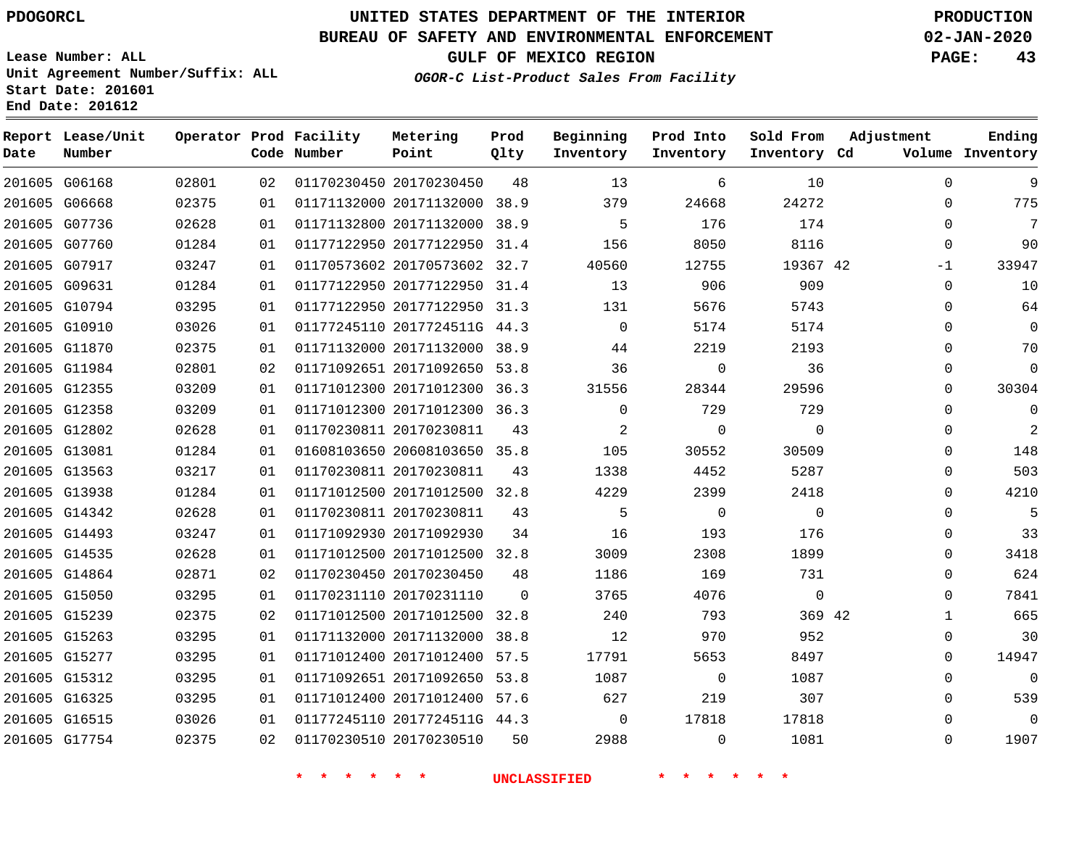**Report Lease/Unit**

**Number**

G06168

**Date**

### **UNITED STATES DEPARTMENT OF THE INTERIOR PDOGORCL PRODUCTION**

**Prod Qlty**

#### **BUREAU OF SAFETY AND ENVIRONMENTAL ENFORCEMENT 02-JAN-2020**

**Lease Number: ALL Unit Agreement Number/Suffix: ALL Start Date: 201601**

**Operator Prod Facility**

**Code Number**

**GULF OF MEXICO REGION PAGE: 43**

**Inventory Cd Volume**

**Adjustment**

  $\Omega$  $\Omega$ 

**Ending**

| 68 | 02375 | 01 |                         | 01171132000 20171132000 | 38.9 | 379            |  |
|----|-------|----|-------------------------|-------------------------|------|----------------|--|
| 36 | 02628 | 01 |                         | 01171132800 20171132000 | 38.9 | 5              |  |
| 60 | 01284 | 01 |                         | 01177122950 20177122950 | 31.4 | 156            |  |
| 17 | 03247 | 01 |                         | 01170573602 20170573602 | 32.7 | 40560          |  |
| 31 | 01284 | 01 |                         | 01177122950 20177122950 | 31.4 | 13             |  |
| 94 | 03295 | 01 | 01177122950 20177122950 |                         | 31.3 | 131            |  |
| 10 | 03026 | 01 |                         | 01177245110 2017724511G | 44.3 | 0              |  |
| 70 | 02375 | 01 |                         | 01171132000 20171132000 | 38.9 | 44             |  |
| 84 | 02801 | 02 |                         | 01171092651 20171092650 | 53.8 | 36             |  |
| 55 | 03209 | 01 |                         | 01171012300 20171012300 | 36.3 | 31556          |  |
| 58 | 03209 | 01 |                         | 01171012300 20171012300 | 36.3 | $\mathbf 0$    |  |
| 02 | 02628 | 01 | 01170230811 20170230811 |                         | 43   | $\overline{2}$ |  |
| 81 | 01284 | 01 |                         | 01608103650 20608103650 | 35.8 | 105            |  |
| 63 | 03217 | 01 | 01170230811 20170230811 |                         | 43   | 1338           |  |
| 38 | 01284 | 01 |                         | 01171012500 20171012500 | 32.8 | 4229           |  |

01170230450 20170230450

**Metering Point**

**OGOR-C List-Product Sales From Facility**

**Beginning Inventory**

**Sold From Inventory**

**Prod Into Inventory**

| 201605 G06668 | 02375 | 01 | 01171132000 20171132000 38.9   |    | 379                        | 24668          | 24272          | 0           |
|---------------|-------|----|--------------------------------|----|----------------------------|----------------|----------------|-------------|
| 201605 G07736 | 02628 | 01 | 01171132800 20171132000 38.9   |    | $\overline{5}$             | 176            | 174            | $\mathbf 0$ |
| 201605 G07760 | 01284 | 01 | 01177122950 20177122950 31.4   |    | 156                        | 8050           | 8116           | $\mathbf 0$ |
| 201605 G07917 | 03247 | 01 | 01170573602 20170573602 32.7   |    | 40560                      | 12755          | 19367 42       | $-1$        |
| 201605 G09631 | 01284 | 01 | 01177122950 20177122950 31.4   |    | 13                         | 906            | 909            | 0           |
| 201605 G10794 | 03295 | 01 | 01177122950 20177122950 31.3   |    | 131                        | 5676           | 5743           | $\mathbf 0$ |
| 201605 G10910 | 03026 | 01 | 01177245110 2017724511G 44.3   |    | $\overline{0}$             | 5174           | 5174           | $\mathbf 0$ |
| 201605 G11870 | 02375 | 01 | 01171132000 20171132000 38.9   |    | 44                         | 2219           | 2193           | 0           |
| 201605 G11984 | 02801 | 02 | 01171092651 20171092650 53.8   |    | 36                         | $\overline{0}$ | 36             | $\mathbf 0$ |
| 201605 G12355 | 03209 | 01 | 01171012300 20171012300 36.3   |    | 31556                      | 28344          | 29596          | $\mathbf 0$ |
| 201605 G12358 | 03209 | 01 | 01171012300 20171012300 36.3   |    | $\overline{0}$             | 729            | 729            | 0           |
| 201605 G12802 | 02628 | 01 | 01170230811 20170230811        | 43 | $\overline{\phantom{a}}$ 2 | $\overline{0}$ | $\overline{0}$ | 0           |
| 201605 G13081 | 01284 | 01 | 01608103650 20608103650 35.8   |    | 105                        | 30552          | 30509          | $\mathbf 0$ |
| 201605 G13563 | 03217 | 01 | 01170230811 20170230811        | 43 | 1338                       | 4452           | 5287           | $\mathbf 0$ |
| 201605 G13938 | 01284 | 01 | 01171012500 20171012500 32.8   |    | 4229                       | 2399           | 2418           | $\mathbf 0$ |
| 201605 G14342 | 02628 | 01 | 01170230811 20170230811        | 43 | $5^{\circ}$                | $\overline{0}$ | $\overline{0}$ | $\mathbf 0$ |
| 201605 G14493 | 03247 | 01 | 01171092930 20171092930        | 34 | 16                         | 193            | 176            | 0           |
| 201605 G14535 | 02628 | 01 | 01171012500 20171012500 32.8   |    | 3009                       | 2308           | 1899           | $\mathbf 0$ |
| 201605 G14864 | 02871 | 02 | 01170230450 20170230450        | 48 | 1186                       | 169            | 731            | 0           |
| 201605 G15050 | 03295 | 01 | 01170231110 20170231110 0      |    | 3765                       | 4076           | $\overline{0}$ | $\mathbf 0$ |
| 201605 G15239 | 02375 | 02 | 01171012500 20171012500 32.8   |    | 240                        | 793            | 369 42         | 1           |
| 201605 G15263 | 03295 | 01 | 01171132000 20171132000 38.8   |    | 12                         | 970            | 952            | 0           |
| 201605 G15277 | 03295 | 01 | 01171012400 20171012400 57.5   |    | 17791                      | 5653           | 8497           | $\mathbf 0$ |
| 201605 G15312 | 03295 | 01 | 01171092651 20171092650 53.8   |    | 1087                       | $\overline{0}$ | 1087           | $\mathbf 0$ |
| 201605 G16325 | 03295 | 01 | 01171012400 20171012400 57.6   |    | 627                        | 219            | 307            | 0           |
| 201605 G16515 | 03026 | 01 | 01177245110 2017724511G 44.3   |    | $\overline{0}$             | 17818          | 17818          | $\mathbf 0$ |
| 201605 G17754 | 02375 |    | 02   01170230510   20170230510 | 50 | 2988                       | $\overline{0}$ | 1081           | $\mathbf 0$ |
|               |       |    |                                |    |                            |                |                |             |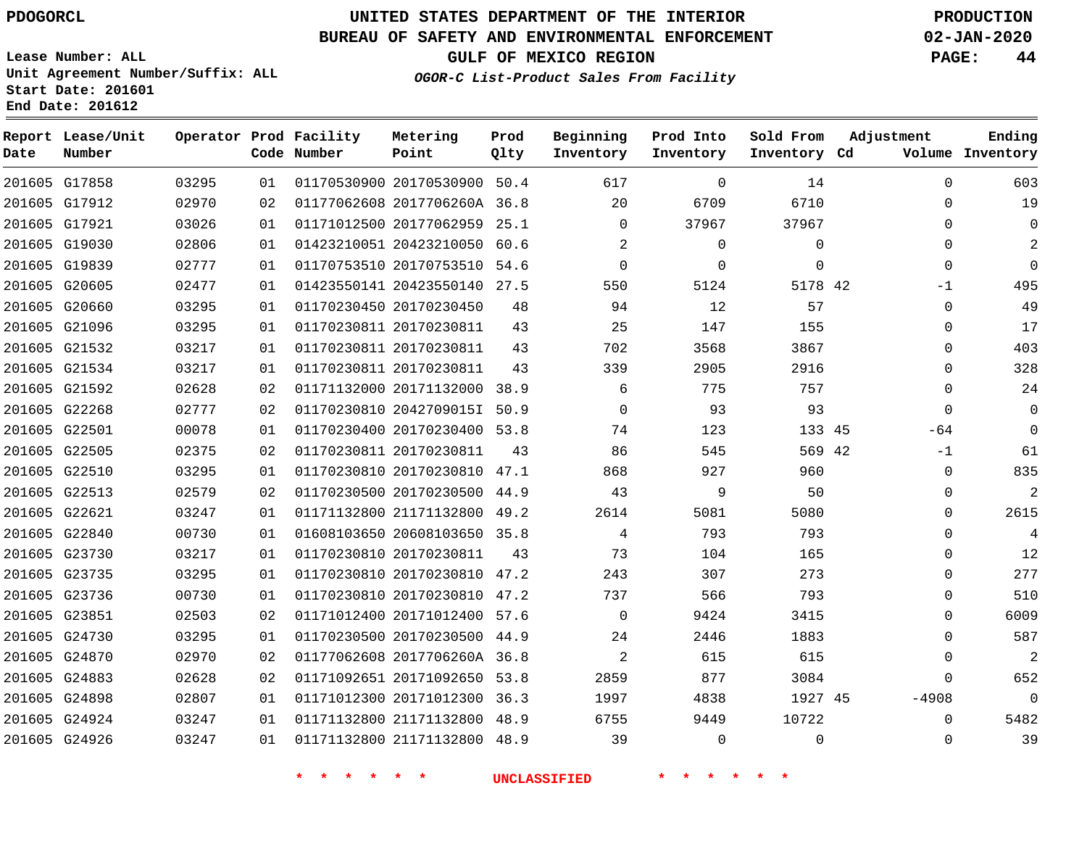# **UNITED STATES DEPARTMENT OF THE INTERIOR PDOGORCL PRODUCTION**

### **BUREAU OF SAFETY AND ENVIRONMENTAL ENFORCEMENT 02-JAN-2020**

**Lease Number: ALL Unit Agreement Number/Suffix: ALL Start Date: 201601**

**OGOR-C List-Product Sales From Facility**

**GULF OF MEXICO REGION PAGE: 44**

|  | CGOR-C <i>Hist-Floudel Bales Flom</i> |  |
|--|---------------------------------------|--|
|  |                                       |  |
|  |                                       |  |
|  |                                       |  |
|  |                                       |  |
|  |                                       |  |

| Date          | Report Lease/Unit<br>Number |       |    | Operator Prod Facility<br>Code Number | Metering<br>Point            | Prod<br>Qlty | Beginning<br>Inventory | Prod Into<br>Inventory | Sold From<br>Inventory Cd | Adjustment  | Ending<br>Volume Inventory |
|---------------|-----------------------------|-------|----|---------------------------------------|------------------------------|--------------|------------------------|------------------------|---------------------------|-------------|----------------------------|
|               | 201605 G17858               | 03295 | 01 |                                       | 01170530900 20170530900 50.4 |              | 617                    | $\mathbf 0$            | 14                        | $\Omega$    | 603                        |
|               | 201605 G17912               | 02970 | 02 |                                       | 01177062608 2017706260A 36.8 |              | 20                     | 6709                   | 6710                      | $\Omega$    | 19                         |
| 201605 G17921 |                             | 03026 | 01 |                                       | 01171012500 20177062959 25.1 |              | $\Omega$               | 37967                  | 37967                     | $\Omega$    | $\Omega$                   |
|               | 201605 G19030               | 02806 | 01 |                                       | 01423210051 20423210050 60.6 |              | 2                      | 0                      | 0                         | $\Omega$    | $\overline{2}$             |
| 201605 G19839 |                             | 02777 | 01 |                                       | 01170753510 20170753510 54.6 |              | $\Omega$               | $\mathbf 0$            | $\mathbf 0$               | $\mathbf 0$ | $\Omega$                   |
| 201605 G20605 |                             | 02477 | 01 |                                       | 01423550141 20423550140 27.5 |              | 550                    | 5124                   | 5178 42                   | $-1$        | 495                        |
|               | 201605 G20660               | 03295 | 01 |                                       | 01170230450 20170230450      | 48           | 94                     | 12                     | 57                        | $\Omega$    | 49                         |
|               | 201605 G21096               | 03295 | 01 |                                       | 01170230811 20170230811      | 43           | 25                     | 147                    | 155                       | $\mathbf 0$ | 17                         |
|               | 201605 G21532               | 03217 | 01 |                                       | 01170230811 20170230811      | 43           | 702                    | 3568                   | 3867                      | $\mathbf 0$ | 403                        |
|               | 201605 G21534               | 03217 | 01 |                                       | 01170230811 20170230811      | 43           | 339                    | 2905                   | 2916                      | $\Omega$    | 328                        |
|               | 201605 G21592               | 02628 | 02 |                                       | 01171132000 20171132000 38.9 |              | 6                      | 775                    | 757                       | $\Omega$    | 24                         |
| 201605 G22268 |                             | 02777 | 02 |                                       | 01170230810 2042709015I 50.9 |              | $\Omega$               | 93                     | 93                        | $\Omega$    | $\Omega$                   |
| 201605 G22501 |                             | 00078 | 01 |                                       | 01170230400 20170230400 53.8 |              | 74                     | 123                    | 133 45                    | -64         | $\Omega$                   |
| 201605 G22505 |                             | 02375 | 02 |                                       | 01170230811 20170230811      | 43           | 86                     | 545                    | 569 42                    | $-1$        | 61                         |
|               | 201605 G22510               | 03295 | 01 |                                       | 01170230810 20170230810 47.1 |              | 868                    | 927                    | 960                       | $\mathbf 0$ | 835                        |
| 201605 G22513 |                             | 02579 | 02 |                                       | 01170230500 20170230500 44.9 |              | 43                     | 9                      | 50                        | 0           | 2                          |
| 201605 G22621 |                             | 03247 | 01 |                                       | 01171132800 21171132800      | 49.2         | 2614                   | 5081                   | 5080                      | $\mathbf 0$ | 2615                       |
|               | 201605 G22840               | 00730 | 01 |                                       | 01608103650 20608103650 35.8 |              | 4                      | 793                    | 793                       | $\mathbf 0$ | 4                          |
|               | 201605 G23730               | 03217 | 01 |                                       | 01170230810 20170230811      | 43           | 73                     | 104                    | 165                       | $\Omega$    | 12                         |
|               | 201605 G23735               | 03295 | 01 |                                       | 01170230810 20170230810 47.2 |              | 243                    | 307                    | 273                       | $\Omega$    | 277                        |
|               | 201605 G23736               | 00730 | 01 |                                       | 01170230810 20170230810      | 47.2         | 737                    | 566                    | 793                       | $\mathbf 0$ | 510                        |
| 201605 G23851 |                             | 02503 | 02 |                                       | 01171012400 20171012400 57.6 |              | 0                      | 9424                   | 3415                      | $\mathbf 0$ | 6009                       |
| 201605 G24730 |                             | 03295 | 01 |                                       | 01170230500 20170230500      | 44.9         | 24                     | 2446                   | 1883                      | $\Omega$    | 587                        |
| 201605 G24870 |                             | 02970 | 02 |                                       | 01177062608 2017706260A 36.8 |              | $\overline{2}$         | 615                    | 615                       | $\mathbf 0$ | 2                          |
| 201605 G24883 |                             | 02628 | 02 |                                       | 01171092651 20171092650 53.8 |              | 2859                   | 877                    | 3084                      | $\mathbf 0$ | 652                        |
| 201605 G24898 |                             | 02807 | 01 |                                       | 01171012300 20171012300      | 36.3         | 1997                   | 4838                   | 1927 45                   | $-4908$     | $\mathbf 0$                |
|               | 201605 G24924               | 03247 | 01 |                                       | 01171132800 21171132800 48.9 |              | 6755                   | 9449                   | 10722                     | $\Omega$    | 5482                       |
| 201605 G24926 |                             | 03247 | 01 |                                       | 01171132800 21171132800 48.9 |              | 39                     | $\mathbf 0$            | $\Omega$                  | 0           | 39                         |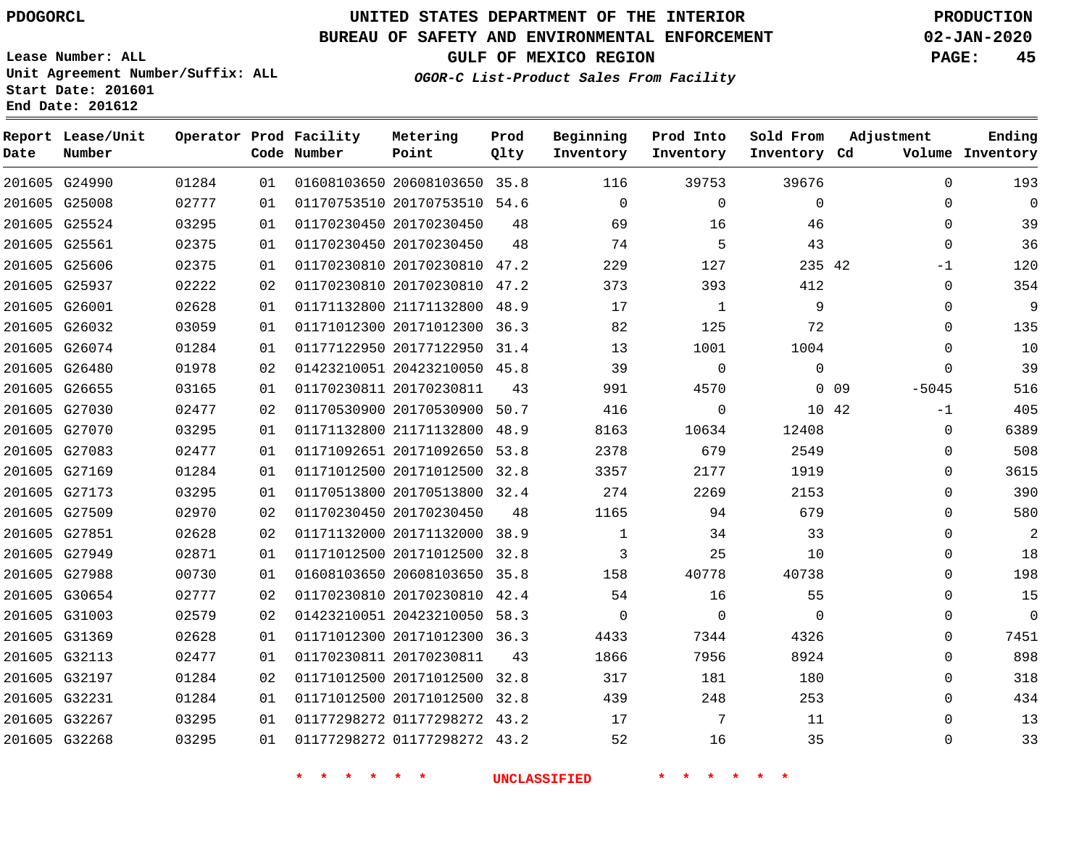**Start Date: 201601 End Date: 201612**

# **UNITED STATES DEPARTMENT OF THE INTERIOR PDOGORCL PRODUCTION**

### **BUREAU OF SAFETY AND ENVIRONMENTAL ENFORCEMENT 02-JAN-2020**

**Lease Number: ALL Unit Agreement Number/Suffix: ALL**

**GULF OF MEXICO REGION PAGE: 45**

**OGOR-C List-Product Sales From Facility**

| Date          | Report Lease/Unit<br>Number |       |    | Operator Prod Facility<br>Code Number | Metering<br>Point            | Prod<br>Qlty | Beginning<br>Inventory | Prod Into<br>Inventory | Sold From<br>Inventory Cd | Adjustment                 | Ending<br>Volume Inventory |
|---------------|-----------------------------|-------|----|---------------------------------------|------------------------------|--------------|------------------------|------------------------|---------------------------|----------------------------|----------------------------|
|               | 201605 G24990               | 01284 | 01 |                                       | 01608103650 20608103650 35.8 |              | 116                    | 39753                  | 39676                     | $\mathbf 0$                | 193                        |
| 201605 G25008 |                             | 02777 | 01 |                                       | 01170753510 20170753510 54.6 |              | $\Omega$               | $\mathbf 0$            | $\Omega$                  | $\mathbf 0$                | $\overline{0}$             |
| 201605 G25524 |                             | 03295 | 01 |                                       | 01170230450 20170230450      | 48           | 69                     | 16                     | 46                        | $\Omega$                   | 39                         |
| 201605 G25561 |                             | 02375 | 01 |                                       | 01170230450 20170230450      | 48           | 74                     | 5                      | 43                        | $\Omega$                   | 36                         |
| 201605 G25606 |                             | 02375 | 01 |                                       | 01170230810 20170230810 47.2 |              | 229                    | 127                    | 235 42                    | -1                         | 120                        |
| 201605 G25937 |                             | 02222 | 02 |                                       | 01170230810 20170230810 47.2 |              | 373                    | 393                    | 412                       | $\mathbf 0$                | 354                        |
| 201605 G26001 |                             | 02628 | 01 |                                       | 01171132800 21171132800      | 48.9         | 17                     | 1                      | 9                         | $\Omega$                   | 9                          |
| 201605 G26032 |                             | 03059 | 01 |                                       | 01171012300 20171012300 36.3 |              | 82                     | 125                    | 72                        | $\Omega$                   | 135                        |
| 201605 G26074 |                             | 01284 | 01 |                                       | 01177122950 20177122950 31.4 |              | 13                     | 1001                   | 1004                      | $\Omega$                   | 10                         |
| 201605 G26480 |                             | 01978 | 02 |                                       | 01423210051 20423210050 45.8 |              | 39                     | $\mathbf 0$            | $\mathbf 0$               | $\Omega$                   | 39                         |
| 201605 G26655 |                             | 03165 | 01 |                                       | 01170230811 20170230811      | 43           | 991                    | 4570                   |                           | 0 <sub>09</sub><br>$-5045$ | 516                        |
| 201605 G27030 |                             | 02477 | 02 |                                       | 01170530900 20170530900      | 50.7         | 416                    | 0                      | 10 42                     | $-1$                       | 405                        |
| 201605 G27070 |                             | 03295 | 01 |                                       | 01171132800 21171132800 48.9 |              | 8163                   | 10634                  | 12408                     | $\Omega$                   | 6389                       |
| 201605 G27083 |                             | 02477 | 01 |                                       | 01171092651 20171092650      | 53.8         | 2378                   | 679                    | 2549                      | $\mathbf 0$                | 508                        |
| 201605 G27169 |                             | 01284 | 01 |                                       | 01171012500 20171012500 32.8 |              | 3357                   | 2177                   | 1919                      | $\Omega$                   | 3615                       |
| 201605 G27173 |                             | 03295 | 01 |                                       | 01170513800 20170513800      | 32.4         | 274                    | 2269                   | 2153                      | $\Omega$                   | 390                        |
| 201605 G27509 |                             | 02970 | 02 |                                       | 01170230450 20170230450      | 48           | 1165                   | 94                     | 679                       | 0                          | 580                        |
| 201605 G27851 |                             | 02628 | 02 |                                       | 01171132000 20171132000      | 38.9         | $\mathbf{1}$           | 34                     | 33                        | $\mathbf 0$                | 2                          |
| 201605 G27949 |                             | 02871 | 01 |                                       | 01171012500 20171012500 32.8 |              | 3                      | 25                     | 10                        | $\Omega$                   | 18                         |
| 201605 G27988 |                             | 00730 | 01 |                                       | 01608103650 20608103650 35.8 |              | 158                    | 40778                  | 40738                     | $\Omega$                   | 198                        |
| 201605 G30654 |                             | 02777 | 02 |                                       | 01170230810 20170230810 42.4 |              | 54                     | 16                     | 55                        | $\Omega$                   | 15                         |
| 201605 G31003 |                             | 02579 | 02 |                                       | 01423210051 20423210050      | 58.3         | $\mathbf 0$            | $\mathbf 0$            | $\mathbf 0$               | $\mathbf 0$                | $\overline{0}$             |
| 201605 G31369 |                             | 02628 | 01 |                                       | 01171012300 20171012300 36.3 |              | 4433                   | 7344                   | 4326                      | $\Omega$                   | 7451                       |
| 201605 G32113 |                             | 02477 | 01 |                                       | 01170230811 20170230811      | 43           | 1866                   | 7956                   | 8924                      | $\Omega$                   | 898                        |
| 201605 G32197 |                             | 01284 | 02 |                                       | 01171012500 20171012500      | 32.8         | 317                    | 181                    | 180                       | $\mathbf 0$                | 318                        |
| 201605 G32231 |                             | 01284 | 01 |                                       | 01171012500 20171012500 32.8 |              | 439                    | 248                    | 253                       | $\Omega$                   | 434                        |
| 201605 G32267 |                             | 03295 | 01 |                                       | 01177298272 01177298272 43.2 |              | 17                     | 7                      | 11                        | $\Omega$                   | 13                         |
| 201605 G32268 |                             | 03295 | 01 |                                       | 01177298272 01177298272 43.2 |              | 52                     | 16                     | 35                        | $\Omega$                   | 33                         |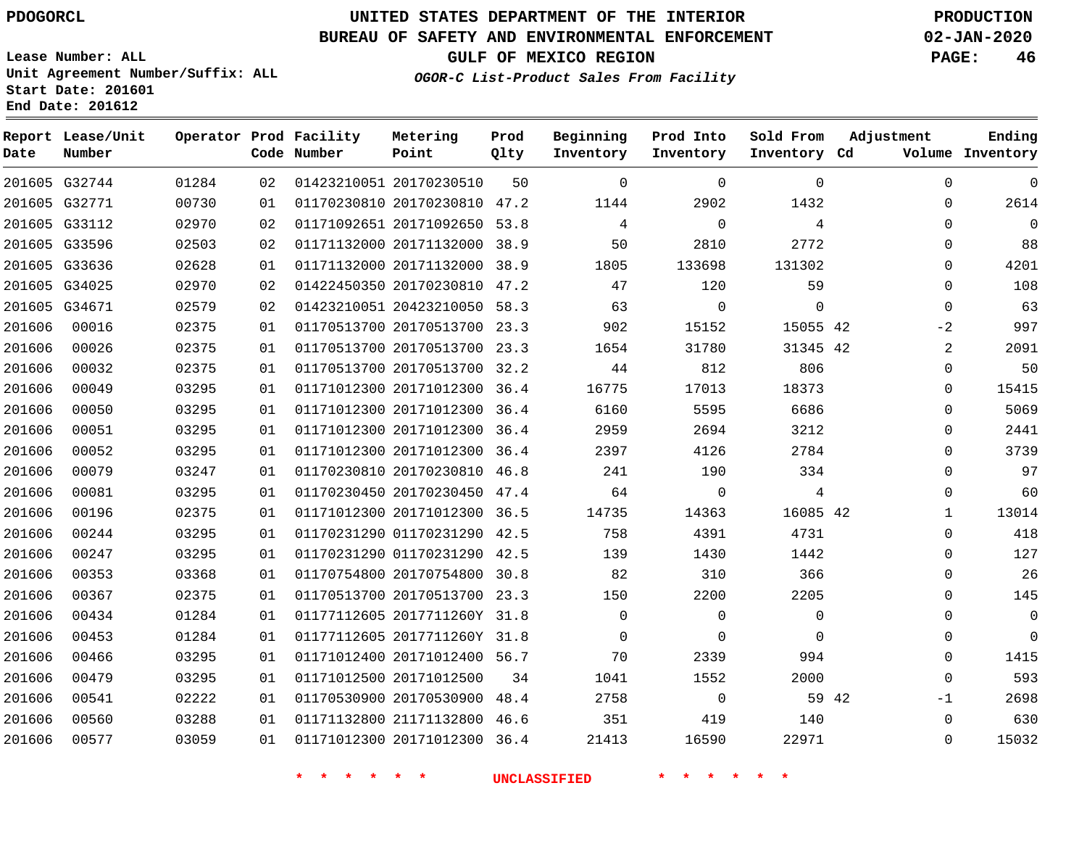**Report Lease/Unit**

**Number**

     

G32744

**Date**

# **UNITED STATES DEPARTMENT OF THE INTERIOR PDOGORCL PRODUCTION**

**Prod Qlty**

#### **BUREAU OF SAFETY AND ENVIRONMENTAL ENFORCEMENT 02-JAN-2020**

**Lease Number: ALL Unit Agreement Number/Suffix: ALL Start Date: 201601**

> 

**Operator Prod Facility**

**Code Number**

20170230510

**Metering Point**

  **OGOR-C List-Product Sales From Facility**

 

 

**Prod Into Inventory**

**Beginning Inventory**

**GULF OF MEXICO REGION PAGE: 46**

**Inventory Cd Volume**

**Adjustment**

  $\Omega$  $\Omega$   $\Omega$  $\Omega$  $\Omega$  $-2$   $\Omega$  $\Omega$  $\Omega$  $\overline{0}$   $\Omega$  $\overline{0}$   $\Omega$  $\Omega$  $\Omega$   $\Omega$  -1  $\Omega$ 

**Ending**

 

 

**Sold From Inventory**

 

| 1432     | 2902        | 1144  | 47.2 | 01170230810 20170230810 | 01 | 00730 | 201605 G32771 |        |
|----------|-------------|-------|------|-------------------------|----|-------|---------------|--------|
| 4        | 0           | 4     | 53.8 | 01171092651 20171092650 | 02 | 02970 | G33112        | 201605 |
| 2772     | 2810        | 50    | 38.9 | 01171132000 20171132000 | 02 | 02503 | 201605 G33596 |        |
| 131302   | 133698      | 1805  | 38.9 | 01171132000 20171132000 | 01 | 02628 | G33636        | 201605 |
| 59       | 120         | 47    | 47.2 | 01422450350 20170230810 | 02 | 02970 | G34025        | 201605 |
| $\Omega$ | $\mathbf 0$ | 63    | 58.3 | 01423210051 20423210050 | 02 | 02579 | G34671        | 201605 |
| 15055    | 15152       | 902   | 23.3 | 01170513700 20170513700 | 01 | 02375 | 00016         | 201606 |
| 31345    | 31780       | 1654  | 23.3 | 01170513700 20170513700 | 01 | 02375 | 00026         | 201606 |
| 806      | 812         | 44    | 32.2 | 01170513700 20170513700 | 01 | 02375 | 00032         | 201606 |
| 18373    | 17013       | 16775 | 36.4 | 01171012300 20171012300 | 01 | 03295 | 00049         | 201606 |
| 6686     | 5595        | 6160  | 36.4 | 01171012300 20171012300 | 01 | 03295 | 00050         | 201606 |
| 3212     | 2694        | 2959  | 36.4 | 01171012300 20171012300 | 01 | 03295 | 00051         | 201606 |
| 2784     | 4126        | 2397  | 36.4 | 01171012300 20171012300 | 01 | 03295 | 00052         | 201606 |
| 334      | 190         | 241   | 46.8 | 01170230810 20170230810 | 01 | 03247 | 00079         | 201606 |
| 4        | 0           | 64    | 47.4 | 01170230450 20170230450 | 01 | 03295 | 00081         | 201606 |
| 16085    | 14363       | 14735 | 36.5 | 01171012300 20171012300 | 01 | 02375 | 00196         | 201606 |
| 4731     | 4391        | 758   | 42.5 | 01170231290 01170231290 | 01 | 03295 | 00244         | 201606 |
| 1442     | 1430        | 139   | 42.5 | 01170231290 01170231290 | 01 | 03295 | 00247         | 201606 |
| 366      | 310         | 82    | 30.8 | 01170754800 20170754800 | 01 | 03368 | 00353         | 201606 |
| 2205     | 2200        | 150   | 23.3 | 01170513700 20170513700 | 01 | 02375 | 00367         | 201606 |
| 0        | 0           | 0     | 31.8 | 01177112605 2017711260Y | 01 | 01284 | 00434         | 201606 |
| $\Omega$ | 0           | 0     | 31.8 | 01177112605 2017711260Y | 01 | 01284 | 00453         | 201606 |
| 994      | 2339        | 70    | 56.7 | 01171012400 20171012400 | 01 | 03295 | 00466         | 201606 |
| 2000     | 1552        | 1041  | 34   | 01171012500 20171012500 | 01 | 03295 | 00479         | 201606 |
| 59       | $\Omega$    | 2758  | 48.4 | 01170530900 20170530900 | 01 | 02222 | 00541         | 201606 |

 21171132800 46.6 20171012300 36.4

 

**\* \* \* \* \* \* UNCLASSIFIED \* \* \* \* \* \***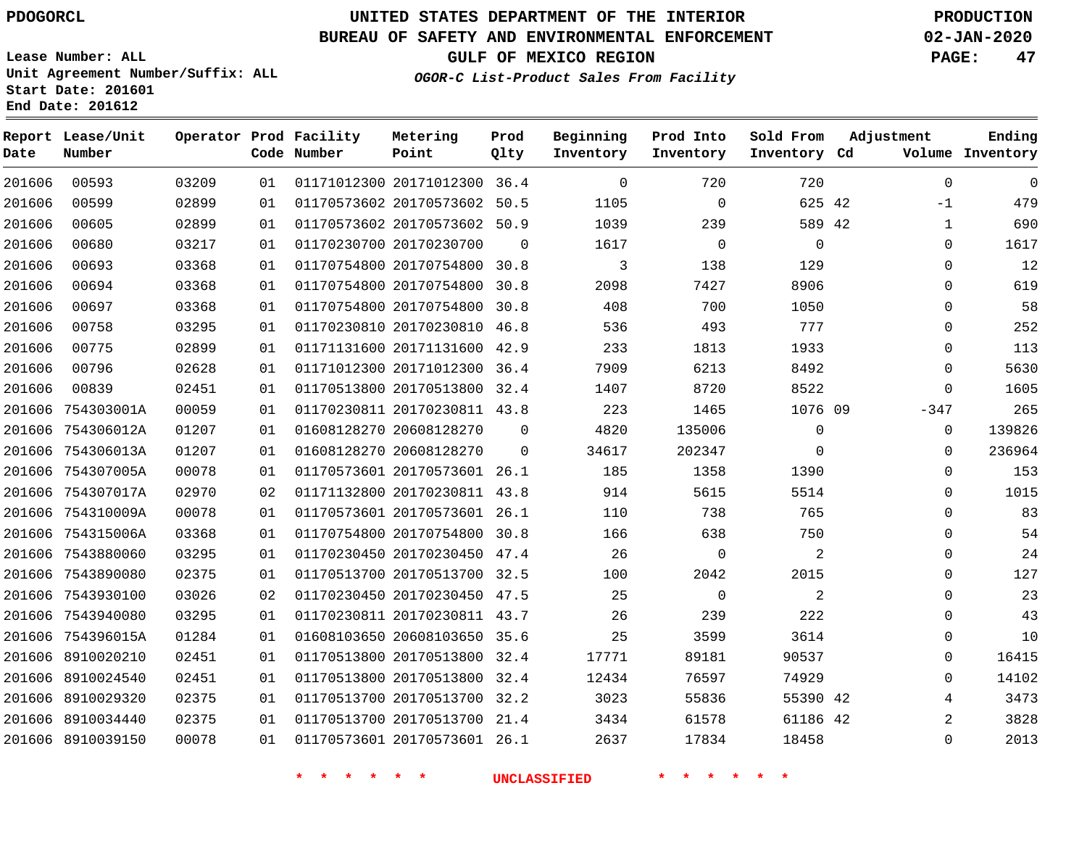**Prod**

#### **BUREAU OF SAFETY AND ENVIRONMENTAL ENFORCEMENT 02-JAN-2020**

**Lease Number: ALL Unit Agreement Number/Suffix: ALL Start Date: 201601**

**Operator Prod Facility**

**End Date: 201612**

**Report Lease/Unit**

**OGOR-C List-Product Sales From Facility**

**Beginning Prod Into Sold From Adjustment**

**GULF OF MEXICO REGION PAGE: 47**

**Ending**

| Date   | Number            |       |    | Code Number                      | Point                        | Qlty        | Inventory           | Inventory                     | Inventory Cd   |                | Volume Inventory |
|--------|-------------------|-------|----|----------------------------------|------------------------------|-------------|---------------------|-------------------------------|----------------|----------------|------------------|
| 201606 | 00593             | 03209 | 01 |                                  | 01171012300 20171012300 36.4 |             | $\overline{0}$      | 720                           | 720            | $\mathbf 0$    | $\mathbf 0$      |
| 201606 | 00599             | 02899 | 01 |                                  | 01170573602 20170573602 50.5 |             | 1105                | $\overline{0}$                | 625 42         | $-1$           | 479              |
| 201606 | 00605             | 02899 | 01 |                                  | 01170573602 20170573602 50.9 |             | 1039                | 239                           | 589 42         | $\mathbf{1}$   | 690              |
| 201606 | 00680             | 03217 | 01 |                                  | 01170230700 20170230700      | $\Omega$    | 1617                | $\overline{0}$                | $\overline{0}$ | $\mathbf 0$    | 1617             |
| 201606 | 00693             | 03368 | 01 |                                  | 01170754800 20170754800 30.8 |             | $\overline{3}$      | 138                           | 129            | 0              | 12               |
| 201606 | 00694             | 03368 | 01 |                                  | 01170754800 20170754800 30.8 |             | 2098                | 7427                          | 8906           | $\Omega$       | 619              |
| 201606 | 00697             | 03368 | 01 |                                  | 01170754800 20170754800 30.8 |             | 408                 | 700                           | 1050           | 0              | 58               |
| 201606 | 00758             | 03295 | 01 |                                  | 01170230810 20170230810 46.8 |             | 536                 | 493                           | 777            | 0              | 252              |
| 201606 | 00775             | 02899 | 01 |                                  | 01171131600 20171131600 42.9 |             | 233                 | 1813                          | 1933           | $\Omega$       | 113              |
| 201606 | 00796             | 02628 | 01 |                                  | 01171012300 20171012300 36.4 |             | 7909                | 6213                          | 8492           | $\mathbf 0$    | 5630             |
| 201606 | 00839             | 02451 | 01 |                                  | 01170513800 20170513800 32.4 |             | 1407                | 8720                          | 8522           | $\Omega$       | 1605             |
|        | 201606 754303001A | 00059 | 01 |                                  | 01170230811 20170230811 43.8 |             | 223                 | 1465                          | 1076 09        | $-347$         | 265              |
|        | 201606 754306012A | 01207 | 01 |                                  | 01608128270 20608128270      | 0           | 4820                | 135006                        | $\mathbf 0$    | 0              | 139826           |
|        | 201606 754306013A | 01207 | 01 |                                  | 01608128270 20608128270      | $\mathbf 0$ | 34617               | 202347                        | $\mathbf 0$    | 0              | 236964           |
|        | 201606 754307005A | 00078 | 01 |                                  | 01170573601 20170573601 26.1 |             | 185                 | 1358                          | 1390           | 0              | 153              |
|        | 201606 754307017A | 02970 | 02 |                                  | 01171132800 20170230811 43.8 |             | 914                 | 5615                          | 5514           | 0              | 1015             |
|        | 201606 754310009A | 00078 | 01 |                                  | 01170573601 20170573601 26.1 |             | 110                 | 738                           | 765            | 0              | 83               |
|        | 201606 754315006A | 03368 | 01 |                                  | 01170754800 20170754800 30.8 |             | 166                 | 638                           | 750            | 0              | 54               |
|        | 201606 7543880060 | 03295 | 01 |                                  | 01170230450 20170230450 47.4 |             | 26                  | $\overline{0}$                | 2              | 0              | 24               |
|        | 201606 7543890080 | 02375 | 01 |                                  | 01170513700 20170513700 32.5 |             | 100                 | 2042                          | 2015           | 0              | 127              |
|        | 201606 7543930100 | 03026 | 02 |                                  | 01170230450 20170230450 47.5 |             | 25                  | $\overline{0}$                | 2              | 0              | 23               |
|        | 201606 7543940080 | 03295 | 01 |                                  | 01170230811 20170230811 43.7 |             | 26                  | 239                           | 222            | 0              | 43               |
|        | 201606 754396015A | 01284 | 01 |                                  | 01608103650 20608103650 35.6 |             | 25                  | 3599                          | 3614           | 0              | 10               |
|        | 201606 8910020210 | 02451 | 01 |                                  | 01170513800 20170513800 32.4 |             | 17771               | 89181                         | 90537          | 0              | 16415            |
|        | 201606 8910024540 | 02451 | 01 |                                  | 01170513800 20170513800 32.4 |             | 12434               | 76597                         | 74929          | $\Omega$       | 14102            |
|        | 201606 8910029320 | 02375 | 01 |                                  | 01170513700 20170513700 32.2 |             | 3023                | 55836                         | 55390 42       | 4              | 3473             |
|        | 201606 8910034440 | 02375 | 01 |                                  | 01170513700 20170513700 21.4 |             | 3434                | 61578                         | 61186 42       | $\overline{a}$ | 3828             |
|        | 201606 8910039150 | 00078 | 01 |                                  | 01170573601 20170573601 26.1 |             | 2637                | 17834                         | 18458          | 0              | 2013             |
|        |                   |       |    | $\star$ $\star$<br>$\star$<br>一米 | $\star$<br>$\star$           |             | <b>UNCLASSIFIED</b> | $\star$<br>$\star$<br>$\star$ |                |                |                  |

**Metering**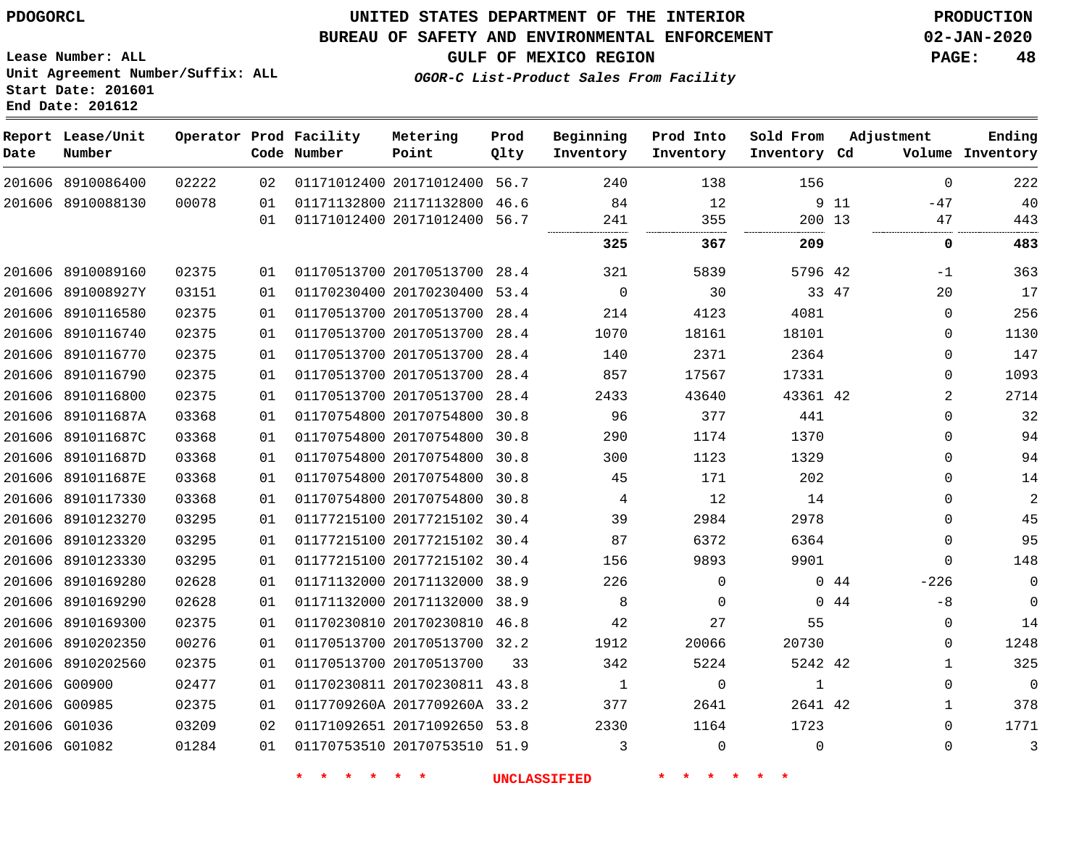**Date**

 8910086400 8910088130

**Report Lease/Unit**

**Number**

### **UNITED STATES DEPARTMENT OF THE INTERIOR PDOGORCL PRODUCTION**

#### **BUREAU OF SAFETY AND ENVIRONMENTAL ENFORCEMENT 02-JAN-2020**

**Lease Number: ALL Unit Agreement Number/Suffix: ALL Start Date: 201601 End Date: 201612**

> 

**Operator Prod Facility**

**Code Number**

 

**OGOR-C List-Product Sales From Facility**

**GULF OF MEXICO REGION PAGE: 48**

| Facility<br>Number | Metering<br>Point       | Prod<br>Qlty | Beginning<br>Inventory | Prod Into<br>Inventory | Sold From<br>Inventory Cd |    | Adjustment<br>Volume | Ending<br>Inventory |
|--------------------|-------------------------|--------------|------------------------|------------------------|---------------------------|----|----------------------|---------------------|
|                    | 01171012400 20171012400 | 56.7         | 240                    | 138                    | 156                       |    | $\Omega$             | 222                 |
|                    | 01171132800 21171132800 | 46.6         | 84                     | 12                     | 9                         | 11 | $-47$                | 40                  |
|                    | 01171012400 20171012400 | 56.7         | 241                    | 355                    | 200                       | 13 | 47                   | 443                 |
|                    |                         |              | 325                    | 367                    | 209                       |    | $\Omega$             | 483                 |
|                    | 01170513700 20170513700 | 28.4         | 321                    | 5839                   | 5796                      | 42 | $-1$                 | 363                 |
|                    | 01170230400 20170230400 | 53.4         | $\Omega$               | 30                     | 33                        | 47 | 20                   | 17                  |
|                    | 01170513700 20170513700 | 28.4         | 214                    | 4123                   | 4081                      |    | $\Omega$             | 256                 |
|                    | 01170513700 20170513700 | 28.4         | 1070                   | 18161                  | 18101                     |    | $\Omega$             | 1130                |
|                    | 01170513700 20170513700 | 28.4         | 140                    | 2371                   | 2364                      |    | $\Omega$             | 147                 |
|                    | 01170513700 20170513700 | 28.4         | 857                    | 17567                  | 17331                     |    | $\Omega$             | 1093                |
|                    | 01170513700 20170513700 | 28.4         | 2433                   | 43640                  | 43361 42                  |    | 2                    | 2714                |
|                    | 01170754800 20170754800 | 30.8         | 96                     | 377                    | 441                       |    | $\Omega$             | 32                  |
|                    | 01170754800 20170754800 | 30.8         | 290                    | 1174                   | 1370                      |    | $\Omega$             | 94                  |
|                    | 01170754800 20170754800 | 30.8         | 300                    | 1123                   | 1329                      |    | $\Omega$             | 94                  |
|                    | 01170754800 20170754800 | 30.8         | 45                     | 171                    | 202                       |    | $\Omega$             | 14                  |
|                    | 01170754800 20170754800 | 30.8         | 4                      | 12                     | 14                        |    | $\Omega$             | $\overline{2}$      |
|                    | 01177215100 20177215102 | 30.4         | 39                     | 2984                   | 2978                      |    | $\Omega$             | 45                  |

 20177215102 30.4 20177215102 30.4 20171132000 38.9 20171132000 38.9 20170230810 46.8 20170513700 32.2

20170513700

 20170230811 43.8 0117709260A 2017709260A 33.2 20171092650 53.8 20170753510 51.9

**\* \* \* \* \* \* UNCLASSIFIED \* \* \* \* \* \***

44 44

  $\Omega$  $-226$  $-8$  $\Omega$   $\Omega$   $\Omega$  $\Omega$ 

 

42

 

42

  $\Omega$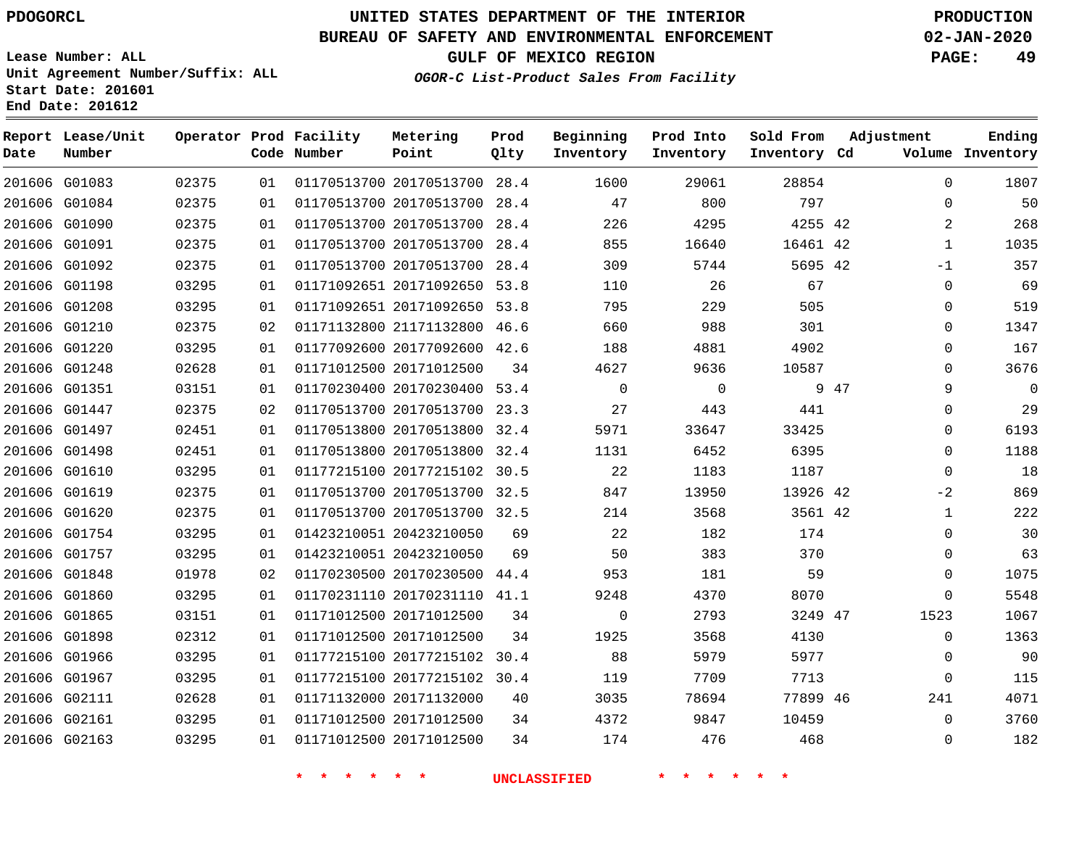# **UNITED STATES DEPARTMENT OF THE INTERIOR PDOGORCL PRODUCTION**

### **BUREAU OF SAFETY AND ENVIRONMENTAL ENFORCEMENT 02-JAN-2020**

**Lease Number: ALL Unit Agreement Number/Suffix: ALL Start Date: 201601**

**GULF OF MEXICO REGION PAGE: 49**

**OGOR-C List-Product Sales From Facility**

| Date | Report Lease/Unit<br>Number |       |    | Operator Prod Facility<br>Code Number | Metering<br>Point            | Prod<br>Qlty | Beginning<br>Inventory | Prod Into<br>Inventory | Sold From<br>Inventory Cd | Adjustment |              | Ending<br>Volume Inventory |
|------|-----------------------------|-------|----|---------------------------------------|------------------------------|--------------|------------------------|------------------------|---------------------------|------------|--------------|----------------------------|
|      | 201606 G01083               | 02375 | 01 |                                       | 01170513700 20170513700      | 28.4         | 1600                   | 29061                  | 28854                     |            | $\Omega$     | 1807                       |
|      | 201606 G01084               | 02375 | 01 |                                       | 01170513700 20170513700 28.4 |              | 47                     | 800                    | 797                       |            | $\Omega$     | 50                         |
|      | 201606 G01090               | 02375 | 01 |                                       | 01170513700 20170513700      | 28.4         | 226                    | 4295                   | 4255 42                   |            | 2            | 268                        |
|      | 201606 G01091               | 02375 | 01 |                                       | 01170513700 20170513700 28.4 |              | 855                    | 16640                  | 16461 42                  |            | $\mathbf{1}$ | 1035                       |
|      | 201606 G01092               | 02375 | 01 |                                       | 01170513700 20170513700      | 28.4         | 309                    | 5744                   | 5695 42                   |            | $-1$         | 357                        |
|      | 201606 G01198               | 03295 | 01 |                                       | 01171092651 20171092650 53.8 |              | 110                    | 26                     | 67                        |            | $\mathbf 0$  | 69                         |
|      | 201606 G01208               | 03295 | 01 |                                       | 01171092651 20171092650      | 53.8         | 795                    | 229                    | 505                       |            | $\mathbf 0$  | 519                        |
|      | 201606 G01210               | 02375 | 02 |                                       | 01171132800 21171132800 46.6 |              | 660                    | 988                    | 301                       |            | 0            | 1347                       |
|      | 201606 G01220               | 03295 | 01 |                                       | 01177092600 20177092600 42.6 |              | 188                    | 4881                   | 4902                      |            | 0            | 167                        |
|      | 201606 G01248               | 02628 | 01 |                                       | 01171012500 20171012500      | 34           | 4627                   | 9636                   | 10587                     |            | $\Omega$     | 3676                       |
|      | 201606 G01351               | 03151 | 01 |                                       | 01170230400 20170230400 53.4 |              | $\mathbf 0$            | 0                      |                           | 9 47       | 9            | $\mathbf{0}$               |
|      | 201606 G01447               | 02375 | 02 |                                       | 01170513700 20170513700 23.3 |              | 27                     | 443                    | 441                       |            | 0            | 29                         |
|      | 201606 G01497               | 02451 | 01 |                                       | 01170513800 20170513800      | 32.4         | 5971                   | 33647                  | 33425                     |            | 0            | 6193                       |
|      | 201606 G01498               | 02451 | 01 |                                       | 01170513800 20170513800 32.4 |              | 1131                   | 6452                   | 6395                      |            | $\Omega$     | 1188                       |
|      | 201606 G01610               | 03295 | 01 |                                       | 01177215100 20177215102 30.5 |              | 22                     | 1183                   | 1187                      |            | $\Omega$     | 18                         |
|      | 201606 G01619               | 02375 | 01 |                                       | 01170513700 20170513700 32.5 |              | 847                    | 13950                  | 13926 42                  |            | $-2$         | 869                        |
|      | 201606 G01620               | 02375 | 01 |                                       | 01170513700 20170513700 32.5 |              | 214                    | 3568                   | 3561 42                   |            | $\mathbf{1}$ | 222                        |
|      | 201606 G01754               | 03295 | 01 |                                       | 01423210051 20423210050      | 69           | 22                     | 182                    | 174                       |            | 0            | 30                         |
|      | 201606 G01757               | 03295 | 01 |                                       | 01423210051 20423210050      | 69           | 50                     | 383                    | 370                       |            | $\Omega$     | 63                         |
|      | 201606 G01848               | 01978 | 02 |                                       | 01170230500 20170230500      | 44.4         | 953                    | 181                    | 59                        |            | 0            | 1075                       |
|      | 201606 G01860               | 03295 | 01 |                                       | 01170231110 20170231110 41.1 |              | 9248                   | 4370                   | 8070                      |            | 0            | 5548                       |
|      | 201606 G01865               | 03151 | 01 |                                       | 01171012500 20171012500      | 34           | $\mathbf 0$            | 2793                   | 3249 47                   | 1523       |              | 1067                       |
|      | 201606 G01898               | 02312 | 01 |                                       | 01171012500 20171012500      | 34           | 1925                   | 3568                   | 4130                      |            | $\Omega$     | 1363                       |
|      | 201606 G01966               | 03295 | 01 |                                       | 01177215100 20177215102      | 30.4         | 88                     | 5979                   | 5977                      |            | $\mathbf 0$  | 90                         |
|      | 201606 G01967               | 03295 | 01 |                                       | 01177215100 20177215102 30.4 |              | 119                    | 7709                   | 7713                      |            | 0            | 115                        |
|      | 201606 G02111               | 02628 | 01 |                                       | 01171132000 20171132000      | 40           | 3035                   | 78694                  | 77899 46                  |            | 241          | 4071                       |
|      | 201606 G02161               | 03295 | 01 |                                       | 01171012500 20171012500      | 34           | 4372                   | 9847                   | 10459                     |            | $\Omega$     | 3760                       |
|      | 201606 G02163               | 03295 | 01 |                                       | 01171012500 20171012500      | 34           | 174                    | 476                    | 468                       |            | $\Omega$     | 182                        |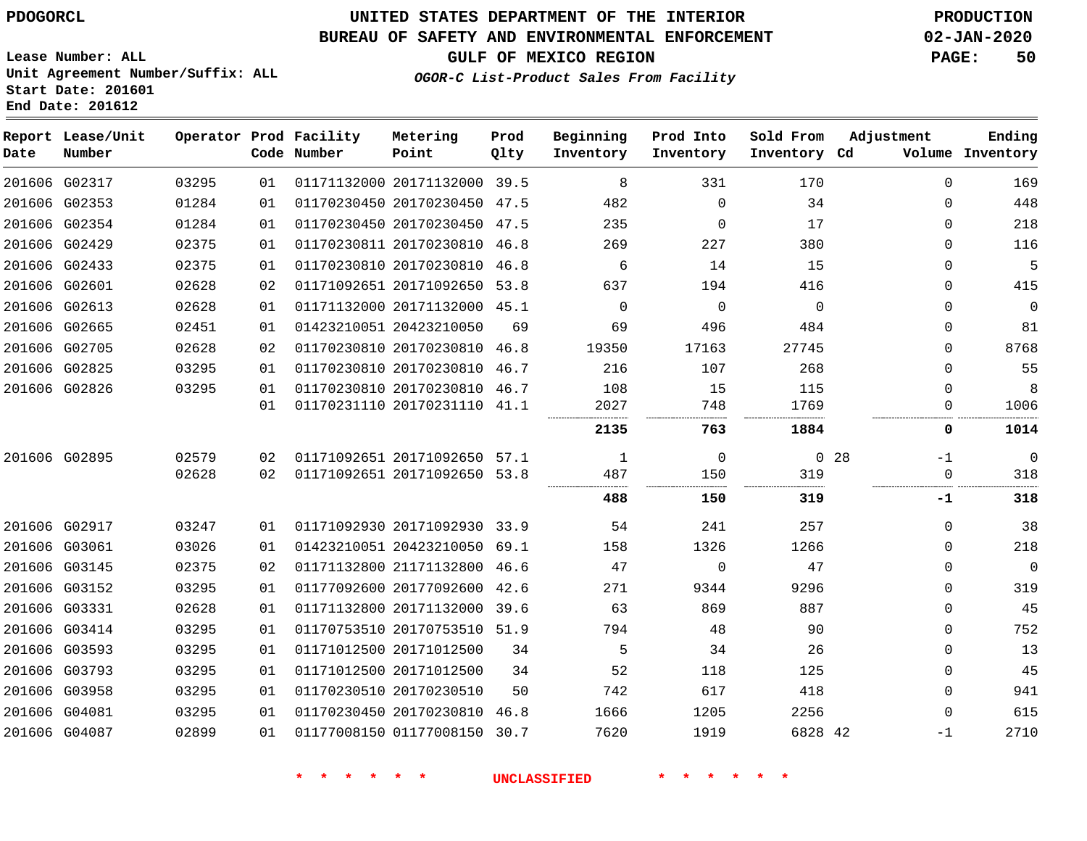### **BUREAU OF SAFETY AND ENVIRONMENTAL ENFORCEMENT 02-JAN-2020**

**GULF OF MEXICO REGION PAGE: 50**

**Lease Number: ALL Unit Agreement Number/Suffix: ALL Start Date: 201601 End Date: 201612**

| GOR-C List-Product Sales From Facility |  |  |
|----------------------------------------|--|--|
|                                        |  |  |

**OGOR-C List-Product Sales From Facility**

| Date          | Report Lease/Unit<br>Number |       |    | Operator Prod Facility<br>Code Number | Metering<br>Point            | Prod<br>Qlty | Beginning<br>Inventory | Prod Into<br>Inventory | Sold From<br>Inventory Cd | Adjustment              | Ending<br>Volume Inventory |
|---------------|-----------------------------|-------|----|---------------------------------------|------------------------------|--------------|------------------------|------------------------|---------------------------|-------------------------|----------------------------|
|               | 201606 G02317               | 03295 | 01 |                                       | 01171132000 20171132000 39.5 |              | 8                      | 331                    | 170                       | $\Omega$                | 169                        |
|               | 201606 G02353               | 01284 | 01 |                                       | 01170230450 20170230450 47.5 |              | 482                    | $\mathbf 0$            | 34                        | $\Omega$                | 448                        |
|               | 201606 G02354               | 01284 | 01 |                                       | 01170230450 20170230450 47.5 |              | 235                    | $\Omega$               | 17                        | $\Omega$                | 218                        |
|               | 201606 G02429               | 02375 | 01 |                                       | 01170230811 20170230810      | 46.8         | 269                    | 227                    | 380                       | $\Omega$                | 116                        |
|               | 201606 G02433               | 02375 | 01 |                                       | 01170230810 20170230810      | 46.8         | 6                      | 14                     | 15                        | $\Omega$                | 5                          |
| 201606 G02601 |                             | 02628 | 02 |                                       | 01171092651 20171092650 53.8 |              | 637                    | 194                    | 416                       | $\Omega$                | 415                        |
|               | 201606 G02613               | 02628 | 01 |                                       | 01171132000 20171132000 45.1 |              | $\Omega$               | $\mathbf 0$            | $\Omega$                  | $\Omega$                | 0                          |
|               | 201606 G02665               | 02451 | 01 |                                       | 01423210051 20423210050      | 69           | 69                     | 496                    | 484                       | 0                       | 81                         |
|               | 201606 G02705               | 02628 | 02 |                                       | 01170230810 20170230810      | 46.8         | 19350                  | 17163                  | 27745                     | $\Omega$                | 8768                       |
|               | 201606 G02825               | 03295 | 01 |                                       | 01170230810 20170230810      | 46.7         | 216                    | 107                    | 268                       | $\Omega$                | 55                         |
|               | 201606 G02826               | 03295 | 01 |                                       | 01170230810 20170230810      | 46.7         | 108                    | 15                     | 115                       | <sup>n</sup>            | 8                          |
|               |                             |       | 01 |                                       | 01170231110 20170231110      | 41.1         | 2027                   | 748                    | 1769                      | $\Omega$                | 1006                       |
|               |                             |       |    |                                       |                              |              | 2135                   | 763                    | 1884                      | 0                       | 1014                       |
|               | 201606 G02895               | 02579 | 02 |                                       | 01171092651 20171092650 57.1 |              | 1                      | $\mathbf 0$            |                           | 0 <sub>28</sub><br>$-1$ | $\mathbf 0$                |
|               |                             | 02628 | 02 |                                       | 01171092651 20171092650      | 53.8         | 487                    | 150<br>.               | 319                       | $\Omega$                | 318                        |
|               |                             |       |    |                                       |                              |              | 488                    | 150                    | 319                       | -1                      | 318                        |
|               | 201606 G02917               | 03247 | 01 |                                       | 01171092930 20171092930 33.9 |              | 54                     | 241                    | 257                       | $\Omega$                | 38                         |
|               | 201606 G03061               | 03026 | 01 |                                       | 01423210051 20423210050      | 69.1         | 158                    | 1326                   | 1266                      | $\Omega$                | 218                        |
|               | 201606 G03145               | 02375 | 02 |                                       | 01171132800 21171132800      | 46.6         | 47                     | $\Omega$               | 47                        | $\Omega$                | $\mathbf 0$                |
|               | 201606 G03152               | 03295 | 01 |                                       | 01177092600 20177092600      | 42.6         | 271                    | 9344                   | 9296                      | $\Omega$                | 319                        |
|               | 201606 G03331               | 02628 | 01 |                                       | 01171132800 20171132000      | 39.6         | 63                     | 869                    | 887                       | $\Omega$                | 45                         |
|               | 201606 G03414               | 03295 | 01 |                                       | 01170753510 20170753510 51.9 |              | 794                    | 48                     | 90                        | $\Omega$                | 752                        |
|               | 201606 G03593               | 03295 | 01 |                                       | 01171012500 20171012500      | 34           | 5                      | 34                     | 26                        | $\Omega$                | 13                         |
|               | 201606 G03793               | 03295 | 01 |                                       | 01171012500 20171012500      | 34           | 52                     | 118                    | 125                       | $\Omega$                | 45                         |
|               | 201606 G03958               | 03295 | 01 |                                       | 01170230510 20170230510      | 50           | 742                    | 617                    | 418                       | $\Omega$                | 941                        |
|               | 201606 G04081               | 03295 | 01 |                                       | 01170230450 20170230810      | 46.8         | 1666                   | 1205                   | 2256                      | $\Omega$                | 615                        |
|               | 201606 G04087               | 02899 | 01 |                                       | 01177008150 01177008150 30.7 |              | 7620                   | 1919                   | 6828 42                   | -1                      | 2710                       |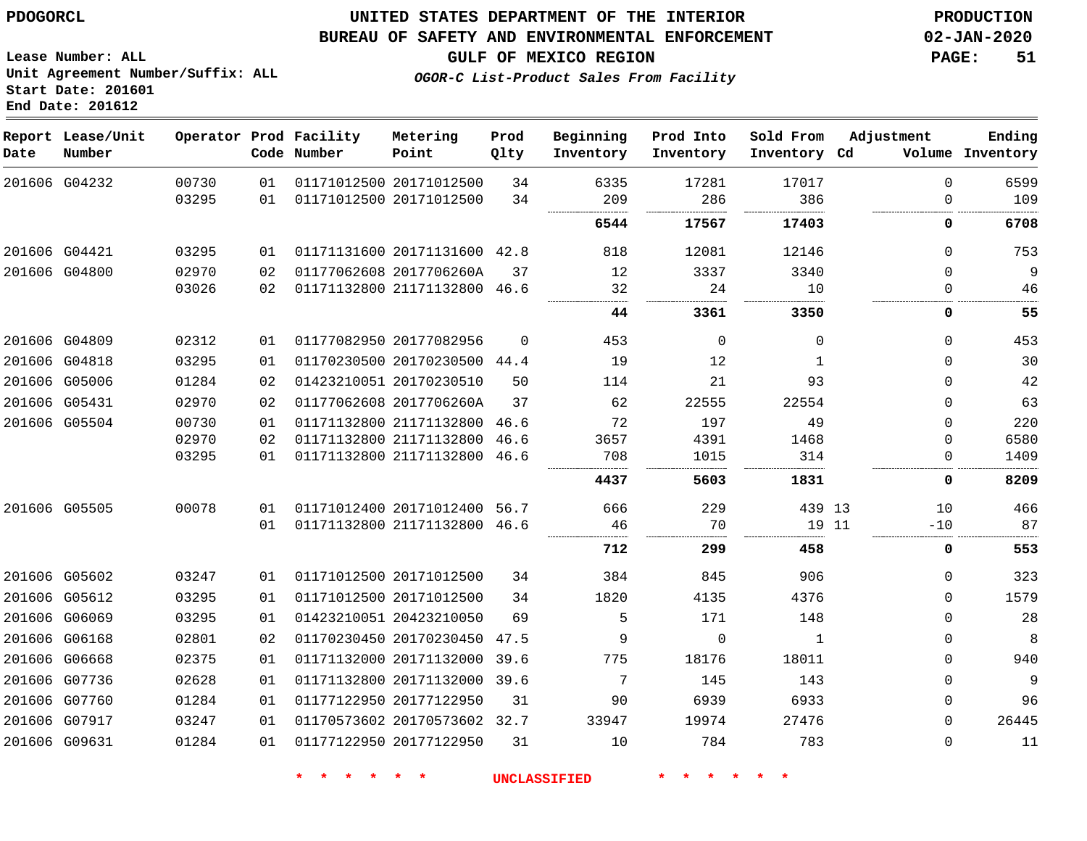G07917 G09631    

### **UNITED STATES DEPARTMENT OF THE INTERIOR PDOGORCL PRODUCTION**

#### **BUREAU OF SAFETY AND ENVIRONMENTAL ENFORCEMENT 02-JAN-2020**

 

 

**GULF OF MEXICO REGION PAGE: 51**

**Lease Number: ALL Unit Agreement Number/Suffix: ALL Start Date: 201601 End Date: 201612**

**OGOR-C List-Product Sales From Facility**

| Date | Report Lease/Unit<br>Number |       |    | Operator Prod Facility<br>Code Number | Metering<br>Point            | Prod<br>Qlty | Beginning<br>Inventory | Prod Into<br>Inventory | Sold From<br>Inventory Cd | Adjustment  | Ending<br>Volume Inventory |
|------|-----------------------------|-------|----|---------------------------------------|------------------------------|--------------|------------------------|------------------------|---------------------------|-------------|----------------------------|
|      | 201606 G04232               | 00730 | 01 |                                       | 01171012500 20171012500      | 34           | 6335                   | 17281                  | 17017                     | $\Omega$    | 6599                       |
|      |                             | 03295 | 01 |                                       | 01171012500 20171012500      | 34           | 209                    | 286                    | 386                       | 0           | 109                        |
|      |                             |       |    |                                       |                              |              | 6544                   | 17567                  | 17403                     | 0           | 6708                       |
|      | 201606 G04421               | 03295 | 01 |                                       | 01171131600 20171131600 42.8 |              | 818                    | 12081                  | 12146                     | $\Omega$    | 753                        |
|      | 201606 G04800               | 02970 | 02 |                                       | 01177062608 2017706260A      | 37           | 12                     | 3337                   | 3340                      | $\Omega$    | 9                          |
|      |                             | 03026 | 02 |                                       | 01171132800 21171132800 46.6 |              | 32                     | 24                     | 10                        | 0           | 46                         |
|      |                             |       |    |                                       |                              |              | 44                     | 3361                   | 3350                      | 0           | 55                         |
|      | 201606 G04809               | 02312 | 01 |                                       | 01177082950 20177082956      | $\Omega$     | 453                    | $\Omega$               | $\Omega$                  | $\Omega$    | 453                        |
|      | 201606 G04818               | 03295 | 01 |                                       | 01170230500 20170230500 44.4 |              | 19                     | 12                     | 1                         | 0           | 30                         |
|      | 201606 G05006               | 01284 | 02 |                                       | 01423210051 20170230510      | 50           | 114                    | 21                     | 93                        | $\Omega$    | 42                         |
|      | 201606 G05431               | 02970 | 02 |                                       | 01177062608 2017706260A      | 37           | 62                     | 22555                  | 22554                     | 0           | 63                         |
|      | 201606 G05504               | 00730 | 01 |                                       | 01171132800 21171132800      | 46.6         | 72                     | 197                    | 49                        | $\Omega$    | 220                        |
|      |                             | 02970 | 02 |                                       | 01171132800 21171132800      | 46.6         | 3657                   | 4391                   | 1468                      | $\Omega$    | 6580                       |
|      |                             | 03295 | 01 |                                       | 01171132800 21171132800 46.6 |              | 708                    | 1015                   | 314                       | $\Omega$    | 1409                       |
|      |                             |       |    |                                       |                              |              | 4437                   | 5603                   | 1831                      | 0           | 8209                       |
|      | 201606 G05505               | 00078 | 01 |                                       | 01171012400 20171012400      | 56.7         | 666                    | 229                    | 439 13                    | 10          | 466                        |
|      |                             |       | 01 |                                       | 01171132800 21171132800 46.6 |              | 46                     | 70                     | 19 11                     | $-10$       | 87                         |
|      |                             |       |    |                                       |                              |              | 712                    | 299                    | 458                       | 0           | 553                        |
|      | 201606 G05602               | 03247 | 01 |                                       | 01171012500 20171012500      | 34           | 384                    | 845                    | 906                       | 0           | 323                        |
|      | 201606 G05612               | 03295 | 01 |                                       | 01171012500 20171012500      | 34           | 1820                   | 4135                   | 4376                      | $\Omega$    | 1579                       |
|      | 201606 G06069               | 03295 | 01 |                                       | 01423210051 20423210050      | 69           | 5                      | 171                    | 148                       | 0           | 28                         |
|      | 201606 G06168               | 02801 | 02 |                                       | 01170230450 20170230450      | 47.5         | 9                      | $\mathbf 0$            | $\mathbf{1}$              | 0           | 8                          |
|      | 201606 G06668               | 02375 | 01 |                                       | 01171132000 20171132000      | 39.6         | 775                    | 18176                  | 18011                     | 0           | 940                        |
|      | 201606 G07736               | 02628 | 01 |                                       | 01171132800 20171132000 39.6 |              | 7                      | 145                    | 143                       | $\Omega$    | 9                          |
|      | 201606 G07760               | 01284 | 01 |                                       | 01177122950 20177122950      | 31           | 90                     | 6939                   | 6933                      | $\mathbf 0$ | 96                         |

20170573602 32.7

20177122950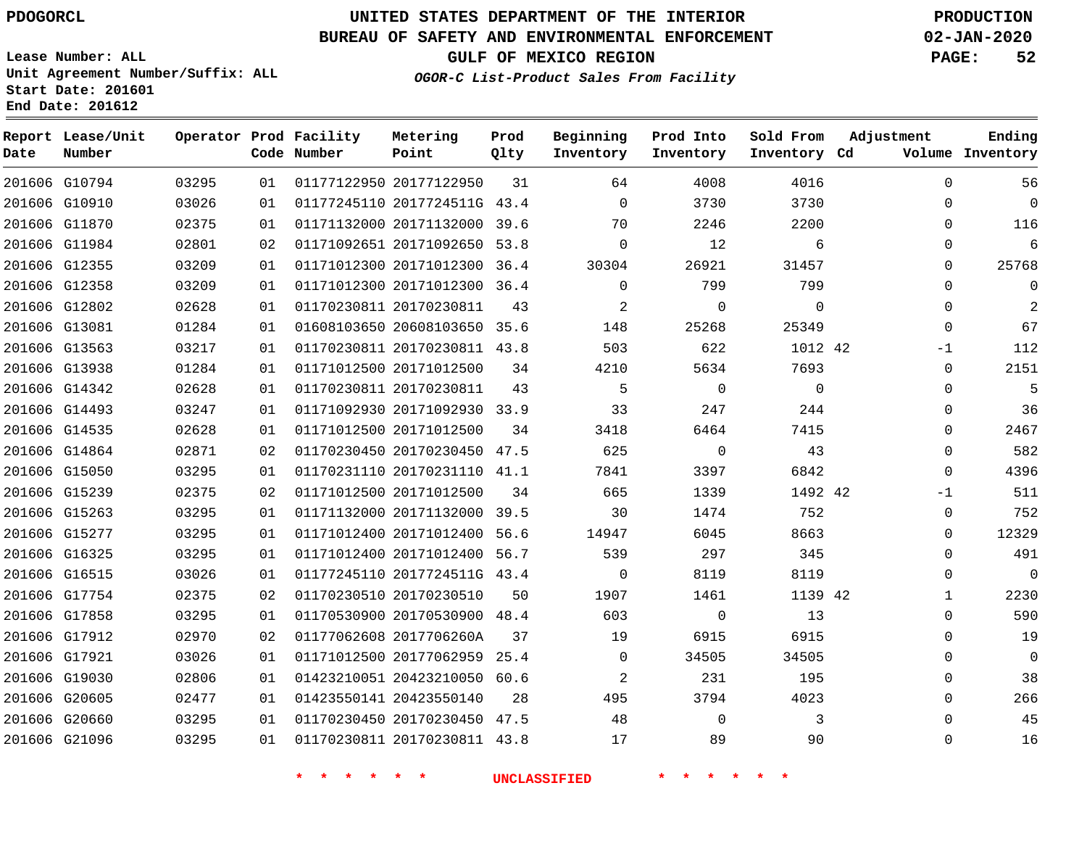**Report Lease/Unit**

**Number**

G10794

**Date**

 G17921 G19030 G20605 G20660 G21096

# **UNITED STATES DEPARTMENT OF THE INTERIOR PDOGORCL PRODUCTION**

**Prod Qlty**

#### **BUREAU OF SAFETY AND ENVIRONMENTAL ENFORCEMENT 02-JAN-2020**

**Lease Number: ALL Unit Agreement Number/Suffix: ALL Start Date: 201601**

**Operator Prod Facility**

**Code Number**

**OGOR-C List-Product Sales From Facility**

**Sold From Inventory**

**Prod Into Inventory**

**Beginning Inventory**

**GULF OF MEXICO REGION PAGE: 52**

**Inventory Cd Volume**

**Adjustment**

  $\Omega$  $\Omega$  $\Omega$  $\Omega$  $\Omega$  $\Omega$  $\Omega$ -1  $\Omega$  $\Omega$  $\Omega$  $\Omega$   $\Omega$ -1  $\Omega$  $\Omega$  $\Omega$  $\Omega$   $\Omega$  $\Omega$   $\Omega$   $\Omega$ 

**Ending**

|    | 3730        | 3730     | $\Omega$       | 43.4 | 01177245110 2017724511G | 01 | 03026 | 201606 G10910 |        |
|----|-------------|----------|----------------|------|-------------------------|----|-------|---------------|--------|
|    | 2200        | 2246     | 70             | 39.6 | 01171132000 20171132000 | 01 | 02375 | 201606 G11870 |        |
|    | 6           | 12       | $\Omega$       | 53.8 | 01171092651 20171092650 | 02 | 02801 | G11984        | 201606 |
|    | 31457       | 26921    | 30304          | 36.4 | 01171012300 20171012300 | 01 | 03209 | 201606 G12355 |        |
|    | 799         | 799      | $\Omega$       | 36.4 | 01171012300 20171012300 | 01 | 03209 | 201606 G12358 |        |
|    | $\mathbf 0$ | $\Omega$ | $\overline{a}$ | 43   | 01170230811 20170230811 | 01 | 02628 | G12802        | 201606 |
|    | 25349       | 25268    | 148            | 35.6 | 01608103650 20608103650 | 01 | 01284 | 201606 G13081 |        |
|    | 1012 42     | 622      | 503            | 43.8 | 01170230811 20170230811 | 01 | 03217 | 201606 G13563 |        |
|    | 7693        | 5634     | 4210           | 34   | 01171012500 20171012500 | 01 | 01284 | 201606 G13938 |        |
|    | 0           | $\Omega$ | 5              | 43   | 01170230811 20170230811 | 01 | 02628 | 201606 G14342 |        |
|    | 244         | 247      | 33             | 33.9 | 01171092930 20171092930 | 01 | 03247 | 201606 G14493 |        |
|    | 7415        | 6464     | 3418           | 34   | 01171012500 20171012500 | 01 | 02628 | 201606 G14535 |        |
|    | 43          | $\Omega$ | 625            | 47.5 | 01170230450 20170230450 | 02 | 02871 | G14864        | 201606 |
|    | 6842        | 3397     | 7841           | 41.1 | 01170231110 20170231110 | 01 | 03295 | 201606 G15050 |        |
| 42 | 1492        | 1339     | 665            | 34   | 01171012500 20171012500 | 02 | 02375 | 201606 G15239 |        |
|    | 752         | 1474     | 30             | 39.5 | 01171132000 20171132000 | 01 | 03295 | 201606 G15263 |        |
|    | 8663        | 6045     | 14947          | 56.6 | 01171012400 20171012400 | 01 | 03295 | G15277        | 201606 |
|    | 345         | 297      | 539            | 56.7 | 01171012400 20171012400 | 01 | 03295 | G16325        | 201606 |
|    | 8119        | 8119     | $\Omega$       | 43.4 | 01177245110 2017724511G | 01 | 03026 | G16515        | 201606 |
| 42 | 1139        | 1461     | 1907           | 50   | 01170230510 20170230510 | 02 | 02375 | G17754        | 201606 |
|    | 13          | $\Omega$ | 603            | 48.4 | 01170530900 20170530900 | 01 | 03295 | 201606 G17858 |        |
|    | 6915        | 6915     | 19             | 37   | 01177062608 2017706260A | 02 | 02970 | 201606 G17912 |        |

20177122950

**Metering Point**

**\* \* \* \* \* \* UNCLASSIFIED \* \* \* \* \* \***

20423550140

 20177062959 25.4 20423210050 60.6

 20170230450 47.5 20170230811 43.8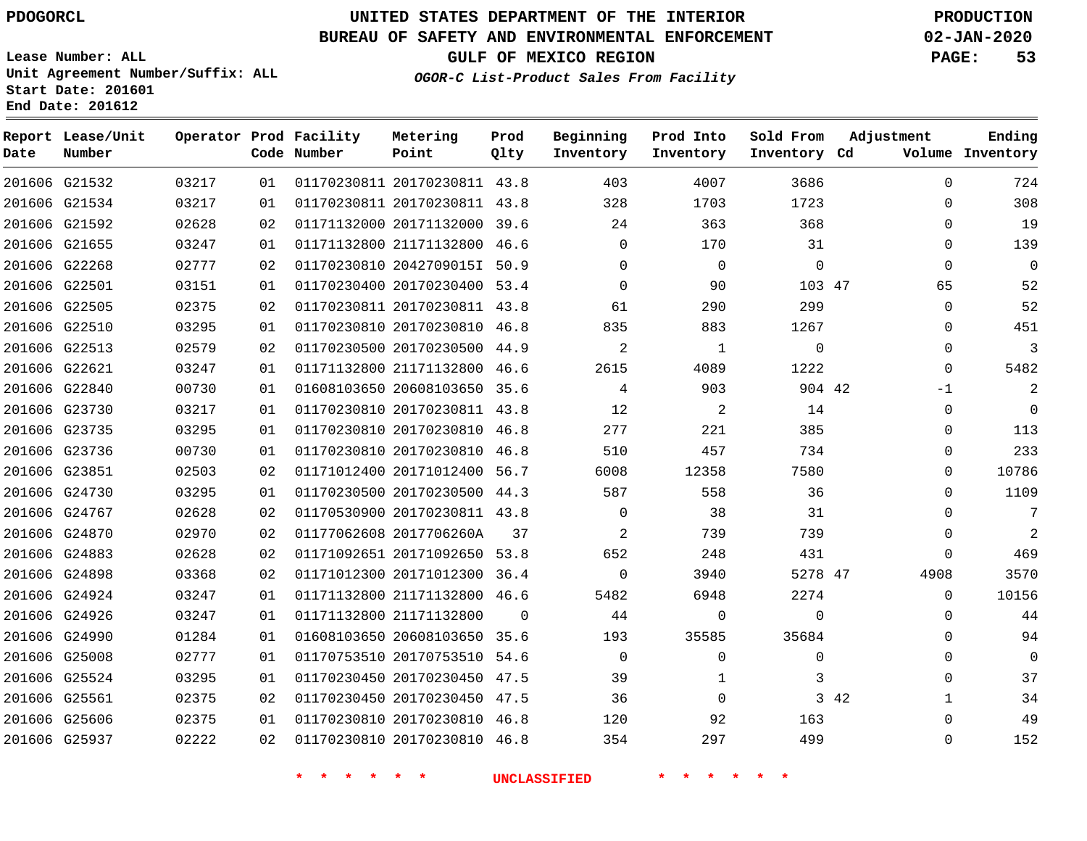#### **BUREAU OF SAFETY AND ENVIRONMENTAL ENFORCEMENT 02-JAN-2020**

**Lease Number: ALL Unit Agreement Number/Suffix: ALL Start Date: 201601**

**OGOR-C List-Product Sales From Facility**

**GULF OF MEXICO REGION PAGE: 53**

| Start Date: 201601<br>End Date: 201612 |                             |       |      |                                       |                   |  |  |  |  |  |  |  |
|----------------------------------------|-----------------------------|-------|------|---------------------------------------|-------------------|--|--|--|--|--|--|--|
| Date                                   | Report Lease/Unit<br>Number |       |      | Operator Prod Facility<br>Code Number | Metering<br>Point |  |  |  |  |  |  |  |
|                                        | 201606 G21532               | 03217 | 01 L | 01170230811 20170230                  |                   |  |  |  |  |  |  |  |
|                                        | 201606 G21534               | 03217 | 01   | 01170230811 20170230                  |                   |  |  |  |  |  |  |  |

| Date | Report Lease/Unit<br>Number |       |    | Operator Prod Facility<br>Code Number | Metering<br>Point            | Prod<br>Qlty | Beginning<br>Inventory | Prod Into<br>Inventory | Sold From<br>Inventory Cd | Adjustment           | Ending<br>Volume Inventory |
|------|-----------------------------|-------|----|---------------------------------------|------------------------------|--------------|------------------------|------------------------|---------------------------|----------------------|----------------------------|
|      | 201606 G21532               | 03217 | 01 |                                       | 01170230811 20170230811 43.8 |              | 403                    | 4007                   | 3686                      | $\Omega$             | 724                        |
|      | 201606 G21534               | 03217 | 01 |                                       | 01170230811 20170230811 43.8 |              | 328                    | 1703                   | 1723                      | 0                    | 308                        |
|      | 201606 G21592               | 02628 | 02 |                                       | 01171132000 20171132000 39.6 |              | 24                     | 363                    | 368                       | $\mathbf 0$          | 19                         |
|      | 201606 G21655               | 03247 | 01 |                                       | 01171132800 21171132800 46.6 |              | $\mathbf 0$            | 170                    | 31                        | $\mathbf 0$          | 139                        |
|      | 201606 G22268               | 02777 | 02 |                                       | 01170230810 2042709015I 50.9 |              | $\Omega$               | $\Omega$               | $\overline{0}$            | $\Omega$             | $\mathbf 0$                |
|      | 201606 G22501               | 03151 | 01 |                                       | 01170230400 20170230400 53.4 |              | $\Omega$               | 90                     | 103 47                    | 65                   | 52                         |
|      | 201606 G22505               | 02375 | 02 |                                       | 01170230811 20170230811 43.8 |              | 61                     | 290                    | 299                       | $\mathbf 0$          | 52                         |
|      | 201606 G22510               | 03295 | 01 |                                       | 01170230810 20170230810 46.8 |              | 835                    | 883                    | 1267                      | $\mathbf 0$          | 451                        |
|      | 201606 G22513               | 02579 | 02 |                                       | 01170230500 20170230500 44.9 |              | 2                      | 1                      | $\Omega$                  | $\Omega$             | 3                          |
|      | 201606 G22621               | 03247 | 01 |                                       | 01171132800 21171132800 46.6 |              | 2615                   | 4089                   | 1222                      | $\Omega$             | 5482                       |
|      | 201606 G22840               | 00730 | 01 |                                       | 01608103650 20608103650 35.6 |              | 4                      | 903                    | 904 42                    | $-1$                 | 2                          |
|      | 201606 G23730               | 03217 | 01 |                                       | 01170230810 20170230811 43.8 |              | 12                     | $\overline{a}$         | 14                        | $\mathbf 0$          | $\Omega$                   |
|      | 201606 G23735               | 03295 | 01 |                                       | 01170230810 20170230810 46.8 |              | 277                    | 221                    | 385                       | $\Omega$             | 113                        |
|      | 201606 G23736               | 00730 | 01 |                                       | 01170230810 20170230810 46.8 |              | 510                    | 457                    | 734                       | 0                    | 233                        |
|      | 201606 G23851               | 02503 | 02 |                                       | 01171012400 20171012400 56.7 |              | 6008                   | 12358                  | 7580                      | $\mathbf 0$          | 10786                      |
|      | 201606 G24730               | 03295 | 01 |                                       | 01170230500 20170230500 44.3 |              | 587                    | 558                    | 36                        | $\Omega$             | 1109                       |
|      | 201606 G24767               | 02628 | 02 |                                       | 01170530900 20170230811 43.8 |              | 0                      | 38                     | 31                        | 0                    | 7                          |
|      | 201606 G24870               | 02970 | 02 |                                       | 01177062608 2017706260A      | 37           | 2                      | 739                    | 739                       | $\mathbf 0$          | 2                          |
|      | 201606 G24883               | 02628 | 02 |                                       | 01171092651 20171092650 53.8 |              | 652                    | 248                    | 431                       | $\mathbf 0$          | 469                        |
|      | 201606 G24898               | 03368 | 02 |                                       | 01171012300 20171012300 36.4 |              | $\mathbf 0$            | 3940                   | 5278 47                   | 4908                 | 3570                       |
|      | 201606 G24924               | 03247 | 01 |                                       | 01171132800 21171132800 46.6 |              | 5482                   | 6948                   | 2274                      | $\Omega$             | 10156                      |
|      | 201606 G24926               | 03247 | 01 |                                       | 01171132800 21171132800      | $\Omega$     | 44                     | $\mathbf 0$            | $\Omega$                  | $\mathbf 0$          | 44                         |
|      | 201606 G24990               | 01284 | 01 |                                       | 01608103650 20608103650 35.6 |              | 193                    | 35585                  | 35684                     | $\Omega$             | 94                         |
|      | 201606 G25008               | 02777 | 01 |                                       | 01170753510 20170753510      | 54.6         | $\mathbf 0$            | $\Omega$               | $\Omega$                  | 0                    | $\Omega$                   |
|      | 201606 G25524               | 03295 | 01 |                                       | 01170230450 20170230450 47.5 |              | 39                     | $\mathbf{1}$           | 3                         | $\Omega$             | 37                         |
|      | 201606 G25561               | 02375 | 02 |                                       | 01170230450 20170230450 47.5 |              | 36                     | $\Omega$               |                           | 3 42<br>$\mathbf{1}$ | 34                         |
|      | 201606 G25606               | 02375 | 01 |                                       | 01170230810 20170230810 46.8 |              | 120                    | 92                     | 163                       | $\Omega$             | 49                         |
|      | 201606 G25937               | 02222 | 02 |                                       | 01170230810 20170230810 46.8 |              | 354                    | 297                    | 499                       | $\Omega$             | 152                        |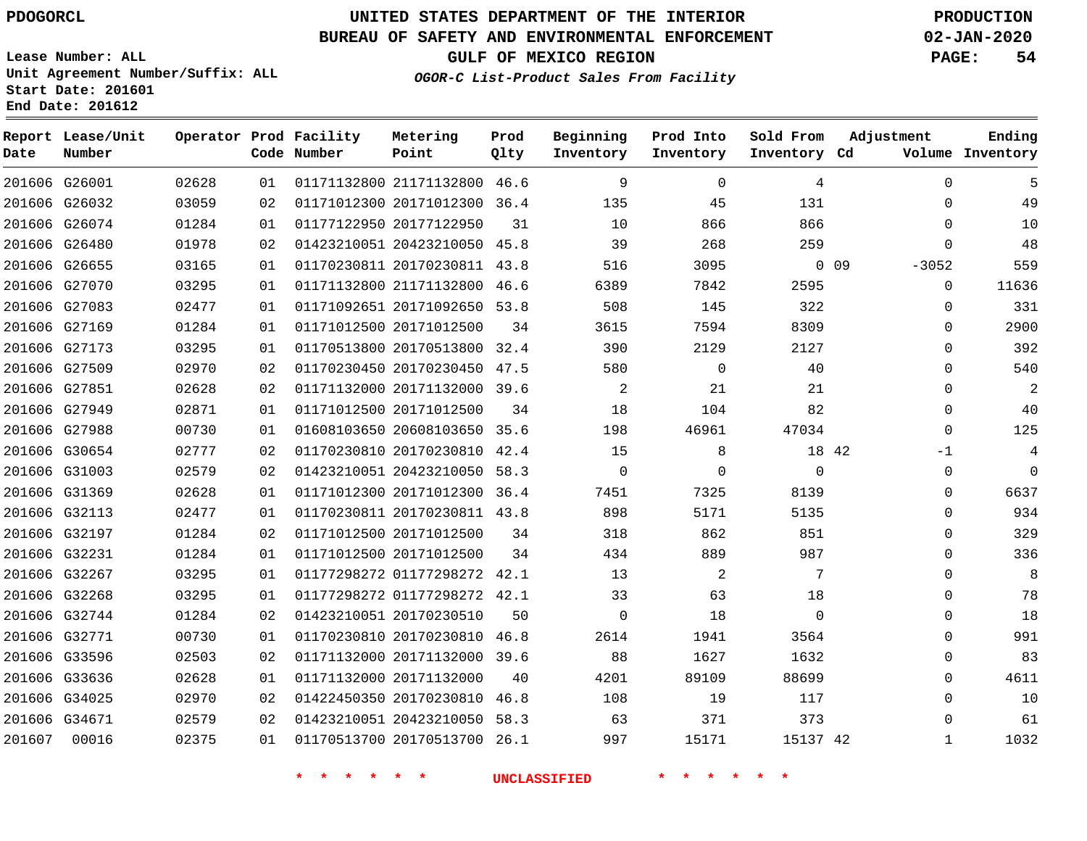### **BUREAU OF SAFETY AND ENVIRONMENTAL ENFORCEMENT 02-JAN-2020**

**Lease Number: ALL Unit Agreement Number/Suffix: ALL Start Date: 201601 End Date: 201612**

**OGOR-C List-Product Sales From Facility**

**GULF OF MEXICO REGION PAGE: 54**

| Date          | Report Lease/Unit<br>Number |       |    | Operator Prod Facility<br>Code Number | Metering<br>Point            | Prod<br>Qlty | Beginning<br>Inventory | Prod Into<br>Inventory | Sold From<br>Inventory Cd | Adjustment        | Ending<br>Volume Inventory |
|---------------|-----------------------------|-------|----|---------------------------------------|------------------------------|--------------|------------------------|------------------------|---------------------------|-------------------|----------------------------|
| 201606 G26001 |                             | 02628 | 01 |                                       | 01171132800 21171132800 46.6 |              | 9                      | $\Omega$               | 4                         | $\Omega$          | 5                          |
| 201606 G26032 |                             | 03059 | 02 |                                       | 01171012300 20171012300 36.4 |              | 135                    | 45                     | 131                       | $\Omega$          | 49                         |
| 201606 G26074 |                             | 01284 | 01 |                                       | 01177122950 20177122950      | 31           | 10                     | 866                    | 866                       | $\mathbf 0$       | 10                         |
| 201606 G26480 |                             | 01978 | 02 |                                       | 01423210051 20423210050 45.8 |              | 39                     | 268                    | 259                       | $\Omega$          | 48                         |
| 201606 G26655 |                             | 03165 | 01 |                                       | 01170230811 20170230811      | 43.8         | 516                    | 3095                   |                           | $-3052$<br>$0$ 09 | 559                        |
| 201606 G27070 |                             | 03295 | 01 |                                       | 01171132800 21171132800      | 46.6         | 6389                   | 7842                   | 2595                      | $\mathbf 0$       | 11636                      |
| 201606 G27083 |                             | 02477 | 01 |                                       | 01171092651 20171092650 53.8 |              | 508                    | 145                    | 322                       | 0                 | 331                        |
| 201606 G27169 |                             | 01284 | 01 |                                       | 01171012500 20171012500      | 34           | 3615                   | 7594                   | 8309                      | $\Omega$          | 2900                       |
| 201606 G27173 |                             | 03295 | 01 |                                       | 01170513800 20170513800 32.4 |              | 390                    | 2129                   | 2127                      | $\Omega$          | 392                        |
| 201606 G27509 |                             | 02970 | 02 |                                       | 01170230450 20170230450 47.5 |              | 580                    | $\mathbf 0$            | 40                        | $\Omega$          | 540                        |
| 201606 G27851 |                             | 02628 | 02 |                                       | 01171132000 20171132000 39.6 |              | 2                      | 21                     | 21                        | $\mathbf 0$       | 2                          |
| 201606 G27949 |                             | 02871 | 01 |                                       | 01171012500 20171012500      | 34           | 18                     | 104                    | 82                        | $\Omega$          | 40                         |
| 201606 G27988 |                             | 00730 | 01 |                                       | 01608103650 20608103650 35.6 |              | 198                    | 46961                  | 47034                     | $\Omega$          | 125                        |
| 201606 G30654 |                             | 02777 | 02 |                                       | 01170230810 20170230810 42.4 |              | 15                     | 8                      | 18 42                     | $-1$              | 4                          |
| 201606 G31003 |                             | 02579 | 02 |                                       | 01423210051 20423210050 58.3 |              | $\Omega$               | $\Omega$               | $\Omega$                  | $\mathbf 0$       | $\Omega$                   |
| 201606 G31369 |                             | 02628 | 01 |                                       | 01171012300 20171012300 36.4 |              | 7451                   | 7325                   | 8139                      | $\Omega$          | 6637                       |
| 201606 G32113 |                             | 02477 | 01 |                                       | 01170230811 20170230811 43.8 |              | 898                    | 5171                   | 5135                      | $\Omega$          | 934                        |
| 201606 G32197 |                             | 01284 | 02 |                                       | 01171012500 20171012500      | 34           | 318                    | 862                    | 851                       | $\Omega$          | 329                        |
| 201606 G32231 |                             | 01284 | 01 |                                       | 01171012500 20171012500      | 34           | 434                    | 889                    | 987                       | $\mathbf 0$       | 336                        |
| 201606 G32267 |                             | 03295 | 01 |                                       | 01177298272 01177298272      | 42.1         | 13                     | 2                      | 7                         | $\Omega$          | 8                          |
| 201606 G32268 |                             | 03295 | 01 |                                       | 01177298272 01177298272 42.1 |              | 33                     | 63                     | 18                        | 0                 | 78                         |
| 201606 G32744 |                             | 01284 | 02 |                                       | 01423210051 20170230510      | 50           | $\mathbf 0$            | 18                     | $\Omega$                  | $\Omega$          | 18                         |
| 201606 G32771 |                             | 00730 | 01 |                                       | 01170230810 20170230810      | 46.8         | 2614                   | 1941                   | 3564                      | $\mathbf 0$       | 991                        |
| 201606 G33596 |                             | 02503 | 02 |                                       | 01171132000 20171132000 39.6 |              | 88                     | 1627                   | 1632                      | 0                 | 83                         |
| 201606 G33636 |                             | 02628 | 01 |                                       | 01171132000 20171132000      | 40           | 4201                   | 89109                  | 88699                     | 0                 | 4611                       |
| 201606 G34025 |                             | 02970 | 02 |                                       | 01422450350 20170230810      | 46.8         | 108                    | 19                     | 117                       | $\Omega$          | 10                         |
| 201606 G34671 |                             | 02579 | 02 |                                       | 01423210051 20423210050      | 58.3         | 63                     | 371                    | 373                       | $\mathbf 0$       | 61                         |
| 201607        | 00016                       | 02375 | 01 |                                       | 01170513700 20170513700 26.1 |              | 997                    | 15171                  | 15137 42                  | $\mathbf{1}$      | 1032                       |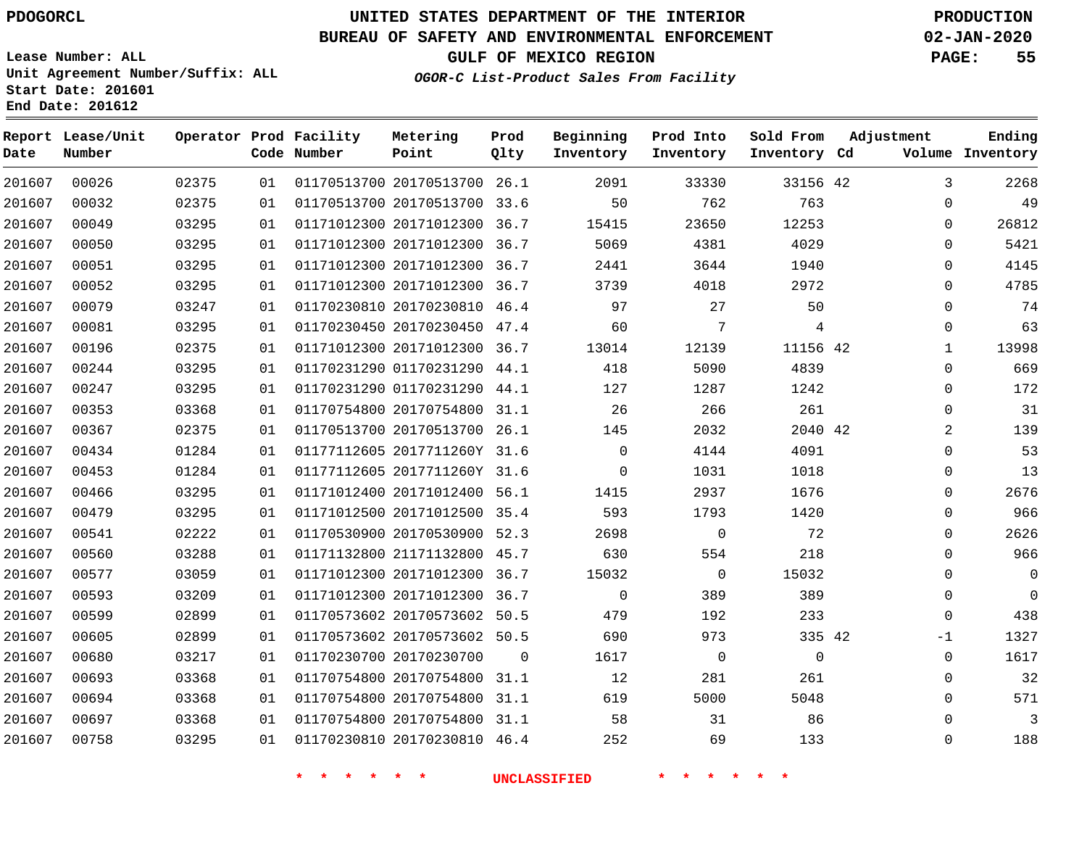# **UNITED STATES DEPARTMENT OF THE INTERIOR PDOGORCL PRODUCTION**

#### **BUREAU OF SAFETY AND ENVIRONMENTAL ENFORCEMENT 02-JAN-2020**

**Lease Number: ALL Unit Agreement Number/Suffix: ALL Start Date: 201601**

**GULF OF MEXICO REGION PAGE: 55**

**OGOR-C List-Product Sales From Facility**

| Date   | Report Lease/Unit<br>Number |       |    | Operator Prod Facility<br>Code Number | Metering<br>Point            | Prod<br>Qlty | Beginning<br>Inventory | Prod Into<br>Inventory | Sold From<br>Inventory Cd | Adjustment |              | Ending<br>Volume Inventory |
|--------|-----------------------------|-------|----|---------------------------------------|------------------------------|--------------|------------------------|------------------------|---------------------------|------------|--------------|----------------------------|
| 201607 | 00026                       | 02375 | 01 |                                       | 01170513700 20170513700 26.1 |              | 2091                   | 33330                  | 33156 42                  |            | 3            | 2268                       |
| 201607 | 00032                       | 02375 | 01 |                                       | 01170513700 20170513700 33.6 |              | 50                     | 762                    | 763                       |            | 0            | 49                         |
| 201607 | 00049                       | 03295 | 01 |                                       | 01171012300 20171012300 36.7 |              | 15415                  | 23650                  | 12253                     |            | $\Omega$     | 26812                      |
| 201607 | 00050                       | 03295 | 01 |                                       | 01171012300 20171012300 36.7 |              | 5069                   | 4381                   | 4029                      |            | $\Omega$     | 5421                       |
| 201607 | 00051                       | 03295 | 01 |                                       | 01171012300 20171012300 36.7 |              | 2441                   | 3644                   | 1940                      |            | $\Omega$     | 4145                       |
| 201607 | 00052                       | 03295 | 01 |                                       | 01171012300 20171012300 36.7 |              | 3739                   | 4018                   | 2972                      |            | $\mathbf 0$  | 4785                       |
| 201607 | 00079                       | 03247 | 01 |                                       | 01170230810 20170230810 46.4 |              | 97                     | 27                     | 50                        |            | $\Omega$     | 74                         |
| 201607 | 00081                       | 03295 | 01 |                                       | 01170230450 20170230450 47.4 |              | 60                     | 7                      | $\overline{4}$            |            | $\mathbf 0$  | 63                         |
| 201607 | 00196                       | 02375 | 01 |                                       | 01171012300 20171012300 36.7 |              | 13014                  | 12139                  | 11156 42                  |            | $\mathbf{1}$ | 13998                      |
| 201607 | 00244                       | 03295 | 01 |                                       | 01170231290 01170231290 44.1 |              | 418                    | 5090                   | 4839                      |            | $\Omega$     | 669                        |
| 201607 | 00247                       | 03295 | 01 |                                       | 01170231290 01170231290 44.1 |              | 127                    | 1287                   | 1242                      |            | $\Omega$     | 172                        |
| 201607 | 00353                       | 03368 | 01 |                                       | 01170754800 20170754800 31.1 |              | 26                     | 266                    | 261                       |            | $\mathbf 0$  | 31                         |
| 201607 | 00367                       | 02375 | 01 |                                       | 01170513700 20170513700 26.1 |              | 145                    | 2032                   | 2040 42                   |            | 2            | 139                        |
| 201607 | 00434                       | 01284 | 01 |                                       | 01177112605 2017711260Y 31.6 |              | $\mathbf 0$            | 4144                   | 4091                      |            | $\mathbf 0$  | 53                         |
| 201607 | 00453                       | 01284 | 01 |                                       | 01177112605 2017711260Y 31.6 |              | $\Omega$               | 1031                   | 1018                      |            | $\mathbf 0$  | 13                         |
| 201607 | 00466                       | 03295 | 01 |                                       | 01171012400 20171012400 56.1 |              | 1415                   | 2937                   | 1676                      |            | $\mathbf 0$  | 2676                       |
| 201607 | 00479                       | 03295 | 01 |                                       | 01171012500 20171012500 35.4 |              | 593                    | 1793                   | 1420                      |            | $\mathbf 0$  | 966                        |
| 201607 | 00541                       | 02222 | 01 |                                       | 01170530900 20170530900 52.3 |              | 2698                   | $\mathbf 0$            | 72                        |            | $\mathbf 0$  | 2626                       |
| 201607 | 00560                       | 03288 | 01 |                                       | 01171132800 21171132800 45.7 |              | 630                    | 554                    | 218                       |            | $\Omega$     | 966                        |
| 201607 | 00577                       | 03059 | 01 |                                       | 01171012300 20171012300 36.7 |              | 15032                  | $\mathbf 0$            | 15032                     |            | $\mathbf 0$  | $\mathbf 0$                |
| 201607 | 00593                       | 03209 | 01 |                                       | 01171012300 20171012300 36.7 |              | $\mathbf 0$            | 389                    | 389                       |            | $\Omega$     | $\Omega$                   |
| 201607 | 00599                       | 02899 | 01 |                                       | 01170573602 20170573602 50.5 |              | 479                    | 192                    | 233                       |            | $\mathbf 0$  | 438                        |
| 201607 | 00605                       | 02899 | 01 |                                       | 01170573602 20170573602 50.5 |              | 690                    | 973                    | 335 42                    |            | $-1$         | 1327                       |
| 201607 | 00680                       | 03217 | 01 |                                       | 01170230700 20170230700      | $\Omega$     | 1617                   | $\mathbf 0$            | $\mathbf 0$               |            | $\mathbf 0$  | 1617                       |
| 201607 | 00693                       | 03368 | 01 |                                       | 01170754800 20170754800 31.1 |              | 12                     | 281                    | 261                       |            | $\Omega$     | 32                         |
| 201607 | 00694                       | 03368 | 01 |                                       | 01170754800 20170754800 31.1 |              | 619                    | 5000                   | 5048                      |            | $\mathbf 0$  | 571                        |
| 201607 | 00697                       | 03368 | 01 |                                       | 01170754800 20170754800 31.1 |              | 58                     | 31                     | 86                        |            | $\Omega$     | 3                          |
| 201607 | 00758                       | 03295 | 01 |                                       | 01170230810 20170230810 46.4 |              | 252                    | 69                     | 133                       |            | $\Omega$     | 188                        |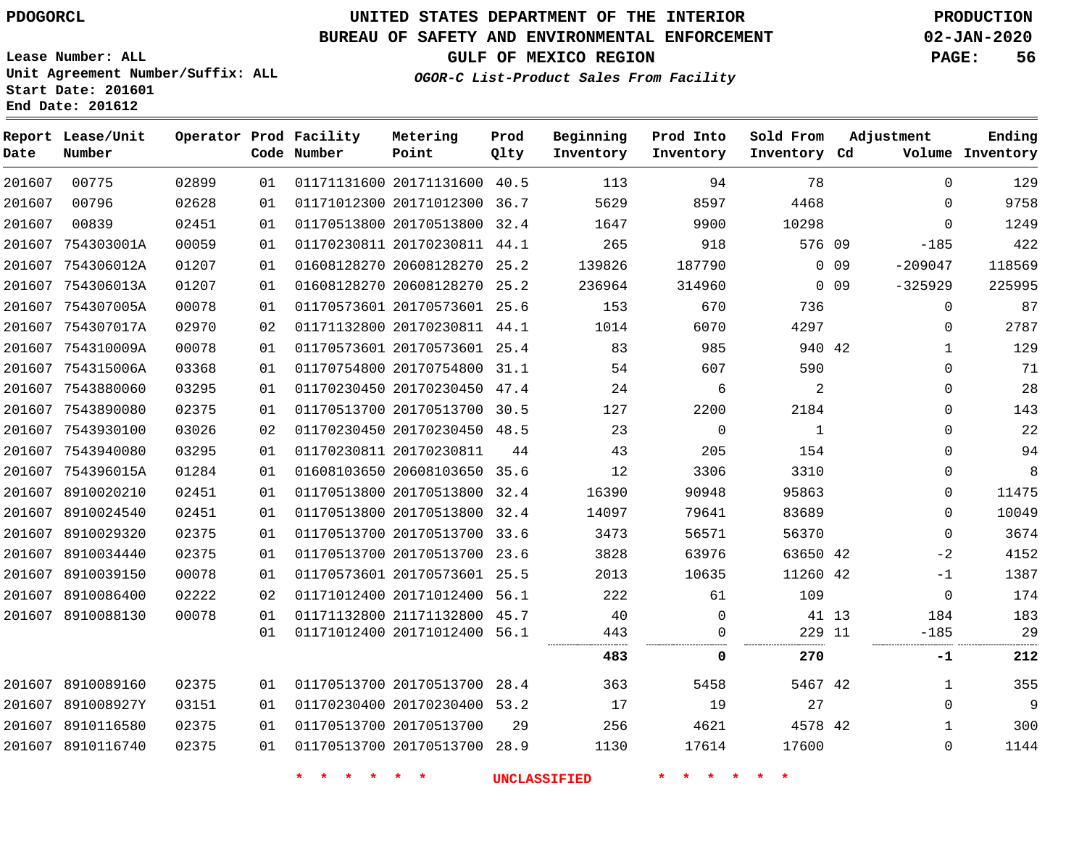**Report Lease/Unit**

 

**Number**

**Date**

# **UNITED STATES DEPARTMENT OF THE INTERIOR PDOGORCL PRODUCTION**

**Prod Qlty**

#### **BUREAU OF SAFETY AND ENVIRONMENTAL ENFORCEMENT 02-JAN-2020**

**Lease Number: ALL Unit Agreement Number/Suffix: ALL Start Date: 201601 End Date: 201612**

> 

**Operator Prod Facility**

**Code Number**

 20171131600 40.5 20171012300 36.7

**Metering Point**

 

**GULF OF MEXICO REGION PAGE: 56**

**Inventory Cd Volume**

**Adjustment**

 

**Ending**

**OGOR-C List-Product Sales From Facility**

**Beginning Inventory**

> 

 

 

**Sold From Inventory**

**Prod Into Inventory**

| 00839      | 02451 | 01 | 01170513800 20170513800 | 32.4 | 1647   | 9900        | 10298    |    | $\Omega$    |  |
|------------|-------|----|-------------------------|------|--------|-------------|----------|----|-------------|--|
| 754303001A | 00059 | 01 | 01170230811 20170230811 | 44.1 | 265    | 918         | 576 09   |    | $-185$      |  |
| 754306012A | 01207 | 01 | 01608128270 20608128270 | 25.2 | 139826 | 187790      | $\Omega$ | 09 | $-209047$   |  |
| 754306013A | 01207 | 01 | 01608128270 20608128270 | 25.2 | 236964 | 314960      | $\Omega$ | 09 | $-325929$   |  |
| 754307005A | 00078 | 01 | 01170573601 20170573601 | 25.6 | 153    | 670         | 736      |    | 0           |  |
| 754307017A | 02970 | 02 | 01171132800 20170230811 | 44.1 | 1014   | 6070        | 4297     |    | $\Omega$    |  |
| 754310009A | 00078 | 01 | 01170573601 20170573601 | 25.4 | 83     | 985         | 940 42   |    |             |  |
| 754315006A | 03368 | 01 | 01170754800 20170754800 | 31.1 | 54     | 607         | 590      |    | 0           |  |
| 7543880060 | 03295 | 01 | 01170230450 20170230450 | 47.4 | 24     | 6           | 2        |    | $\mathbf 0$ |  |
| 7543890080 | 02375 | 01 | 01170513700 20170513700 | 30.5 | 127    | 2200        | 2184     |    | 0           |  |
| 7543930100 | 03026 | 02 | 01170230450 20170230450 | 48.5 | 23     | $\mathbf 0$ |          |    | 0           |  |
| 7543940080 | 03295 | 01 | 01170230811 20170230811 | 44   | 43     | 205         | 154      |    | $\Omega$    |  |
| 754396015A | 01284 | 01 | 01608103650 20608103650 | 35.6 | 12     | 3306        | 3310     |    | 0           |  |
| 8910020210 | 02451 | 01 | 01170513800 20170513800 | 32.4 | 16390  | 90948       | 95863    |    | 0           |  |
| 8910024540 | 02451 | 01 | 01170513800 20170513800 | 32.4 | 14097  | 79641       | 83689    |    | 0           |  |
| 8910029320 | 02375 | 01 | 01170513700 20170513700 | 33.6 | 3473   | 56571       | 56370    |    | $\Omega$    |  |
| 8910034440 | 02375 | 01 | 01170513700 20170513700 | 23.6 | 3828   | 63976       | 63650 42 |    | $-2$        |  |
| 8910039150 | 00078 | 01 | 01170573601 20170573601 | 25.5 | 2013   | 10635       | 11260 42 |    | $-1$        |  |
| 8910086400 | 02222 | 02 | 01171012400 20171012400 | 56.1 | 222    | 61          | 109      |    | 0           |  |

| 201607 | 8910088130        | 00078 | 01<br>01 | 01171132800 21171132800 45.7<br>01171012400 20171012400 56.1 |    | 40<br>443 |       | 229 11  | 41 13 | 184<br>$-185$ | 183<br>29 |
|--------|-------------------|-------|----------|--------------------------------------------------------------|----|-----------|-------|---------|-------|---------------|-----------|
|        |                   |       |          |                                                              |    | <br>483   |       | <br>270 |       | -1            | 212       |
|        | 201607 8910089160 | 02375 | 01       | 01170513700 20170513700 28.4                                 |    | 363       | 5458  | 5467 42 |       |               | 355       |
| 201607 | 891008927Y        | 03151 | 01       | 01170230400 20170230400 53.2                                 |    | 17        | 19    | 27      |       | 0             | 9         |
| 201607 | 8910116580        | 02375 | 01       | 01170513700 20170513700                                      | 29 | 256       | 4621  | 4578 42 |       |               | 300       |
| 201607 | 8910116740        | 02375 | 01       | 01170513700 20170513700 28.9                                 |    | 1130      | 17614 | .7600   |       | 0             | 1144      |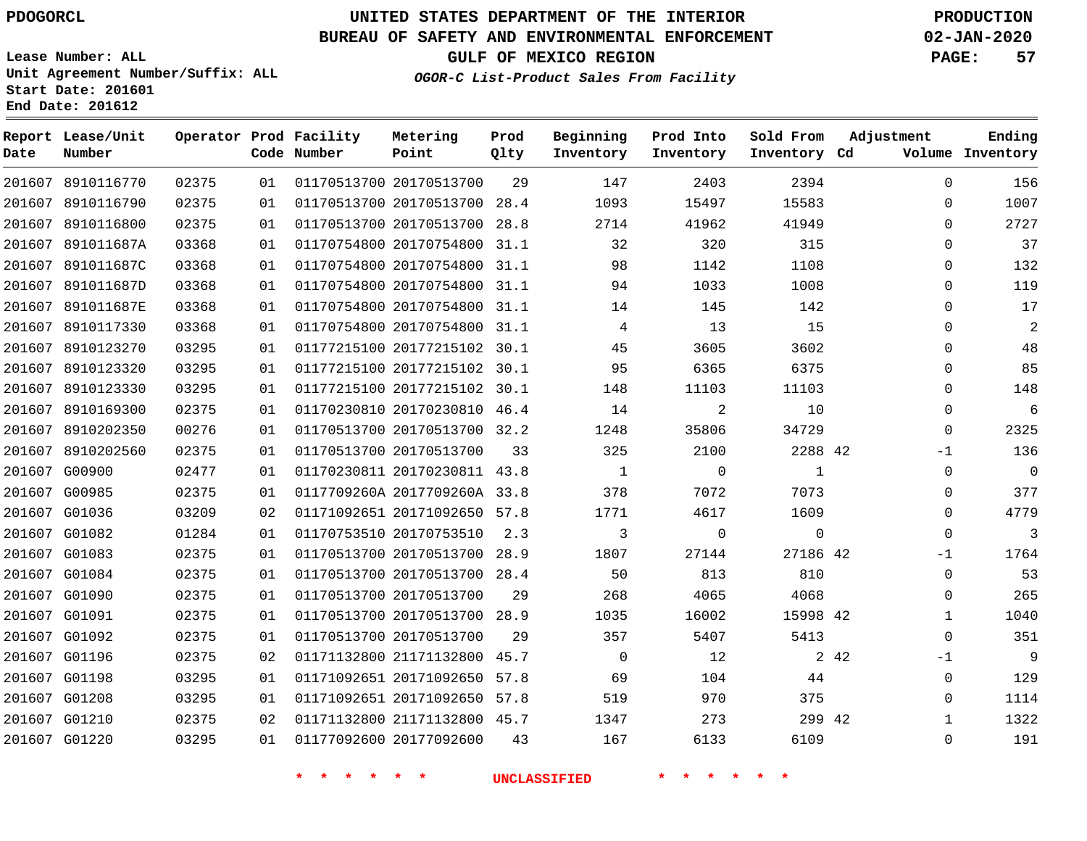**Date**

 8910116770 8910116790

**Report Lease/Unit**

**Number**

# **UNITED STATES DEPARTMENT OF THE INTERIOR PDOGORCL PRODUCTION**

**Prod Qlty**

#### **BUREAU OF SAFETY AND ENVIRONMENTAL ENFORCEMENT 02-JAN-2020**

**Lease Number: ALL Unit Agreement Number/Suffix: ALL Start Date: 201601 End Date: 201612**

> 

**Operator Prod Facility**

**Code Number**

20170513700

20170513700 28.4

**Metering Point**

 

**GULF OF MEXICO REGION PAGE: 57**

**Inventory Cd Volume**

**Adjustment**

  $\Omega$  $\Omega$  $\Omega$  $\Omega$  $\Omega$  $\Omega$  $\Omega$  $\Omega$  $\Omega$  $\Omega$  $\Omega$  $\overline{0}$ -1  $\Omega$  $\overline{0}$  $\Omega$  $\Omega$ -1  $\Omega$   $\Omega$ -1  $\Omega$   $\Omega$ 

**Ending**

|        | 41949       | 41962       | 2714     | 28.8 | 01170513700 20170513700      | 01 | 02375 | 201607 8910116800 |  |
|--------|-------------|-------------|----------|------|------------------------------|----|-------|-------------------|--|
|        | 315         | 320         | 32       | 31.1 | 01170754800 20170754800      | 01 | 03368 | 201607 891011687A |  |
|        | 1108        | 1142        | 98       | 31.1 | 01170754800 20170754800      | 01 | 03368 | 201607 891011687C |  |
|        | 1008        | 1033        | 94       |      | 01170754800 20170754800 31.1 | 01 | 03368 | 201607 891011687D |  |
|        | 142         | 145         | 14       | 31.1 | 01170754800 20170754800      | 01 | 03368 | 201607 891011687E |  |
|        | 15          | 13          | 4        |      | 01170754800 20170754800 31.1 | 01 | 03368 | 201607 8910117330 |  |
|        | 3602        | 3605        | 45       | 30.1 | 01177215100 20177215102      | 01 | 03295 | 201607 8910123270 |  |
|        | 6375        | 6365        | 95       |      | 01177215100 20177215102 30.1 | 01 | 03295 | 201607 8910123320 |  |
|        | 11103       | 11103       | 148      |      | 01177215100 20177215102 30.1 | 01 | 03295 | 201607 8910123330 |  |
|        | 10          | 2           | 14       | 46.4 | 01170230810 20170230810      | 01 | 02375 | 201607 8910169300 |  |
|        | 34729       | 35806       | 1248     |      | 01170513700 20170513700 32.2 | 01 | 00276 | 201607 8910202350 |  |
|        | 2288 42     | 2100        | 325      | 33   | 01170513700 20170513700      | 01 | 02375 | 201607 8910202560 |  |
|        | $\mathbf 1$ | $\Omega$    | 1        |      | 01170230811 20170230811 43.8 | 01 | 02477 | 201607 G00900     |  |
|        | 7073        | 7072        | 378      |      | 0117709260A 2017709260A 33.8 | 01 | 02375 | 201607 G00985     |  |
|        | 1609        | 4617        | 1771     | 57.8 | 01171092651 20171092650      | 02 | 03209 | 201607 G01036     |  |
|        | $\mathbf 0$ | $\mathbf 0$ | 3        | 2.3  | 01170753510 20170753510      | 01 | 01284 | 201607 G01082     |  |
|        | 27186 42    | 27144       | 1807     | 28.9 | 01170513700 20170513700      | 01 | 02375 | 201607 G01083     |  |
|        | 810         | 813         | 50       | 28.4 | 01170513700 20170513700      | 01 | 02375 | 201607 G01084     |  |
|        | 4068        | 4065        | 268      | 29   | 01170513700 20170513700      | 01 | 02375 | 201607 G01090     |  |
|        | 15998 42    | 16002       | 1035     |      | 01170513700 20170513700 28.9 | 01 | 02375 | 201607 G01091     |  |
|        | 5413        | 5407        | 357      | 29   | 01170513700 20170513700      | 01 | 02375 | 201607 G01092     |  |
| 2 4 2  |             | 12          | $\Omega$ | 45.7 | 01171132800 21171132800      | 02 | 02375 | 201607 G01196     |  |
|        | 44          | 104         | 69       | 57.8 | 01171092651 20171092650      | 01 | 03295 | 201607 G01198     |  |
|        | 375         | 970         | 519      |      | 01171092651 20171092650 57.8 | 01 | 03295 | 201607 G01208     |  |
| 299 42 |             | 273         | 1347     |      | 01171132800 21171132800 45.7 | 02 | 02375 | 201607 G01210     |  |
|        | 6109        | 6133        | 167      | 43   | 01177092600 20177092600      | 01 | 03295 | 201607 G01220     |  |
|        |             |             |          |      |                              |    |       |                   |  |

**OGOR-C List-Product Sales From Facility**

**Beginning Inventory**

> 

 

**Prod Into Inventory**

**\* \* \* \* \* \* UNCLASSIFIED \* \* \* \* \* \***

 

**Sold From Inventory**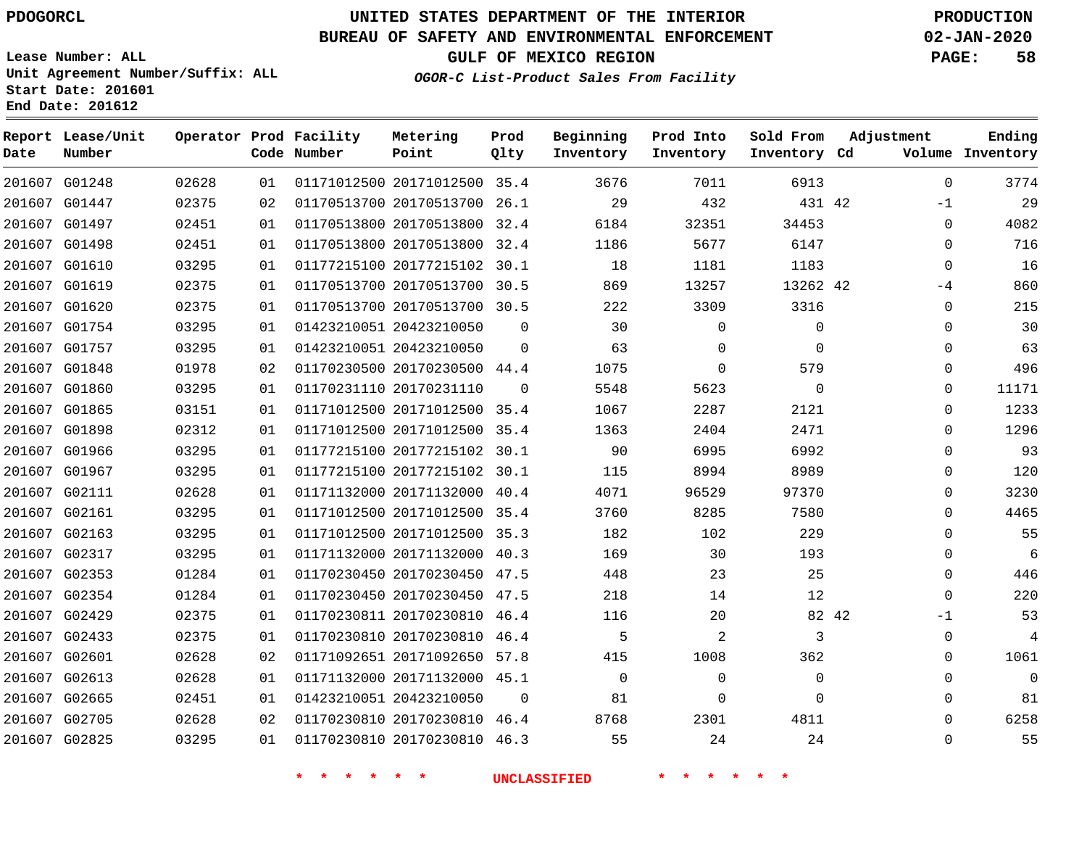### **BUREAU OF SAFETY AND ENVIRONMENTAL ENFORCEMENT 02-JAN-2020**

**Lease Number: ALL Unit Agreement Number/Suffix: ALL**

**Start Date: 201601**

**End Date: 201612**

**GULF OF MEXICO REGION PAGE: 58**

**OGOR-C List-Product Sales From Facility**

| Date | Report Lease/Unit<br>Number |       |    | Operator Prod Facility<br>Code Number | Metering<br>Point            | Prod<br>Qlty | Beginning<br>Inventory | Prod Into<br>Inventory | Sold From<br>Inventory Cd | Adjustment   | Ending<br>Volume Inventory |
|------|-----------------------------|-------|----|---------------------------------------|------------------------------|--------------|------------------------|------------------------|---------------------------|--------------|----------------------------|
|      | 201607 G01248               | 02628 | 01 |                                       | 01171012500 20171012500 35.4 |              | 3676                   | 7011                   | 6913                      | $\Omega$     | 3774                       |
|      | 201607 G01447               | 02375 | 02 |                                       | 01170513700 20170513700 26.1 |              | 29                     | 432                    | 431 42                    | $-1$         | 29                         |
|      | 201607 G01497               | 02451 | 01 |                                       | 01170513800 20170513800 32.4 |              | 6184                   | 32351                  | 34453                     | $\Omega$     | 4082                       |
|      | 201607 G01498               | 02451 | 01 |                                       | 01170513800 20170513800 32.4 |              | 1186                   | 5677                   | 6147                      | $\Omega$     | 716                        |
|      | 201607 G01610               | 03295 | 01 |                                       | 01177215100 20177215102 30.1 |              | 18                     | 1181                   | 1183                      | $\mathbf{0}$ | 16                         |
|      | 201607 G01619               | 02375 | 01 |                                       | 01170513700 20170513700 30.5 |              | 869                    | 13257                  | 13262 42                  | -4           | 860                        |
|      | 201607 G01620               | 02375 | 01 |                                       | 01170513700 20170513700 30.5 |              | 222                    | 3309                   | 3316                      | 0            | 215                        |
|      | 201607 G01754               | 03295 | 01 |                                       | 01423210051 20423210050      | $\Omega$     | 30                     | 0                      | 0                         | 0            | 30                         |
|      | 201607 G01757               | 03295 | 01 |                                       | 01423210051 20423210050      | $\Omega$     | 63                     | 0                      | $\Omega$                  | $\Omega$     | 63                         |
|      | 201607 G01848               | 01978 | 02 |                                       | 01170230500 20170230500 44.4 |              | 1075                   | $\mathbf 0$            | 579                       | 0            | 496                        |
|      | 201607 G01860               | 03295 | 01 |                                       | 01170231110 20170231110      | $\Omega$     | 5548                   | 5623                   | $\Omega$                  | 0            | 11171                      |
|      | 201607 G01865               | 03151 | 01 |                                       | 01171012500 20171012500 35.4 |              | 1067                   | 2287                   | 2121                      | 0            | 1233                       |
|      | 201607 G01898               | 02312 | 01 |                                       | 01171012500 20171012500 35.4 |              | 1363                   | 2404                   | 2471                      | $\Omega$     | 1296                       |
|      | 201607 G01966               | 03295 | 01 |                                       | 01177215100 20177215102 30.1 |              | 90                     | 6995                   | 6992                      | $\Omega$     | 93                         |
|      | 201607 G01967               | 03295 | 01 |                                       | 01177215100 20177215102 30.1 |              | 115                    | 8994                   | 8989                      | $\Omega$     | 120                        |
|      | 201607 G02111               | 02628 | 01 |                                       | 01171132000 20171132000 40.4 |              | 4071                   | 96529                  | 97370                     | $\mathbf{0}$ | 3230                       |
|      | 201607 G02161               | 03295 | 01 |                                       | 01171012500 20171012500 35.4 |              | 3760                   | 8285                   | 7580                      | $\Omega$     | 4465                       |
|      | 201607 G02163               | 03295 | 01 |                                       | 01171012500 20171012500 35.3 |              | 182                    | 102                    | 229                       | $\Omega$     | 55                         |
|      | 201607 G02317               | 03295 | 01 |                                       | 01171132000 20171132000 40.3 |              | 169                    | 30                     | 193                       | $\Omega$     | 6                          |
|      | 201607 G02353               | 01284 | 01 |                                       | 01170230450 20170230450 47.5 |              | 448                    | 23                     | 25                        | $\mathbf{0}$ | 446                        |
|      | 201607 G02354               | 01284 | 01 |                                       | 01170230450 20170230450 47.5 |              | 218                    | 14                     | 12                        | $\Omega$     | 220                        |
|      | 201607 G02429               | 02375 | 01 |                                       | 01170230811 20170230810 46.4 |              | 116                    | 20                     | 82 42                     | $-1$         | 53                         |
|      | 201607 G02433               | 02375 | 01 |                                       | 01170230810 20170230810 46.4 |              | 5                      | 2                      | 3                         | 0            | 4                          |
|      | 201607 G02601               | 02628 | 02 |                                       | 01171092651 20171092650      | 57.8         | 415                    | 1008                   | 362                       | 0            | 1061                       |
|      | 201607 G02613               | 02628 | 01 |                                       | 01171132000 20171132000 45.1 |              | $\Omega$               | $\mathbf 0$            | 0                         | 0            | 0                          |
|      | 201607 G02665               | 02451 | 01 |                                       | 01423210051 20423210050      | $\mathbf 0$  | 81                     | $\mathbf 0$            | 0                         | 0            | 81                         |
|      | 201607 G02705               | 02628 | 02 |                                       | 01170230810 20170230810 46.4 |              | 8768                   | 2301                   | 4811                      | $\Omega$     | 6258                       |
|      | 201607 G02825               | 03295 | 01 |                                       | 01170230810 20170230810 46.3 |              | 55                     | 24                     | 24                        | $\mathbf{0}$ | 55                         |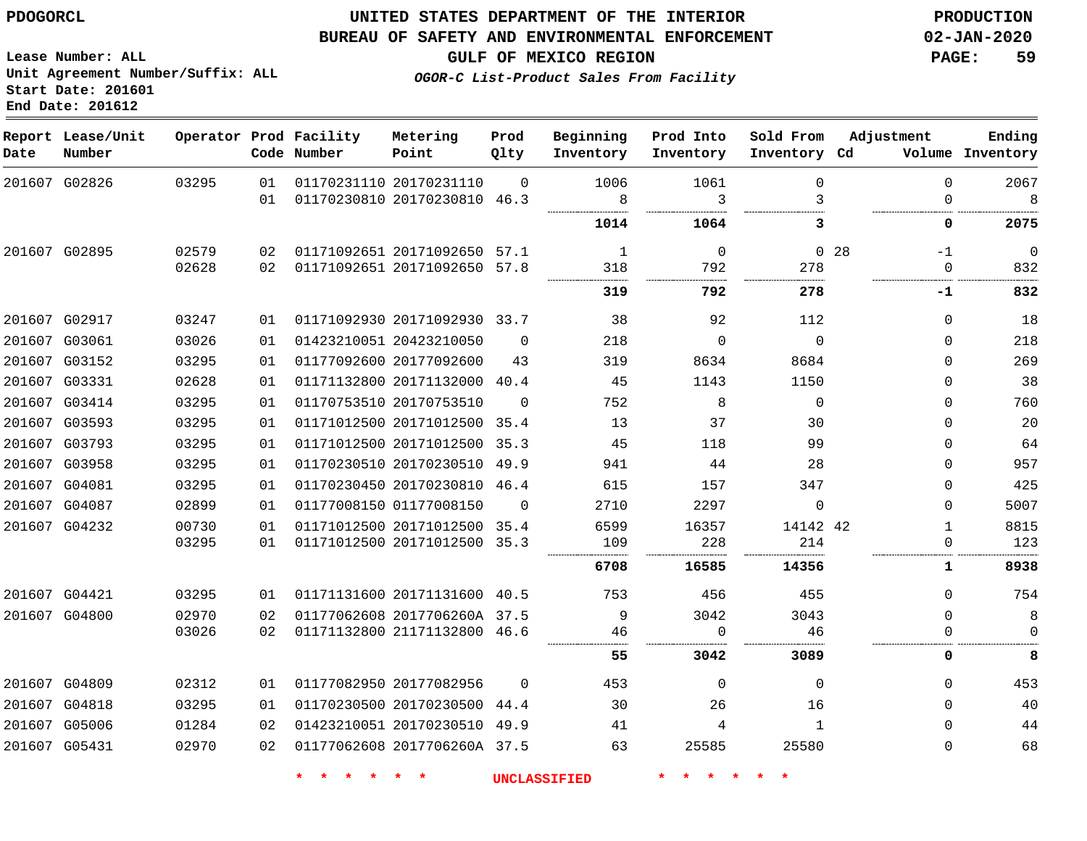#### **BUREAU OF SAFETY AND ENVIRONMENTAL ENFORCEMENT 02-JAN-2020**

**GULF OF MEXICO REGION PAGE: 59**

**Lease Number: ALL Unit Agreement Number/Suffix: ALL Start Date: 201601 End Date: 201612**

**OGOR-C List-Product Sales From Facility**

| Date   | Report Lease/Unit<br>Number |       |    | Operator Prod Facility<br>Code Number | Metering<br>Point            | Prod<br>Qlty | Beginning<br>Inventory | Prod Into<br>Inventory | Sold From<br>Inventory Cd | Adjustment              | Ending<br>Volume Inventory |
|--------|-----------------------------|-------|----|---------------------------------------|------------------------------|--------------|------------------------|------------------------|---------------------------|-------------------------|----------------------------|
|        | 201607 G02826               | 03295 | 01 |                                       | 01170231110 20170231110      | $\Omega$     | 1006                   | 1061                   | 0                         | $\mathbf 0$             | 2067                       |
|        |                             |       | 01 |                                       | 01170230810 20170230810 46.3 |              | 8                      | 3                      | 3                         | $\mathbf{0}$            | 8                          |
|        |                             |       |    |                                       |                              |              | 1014                   | 1064                   | 3                         | 0                       | 2075                       |
|        | 201607 G02895               | 02579 | 02 |                                       | 01171092651 20171092650 57.1 |              | 1                      | $\mathbf 0$            |                           | 0 <sub>28</sub><br>$-1$ | $\mathbf 0$                |
|        |                             | 02628 | 02 |                                       | 01171092651 20171092650 57.8 |              | 318                    | 792                    | 278                       | $\Omega$                | 832                        |
|        |                             |       |    |                                       |                              |              | 319                    | 792                    | 278                       | -1                      | 832                        |
|        | 201607 G02917               | 03247 | 01 |                                       | 01171092930 20171092930 33.7 |              | 38                     | 92                     | 112                       | $\mathbf{0}$            | 18                         |
|        | 201607 G03061               | 03026 | 01 |                                       | 01423210051 20423210050      | $\Omega$     | 218                    | $\mathbf 0$            | $\Omega$                  | $\Omega$                | 218                        |
|        | 201607 G03152               | 03295 | 01 |                                       | 01177092600 20177092600      | 43           | 319                    | 8634                   | 8684                      | $\Omega$                | 269                        |
|        | 201607 G03331               | 02628 | 01 |                                       | 01171132800 20171132000 40.4 |              | 45                     | 1143                   | 1150                      | 0                       | 38                         |
|        | 201607 G03414               | 03295 | 01 |                                       | 01170753510 20170753510      | $\Omega$     | 752                    | 8                      | $\mathbf 0$               | 0                       | 760                        |
|        | 201607 G03593               | 03295 | 01 |                                       | 01171012500 20171012500 35.4 |              | 13                     | 37                     | 30                        | $\Omega$                | 20                         |
|        | 201607 G03793               | 03295 | 01 |                                       | 01171012500 20171012500      | 35.3         | 45                     | 118                    | 99                        | $\mathbf{0}$            | 64                         |
|        | 201607 G03958               | 03295 | 01 |                                       | 01170230510 20170230510 49.9 |              | 941                    | 44                     | 28                        | $\Omega$                | 957                        |
| 201607 | G04081                      | 03295 | 01 |                                       | 01170230450 20170230810 46.4 |              | 615                    | 157                    | 347                       | $\Omega$                | 425                        |
|        | 201607 G04087               | 02899 | 01 |                                       | 01177008150 01177008150      | $\Omega$     | 2710                   | 2297                   | $\Omega$                  | $\Omega$                | 5007                       |
|        | 201607 G04232               | 00730 | 01 |                                       | 01171012500 20171012500 35.4 |              | 6599                   | 16357                  | 14142 42                  | $\mathbf{1}$            | 8815                       |
|        |                             | 03295 | 01 |                                       | 01171012500 20171012500 35.3 |              | 109                    | 228                    | 214                       | $\mathbf 0$             | 123                        |
|        |                             |       |    |                                       |                              |              | 6708                   | 16585                  | 14356                     | 1                       | 8938                       |
|        | 201607 G04421               | 03295 | 01 |                                       | 01171131600 20171131600 40.5 |              | 753                    | 456                    | 455                       | $\Omega$                | 754                        |
|        | 201607 G04800               | 02970 | 02 |                                       | 01177062608 2017706260A 37.5 |              | 9                      | 3042                   | 3043                      | $\mathbf 0$             | 8                          |
|        |                             | 03026 | 02 |                                       | 01171132800 21171132800 46.6 |              | 46                     | $\mathbf 0$            | 46                        | $\mathbf 0$             | $\mathbf 0$                |
|        |                             |       |    |                                       |                              |              | 55                     | 3042                   | 3089                      | 0                       | 8                          |
|        | 201607 G04809               | 02312 | 01 |                                       | 01177082950 20177082956      | $\Omega$     | 453                    | $\Omega$               | $\Omega$                  | 0                       | 453                        |
|        | 201607 G04818               | 03295 | 01 |                                       | 01170230500 20170230500 44.4 |              | 30                     | 26                     | 16                        | $\Omega$                | 40                         |
|        | 201607 G05006               | 01284 | 02 |                                       | 01423210051 20170230510 49.9 |              | 41                     | 4                      | $\mathbf{1}$              | $\Omega$                | 44                         |
|        | 201607 G05431               | 02970 | 02 |                                       | 01177062608 2017706260A 37.5 |              | 63                     | 25585                  | 25580                     | $\Omega$                | 68                         |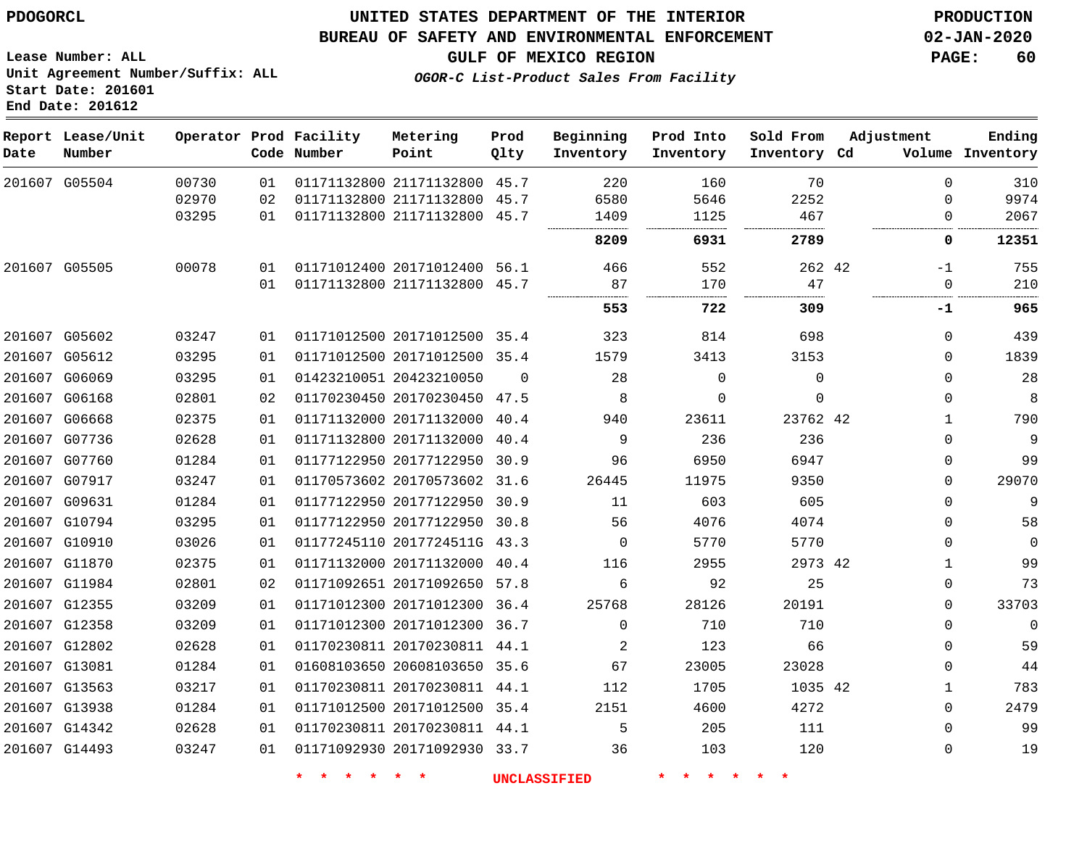G05504

**Date**

**Report Lease/Unit**

**Number**

G05505

### **UNITED STATES DEPARTMENT OF THE INTERIOR PDOGORCL PRODUCTION**

**Prod Qlty**

#### **BUREAU OF SAFETY AND ENVIRONMENTAL ENFORCEMENT 02-JAN-2020**

**Lease Number: ALL Unit Agreement Number/Suffix: ALL Start Date: 201601 End Date: 201612**

> 

**Operator Prod Facility**

**Code Number**

 21171132800 45.7 21171132800 45.7 21171132800 45.7

**Metering Point**

 20171012400 56.1 21171132800 45.7

 

 

**OGOR-C List-Product Sales From Facility**

 

 

**Prod Into Inventory**

> 

**Beginning Inventory**

> 

 

**Ending**

 

**GULF OF MEXICO REGION PAGE: 60**

**Inventory Cd Volume**

**Adjustment**

  $\Omega$ 

-1  $\Omega$ 

**-1**

  $\Omega$  $\Omega$  $\Omega$   $\overline{0}$  $\Omega$  $\overline{0}$  $\Omega$  $\Omega$  $\overline{0}$   $\Omega$   $\Omega$   $\Omega$ 

42

 

**Sold From Inventory**

| 201607 G05602 | 03247 | 01 |        | 01171012500 20171012500 35.4 |                     | 323      | 814      | 698          |  |
|---------------|-------|----|--------|------------------------------|---------------------|----------|----------|--------------|--|
| 201607 G05612 | 03295 | 01 |        | 01171012500 20171012500 35.4 |                     | 1579     | 3413     | 3153         |  |
| 201607 G06069 | 03295 | 01 |        | 01423210051 20423210050      | $\Omega$            | 28       | $\Omega$ | $\mathbf{0}$ |  |
| 201607 G06168 | 02801 | 02 |        | 01170230450 20170230450      | 47.5                | 8        | $\Omega$ | $\mathbf 0$  |  |
| 201607 G06668 | 02375 | 01 |        | 01171132000 20171132000      | 40.4                | 940      | 23611    | 23762 42     |  |
| 201607 G07736 | 02628 | 01 |        | 01171132800 20171132000      | 40.4                | 9        | 236      | 236          |  |
| 201607 G07760 | 01284 | 01 |        | 01177122950 20177122950      | 30.9                | 96       | 6950     | 6947         |  |
| 201607 G07917 | 03247 | 01 |        | 01170573602 20170573602 31.6 |                     | 26445    | 11975    | 9350         |  |
| 201607 G09631 | 01284 | 01 |        | 01177122950 20177122950      | 30.9                | 11       | 603      | 605          |  |
| 201607 G10794 | 03295 | 01 |        | 01177122950 20177122950      | 30.8                | 56       | 4076     | 4074         |  |
| 201607 G10910 | 03026 | 01 |        | 01177245110 2017724511G      | 43.3                | 0        | 5770     | 5770         |  |
| 201607 G11870 | 02375 | 01 |        | 01171132000 20171132000      | 40.4                | 116      | 2955     | 2973 42      |  |
| 201607 G11984 | 02801 | 02 |        | 01171092651 20171092650      | 57.8                | 6        | 92       | 25           |  |
| 201607 G12355 | 03209 | 01 |        | 01171012300 20171012300      | 36.4                | 25768    | 28126    | 20191        |  |
| 201607 G12358 | 03209 | 01 |        | 01171012300 20171012300      | 36.7                | $\Omega$ | 710      | 710          |  |
| 201607 G12802 | 02628 | 01 |        | 01170230811 20170230811      | 44.1                | 2        | 123      | 66           |  |
| 201607 G13081 | 01284 | 01 |        | 01608103650 20608103650 35.6 |                     | 67       | 23005    | 23028        |  |
| 201607 G13563 | 03217 | 01 |        | 01170230811 20170230811      | 44.1                | 112      | 1705     | 1035 42      |  |
| 201607 G13938 | 01284 | 01 |        | 01171012500 20171012500 35.4 |                     | 2151     | 4600     | 4272         |  |
| 201607 G14342 | 02628 | 01 |        | 01170230811 20170230811      | 44.1                | 5        | 205      | 111          |  |
| 201607 G14493 | 03247 | 01 |        | 01171092930 20171092930 33.7 |                     | 36       | 103      | 120          |  |
|               |       |    |        |                              |                     |          |          |              |  |
|               |       |    | $\ast$ | $\star$ .<br>$\ast$          | <b>UNCLASSIFIED</b> |          |          | *            |  |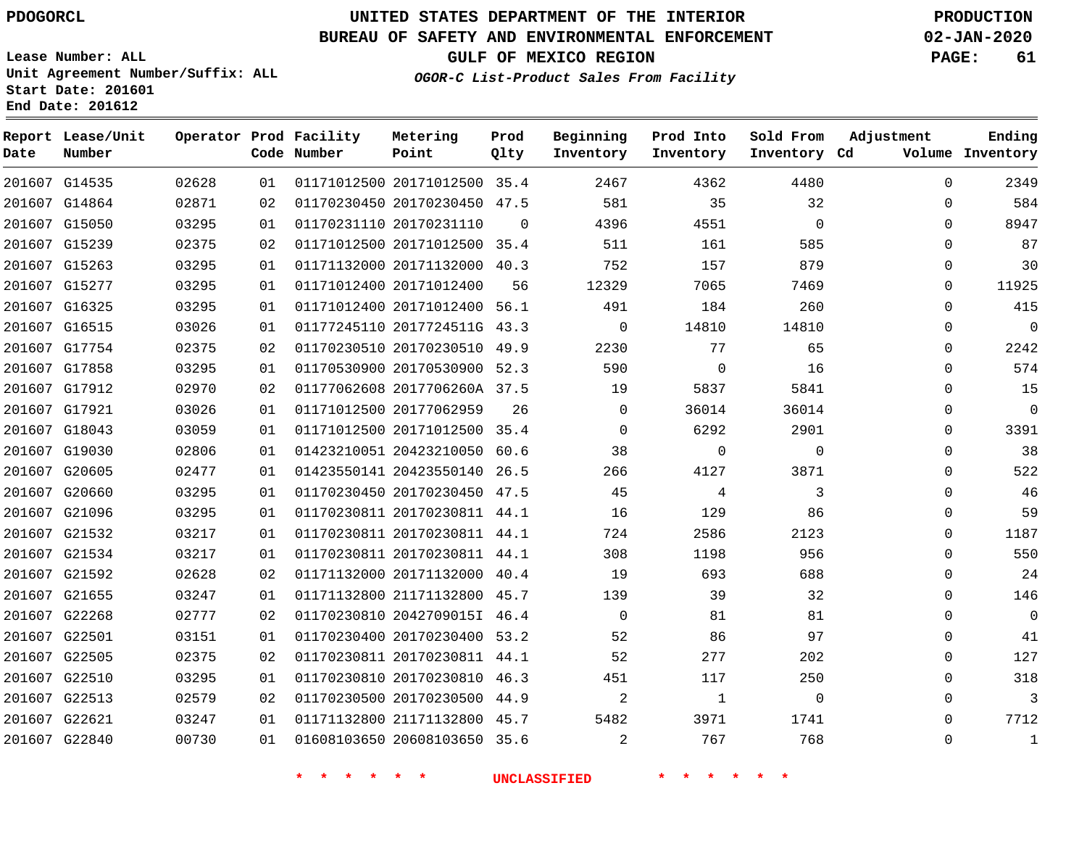**Date**

**Report Lease/Unit**

**Number**

# **UNITED STATES DEPARTMENT OF THE INTERIOR PDOGORCL PRODUCTION**

**Prod Qlty**

#### **BUREAU OF SAFETY AND ENVIRONMENTAL ENFORCEMENT 02-JAN-2020**

**Lease Number: ALL Unit Agreement Number/Suffix: ALL Start Date: 201601 End Date: 201612**

**Operator Prod Facility**

**Code Number**

**OGOR-C List-Product Sales From Facility**

**Sold From Inventory**

**Prod Into Inventory**

**Beginning Inventory**

**Inventory Cd Volume**

**Adjustment**

  $\Omega$  $\Omega$   $\Omega$  $\Omega$  $\Omega$   $\Omega$  $\Omega$  $\Omega$  $\Omega$  $\overline{0}$   $\Omega$  $\overline{0}$  $\Omega$  $\Omega$  $\Omega$  $\Omega$  $\Omega$   $\Omega$   $\Omega$ 

**GULF OF MEXICO REGION PAGE: 61**

**Ending**

| 201607 G22840                  | 00730          | 01       | 01608103650 20608103650 35.6                                 |                | 2              | 767                 | 768                |  |
|--------------------------------|----------------|----------|--------------------------------------------------------------|----------------|----------------|---------------------|--------------------|--|
|                                |                |          |                                                              |                |                |                     |                    |  |
| 201607 G22621                  | 03247          | 01       | 01171132800 21171132800 45.7                                 |                | 5482           | 3971                | 1741               |  |
| 201607 G22510<br>201607 G22513 | 03295<br>02579 | 01<br>02 | 01170230810 20170230810 46.3<br>01170230500 20170230500 44.9 |                | 451<br>2       | 117<br>$\mathbf{1}$ | 250<br>$\mathbf 0$ |  |
| 201607 G22505                  | 02375          | 02       | 01170230811 20170230811 44.1                                 |                | 52             | 277                 | 202                |  |
| 201607 G22501                  | 03151          | 01       | 01170230400 20170230400 53.2                                 |                | 52             | 86                  | 97                 |  |
| 201607 G22268                  | 02777          | 02       | 01170230810 2042709015I 46.4                                 |                | $\mathbf{0}$   | 81                  | 81                 |  |
| 201607 G21655                  | 03247          | 01       | 01171132800 21171132800 45.7                                 |                | 139            | 39                  | 32                 |  |
| 201607 G21592                  | 02628          | 02       | 01171132000 20171132000 40.4                                 |                | 19             | 693                 | 688                |  |
| 201607 G21534                  | 03217          | 01       | 01170230811 20170230811 44.1                                 |                | 308            | 1198                | 956                |  |
| 201607 G21532                  | 03217          | 01       | 01170230811 20170230811 44.1                                 |                | 724            | 2586                | 2123               |  |
| 201607 G21096                  | 03295          | 01       | 01170230811 20170230811 44.1                                 |                | 16             | 129                 | 86                 |  |
| 201607 G20660                  | 03295          | 01       | 01170230450 20170230450 47.5                                 |                | 45             | 4                   | $\mathbf{3}$       |  |
| 201607 G20605                  | 02477          | 01       | 01423550141 20423550140 26.5                                 |                | 266            | 4127                | 3871               |  |
| 201607 G19030                  | 02806          | 01       | 01423210051 20423210050 60.6                                 |                | 38             | $\overline{0}$      | 0                  |  |
| 201607 G18043                  | 03059          | 01       | 01171012500 20171012500 35.4                                 |                | $\Omega$       | 6292                | 2901               |  |
| 201607 G17921                  | 03026          | 01       | 01171012500 20177062959                                      | 26             | $\overline{0}$ | 36014               | 36014              |  |
| 201607 G17912                  | 02970          | 02       | 01177062608 2017706260A 37.5                                 |                | 19             | 5837                | 5841               |  |
| 201607 G17858                  | 03295          | 01       | 01170530900 20170530900 52.3                                 |                | 590            | $\Omega$            | 16                 |  |
| 201607 G17754                  | 02375          | 02       | 01170230510 20170230510 49.9                                 |                | 2230           | 77                  | 65                 |  |
| 201607 G16515                  | 03026          | 01       | 01177245110 2017724511G 43.3                                 |                | $\mathbf{0}$   | 14810               | 14810              |  |
| 201607 G16325                  | 03295          | 01       | 01171012400 20171012400 56.1                                 |                | 491            | 184                 | 260                |  |
| 201607 G15277                  | 03295          | 01       | 01171012400 20171012400                                      | 56             | 12329          | 7065                | 7469               |  |
| 201607 G15263                  | 03295          | 01       | 01171132000 20171132000 40.3                                 |                | 752            | 157                 | 879                |  |
| 201607 G15239                  | 02375          | 02       | 01171012500 20171012500 35.4                                 |                | 511            | 161                 | 585                |  |
| 201607 G15050                  | 03295          | 01       | 01170231110 20170231110                                      | $\overline{0}$ | 4396           | 4551                | $\mathbf 0$        |  |
| 201607 G14864                  | 02871          | 02       | 01170230450 20170230450 47.5                                 |                | 581            | 35                  | 32                 |  |
| 201607 G14535                  | 02628          | 01       | 01171012500 20171012500 35.4                                 |                | 2467           | 4362                | 4480               |  |

**Metering Point**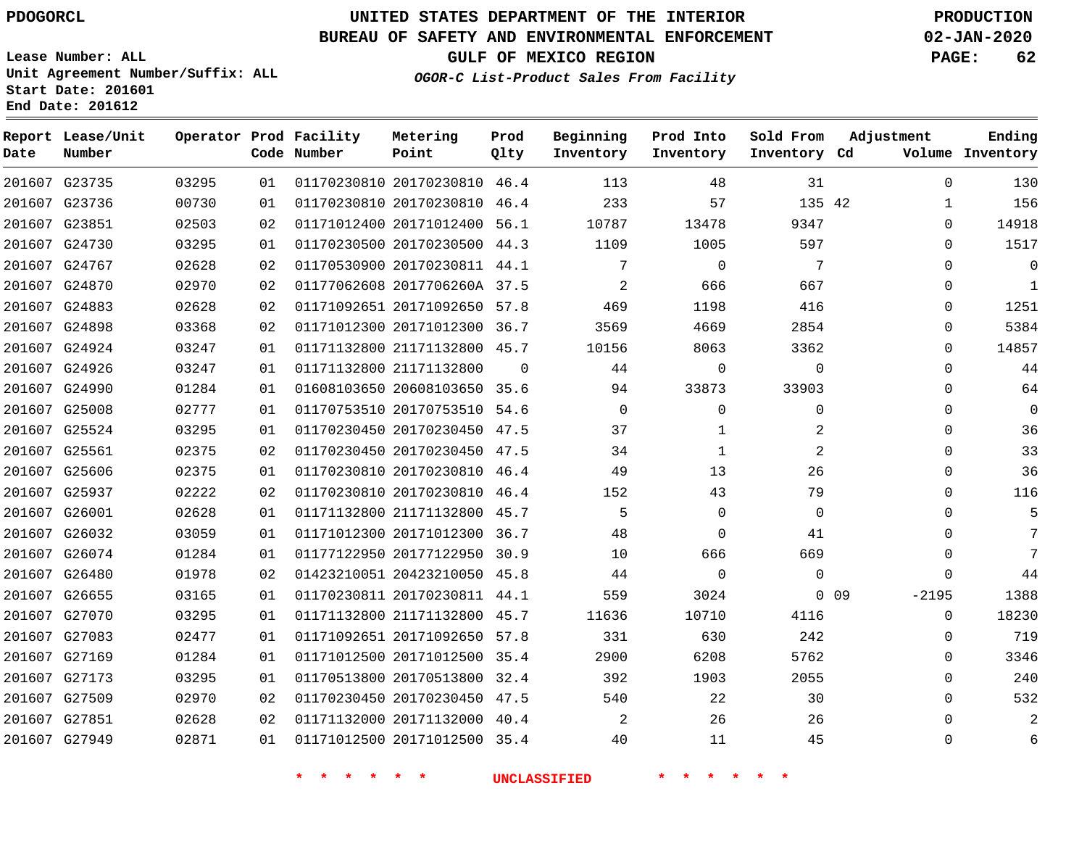**End Date: 201612**

# **UNITED STATES DEPARTMENT OF THE INTERIOR PDOGORCL PRODUCTION**

#### **BUREAU OF SAFETY AND ENVIRONMENTAL ENFORCEMENT 02-JAN-2020**

**Lease Number: ALL Unit Agreement Number/Suffix: ALL Start Date: 201601**

**OGOR-C List-Product Sales From Facility**

**GULF OF MEXICO REGION PAGE: 62**

| Date   | Report Lease/Unit<br>Number |       |    | Operator Prod Facility<br>Code Number | Metering<br>Point            | Prod<br>Qlty | Beginning<br>Inventory | Prod Into<br>Inventory | Sold From<br>Inventory Cd | Adjustment                 | Ending<br>Volume Inventory |
|--------|-----------------------------|-------|----|---------------------------------------|------------------------------|--------------|------------------------|------------------------|---------------------------|----------------------------|----------------------------|
|        | 201607 G23735               | 03295 | 01 |                                       | 01170230810 20170230810 46.4 |              | 113                    | 48                     | 31                        | $\Omega$                   | 130                        |
|        | 201607 G23736               | 00730 | 01 |                                       | 01170230810 20170230810      | 46.4         | 233                    | 57                     | 135 42                    | 1                          | 156                        |
|        | 201607 G23851               | 02503 | 02 |                                       | 01171012400 20171012400      | 56.1         | 10787                  | 13478                  | 9347                      | $\mathbf 0$                | 14918                      |
| 201607 | G24730                      | 03295 | 01 |                                       | 01170230500 20170230500      | 44.3         | 1109                   | 1005                   | 597                       | $\Omega$                   | 1517                       |
|        | 201607 G24767               | 02628 | 02 |                                       | 01170530900 20170230811 44.1 |              | 7                      | $\Omega$               | 7                         | $\Omega$                   | $\mathbf 0$                |
|        | 201607 G24870               | 02970 | 02 |                                       | 01177062608 2017706260A 37.5 |              | 2                      | 666                    | 667                       | $\Omega$                   | $\mathbf 1$                |
|        | 201607 G24883               | 02628 | 02 |                                       | 01171092651 20171092650 57.8 |              | 469                    | 1198                   | 416                       | $\Omega$                   | 1251                       |
|        | 201607 G24898               | 03368 | 02 |                                       | 01171012300 20171012300      | 36.7         | 3569                   | 4669                   | 2854                      | $\mathbf 0$                | 5384                       |
|        | 201607 G24924               | 03247 | 01 |                                       | 01171132800 21171132800 45.7 |              | 10156                  | 8063                   | 3362                      | $\Omega$                   | 14857                      |
|        | 201607 G24926               | 03247 | 01 |                                       | 01171132800 21171132800      | $\Omega$     | 44                     | $\mathbf 0$            | $\mathbf 0$               | $\Omega$                   | 44                         |
|        | 201607 G24990               | 01284 | 01 |                                       | 01608103650 20608103650 35.6 |              | 94                     | 33873                  | 33903                     | $\Omega$                   | 64                         |
| 201607 | G25008                      | 02777 | 01 |                                       | 01170753510 20170753510      | 54.6         | $\mathbf 0$            | 0                      | 0                         | $\Omega$                   | 0                          |
|        | 201607 G25524               | 03295 | 01 |                                       | 01170230450 20170230450      | 47.5         | 37                     | $\mathbf{1}$           | 2                         | $\Omega$                   | 36                         |
|        | 201607 G25561               | 02375 | 02 |                                       | 01170230450 20170230450      | 47.5         | 34                     | $\mathbf{1}$           | 2                         | $\Omega$                   | 33                         |
| 201607 | G25606                      | 02375 | 01 |                                       | 01170230810 20170230810      | 46.4         | 49                     | 13                     | 26                        | $\Omega$                   | 36                         |
|        | 201607 G25937               | 02222 | 02 |                                       | 01170230810 20170230810 46.4 |              | 152                    | 43                     | 79                        | $\Omega$                   | 116                        |
|        | 201607 G26001               | 02628 | 01 |                                       | 01171132800 21171132800 45.7 |              | 5                      | $\mathbf 0$            | $\mathbf 0$               | $\Omega$                   |                            |
|        | 201607 G26032               | 03059 | 01 |                                       | 01171012300 20171012300 36.7 |              | 48                     | $\mathbf 0$            | 41                        | $\Omega$                   | 7                          |
| 201607 | G26074                      | 01284 | 01 |                                       | 01177122950 20177122950      | 30.9         | 10                     | 666                    | 669                       | $\Omega$                   | 7                          |
|        | 201607 G26480               | 01978 | 02 |                                       | 01423210051 20423210050 45.8 |              | 44                     | $\Omega$               | $\Omega$                  | $\Omega$                   | 44                         |
|        | 201607 G26655               | 03165 | 01 |                                       | 01170230811 20170230811 44.1 |              | 559                    | 3024                   |                           | 0 <sub>09</sub><br>$-2195$ | 1388                       |
|        | 201607 G27070               | 03295 | 01 |                                       | 01171132800 21171132800 45.7 |              | 11636                  | 10710                  | 4116                      | $\mathbf 0$                | 18230                      |
|        | 201607 G27083               | 02477 | 01 |                                       | 01171092651 20171092650      | 57.8         | 331                    | 630                    | 242                       | $\Omega$                   | 719                        |
|        | 201607 G27169               | 01284 | 01 |                                       | 01171012500 20171012500      | 35.4         | 2900                   | 6208                   | 5762                      | $\Omega$                   | 3346                       |
|        | 201607 G27173               | 03295 | 01 |                                       | 01170513800 20170513800      | 32.4         | 392                    | 1903                   | 2055                      | $\Omega$                   | 240                        |
| 201607 | G27509                      | 02970 | 02 |                                       | 01170230450 20170230450      | 47.5         | 540                    | 22                     | 30                        | $\Omega$                   | 532                        |
|        | 201607 G27851               | 02628 | 02 |                                       | 01171132000 20171132000 40.4 |              | 2                      | 26                     | 26                        | 0                          |                            |
|        | 201607 G27949               | 02871 | 01 |                                       | 01171012500 20171012500      | 35.4         | 40                     | 11                     | 45                        | $\Omega$                   | 6                          |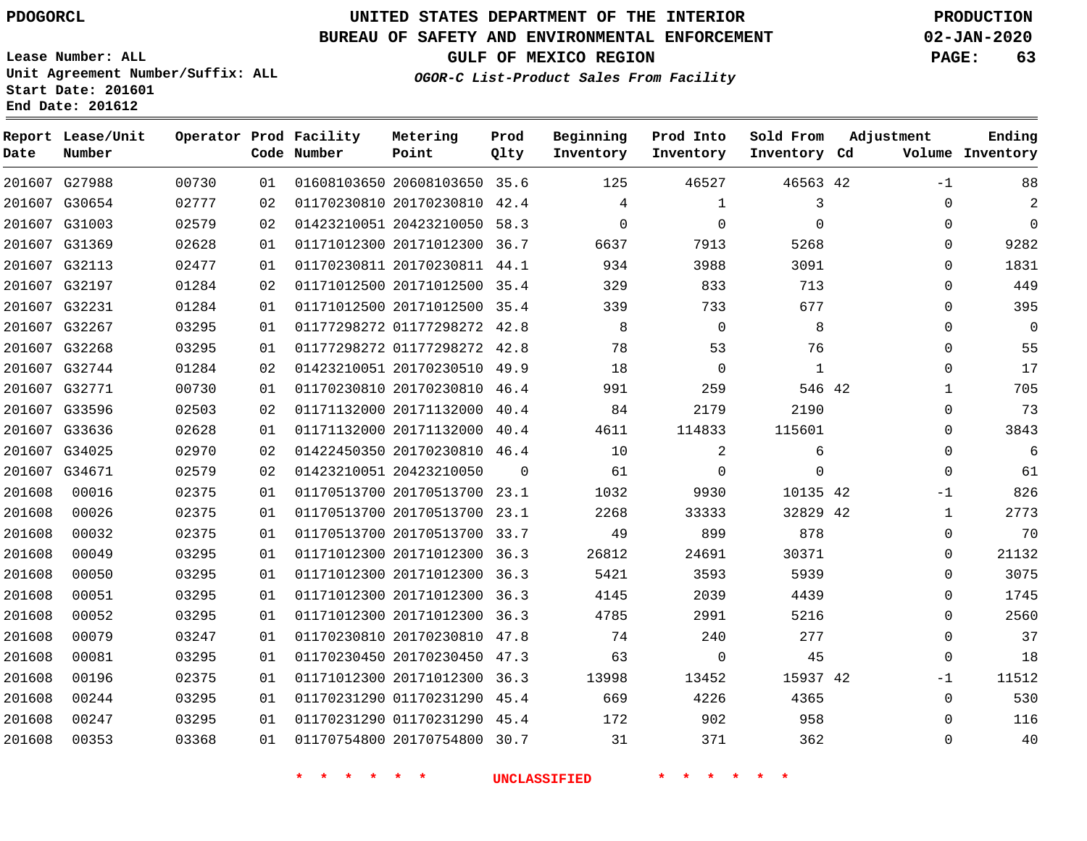# **UNITED STATES DEPARTMENT OF THE INTERIOR PDOGORCL PRODUCTION**

#### **BUREAU OF SAFETY AND ENVIRONMENTAL ENFORCEMENT 02-JAN-2020**

**Lease Number: ALL Unit Agreement Number/Suffix: ALL Start Date: 201601**

**GULF OF MEXICO REGION PAGE: 63**

**OGOR-C List-Product Sales From Facility**

**Inventory Cd Volume**

**Adjustment**

-1  $\Omega$   $\Omega$  $\Omega$  $\Omega$  $\Omega$  $\Omega$ 

**Ending**

 

  $\Omega$ 

|                | End Date: 201612     |       |    |                                       |                              |              |                        |                        |                           |   |
|----------------|----------------------|-------|----|---------------------------------------|------------------------------|--------------|------------------------|------------------------|---------------------------|---|
| Report<br>Date | Lease/Unit<br>Number |       |    | Operator Prod Facility<br>Code Number | Metering<br>Point            | Prod<br>Qlty | Beginning<br>Inventory | Prod Into<br>Inventory | Sold From<br>Inventory Cd | A |
| 201607         | G27988               | 00730 | 01 |                                       | 01608103650 20608103650      | 35.6         | 125                    | 46527                  | 46563 42                  |   |
| 201607         | G30654               | 02777 | 02 |                                       | 01170230810 20170230810      | 42.4         | 4                      |                        | 3                         |   |
|                | 201607 G31003        | 02579 | 02 |                                       | 01423210051 20423210050      | 58.3         | 0                      | 0                      | $\mathbf 0$               |   |
| 201607         | G31369               | 02628 | 01 |                                       | 01171012300 20171012300      | 36.7         | 6637                   | 7913                   | 5268                      |   |
| 201607         | G32113               | 02477 | 01 |                                       | 01170230811 20170230811      | 44.1         | 934                    | 3988                   | 3091                      |   |
|                | 201607 G32197        | 01284 | 02 |                                       | 01171012500 20171012500      | 35.4         | 329                    | 833                    | 713                       |   |
|                | 201607 G32231        | 01284 | 01 |                                       | 01171012500 20171012500 35.4 |              | 339                    | 733                    | 677                       |   |
| 201607         | G32267               | 03295 | 01 |                                       | 01177298272 01177298272      | 42.8         | 8                      | $\Omega$               | 8                         |   |
| 201607         | G32268               | 03295 | 01 |                                       | 01177298272 01177298272      | 42.8         | 78                     | 53                     | 76                        |   |
|                | 201607 G32744        | 01284 | 02 |                                       | 01423210051 20170230510      | 49.9         | 18                     | $\Omega$               | $\mathbf{1}$              |   |
| 201607         | G32771               | 00730 | 01 |                                       | 01170230810 20170230810      | 46.4         | 991                    | 259                    | 546 42                    |   |
| 201607         | G33596               | 02503 | 02 |                                       | 01171132000 20171132000      | 40.4         | 84                     | 2179                   | 2190                      |   |
|                | 201607 G33636        | 02628 | 01 |                                       | 01171132000 20171132000      | 40.4         | 4611                   | 114833                 | 115601                    |   |

| 17    | 0           |          | $\Omega$ | 18    |          | 01423210051 20170230510 49.9 | 02 | 01284 | 201607 G32744 |        |
|-------|-------------|----------|----------|-------|----------|------------------------------|----|-------|---------------|--------|
| 705   |             | 546 42   | 259      | 991   | 46.4     | 01170230810 20170230810      | 01 | 00730 | 201607 G32771 |        |
| 73    | 0           | 2190     | 2179     | 84    | 40.4     | 01171132000 20171132000      | 02 | 02503 | 201607 G33596 |        |
| 3843  | $\Omega$    | 115601   | 114833   | 4611  |          | 01171132000 20171132000 40.4 | 01 | 02628 | 201607 G33636 |        |
| 6     | 0           | 6        | 2        | 10    |          | 01422450350 20170230810 46.4 | 02 | 02970 | 201607 G34025 |        |
| 61    | $\Omega$    |          | $\Omega$ | 61    | $\Omega$ | 01423210051 20423210050      | 02 | 02579 | 201607 G34671 |        |
| 826   | $-1$        | 10135 42 | 9930     | 1032  |          | 01170513700 20170513700 23.1 | 01 | 02375 | 00016         | 201608 |
| 2773  |             | 32829 42 | 33333    | 2268  |          | 01170513700 20170513700 23.1 | 01 | 02375 | 00026         | 201608 |
| 70    | 0           | 878      | 899      | 49    |          | 01170513700 20170513700 33.7 | 01 | 02375 | 00032         | 201608 |
| 21132 | $\Omega$    | 30371    | 24691    | 26812 |          | 01171012300 20171012300 36.3 | 01 | 03295 | 00049         | 201608 |
| 3075  | $\Omega$    | 5939     | 3593     | 5421  |          | 01171012300 20171012300 36.3 | 01 | 03295 | 00050         | 201608 |
| 1745  | $\Omega$    | 4439     | 2039     | 4145  |          | 01171012300 20171012300 36.3 | 01 | 03295 | 00051         | 201608 |
| 2560  | $\Omega$    | 5216     | 2991     | 4785  |          | 01171012300 20171012300 36.3 | 01 | 03295 | 00052         | 201608 |
| 37    | 0           | 277      | 240      | 74    |          | 01170230810 20170230810 47.8 | 01 | 03247 | 00079         | 201608 |
| 18    | $\Omega$    | 45       | $\Omega$ | 63    | 47.3     | 01170230450 20170230450      | 01 | 03295 | 00081         | 201608 |
| 11512 | $-1$        | 15937 42 | 13452    | 13998 |          | 01171012300 20171012300 36.3 | 01 | 02375 | 00196         | 201608 |
| 530   | $\mathbf 0$ | 4365     | 4226     | 669   |          | 01170231290 01170231290 45.4 | 01 | 03295 | 00244         | 201608 |

**\* \* \* \* \* \* UNCLASSIFIED \* \* \* \* \* \***

 01170231290 45.4 20170754800 30.7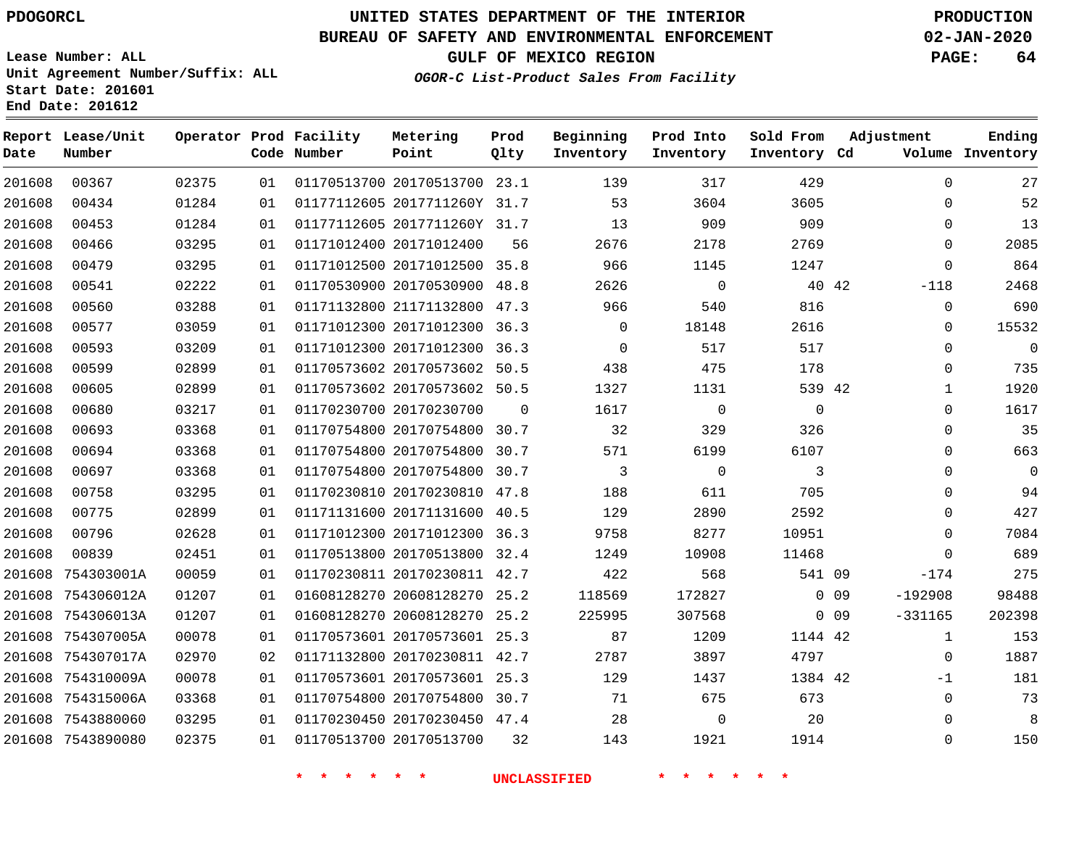### **BUREAU OF SAFETY AND ENVIRONMENTAL ENFORCEMENT 02-JAN-2020**

**Lease Number: ALL Unit Agreement Number/Suffix: ALL**

**GULF OF MEXICO REGION PAGE: 64**

**OGOR-C List-Product Sales From Facility**

**Start Date: 201601 End Date: 201612**

| Date   | Report Lease/Unit<br>Number |       |    | Operator Prod Facility<br>Code Number | Metering<br>Point            | Prod<br>Qlty | Beginning<br>Inventory | Prod Into<br>Inventory | Sold From<br>Inventory Cd | Adjustment                   | Ending<br>Volume Inventory |
|--------|-----------------------------|-------|----|---------------------------------------|------------------------------|--------------|------------------------|------------------------|---------------------------|------------------------------|----------------------------|
| 201608 | 00367                       | 02375 | 01 |                                       | 01170513700 20170513700 23.1 |              | 139                    | 317                    | 429                       | $\Omega$                     | 27                         |
| 201608 | 00434                       | 01284 | 01 |                                       | 01177112605 2017711260Y 31.7 |              | 53                     | 3604                   | 3605                      | 0                            | 52                         |
| 201608 | 00453                       | 01284 | 01 |                                       | 01177112605 2017711260Y 31.7 |              | 13                     | 909                    | 909                       | $\mathbf 0$                  | 13                         |
| 201608 | 00466                       | 03295 | 01 |                                       | 01171012400 20171012400      | 56           | 2676                   | 2178                   | 2769                      | $\mathbf 0$                  | 2085                       |
| 201608 | 00479                       | 03295 | 01 |                                       | 01171012500 20171012500 35.8 |              | 966                    | 1145                   | 1247                      | $\mathbf 0$                  | 864                        |
| 201608 | 00541                       | 02222 | 01 |                                       | 01170530900 20170530900 48.8 |              | 2626                   | $\mathsf{O}$           |                           | 40 42<br>$-118$              | 2468                       |
| 201608 | 00560                       | 03288 | 01 |                                       | 01171132800 21171132800 47.3 |              | 966                    | 540                    | 816                       | $\mathbf 0$                  | 690                        |
| 201608 | 00577                       | 03059 | 01 |                                       | 01171012300 20171012300 36.3 |              | $\mathsf{O}$           | 18148                  | 2616                      | $\mathbf 0$                  | 15532                      |
| 201608 | 00593                       | 03209 | 01 |                                       | 01171012300 20171012300 36.3 |              | $\Omega$               | 517                    | 517                       | $\mathbf 0$                  | $\mathbf 0$                |
| 201608 | 00599                       | 02899 | 01 |                                       | 01170573602 20170573602      | 50.5         | 438                    | 475                    | 178                       | $\mathbf 0$                  | 735                        |
| 201608 | 00605                       | 02899 | 01 |                                       | 01170573602 20170573602 50.5 |              | 1327                   | 1131                   | 539 42                    | 1                            | 1920                       |
| 201608 | 00680                       | 03217 | 01 |                                       | 01170230700 20170230700      | $\Omega$     | 1617                   | $\mathbf 0$            | $\overline{0}$            | $\mathbf 0$                  | 1617                       |
| 201608 | 00693                       | 03368 | 01 |                                       | 01170754800 20170754800 30.7 |              | 32                     | 329                    | 326                       | $\mathbf 0$                  | 35                         |
| 201608 | 00694                       | 03368 | 01 |                                       | 01170754800 20170754800 30.7 |              | 571                    | 6199                   | 6107                      | $\Omega$                     | 663                        |
| 201608 | 00697                       | 03368 | 01 |                                       | 01170754800 20170754800 30.7 |              | 3                      | $\mathbf 0$            | 3                         | $\mathbf 0$                  | $\overline{0}$             |
| 201608 | 00758                       | 03295 | 01 |                                       | 01170230810 20170230810 47.8 |              | 188                    | 611                    | 705                       | $\mathbf 0$                  | 94                         |
| 201608 | 00775                       | 02899 | 01 |                                       | 01171131600 20171131600 40.5 |              | 129                    | 2890                   | 2592                      | $\mathbf 0$                  | 427                        |
| 201608 | 00796                       | 02628 | 01 |                                       | 01171012300 20171012300 36.3 |              | 9758                   | 8277                   | 10951                     | 0                            | 7084                       |
| 201608 | 00839                       | 02451 | 01 |                                       | 01170513800 20170513800 32.4 |              | 1249                   | 10908                  | 11468                     | 0                            | 689                        |
|        | 201608 754303001A           | 00059 | 01 |                                       | 01170230811 20170230811 42.7 |              | 422                    | 568                    | 541 09                    | $-174$                       | 275                        |
|        | 201608 754306012A           | 01207 | 01 |                                       | 01608128270 20608128270 25.2 |              | 118569                 | 172827                 |                           | $0$ 09<br>$-192908$          | 98488                      |
|        | 201608 754306013A           | 01207 | 01 |                                       | 01608128270 20608128270 25.2 |              | 225995                 | 307568                 |                           | $-331165$<br>0 <sub>09</sub> | 202398                     |
|        | 201608 754307005A           | 00078 | 01 |                                       | 01170573601 20170573601 25.3 |              | 87                     | 1209                   | 1144 42                   | $\mathbf{1}$                 | 153                        |
|        | 201608 754307017A           | 02970 | 02 |                                       | 01171132800 20170230811 42.7 |              | 2787                   | 3897                   | 4797                      | $\mathbf 0$                  | 1887                       |
|        | 201608 754310009A           | 00078 | 01 |                                       | 01170573601 20170573601 25.3 |              | 129                    | 1437                   | 1384 42                   | $-1$                         | 181                        |
|        | 201608 754315006A           | 03368 | 01 |                                       | 01170754800 20170754800 30.7 |              | 71                     | 675                    | 673                       | 0                            | 73                         |
|        | 201608 7543880060           | 03295 | 01 |                                       | 01170230450 20170230450 47.4 |              | 28                     | 0                      | 20                        | $\mathbf 0$                  | 8                          |
|        | 201608 7543890080           | 02375 | 01 |                                       | 01170513700 20170513700      | 32           | 143                    | 1921                   | 1914                      | $\mathbf 0$                  | 150                        |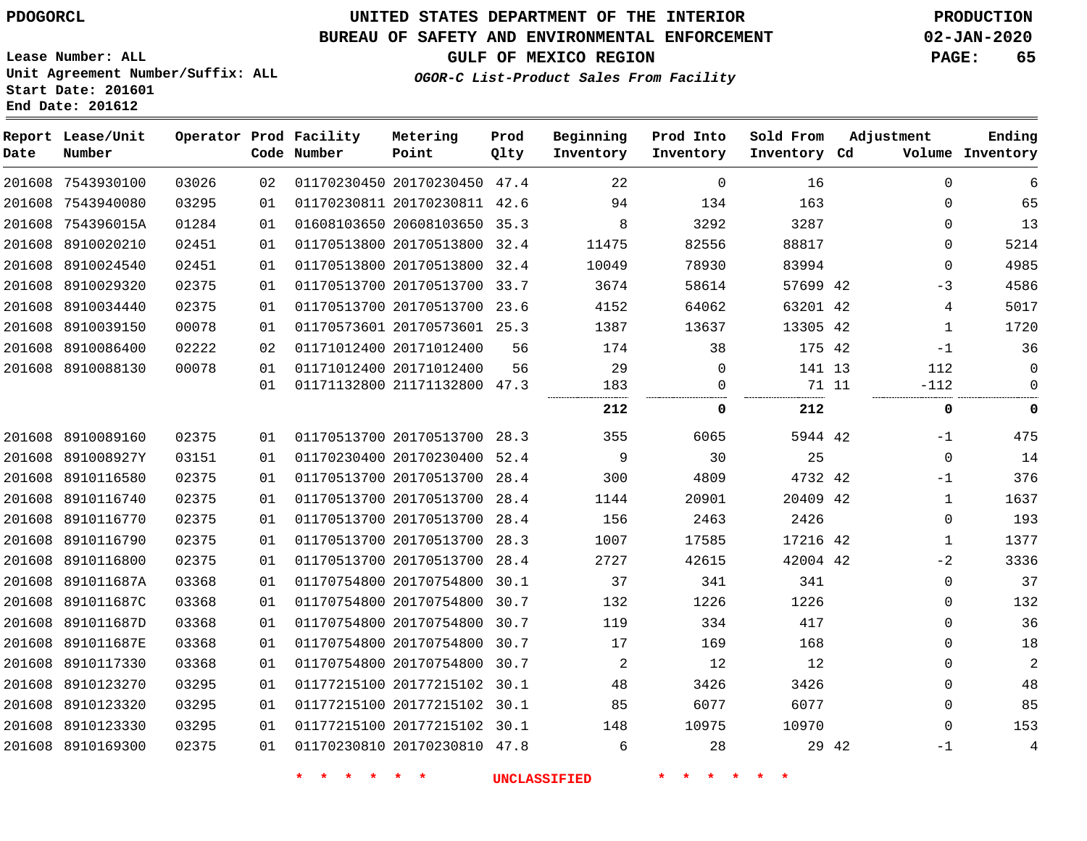### **BUREAU OF SAFETY AND ENVIRONMENTAL ENFORCEMENT 02-JAN-2020**

**Lease Number: ALL Unit Agreement Number/Suffix: ALL Start Date: 201601 End Date: 201612**

### **OGOR-C List-Product Sales From Facility**

**GULF OF MEXICO REGION PAGE: 65**

| Date | Report Lease/Unit<br>Number |       |                 | Operator Prod Facility<br>Code Number | Metering<br>Point            | Prod<br>Qlty | Beginning<br>Inventory | Prod Into<br>Inventory | Sold From<br>Inventory Cd |       | Adjustment   | Ending<br>Volume Inventory |
|------|-----------------------------|-------|-----------------|---------------------------------------|------------------------------|--------------|------------------------|------------------------|---------------------------|-------|--------------|----------------------------|
|      | 201608 7543930100           | 03026 | 02 <sub>o</sub> |                                       | 01170230450 20170230450 47.4 |              | 22                     | $\Omega$               | 16                        |       | $\Omega$     | 6                          |
|      | 201608 7543940080           | 03295 | 01              |                                       | 01170230811 20170230811 42.6 |              | 94                     | 134                    | 163                       |       | $\Omega$     | 65                         |
|      | 201608 754396015A           | 01284 | 01              |                                       | 01608103650 20608103650 35.3 |              | 8                      | 3292                   | 3287                      |       | $\Omega$     | 13                         |
|      | 201608 8910020210           | 02451 | 01              |                                       | 01170513800 20170513800 32.4 |              | 11475                  | 82556                  | 88817                     |       | 0            | 5214                       |
|      | 201608 8910024540           | 02451 | 01              |                                       | 01170513800 20170513800 32.4 |              | 10049                  | 78930                  | 83994                     |       | $\mathbf 0$  | 4985                       |
|      | 201608 8910029320           | 02375 | 01              |                                       | 01170513700 20170513700 33.7 |              | 3674                   | 58614                  | 57699 42                  |       | $-3$         | 4586                       |
|      | 201608 8910034440           | 02375 | 01              |                                       | 01170513700 20170513700 23.6 |              | 4152                   | 64062                  | 63201 42                  |       | 4            | 5017                       |
|      | 201608 8910039150           | 00078 | 01              |                                       | 01170573601 20170573601 25.3 |              | 1387                   | 13637                  | 13305 42                  |       | $\mathbf{1}$ | 1720                       |
|      | 201608 8910086400           | 02222 | 02              |                                       | 01171012400 20171012400      | 56           | 174                    | 38                     | 175 42                    |       | $-1$         | 36                         |
|      | 201608 8910088130           | 00078 | 01              |                                       | 01171012400 20171012400      | 56           | 29                     | $\mathbf 0$            | 141 13                    |       | 112          | $\mathbf 0$                |
|      |                             |       | 01              |                                       | 01171132800 21171132800 47.3 |              | 183                    | $\mathbf 0$            | 71 11                     |       | $-112$       | $\mathbf 0$                |
|      |                             |       |                 |                                       |                              |              | 212                    | 0                      | 212                       |       | 0            | 0                          |
|      | 201608 8910089160           | 02375 | 01              |                                       | 01170513700 20170513700 28.3 |              | 355                    | 6065                   | 5944 42                   |       | $-1$         | 475                        |
|      | 201608 891008927Y           | 03151 | 01              |                                       | 01170230400 20170230400 52.4 |              | 9                      | 30                     | 25                        |       | $\mathbf 0$  | 14                         |
|      | 201608 8910116580           | 02375 | 01              |                                       | 01170513700 20170513700 28.4 |              | 300                    | 4809                   | 4732 42                   |       | $-1$         | 376                        |
|      | 201608 8910116740           | 02375 | 01              |                                       | 01170513700 20170513700 28.4 |              | 1144                   | 20901                  | 20409 42                  |       | $\mathbf{1}$ | 1637                       |
|      | 201608 8910116770           | 02375 | 01              |                                       | 01170513700 20170513700 28.4 |              | 156                    | 2463                   | 2426                      |       | $\mathbf 0$  | 193                        |
|      | 201608 8910116790           | 02375 | 01              |                                       | 01170513700 20170513700 28.3 |              | 1007                   | 17585                  | 17216 42                  |       | $\mathbf 1$  | 1377                       |
|      | 201608 8910116800           | 02375 | 01              |                                       | 01170513700 20170513700 28.4 |              | 2727                   | 42615                  | 42004 42                  |       | $-2$         | 3336                       |
|      | 201608 891011687A           | 03368 | 01              |                                       | 01170754800 20170754800 30.1 |              | 37                     | 341                    | 341                       |       | $\mathbf 0$  | 37                         |
|      | 201608 891011687C           | 03368 | 01              |                                       | 01170754800 20170754800      | 30.7         | 132                    | 1226                   | 1226                      |       | $\mathbf 0$  | 132                        |
|      | 201608 891011687D           | 03368 | 01              |                                       | 01170754800 20170754800      | 30.7         | 119                    | 334                    | 417                       |       | 0            | 36                         |
|      | 201608 891011687E           | 03368 | 01              |                                       | 01170754800 20170754800 30.7 |              | 17                     | 169                    | 168                       |       | $\mathbf 0$  | 18                         |
|      | 201608 8910117330           | 03368 | 01              |                                       | 01170754800 20170754800 30.7 |              | $\overline{a}$         | 12                     | 12                        |       | $\mathbf 0$  | $\overline{2}$             |
|      | 201608 8910123270           | 03295 | 01              |                                       | 01177215100 20177215102 30.1 |              | 48                     | 3426                   | 3426                      |       | $\mathbf 0$  | 48                         |
|      | 201608 8910123320           | 03295 | 01              |                                       | 01177215100 20177215102 30.1 |              | 85                     | 6077                   | 6077                      |       | $\mathbf 0$  | 85                         |
|      | 201608 8910123330           | 03295 | 01              |                                       | 01177215100 20177215102 30.1 |              | 148                    | 10975                  | 10970                     |       | $\Omega$     | 153                        |
|      | 201608 8910169300           | 02375 | 01              |                                       | 01170230810 20170230810 47.8 |              | 6                      | 28                     |                           | 29 42 | $-1$         | $\overline{4}$             |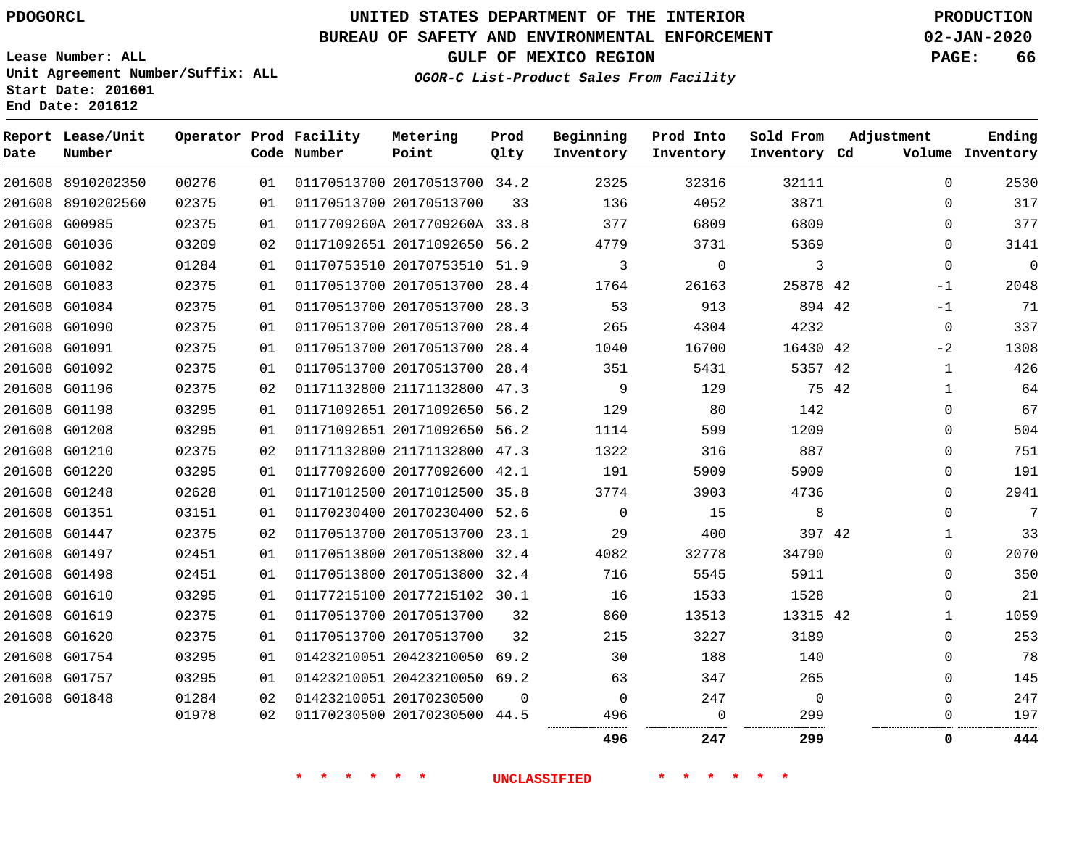# **UNITED STATES DEPARTMENT OF THE INTERIOR PDOGORCL PRODUCTION**

### **BUREAU OF SAFETY AND ENVIRONMENTAL ENFORCEMENT 02-JAN-2020**

**Lease Number: ALL Unit Agreement Number/Suffix: ALL Start Date: 201601**

**GULF OF MEXICO REGION PAGE: 66**

**OGOR-C List-Product Sales From Facility**

| Date | Report Lease/Unit<br>Number |       |    | Operator Prod Facility<br>Code Number | Metering<br>Point            | Prod<br>Qlty | Beginning<br>Inventory | Prod Into<br>Inventory | Sold From<br>Inventory Cd |       | Adjustment   | Ending<br>Volume Inventory |
|------|-----------------------------|-------|----|---------------------------------------|------------------------------|--------------|------------------------|------------------------|---------------------------|-------|--------------|----------------------------|
|      | 201608 8910202350           | 00276 | 01 |                                       | 01170513700 20170513700 34.2 |              | 2325                   | 32316                  | 32111                     |       | $\Omega$     | 2530                       |
|      | 201608 8910202560           | 02375 | 01 |                                       | 01170513700 20170513700      | 33           | 136                    | 4052                   | 3871                      |       | $\Omega$     | 317                        |
|      | 201608 G00985               | 02375 | 01 |                                       | 0117709260A 2017709260A 33.8 |              | 377                    | 6809                   | 6809                      |       | $\Omega$     | 377                        |
|      | 201608 G01036               | 03209 | 02 |                                       | 01171092651 20171092650 56.2 |              | 4779                   | 3731                   | 5369                      |       | 0            | 3141                       |
|      | 201608 G01082               | 01284 | 01 |                                       | 01170753510 20170753510 51.9 |              | 3                      | $\mathbf 0$            | 3                         |       | $\mathbf 0$  | $\Omega$                   |
|      | 201608 G01083               | 02375 | 01 |                                       | 01170513700 20170513700 28.4 |              | 1764                   | 26163                  | 25878 42                  |       | $-1$         | 2048                       |
|      | 201608 G01084               | 02375 | 01 |                                       | 01170513700 20170513700 28.3 |              | 53                     | 913                    | 894 42                    |       | $-1$         | 71                         |
|      | 201608 G01090               | 02375 | 01 |                                       | 01170513700 20170513700 28.4 |              | 265                    | 4304                   | 4232                      |       | $\mathbf 0$  | 337                        |
|      | 201608 G01091               | 02375 | 01 |                                       | 01170513700 20170513700 28.4 |              | 1040                   | 16700                  | 16430 42                  |       | $-2$         | 1308                       |
|      | 201608 G01092               | 02375 | 01 |                                       | 01170513700 20170513700 28.4 |              | 351                    | 5431                   | 5357 42                   |       | 1            | 426                        |
|      | 201608 G01196               | 02375 | 02 |                                       | 01171132800 21171132800 47.3 |              | 9                      | 129                    |                           | 75 42 | $\mathbf{1}$ | 64                         |
|      | 201608 G01198               | 03295 | 01 |                                       | 01171092651 20171092650 56.2 |              | 129                    | 80                     | 142                       |       | $\Omega$     | 67                         |
|      | 201608 G01208               | 03295 | 01 |                                       | 01171092651 20171092650 56.2 |              | 1114                   | 599                    | 1209                      |       | $\mathbf 0$  | 504                        |
|      | 201608 G01210               | 02375 | 02 |                                       | 01171132800 21171132800 47.3 |              | 1322                   | 316                    | 887                       |       | $\Omega$     | 751                        |
|      | 201608 G01220               | 03295 | 01 |                                       | 01177092600 20177092600 42.1 |              | 191                    | 5909                   | 5909                      |       | $\mathbf 0$  | 191                        |
|      | 201608 G01248               | 02628 | 01 |                                       | 01171012500 20171012500 35.8 |              | 3774                   | 3903                   | 4736                      |       | $\Omega$     | 2941                       |
|      | 201608 G01351               | 03151 | 01 |                                       | 01170230400 20170230400 52.6 |              | $\Omega$               | 15                     | 8                         |       | $\Omega$     | 7                          |
|      | 201608 G01447               | 02375 | 02 |                                       | 01170513700 20170513700 23.1 |              | 29                     | 400                    | 397 42                    |       | 1            | 33                         |
|      | 201608 G01497               | 02451 | 01 |                                       | 01170513800 20170513800 32.4 |              | 4082                   | 32778                  | 34790                     |       | $\Omega$     | 2070                       |
|      | 201608 G01498               | 02451 | 01 |                                       | 01170513800 20170513800 32.4 |              | 716                    | 5545                   | 5911                      |       | $\mathbf 0$  | 350                        |
|      | 201608 G01610               | 03295 | 01 |                                       | 01177215100 20177215102 30.1 |              | 16                     | 1533                   | 1528                      |       | $\Omega$     | 21                         |
|      | 201608 G01619               | 02375 | 01 |                                       | 01170513700 20170513700      | 32           | 860                    | 13513                  | 13315 42                  |       | 1            | 1059                       |
|      | 201608 G01620               | 02375 | 01 |                                       | 01170513700 20170513700      | 32           | 215                    | 3227                   | 3189                      |       | $\mathbf 0$  | 253                        |
|      | 201608 G01754               | 03295 | 01 |                                       | 01423210051 20423210050      | 69.2         | 30                     | 188                    | 140                       |       | 0            | 78                         |
|      | 201608 G01757               | 03295 | 01 |                                       | 01423210051 20423210050 69.2 |              | 63                     | 347                    | 265                       |       | $\Omega$     | 145                        |
|      | 201608 G01848               | 01284 | 02 |                                       | 01423210051 20170230500      | 0            | 0                      | 247                    | 0                         |       | $\mathbf 0$  | 247                        |
|      |                             | 01978 | 02 |                                       | 01170230500 20170230500      | 44.5         | 496                    | 0                      | 299                       |       | 0            | 197                        |
|      |                             |       |    |                                       |                              |              | 496                    | 247                    | 299                       |       | $\Omega$     | 444                        |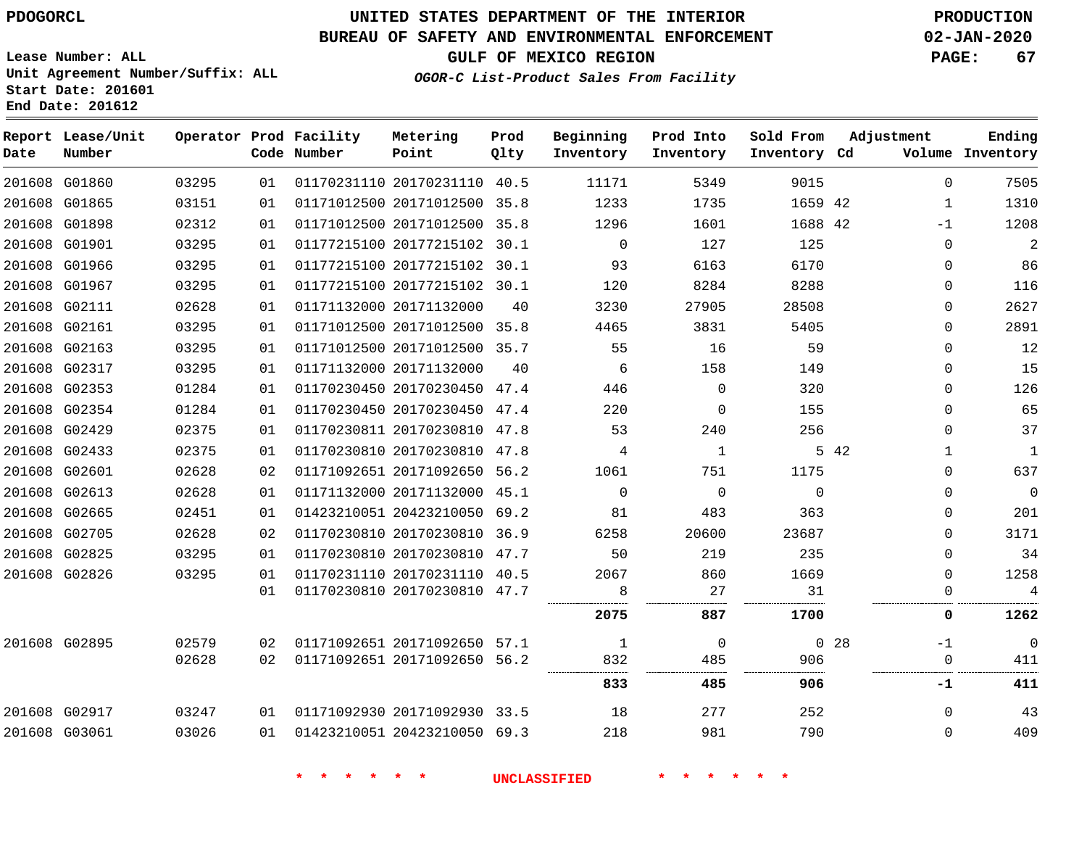**Report Lease/Unit**

# **UNITED STATES DEPARTMENT OF THE INTERIOR PDOGORCL PRODUCTION**

### **BUREAU OF SAFETY AND ENVIRONMENTAL ENFORCEMENT 02-JAN-2020**

**Lease Number: ALL Unit Agreement Number/Suffix: ALL Start Date: 201601**

**Operator Prod Facility Metering**

**GULF OF MEXICO REGION PAGE: 67**

**Prod**

**Adjustment**

**Ending**

**OGOR-C List-Product Sales From Facility**

**Beginning Prod Into Sold From**

| Date | Number        |       |    | Code Number | Point                        | Qlty | Inventory   | Inventory | Inventory Cd |                 |              | Volume Inventory |
|------|---------------|-------|----|-------------|------------------------------|------|-------------|-----------|--------------|-----------------|--------------|------------------|
|      | 201608 G01860 | 03295 | 01 |             | 01170231110 20170231110 40.5 |      | 11171       | 5349      | 9015         |                 | $\Omega$     | 7505             |
|      | 201608 G01865 | 03151 | 01 |             | 01171012500 20171012500 35.8 |      | 1233        | 1735      | 1659 42      |                 | $\mathbf{1}$ | 1310             |
|      | 201608 G01898 | 02312 | 01 |             | 01171012500 20171012500 35.8 |      | 1296        | 1601      | 1688 42      |                 | $-1$         | 1208             |
|      | 201608 G01901 | 03295 | 01 |             | 01177215100 20177215102 30.1 |      | $\mathbf 0$ | 127       | 125          |                 | 0            | $\overline{a}$   |
|      | 201608 G01966 | 03295 | 01 |             | 01177215100 20177215102 30.1 |      | 93          | 6163      | 6170         |                 | 0            | 86               |
|      | 201608 G01967 | 03295 | 01 |             | 01177215100 20177215102 30.1 |      | 120         | 8284      | 8288         |                 | $\Omega$     | 116              |
|      | 201608 G02111 | 02628 | 01 |             | 01171132000 20171132000      | 40   | 3230        | 27905     | 28508        |                 | $\Omega$     | 2627             |
|      | 201608 G02161 | 03295 | 01 |             | 01171012500 20171012500 35.8 |      | 4465        | 3831      | 5405         |                 | $\Omega$     | 2891             |
|      | 201608 G02163 | 03295 | 01 |             | 01171012500 20171012500 35.7 |      | 55          | 16        | 59           |                 | $\Omega$     | 12               |
|      | 201608 G02317 | 03295 | 01 |             | 01171132000 20171132000      | 40   | 6           | 158       | 149          |                 | $\Omega$     | 15               |
|      | 201608 G02353 | 01284 | 01 |             | 01170230450 20170230450 47.4 |      | 446         | $\Omega$  | 320          |                 | $\Omega$     | 126              |
|      | 201608 G02354 | 01284 | 01 |             | 01170230450 20170230450 47.4 |      | 220         | $\Omega$  | 155          |                 | $\Omega$     | 65               |
|      | 201608 G02429 | 02375 | 01 |             | 01170230811 20170230810 47.8 |      | 53          | 240       | 256          |                 | $\Omega$     | 37               |
|      | 201608 G02433 | 02375 | 01 |             | 01170230810 20170230810 47.8 |      | 4           | 1         |              | 5 42            | $\mathbf 1$  | $\mathbf{1}$     |
|      | 201608 G02601 | 02628 | 02 |             | 01171092651 20171092650 56.2 |      | 1061        | 751       | 1175         |                 | $\Omega$     | 637              |
|      | 201608 G02613 | 02628 | 01 |             | 01171132000 20171132000 45.1 |      | $\Omega$    | $\Omega$  | $\Omega$     |                 | $\Omega$     | $\mathbf 0$      |
|      | 201608 G02665 | 02451 | 01 |             | 01423210051 20423210050 69.2 |      | 81          | 483       | 363          |                 | $\Omega$     | 201              |
|      | 201608 G02705 | 02628 | 02 |             | 01170230810 20170230810 36.9 |      | 6258        | 20600     | 23687        |                 | $\Omega$     | 3171             |
|      | 201608 G02825 | 03295 | 01 |             | 01170230810 20170230810 47.7 |      | 50          | 219       | 235          |                 | $\Omega$     | 34               |
|      | 201608 G02826 | 03295 | 01 |             | 01170231110 20170231110 40.5 |      | 2067        | 860       | 1669         |                 | $\Omega$     | 1258             |
|      |               |       | 01 |             | 01170230810 20170230810 47.7 |      | 8           | 27        | 31           |                 | $\Omega$     | 4<br>.           |
|      |               |       |    |             |                              |      | 2075        | 887       | 1700         |                 | 0            | 1262             |
|      | 201608 G02895 | 02579 | 02 |             | 01171092651 20171092650 57.1 |      | 1           | $\Omega$  |              | 0 <sub>28</sub> | $-1$         | $\Omega$         |
|      |               | 02628 | 02 |             | 01171092651 20171092650 56.2 |      | 832<br>     | 485       | 906<br>      |                 | $\mathbf 0$  | 411              |
|      |               |       |    |             |                              |      | 833         | 485       | 906          |                 | -1           | 411              |
|      | 201608 G02917 | 03247 | 01 |             | 01171092930 20171092930 33.5 |      | 18          | 277       | 252          |                 | $\Omega$     | 43               |
|      | 201608 G03061 | 03026 | 01 |             | 01423210051 20423210050 69.3 |      | 218         | 981       | 790          |                 | 0            | 409              |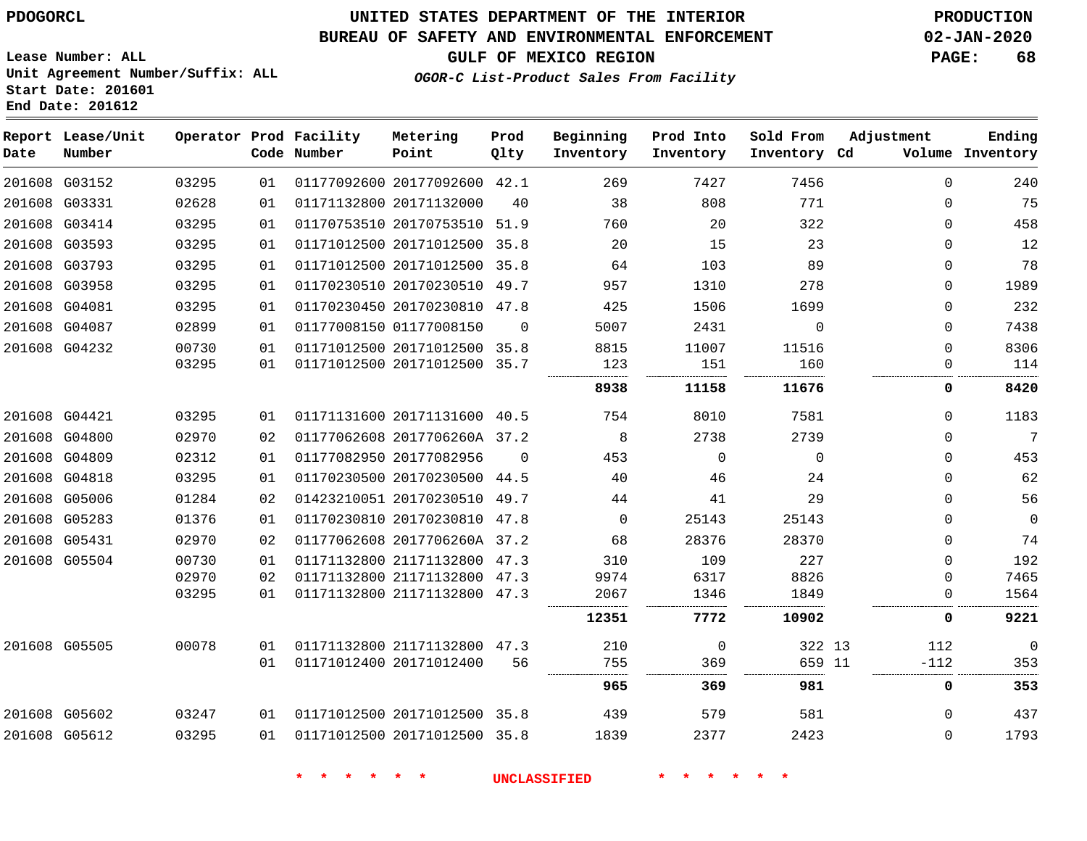**Date**

# **UNITED STATES DEPARTMENT OF THE INTERIOR PDOGORCL PRODUCTION**

#### **BUREAU OF SAFETY AND ENVIRONMENTAL ENFORCEMENT 02-JAN-2020**

........ 

 

**Lease Number: ALL Unit Agreement Number/Suffix: ALL Start Date: 201601 End Date: 201612**

### **OGOR-C List-Product Sales From Facility**

| Date | Report Lease/Unit<br>Number |                |          | Operator Prod Facility<br>Code Number | Metering<br>Point                                            | Prod<br>Qlty | Beginning<br>Inventory | Prod Into<br>Inventory | Sold From<br>Inventory Cd | Adjustment           | Ending<br>Volume Inventory |
|------|-----------------------------|----------------|----------|---------------------------------------|--------------------------------------------------------------|--------------|------------------------|------------------------|---------------------------|----------------------|----------------------------|
|      | 201608 G03152               | 03295          | 01       |                                       | 01177092600 20177092600 42.1                                 |              | 269                    | 7427                   | 7456                      | $\Omega$             | 240                        |
|      | 201608 G03331               | 02628          | 01       |                                       | 01171132800 20171132000                                      | 40           | 38                     | 808                    | 771                       | $\Omega$             | 75                         |
|      | 201608 G03414               | 03295          | 01       |                                       | 01170753510 20170753510 51.9                                 |              | 760                    | 20                     | 322                       | $\Omega$             | 458                        |
|      | 201608 G03593               | 03295          | 01       |                                       | 01171012500 20171012500 35.8                                 |              | 20                     | 15                     | 23                        | 0                    | 12                         |
|      | 201608 G03793               | 03295          | 01       |                                       | 01171012500 20171012500 35.8                                 |              | 64                     | 103                    | 89                        | $\Omega$             | 78                         |
|      | 201608 G03958               | 03295          | 01       |                                       | 01170230510 20170230510 49.7                                 |              | 957                    | 1310                   | 278                       | $\Omega$             | 1989                       |
|      | 201608 G04081               | 03295          | 01       |                                       | 01170230450 20170230810 47.8                                 |              | 425                    | 1506                   | 1699                      | $\Omega$             | 232                        |
|      | 201608 G04087               | 02899          | 01       |                                       | 01177008150 01177008150                                      | $\Omega$     | 5007                   | 2431                   | $\mathbf{0}$              | $\Omega$             | 7438                       |
|      | 201608 G04232               | 00730<br>03295 | 01<br>01 |                                       | 01171012500 20171012500 35.8<br>01171012500 20171012500 35.7 |              | 8815<br>123            | 11007<br>151           | 11516<br>160              | $\Omega$<br>$\Omega$ | 8306<br>114                |
|      |                             |                |          |                                       |                                                              |              | <br>8938               | 11158                  | 11676                     | 0                    | 8420                       |
|      | 201608 G04421               | 03295          | 01       |                                       | 01171131600 20171131600 40.5                                 |              | 754                    | 8010                   | 7581                      | $\Omega$             | 1183                       |
|      | 201608 G04800               | 02970          | 02       |                                       | 01177062608 2017706260A 37.2                                 |              | 8                      | 2738                   | 2739                      | $\Omega$             | 7                          |
|      | 201608 G04809               | 02312          | 01       |                                       | 01177082950 20177082956                                      | $\Omega$     | 453                    | $\Omega$               | $\Omega$                  | $\Omega$             | 453                        |
|      | 201608 G04818               | 03295          | 01       |                                       | 01170230500 20170230500 44.5                                 |              | 40                     | 46                     | 24                        | $\Omega$             | 62                         |
|      | 201608 G05006               | 01284          | 02       |                                       | 01423210051 20170230510 49.7                                 |              | 44                     | 41                     | 29                        | $\Omega$             | 56                         |
|      | 201608 G05283               | 01376          | 01       |                                       | 01170230810 20170230810                                      | 47.8         | $\Omega$               | 25143                  | 25143                     | $\Omega$             | $\mathbf{0}$               |
|      | 201608 G05431               | 02970          | 02       |                                       | 01177062608 2017706260A 37.2                                 |              | 68                     | 28376                  | 28370                     | $\Omega$             | 74                         |
|      | 201608 G05504               | 00730          | 01       |                                       | 01171132800 21171132800                                      | 47.3         | 310                    | 109                    | 227                       | $\Omega$             | 192                        |
|      |                             | 02970          | 02       |                                       | 01171132800 21171132800 47.3                                 |              | 9974                   | 6317                   | 8826                      | $\Omega$             | 7465                       |
|      |                             | 03295          | 01       |                                       | 01171132800 21171132800 47.3                                 |              | 2067                   | 1346                   | 1849                      | 0                    | 1564                       |
|      |                             |                |          |                                       |                                                              |              | 12351                  | 7772                   | 10902                     | 0                    | 9221                       |
|      | 201608 G05505               | 00078          |          |                                       | 01 01171132800 21171132800 47.3                              |              | 210                    | $\Omega$               | 322 13                    | 112                  | $\mathbf{0}$               |

|                           | 01 | 01171012400 20171012400      | 56 | 755<br> | 369<br> | 659 11 | $-112$ |
|---------------------------|----|------------------------------|----|---------|---------|--------|--------|
|                           |    |                              |    | 965     | 369     | 981    |        |
| 03247<br>201608 G05602    | 01 | 01171012500 20171012500 35.8 |    | 439     | 579     | 581    |        |
| 03295<br>G05612<br>201608 | 01 | 01171012500 20171012500 35.8 |    | 1839    | 2377    | 2423   |        |

**\* \* \* \* \* \* UNCLASSIFIED \* \* \* \* \* \***

**GULF OF MEXICO REGION PAGE: 68**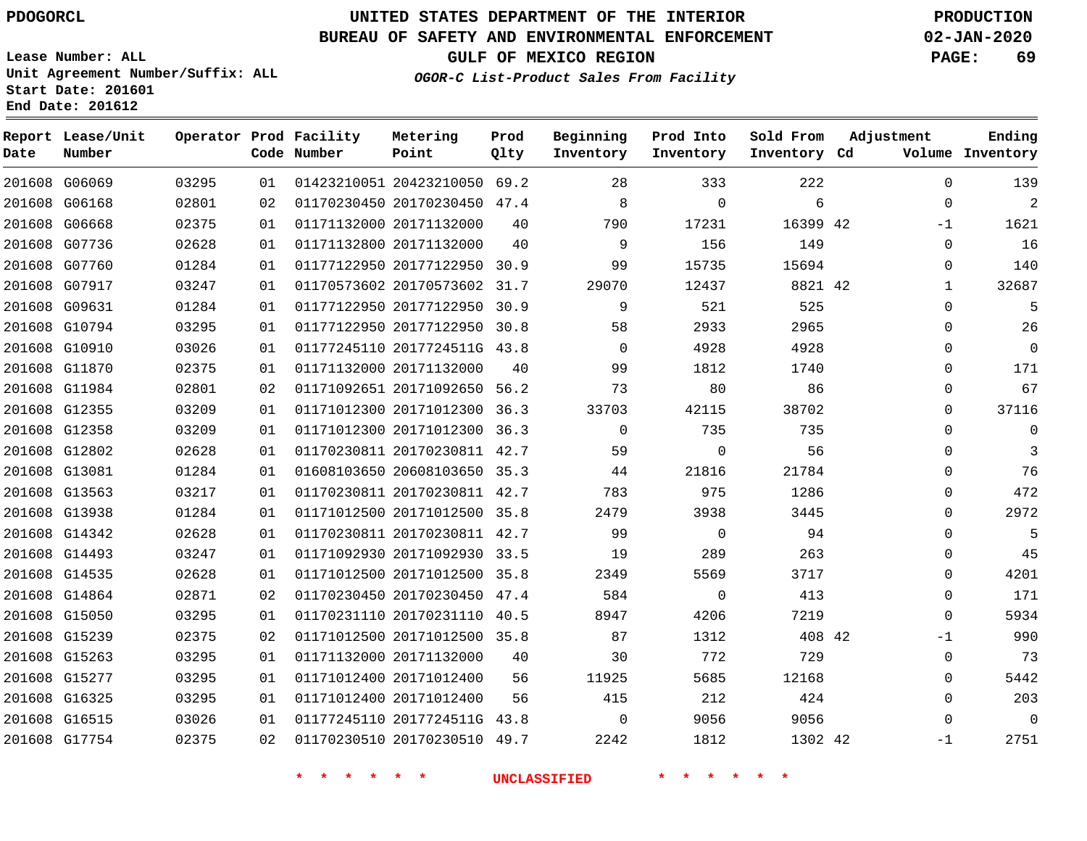### **BUREAU OF SAFETY AND ENVIRONMENTAL ENFORCEMENT 02-JAN-2020**

**OGOR-C List-Product Sales From Facility**

**GULF OF MEXICO REGION PAGE: 69**

**Lease Number: ALL Unit Agreement Number/Suffix: ALL Start Date: 201601 End Date: 201612**

| Date | Report Lease/Unit<br>Number |       |    | Operator Prod Facility<br>Code Number | Metering<br>Point            | Prod<br>Qlty | Beginning<br>Inventory | Prod Into<br>Inventory | Sold From<br>Inventory Cd | Adjustment   | Ending<br>Volume Inventory |
|------|-----------------------------|-------|----|---------------------------------------|------------------------------|--------------|------------------------|------------------------|---------------------------|--------------|----------------------------|
|      | 201608 G06069               | 03295 | 01 |                                       | 01423210051 20423210050 69.2 |              | 28                     | 333                    | 222                       | $\Omega$     | 139                        |
|      | 201608 G06168               | 02801 | 02 |                                       | 01170230450 20170230450 47.4 |              | 8                      | $\Omega$               | 6                         | $\mathbf 0$  | $\overline{2}$             |
|      | 201608 G06668               | 02375 | 01 |                                       | 01171132000 20171132000      | 40           | 790                    | 17231                  | 16399 42                  | $-1$         | 1621                       |
|      | 201608 G07736               | 02628 | 01 |                                       | 01171132800 20171132000      | 40           | 9                      | 156                    | 149                       | $\mathbf 0$  | 16                         |
|      | 201608 G07760               | 01284 | 01 |                                       | 01177122950 20177122950 30.9 |              | 99                     | 15735                  | 15694                     | $\Omega$     | 140                        |
|      | 201608 G07917               | 03247 | 01 |                                       | 01170573602 20170573602 31.7 |              | 29070                  | 12437                  | 8821 42                   | $\mathbf{1}$ | 32687                      |
|      | 201608 G09631               | 01284 | 01 |                                       | 01177122950 20177122950 30.9 |              | 9                      | 521                    | 525                       | $\mathbf 0$  | 5                          |
|      | 201608 G10794               | 03295 | 01 |                                       | 01177122950 20177122950 30.8 |              | 58                     | 2933                   | 2965                      | $\mathbf 0$  | 26                         |
|      | 201608 G10910               | 03026 | 01 |                                       | 01177245110 2017724511G 43.8 |              | $\Omega$               | 4928                   | 4928                      | $\Omega$     | $\mathbf 0$                |
|      | 201608 G11870               | 02375 | 01 |                                       | 01171132000 20171132000      | 40           | 99                     | 1812                   | 1740                      | $\Omega$     | 171                        |
|      | 201608 G11984               | 02801 | 02 |                                       | 01171092651 20171092650 56.2 |              | 73                     | 80                     | 86                        | $\Omega$     | 67                         |
|      | 201608 G12355               | 03209 | 01 |                                       | 01171012300 20171012300      | 36.3         | 33703                  | 42115                  | 38702                     | $\Omega$     | 37116                      |
|      | 201608 G12358               | 03209 | 01 |                                       | 01171012300 20171012300 36.3 |              | $\Omega$               | 735                    | 735                       | $\Omega$     | $\mathbf{0}$               |
|      | 201608 G12802               | 02628 | 01 |                                       | 01170230811 20170230811 42.7 |              | 59                     | $\Omega$               | 56                        | $\Omega$     | 3                          |
|      | 201608 G13081               | 01284 | 01 |                                       | 01608103650 20608103650 35.3 |              | 44                     | 21816                  | 21784                     | $\Omega$     | 76                         |
|      | 201608 G13563               | 03217 | 01 |                                       | 01170230811 20170230811 42.7 |              | 783                    | 975                    | 1286                      | $\mathbf 0$  | 472                        |
|      | 201608 G13938               | 01284 | 01 |                                       | 01171012500 20171012500 35.8 |              | 2479                   | 3938                   | 3445                      | $\Omega$     | 2972                       |
|      | 201608 G14342               | 02628 | 01 |                                       | 01170230811 20170230811 42.7 |              | 99                     | $\overline{0}$         | 94                        | $\Omega$     | 5                          |
|      | 201608 G14493               | 03247 | 01 |                                       | 01171092930 20171092930 33.5 |              | 19                     | 289                    | 263                       | $\Omega$     | 45                         |
|      | 201608 G14535               | 02628 | 01 |                                       | 01171012500 20171012500 35.8 |              | 2349                   | 5569                   | 3717                      | $\mathbf 0$  | 4201                       |
|      | 201608 G14864               | 02871 | 02 |                                       | 01170230450 20170230450 47.4 |              | 584                    | 0                      | 413                       | $\mathbf 0$  | 171                        |
|      | 201608 G15050               | 03295 | 01 |                                       | 01170231110 20170231110 40.5 |              | 8947                   | 4206                   | 7219                      | $\Omega$     | 5934                       |
|      | 201608 G15239               | 02375 | 02 |                                       | 01171012500 20171012500 35.8 |              | 87                     | 1312                   | 408 42                    | $-1$         | 990                        |
|      | 201608 G15263               | 03295 | 01 |                                       | 01171132000 20171132000      | 40           | 30                     | 772                    | 729                       | 0            | 73                         |
|      | 201608 G15277               | 03295 | 01 |                                       | 01171012400 20171012400      | 56           | 11925                  | 5685                   | 12168                     | 0            | 5442                       |
|      | 201608 G16325               | 03295 | 01 |                                       | 01171012400 20171012400      | 56           | 415                    | 212                    | 424                       | $\mathbf 0$  | 203                        |
|      | 201608 G16515               | 03026 | 01 |                                       | 01177245110 2017724511G 43.8 |              | $\Omega$               | 9056                   | 9056                      | $\mathbf 0$  | $\mathbf 0$                |
|      | 201608 G17754               | 02375 | 02 |                                       | 01170230510 20170230510 49.7 |              | 2242                   | 1812                   | 1302 42                   | $-1$         | 2751                       |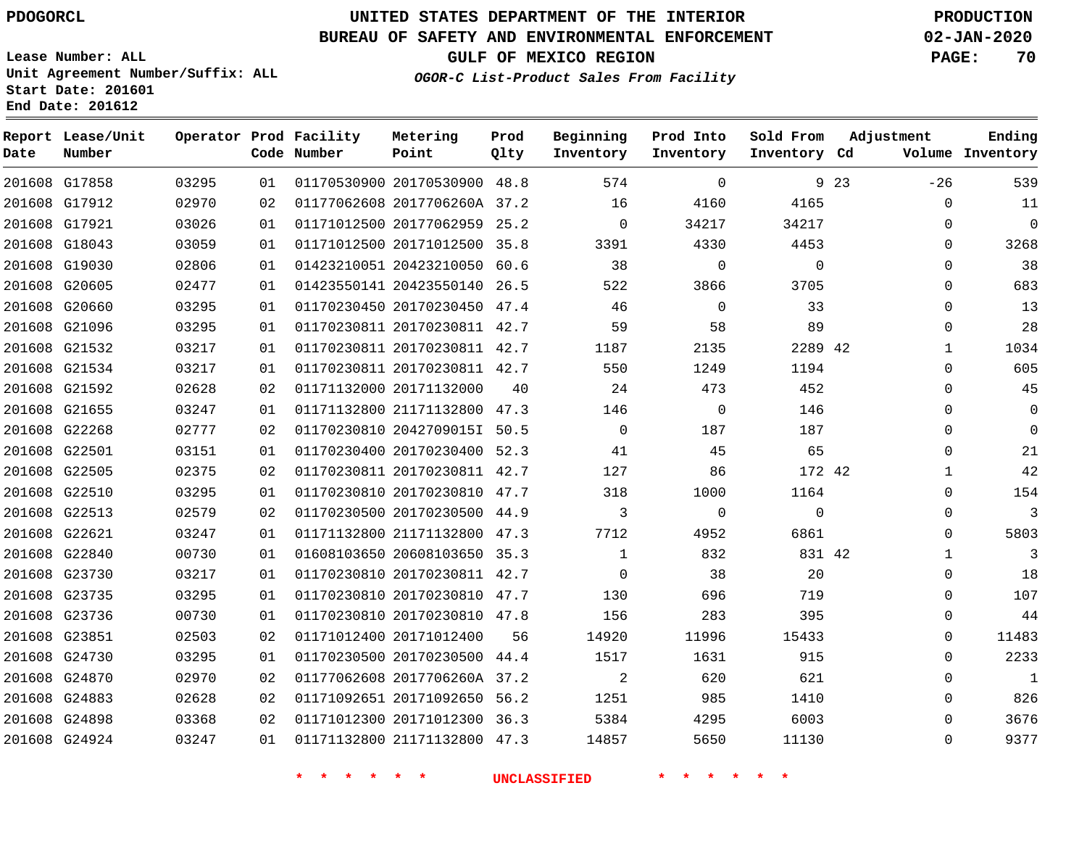### **BUREAU OF SAFETY AND ENVIRONMENTAL ENFORCEMENT 02-JAN-2020**

**Lease Number: ALL Unit Agreement Number/Suffix: ALL Start Date: 201601**

**OGOR-C List-Product Sales From Facility**

**GULF OF MEXICO REGION PAGE: 70**

# **End Date: 201612**

| Date          | Report Lease/Unit<br>Number |       |    | Operator Prod Facility<br>Code Number | Metering<br>Point            | Prod<br>Qlty | Beginning<br>Inventory | Prod Into<br>Inventory | Sold From<br>Inventory Cd | Adjustment |              | Ending<br>Volume Inventory |
|---------------|-----------------------------|-------|----|---------------------------------------|------------------------------|--------------|------------------------|------------------------|---------------------------|------------|--------------|----------------------------|
|               | 201608 G17858               | 03295 | 01 |                                       | 01170530900 20170530900 48.8 |              | 574                    | $\Omega$               |                           | 9 23       | $-26$        | 539                        |
|               | 201608 G17912               | 02970 | 02 |                                       | 01177062608 2017706260A 37.2 |              | 16                     | 4160                   | 4165                      |            | $\mathbf 0$  | 11                         |
| 201608 G17921 |                             | 03026 | 01 |                                       | 01171012500 20177062959 25.2 |              | $\mathbf 0$            | 34217                  | 34217                     |            | 0            | $\Omega$                   |
|               | 201608 G18043               | 03059 | 01 |                                       | 01171012500 20171012500 35.8 |              | 3391                   | 4330                   | 4453                      |            | $\Omega$     | 3268                       |
|               | 201608 G19030               | 02806 | 01 |                                       | 01423210051 20423210050 60.6 |              | 38                     | 0                      | $\mathbf 0$               |            | $\mathbf{0}$ | 38                         |
|               | 201608 G20605               | 02477 | 01 |                                       | 01423550141 20423550140 26.5 |              | 522                    | 3866                   | 3705                      |            | $\Omega$     | 683                        |
|               | 201608 G20660               | 03295 | 01 |                                       | 01170230450 20170230450 47.4 |              | 46                     | $\mathbf 0$            | 33                        |            | $\Omega$     | 13                         |
|               | 201608 G21096               | 03295 | 01 |                                       | 01170230811 20170230811 42.7 |              | 59                     | 58                     | 89                        |            | $\Omega$     | 28                         |
|               | 201608 G21532               | 03217 | 01 |                                       | 01170230811 20170230811 42.7 |              | 1187                   | 2135                   | 2289 42                   |            | 1            | 1034                       |
|               | 201608 G21534               | 03217 | 01 |                                       | 01170230811 20170230811 42.7 |              | 550                    | 1249                   | 1194                      |            | $\Omega$     | 605                        |
|               | 201608 G21592               | 02628 | 02 |                                       | 01171132000 20171132000      | 40           | 24                     | 473                    | 452                       |            | $\Omega$     | 45                         |
|               | 201608 G21655               | 03247 | 01 |                                       | 01171132800 21171132800 47.3 |              | 146                    | 0                      | 146                       |            | $\Omega$     | $\mathbf 0$                |
|               | 201608 G22268               | 02777 | 02 |                                       | 01170230810 2042709015I 50.5 |              | $\mathbf 0$            | 187                    | 187                       |            | $\Omega$     | $\Omega$                   |
| 201608 G22501 |                             | 03151 | 01 |                                       | 01170230400 20170230400 52.3 |              | 41                     | 45                     | 65                        |            | $\Omega$     | 21                         |
|               | 201608 G22505               | 02375 | 02 |                                       | 01170230811 20170230811 42.7 |              | 127                    | 86                     | 172 42                    |            | $\mathbf{1}$ | 42                         |
|               | 201608 G22510               | 03295 | 01 |                                       | 01170230810 20170230810 47.7 |              | 318                    | 1000                   | 1164                      |            | $\mathbf{0}$ | 154                        |
|               | 201608 G22513               | 02579 | 02 |                                       | 01170230500 20170230500 44.9 |              | 3                      | $\mathbf 0$            | $\mathbf 0$               |            | $\mathbf{0}$ | 3                          |
| 201608 G22621 |                             | 03247 | 01 |                                       | 01171132800 21171132800 47.3 |              | 7712                   | 4952                   | 6861                      |            | $\Omega$     | 5803                       |
|               | 201608 G22840               | 00730 | 01 |                                       | 01608103650 20608103650 35.3 |              | $\mathbf{1}$           | 832                    | 831 42                    |            | 1            | 3                          |
|               | 201608 G23730               | 03217 | 01 |                                       | 01170230810 20170230811 42.7 |              | $\Omega$               | 38                     | 20                        |            | $\mathbf{0}$ | 18                         |
|               | 201608 G23735               | 03295 | 01 |                                       | 01170230810 20170230810 47.7 |              | 130                    | 696                    | 719                       |            | $\Omega$     | 107                        |
|               | 201608 G23736               | 00730 | 01 |                                       | 01170230810 20170230810 47.8 |              | 156                    | 283                    | 395                       |            | $\Omega$     | 44                         |
|               | 201608 G23851               | 02503 | 02 |                                       | 01171012400 20171012400      | 56           | 14920                  | 11996                  | 15433                     |            | $\mathbf{0}$ | 11483                      |
|               | 201608 G24730               | 03295 | 01 |                                       | 01170230500 20170230500 44.4 |              | 1517                   | 1631                   | 915                       |            | $\Omega$     | 2233                       |
|               | 201608 G24870               | 02970 | 02 |                                       | 01177062608 2017706260A 37.2 |              | 2                      | 620                    | 621                       |            | $\Omega$     | $\mathbf{1}$               |
|               | 201608 G24883               | 02628 | 02 |                                       | 01171092651 20171092650 56.2 |              | 1251                   | 985                    | 1410                      |            | $\Omega$     | 826                        |
|               | 201608 G24898               | 03368 | 02 |                                       | 01171012300 20171012300 36.3 |              | 5384                   | 4295                   | 6003                      |            | $\Omega$     | 3676                       |
|               | 201608 G24924               | 03247 | 01 |                                       | 01171132800 21171132800 47.3 |              | 14857                  | 5650                   | 11130                     |            | $\Omega$     | 9377                       |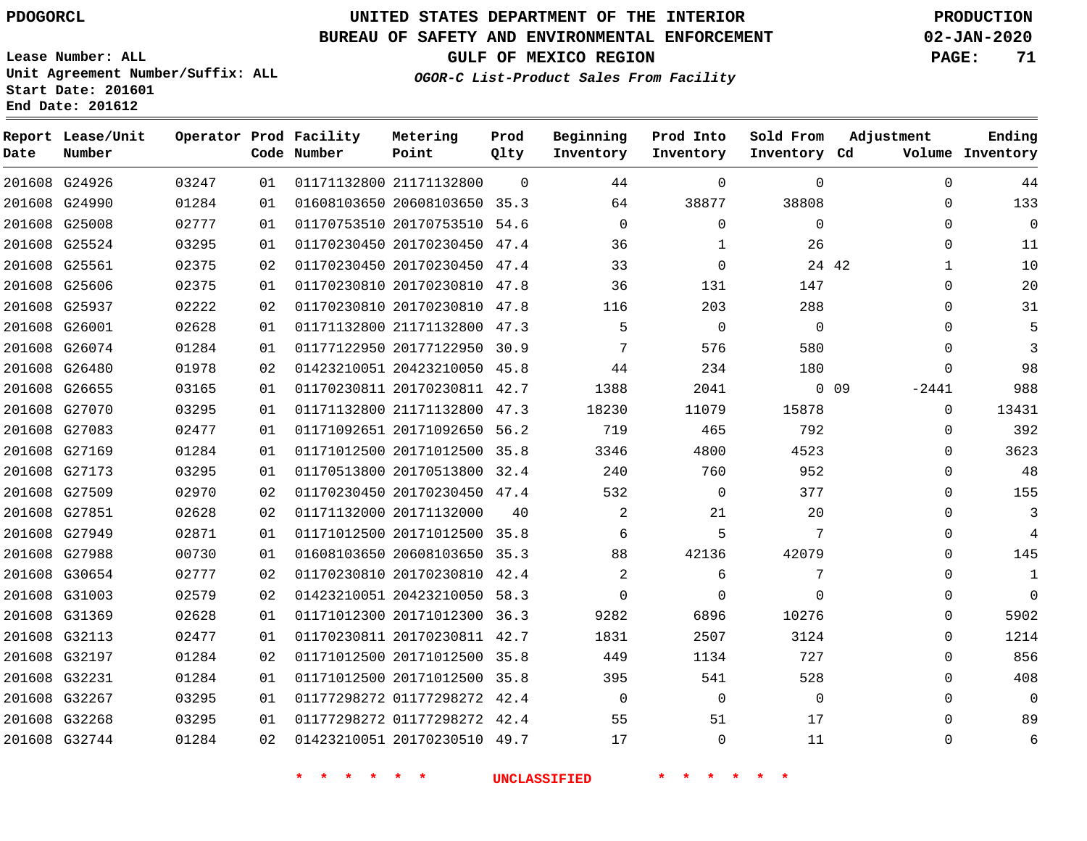**Prod**

#### **BUREAU OF SAFETY AND ENVIRONMENTAL ENFORCEMENT 02-JAN-2020**

**Lease Number: ALL Unit Agreement Number/Suffix: ALL Start Date: 201601**

**Operator Prod Facility**

**End Date: 201612**

**Report Lease/Unit**

**OGOR-C List-Product Sales From Facility**

**Beginning**

**Prod Into**

**Sold From Adjustment**

**GULF OF MEXICO REGION PAGE: 71**

**Ending**

| Date | Number        |       |    | Code Number | Point                        | Qlty           | Inventory      | Inventory      | Inventory Cd   |       |             | Volume Inventory |
|------|---------------|-------|----|-------------|------------------------------|----------------|----------------|----------------|----------------|-------|-------------|------------------|
|      | 201608 G24926 | 03247 | 01 |             | 01171132800 21171132800      | $\overline{0}$ | 44             | $\mathbf 0$    | $\mathbf 0$    |       | $\mathbf 0$ | 44               |
|      | 201608 G24990 | 01284 | 01 |             | 01608103650 20608103650 35.3 |                | 64             | 38877          | 38808          |       | $\Omega$    | 133              |
|      | 201608 G25008 | 02777 | 01 |             | 01170753510 20170753510 54.6 |                | $\overline{0}$ | $\mathbf 0$    | $\mathbf 0$    |       | $\Omega$    | $\mathbf 0$      |
|      | 201608 G25524 | 03295 | 01 |             | 01170230450 20170230450 47.4 |                | 36             | $\mathbf{1}$   | 26             |       | 0           | 11               |
|      | 201608 G25561 | 02375 | 02 |             | 01170230450 20170230450 47.4 |                | 33             | 0              |                | 24 42 | 1           | 10               |
|      | 201608 G25606 | 02375 | 01 |             | 01170230810 20170230810 47.8 |                | 36             | 131            | 147            |       | $\Omega$    | 20               |
|      | 201608 G25937 | 02222 | 02 |             | 01170230810 20170230810 47.8 |                | 116            | 203            | 288            |       | $\Omega$    | 31               |
|      | 201608 G26001 | 02628 | 01 |             | 01171132800 21171132800 47.3 |                | 5              | $\overline{0}$ | $\overline{0}$ |       | 0           | 5                |
|      | 201608 G26074 | 01284 | 01 |             | 01177122950 20177122950 30.9 |                | 7              | 576            | 580            |       | $\Omega$    | 3                |
|      | 201608 G26480 | 01978 | 02 |             | 01423210051 20423210050 45.8 |                | 44             | 234            | 180            |       | $\Omega$    | 98               |
|      | 201608 G26655 | 03165 | 01 |             | 01170230811 20170230811 42.7 |                | 1388           | 2041           | $0\quad09$     |       | $-2441$     | 988              |
|      | 201608 G27070 | 03295 | 01 |             | 01171132800 21171132800 47.3 |                | 18230          | 11079          | 15878          |       | $\mathbf 0$ | 13431            |
|      | 201608 G27083 | 02477 | 01 |             | 01171092651 20171092650 56.2 |                | 719            | 465            | 792            |       | $\Omega$    | 392              |
|      | 201608 G27169 | 01284 | 01 |             | 01171012500 20171012500 35.8 |                | 3346           | 4800           | 4523           |       | $\Omega$    | 3623             |
|      | 201608 G27173 | 03295 | 01 |             | 01170513800 20170513800 32.4 |                | 240            | 760            | 952            |       | 0           | 48               |
|      | 201608 G27509 | 02970 | 02 |             | 01170230450 20170230450 47.4 |                | 532            | $\overline{0}$ | 377            |       | $\Omega$    | 155              |
|      | 201608 G27851 | 02628 | 02 |             | 01171132000 20171132000      | 40             | 2              | 21             | 20             |       | $\Omega$    | 3                |
|      | 201608 G27949 | 02871 | 01 |             | 01171012500 20171012500 35.8 |                | 6              | 5              | 7              |       | 0           | 4                |
|      | 201608 G27988 | 00730 | 01 |             | 01608103650 20608103650 35.3 |                | 88             | 42136          | 42079          |       | $\Omega$    | 145              |
|      | 201608 G30654 | 02777 | 02 |             | 01170230810 20170230810 42.4 |                | $\overline{a}$ | 6              | 7              |       | $\Omega$    | $\mathbf{1}$     |
|      | 201608 G31003 | 02579 | 02 |             | 01423210051 20423210050 58.3 |                | $\Omega$       | $\mathbf{0}$   | $\Omega$       |       | 0           | $\mathbf 0$      |
|      | 201608 G31369 | 02628 | 01 |             | 01171012300 20171012300 36.3 |                | 9282           | 6896           | 10276          |       | 0           | 5902             |
|      | 201608 G32113 | 02477 | 01 |             | 01170230811 20170230811 42.7 |                | 1831           | 2507           | 3124           |       | $\Omega$    | 1214             |
|      | 201608 G32197 | 01284 | 02 |             | 01171012500 20171012500 35.8 |                | 449            | 1134           | 727            |       | $\Omega$    | 856              |
|      | 201608 G32231 | 01284 | 01 |             | 01171012500 20171012500 35.8 |                | 395            | 541            | 528            |       | 0           | 408              |
|      | 201608 G32267 | 03295 | 01 |             | 01177298272 01177298272 42.4 |                | $\mathbf 0$    | $\Omega$       | $\Omega$       |       | $\Omega$    | $\mathbf 0$      |
|      | 201608 G32268 | 03295 | 01 |             | 01177298272 01177298272 42.4 |                | 55             | 51             | 17             |       | 0           | 89               |
|      | 201608 G32744 | 01284 | 02 |             | 01423210051 20170230510 49.7 |                | 17             | 0              | 11             |       | 0           | 6                |

**Metering**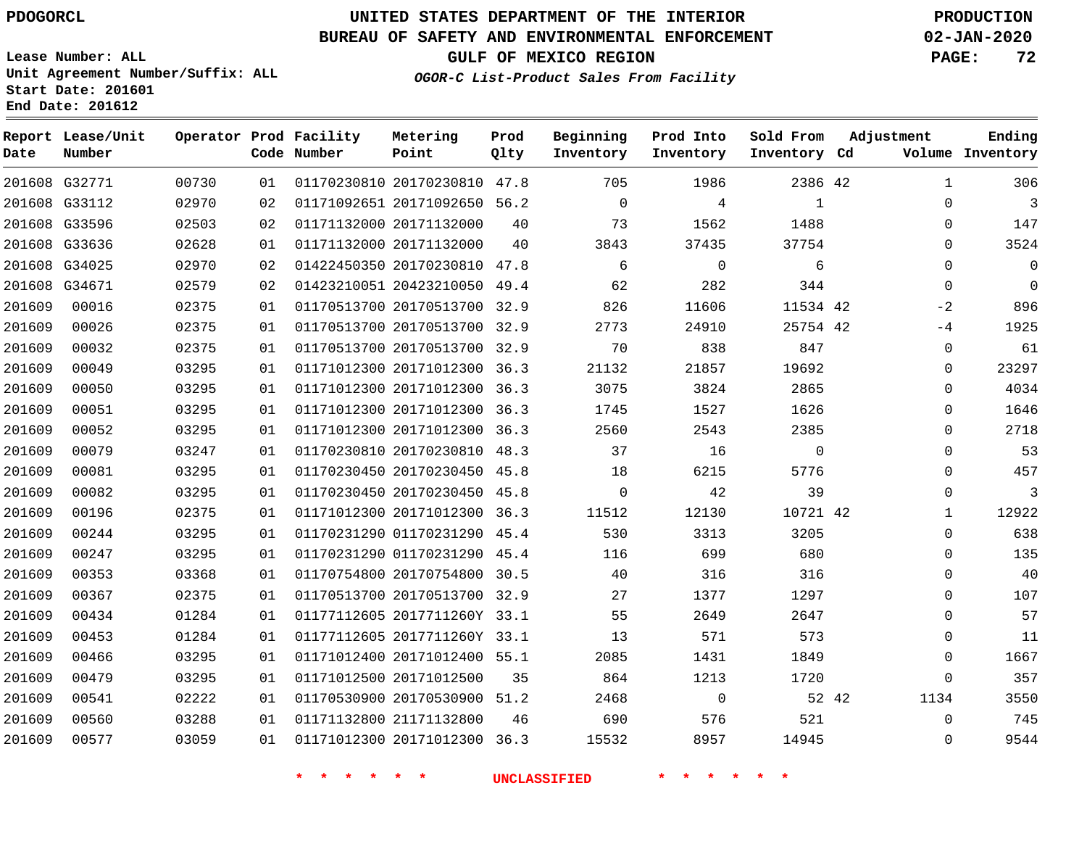**Report Lease/Unit**

# **UNITED STATES DEPARTMENT OF THE INTERIOR PDOGORCL PRODUCTION**

### **BUREAU OF SAFETY AND ENVIRONMENTAL ENFORCEMENT 02-JAN-2020**

**Lease Number: ALL Unit Agreement Number/Suffix: ALL Start Date: 201601**

**Operator Prod Facility Metering**

**GULF OF MEXICO REGION PAGE: 72**

**Prod**

**Adjustment**

**Ending**

**OGOR-C List-Product Sales From Facility**

**Beginning Prod Into Sold From**

| Date   | Number        |       |    | Code Number | Point                        | Qlty | Inventory   | Inventory    | Inventory Cd |       |              | Volume Inventory |
|--------|---------------|-------|----|-------------|------------------------------|------|-------------|--------------|--------------|-------|--------------|------------------|
|        | 201608 G32771 | 00730 | 01 |             | 01170230810 20170230810 47.8 |      | 705         | 1986         | 2386 42      |       | $\mathbf{1}$ | 306              |
|        | 201608 G33112 | 02970 | 02 |             | 01171092651 20171092650 56.2 |      | $\mathbf 0$ | 4            | $\mathbf{1}$ |       | 0            | 3                |
|        | 201608 G33596 | 02503 | 02 |             | 01171132000 20171132000      | 40   | 73          | 1562         | 1488         |       | 0            | 147              |
|        | 201608 G33636 | 02628 | 01 |             | 01171132000 20171132000      | 40   | 3843        | 37435        | 37754        |       | $\Omega$     | 3524             |
|        | 201608 G34025 | 02970 | 02 |             | 01422450350 20170230810 47.8 |      | 6           | $\mathbf 0$  | 6            |       | $\Omega$     | $\mathbf 0$      |
|        | 201608 G34671 | 02579 | 02 |             | 01423210051 20423210050 49.4 |      | 62          | 282          | 344          |       | $\mathbf 0$  | $\mathbf 0$      |
| 201609 | 00016         | 02375 | 01 |             | 01170513700 20170513700 32.9 |      | 826         | 11606        | 11534 42     |       | $-2$         | 896              |
| 201609 | 00026         | 02375 | 01 |             | 01170513700 20170513700 32.9 |      | 2773        | 24910        | 25754 42     |       | $-4$         | 1925             |
| 201609 | 00032         | 02375 | 01 |             | 01170513700 20170513700 32.9 |      | 70          | 838          | 847          |       | 0            | 61               |
| 201609 | 00049         | 03295 | 01 |             | 01171012300 20171012300 36.3 |      | 21132       | 21857        | 19692        |       | 0            | 23297            |
| 201609 | 00050         | 03295 | 01 |             | 01171012300 20171012300      | 36.3 | 3075        | 3824         | 2865         |       | $\Omega$     | 4034             |
| 201609 | 00051         | 03295 | 01 |             | 01171012300 20171012300 36.3 |      | 1745        | 1527         | 1626         |       | 0            | 1646             |
| 201609 | 00052         | 03295 | 01 |             | 01171012300 20171012300 36.3 |      | 2560        | 2543         | 2385         |       | 0            | 2718             |
| 201609 | 00079         | 03247 | 01 |             | 01170230810 20170230810 48.3 |      | 37          | 16           | $\Omega$     |       | $\Omega$     | 53               |
| 201609 | 00081         | 03295 | 01 |             | 01170230450 20170230450 45.8 |      | 18          | 6215         | 5776         |       | 0            | 457              |
| 201609 | 00082         | 03295 | 01 |             | 01170230450 20170230450 45.8 |      | $\Omega$    | 42           | 39           |       | 0            | 3                |
| 201609 | 00196         | 02375 | 01 |             | 01171012300 20171012300 36.3 |      | 11512       | 12130        | 10721 42     |       | 1            | 12922            |
| 201609 | 00244         | 03295 | 01 |             | 01170231290 01170231290 45.4 |      | 530         | 3313         | 3205         |       | 0            | 638              |
| 201609 | 00247         | 03295 | 01 |             | 01170231290 01170231290 45.4 |      | 116         | 699          | 680          |       | 0            | 135              |
| 201609 | 00353         | 03368 | 01 |             | 01170754800 20170754800      | 30.5 | 40          | 316          | 316          |       | $\Omega$     | 40               |
| 201609 | 00367         | 02375 | 01 |             | 01170513700 20170513700 32.9 |      | 27          | 1377         | 1297         |       | 0            | 107              |
| 201609 | 00434         | 01284 | 01 |             | 01177112605 2017711260Y 33.1 |      | 55          | 2649         | 2647         |       | $\Omega$     | 57               |
| 201609 | 00453         | 01284 | 01 |             | 01177112605 2017711260Y 33.1 |      | 13          | 571          | 573          |       | $\Omega$     | 11               |
| 201609 | 00466         | 03295 | 01 |             | 01171012400 20171012400 55.1 |      | 2085        | 1431         | 1849         |       | 0            | 1667             |
| 201609 | 00479         | 03295 | 01 |             | 01171012500 20171012500      | 35   | 864         | 1213         | 1720         |       | 0            | 357              |
| 201609 | 00541         | 02222 | 01 |             | 01170530900 20170530900 51.2 |      | 2468        | $\mathsf{O}$ |              | 52 42 | 1134         | 3550             |
| 201609 | 00560         | 03288 | 01 |             | 01171132800 21171132800      | 46   | 690         | 576          | 521          |       | 0            | 745              |
| 201609 | 00577         | 03059 | 01 |             | 01171012300 20171012300 36.3 |      | 15532       | 8957         | 14945        |       | $\mathbf 0$  | 9544             |
|        |               |       |    |             |                              |      |             |              |              |       |              |                  |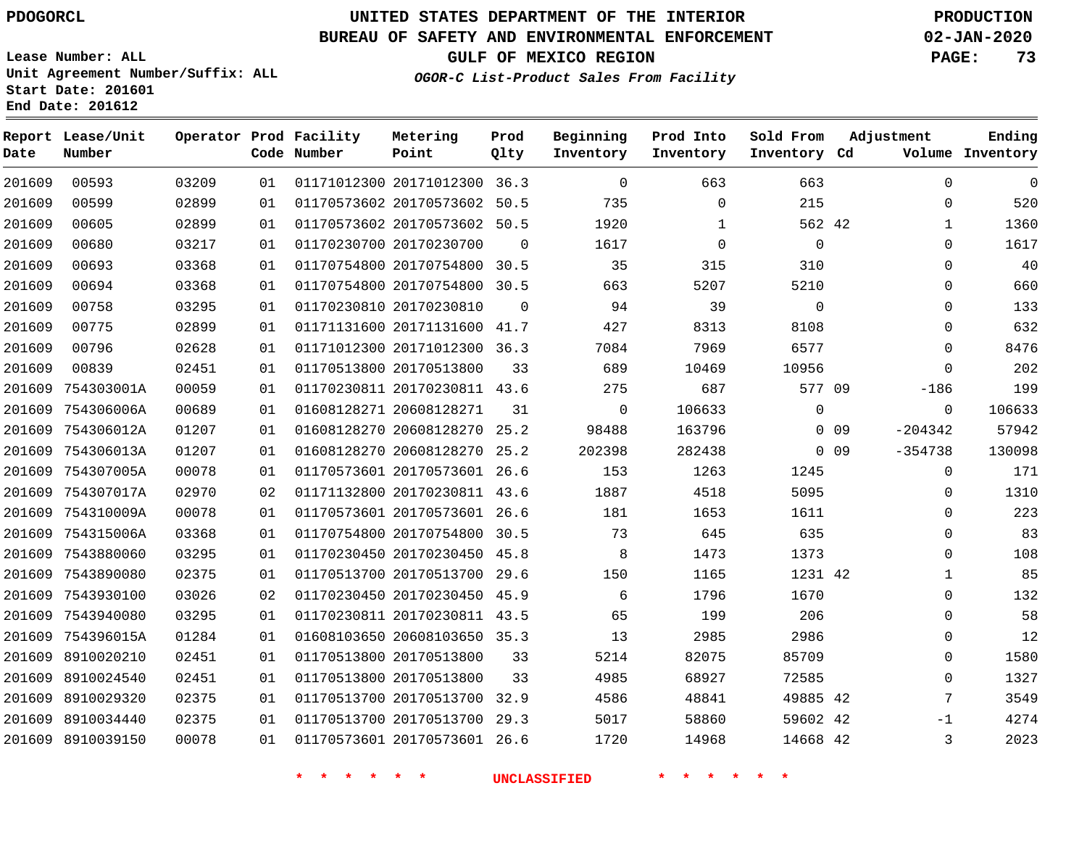## **BUREAU OF SAFETY AND ENVIRONMENTAL ENFORCEMENT 02-JAN-2020**

**Lease Number: ALL Unit Agreement Number/Suffix: ALL**

**OGOR-C List-Product Sales From Facility**

**GULF OF MEXICO REGION PAGE: 73**

**Start Date: 201601 End Date: 201612**

| Date   | Report Lease/Unit<br>Number |       |    | Operator Prod Facility<br>Code Number | Metering<br>Point            | Prod<br>Qlty   | Beginning<br>Inventory | Prod Into<br>Inventory | Sold From<br>Inventory Cd | Adjustment |              | Ending<br>Volume Inventory |
|--------|-----------------------------|-------|----|---------------------------------------|------------------------------|----------------|------------------------|------------------------|---------------------------|------------|--------------|----------------------------|
| 201609 | 00593                       | 03209 | 01 |                                       | 01171012300 20171012300 36.3 |                | $\overline{0}$         | 663                    | 663                       |            | $\mathbf 0$  | 0                          |
| 201609 | 00599                       | 02899 | 01 |                                       | 01170573602 20170573602 50.5 |                | 735                    | $\Omega$               | 215                       |            | $\Omega$     | 520                        |
| 201609 | 00605                       | 02899 | 01 |                                       | 01170573602 20170573602 50.5 |                | 1920                   | 1                      | 562 42                    |            | $\mathbf{1}$ | 1360                       |
| 201609 | 00680                       | 03217 | 01 |                                       | 01170230700 20170230700      | $\overline{0}$ | 1617                   | $\mathbf 0$            | $\overline{0}$            |            | 0            | 1617                       |
| 201609 | 00693                       | 03368 | 01 |                                       | 01170754800 20170754800 30.5 |                | 35                     | 315                    | 310                       |            | 0            | 40                         |
| 201609 | 00694                       | 03368 | 01 |                                       | 01170754800 20170754800 30.5 |                | 663                    | 5207                   | 5210                      |            | $\Omega$     | 660                        |
| 201609 | 00758                       | 03295 | 01 |                                       | 01170230810 20170230810      | $\Omega$       | 94                     | 39                     | $\mathbf 0$               |            | $\Omega$     | 133                        |
| 201609 | 00775                       | 02899 | 01 |                                       | 01171131600 20171131600 41.7 |                | 427                    | 8313                   | 8108                      |            | $\mathbf 0$  | 632                        |
| 201609 | 00796                       | 02628 | 01 |                                       | 01171012300 20171012300 36.3 |                | 7084                   | 7969                   | 6577                      |            | $\Omega$     | 8476                       |
| 201609 | 00839                       | 02451 | 01 |                                       | 01170513800 20170513800      | 33             | 689                    | 10469                  | 10956                     |            | $\mathbf{0}$ | 202                        |
|        | 201609 754303001A           | 00059 | 01 |                                       | 01170230811 20170230811 43.6 |                | 275                    | 687                    | 577 09                    |            | $-186$       | 199                        |
|        | 201609 754306006A           | 00689 | 01 |                                       | 01608128271 20608128271      | 31             | $\overline{0}$         | 106633                 | $\mathbf{0}$              |            | 0            | 106633                     |
|        | 201609 754306012A           | 01207 | 01 |                                       | 01608128270 20608128270 25.2 |                | 98488                  | 163796                 |                           | $0\quad09$ | $-204342$    | 57942                      |
|        | 201609 754306013A           | 01207 | 01 |                                       | 01608128270 20608128270 25.2 |                | 202398                 | 282438                 |                           | $0\quad09$ | $-354738$    | 130098                     |
|        | 201609 754307005A           | 00078 | 01 |                                       | 01170573601 20170573601 26.6 |                | 153                    | 1263                   | 1245                      |            | 0            | 171                        |
|        | 201609 754307017A           | 02970 | 02 |                                       | 01171132800 20170230811 43.6 |                | 1887                   | 4518                   | 5095                      |            | $\Omega$     | 1310                       |
|        | 201609 754310009A           | 00078 | 01 |                                       | 01170573601 20170573601 26.6 |                | 181                    | 1653                   | 1611                      |            | 0            | 223                        |
|        | 201609 754315006A           | 03368 | 01 |                                       | 01170754800 20170754800 30.5 |                | 73                     | 645                    | 635                       |            | $\Omega$     | 83                         |
|        | 201609 7543880060           | 03295 | 01 |                                       | 01170230450 20170230450 45.8 |                | 8                      | 1473                   | 1373                      |            | 0            | 108                        |
|        | 201609 7543890080           | 02375 | 01 |                                       | 01170513700 20170513700 29.6 |                | 150                    | 1165                   | 1231 42                   |            | 1            | 85                         |
|        | 201609 7543930100           | 03026 | 02 |                                       | 01170230450 20170230450 45.9 |                | 6                      | 1796                   | 1670                      |            | 0            | 132                        |
|        | 201609 7543940080           | 03295 | 01 |                                       | 01170230811 20170230811 43.5 |                | 65                     | 199                    | 206                       |            | 0            | 58                         |
|        | 201609 754396015A           | 01284 | 01 |                                       | 01608103650 20608103650 35.3 |                | 13                     | 2985                   | 2986                      |            | 0            | 12                         |
|        | 201609 8910020210           | 02451 | 01 |                                       | 01170513800 20170513800      | 33             | 5214                   | 82075                  | 85709                     |            | $\Omega$     | 1580                       |
|        | 201609 8910024540           | 02451 | 01 |                                       | 01170513800 20170513800      | 33             | 4985                   | 68927                  | 72585                     |            | $\Omega$     | 1327                       |
|        | 201609 8910029320           | 02375 | 01 |                                       | 01170513700 20170513700 32.9 |                | 4586                   | 48841                  | 49885 42                  |            | 7            | 3549                       |
|        | 201609 8910034440           | 02375 | 01 |                                       | 01170513700 20170513700 29.3 |                | 5017                   | 58860                  | 59602 42                  |            | -1           | 4274                       |
|        | 201609 8910039150           | 00078 | 01 |                                       | 01170573601 20170573601 26.6 |                | 1720                   | 14968                  | 14668 42                  |            | 3            | 2023                       |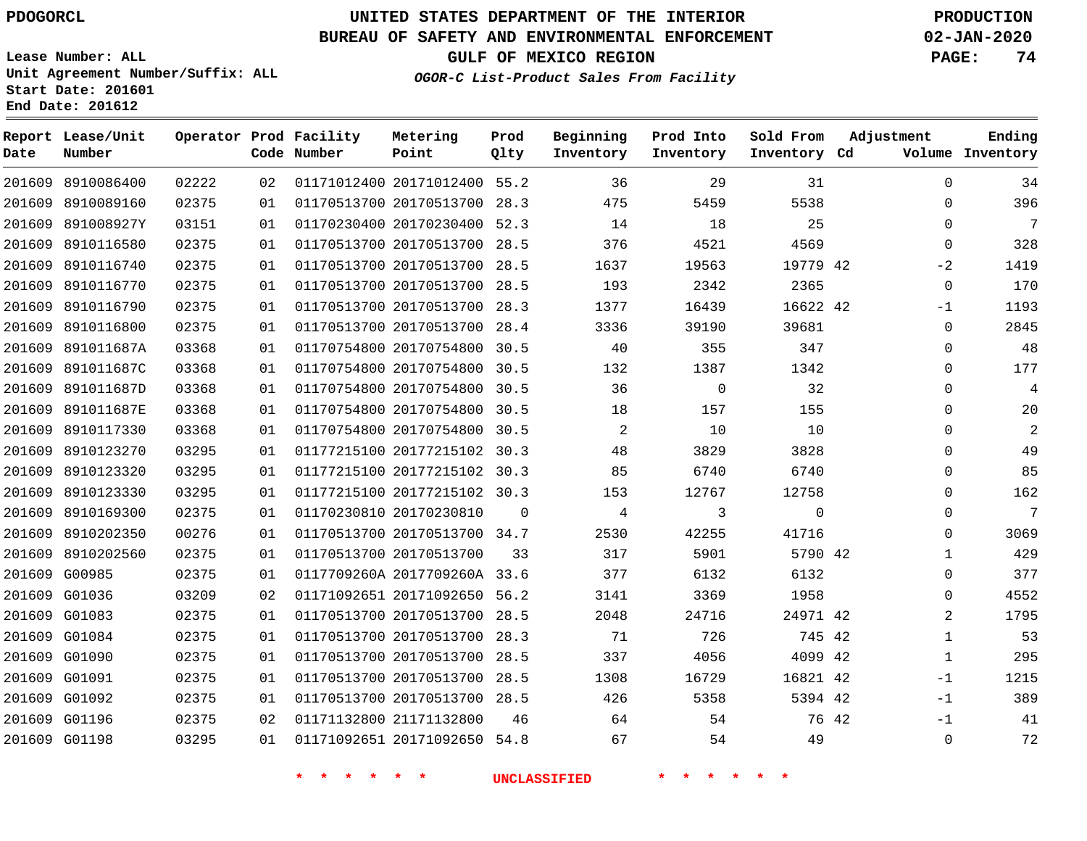**Date**

**Report Lease/Unit**

**Number**

# **UNITED STATES DEPARTMENT OF THE INTERIOR PDOGORCL PRODUCTION**

**Prod Qlty**

#### **BUREAU OF SAFETY AND ENVIRONMENTAL ENFORCEMENT 02-JAN-2020**

**Lease Number: ALL Unit Agreement Number/Suffix: ALL Start Date: 201601 End Date: 201612**

**Operator Prod Facility**

**Code Number**

**OGOR-C List-Product Sales From Facility**

**Beginning Inventory** **Prod Into Inventory** **Sold From Inventory**

**GULF OF MEXICO REGION PAGE: 74**

**Inventory Cd Volume**

**Adjustment**

  $\Omega$  $\Omega$   $-2$  -1  $\Omega$  $\Omega$   $\Omega$  $\overline{0}$  $\Omega$  $\Omega$   $\Omega$  $\Omega$  -1  $-1$  $-1$ 

**Ending**

| 201609 8910086400 | 02222 | 02 |                                            | 01171012400 20171012400 55.2 |                     | 36             | 29                 | 31          |  |
|-------------------|-------|----|--------------------------------------------|------------------------------|---------------------|----------------|--------------------|-------------|--|
| 201609 8910089160 | 02375 | 01 |                                            | 01170513700 20170513700 28.3 |                     | 475            | 5459               | 5538        |  |
| 201609 891008927Y | 03151 | 01 |                                            | 01170230400 20170230400 52.3 |                     | 14             | 18                 | 25          |  |
| 201609 8910116580 | 02375 | 01 |                                            | 01170513700 20170513700 28.5 |                     | 376            | 4521               | 4569        |  |
| 201609 8910116740 | 02375 | 01 |                                            | 01170513700 20170513700 28.5 |                     | 1637           | 19563              | 19779 42    |  |
| 201609 8910116770 | 02375 | 01 |                                            | 01170513700 20170513700 28.5 |                     | 193            | 2342               | 2365        |  |
| 201609 8910116790 | 02375 | 01 |                                            | 01170513700 20170513700 28.3 |                     | 1377           | 16439              | 16622 42    |  |
| 201609 8910116800 | 02375 | 01 |                                            | 01170513700 20170513700 28.4 |                     | 3336           | 39190              | 39681       |  |
| 201609 891011687A | 03368 | 01 |                                            | 01170754800 20170754800 30.5 |                     | 40             | 355                | 347         |  |
| 201609 891011687C | 03368 | 01 |                                            | 01170754800 20170754800 30.5 |                     | 132            | 1387               | 1342        |  |
| 201609 891011687D | 03368 | 01 |                                            | 01170754800 20170754800 30.5 |                     | 36             | $\overline{0}$     | 32          |  |
| 201609 891011687E | 03368 | 01 |                                            | 01170754800 20170754800 30.5 |                     | 18             | 157                | 155         |  |
| 201609 8910117330 | 03368 | 01 |                                            | 01170754800 20170754800 30.5 |                     | 2              | 10                 | 10          |  |
| 201609 8910123270 | 03295 | 01 |                                            | 01177215100 20177215102 30.3 |                     | 48             | 3829               | 3828        |  |
| 201609 8910123320 | 03295 | 01 |                                            | 01177215100 20177215102 30.3 |                     | 85             | 6740               | 6740        |  |
| 201609 8910123330 | 03295 | 01 |                                            | 01177215100 20177215102 30.3 |                     | 153            | 12767              | 12758       |  |
| 201609 8910169300 | 02375 | 01 | 01170230810 20170230810                    |                              | $\mathbf{0}$        | $\overline{4}$ | $\mathbf{3}$       | $\mathbf 0$ |  |
| 201609 8910202350 | 00276 | 01 |                                            | 01170513700 20170513700 34.7 |                     | 2530           | 42255              | 41716       |  |
| 201609 8910202560 | 02375 | 01 | 01170513700 20170513700                    |                              | 33                  | 317            | 5901               | 5790 42     |  |
| 201609 G00985     | 02375 | 01 |                                            | 0117709260A 2017709260A 33.6 |                     | 377            | 6132               | 6132        |  |
| 201609 G01036     | 03209 | 02 |                                            | 01171092651 20171092650 56.2 |                     | 3141           | 3369               | 1958        |  |
| 201609 G01083     | 02375 | 01 |                                            | 01170513700 20170513700 28.5 |                     | 2048           | 24716              | 24971 42    |  |
| 201609 G01084     | 02375 | 01 |                                            | 01170513700 20170513700 28.3 |                     | 71             | 726                | 745 42      |  |
| 201609 G01090     | 02375 | 01 |                                            | 01170513700 20170513700 28.5 |                     | 337            | 4056               | 4099 42     |  |
| 201609 G01091     | 02375 | 01 |                                            | 01170513700 20170513700 28.5 |                     | 1308           | 16729              | 16821 42    |  |
| 201609 G01092     | 02375 | 01 |                                            | 01170513700 20170513700 28.5 |                     | 426            | 5358               | 5394 42     |  |
| 201609 G01196     | 02375 | 02 |                                            | 01171132800 21171132800      | 46                  | 64             | 54                 | 76 42       |  |
| 201609 G01198     | 03295 | 01 |                                            | 01171092651 20171092650 54.8 |                     | 67             | 54                 | 49          |  |
|                   |       |    | $\star$<br>$\star$<br>$\star$ .<br>$\star$ | $\star$<br>一天                | <b>UNCLASSIFIED</b> |                | $\star$<br>$\star$ | 一米          |  |

**Metering Point**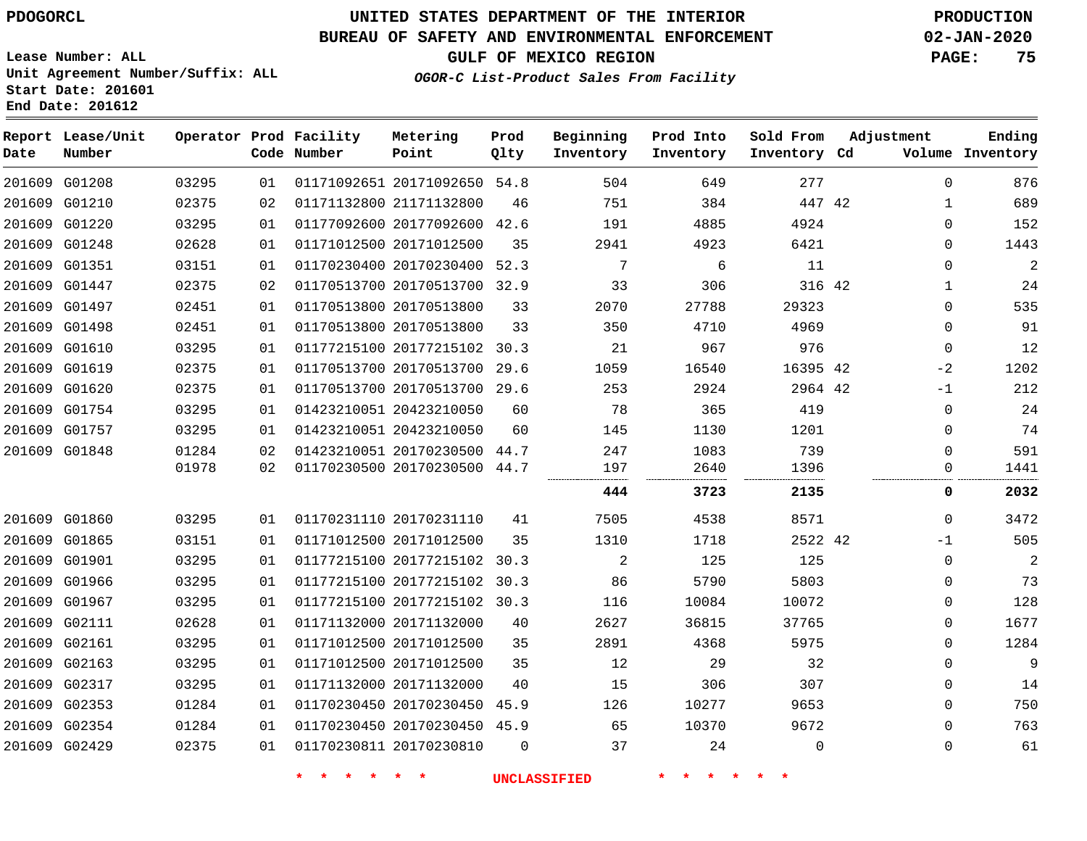# **UNITED STATES DEPARTMENT OF THE INTERIOR PDOGORCL PRODUCTION**

## **BUREAU OF SAFETY AND ENVIRONMENTAL ENFORCEMENT 02-JAN-2020**

**Lease Number: ALL Unit Agreement Number/Suffix: ALL Start Date: 201601**

# **GULF OF MEXICO REGION PAGE: 75**

**OGOR-C List-Product Sales From Facility**

| Date | Report Lease/Unit<br>Number |       |    | Operator Prod Facility<br>Code Number | Metering<br>Point            | Prod<br>Qlty | Beginning<br>Inventory | Prod Into<br>Inventory | Sold From<br>Inventory Cd | Adjustment  | Ending<br>Volume Inventory |
|------|-----------------------------|-------|----|---------------------------------------|------------------------------|--------------|------------------------|------------------------|---------------------------|-------------|----------------------------|
|      | 201609 G01208               | 03295 | 01 |                                       | 01171092651 20171092650      | 54.8         | 504                    | 649                    | 277                       | $\mathbf 0$ | 876                        |
|      | 201609 G01210               | 02375 | 02 |                                       | 01171132800 21171132800      | 46           | 751                    | 384                    | 447 42                    | 1           | 689                        |
|      | 201609 G01220               | 03295 | 01 |                                       | 01177092600 20177092600      | 42.6         | 191                    | 4885                   | 4924                      | $\Omega$    | 152                        |
|      | 201609 G01248               | 02628 | 01 |                                       | 01171012500 20171012500      | 35           | 2941                   | 4923                   | 6421                      | $\mathbf 0$ | 1443                       |
|      | 201609 G01351               | 03151 | 01 |                                       | 01170230400 20170230400      | 52.3         | 7                      | 6                      | 11                        | 0           | $\overline{a}$             |
|      | 201609 G01447               | 02375 | 02 |                                       | 01170513700 20170513700 32.9 |              | 33                     | 306                    | 316 42                    | 1           | 24                         |
|      | 201609 G01497               | 02451 | 01 |                                       | 01170513800 20170513800      | 33           | 2070                   | 27788                  | 29323                     | $\mathbf 0$ | 535                        |
|      | 201609 G01498               | 02451 | 01 |                                       | 01170513800 20170513800      | 33           | 350                    | 4710                   | 4969                      | 0           | 91                         |
|      | 201609 G01610               | 03295 | 01 |                                       | 01177215100 20177215102 30.3 |              | 21                     | 967                    | 976                       | $\mathbf 0$ | 12                         |
|      | 201609 G01619               | 02375 | 01 |                                       | 01170513700 20170513700      | 29.6         | 1059                   | 16540                  | 16395 42                  | $-2$        | 1202                       |
|      | 201609 G01620               | 02375 | 01 |                                       | 01170513700 20170513700 29.6 |              | 253                    | 2924                   | 2964 42                   | -1          | 212                        |
|      | 201609 G01754               | 03295 | 01 |                                       | 01423210051 20423210050      | 60           | 78                     | 365                    | 419                       | 0           | 24                         |
|      | 201609 G01757               | 03295 | 01 |                                       | 01423210051 20423210050      | 60           | 145                    | 1130                   | 1201                      | $\mathbf 0$ | 74                         |
|      | 201609 G01848               | 01284 | 02 |                                       | 01423210051 20170230500 44.7 |              | 247                    | 1083                   | 739                       | $\Omega$    | 591                        |
|      |                             | 01978 | 02 |                                       | 01170230500 20170230500 44.7 |              | 197                    | 2640                   | 1396                      | $\Omega$    | 1441                       |
|      |                             |       |    |                                       |                              |              | 444                    | 3723                   | 2135                      | 0           | 2032                       |
|      | 201609 G01860               | 03295 | 01 |                                       | 01170231110 20170231110      | 41           | 7505                   | 4538                   | 8571                      | 0           | 3472                       |
|      | 201609 G01865               | 03151 | 01 |                                       | 01171012500 20171012500      | 35           | 1310                   | 1718                   | 2522 42                   | -1          | 505                        |
|      | 201609 G01901               | 03295 | 01 |                                       | 01177215100 20177215102 30.3 |              | 2                      | 125                    | 125                       | $\mathbf 0$ | 2                          |
|      | 201609 G01966               | 03295 | 01 |                                       | 01177215100 20177215102      | 30.3         | 86                     | 5790                   | 5803                      | $\mathbf 0$ | 73                         |
|      | 201609 G01967               | 03295 | 01 |                                       | 01177215100 20177215102 30.3 |              | 116                    | 10084                  | 10072                     | 0           | 128                        |
|      | 201609 G02111               | 02628 | 01 |                                       | 01171132000 20171132000      | 40           | 2627                   | 36815                  | 37765                     | 0           | 1677                       |
|      | 201609 G02161               | 03295 | 01 |                                       | 01171012500 20171012500      | 35           | 2891                   | 4368                   | 5975                      | $\mathbf 0$ | 1284                       |
|      | 201609 G02163               | 03295 | 01 |                                       | 01171012500 20171012500      | 35           | 12                     | 29                     | 32                        | 0           | 9                          |
|      | 201609 G02317               | 03295 | 01 |                                       | 01171132000 20171132000      | 40           | 15                     | 306                    | 307                       | 0           | 14                         |
|      | 201609 G02353               | 01284 | 01 |                                       | 01170230450 20170230450      | 45.9         | 126                    | 10277                  | 9653                      | $\mathbf 0$ | 750                        |
|      | 201609 G02354               | 01284 | 01 |                                       | 01170230450 20170230450 45.9 |              | 65                     | 10370                  | 9672                      | $\Omega$    | 763                        |
|      | 201609 G02429               | 02375 | 01 |                                       | 01170230811 20170230810      | $\Omega$     | 37                     | 24                     | $\mathbf 0$               | 0           | 61                         |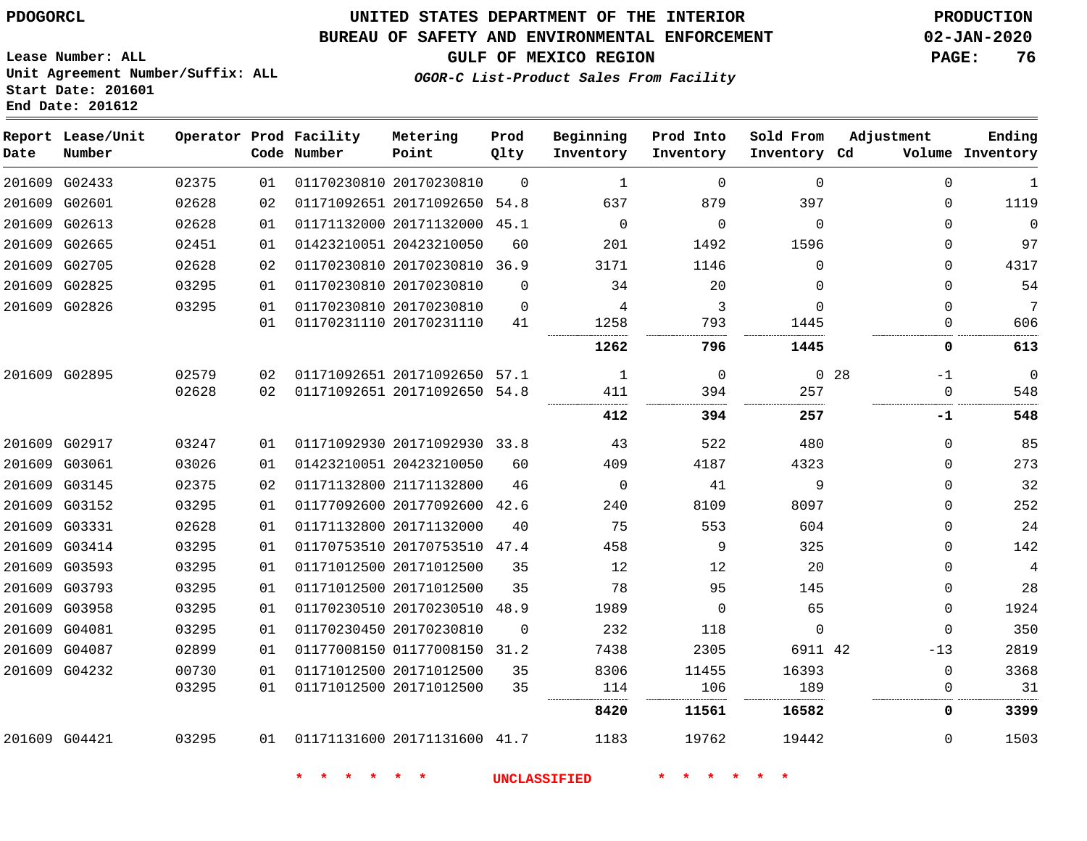#### **BUREAU OF SAFETY AND ENVIRONMENTAL ENFORCEMENT 02-JAN-2020**

**Lease Number: ALL Unit Agreement Number/Suffix: ALL Start Date: 201601**

**End Date: 201612**

**GULF OF MEXICO REGION PAGE: 76**

**OGOR-C List-Product Sales From Facility**

| Date | Report Lease/Unit<br>Number |       |    | Operator Prod Facility<br>Code Number | Metering<br>Point            | Prod<br>Qlty | Beginning<br>Inventory | Prod Into<br>Inventory | Sold From<br>Inventory Cd | Adjustment              | Ending<br>Volume Inventory |
|------|-----------------------------|-------|----|---------------------------------------|------------------------------|--------------|------------------------|------------------------|---------------------------|-------------------------|----------------------------|
|      | 201609 G02433               | 02375 | 01 |                                       | 01170230810 20170230810      | 0            | 1                      | 0                      | $\mathbf 0$               | $\mathbf 0$             | 1                          |
|      | 201609 G02601               | 02628 | 02 |                                       | 01171092651 20171092650      | 54.8         | 637                    | 879                    | 397                       | 0                       | 1119                       |
|      | 201609 G02613               | 02628 | 01 |                                       | 01171132000 20171132000      | 45.1         | $\mathbf 0$            | $\Omega$               | $\mathbf 0$               | 0                       | $\mathbf 0$                |
|      | 201609 G02665               | 02451 | 01 |                                       | 01423210051 20423210050      | 60           | 201                    | 1492                   | 1596                      | 0                       | 97                         |
|      | 201609 G02705               | 02628 | 02 |                                       | 01170230810 20170230810 36.9 |              | 3171                   | 1146                   | $\mathbf 0$               | 0                       | 4317                       |
|      | 201609 G02825               | 03295 | 01 |                                       | 01170230810 20170230810      | 0            | 34                     | 20                     | 0                         | 0                       | 54                         |
|      | 201609 G02826               | 03295 | 01 |                                       | 01170230810 20170230810      | $\mathbf 0$  | 4                      | 3                      | $\mathbf 0$               | 0                       | 7                          |
|      |                             |       | 01 |                                       | 01170231110 20170231110      | 41           | 1258                   | 793                    | 1445                      | 0                       | 606                        |
|      |                             |       |    |                                       |                              |              | 1262                   | 796                    | 1445                      | 0                       | 613                        |
|      | 201609 G02895               | 02579 | 02 |                                       | 01171092651 20171092650      | 57.1         | 1                      | 0                      |                           | 0 <sub>28</sub><br>$-1$ | $\overline{0}$             |
|      |                             | 02628 | 02 |                                       | 01171092651 20171092650      | 54.8         | 411                    | 394                    | 257                       | $\mathbf 0$             | 548                        |
|      |                             |       |    |                                       |                              |              | 412                    | 394                    | 257                       | -1                      | 548                        |
|      | 201609 G02917               | 03247 | 01 |                                       | 01171092930 20171092930 33.8 |              | 43                     | 522                    | 480                       | 0                       | 85                         |
|      | 201609 G03061               | 03026 | 01 |                                       | 01423210051 20423210050      | 60           | 409                    | 4187                   | 4323                      | 0                       | 273                        |
|      | 201609 G03145               | 02375 | 02 |                                       | 01171132800 21171132800      | 46           | 0                      | 41                     | 9                         | 0                       | 32                         |
|      | 201609 G03152               | 03295 | 01 |                                       | 01177092600 20177092600      | 42.6         | 240                    | 8109                   | 8097                      | 0                       | 252                        |
|      | 201609 G03331               | 02628 | 01 |                                       | 01171132800 20171132000      | 40           | 75                     | 553                    | 604                       | 0                       | 24                         |
|      | 201609 G03414               | 03295 | 01 |                                       | 01170753510 20170753510 47.4 |              | 458                    | 9                      | 325                       | 0                       | 142                        |
|      | 201609 G03593               | 03295 | 01 |                                       | 01171012500 20171012500      | 35           | 12                     | 12                     | 20                        | 0                       | 4                          |
|      | 201609 G03793               | 03295 | 01 |                                       | 01171012500 20171012500      | 35           | 78                     | 95                     | 145                       | 0                       | 28                         |
|      | 201609 G03958               | 03295 | 01 |                                       | 01170230510 20170230510      | 48.9         | 1989                   | 0                      | 65                        | 0                       | 1924                       |
|      | 201609 G04081               | 03295 | 01 |                                       | 01170230450 20170230810      | 0            | 232                    | 118                    | $\mathbf 0$               | $\mathbf 0$             | 350                        |
|      | 201609 G04087               | 02899 | 01 |                                       | 01177008150 01177008150      | 31.2         | 7438                   | 2305                   | 6911 42                   | $-13$                   | 2819                       |
|      | 201609 G04232               | 00730 | 01 |                                       | 01171012500 20171012500      | 35           | 8306                   | 11455                  | 16393                     | 0                       | 3368                       |
|      |                             | 03295 | 01 |                                       | 01171012500 20171012500      | 35           | 114                    | 106                    | 189                       | 0                       | 31                         |
|      |                             |       |    |                                       |                              |              | 8420                   | 11561                  | 16582                     | 0                       | 3399                       |
|      | 201609 G04421               | 03295 | 01 |                                       | 01171131600 20171131600 41.7 |              | 1183                   | 19762                  | 19442                     | 0                       | 1503                       |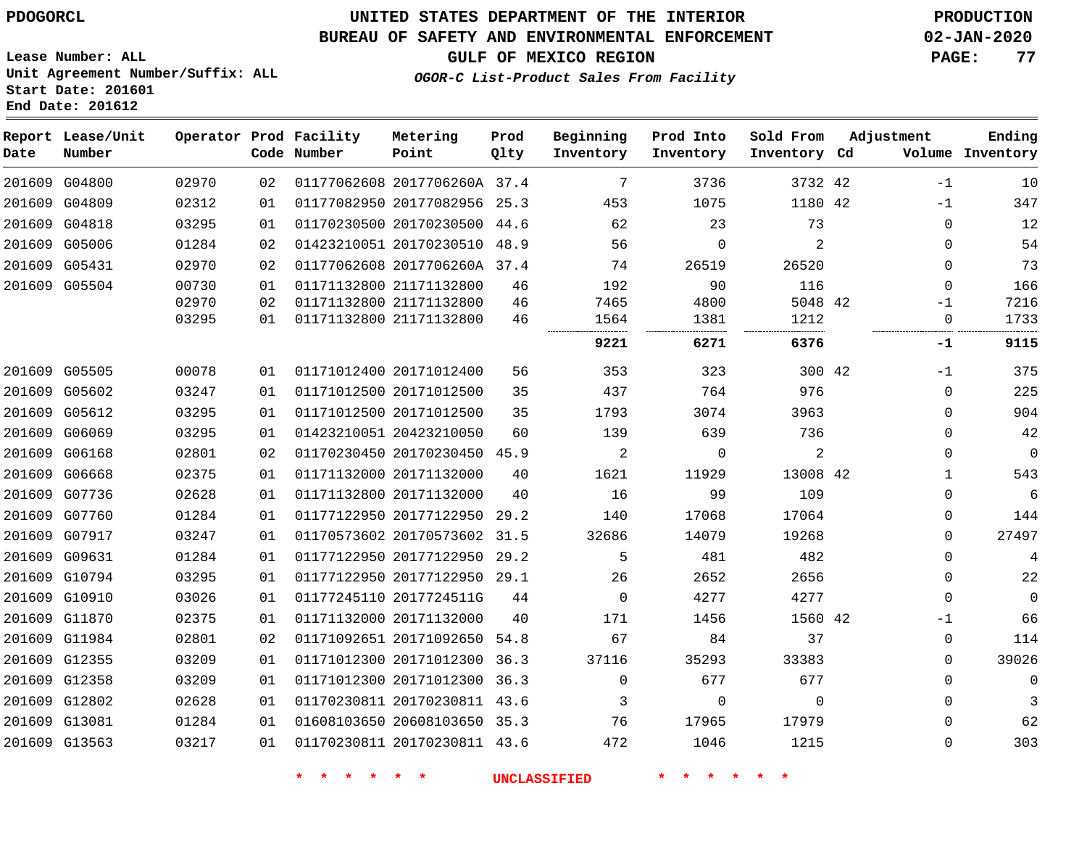#### **BUREAU OF SAFETY AND ENVIRONMENTAL ENFORCEMENT 02-JAN-2020**

**GULF OF MEXICO REGION PAGE: 77**

**Lease Number: ALL Unit Agreement Number/Suffix: ALL Start Date: 201601 End Date: 201612**

**OGOR-C List-Product Sales From Facility**

| Date | Report Lease/Unit<br>Number |                         |                | Operator Prod Facility<br>Code Number | Metering<br>Point                                                             | Prod<br>Qlty   | Beginning<br>Inventory | Prod Into<br>Inventory | Sold From<br>Inventory Cd | Adjustment |                                      | Ending<br>Volume Inventory |
|------|-----------------------------|-------------------------|----------------|---------------------------------------|-------------------------------------------------------------------------------|----------------|------------------------|------------------------|---------------------------|------------|--------------------------------------|----------------------------|
|      | 201609 G04800               | 02970                   | 02             |                                       | 01177062608 2017706260A 37.4                                                  |                | 7                      | 3736                   | 3732 42                   |            | $-1$                                 | 10                         |
|      | 201609 G04809               | 02312                   | 01             |                                       | 01177082950 20177082956 25.3                                                  |                | 453                    | 1075                   | 1180 42                   |            | $-1$                                 | 347                        |
|      | 201609 G04818               | 03295                   | 01             |                                       | 01170230500 20170230500                                                       | 44.6           | 62                     | 23                     | 73                        |            | $\mathbf 0$                          | 12                         |
|      | 201609 G05006               | 01284                   | 02             |                                       | 01423210051 20170230510                                                       | 48.9           | 56                     | $\Omega$               | 2                         |            | $\Omega$                             | 54                         |
|      | 201609 G05431               | 02970                   | 02             |                                       | 01177062608 2017706260A 37.4                                                  |                | 74                     | 26519                  | 26520                     |            | $\Omega$                             | 73                         |
|      | 201609 G05504               | 00730<br>02970<br>03295 | 01<br>02<br>01 |                                       | 01171132800 21171132800<br>01171132800 21171132800<br>01171132800 21171132800 | 46<br>46<br>46 | 192<br>7465<br>1564    | 90<br>4800<br>1381     | 116<br>5048 42<br>1212    |            | $\mathbf{0}$<br>$-1$<br>$\mathbf{0}$ | 166<br>7216<br>1733        |
|      |                             |                         |                |                                       |                                                                               |                | 9221                   | 6271                   | 6376                      |            | -1                                   | 9115                       |
|      | 201609 G05505               | 00078                   | 01             |                                       | 01171012400 20171012400                                                       | 56             | 353                    | 323                    | 300 42                    |            | -1                                   | 375                        |
|      | 201609 G05602               | 03247                   | 01             |                                       | 01171012500 20171012500                                                       | 35             | 437                    | 764                    | 976                       |            | $\Omega$                             | 225                        |
|      | 201609 G05612               | 03295                   | 01             |                                       | 01171012500 20171012500                                                       | 35             | 1793                   | 3074                   | 3963                      |            | $\Omega$                             | 904                        |
|      | 201609 G06069               | 03295                   | 01             |                                       | 01423210051 20423210050                                                       | 60             | 139                    | 639                    | 736                       |            | $\Omega$                             | 42                         |
|      | 201609 G06168               | 02801                   | 02             |                                       | 01170230450 20170230450 45.9                                                  |                | 2                      | $\mathbf 0$            | $\overline{c}$            |            | $\mathbf 0$                          | $\mathbf 0$                |
|      | 201609 G06668               | 02375                   | 01             |                                       | 01171132000 20171132000                                                       | 40             | 1621                   | 11929                  | 13008 42                  |            | 1                                    | 543                        |
|      | 201609 G07736               | 02628                   | 01             |                                       | 01171132800 20171132000                                                       | 40             | 16                     | 99                     | 109                       |            | 0                                    | 6                          |
|      | 201609 G07760               | 01284                   | 01             |                                       | 01177122950 20177122950                                                       | 29.2           | 140                    | 17068                  | 17064                     |            | 0                                    | 144                        |
|      | 201609 G07917               | 03247                   | 01             |                                       | 01170573602 20170573602                                                       | 31.5           | 32686                  | 14079                  | 19268                     |            | $\Omega$                             | 27497                      |
|      | 201609 G09631               | 01284                   | 01             |                                       | 01177122950 20177122950                                                       | 29.2           | 5                      | 481                    | 482                       |            | $\mathbf 0$                          | 4                          |
|      | 201609 G10794               | 03295                   | 01             |                                       | 01177122950 20177122950                                                       | 29.1           | 26                     | 2652                   | 2656                      |            | $\mathbf 0$                          | $2\sqrt{2}$                |
|      | 201609 G10910               | 03026                   | 01             |                                       | 01177245110 2017724511G                                                       | 44             | $\mathbf 0$            | 4277                   | 4277                      |            | $\Omega$                             | $\mathbf 0$                |
|      | 201609 G11870               | 02375                   | 01             |                                       | 01171132000 20171132000                                                       | 40             | 171                    | 1456                   | 1560 42                   |            | -1                                   | 66                         |
|      | 201609 G11984               | 02801                   | 02             |                                       | 01171092651 20171092650                                                       | 54.8           | 67                     | 84                     | 37                        |            | $\mathbf{0}$                         | 114                        |
|      | 201609 G12355               | 03209                   | 01             |                                       | 01171012300 20171012300                                                       | 36.3           | 37116                  | 35293                  | 33383                     |            | $\mathbf{0}$                         | 39026                      |
|      | 201609 G12358               | 03209                   | 01             |                                       | 01171012300 20171012300                                                       | 36.3           | 0                      | 677                    | 677                       |            | 0                                    | 0                          |
|      | 201609 G12802               | 02628                   | 01             |                                       | 01170230811 20170230811 43.6                                                  |                | 3                      | 0                      | $\mathbf 0$               |            | $\mathbf 0$                          | 3                          |
|      | 201609 G13081               | 01284                   | 01             |                                       | 01608103650 20608103650 35.3                                                  |                | 76                     | 17965                  | 17979                     |            | $\Omega$                             | 62                         |
|      | 201609 G13563               | 03217                   | 01             |                                       | 01170230811 20170230811 43.6                                                  |                | 472                    | 1046                   | 1215                      |            | $\Omega$                             | 303                        |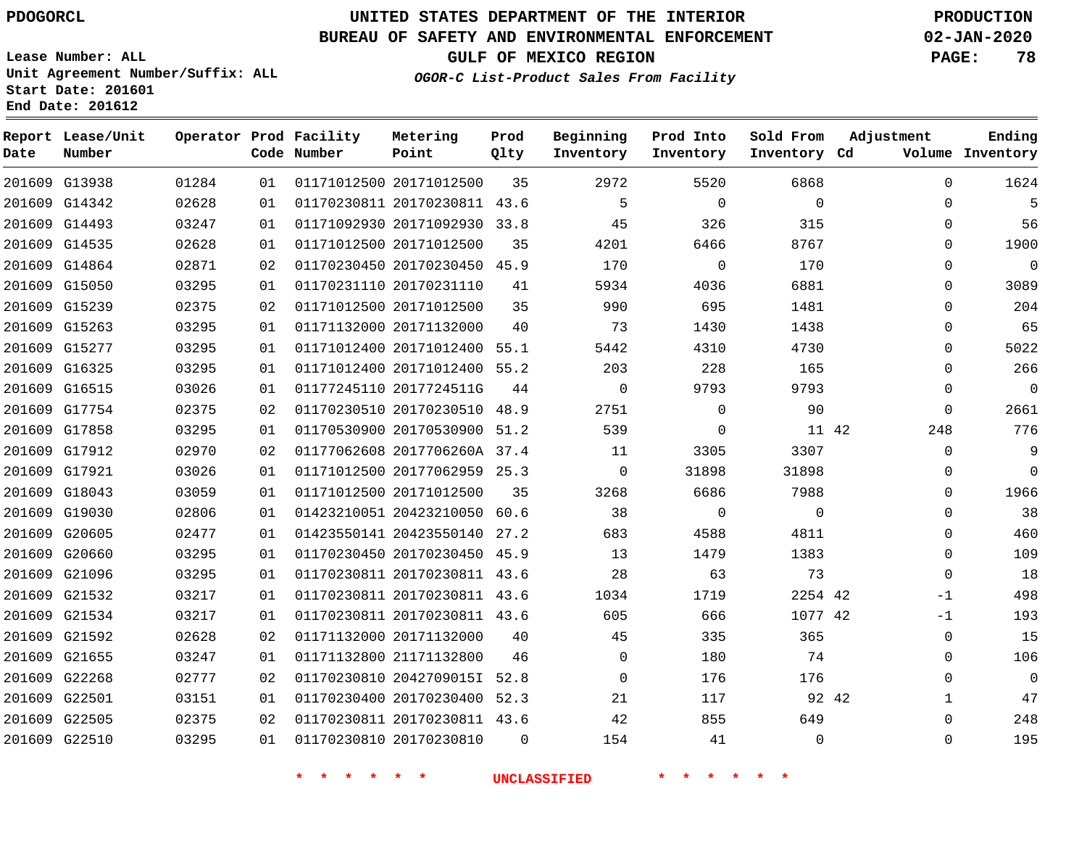# **UNITED STATES DEPARTMENT OF THE INTERIOR PDOGORCL PRODUCTION**

## **BUREAU OF SAFETY AND ENVIRONMENTAL ENFORCEMENT 02-JAN-2020**

**Lease Number: ALL Unit Agreement Number/Suffix: ALL Start Date: 201601**

**GULF OF MEXICO REGION PAGE: 78**

**OGOR-C List-Product Sales From Facility**

| Date          | Report Lease/Unit<br>Number |       |    | Operator Prod Facility<br>Code Number | Metering<br>Point            | Prod<br>Qlty | Beginning<br>Inventory | Prod Into<br>Inventory | Sold From<br>Inventory Cd | Adjustment   | Ending<br>Volume Inventory |
|---------------|-----------------------------|-------|----|---------------------------------------|------------------------------|--------------|------------------------|------------------------|---------------------------|--------------|----------------------------|
| 201609 G13938 |                             | 01284 | 01 |                                       | 01171012500 20171012500      | 35           | 2972                   | 5520                   | 6868                      | $\mathbf 0$  | 1624                       |
|               | 201609 G14342               | 02628 | 01 |                                       | 01170230811 20170230811 43.6 |              | 5                      | $\Omega$               | $\Omega$                  | $\Omega$     | 5                          |
| 201609 G14493 |                             | 03247 | 01 |                                       | 01171092930 20171092930      | 33.8         | 45                     | 326                    | 315                       | $\mathbf{0}$ | 56                         |
| 201609 G14535 |                             | 02628 | 01 |                                       | 01171012500 20171012500      | 35           | 4201                   | 6466                   | 8767                      | $\Omega$     | 1900                       |
| 201609 G14864 |                             | 02871 | 02 |                                       | 01170230450 20170230450      | 45.9         | 170                    | $\mathbf 0$            | 170                       | $\Omega$     | $\mathbf 0$                |
| 201609 G15050 |                             | 03295 | 01 |                                       | 01170231110 20170231110      | 41           | 5934                   | 4036                   | 6881                      | $\Omega$     | 3089                       |
| 201609 G15239 |                             | 02375 | 02 |                                       | 01171012500 20171012500      | 35           | 990                    | 695                    | 1481                      | $\mathbf 0$  | 204                        |
| 201609 G15263 |                             | 03295 | 01 |                                       | 01171132000 20171132000      | 40           | 73                     | 1430                   | 1438                      | $\Omega$     | 65                         |
| 201609 G15277 |                             | 03295 | 01 |                                       | 01171012400 20171012400      | 55.1         | 5442                   | 4310                   | 4730                      | $\Omega$     | 5022                       |
| 201609 G16325 |                             | 03295 | 01 |                                       | 01171012400 20171012400      | 55.2         | 203                    | 228                    | 165                       | 0            | 266                        |
| 201609 G16515 |                             | 03026 | 01 |                                       | 01177245110 2017724511G      | 44           | $\mathbf 0$            | 9793                   | 9793                      | 0            | $\mathbf 0$                |
| 201609 G17754 |                             | 02375 | 02 |                                       | 01170230510 20170230510      | 48.9         | 2751                   | $\Omega$               | 90                        | $\Omega$     | 2661                       |
| 201609 G17858 |                             | 03295 | 01 |                                       | 01170530900 20170530900      | 51.2         | 539                    | 0                      | 11 42                     | 248          | 776                        |
|               | 201609 G17912               | 02970 | 02 |                                       | 01177062608 2017706260A 37.4 |              | 11                     | 3305                   | 3307                      | $\mathbf 0$  | 9                          |
| 201609 G17921 |                             | 03026 | 01 |                                       | 01171012500 20177062959 25.3 |              | $\Omega$               | 31898                  | 31898                     | 0            | $\Omega$                   |
| 201609 G18043 |                             | 03059 | 01 |                                       | 01171012500 20171012500      | 35           | 3268                   | 6686                   | 7988                      | $\mathbf 0$  | 1966                       |
| 201609 G19030 |                             | 02806 | 01 |                                       | 01423210051 20423210050 60.6 |              | 38                     | $\mathbf 0$            | $\Omega$                  | $\mathbf 0$  | 38                         |
| 201609 G20605 |                             | 02477 | 01 |                                       | 01423550141 20423550140      | 27.2         | 683                    | 4588                   | 4811                      | $\Omega$     | 460                        |
| 201609 G20660 |                             | 03295 | 01 |                                       | 01170230450 20170230450 45.9 |              | 13                     | 1479                   | 1383                      | $\Omega$     | 109                        |
| 201609 G21096 |                             | 03295 | 01 |                                       | 01170230811 20170230811 43.6 |              | 28                     | 63                     | 73                        | $\mathbf 0$  | 18                         |
|               | 201609 G21532               | 03217 | 01 |                                       | 01170230811 20170230811 43.6 |              | 1034                   | 1719                   | 2254 42                   | $-1$         | 498                        |
| 201609 G21534 |                             | 03217 | 01 |                                       | 01170230811 20170230811 43.6 |              | 605                    | 666                    | 1077 42                   | -1           | 193                        |
|               | 201609 G21592               | 02628 | 02 |                                       | 01171132000 20171132000      | 40           | 45                     | 335                    | 365                       | 0            | 15                         |
| 201609 G21655 |                             | 03247 | 01 |                                       | 01171132800 21171132800      | 46           | $\Omega$               | 180                    | 74                        | $\Omega$     | 106                        |
| 201609 G22268 |                             | 02777 | 02 |                                       | 01170230810 2042709015I      | 52.8         | $\mathbf 0$            | 176                    | 176                       | $\mathbf 0$  | $\overline{0}$             |
| 201609 G22501 |                             | 03151 | 01 |                                       | 01170230400 20170230400      | 52.3         | 21                     | 117                    | 92 42                     | 1            | 47                         |
| 201609 G22505 |                             | 02375 | 02 |                                       | 01170230811 20170230811 43.6 |              | 42                     | 855                    | 649                       | 0            | 248                        |
| 201609 G22510 |                             | 03295 | 01 |                                       | 01170230810 20170230810      | $\Omega$     | 154                    | 41                     | $\Omega$                  | $\mathbf 0$  | 195                        |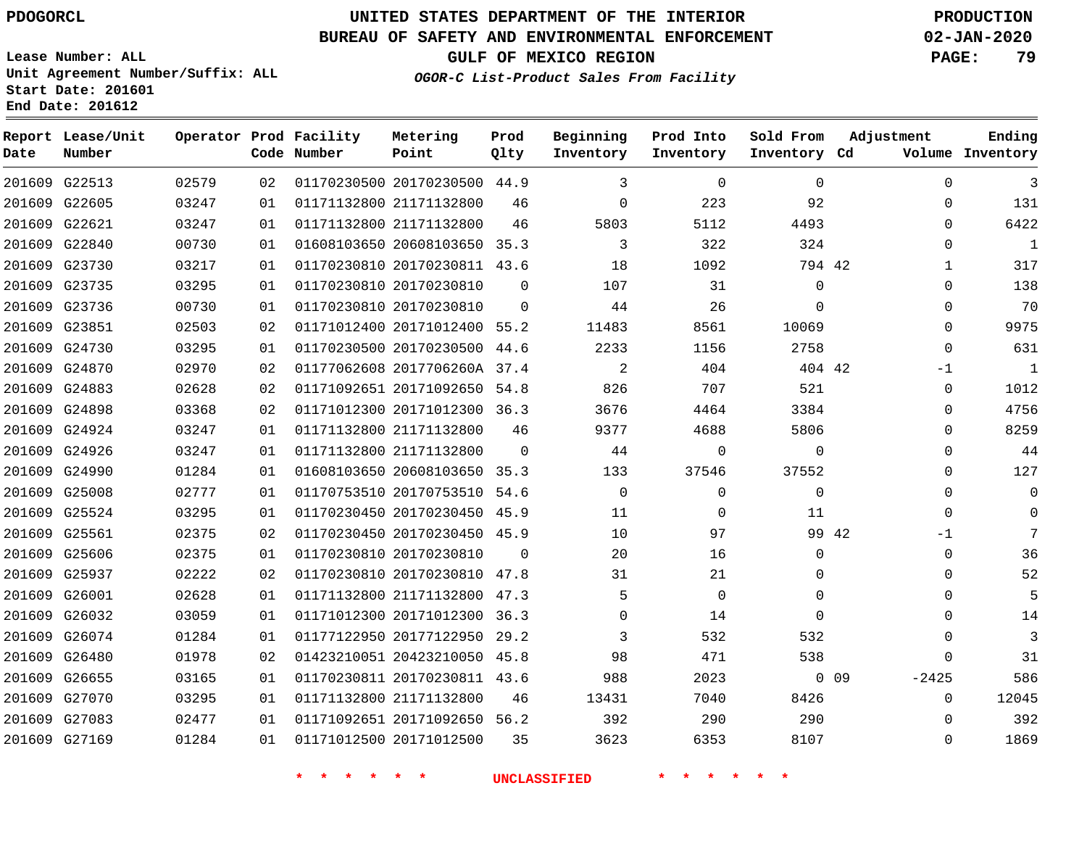#### **BUREAU OF SAFETY AND ENVIRONMENTAL ENFORCEMENT 02-JAN-2020**

**Lease Number: ALL Unit Agreement Number/Suffix: ALL Start Date: 201601**

**End Date: 201612**

**Report Lease/Unit**

**GULF OF MEXICO REGION PAGE: 79**

**Prod**

**OGOR-C List-Product Sales From Facility**

**Beginning Prod Into Sold From**

**Adjustment**

**Ending**

| Date | Number        |       |    | Code Number | Point                        | Qlty     | Inventory   | Inventory   | Inventory Cd |            |             | Volume Inventory |
|------|---------------|-------|----|-------------|------------------------------|----------|-------------|-------------|--------------|------------|-------------|------------------|
|      | 201609 G22513 | 02579 | 02 |             | 01170230500 20170230500 44.9 |          | 3           | $\Omega$    | $\mathbf{0}$ |            | $\Omega$    | 3                |
|      | 201609 G22605 | 03247 | 01 |             | 01171132800 21171132800      | 46       | 0           | 223         | 92           |            | 0           | 131              |
|      | 201609 G22621 | 03247 | 01 |             | 01171132800 21171132800      | 46       | 5803        | 5112        | 4493         |            | $\Omega$    | 6422             |
|      | 201609 G22840 | 00730 | 01 |             | 01608103650 20608103650 35.3 |          | 3           | 322         | 324          |            | $\Omega$    | 1                |
|      | 201609 G23730 | 03217 | 01 |             | 01170230810 20170230811 43.6 |          | 18          | 1092        | 794 42       |            | $\mathbf 1$ | 317              |
|      | 201609 G23735 | 03295 | 01 |             | 01170230810 20170230810      | $\Omega$ | 107         | 31          | 0            |            | $\Omega$    | 138              |
|      | 201609 G23736 | 00730 | 01 |             | 01170230810 20170230810      | $\Omega$ | 44          | 26          | $\Omega$     |            | $\mathbf 0$ | 70               |
|      | 201609 G23851 | 02503 | 02 |             | 01171012400 20171012400 55.2 |          | 11483       | 8561        | 10069        |            | $\Omega$    | 9975             |
|      | 201609 G24730 | 03295 | 01 |             | 01170230500 20170230500 44.6 |          | 2233        | 1156        | 2758         |            | 0           | 631              |
|      | 201609 G24870 | 02970 | 02 |             | 01177062608 2017706260A 37.4 |          | 2           | 404         | 404 42       |            | $-1$        | $\mathbf{1}$     |
|      | 201609 G24883 | 02628 | 02 |             | 01171092651 20171092650 54.8 |          | 826         | 707         | 521          |            | 0           | 1012             |
|      | 201609 G24898 | 03368 | 02 |             | 01171012300 20171012300 36.3 |          | 3676        | 4464        | 3384         |            | $\Omega$    | 4756             |
|      | 201609 G24924 | 03247 | 01 |             | 01171132800 21171132800      | 46       | 9377        | 4688        | 5806         |            | $\Omega$    | 8259             |
|      | 201609 G24926 | 03247 | 01 |             | 01171132800 21171132800      | $\Omega$ | 44          | 0           | $\mathbf{0}$ |            | 0           | 44               |
|      | 201609 G24990 | 01284 | 01 |             | 01608103650 20608103650 35.3 |          | 133         | 37546       | 37552        |            | $\Omega$    | 127              |
|      | 201609 G25008 | 02777 | 01 |             | 01170753510 20170753510 54.6 |          | $\mathbf 0$ | $\mathbf 0$ | 0            |            | 0           | 0                |
|      | 201609 G25524 | 03295 | 01 |             | 01170230450 20170230450 45.9 |          | 11          | $\mathbf 0$ | 11           |            | $\Omega$    | 0                |
|      | 201609 G25561 | 02375 | 02 |             | 01170230450 20170230450 45.9 |          | 10          | 97          |              | 99 42      | -1          | 7                |
|      | 201609 G25606 | 02375 | 01 |             | 01170230810 20170230810      | $\Omega$ | 20          | 16          | 0            |            | 0           | 36               |
|      | 201609 G25937 | 02222 | 02 |             | 01170230810 20170230810 47.8 |          | 31          | 21          | 0            |            | 0           | 52               |
|      | 201609 G26001 | 02628 | 01 |             | 01171132800 21171132800 47.3 |          | 5           | $\Omega$    | $\Omega$     |            | $\Omega$    | 5                |
|      | 201609 G26032 | 03059 | 01 |             | 01171012300 20171012300 36.3 |          | $\Omega$    | 14          | $\Omega$     |            | $\Omega$    | 14               |
|      | 201609 G26074 | 01284 | 01 |             | 01177122950 20177122950 29.2 |          | 3           | 532         | 532          |            | $\Omega$    | $\overline{3}$   |
|      | 201609 G26480 | 01978 | 02 |             | 01423210051 20423210050 45.8 |          | 98          | 471         | 538          |            | $\Omega$    | 31               |
|      | 201609 G26655 | 03165 | 01 |             | 01170230811 20170230811 43.6 |          | 988         | 2023        |              | $0\quad09$ | $-2425$     | 586              |
|      | 201609 G27070 | 03295 | 01 |             | 01171132800 21171132800      | 46       | 13431       | 7040        | 8426         |            | $\mathbf 0$ | 12045            |
|      | 201609 G27083 | 02477 | 01 |             | 01171092651 20171092650 56.2 |          | 392         | 290         | 290          |            | $\Omega$    | 392              |
|      | 201609 G27169 | 01284 | 01 |             | 01171012500 20171012500      | 35       | 3623        | 6353        | 8107         |            | $\Omega$    | 1869             |

**\* \* \* \* \* \* UNCLASSIFIED \* \* \* \* \* \***

**Operator Prod Facility Metering**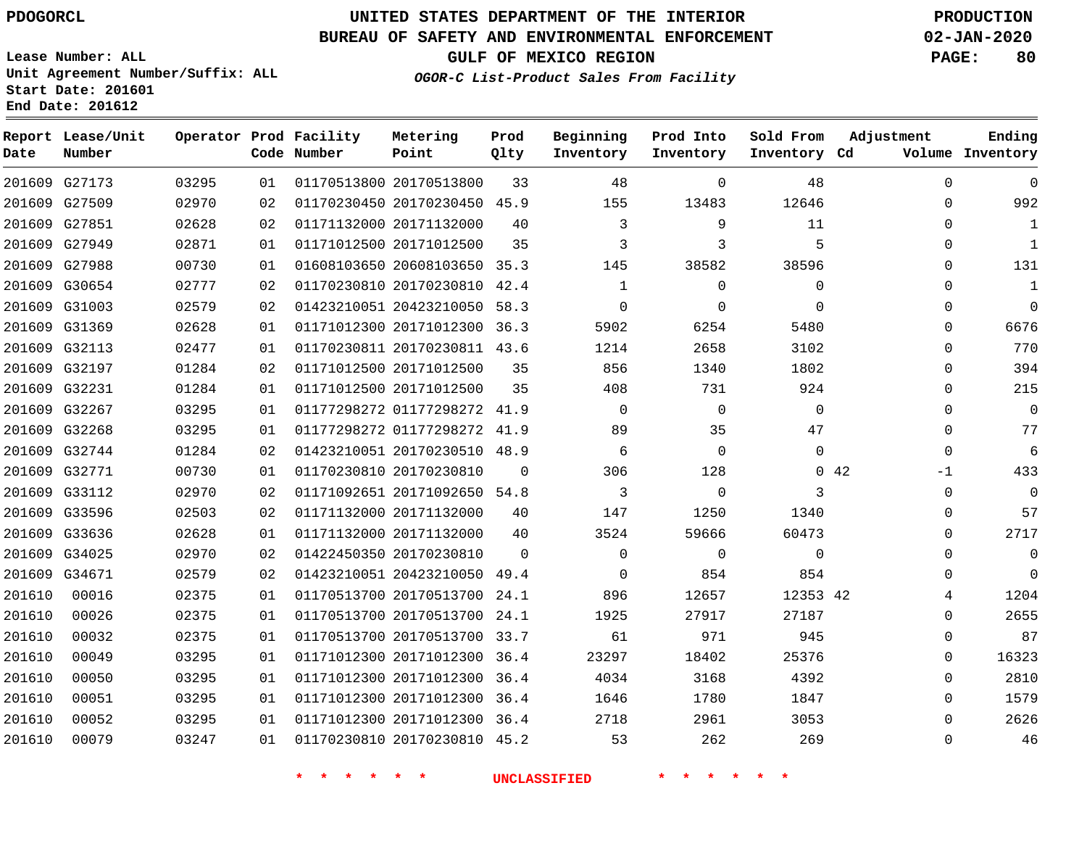**Date**

## **UNITED STATES DEPARTMENT OF THE INTERIOR PDOGORCL PRODUCTION**

#### **BUREAU OF SAFETY AND ENVIRONMENTAL ENFORCEMENT 02-JAN-2020**

**Lease Number: ALL Unit Agreement Number/Suffix: ALL Start Date: 201601**

**Operator Prod Facility**

**Code Number**

**Metering Point**

**End Date: 201612**

**Report Lease/Unit**

**Number**

**GULF OF MEXICO REGION PAGE: 80**

**Prod Qlty**

**Inventory Cd Volume**

**Adjustment**

**Ending**

 

**OGOR-C List-Product Sales From Facility**

**Beginning Inventory** **Prod Into Inventory** **Sold From Inventory**

|        | 201609 G27173 | 03295 | 01 | 01170513800 20170513800      | 33       | 48          | $\Omega$    | 48       |             | 0        | $\mathbf 0$ |
|--------|---------------|-------|----|------------------------------|----------|-------------|-------------|----------|-------------|----------|-------------|
|        | 201609 G27509 | 02970 | 02 | 01170230450 20170230450 45.9 |          | 155         | 13483       | 12646    |             | 0        | 992         |
|        | 201609 G27851 | 02628 | 02 | 01171132000 20171132000      | 40       | 3           | 9           | 11       |             | 0        | 1           |
|        | 201609 G27949 | 02871 | 01 | 01171012500 20171012500      | 35       | 3           | 3           | 5        |             | 0        | 1           |
|        | 201609 G27988 | 00730 | 01 | 01608103650 20608103650 35.3 |          | 145         | 38582       | 38596    |             | 0        | 131         |
|        | 201609 G30654 | 02777 | 02 | 01170230810 20170230810 42.4 |          | 1           | $\Omega$    | 0        |             | $\Omega$ | 1           |
|        | 201609 G31003 | 02579 | 02 | 01423210051 20423210050 58.3 |          | $\mathbf 0$ | $\Omega$    | $\Omega$ |             | $\Omega$ | $\Omega$    |
|        | 201609 G31369 | 02628 | 01 | 01171012300 20171012300 36.3 |          | 5902        | 6254        | 5480     |             | $\Omega$ | 6676        |
|        | 201609 G32113 | 02477 | 01 | 01170230811 20170230811 43.6 |          | 1214        | 2658        | 3102     |             | $\Omega$ | 770         |
|        | 201609 G32197 | 01284 | 02 | 01171012500 20171012500      | 35       | 856         | 1340        | 1802     |             | 0        | 394         |
|        | 201609 G32231 | 01284 | 01 | 01171012500 20171012500      | 35       | 408         | 731         | 924      |             | 0        | 215         |
|        | 201609 G32267 | 03295 | 01 | 01177298272 01177298272 41.9 |          | $\Omega$    | $\Omega$    | $\Omega$ |             | $\Omega$ | $\Omega$    |
|        | 201609 G32268 | 03295 | 01 | 01177298272 01177298272 41.9 |          | 89          | 35          | 47       |             | 0        | 77          |
|        | 201609 G32744 | 01284 | 02 | 01423210051 20170230510 48.9 |          | 6           | $\Omega$    | $\Omega$ |             | $\Omega$ | 6           |
|        | 201609 G32771 | 00730 | 01 | 01170230810 20170230810      | $\Omega$ | 306         | 128         |          | $0\quad 42$ | $-1$     | 433         |
|        | 201609 G33112 | 02970 | 02 | 01171092651 20171092650 54.8 |          | 3           | $\mathbf 0$ | 3        |             | 0        | $\Omega$    |
|        | 201609 G33596 | 02503 | 02 | 01171132000 20171132000      | 40       | 147         | 1250        | 1340     |             | 0        | 57          |
|        | 201609 G33636 | 02628 | 01 | 01171132000 20171132000      | 40       | 3524        | 59666       | 60473    |             | $\Omega$ | 2717        |
|        | 201609 G34025 | 02970 | 02 | 01422450350 20170230810      | $\Omega$ | $\Omega$    | $\Omega$    | $\Omega$ |             | 0        | $\mathbf 0$ |
| 201609 | G34671        | 02579 | 02 | 01423210051 20423210050      | 49.4     | 0           | 854         | 854      |             | 0        | $\mathbf 0$ |
| 201610 | 00016         | 02375 | 01 | 01170513700 20170513700 24.1 |          | 896         | 12657       | 12353 42 |             | 4        | 1204        |
| 201610 | 00026         | 02375 | 01 | 01170513700 20170513700      | 24.1     | 1925        | 27917       | 27187    |             | $\Omega$ | 2655        |
| 201610 | 00032         | 02375 | 01 | 01170513700 20170513700 33.7 |          | 61          | 971         | 945      |             | 0        | 87          |
| 201610 | 00049         | 03295 | 01 | 01171012300 20171012300 36.4 |          | 23297       | 18402       | 25376    |             | 0        | 16323       |
| 201610 | 00050         | 03295 | 01 | 01171012300 20171012300 36.4 |          | 4034        | 3168        | 4392     |             | $\Omega$ | 2810        |
| 201610 | 00051         | 03295 | 01 | 01171012300 20171012300 36.4 |          | 1646        | 1780        | 1847     |             | 0        | 1579        |
| 201610 | 00052         | 03295 | 01 | 01171012300 20171012300 36.4 |          | 2718        | 2961        | 3053     |             | $\Omega$ | 2626        |

**\* \* \* \* \* \* UNCLASSIFIED \* \* \* \* \* \***

01170230810 20170230810 45.2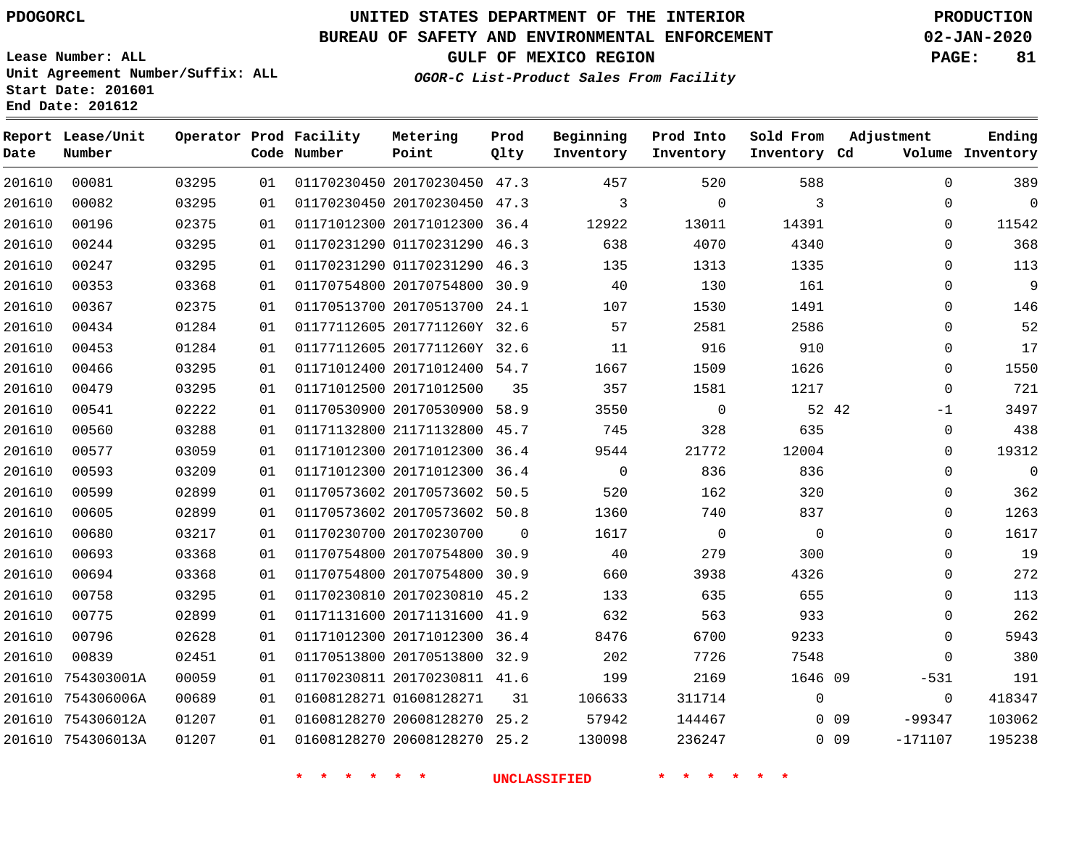**Start Date: 201601 End Date: 201612**

# **UNITED STATES DEPARTMENT OF THE INTERIOR PDOGORCL PRODUCTION**

## **BUREAU OF SAFETY AND ENVIRONMENTAL ENFORCEMENT 02-JAN-2020**

**Lease Number: ALL Unit Agreement Number/Suffix: ALL**

**GULF OF MEXICO REGION PAGE: 81**

**OGOR-C List-Product Sales From Facility**

| Date   | Report Lease/Unit<br>Number |       |    | Operator Prod Facility<br>Code Number | Metering<br>Point            | Prod<br>Qlty | Beginning<br>Inventory | Prod Into<br>Inventory | Sold From<br>Inventory Cd | Adjustment              | Ending<br>Volume Inventory |
|--------|-----------------------------|-------|----|---------------------------------------|------------------------------|--------------|------------------------|------------------------|---------------------------|-------------------------|----------------------------|
| 201610 | 00081                       | 03295 | 01 |                                       | 01170230450 20170230450 47.3 |              | 457                    | 520                    | 588                       | $\mathbf 0$             | 389                        |
| 201610 | 00082                       | 03295 | 01 |                                       | 01170230450 20170230450 47.3 |              | 3                      | $\mathbf{0}$           | 3                         | $\mathbf 0$             | $\Omega$                   |
| 201610 | 00196                       | 02375 | 01 |                                       | 01171012300 20171012300      | 36.4         | 12922                  | 13011                  | 14391                     | $\mathbf 0$             | 11542                      |
| 201610 | 00244                       | 03295 | 01 |                                       | 01170231290 01170231290 46.3 |              | 638                    | 4070                   | 4340                      | $\mathbf 0$             | 368                        |
| 201610 | 00247                       | 03295 | 01 |                                       | 01170231290 01170231290 46.3 |              | 135                    | 1313                   | 1335                      | 0                       | 113                        |
| 201610 | 00353                       | 03368 | 01 |                                       | 01170754800 20170754800 30.9 |              | 40                     | 130                    | 161                       | 0                       | 9                          |
| 201610 | 00367                       | 02375 | 01 |                                       | 01170513700 20170513700      | 24.1         | 107                    | 1530                   | 1491                      | $\Omega$                | 146                        |
| 201610 | 00434                       | 01284 | 01 |                                       | 01177112605 2017711260Y 32.6 |              | 57                     | 2581                   | 2586                      | 0                       | 52                         |
| 201610 | 00453                       | 01284 | 01 |                                       | 01177112605 2017711260Y 32.6 |              | 11                     | 916                    | 910                       | 0                       | 17                         |
| 201610 | 00466                       | 03295 | 01 |                                       | 01171012400 20171012400 54.7 |              | 1667                   | 1509                   | 1626                      | 0                       | 1550                       |
| 201610 | 00479                       | 03295 | 01 |                                       | 01171012500 20171012500      | 35           | 357                    | 1581                   | 1217                      | 0                       | 721                        |
| 201610 | 00541                       | 02222 | 01 |                                       | 01170530900 20170530900      | 58.9         | 3550                   | $\mathbf 0$            | 52 42                     | $-1$                    | 3497                       |
| 201610 | 00560                       | 03288 | 01 |                                       | 01171132800 21171132800 45.7 |              | 745                    | 328                    | 635                       | 0                       | 438                        |
| 201610 | 00577                       | 03059 | 01 |                                       | 01171012300 20171012300      | 36.4         | 9544                   | 21772                  | 12004                     | 0                       | 19312                      |
| 201610 | 00593                       | 03209 | 01 |                                       | 01171012300 20171012300 36.4 |              | $\mathbf 0$            | 836                    | 836                       | $\mathbf 0$             | $\mathbf{0}$               |
| 201610 | 00599                       | 02899 | 01 |                                       | 01170573602 20170573602 50.5 |              | 520                    | 162                    | 320                       | 0                       | 362                        |
| 201610 | 00605                       | 02899 | 01 |                                       | 01170573602 20170573602 50.8 |              | 1360                   | 740                    | 837                       | 0                       | 1263                       |
| 201610 | 00680                       | 03217 | 01 |                                       | 01170230700 20170230700      | $\Omega$     | 1617                   | $\overline{0}$         | $\mathbf 0$               | $\mathbf 0$             | 1617                       |
| 201610 | 00693                       | 03368 | 01 |                                       | 01170754800 20170754800 30.9 |              | 40                     | 279                    | 300                       | $\Omega$                | 19                         |
| 201610 | 00694                       | 03368 | 01 |                                       | 01170754800 20170754800      | 30.9         | 660                    | 3938                   | 4326                      | $\mathbf 0$             | 272                        |
| 201610 | 00758                       | 03295 | 01 |                                       | 01170230810 20170230810 45.2 |              | 133                    | 635                    | 655                       | $\mathbf 0$             | 113                        |
| 201610 | 00775                       | 02899 | 01 |                                       | 01171131600 20171131600 41.9 |              | 632                    | 563                    | 933                       | $\mathbf 0$             | 262                        |
| 201610 | 00796                       | 02628 | 01 |                                       | 01171012300 20171012300      | 36.4         | 8476                   | 6700                   | 9233                      | 0                       | 5943                       |
| 201610 | 00839                       | 02451 | 01 |                                       | 01170513800 20170513800 32.9 |              | 202                    | 7726                   | 7548                      | $\mathbf 0$             | 380                        |
| 201610 | 754303001A                  | 00059 | 01 |                                       | 01170230811 20170230811 41.6 |              | 199                    | 2169                   | 1646 09                   | $-531$                  | 191                        |
|        | 201610 754306006A           | 00689 | 01 |                                       | 01608128271 01608128271      | 31           | 106633                 | 311714                 | $\mathbf 0$               | $\mathbf{0}$            | 418347                     |
|        | 201610 754306012A           | 01207 | 01 |                                       | 01608128270 20608128270      | 25.2         | 57942                  | 144467                 |                           | $-99347$<br>$0\quad09$  | 103062                     |
|        | 201610 754306013A           | 01207 | 01 |                                       | 01608128270 20608128270 25.2 |              | 130098                 | 236247                 |                           | $0\quad09$<br>$-171107$ | 195238                     |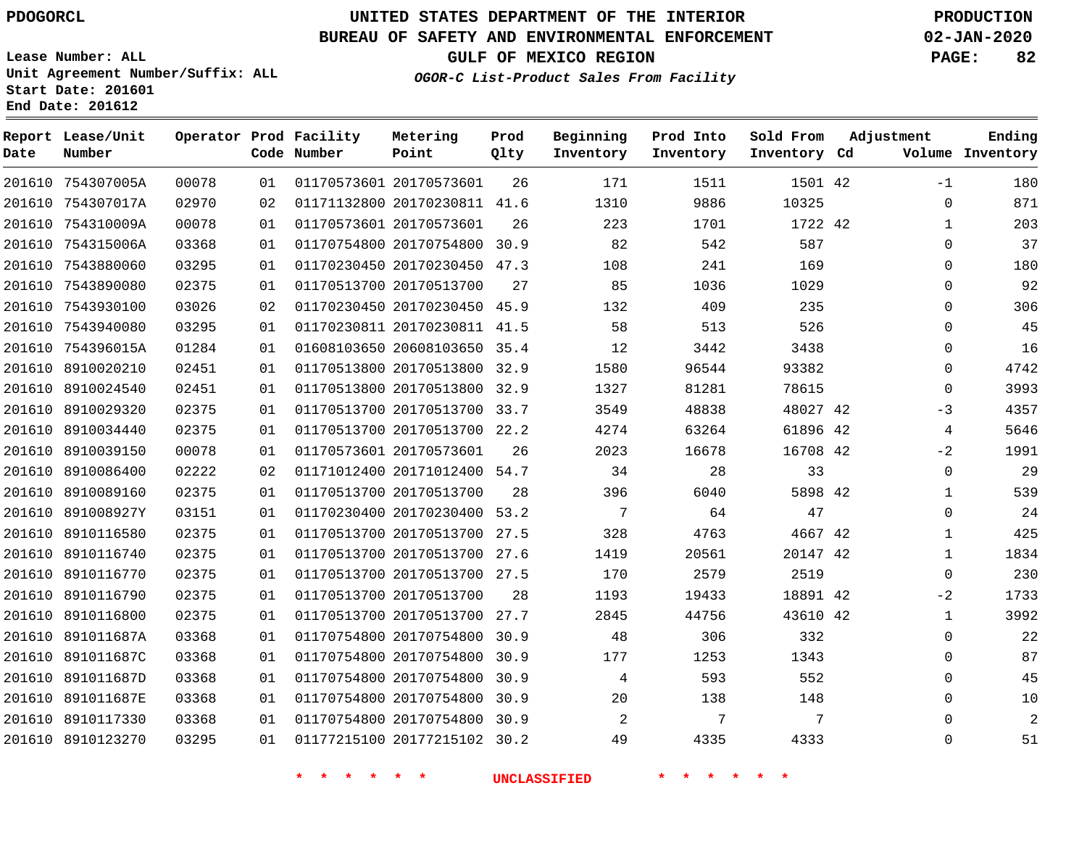**Date**

**End Date: 201612**

**Report Lease/Unit**

**Number**

# **UNITED STATES DEPARTMENT OF THE INTERIOR PDOGORCL PRODUCTION**

**Prod Qlty**

#### **BUREAU OF SAFETY AND ENVIRONMENTAL ENFORCEMENT 02-JAN-2020**

**Lease Number: ALL Unit Agreement Number/Suffix: ALL Start Date: 201601**

**Operator Prod Facility**

**Code Number**

**OGOR-C List-Product Sales From Facility**

**Beginning Inventory** **Prod Into Inventory** **Sold From Inventory**

**GULF OF MEXICO REGION PAGE: 82**

**Inventory Cd Volume**

**Adjustment**

**Ending**

|            |       |    | *<br>$\ast$<br>* | 一大<br>$\star$                |      | <b>UNCLASSIFIED</b> |       | $\ast$   |  |
|------------|-------|----|------------------|------------------------------|------|---------------------|-------|----------|--|
| 8910123270 | 03295 | 01 |                  | 01177215100 20177215102 30.2 |      | 49                  | 4335  | 4333     |  |
| 8910117330 | 03368 | 01 |                  | 01170754800 20170754800      | 30.9 | 2                   | 7     | 7        |  |
| 891011687E | 03368 | 01 |                  | 01170754800 20170754800      | 30.9 | 20                  | 138   | 148      |  |
| 891011687D | 03368 | 01 |                  | 01170754800 20170754800      | 30.9 | 4                   | 593   | 552      |  |
| 891011687C | 03368 | 01 |                  | 01170754800 20170754800      | 30.9 | 177                 | 1253  | 1343     |  |
| 891011687A | 03368 | 01 |                  | 01170754800 20170754800      | 30.9 | 48                  | 306   | 332      |  |
| 8910116800 | 02375 | 01 |                  | 01170513700 20170513700      | 27.7 | 2845                | 44756 | 43610 42 |  |
| 8910116790 | 02375 | 01 |                  | 01170513700 20170513700      | 28   | 1193                | 19433 | 18891 42 |  |
| 8910116770 | 02375 | 01 |                  | 01170513700 20170513700 27.5 |      | 170                 | 2579  | 2519     |  |
| 8910116740 | 02375 | 01 |                  | 01170513700 20170513700 27.6 |      | 1419                | 20561 | 20147 42 |  |
| 8910116580 | 02375 | 01 |                  | 01170513700 20170513700 27.5 |      | 328                 | 4763  | 4667 42  |  |
| 891008927Y | 03151 | 01 |                  | 01170230400 20170230400 53.2 |      | 7                   | 64    | 47       |  |
| 8910089160 | 02375 | 01 |                  | 01170513700 20170513700      | 28   | 396                 | 6040  | 5898 42  |  |
| 8910086400 | 02222 | 02 |                  | 01171012400 20171012400 54.7 |      | 34                  | 28    | 33       |  |
| 8910039150 | 00078 | 01 |                  | 01170573601 20170573601      | 26   | 2023                | 16678 | 16708 42 |  |
| 8910034440 | 02375 | 01 |                  | 01170513700 20170513700 22.2 |      | 4274                | 63264 | 61896 42 |  |
| 8910029320 | 02375 | 01 |                  | 01170513700 20170513700 33.7 |      | 3549                | 48838 | 48027 42 |  |
| 8910024540 | 02451 | 01 |                  | 01170513800 20170513800      | 32.9 | 1327                | 81281 | 78615    |  |
| 8910020210 | 02451 | 01 |                  | 01170513800 20170513800      | 32.9 | 1580                | 96544 | 93382    |  |
| 754396015A | 01284 | 01 |                  | 01608103650 20608103650 35.4 |      | 12                  | 3442  | 3438     |  |
| 7543940080 | 03295 | 01 |                  | 01170230811 20170230811      | 41.5 | 58                  | 513   | 526      |  |
| 7543930100 | 03026 | 02 |                  | 01170230450 20170230450 45.9 |      | 132                 | 409   | 235      |  |
| 7543890080 | 02375 | 01 |                  | 01170513700 20170513700      | 27   | 85                  | 1036  | 1029     |  |
| 7543880060 | 03295 | 01 |                  | 01170230450 20170230450 47.3 |      | 108                 | 241   | 169      |  |
| 754315006A | 03368 | 01 |                  | 01170754800 20170754800 30.9 |      | 82                  | 542   | 587      |  |
| 754310009A | 00078 | 01 |                  | 01170573601 20170573601      | 26   | 223                 | 1701  | 1722 42  |  |
| 754307017A | 02970 | 02 |                  | 01171132800 20170230811 41.6 |      | 1310                | 9886  | 10325    |  |
| 754307005A | 00078 | 01 |                  | 01170573601 20170573601      | 26   | 171                 | 1511  | 1501 42  |  |

**Metering Point**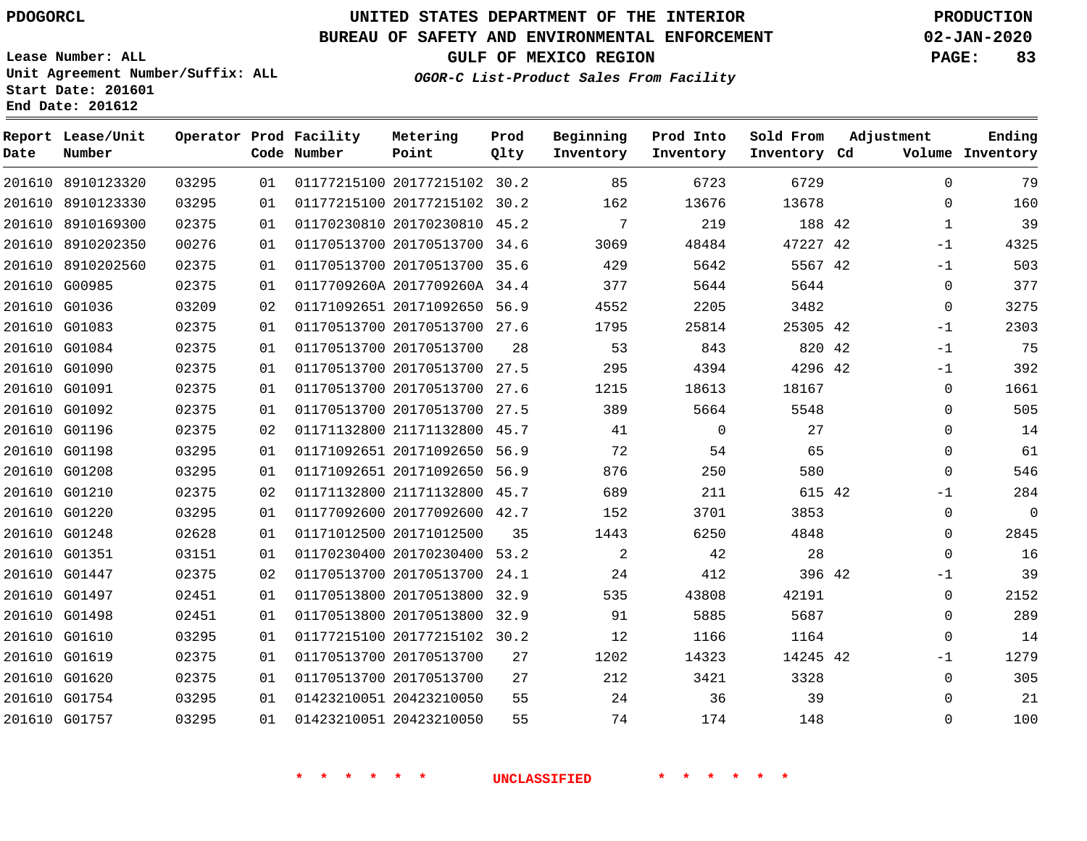**Date**

# **UNITED STATES DEPARTMENT OF THE INTERIOR PDOGORCL PRODUCTION**

#### **BUREAU OF SAFETY AND ENVIRONMENTAL ENFORCEMENT 02-JAN-2020**

**Lease Number: ALL Unit Agreement Number/Suffix: ALL Start Date: 201601**

**End Date: 201612**

 G01351 G01447 G01497 G01498 G01610 G01619 G01620 G01754 G01757 **OGOR-C List-Product Sales From Facility**

**Beginning**

**Sold From**

**GULF OF MEXICO REGION PAGE: 83**

  $\Omega$   $-1$  $-1$  $\Omega$  $\Omega$ -1  $-1$ -1  $\Omega$  $\Omega$   $\Omega$ -1  $\Omega$  $\Omega$  $\Omega$ -1  $\Omega$  $\Omega$ -1  $\Omega$   $\Omega$ 

**Adjustment**

**Ending**

| Date   | Report Lease/Unit<br>Number |       |    | Operator Prod Facility<br>Code Number | Metering<br>Point            | Prod<br>Qlty | Beginning<br>Inventory | Prod Into<br>Inventory | Sold From<br>Inventory Cd | Adjustment | Volume      | Ending<br>Inventory |
|--------|-----------------------------|-------|----|---------------------------------------|------------------------------|--------------|------------------------|------------------------|---------------------------|------------|-------------|---------------------|
|        | 201610 8910123320           | 03295 | 01 |                                       | 01177215100 20177215102 30.2 |              | 85                     | 6723                   | 6729                      |            | $\Omega$    | 79                  |
| 201610 | 8910123330                  | 03295 | 01 |                                       | 01177215100 20177215102 30.2 |              | 162                    | 13676                  | 13678                     |            | $\Omega$    | 160                 |
| 201610 | 8910169300                  | 02375 | 01 |                                       | 01170230810 20170230810      | 45.2         | 7                      | 219                    | 188 42                    |            |             | 39                  |
| 201610 | 8910202350                  | 00276 | 01 |                                       | 01170513700 20170513700      | 34.6         | 3069                   | 48484                  | 47227 42                  |            | $-1$        | 4325                |
| 201610 | 8910202560                  | 02375 | 01 |                                       | 01170513700 20170513700      | 35.6         | 429                    | 5642                   | 5567 42                   |            | $-1$        | 503                 |
|        | 201610 G00985               | 02375 | 01 |                                       | 0117709260A 2017709260A 34.4 |              | 377                    | 5644                   | 5644                      |            | $\mathbf 0$ | 377                 |
|        | 201610 G01036               | 03209 | 02 |                                       | 01171092651 20171092650 56.9 |              | 4552                   | 2205                   | 3482                      |            | $\mathbf 0$ | 3275                |
|        | 201610 G01083               | 02375 | 01 |                                       | 01170513700 20170513700 27.6 |              | 1795                   | 25814                  | 25305 42                  |            | $-1$        | 2303                |
|        | 201610 G01084               | 02375 | 01 |                                       | 01170513700 20170513700      | 28           | 53                     | 843                    | 820 42                    |            | $-1$        | 75                  |
|        | 201610 G01090               | 02375 | 01 |                                       | 01170513700 20170513700      | 27.5         | 295                    | 4394                   | 4296 42                   |            | $-1$        | 392                 |
|        | 201610 G01091               | 02375 | 01 |                                       | 01170513700 20170513700      | 27.6         | 1215                   | 18613                  | 18167                     |            | 0           | 1661                |
|        | 201610 G01092               | 02375 | 01 |                                       | 01170513700 20170513700      | 27.5         | 389                    | 5664                   | 5548                      |            | $\Omega$    | 505                 |
|        | 201610 G01196               | 02375 | 02 |                                       | 01171132800 21171132800      | 45.7         | 41                     | $\Omega$               | 27                        |            | $\Omega$    | 14                  |
|        | 201610 G01198               | 03295 | 01 |                                       | 01171092651 20171092650      | 56.9         | 72                     | 54                     | 65                        |            | $\Omega$    | 61                  |
|        | 201610 G01208               | 03295 | 01 |                                       | 01171092651 20171092650 56.9 |              | 876                    | 250                    | 580                       |            | $\Omega$    | 546                 |
|        | 201610 G01210               | 02375 | 02 |                                       | 01171132800 21171132800      | 45.7         | 689                    | 211                    | 615 42                    |            | $-1$        | 284                 |
|        | 201610 G01220               | 03295 | 01 |                                       | 01177092600 20177092600      | 42.7         | 152                    | 3701                   | 3853                      |            | $\Omega$    | 0                   |
|        | 201610 G01248               | 02628 | 01 |                                       | 01171012500 20171012500      | 35           | 1443                   | 6250                   | 4848                      |            | $\Omega$    | 2845                |
|        |                             |       |    |                                       |                              |              |                        |                        |                           |            |             |                     |

**\* \* \* \* \* \* UNCLASSIFIED \* \* \* \* \* \***

 20170230400 53.2 20170513700 24.1 20170513800 32.9 20170513800 32.9 20177215102 30.2

**Metering**

 20170513700 20170513700 20423210050 20423210050

42

 

42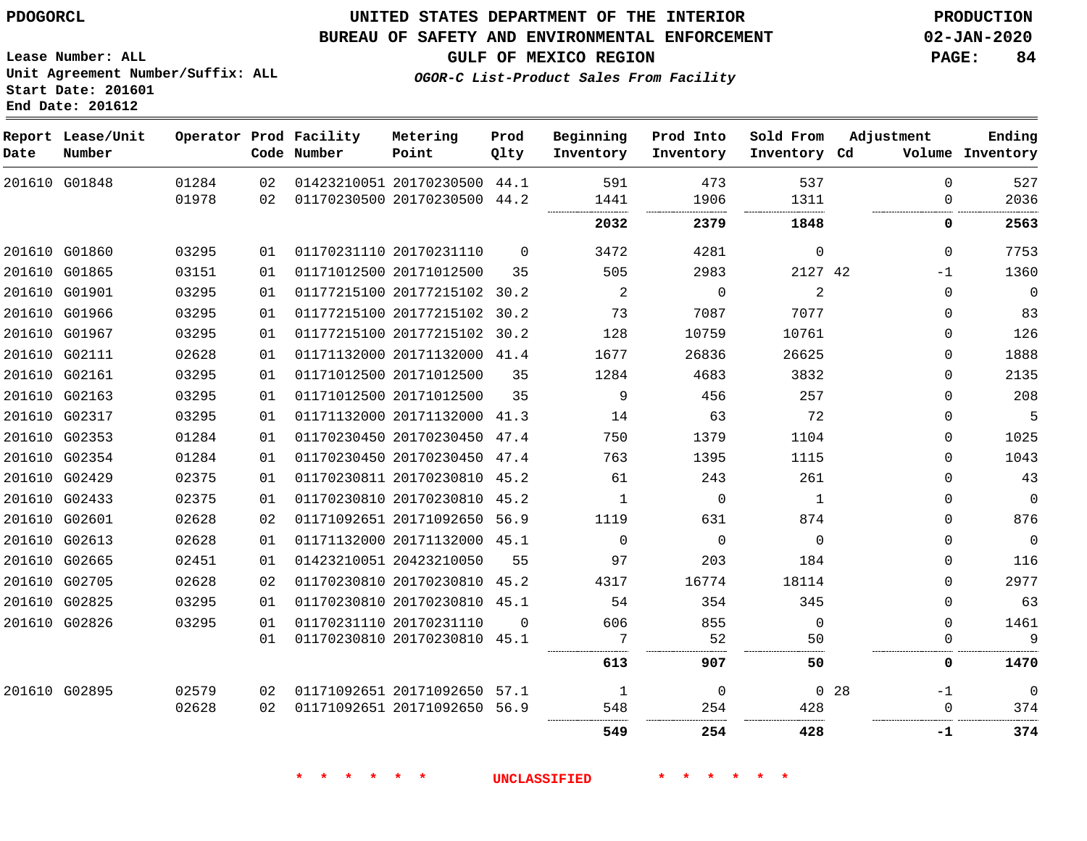#### **BUREAU OF SAFETY AND ENVIRONMENTAL ENFORCEMENT 02-JAN-2020**

**GULF OF MEXICO REGION PAGE: 84**

**Lease Number: ALL Unit Agreement Number/Suffix: ALL Start Date: 201601 End Date: 201612**

**OGOR-C List-Product Sales From Facility**

| Date | Report Lease/Unit<br>Number |                |          | Operator Prod Facility<br>Code Number | Metering<br>Point                                            | Prod<br>Qlty | Beginning<br>Inventory | Prod Into<br>Inventory | Sold From<br>Inventory Cd | Adjustment           | Ending<br>Volume Inventory |
|------|-----------------------------|----------------|----------|---------------------------------------|--------------------------------------------------------------|--------------|------------------------|------------------------|---------------------------|----------------------|----------------------------|
|      | 201610 G01848               | 01284<br>01978 | 02<br>02 |                                       | 01423210051 20170230500 44.1<br>01170230500 20170230500 44.2 |              | 591<br>1441            | 473<br>1906            | 537<br>1311               | $\Omega$<br>$\Omega$ | 527<br>2036                |
|      |                             |                |          |                                       |                                                              |              | 2032                   | 2379                   | 1848                      | 0                    | 2563                       |
|      | 201610 G01860               | 03295          | 01       |                                       | 01170231110 20170231110                                      | $\Omega$     | 3472                   | 4281                   | $\mathbf 0$               | $\Omega$             | 7753                       |
|      | 201610 G01865               | 03151          | 01       |                                       | 01171012500 20171012500                                      | 35           | 505                    | 2983                   | 2127 42                   | -1                   | 1360                       |
|      | 201610 G01901               | 03295          | 01       |                                       | 01177215100 20177215102 30.2                                 |              | 2                      | $\mathbf 0$            | 2                         | $\Omega$             | $\overline{0}$             |
|      | 201610 G01966               | 03295          | 01       |                                       | 01177215100 20177215102 30.2                                 |              | 73                     | 7087                   | 7077                      | $\Omega$             | 83                         |
|      | 201610 G01967               | 03295          | 01       |                                       | 01177215100 20177215102 30.2                                 |              | 128                    | 10759                  | 10761                     | $\Omega$             | 126                        |
|      | 201610 G02111               | 02628          | 01       |                                       | 01171132000 20171132000 41.4                                 |              | 1677                   | 26836                  | 26625                     | $\Omega$             | 1888                       |
|      | 201610 G02161               | 03295          | 01       |                                       | 01171012500 20171012500                                      | 35           | 1284                   | 4683                   | 3832                      | $\mathbf 0$          | 2135                       |
|      | 201610 G02163               | 03295          | 01       |                                       | 01171012500 20171012500                                      | 35           | 9                      | 456                    | 257                       | $\Omega$             | 208                        |
|      | 201610 G02317               | 03295          | 01       |                                       | 01171132000 20171132000 41.3                                 |              | 14                     | 63                     | 72                        | $\mathbf 0$          | 5                          |
|      | 201610 G02353               | 01284          | 01       |                                       | 01170230450 20170230450 47.4                                 |              | 750                    | 1379                   | 1104                      | 0                    | 1025                       |
|      | 201610 G02354               | 01284          | 01       |                                       | 01170230450 20170230450 47.4                                 |              | 763                    | 1395                   | 1115                      | $\Omega$             | 1043                       |
|      | 201610 G02429               | 02375          | 01       |                                       | 01170230811 20170230810 45.2                                 |              | 61                     | 243                    | 261                       | $\Omega$             | 43                         |
|      | 201610 G02433               | 02375          | 01       |                                       | 01170230810 20170230810 45.2                                 |              | $\mathbf{1}$           | $\mathbf 0$            | 1                         | $\mathbf 0$          | $\mathbb O$                |
|      | 201610 G02601               | 02628          | 02       |                                       | 01171092651 20171092650 56.9                                 |              | 1119                   | 631                    | 874                       | 0                    | 876                        |
|      | 201610 G02613               | 02628          | 01       |                                       | 01171132000 20171132000 45.1                                 |              | $\Omega$               | $\overline{0}$         | $\Omega$                  | $\mathbf{0}$         | $\overline{\phantom{0}}$   |
|      | 201610 G02665               | 02451          | 01       |                                       | 01423210051 20423210050                                      | 55           | 97                     | 203                    | 184                       | $\Omega$             | 116                        |
|      | 201610 G02705               | 02628          | 02       |                                       | 01170230810 20170230810 45.2                                 |              | 4317                   | 16774                  | 18114                     | $\Omega$             | 2977                       |
|      | 201610 G02825               | 03295          | 01       |                                       | 01170230810 20170230810 45.1                                 |              | 54                     | 354                    | 345                       | $\Omega$             | 63                         |
|      | 201610 G02826               | 03295          | 01       |                                       | 01170231110 20170231110                                      | $\Omega$     | 606                    | 855                    | $\Omega$                  | $\mathbf{0}$         | 1461                       |
|      |                             |                | 01       |                                       | 01170230810 20170230810 45.1                                 |              | 7                      | 52                     | 50                        | $\mathbf 0$          | 9                          |
|      |                             |                |          |                                       |                                                              |              | 613                    | 907                    | 50                        | 0                    | 1470                       |
|      | 201610 G02895               | 02579          | 02       |                                       | 01171092651 20171092650 57.1                                 |              | 1                      | $\Omega$               |                           | 0, 28<br>$-1$        | $\overline{0}$             |
|      |                             | 02628          | 02       |                                       | 01171092651 20171092650 56.9                                 |              | 548                    | 254                    | 428                       | $\Omega$             | 374                        |
|      |                             |                |          |                                       |                                                              |              | 549                    | 254                    | 428                       | -1                   | 374                        |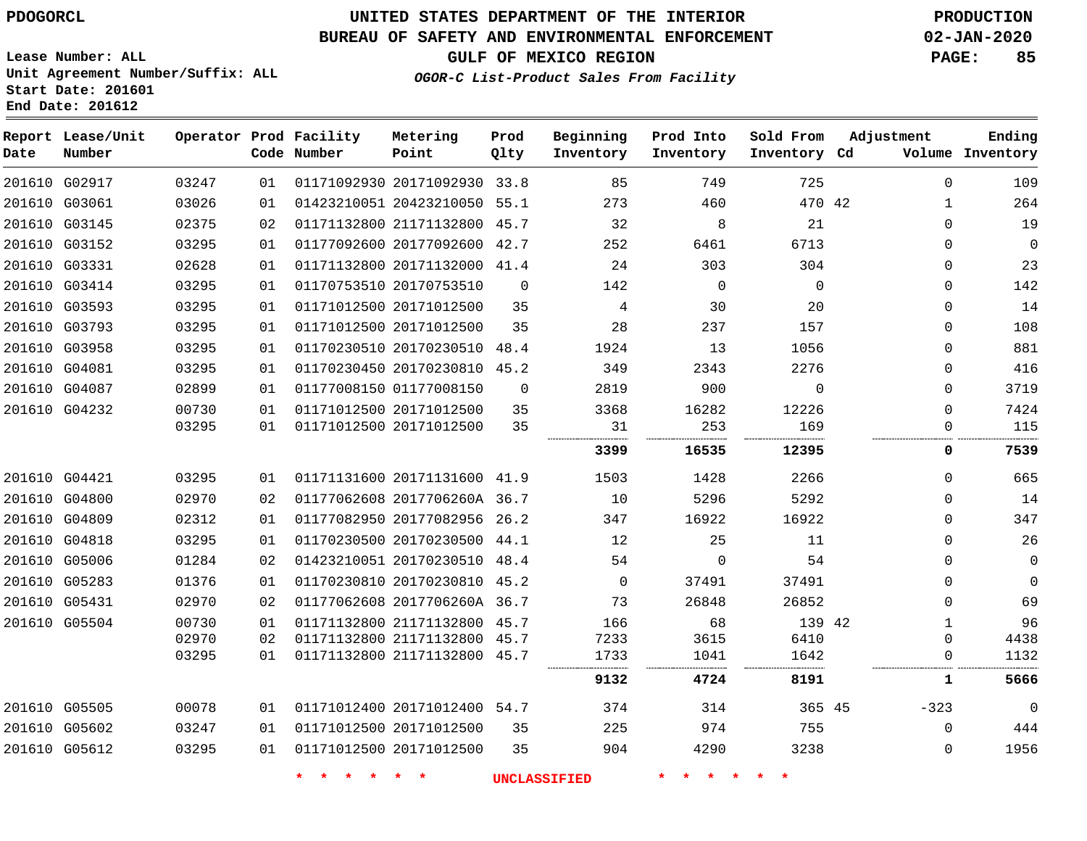### **BUREAU OF SAFETY AND ENVIRONMENTAL ENFORCEMENT 02-JAN-2020**

**Lease Number: ALL Unit Agreement Number/Suffix: ALL Start Date: 201601 End Date: 201612**

## **OGOR-C List-Product Sales From Facility**

**GULF OF MEXICO REGION PAGE: 85**

| Date | Report Lease/Unit<br>Number |       |    | Operator Prod Facility<br>Code Number | Metering<br>Point            | Prod<br>Qlty   | Beginning<br>Inventory | Prod Into<br>Inventory | Sold From<br>Inventory Cd | Adjustment |              | Ending<br>Volume Inventory |
|------|-----------------------------|-------|----|---------------------------------------|------------------------------|----------------|------------------------|------------------------|---------------------------|------------|--------------|----------------------------|
|      | 201610 G02917               | 03247 | 01 |                                       | 01171092930 20171092930 33.8 |                | 85                     | 749                    | 725                       |            | $\mathbf 0$  | 109                        |
|      | 201610 G03061               | 03026 | 01 |                                       | 01423210051 20423210050 55.1 |                | 273                    | 460                    | 470 42                    |            | $\mathbf{1}$ | 264                        |
|      | 201610 G03145               | 02375 | 02 |                                       | 01171132800 21171132800 45.7 |                | 32                     | 8                      | 21                        |            | $\Omega$     | 19                         |
|      | 201610 G03152               | 03295 | 01 |                                       | 01177092600 20177092600 42.7 |                | 252                    | 6461                   | 6713                      |            | $\Omega$     | $\mathbf 0$                |
|      | 201610 G03331               | 02628 | 01 |                                       | 01171132800 20171132000 41.4 |                | 24                     | 303                    | 304                       |            | 0            | 23                         |
|      | 201610 G03414               | 03295 | 01 |                                       | 01170753510 20170753510      | $\overline{0}$ | 142                    | $\mathbf 0$            | $\Omega$                  |            | 0            | 142                        |
|      | 201610 G03593               | 03295 | 01 |                                       | 01171012500 20171012500      | 35             | 4                      | 30                     | 20                        |            | $\Omega$     | 14                         |
|      | 201610 G03793               | 03295 | 01 |                                       | 01171012500 20171012500      | 35             | 28                     | 237                    | 157                       |            | 0            | 108                        |
|      | 201610 G03958               | 03295 | 01 |                                       | 01170230510 20170230510 48.4 |                | 1924                   | 13                     | 1056                      |            | $\mathbf{0}$ | 881                        |
|      | 201610 G04081               | 03295 | 01 |                                       | 01170230450 20170230810      | 45.2           | 349                    | 2343                   | 2276                      |            | 0            | 416                        |
|      | 201610 G04087               | 02899 | 01 |                                       | 01177008150 01177008150      | $\mathbf 0$    | 2819                   | 900                    | $\mathbf{0}$              |            | 0            | 3719                       |
|      | 201610 G04232               | 00730 | 01 |                                       | 01171012500 20171012500      | 35             | 3368                   | 16282                  | 12226                     |            | $\Omega$     | 7424                       |
|      |                             | 03295 | 01 |                                       | 01171012500 20171012500      | 35             | 31                     | 253                    | 169                       |            | $\mathbf{0}$ | 115                        |
|      |                             |       |    |                                       |                              |                | 3399                   | 16535                  | 12395                     |            | 0            | 7539                       |
|      | 201610 G04421               | 03295 | 01 |                                       | 01171131600 20171131600 41.9 |                | 1503                   | 1428                   | 2266                      |            | $\Omega$     | 665                        |
|      | 201610 G04800               | 02970 | 02 |                                       | 01177062608 2017706260A 36.7 |                | 10                     | 5296                   | 5292                      |            | 0            | 14                         |
|      | 201610 G04809               | 02312 | 01 |                                       | 01177082950 20177082956 26.2 |                | 347                    | 16922                  | 16922                     |            | $\Omega$     | 347                        |
|      | 201610 G04818               | 03295 | 01 |                                       | 01170230500 20170230500 44.1 |                | 12                     | 25                     | 11                        |            | 0            | 26                         |
|      | 201610 G05006               | 01284 | 02 |                                       | 01423210051 20170230510 48.4 |                | 54                     | 0                      | 54                        |            | 0            | $\mathsf{O}\xspace$        |
|      | 201610 G05283               | 01376 | 01 |                                       | 01170230810 20170230810 45.2 |                | $\Omega$               | 37491                  | 37491                     |            | $\mathbf{0}$ | $\mathbf 0$                |
|      | 201610 G05431               | 02970 | 02 |                                       | 01177062608 2017706260A 36.7 |                | 73                     | 26848                  | 26852                     |            | 0            | 69                         |
|      | 201610 G05504               | 00730 | 01 |                                       | 01171132800 21171132800 45.7 |                | 166                    | 68                     | 139 42                    |            | $\mathbf{1}$ | 96                         |
|      |                             | 02970 | 02 |                                       | 01171132800 21171132800 45.7 |                | 7233                   | 3615                   | 6410                      |            | $\mathbf{0}$ | 4438                       |
|      |                             | 03295 | 01 |                                       | 01171132800 21171132800 45.7 |                | 1733                   | 1041                   | 1642                      |            | 0            | 1132                       |
|      |                             |       |    |                                       |                              |                | 9132                   | 4724                   | 8191                      |            | 1            | 5666                       |
|      | 201610 G05505               | 00078 | 01 |                                       | 01171012400 20171012400 54.7 |                | 374                    | 314                    | 365 45                    | $-323$     |              | $\mathbf 0$                |
|      | 201610 G05602               | 03247 | 01 |                                       | 01171012500 20171012500      | 35             | 225                    | 974                    | 755                       |            | $\Omega$     | 444                        |
|      | 201610 G05612               | 03295 | 01 |                                       | 01171012500 20171012500      | 35             | 904                    | 4290                   | 3238                      |            | $\mathbf 0$  | 1956                       |
|      |                             |       |    | $\star$<br>$\star$                    | $\ast$<br>÷                  |                | <b>UNCLASSIFIED</b>    | 一大<br>$\star$          |                           |            |              |                            |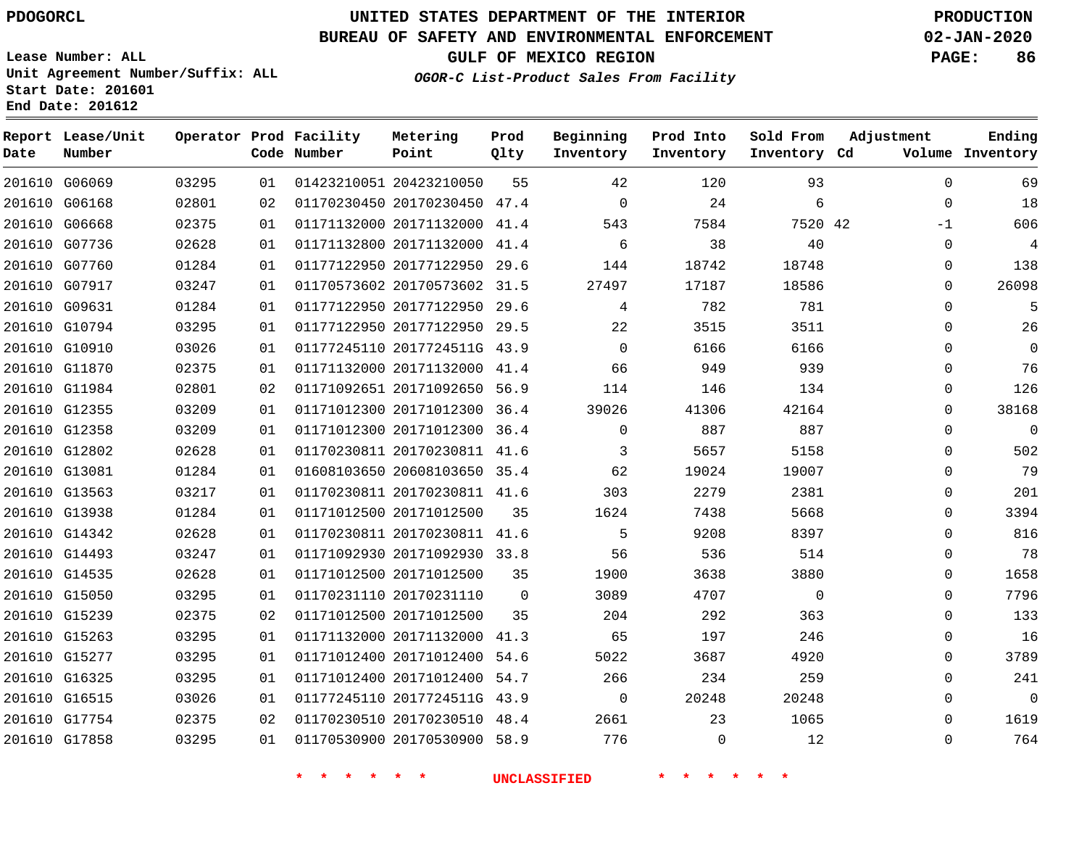## **BUREAU OF SAFETY AND ENVIRONMENTAL ENFORCEMENT 02-JAN-2020**

**Lease Number: ALL Unit Agreement Number/Suffix: ALL Start Date: 201601**

## **OGOR-C List-Product Sales From Facility**

**GULF OF MEXICO REGION PAGE: 86**

**End Date: 201612**

| Date | Report Lease/Unit<br>Number |       |    | Operator Prod Facility<br>Code Number | Metering<br>Point            | Prod<br>Qlty | Beginning<br>Inventory | Prod Into<br>Inventory | Sold From<br>Inventory Cd | Adjustment  | Ending<br>Volume Inventory |
|------|-----------------------------|-------|----|---------------------------------------|------------------------------|--------------|------------------------|------------------------|---------------------------|-------------|----------------------------|
|      | 201610 G06069               | 03295 | 01 |                                       | 01423210051 20423210050      | 55           | 42                     | 120                    | 93                        | $\Omega$    | 69                         |
|      | 201610 G06168               | 02801 | 02 |                                       | 01170230450 20170230450 47.4 |              | $\mathbf 0$            | 24                     | 6                         | $\mathbf 0$ | 18                         |
|      | 201610 G06668               | 02375 | 01 |                                       | 01171132000 20171132000 41.4 |              | 543                    | 7584                   | 7520 42                   | $-1$        | 606                        |
|      | 201610 G07736               | 02628 | 01 |                                       | 01171132800 20171132000 41.4 |              | 6                      | 38                     | 40                        | $\mathbf 0$ | 4                          |
|      | 201610 G07760               | 01284 | 01 |                                       | 01177122950 20177122950 29.6 |              | 144                    | 18742                  | 18748                     | $\Omega$    | 138                        |
|      | 201610 G07917               | 03247 | 01 |                                       | 01170573602 20170573602 31.5 |              | 27497                  | 17187                  | 18586                     | 0           | 26098                      |
|      | 201610 G09631               | 01284 | 01 |                                       | 01177122950 20177122950 29.6 |              | 4                      | 782                    | 781                       | $\mathbf 0$ | 5                          |
|      | 201610 G10794               | 03295 | 01 |                                       | 01177122950 20177122950 29.5 |              | 22                     | 3515                   | 3511                      | $\Omega$    | 26                         |
|      | 201610 G10910               | 03026 | 01 |                                       | 01177245110 2017724511G 43.9 |              | $\Omega$               | 6166                   | 6166                      | $\Omega$    | $\mathbf 0$                |
|      | 201610 G11870               | 02375 | 01 |                                       | 01171132000 20171132000 41.4 |              | 66                     | 949                    | 939                       | 0           | 76                         |
|      | 201610 G11984               | 02801 | 02 |                                       | 01171092651 20171092650 56.9 |              | 114                    | 146                    | 134                       | 0           | 126                        |
|      | 201610 G12355               | 03209 | 01 |                                       | 01171012300 20171012300 36.4 |              | 39026                  | 41306                  | 42164                     | $\Omega$    | 38168                      |
|      | 201610 G12358               | 03209 | 01 |                                       | 01171012300 20171012300 36.4 |              | $\Omega$               | 887                    | 887                       | 0           | $\mathbf 0$                |
|      | 201610 G12802               | 02628 | 01 |                                       | 01170230811 20170230811 41.6 |              | 3                      | 5657                   | 5158                      | $\mathbf 0$ | 502                        |
|      | 201610 G13081               | 01284 | 01 |                                       | 01608103650 20608103650 35.4 |              | 62                     | 19024                  | 19007                     | $\Omega$    | 79                         |
|      | 201610 G13563               | 03217 | 01 |                                       | 01170230811 20170230811 41.6 |              | 303                    | 2279                   | 2381                      | $\mathbf 0$ | 201                        |
|      | 201610 G13938               | 01284 | 01 |                                       | 01171012500 20171012500      | 35           | 1624                   | 7438                   | 5668                      | $\Omega$    | 3394                       |
|      | 201610 G14342               | 02628 | 01 |                                       | 01170230811 20170230811 41.6 |              | 5                      | 9208                   | 8397                      | $\mathbf 0$ | 816                        |
|      | 201610 G14493               | 03247 | 01 |                                       | 01171092930 20171092930 33.8 |              | 56                     | 536                    | 514                       | $\mathbf 0$ | 78                         |
|      | 201610 G14535               | 02628 | 01 |                                       | 01171012500 20171012500      | 35           | 1900                   | 3638                   | 3880                      | 0           | 1658                       |
|      | 201610 G15050               | 03295 | 01 |                                       | 01170231110 20170231110      | $\Omega$     | 3089                   | 4707                   | $\overline{0}$            | $\Omega$    | 7796                       |
|      | 201610 G15239               | 02375 | 02 |                                       | 01171012500 20171012500      | 35           | 204                    | 292                    | 363                       | $\Omega$    | 133                        |
|      | 201610 G15263               | 03295 | 01 |                                       | 01171132000 20171132000 41.3 |              | 65                     | 197                    | 246                       | $\mathbf 0$ | 16                         |
|      | 201610 G15277               | 03295 | 01 |                                       | 01171012400 20171012400 54.6 |              | 5022                   | 3687                   | 4920                      | $\mathbf 0$ | 3789                       |
|      | 201610 G16325               | 03295 | 01 |                                       | 01171012400 20171012400 54.7 |              | 266                    | 234                    | 259                       | $\mathbf 0$ | 241                        |
|      | 201610 G16515               | 03026 | 01 |                                       | 01177245110 2017724511G 43.9 |              | 0                      | 20248                  | 20248                     | $\Omega$    | $\mathbf 0$                |
|      | 201610 G17754               | 02375 | 02 |                                       | 01170230510 20170230510 48.4 |              | 2661                   | 23                     | 1065                      | $\mathbf 0$ | 1619                       |
|      | 201610 G17858               | 03295 | 01 |                                       | 01170530900 20170530900 58.9 |              | 776                    | $\mathbf 0$            | 12                        | $\mathbf 0$ | 764                        |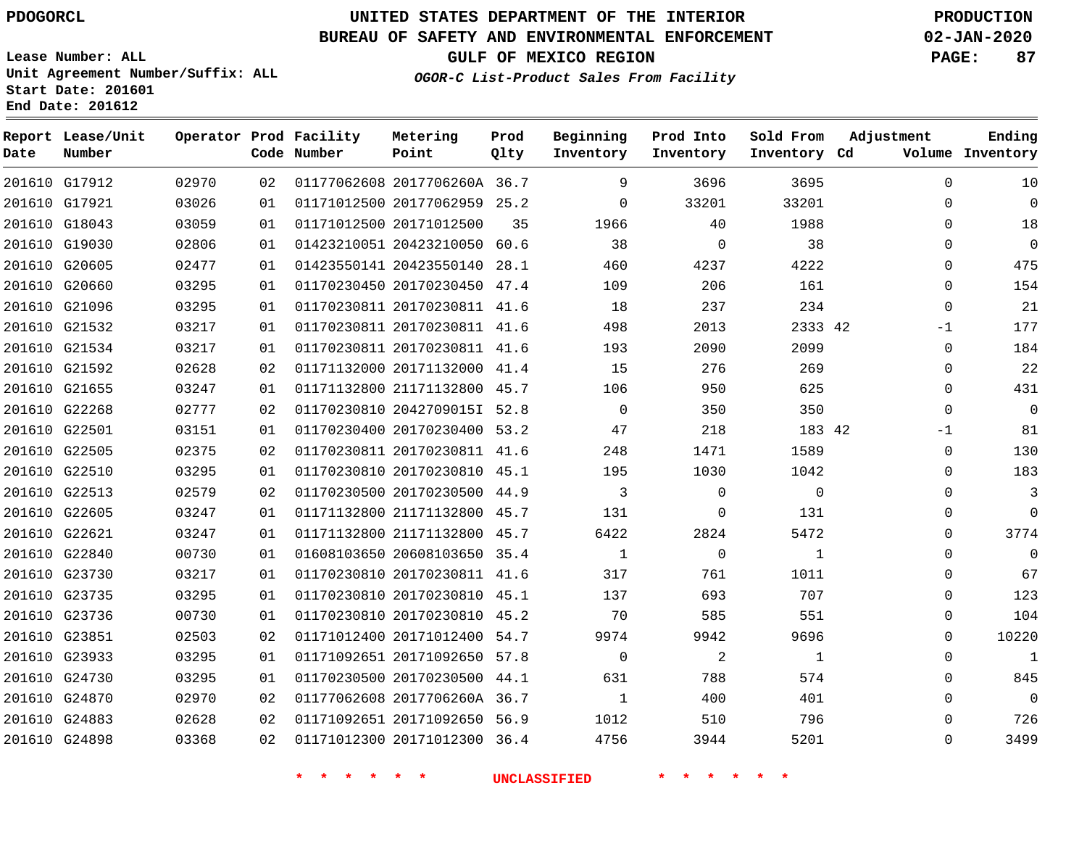**Date**

**Report Lease/Unit**

**Number**

## **UNITED STATES DEPARTMENT OF THE INTERIOR PDOGORCL PRODUCTION**

**Prod Qlty**

#### **BUREAU OF SAFETY AND ENVIRONMENTAL ENFORCEMENT 02-JAN-2020**

**Lease Number: ALL Unit Agreement Number/Suffix: ALL Start Date: 201601 End Date: 201612**

**Operator Prod Facility**

**Code Number**

**Metering Point**

**OGOR-C List-Product Sales From Facility**

**Prod Into Inventory** **Sold From Inventory**

**Beginning Inventory**

**GULF OF MEXICO REGION PAGE: 87**

**Inventory Cd Volume**

**Adjustment**

 $\Omega$  $\Omega$  $\Omega$   $\Omega$  $\Omega$  $\Omega$ -1  $\Omega$  $\Omega$  $\Omega$  $\Omega$ -1  $\Omega$  $\overline{0}$  $\Omega$  $\Omega$  $\Omega$  $\Omega$   $\Omega$  $\Omega$   $\Omega$   $\Omega$ 

**Ending**

| 201610 G17912 | 02970 | 02 | 01177062608 2017706260A 36.7     |    | 9                       | 3696                       | 3695           |  |
|---------------|-------|----|----------------------------------|----|-------------------------|----------------------------|----------------|--|
| 201610 G17921 | 03026 | 01 | 01171012500 20177062959 25.2     |    | $\mathbf{0}$            | 33201                      | 33201          |  |
| 201610 G18043 | 03059 | 01 | 01171012500 20171012500          | 35 | 1966                    | 40                         | 1988           |  |
| 201610 G19030 | 02806 | 01 | 01423210051 20423210050 60.6     |    | 38                      | $\overline{0}$             | 38             |  |
| 201610 G20605 | 02477 | 01 | 01423550141 20423550140 28.1     |    | 460                     | 4237                       | 4222           |  |
| 201610 G20660 | 03295 | 01 | 01170230450 20170230450 47.4     |    | 109                     | 206                        | 161            |  |
| 201610 G21096 | 03295 | 01 | 01170230811 20170230811 41.6     |    | 18                      | 237                        | 234            |  |
| 201610 G21532 | 03217 | 01 | 01170230811 20170230811 41.6     |    | 498                     | 2013                       | 2333 42        |  |
| 201610 G21534 | 03217 | 01 | 01170230811 20170230811 41.6     |    | 193                     | 2090                       | 2099           |  |
| 201610 G21592 | 02628 | 02 | 01171132000 20171132000 41.4     |    | 15                      | 276                        | 269            |  |
| 201610 G21655 | 03247 | 01 | 01171132800 21171132800 45.7     |    | 106                     | 950                        | 625            |  |
| 201610 G22268 | 02777 | 02 | 01170230810 2042709015I 52.8     |    | $\overline{0}$          | 350                        | 350            |  |
| 201610 G22501 | 03151 | 01 | 01170230400 20170230400 53.2     |    | 47                      | 218                        | 183 42         |  |
| 201610 G22505 | 02375 | 02 | 01170230811 20170230811 41.6     |    | 248                     | 1471                       | 1589           |  |
| 201610 G22510 | 03295 | 01 | 01170230810 20170230810 45.1     |    | 195                     | 1030                       | 1042           |  |
| 201610 G22513 | 02579 | 02 | 01170230500 20170230500 44.9     |    | $\overline{\mathbf{3}}$ | $\Omega$                   | $\Omega$       |  |
| 201610 G22605 | 03247 | 01 | 01171132800 21171132800 45.7 131 |    |                         | $\mathbf{0}$               | 131            |  |
| 201610 G22621 | 03247 | 01 | 01171132800 21171132800 45.7     |    | 6422                    | 2824                       | 5472           |  |
| 201610 G22840 | 00730 | 01 | 01608103650 20608103650 35.4     |    | $\overline{1}$          | $\overline{0}$             | $\overline{1}$ |  |
| 201610 G23730 | 03217 | 01 | 01170230810 20170230811 41.6     |    | 317                     | 761                        | 1011           |  |
| 201610 G23735 | 03295 | 01 | 01170230810 20170230810 45.1     |    | 137                     | 693                        | 707            |  |
| 201610 G23736 | 00730 | 01 | 01170230810 20170230810 45.2     |    | 70                      | 585                        | 551            |  |
| 201610 G23851 | 02503 | 02 | 01171012400 20171012400 54.7     |    | 9974                    | 9942                       | 9696           |  |
| 201610 G23933 | 03295 | 01 | 01171092651 20171092650 57.8     |    | $\overline{0}$          | $\overline{\phantom{a}}$ 2 | 1              |  |
| 201610 G24730 | 03295 | 01 | 01170230500 20170230500 44.1     |    | 631                     | 788                        | 574            |  |
| 201610 G24870 | 02970 | 02 | 01177062608 2017706260A 36.7     |    | $\mathbf{1}$            | 400                        | 401            |  |
| 201610 G24883 | 02628 | 02 | 01171092651 20171092650 56.9     |    | 1012                    | 510                        | 796            |  |
| 201610 G24898 | 03368 | 02 | 01171012300 20171012300 36.4     |    |                         | 4756<br>3944               | 5201           |  |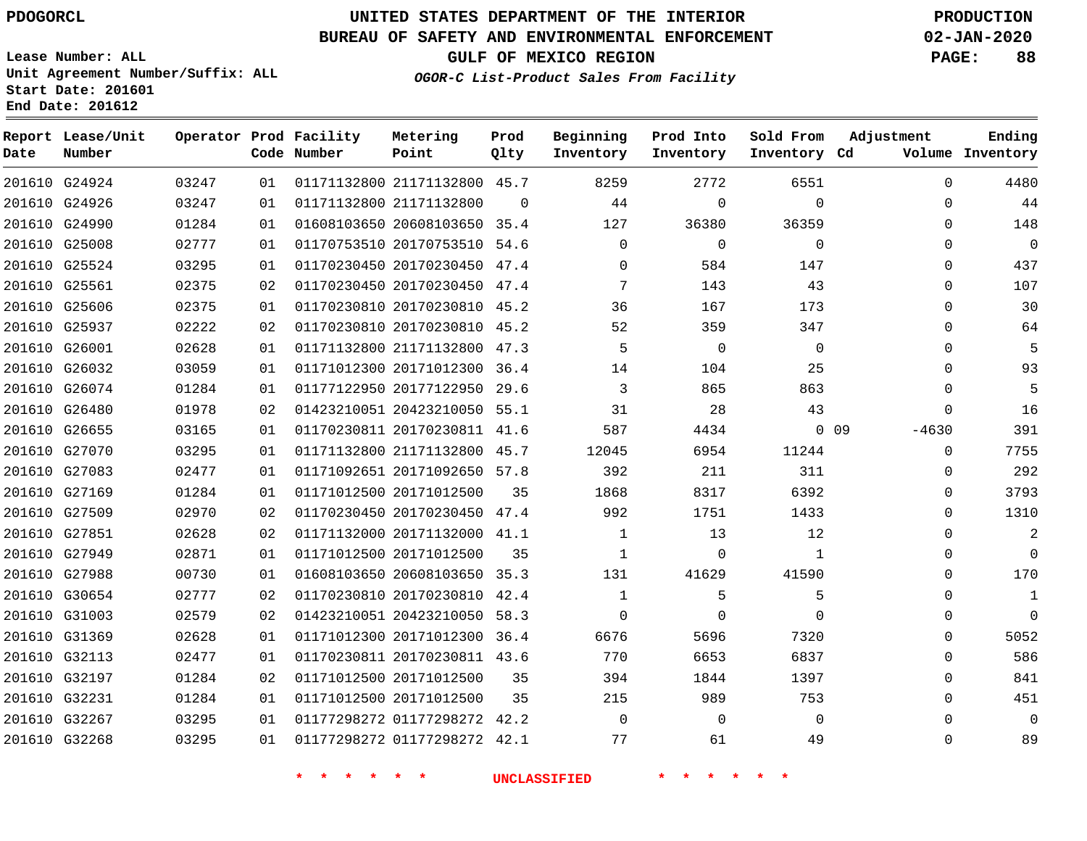## **BUREAU OF SAFETY AND ENVIRONMENTAL ENFORCEMENT 02-JAN-2020**

**Lease Number: ALL Unit Agreement Number/Suffix: ALL Start Date: 201601**

## **OGOR-C List-Product Sales From Facility**

**GULF OF MEXICO REGION PAGE: 88**

**End Date: 201612**

| Date          | Report Lease/Unit<br>Number |       |    | Operator Prod Facility<br>Code Number | Metering<br>Point            | Prod<br>Qlty | Beginning<br>Inventory | Prod Into<br>Inventory | Sold From<br>Inventory Cd | Adjustment        | Ending<br>Volume Inventory |
|---------------|-----------------------------|-------|----|---------------------------------------|------------------------------|--------------|------------------------|------------------------|---------------------------|-------------------|----------------------------|
|               | 201610 G24924               | 03247 | 01 |                                       | 01171132800 21171132800 45.7 |              | 8259                   | 2772                   | 6551                      | $\mathbf 0$       | 4480                       |
|               | 201610 G24926               | 03247 | 01 |                                       | 01171132800 21171132800      | $\Omega$     | 44                     | $\Omega$               | $\Omega$                  | $\mathbf 0$       | 44                         |
| 201610 G24990 |                             | 01284 | 01 |                                       | 01608103650 20608103650 35.4 |              | 127                    | 36380                  | 36359                     | $\mathbf{0}$      | 148                        |
| 201610 G25008 |                             | 02777 | 01 |                                       | 01170753510 20170753510      | 54.6         | $\mathbf 0$            | $\mathbf 0$            | $\mathbf 0$               | $\Omega$          | $\mathbf 0$                |
|               | 201610 G25524               | 03295 | 01 |                                       | 01170230450 20170230450      | 47.4         | $\Omega$               | 584                    | 147                       | $\Omega$          | 437                        |
| 201610 G25561 |                             | 02375 | 02 |                                       | 01170230450 20170230450 47.4 |              | 7                      | 143                    | 43                        | $\Omega$          | 107                        |
|               | 201610 G25606               | 02375 | 01 |                                       | 01170230810 20170230810      | 45.2         | 36                     | 167                    | 173                       | $\mathbf 0$       | 30                         |
| 201610 G25937 |                             | 02222 | 02 |                                       | 01170230810 20170230810      | 45.2         | 52                     | 359                    | 347                       | $\Omega$          | 64                         |
| 201610 G26001 |                             | 02628 | 01 |                                       | 01171132800 21171132800      | 47.3         | 5                      | $\overline{0}$         | $\mathbf 0$               | $\Omega$          | 5                          |
|               | 201610 G26032               | 03059 | 01 |                                       | 01171012300 20171012300      | 36.4         | 14                     | 104                    | 25                        | $\mathbf{0}$      | 93                         |
|               | 201610 G26074               | 01284 | 01 |                                       | 01177122950 20177122950      | 29.6         | 3                      | 865                    | 863                       | $\mathbf 0$       | 5                          |
| 201610 G26480 |                             | 01978 | 02 |                                       | 01423210051 20423210050      | 55.1         | 31                     | 28                     | 43                        | $\Omega$          | 16                         |
| 201610 G26655 |                             | 03165 | 01 |                                       | 01170230811 20170230811 41.6 |              | 587                    | 4434                   |                           | $0$ 09<br>$-4630$ | 391                        |
|               | 201610 G27070               | 03295 | 01 |                                       | 01171132800 21171132800      | 45.7         | 12045                  | 6954                   | 11244                     | $\mathbf 0$       | 7755                       |
| 201610 G27083 |                             | 02477 | 01 |                                       | 01171092651 20171092650 57.8 |              | 392                    | 211                    | 311                       | $\mathbf 0$       | 292                        |
| 201610 G27169 |                             | 01284 | 01 |                                       | 01171012500 20171012500      | 35           | 1868                   | 8317                   | 6392                      | 0                 | 3793                       |
| 201610 G27509 |                             | 02970 | 02 |                                       | 01170230450 20170230450 47.4 |              | 992                    | 1751                   | 1433                      | $\mathbf 0$       | 1310                       |
|               | 201610 G27851               | 02628 | 02 |                                       | 01171132000 20171132000 41.1 |              | 1                      | 13                     | 12                        | $\Omega$          | 2                          |
| 201610 G27949 |                             | 02871 | 01 |                                       | 01171012500 20171012500      | 35           | 1                      | $\Omega$               | $\mathbf{1}$              | $\mathbf 0$       | $\Omega$                   |
| 201610 G27988 |                             | 00730 | 01 |                                       | 01608103650 20608103650      | 35.3         | 131                    | 41629                  | 41590                     | $\mathbf 0$       | 170                        |
|               | 201610 G30654               | 02777 | 02 |                                       | 01170230810 20170230810      | 42.4         | 1                      | 5                      | 5                         | $\Omega$          | 1                          |
| 201610 G31003 |                             | 02579 | 02 |                                       | 01423210051 20423210050      | 58.3         | $\Omega$               | $\Omega$               | $\Omega$                  | $\Omega$          | $\mathbf 0$                |
| 201610 G31369 |                             | 02628 | 01 |                                       | 01171012300 20171012300      | 36.4         | 6676                   | 5696                   | 7320                      | $\mathbf 0$       | 5052                       |
| 201610 G32113 |                             | 02477 | 01 |                                       | 01170230811 20170230811 43.6 |              | 770                    | 6653                   | 6837                      | $\Omega$          | 586                        |
| 201610 G32197 |                             | 01284 | 02 |                                       | 01171012500 20171012500      | 35           | 394                    | 1844                   | 1397                      | $\mathbf{0}$      | 841                        |
| 201610 G32231 |                             | 01284 | 01 |                                       | 01171012500 20171012500      | 35           | 215                    | 989                    | 753                       | $\mathbf 0$       | 451                        |
| 201610 G32267 |                             | 03295 | 01 |                                       | 01177298272 01177298272      | 42.2         | 0                      | $\mathbf 0$            | $\mathbf 0$               | $\mathbf 0$       | $\mathbf 0$                |
| 201610 G32268 |                             | 03295 | 01 |                                       | 01177298272 01177298272 42.1 |              | 77                     | 61                     | 49                        | $\Omega$          | 89                         |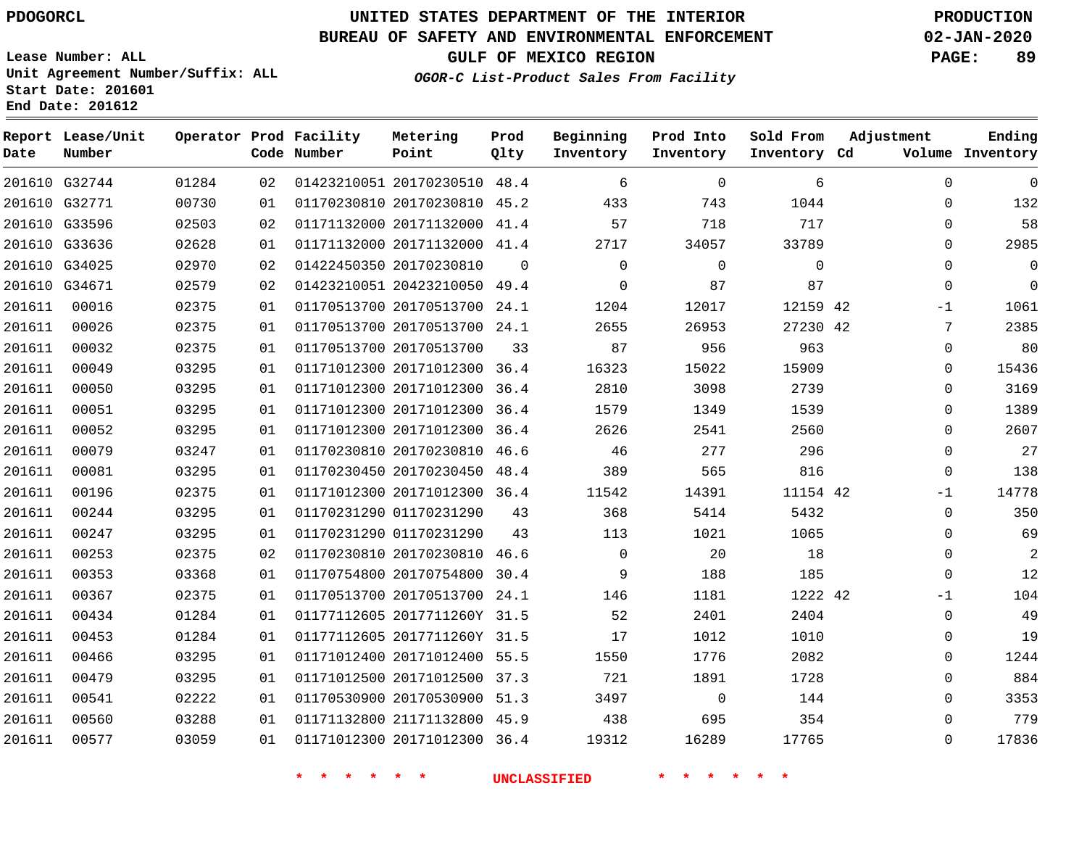# **UNITED STATES DEPARTMENT OF THE INTERIOR PDOGORCL PRODUCTION**

## **BUREAU OF SAFETY AND ENVIRONMENTAL ENFORCEMENT 02-JAN-2020**

**Lease Number: ALL Unit Agreement Number/Suffix: ALL Start Date: 201601**

**OGOR-C List-Product Sales From Facility**

**GULF OF MEXICO REGION PAGE: 89**

| Date   | Report Lease/Unit<br>Number |       |    | Operator Prod Facility<br>Code Number | Metering<br>Point            | Prod<br>Qlty | Beginning<br>Inventory | Prod Into<br>Inventory | Sold From<br>Inventory Cd | Adjustment   | Ending<br>Volume Inventory |
|--------|-----------------------------|-------|----|---------------------------------------|------------------------------|--------------|------------------------|------------------------|---------------------------|--------------|----------------------------|
|        | 201610 G32744               | 01284 | 02 |                                       | 01423210051 20170230510      | 48.4         | 6                      | $\Omega$               | 6                         | $\Omega$     | $\Omega$                   |
|        | 201610 G32771               | 00730 | 01 |                                       | 01170230810 20170230810      | 45.2         | 433                    | 743                    | 1044                      | $\Omega$     | 132                        |
|        | 201610 G33596               | 02503 | 02 |                                       | 01171132000 20171132000      | 41.4         | 57                     | 718                    | 717                       | $\mathbf 0$  | 58                         |
|        | 201610 G33636               | 02628 | 01 |                                       | 01171132000 20171132000      | 41.4         | 2717                   | 34057                  | 33789                     | $\Omega$     | 2985                       |
|        | 201610 G34025               | 02970 | 02 |                                       | 01422450350 20170230810      | $\Omega$     | 0                      | $\mathbf 0$            | $\mathbf{0}$              | 0            | $\mathbf 0$                |
|        | 201610 G34671               | 02579 | 02 |                                       | 01423210051 20423210050 49.4 |              | $\Omega$               | 87                     | 87                        | $\mathbf 0$  | $\Omega$                   |
| 201611 | 00016                       | 02375 | 01 |                                       | 01170513700 20170513700      | 24.1         | 1204                   | 12017                  | 12159 42                  | -1           | 1061                       |
| 201611 | 00026                       | 02375 | 01 |                                       | 01170513700 20170513700 24.1 |              | 2655                   | 26953                  | 27230 42                  | 7            | 2385                       |
| 201611 | 00032                       | 02375 | 01 |                                       | 01170513700 20170513700      | 33           | 87                     | 956                    | 963                       | $\mathbf 0$  | 80                         |
| 201611 | 00049                       | 03295 | 01 |                                       | 01171012300 20171012300 36.4 |              | 16323                  | 15022                  | 15909                     | $\mathbf 0$  | 15436                      |
| 201611 | 00050                       | 03295 | 01 |                                       | 01171012300 20171012300      | 36.4         | 2810                   | 3098                   | 2739                      | $\Omega$     | 3169                       |
| 201611 | 00051                       | 03295 | 01 |                                       | 01171012300 20171012300      | 36.4         | 1579                   | 1349                   | 1539                      | 0            | 1389                       |
| 201611 | 00052                       | 03295 | 01 |                                       | 01171012300 20171012300      | 36.4         | 2626                   | 2541                   | 2560                      | $\Omega$     | 2607                       |
| 201611 | 00079                       | 03247 | 01 |                                       | 01170230810 20170230810      | 46.6         | 46                     | 277                    | 296                       | $\mathbf 0$  | 27                         |
| 201611 | 00081                       | 03295 | 01 |                                       | 01170230450 20170230450      | 48.4         | 389                    | 565                    | 816                       | $\mathbf 0$  | 138                        |
| 201611 | 00196                       | 02375 | 01 |                                       | 01171012300 20171012300      | 36.4         | 11542                  | 14391                  | 11154 42                  | $-1$         | 14778                      |
| 201611 | 00244                       | 03295 | 01 |                                       | 01170231290 01170231290      | 43           | 368                    | 5414                   | 5432                      | $\Omega$     | 350                        |
| 201611 | 00247                       | 03295 | 01 |                                       | 01170231290 01170231290      | 43           | 113                    | 1021                   | 1065                      | $\Omega$     | 69                         |
| 201611 | 00253                       | 02375 | 02 |                                       | 01170230810 20170230810      | 46.6         | $\Omega$               | 20                     | 18                        | 0            | 2                          |
| 201611 | 00353                       | 03368 | 01 |                                       | 01170754800 20170754800      | 30.4         | 9                      | 188                    | 185                       | $\mathbf 0$  | 12                         |
| 201611 | 00367                       | 02375 | 01 |                                       | 01170513700 20170513700      | 24.1         | 146                    | 1181                   | 1222 42                   | $-1$         | 104                        |
| 201611 | 00434                       | 01284 | 01 |                                       | 01177112605 2017711260Y 31.5 |              | 52                     | 2401                   | 2404                      | $\mathbf{0}$ | 49                         |
| 201611 | 00453                       | 01284 | 01 |                                       | 01177112605 2017711260Y 31.5 |              | 17                     | 1012                   | 1010                      | 0            | 19                         |
| 201611 | 00466                       | 03295 | 01 |                                       | 01171012400 20171012400      | 55.5         | 1550                   | 1776                   | 2082                      | $\mathbf 0$  | 1244                       |
| 201611 | 00479                       | 03295 | 01 |                                       | 01171012500 20171012500 37.3 |              | 721                    | 1891                   | 1728                      | $\mathbf 0$  | 884                        |
| 201611 | 00541                       | 02222 | 01 |                                       | 01170530900 20170530900      | 51.3         | 3497                   | $\mathbf 0$            | 144                       | $\mathbf 0$  | 3353                       |
| 201611 | 00560                       | 03288 | 01 |                                       | 01171132800 21171132800      | 45.9         | 438                    | 695                    | 354                       | $\Omega$     | 779                        |
| 201611 | 00577                       | 03059 | 01 |                                       | 01171012300 20171012300      | 36.4         | 19312                  | 16289                  | 17765                     | $\Omega$     | 17836                      |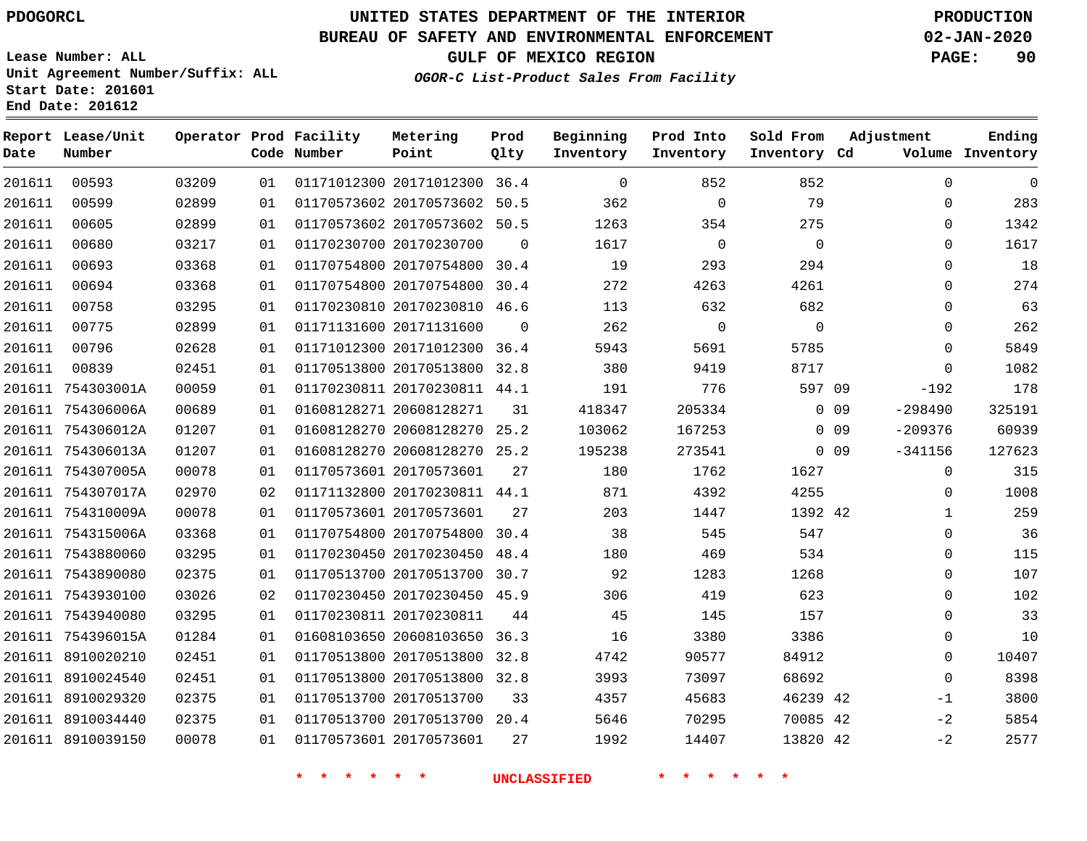**Date**

**End Date: 201612**

**Report Lease/Unit**

**Number**

# **UNITED STATES DEPARTMENT OF THE INTERIOR PDOGORCL PRODUCTION**

**Prod Qlty**

#### **BUREAU OF SAFETY AND ENVIRONMENTAL ENFORCEMENT 02-JAN-2020**

**Lease Number: ALL Unit Agreement Number/Suffix: ALL Start Date: 201601**

**Operator Prod Facility**

**Code Number**

**OGOR-C List-Product Sales From Facility**

**Beginning Inventory** **Prod Into Inventory** **Sold From Inventory**

**GULF OF MEXICO REGION PAGE: 90**

**Inventory Cd Volume**

**Adjustment**

  $\Omega$   $\Omega$  -192 -298490 -209376 -341156

> $\Omega$  $\Omega$   $\overline{0}$  $\overline{0}$  $\overline{0}$   $-1$  $-2$  $-2$

**Ending**

| 201611 | 00593             | 03209 | 01 |                             | 01171012300 20171012300 36.4 |          | $\Omega$            | 852         | 852         |        |
|--------|-------------------|-------|----|-----------------------------|------------------------------|----------|---------------------|-------------|-------------|--------|
| 201611 | 00599             | 02899 | 01 |                             | 01170573602 20170573602 50.5 |          | 362                 | $\mathbf 0$ | 79          |        |
| 201611 | 00605             | 02899 | 01 |                             | 01170573602 20170573602 50.5 |          | 1263                | 354         | 275         |        |
| 201611 | 00680             | 03217 | 01 | 01170230700 20170230700     |                              | $\Omega$ | 1617                | $\mathbf 0$ | $\mathbf 0$ |        |
| 201611 | 00693             | 03368 | 01 |                             | 01170754800 20170754800 30.4 |          | 19                  | 293         | 294         |        |
| 201611 | 00694             | 03368 | 01 |                             | 01170754800 20170754800 30.4 |          | 272                 | 4263        | 4261        |        |
| 201611 | 00758             | 03295 | 01 |                             | 01170230810 20170230810 46.6 |          | 113                 | 632         | 682         |        |
| 201611 | 00775             | 02899 | 01 | 01171131600 20171131600     |                              | $\Omega$ | 262                 | 0           | 0           |        |
| 201611 | 00796             | 02628 | 01 |                             | 01171012300 20171012300 36.4 |          | 5943                | 5691        | 5785        |        |
| 201611 | 00839             | 02451 | 01 |                             | 01170513800 20170513800 32.8 |          | 380                 | 9419        | 8717        |        |
|        | 201611 754303001A | 00059 | 01 |                             | 01170230811 20170230811 44.1 |          | 191                 | 776         | 597 09      |        |
|        | 201611 754306006A | 00689 | 01 | 01608128271 20608128271     |                              | 31       | 418347              | 205334      |             | 0 0 9  |
|        | 201611 754306012A | 01207 | 01 |                             | 01608128270 20608128270 25.2 |          | 103062              | 167253      |             | $0$ 09 |
|        | 201611 754306013A | 01207 | 01 |                             | 01608128270 20608128270 25.2 |          | 195238              | 273541      |             | $0$ 09 |
|        | 201611 754307005A | 00078 | 01 | 01170573601 20170573601     |                              | 27       | 180                 | 1762        | 1627        |        |
|        | 201611 754307017A | 02970 | 02 |                             | 01171132800 20170230811 44.1 |          | 871                 | 4392        | 4255        |        |
|        | 201611 754310009A | 00078 | 01 | 01170573601 20170573601     |                              | 27       | 203                 | 1447        | 1392 42     |        |
|        | 201611 754315006A | 03368 | 01 |                             | 01170754800 20170754800 30.4 |          | 38                  | 545         | 547         |        |
|        | 201611 7543880060 | 03295 | 01 |                             | 01170230450 20170230450 48.4 |          | 180                 | 469         | 534         |        |
|        | 201611 7543890080 | 02375 | 01 |                             | 01170513700 20170513700 30.7 |          | 92                  | 1283        | 1268        |        |
|        | 201611 7543930100 | 03026 | 02 |                             | 01170230450 20170230450 45.9 |          | 306                 | 419         | 623         |        |
|        | 201611 7543940080 | 03295 | 01 | 01170230811 20170230811     |                              | 44       | 45                  | 145         | 157         |        |
|        | 201611 754396015A | 01284 | 01 |                             | 01608103650 20608103650      | 36.3     | 16                  | 3380        | 3386        |        |
|        | 201611 8910020210 | 02451 | 01 |                             | 01170513800 20170513800 32.8 |          | 4742                | 90577       | 84912       |        |
|        | 201611 8910024540 | 02451 | 01 |                             | 01170513800 20170513800 32.8 |          | 3993                | 73097       | 68692       |        |
|        | 201611 8910029320 | 02375 | 01 | 01170513700 20170513700     |                              | 33       | 4357                | 45683       | 46239 42    |        |
|        | 201611 8910034440 | 02375 | 01 |                             | 01170513700 20170513700 20.4 |          | 5646                | 70295       | 70085 42    |        |
|        | 201611 8910039150 | 00078 | 01 | 01170573601 20170573601     |                              | 27       | 1992                | 14407       | 13820 42    |        |
|        |                   |       |    | $\ast$<br>$\ast$<br>$\star$ | $\ast$<br>一大                 |          | <b>UNCLASSIFIED</b> |             |             |        |

**Metering Point**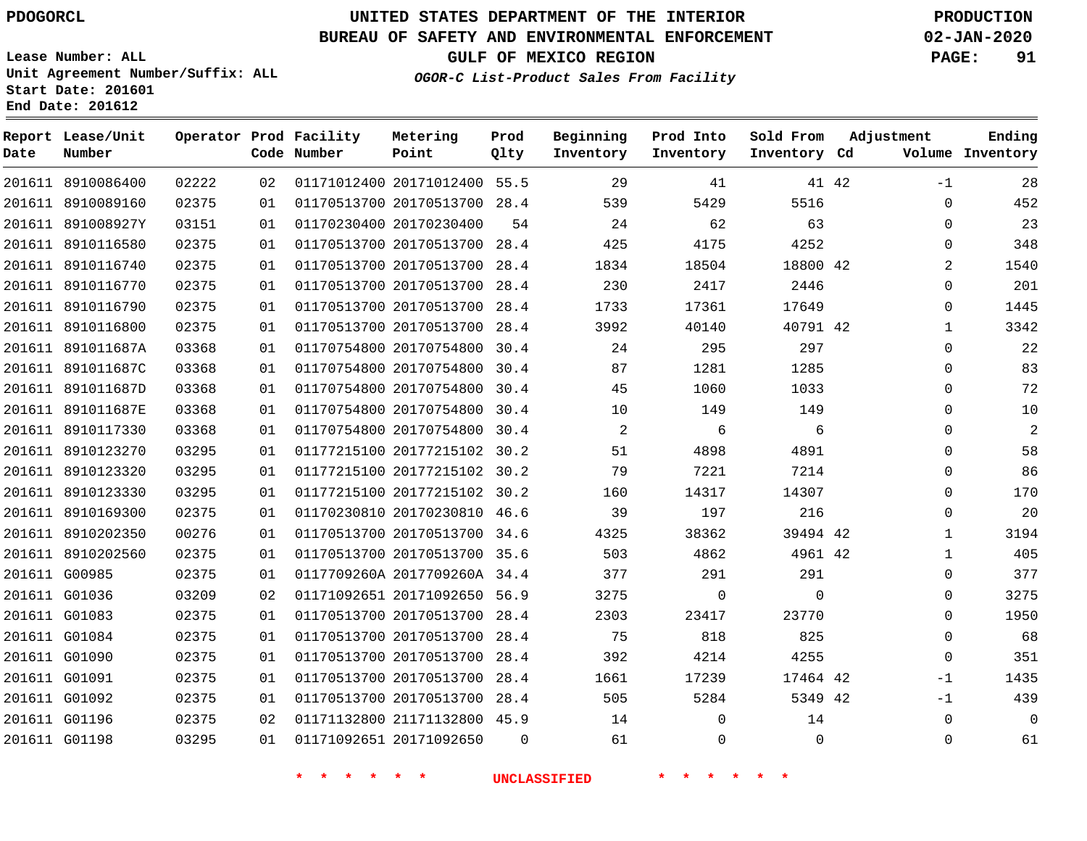#### **BUREAU OF SAFETY AND ENVIRONMENTAL ENFORCEMENT 02-JAN-2020**

**Lease Number: ALL Unit Agreement Number/Suffix: ALL Start Date: 201601**

**End Date: 201612**

**OGOR-C List-Product Sales From Facility**

**GULF OF MEXICO REGION PAGE: 91**

| Date | Report Lease/Unit<br>Number |       |    | Operator Prod Facility<br>Code Number | Metering<br>Point            | Prod<br>Qlty | Beginning<br>Inventory | Prod Into<br>Inventory | Sold From<br>Inventory Cd | Adjustment |              | Ending<br>Volume Inventory |
|------|-----------------------------|-------|----|---------------------------------------|------------------------------|--------------|------------------------|------------------------|---------------------------|------------|--------------|----------------------------|
|      | 201611 8910086400           | 02222 | 02 |                                       | 01171012400 20171012400 55.5 |              | 29                     | 41                     |                           | 41 42      | $-1$         | 28                         |
|      | 201611 8910089160           | 02375 | 01 |                                       | 01170513700 20170513700 28.4 |              | 539                    | 5429                   | 5516                      |            | $\Omega$     | 452                        |
|      | 201611 891008927Y           | 03151 | 01 |                                       | 01170230400 20170230400      | 54           | 24                     | 62                     | 63                        |            | $\Omega$     | 23                         |
|      | 201611 8910116580           | 02375 | 01 |                                       | 01170513700 20170513700 28.4 |              | 425                    | 4175                   | 4252                      |            | 0            | 348                        |
|      | 201611 8910116740           | 02375 | 01 |                                       | 01170513700 20170513700      | 28.4         | 1834                   | 18504                  | 18800 42                  |            | 2            | 1540                       |
|      | 201611 8910116770           | 02375 | 01 |                                       | 01170513700 20170513700 28.4 |              | 230                    | 2417                   | 2446                      |            | $\Omega$     | 201                        |
|      | 201611 8910116790           | 02375 | 01 |                                       | 01170513700 20170513700 28.4 |              | 1733                   | 17361                  | 17649                     |            | $\mathbf 0$  | 1445                       |
|      | 201611 8910116800           | 02375 | 01 |                                       | 01170513700 20170513700 28.4 |              | 3992                   | 40140                  | 40791 42                  |            | $\mathbf{1}$ | 3342                       |
|      | 201611 891011687A           | 03368 | 01 |                                       | 01170754800 20170754800 30.4 |              | 24                     | 295                    | 297                       |            | $\Omega$     | 22                         |
|      | 201611 891011687C           | 03368 | 01 |                                       | 01170754800 20170754800 30.4 |              | 87                     | 1281                   | 1285                      |            | $\mathbf 0$  | 83                         |
|      | 201611 891011687D           | 03368 | 01 |                                       | 01170754800 20170754800 30.4 |              | 45                     | 1060                   | 1033                      |            | $\Omega$     | 72                         |
|      | 201611 891011687E           | 03368 | 01 |                                       | 01170754800 20170754800 30.4 |              | 10                     | 149                    | 149                       |            | $\mathbf{0}$ | 10                         |
|      | 201611 8910117330           | 03368 | 01 |                                       | 01170754800 20170754800 30.4 |              | 2                      | 6                      | 6                         |            | $\Omega$     | $\overline{2}$             |
|      | 201611 8910123270           | 03295 | 01 |                                       | 01177215100 20177215102 30.2 |              | 51                     | 4898                   | 4891                      |            | $\Omega$     | 58                         |
|      | 201611 8910123320           | 03295 | 01 |                                       | 01177215100 20177215102 30.2 |              | 79                     | 7221                   | 7214                      |            | $\mathbf{0}$ | 86                         |
|      | 201611 8910123330           | 03295 | 01 |                                       | 01177215100 20177215102 30.2 |              | 160                    | 14317                  | 14307                     |            | $\Omega$     | 170                        |
|      | 201611 8910169300           | 02375 | 01 |                                       | 01170230810 20170230810 46.6 |              | 39                     | 197                    | 216                       |            | $\Omega$     | 20                         |
|      | 201611 8910202350           | 00276 | 01 |                                       | 01170513700 20170513700 34.6 |              | 4325                   | 38362                  | 39494 42                  |            | 1            | 3194                       |
|      | 201611 8910202560           | 02375 | 01 |                                       | 01170513700 20170513700 35.6 |              | 503                    | 4862                   | 4961 42                   |            | $\mathbf{1}$ | 405                        |
|      | 201611 G00985               | 02375 | 01 |                                       | 0117709260A 2017709260A 34.4 |              | 377                    | 291                    | 291                       |            | $\Omega$     | 377                        |
|      | 201611 G01036               | 03209 | 02 |                                       | 01171092651 20171092650 56.9 |              | 3275                   | $\mathbf 0$            | $\Omega$                  |            | $\Omega$     | 3275                       |
|      | 201611 G01083               | 02375 | 01 |                                       | 01170513700 20170513700 28.4 |              | 2303                   | 23417                  | 23770                     |            | $\Omega$     | 1950                       |
|      | 201611 G01084               | 02375 | 01 |                                       | 01170513700 20170513700 28.4 |              | 75                     | 818                    | 825                       |            | $\mathbf 0$  | 68                         |
|      | 201611 G01090               | 02375 | 01 |                                       | 01170513700 20170513700      | 28.4         | 392                    | 4214                   | 4255                      |            | $\mathbf{0}$ | 351                        |
|      | 201611 G01091               | 02375 | 01 |                                       | 01170513700 20170513700 28.4 |              | 1661                   | 17239                  | 17464 42                  |            | $-1$         | 1435                       |
|      | 201611 G01092               | 02375 | 01 |                                       | 01170513700 20170513700 28.4 |              | 505                    | 5284                   | 5349 42                   |            | $-1$         | 439                        |
|      | 201611 G01196               | 02375 | 02 |                                       | 01171132800 21171132800 45.9 |              | 14                     | $\Omega$               | 14                        |            | $\Omega$     | $\mathbf 0$                |
|      | 201611 G01198               | 03295 | 01 |                                       | 01171092651 20171092650      | $\Omega$     | 61                     | $\mathbf 0$            | $\Omega$                  |            | $\Omega$     | 61                         |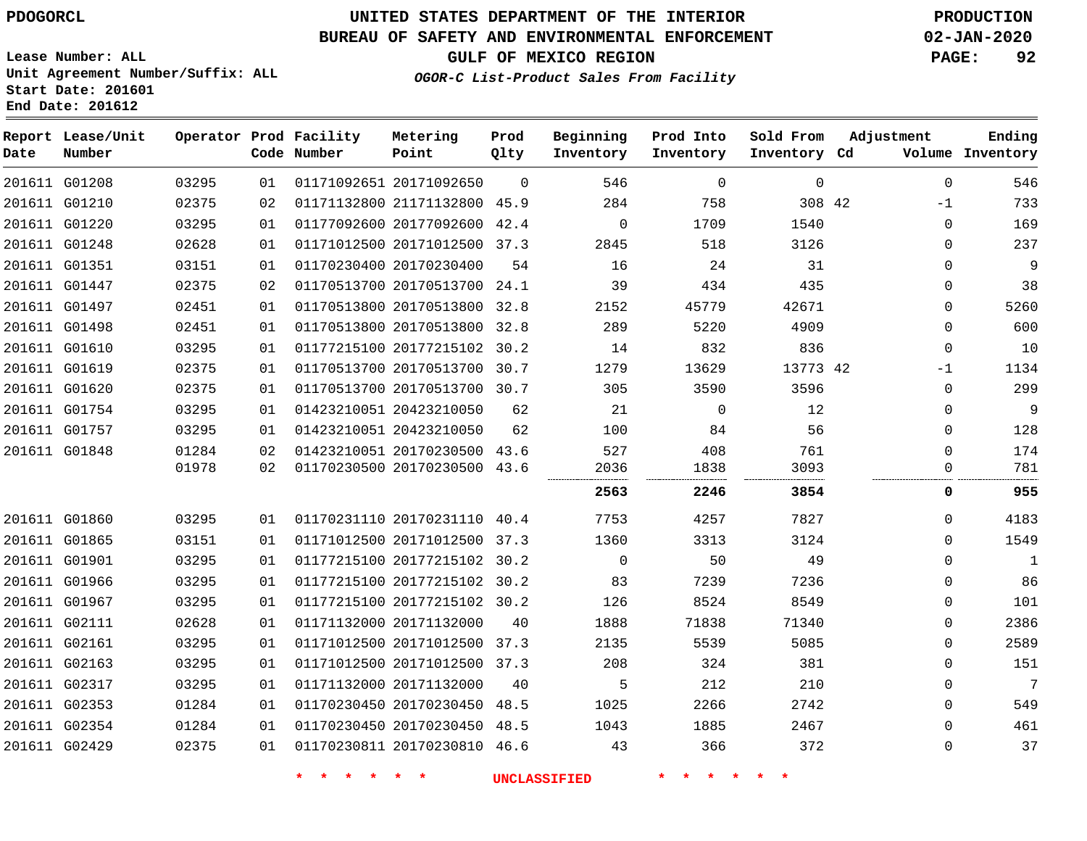**End Date: 201612**

**Report Lease/Unit**

# **UNITED STATES DEPARTMENT OF THE INTERIOR PDOGORCL PRODUCTION**

#### **BUREAU OF SAFETY AND ENVIRONMENTAL ENFORCEMENT 02-JAN-2020**

**Lease Number: ALL Unit Agreement Number/Suffix: ALL Start Date: 201601**

**Operator Prod Facility**

**GULF OF MEXICO REGION PAGE: 92**

**Prod**

**Metering**

**Ending**

**OGOR-C List-Product Sales From Facility**

| Date | Number        |       |    | Code Number | Point                        | Qlty     | Inventory | Inventory   | Inventory Cd |              | Volume Inventory |
|------|---------------|-------|----|-------------|------------------------------|----------|-----------|-------------|--------------|--------------|------------------|
|      | 201611 G01208 | 03295 | 01 |             | 01171092651 20171092650      | $\Omega$ | 546       | $\mathbf 0$ | $\mathbf 0$  | $\mathbf{0}$ | 546              |
|      | 201611 G01210 | 02375 | 02 |             | 01171132800 21171132800 45.9 |          | 284       | 758         | 308 42       | -1           | 733              |
|      | 201611 G01220 | 03295 | 01 |             | 01177092600 20177092600 42.4 |          | $\Omega$  | 1709        | 1540         | $\Omega$     | 169              |
|      | 201611 G01248 | 02628 | 01 |             | 01171012500 20171012500 37.3 |          | 2845      | 518         | 3126         | $\Omega$     | 237              |
|      | 201611 G01351 | 03151 | 01 |             | 01170230400 20170230400      | 54       | 16        | 24          | 31           | 0            | 9                |
|      | 201611 G01447 | 02375 | 02 |             | 01170513700 20170513700 24.1 |          | 39        | 434         | 435          | $\Omega$     | 38               |
|      | 201611 G01497 | 02451 | 01 |             | 01170513800 20170513800      | 32.8     | 2152      | 45779       | 42671        | 0            | 5260             |
|      | 201611 G01498 | 02451 | 01 |             | 01170513800 20170513800 32.8 |          | 289       | 5220        | 4909         | $\Omega$     | 600              |
|      | 201611 G01610 | 03295 | 01 |             | 01177215100 20177215102 30.2 |          | 14        | 832         | 836          | 0            | 10               |
|      | 201611 G01619 | 02375 | 01 |             | 01170513700 20170513700 30.7 |          | 1279      | 13629       | 13773 42     | -1           | 1134             |
|      | 201611 G01620 | 02375 | 01 |             | 01170513700 20170513700 30.7 |          | 305       | 3590        | 3596         | $\Omega$     | 299              |
|      | 201611 G01754 | 03295 | 01 |             | 01423210051 20423210050      | 62       | 21        | 0           | 12           | $\Omega$     | 9                |
|      | 201611 G01757 | 03295 | 01 |             | 01423210051 20423210050      | 62       | 100       | 84          | 56           | 0            | 128              |
|      | 201611 G01848 | 01284 | 02 |             | 01423210051 20170230500      | 43.6     | 527       | 408         | 761          | $\Omega$     | 174              |
|      |               | 01978 | 02 |             | 01170230500 20170230500      | 43.6     | 2036      | 1838        | 3093         | 0            | 781              |
|      |               |       |    |             |                              |          | 2563      | 2246        | 3854         | 0            | 955              |
|      | 201611 G01860 | 03295 | 01 |             | 01170231110 20170231110 40.4 |          | 7753      | 4257        | 7827         | 0            | 4183             |
|      | 201611 G01865 | 03151 | 01 |             | 01171012500 20171012500 37.3 |          | 1360      | 3313        | 3124         | $\Omega$     | 1549             |
|      | 201611 G01901 | 03295 | 01 |             | 01177215100 20177215102 30.2 |          | $\Omega$  | 50          | 49           | $\Omega$     | $\mathbf{1}$     |
|      | 201611 G01966 | 03295 | 01 |             | 01177215100 20177215102 30.2 |          | 83        | 7239        | 7236         | $\Omega$     | 86               |
|      | 201611 G01967 | 03295 | 01 |             | 01177215100 20177215102 30.2 |          | 126       | 8524        | 8549         | 0            | 101              |
|      | 201611 G02111 | 02628 | 01 |             | 01171132000 20171132000      | 40       | 1888      | 71838       | 71340        | $\Omega$     | 2386             |
|      | 201611 G02161 | 03295 | 01 |             | 01171012500 20171012500 37.3 |          | 2135      | 5539        | 5085         | 0            | 2589             |
|      | 201611 G02163 | 03295 | 01 |             | 01171012500 20171012500 37.3 |          | 208       | 324         | 381          | $\Omega$     | 151              |
|      | 201611 G02317 | 03295 | 01 |             | 01171132000 20171132000      | 40       | 5         | 212         | 210          | $\Omega$     | 7                |
|      | 201611 G02353 | 01284 | 01 |             | 01170230450 20170230450 48.5 |          | 1025      | 2266        | 2742         | $\Omega$     | 549              |
|      | 201611 G02354 | 01284 | 01 |             | 01170230450 20170230450 48.5 |          | 1043      | 1885        | 2467         | $\Omega$     | 461              |
|      | 201611 G02429 | 02375 | 01 |             | 01170230811 20170230810 46.6 |          | 43        | 366         | 372          | $\Omega$     | 37               |

**\* \* \* \* \* \* UNCLASSIFIED \* \* \* \* \* \***

**Beginning Prod Into Sold From Adjustment**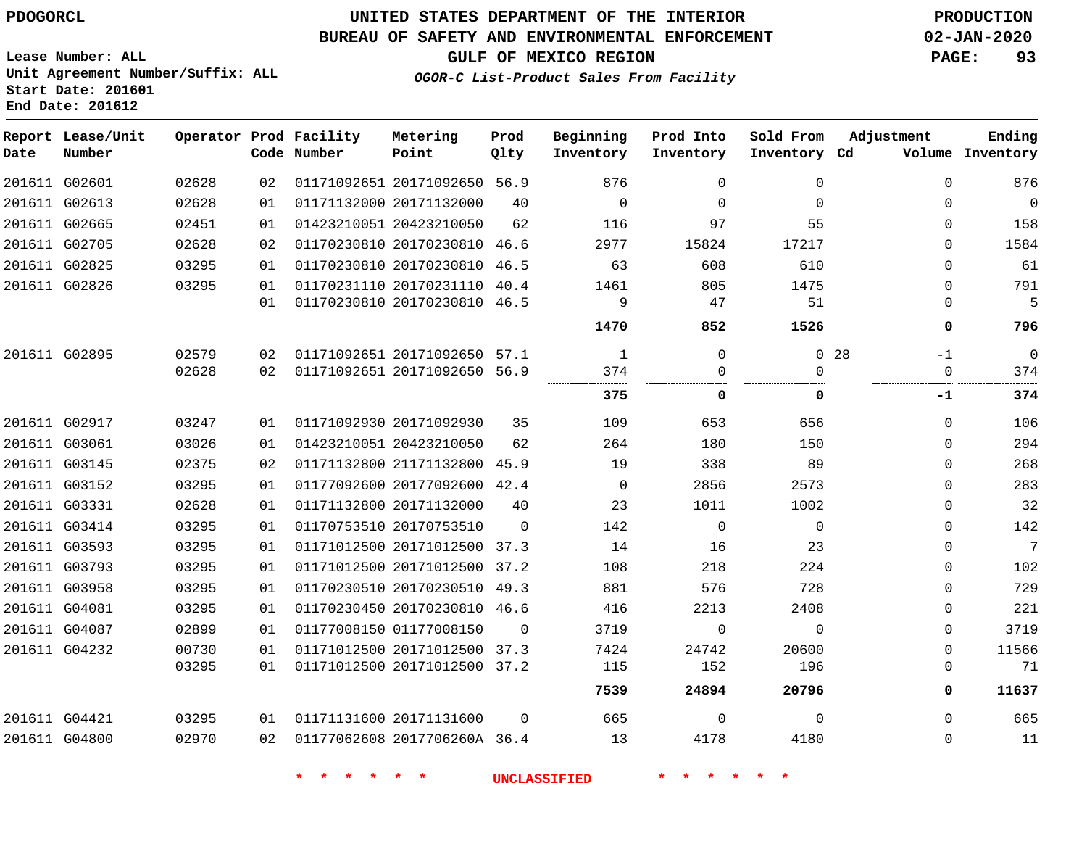G02601 G02613 G02665 G02705 G02825 G02826

**Date**

**Report Lease/Unit**

**Number**

G02895

 G02917 G03061 G03145 G03152 G03331 G03414 G03593 G03793 G03958 G04081 G04087 G04232

 G04421 G04800

## **UNITED STATES DEPARTMENT OF THE INTERIOR PDOGORCL PRODUCTION**

**Prod Qlty**

#### **BUREAU OF SAFETY AND ENVIRONMENTAL ENFORCEMENT 02-JAN-2020**

**Lease Number: ALL Unit Agreement Number/Suffix: ALL Start Date: 201601 End Date: 201612**

**Operator Prod Facility**

**Code Number**

20171092650 56.9

**Metering Point**

**OGOR-C List-Product Sales From Facility**

  $\sim$ 

**Sold From Inventory**

**Prod Into Inventory**

**Beginning Inventory**

**Inventory Cd Volume**

**Adjustment**

  $\Omega$  $\Omega$  $\Omega$  $\Omega$  $\Omega$ 

-1 

**-1**

. . . . .

 $\Omega$  $\Omega$  $\Omega$  $\Omega$  $\Omega$  $\Omega$  $\Omega$  $\Omega$  $\Omega$  $\Omega$   $\Omega$ 

 $\Omega$ 

**GULF OF MEXICO REGION PAGE: 93**

**Ending**

 

 

. . . . . . . . . . . . . . .

| 02628 | 01 | 01171132000 20171132000      | 40       | $\Omega$     | $\Omega$ | $\Omega$     |    |
|-------|----|------------------------------|----------|--------------|----------|--------------|----|
| 02451 | 01 | 01423210051 20423210050      | 62       | 116          | 97       | 55           |    |
| 02628 | 02 | 01170230810 20170230810      | 46.6     | 2977         | 15824    | 17217        |    |
| 03295 | 01 | 01170230810 20170230810      | 46.5     | 63           | 608      | 610          |    |
| 03295 | 01 | 01170231110 20170231110      | 40.4     | 1461         | 805      | 1475         |    |
|       | 01 | 01170230810 20170230810      | 46.5     | 9            | 47       | 51           |    |
|       |    |                              |          | 1470         | 852      | 1526         |    |
| 02579 | 02 | 01171092651 20171092650      | 57.1     | $\mathbf{1}$ | $\Omega$ | $\Omega$     | 28 |
| 02628 | 02 | 01171092651 20171092650      | 56.9     | 374          | $\Omega$ | $\Omega$     |    |
|       |    |                              |          | 375          | 0        | 0            |    |
| 03247 | 01 | 01171092930 20171092930      | 35       | 109          | 653      | 656          |    |
| 03026 | 01 | 01423210051 20423210050      | 62       | 264          | 180      | 150          |    |
| 02375 | 02 | 01171132800 21171132800      | 45.9     | 19           | 338      | 89           |    |
| 03295 | 01 | 01177092600 20177092600      | 42.4     | 0            | 2856     | 2573         |    |
| 02628 | 01 | 01171132800 20171132000      | 40       | 23           | 1011     | 1002         |    |
| 03295 | 01 | 01170753510 20170753510      | $\Omega$ | 142          | $\Omega$ | $\mathbf 0$  |    |
| 03295 | 01 | 01171012500 20171012500      | 37.3     | 14           | 16       | 23           |    |
| 03295 | 01 | 01171012500 20171012500      | 37.2     | 108          | 218      | 224          |    |
| 03295 | 01 | 01170230510 20170230510      | 49.3     | 881          | 576      | 728          |    |
| 03295 | 01 | 01170230450 20170230810      | 46.6     | 416          | 2213     | 2408         |    |
| 02899 | 01 | 01177008150 01177008150      | $\Omega$ | 3719         | $\Omega$ | 0            |    |
| 00730 | 01 | 01171012500 20171012500      | 37.3     | 7424         | 24742    | 20600        |    |
| 03295 | 01 | 01171012500 20171012500      | 37.2     | 115          | 152      | 196          |    |
|       |    |                              |          | 7539         | 24894    | 20796        |    |
| 03295 | 01 | 01171131600 20171131600      | $\Omega$ | 665          | $\Omega$ | $\mathbf{0}$ |    |
| 02970 | 02 | 01177062608 2017706260A 36.4 |          | 13           | 4178     | 4180         |    |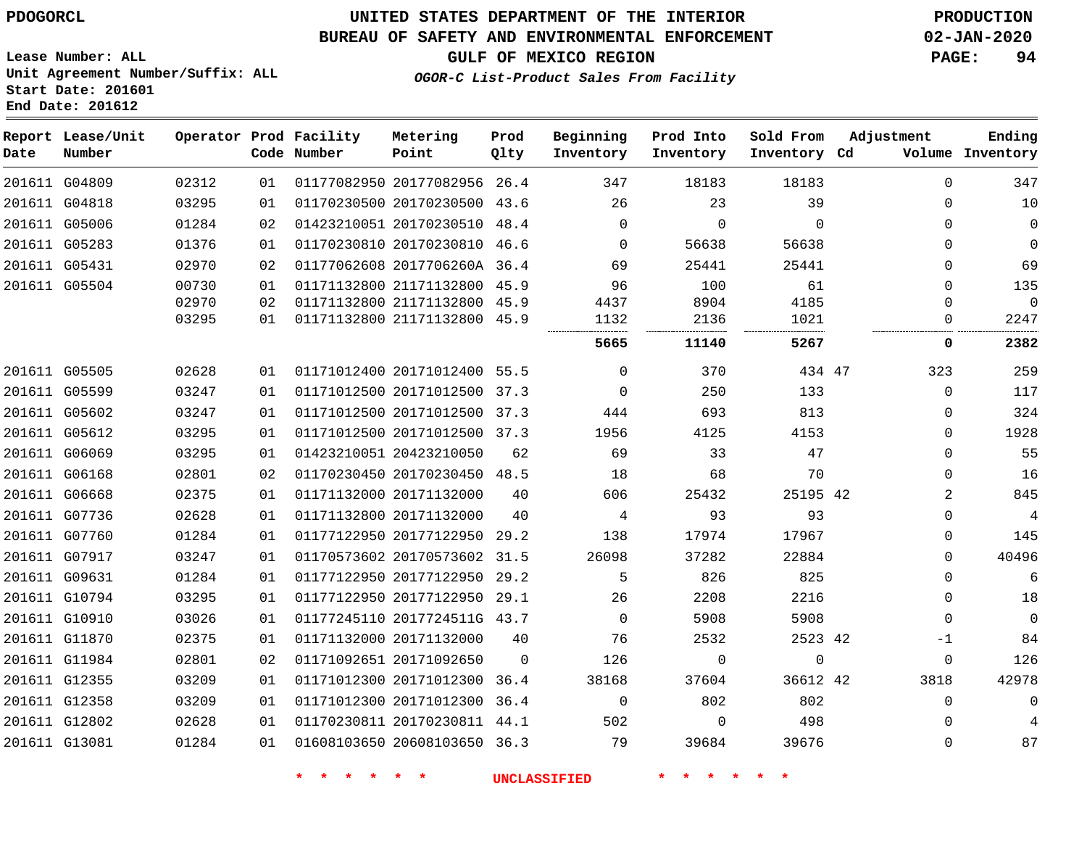**Report Lease/Unit**

**Number**

G04809

**Date**

G13081

## **UNITED STATES DEPARTMENT OF THE INTERIOR PDOGORCL PRODUCTION**

**Prod Qlty**

#### **BUREAU OF SAFETY AND ENVIRONMENTAL ENFORCEMENT 02-JAN-2020**

**Lease Number: ALL Unit Agreement Number/Suffix: ALL Start Date: 201601**

**Operator Prod Facility**

**Code Number**

20177082956 26.4

**Metering Point**

**OGOR-C List-Product Sales From Facility**

**Sold From Inventory**

**Prod Into Inventory**

**Beginning Inventory**

**GULF OF MEXICO REGION PAGE: 94**

**Inventory Cd Volume**

**Adjustment**

  $\Omega$  $\Omega$   $\Omega$  $\Omega$  $\Omega$ 

**Ending**

| 201611 G04818 | 03295 | 01 | 01170230500 20170230500 43.6 |          | 26       | 23       | 39            | 0            | 10    |
|---------------|-------|----|------------------------------|----------|----------|----------|---------------|--------------|-------|
| 201611 G05006 | 01284 | 02 | 01423210051 20170230510 48.4 |          | 0        | $\Omega$ | $\Omega$      | $\Omega$     | 0     |
| 201611 G05283 | 01376 | 01 | 01170230810 20170230810 46.6 |          | $\Omega$ | 56638    | 56638         | 0            | 0     |
| 201611 G05431 | 02970 | 02 | 01177062608 2017706260A 36.4 |          | 69       | 25441    | 25441         | 0            | 69    |
| 201611 G05504 | 00730 | 01 | 01171132800 21171132800 45.9 |          | 96       | 100      | 61            | <sup>n</sup> | 135   |
|               | 02970 | 02 | 01171132800 21171132800 45.9 |          | 4437     | 8904     | 4185          | U            | 0     |
|               | 03295 | 01 | 01171132800 21171132800 45.9 |          | 1132     | 2136     | 1021<br>.<br> |              | 2247  |
|               |       |    |                              |          | 5665     | 11140    | 5267          | 0            | 2382  |
| 201611 G05505 | 02628 | 01 | 01171012400 20171012400 55.5 |          | $\Omega$ | 370      | 434 47        | 323          | 259   |
| 201611 G05599 | 03247 | 01 | 01171012500 20171012500 37.3 |          | $\Omega$ | 250      | 133           | $\Omega$     | 117   |
| 201611 G05602 | 03247 | 01 | 01171012500 20171012500 37.3 |          | 444      | 693      | 813           | 0            | 324   |
| 201611 G05612 | 03295 | 01 | 01171012500 20171012500 37.3 |          | 1956     | 4125     | 4153          | 0            | 1928  |
| 201611 G06069 | 03295 | 01 | 01423210051 20423210050      | 62       | 69       | 33       | 47            | $\Omega$     | 55    |
| 201611 G06168 | 02801 | 02 | 01170230450 20170230450 48.5 |          | 18       | 68       | 70            | $\Omega$     | 16    |
| 201611 G06668 | 02375 | 01 | 01171132000 20171132000      | 40       | 606      | 25432    | 25195 42      | 2            | 845   |
| 201611 G07736 | 02628 | 01 | 01171132800 20171132000      | 40       | 4        | 93       | 93            | $\Omega$     | 4     |
| 201611 G07760 | 01284 | 01 | 01177122950 20177122950 29.2 |          | 138      | 17974    | 17967         | 0            | 145   |
| 201611 G07917 | 03247 | 01 | 01170573602 20170573602 31.5 |          | 26098    | 37282    | 22884         | 0            | 40496 |
| 201611 G09631 | 01284 | 01 | 01177122950 20177122950 29.2 |          | 5        | 826      | 825           | 0            | 6     |
| 201611 G10794 | 03295 | 01 | 01177122950 20177122950      | 29.1     | 26       | 2208     | 2216          | 0            | 18    |
| 201611 G10910 | 03026 | 01 | 01177245110 2017724511G 43.7 |          | $\Omega$ | 5908     | 5908          | $\Omega$     | 0     |
| 201611 G11870 | 02375 | 01 | 01171132000 20171132000      | 40       | 76       | 2532     | 2523 42       | -1           | 84    |
| 201611 G11984 | 02801 | 02 | 01171092651 20171092650      | $\Omega$ | 126      | $\Omega$ | $\Omega$      | 0            | 126   |
| 201611 G12355 | 03209 | 01 | 01171012300 20171012300      | 36.4     | 38168    | 37604    | 36612 42      | 3818         | 42978 |
| 201611 G12358 | 03209 | 01 | 01171012300 20171012300 36.4 |          | $\Omega$ | 802      | 802           | $\Omega$     |       |
| 201611 G12802 | 02628 | 01 | 01170230811 20170230811 44.1 |          | 502      | $\Omega$ | 498           | $\Omega$     | 4     |

20608103650 36.3

**\* \* \* \* \* \* UNCLASSIFIED \* \* \* \* \* \***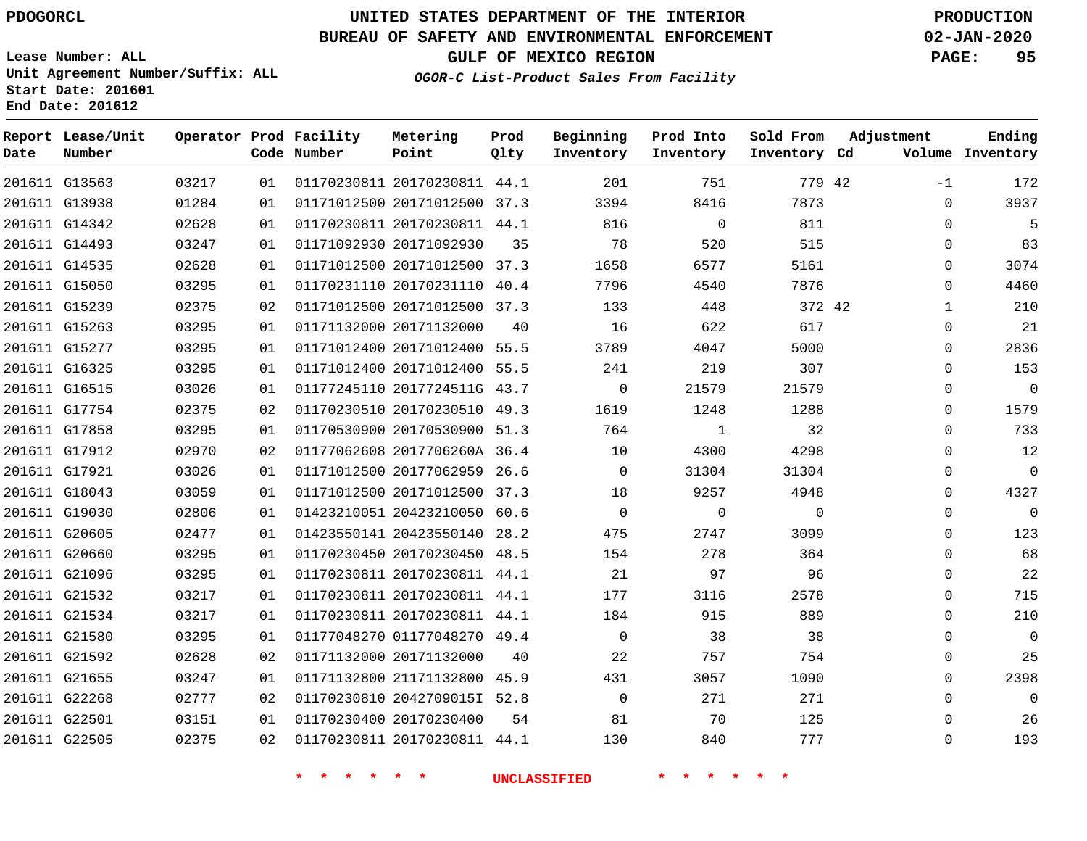G22505

# **UNITED STATES DEPARTMENT OF THE INTERIOR PDOGORCL PRODUCTION**

#### **BUREAU OF SAFETY AND ENVIRONMENTAL ENFORCEMENT 02-JAN-2020**

**Lease Number: ALL Unit Agreement Number/Suffix: ALL Start Date: 201601**

**OGOR-C List-Product Sales From Facility**

**GULF OF MEXICO REGION PAGE: 95**

**Ending**

| Date | Report Lease/Unit<br>Number |       |    | Operator Prod Facility<br>Code Number | Metering<br>Point            | Prod<br>Qlty | Beginning<br>Inventory | Prod Into<br>Inventory | Sold From<br>Inventory Cd | Adjustment   | Ending<br>Volume Inventory |
|------|-----------------------------|-------|----|---------------------------------------|------------------------------|--------------|------------------------|------------------------|---------------------------|--------------|----------------------------|
|      |                             |       |    |                                       |                              |              |                        |                        |                           |              |                            |
|      | 201611 G13563               | 03217 | 01 |                                       | 01170230811 20170230811 44.1 |              | 201                    | 751                    | 779 42                    | $-1$         | 172                        |
|      | 201611 G13938               | 01284 | 01 |                                       | 01171012500 20171012500 37.3 |              | 3394                   | 8416                   | 7873                      | 0            | 3937                       |
|      | 201611 G14342               | 02628 | 01 |                                       | 01170230811 20170230811 44.1 |              | 816                    | $\mathbf 0$            | 811                       | $\mathbf 0$  | 5                          |
|      | 201611 G14493               | 03247 | 01 |                                       | 01171092930 20171092930      | 35           | 78                     | 520                    | 515                       | $\Omega$     | 83                         |
|      | 201611 G14535               | 02628 | 01 |                                       | 01171012500 20171012500 37.3 |              | 1658                   | 6577                   | 5161                      | $\mathbf 0$  | 3074                       |
|      | 201611 G15050               | 03295 | 01 |                                       | 01170231110 20170231110 40.4 |              | 7796                   | 4540                   | 7876                      | $\Omega$     | 4460                       |
|      | 201611 G15239               | 02375 | 02 |                                       | 01171012500 20171012500 37.3 |              | 133                    | 448                    | 372 42                    | $\mathbf 1$  | 210                        |
|      | 201611 G15263               | 03295 | 01 |                                       | 01171132000 20171132000      | 40           | 16                     | 622                    | 617                       | $\Omega$     | 21                         |
|      | 201611 G15277               | 03295 | 01 |                                       | 01171012400 20171012400 55.5 |              | 3789                   | 4047                   | 5000                      | $\Omega$     | 2836                       |
|      | 201611 G16325               | 03295 | 01 |                                       | 01171012400 20171012400 55.5 |              | 241                    | 219                    | 307                       | $\Omega$     | 153                        |
|      | 201611 G16515               | 03026 | 01 |                                       | 01177245110 2017724511G 43.7 |              | $\Omega$               | 21579                  | 21579                     | 0            | $\mathbf 0$                |
|      | 201611 G17754               | 02375 | 02 |                                       | 01170230510 20170230510 49.3 |              | 1619                   | 1248                   | 1288                      | 0            | 1579                       |
|      | 201611 G17858               | 03295 | 01 |                                       | 01170530900 20170530900 51.3 |              | 764                    | 1                      | 32                        | 0            | 733                        |
|      | 201611 G17912               | 02970 | 02 |                                       | 01177062608 2017706260A 36.4 |              | 10                     | 4300                   | 4298                      | 0            | 12                         |
|      | 201611 G17921               | 03026 | 01 |                                       | 01171012500 20177062959 26.6 |              | $\Omega$               | 31304                  | 31304                     | 0            | $\mathbf 0$                |
|      | 201611 G18043               | 03059 | 01 |                                       | 01171012500 20171012500 37.3 |              | 18                     | 9257                   | 4948                      | $\mathbf 0$  | 4327                       |
|      | 201611 G19030               | 02806 | 01 |                                       | 01423210051 20423210050 60.6 |              | $\Omega$               | $\mathbf 0$            | $\Omega$                  | $\Omega$     | $\overline{0}$             |
|      | 201611 G20605               | 02477 | 01 |                                       | 01423550141 20423550140 28.2 |              | 475                    | 2747                   | 3099                      | $\Omega$     | 123                        |
|      | 201611 G20660               | 03295 | 01 |                                       | 01170230450 20170230450 48.5 |              | 154                    | 278                    | 364                       | $\Omega$     | 68                         |
|      | 201611 G21096               | 03295 | 01 |                                       | 01170230811 20170230811 44.1 |              | 21                     | 97                     | 96                        | 0            | 22                         |
|      | 201611 G21532               | 03217 | 01 |                                       | 01170230811 20170230811 44.1 |              | 177                    | 3116                   | 2578                      | $\Omega$     | 715                        |
|      | 201611 G21534               | 03217 | 01 |                                       | 01170230811 20170230811 44.1 |              | 184                    | 915                    | 889                       | 0            | 210                        |
|      | 201611 G21580               | 03295 | 01 |                                       | 01177048270 01177048270 49.4 |              | $\Omega$               | 38                     | 38                        | 0            | $\mathbf 0$                |
|      | 201611 G21592               | 02628 | 02 |                                       | 01171132000 20171132000      | 40           | 22                     | 757                    | 754                       | 0            | 25                         |
|      | 201611 G21655               | 03247 | 01 |                                       | 01171132800 21171132800 45.9 |              | 431                    | 3057                   | 1090                      | $\Omega$     | 2398                       |
|      | 201611 G22268               | 02777 | 02 |                                       | 01170230810 2042709015I 52.8 |              | $\Omega$               | 271                    | 271                       | $\Omega$     | $\Omega$                   |
|      | 201611 G22501               | 03151 | 01 |                                       | 01170230400 20170230400      | 54           | 81                     | 70                     | 125                       | $\mathbf{0}$ | 26                         |

**\* \* \* \* \* \* UNCLASSIFIED \* \* \* \* \* \***

01170230811 20170230811 44.1

 $\Omega$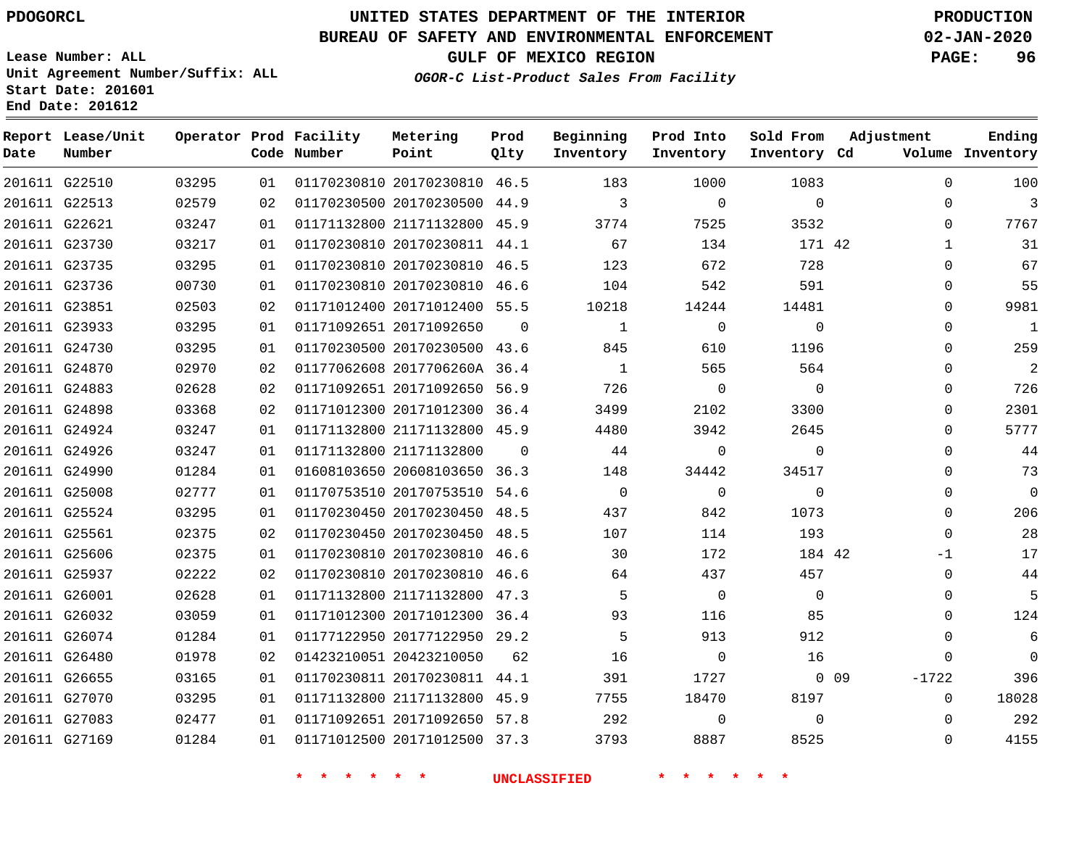# **UNITED STATES DEPARTMENT OF THE INTERIOR PDOGORCL PRODUCTION**

## **BUREAU OF SAFETY AND ENVIRONMENTAL ENFORCEMENT 02-JAN-2020**

**Lease Number: ALL Unit Agreement Number/Suffix: ALL Start Date: 201601**

**End Date: 201612**

**GULF OF MEXICO REGION PAGE: 96**

**OGOR-C List-Product Sales From Facility**

| Date | Report Lease/Unit<br>Number |       |    | Operator Prod Facility<br>Code Number | Metering<br>Point            | Prod<br>Olty | Beginning<br>Inventory | Prod Into<br>Inventory | Sold From<br>Inventory Cd | Adjustment        | Ending<br>Volume Inventory |
|------|-----------------------------|-------|----|---------------------------------------|------------------------------|--------------|------------------------|------------------------|---------------------------|-------------------|----------------------------|
|      | 201611 G22510               | 03295 | 01 |                                       | 01170230810 20170230810 46.5 |              | 183                    | 1000                   | 1083                      | $\Omega$          | 100                        |
|      | 201611 G22513               | 02579 | 02 |                                       | 01170230500 20170230500 44.9 |              | 3                      | $\Omega$               | $\Omega$                  | $\Omega$          | 3                          |
|      | 201611 G22621               | 03247 | 01 |                                       | 01171132800 21171132800 45.9 |              | 3774                   | 7525                   | 3532                      | $\Omega$          | 7767                       |
|      | 201611 G23730               | 03217 | 01 |                                       | 01170230810 20170230811 44.1 |              | 67                     | 134                    | 171 42                    | $\mathbf{1}$      | 31                         |
|      | 201611 G23735               | 03295 | 01 |                                       | 01170230810 20170230810 46.5 |              | 123                    | 672                    | 728                       | $\Omega$          | 67                         |
|      | 201611 G23736               | 00730 | 01 |                                       | 01170230810 20170230810 46.6 |              | 104                    | 542                    | 591                       | $\mathbf 0$       | 55                         |
|      | 201611 G23851               | 02503 | 02 |                                       | 01171012400 20171012400 55.5 |              | 10218                  | 14244                  | 14481                     | $\Omega$          | 9981                       |
|      | 201611 G23933               | 03295 | 01 |                                       | 01171092651 20171092650      | $\Omega$     | $\mathbf{1}$           | $\mathbf 0$            | $\mathbf 0$               | $\mathbf 0$       | $\mathbf{1}$               |
|      | 201611 G24730               | 03295 | 01 |                                       | 01170230500 20170230500 43.6 |              | 845                    | 610                    | 1196                      | $\Omega$          | 259                        |
|      | 201611 G24870               | 02970 | 02 |                                       | 01177062608 2017706260A 36.4 |              | $\mathbf{1}$           | 565                    | 564                       | $\mathbf 0$       | $\overline{2}$             |
|      | 201611 G24883               | 02628 | 02 |                                       | 01171092651 20171092650 56.9 |              | 726                    | $\Omega$               | $\Omega$                  | $\mathbf 0$       | 726                        |
|      | 201611 G24898               | 03368 | 02 |                                       | 01171012300 20171012300 36.4 |              | 3499                   | 2102                   | 3300                      | $\mathbf 0$       | 2301                       |
|      | 201611 G24924               | 03247 | 01 |                                       | 01171132800 21171132800 45.9 |              | 4480                   | 3942                   | 2645                      | 0                 | 5777                       |
|      | 201611 G24926               | 03247 | 01 |                                       | 01171132800 21171132800      | $\Omega$     | 44                     | $\Omega$               | $\Omega$                  | $\Omega$          | 44                         |
|      | 201611 G24990               | 01284 | 01 |                                       | 01608103650 20608103650 36.3 |              | 148                    | 34442                  | 34517                     | $\Omega$          | 73                         |
|      | 201611 G25008               | 02777 | 01 |                                       | 01170753510 20170753510 54.6 |              | $\mathbf{0}$           | $\mathbf 0$            | $\Omega$                  | $\mathbf 0$       | $\Omega$                   |
|      | 201611 G25524               | 03295 | 01 |                                       | 01170230450 20170230450 48.5 |              | 437                    | 842                    | 1073                      | $\Omega$          | 206                        |
|      | 201611 G25561               | 02375 | 02 |                                       | 01170230450 20170230450 48.5 |              | 107                    | 114                    | 193                       | $\mathbf 0$       | 28                         |
|      | 201611 G25606               | 02375 | 01 |                                       | 01170230810 20170230810 46.6 |              | 30                     | 172                    | 184 42                    | $-1$              | 17                         |
|      | 201611 G25937               | 02222 | 02 |                                       | 01170230810 20170230810 46.6 |              | 64                     | 437                    | 457                       | $\mathbf 0$       | 44                         |
|      | 201611 G26001               | 02628 | 01 |                                       | 01171132800 21171132800 47.3 |              | 5                      | $\overline{0}$         | $\Omega$                  | $\Omega$          | 5                          |
|      | 201611 G26032               | 03059 | 01 |                                       | 01171012300 20171012300 36.4 |              | 93                     | 116                    | 85                        | $\mathbf 0$       | 124                        |
|      | 201611 G26074               | 01284 | 01 |                                       | 01177122950 20177122950 29.2 |              | 5                      | 913                    | 912                       | $\Omega$          | 6                          |
|      | 201611 G26480               | 01978 | 02 |                                       | 01423210051 20423210050      | 62           | 16                     | $\mathbf 0$            | 16                        | $\mathbf 0$       | $\Omega$                   |
|      | 201611 G26655               | 03165 | 01 |                                       | 01170230811 20170230811 44.1 |              | 391                    | 1727                   |                           | $0$ 09<br>$-1722$ | 396                        |
|      | 201611 G27070               | 03295 | 01 |                                       | 01171132800 21171132800 45.9 |              | 7755                   | 18470                  | 8197                      | $\mathbf 0$       | 18028                      |
|      | 201611 G27083               | 02477 | 01 |                                       | 01171092651 20171092650 57.8 |              | 292                    | 0                      | $\Omega$                  | $\Omega$          | 292                        |
|      | 201611 G27169               | 01284 | 01 |                                       | 01171012500 20171012500 37.3 |              | 3793                   | 8887                   | 8525                      | $\Omega$          | 4155                       |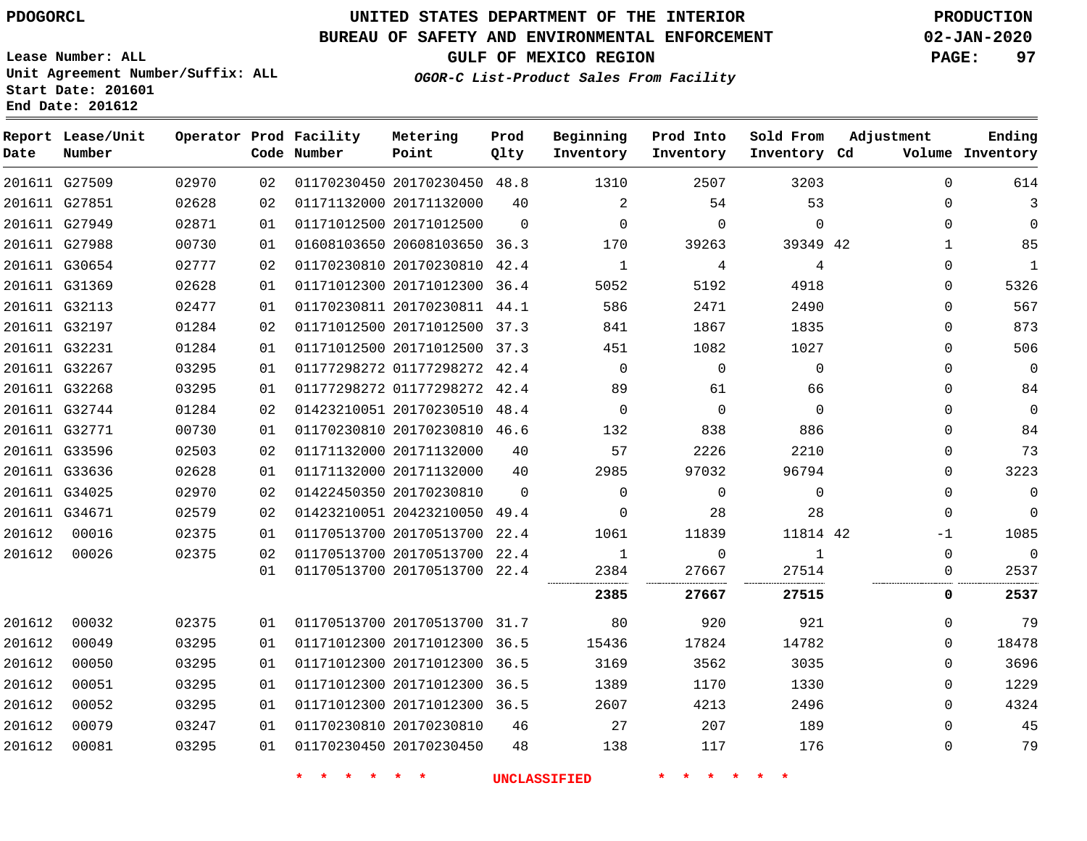**Report Lease/Unit**

# **UNITED STATES DEPARTMENT OF THE INTERIOR PDOGORCL PRODUCTION**

## **BUREAU OF SAFETY AND ENVIRONMENTAL ENFORCEMENT 02-JAN-2020**

**Lease Number: ALL Unit Agreement Number/Suffix: ALL Start Date: 201601**

**Operator Prod Facility**

**GULF OF MEXICO REGION PAGE: 97**

**Prod**

**Metering**

**Adjustment**

**Ending**

**OGOR-C List-Product Sales From Facility**

**Beginning Prod Into Sold From**

| Date   | Number        |       |    | Code Number | Point                        | Qlty     | Inventory    | Inventory   | Inventory Cd |              | Volume Inventory |
|--------|---------------|-------|----|-------------|------------------------------|----------|--------------|-------------|--------------|--------------|------------------|
|        | 201611 G27509 | 02970 | 02 |             | 01170230450 20170230450 48.8 |          | 1310         | 2507        | 3203         | $\Omega$     | 614              |
|        | 201611 G27851 | 02628 | 02 |             | 01171132000 20171132000      | 40       | 2            | 54          | 53           | 0            | 3                |
|        | 201611 G27949 | 02871 | 01 |             | 01171012500 20171012500      | $\Omega$ | $\Omega$     | $\mathbf 0$ | $\mathbf{0}$ | $\Omega$     | 0                |
|        | 201611 G27988 | 00730 | 01 |             | 01608103650 20608103650 36.3 |          | 170          | 39263       | 39349 42     | $\mathbf{1}$ | 85               |
|        | 201611 G30654 | 02777 | 02 |             | 01170230810 20170230810 42.4 |          | $\mathbf{1}$ | 4           | 4            | $\Omega$     | 1                |
|        | 201611 G31369 | 02628 | 01 |             | 01171012300 20171012300 36.4 |          | 5052         | 5192        | 4918         | 0            | 5326             |
|        | 201611 G32113 | 02477 | 01 |             | 01170230811 20170230811 44.1 |          | 586          | 2471        | 2490         | 0            | 567              |
|        | 201611 G32197 | 01284 | 02 |             | 01171012500 20171012500 37.3 |          | 841          | 1867        | 1835         | $\Omega$     | 873              |
|        | 201611 G32231 | 01284 | 01 |             | 01171012500 20171012500 37.3 |          | 451          | 1082        | 1027         | $\Omega$     | 506              |
|        | 201611 G32267 | 03295 | 01 |             | 01177298272 01177298272 42.4 |          | $\Omega$     | $\mathbf 0$ | $\mathbf{0}$ | $\Omega$     | 0                |
|        | 201611 G32268 | 03295 | 01 |             | 01177298272 01177298272 42.4 |          | 89           | 61          | 66           | $\Omega$     | 84               |
|        | 201611 G32744 | 01284 | 02 |             | 01423210051 20170230510 48.4 |          | $\Omega$     | $\mathbf 0$ | $\Omega$     | $\Omega$     | 0                |
|        | 201611 G32771 | 00730 | 01 |             | 01170230810 20170230810 46.6 |          | 132          | 838         | 886          | $\Omega$     | 84               |
|        | 201611 G33596 | 02503 | 02 |             | 01171132000 20171132000      | 40       | 57           | 2226        | 2210         | $\Omega$     | 73               |
|        | 201611 G33636 | 02628 | 01 |             | 01171132000 20171132000      | 40       | 2985         | 97032       | 96794        | 0            | 3223             |
|        | 201611 G34025 | 02970 | 02 |             | 01422450350 20170230810      | $\Omega$ | $\mathbf 0$  | $\mathbf 0$ | $\mathbf 0$  | 0            | 0                |
|        | 201611 G34671 | 02579 | 02 |             | 01423210051 20423210050 49.4 |          | $\Omega$     | 28          | 28           | $\Omega$     | $\Omega$         |
| 201612 | 00016         | 02375 | 01 |             | 01170513700 20170513700 22.4 |          | 1061         | 11839       | 11814 42     | $-1$         | 1085             |
| 201612 | 00026         | 02375 | 02 |             | 01170513700 20170513700 22.4 |          | 1            | $\mathbf 0$ | $\mathbf{1}$ | $\Omega$     | $\Omega$         |
|        |               |       | 01 |             | 01170513700 20170513700 22.4 |          | 2384<br>     | 27667       | 27514<br>    | 0<br>        | 2537             |
|        |               |       |    |             |                              |          | 2385         | 27667       | 27515        | 0            | 2537             |
| 201612 | 00032         | 02375 | 01 |             | 01170513700 20170513700 31.7 |          | 80           | 920         | 921          | $\Omega$     | 79               |
| 201612 | 00049         | 03295 | 01 |             | 01171012300 20171012300 36.5 |          | 15436        | 17824       | 14782        | $\Omega$     | 18478            |
| 201612 | 00050         | 03295 | 01 |             | 01171012300 20171012300 36.5 |          | 3169         | 3562        | 3035         | 0            | 3696             |
| 201612 | 00051         | 03295 | 01 |             | 01171012300 20171012300 36.5 |          | 1389         | 1170        | 1330         | $\Omega$     | 1229             |
| 201612 | 00052         | 03295 | 01 |             | 01171012300 20171012300 36.5 |          | 2607         | 4213        | 2496         | $\Omega$     | 4324             |
| 201612 | 00079         | 03247 | 01 |             | 01170230810 20170230810      | 46       | 27           | 207         | 189          | $\Omega$     | 45               |
| 201612 | 00081         | 03295 | 01 |             | 01170230450 20170230450      | 48       | 138          | 117         | 176          | 0            | 79               |
|        |               |       |    |             |                              |          |              |             |              |              |                  |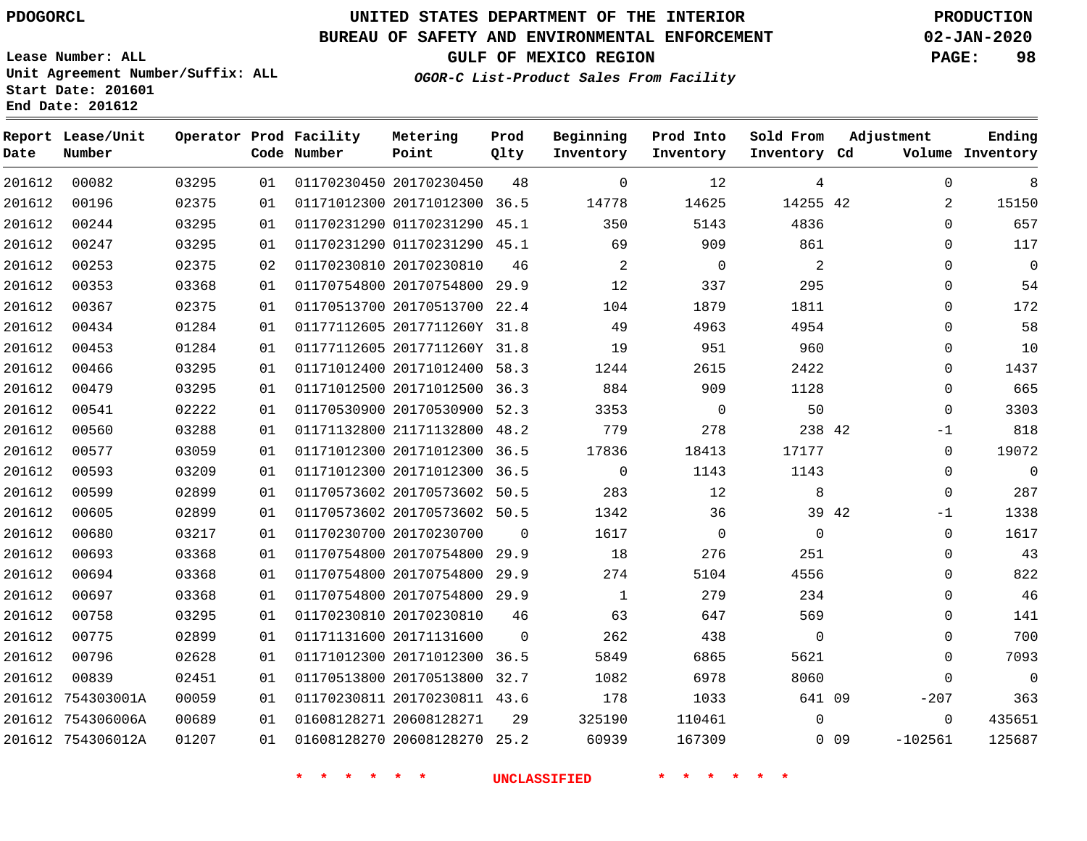**Report Date**

**End Date: 201612**

## **UNITED STATES DEPARTMENT OF THE INTERIOR PDOGORCL PRODUCTION**

#### **BUREAU OF SAFETY AND ENVIRONMENTAL ENFORCEMENT 02-JAN-2020**

**Lease Number: ALL Unit Agreement Number/Suffix: ALL Start Date: 201601**

**OGOR-C List-Product Sales From Facility**

**GULF OF MEXICO REGION PAGE: 98**

| Lease/Unit<br>Number |       |    | Operator Prod Facility<br>Code Number | Metering<br>Point            | Prod<br>Qlty | Beginning<br>Inventory | Prod Into<br>Inventory | Sold From<br>Inventory Cd | Adjustment          | Ending<br>Volume Inventory |
|----------------------|-------|----|---------------------------------------|------------------------------|--------------|------------------------|------------------------|---------------------------|---------------------|----------------------------|
| 00082                | 03295 | 01 |                                       | 01170230450 20170230450      | 48           | $\Omega$               | 12                     | 4                         | $\Omega$            | 8                          |
| 00196                | 02375 | 01 |                                       | 01171012300 20171012300 36.5 |              | 14778                  | 14625                  | 14255 42                  | $\overline{2}$      | 15150                      |
| 00244                | 03295 | 01 |                                       | 01170231290 01170231290      | 45.1         | 350                    | 5143                   | 4836                      | $\Omega$            | 657                        |
| 00247                | 03295 | 01 |                                       | 01170231290 01170231290      | 45.1         | 69                     | 909                    | 861                       | $\Omega$            | 117                        |
| 00253                | 02375 | 02 |                                       | 01170230810 20170230810      | 46           | 2                      | $\mathbf 0$            | 2                         | $\mathbf 0$         | $\mathbf 0$                |
| 00353                | 03368 | 01 |                                       | 01170754800 20170754800      | 29.9         | 12                     | 337                    | 295                       | $\mathbf 0$         | 54                         |
| 00367                | 02375 | 01 |                                       | 01170513700 20170513700      | 22.4         | 104                    | 1879                   | 1811                      | $\mathbf 0$         | 172                        |
| 00434                | 01284 | 01 |                                       | 01177112605 2017711260Y 31.8 |              | 49                     | 4963                   | 4954                      | $\Omega$            | 58                         |
| 00453                | 01284 | 01 |                                       | 01177112605 2017711260Y      | 31.8         | 19                     | 951                    | 960                       | 0                   | 10                         |
| 00466                | 03295 | 01 |                                       | 01171012400 20171012400      | 58.3         | 1244                   | 2615                   | 2422                      | $\Omega$            | 1437                       |
| 00479                | 03295 | 01 |                                       | 01171012500 20171012500      | 36.3         | 884                    | 909                    | 1128                      | $\Omega$            | 665                        |
| 00541                | 02222 | 01 |                                       | 01170530900 20170530900      | 52.3         | 3353                   | $\mathbf 0$            | 50                        | $\Omega$            | 3303                       |
| 00560                | 03288 | 01 |                                       | 01171132800 21171132800      | 48.2         | 779                    | 278                    | 238 42                    | $-1$                | 818                        |
| 00577                | 03059 | 01 |                                       | 01171012300 20171012300      | 36.5         | 17836                  | 18413                  | 17177                     | $\mathbf 0$         | 19072                      |
| 00593                | 03209 | 01 |                                       | 01171012300 20171012300      | 36.5         | 0                      | 1143                   | 1143                      | $\mathbf 0$         | $\mathbf 0$                |
| 00599                | 02899 | 01 |                                       | 01170573602 20170573602      | 50.5         | 283                    | 12                     | 8                         | $\mathbf 0$         | 287                        |
| 00605                | 02899 | 01 |                                       | 01170573602 20170573602 50.5 |              | 1342                   | 36                     | 39 42                     | $-1$                | 1338                       |
| 00680                | 03217 | 01 |                                       | 01170230700 20170230700      | $\Omega$     | 1617                   | $\mathbf 0$            | $\Omega$                  | $\mathbf 0$         | 1617                       |
| 00693                | 03368 | 01 |                                       | 01170754800 20170754800      | 29.9         | 18                     | 276                    | 251                       | $\Omega$            | 43                         |
| 00694                | 03368 | 01 |                                       | 01170754800 20170754800      | 29.9         | 274                    | 5104                   | 4556                      | 0                   | 822                        |
| 00697                | 03368 | 01 |                                       | 01170754800 20170754800      | 29.9         | $\mathbf{1}$           | 279                    | 234                       | $\mathbf 0$         | 46                         |
| 00758                | 03295 | 01 |                                       | 01170230810 20170230810      | 46           | 63                     | 647                    | 569                       | $\Omega$            | 141                        |
| 00775                | 02899 | 01 |                                       | 01171131600 20171131600      | $\Omega$     | 262                    | 438                    | $\Omega$                  | $\Omega$            | 700                        |
| 00796                | 02628 | 01 |                                       | 01171012300 20171012300 36.5 |              | 5849                   | 6865                   | 5621                      | $\Omega$            | 7093                       |
| 00839                | 02451 | 01 |                                       | 01170513800 20170513800      | 32.7         | 1082                   | 6978                   | 8060                      | $\Omega$            | $\Omega$                   |
| 754303001A           | 00059 | 01 |                                       | 01170230811 20170230811 43.6 |              | 178                    | 1033                   | 641 09                    | $-207$              | 363                        |
| 754306006A           | 00689 | 01 |                                       | 01608128271 20608128271      | 29           | 325190                 | 110461                 | 0                         | $\Omega$            | 435651                     |
| 754306012A           | 01207 | 01 |                                       | 01608128270 20608128270      | 25.2         | 60939                  | 167309                 |                           | $-102561$<br>$0$ 09 | 125687                     |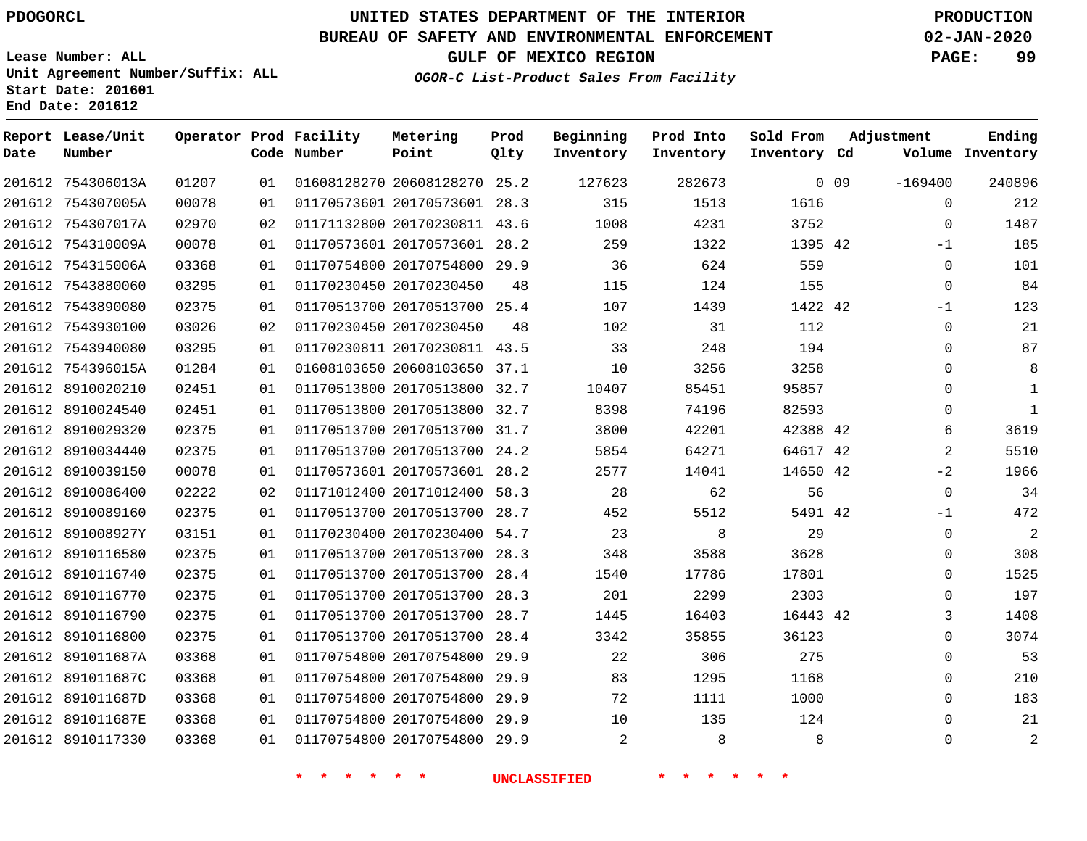#### **BUREAU OF SAFETY AND ENVIRONMENTAL ENFORCEMENT 02-JAN-2020**

**Lease Number: ALL Unit Agreement Number/Suffix: ALL Start Date: 201601 End Date: 201612**

**GULF OF MEXICO REGION PAGE: 99**

**OGOR-C List-Product Sales From Facility**

| Date | Report Lease/Unit<br>Number |       |    | Operator Prod Facility<br>Code Number | Metering<br>Point            | Prod<br>Qlty | Beginning<br>Inventory | Prod Into<br>Inventory | Sold From<br>Inventory Cd | Adjustment |             | Ending<br>Volume Inventory |
|------|-----------------------------|-------|----|---------------------------------------|------------------------------|--------------|------------------------|------------------------|---------------------------|------------|-------------|----------------------------|
|      | 201612 754306013A           | 01207 | 01 |                                       | 01608128270 20608128270 25.2 |              | 127623                 | 282673                 |                           | $0$ 09     | $-169400$   | 240896                     |
|      | 201612 754307005A           | 00078 | 01 |                                       | 01170573601 20170573601 28.3 |              | 315                    | 1513                   | 1616                      |            | $\mathbf 0$ | 212                        |
|      | 201612 754307017A           | 02970 | 02 |                                       | 01171132800 20170230811 43.6 |              | 1008                   | 4231                   | 3752                      |            | $\Omega$    | 1487                       |
|      | 201612 754310009A           | 00078 | 01 |                                       | 01170573601 20170573601 28.2 |              | 259                    | 1322                   | 1395 42                   |            | $-1$        | 185                        |
|      | 201612 754315006A           | 03368 | 01 |                                       | 01170754800 20170754800 29.9 |              | 36                     | 624                    | 559                       |            | $\mathbf 0$ | 101                        |
|      | 201612 7543880060           | 03295 | 01 |                                       | 01170230450 20170230450      | 48           | 115                    | 124                    | 155                       |            | $\mathbf 0$ | 84                         |
|      | 201612 7543890080           | 02375 | 01 |                                       | 01170513700 20170513700 25.4 |              | 107                    | 1439                   | 1422 42                   |            | $-1$        | 123                        |
|      | 201612 7543930100           | 03026 | 02 |                                       | 01170230450 20170230450      | 48           | 102                    | 31                     | 112                       |            | $\mathbf 0$ | 21                         |
|      | 201612 7543940080           | 03295 | 01 |                                       | 01170230811 20170230811 43.5 |              | 33                     | 248                    | 194                       |            | $\mathbf 0$ | 87                         |
|      | 201612 754396015A           | 01284 | 01 |                                       | 01608103650 20608103650 37.1 |              | 10                     | 3256                   | 3258                      |            | 0           | 8                          |
|      | 201612 8910020210           | 02451 | 01 |                                       | 01170513800 20170513800 32.7 |              | 10407                  | 85451                  | 95857                     |            | $\mathbf 0$ | 1                          |
|      | 201612 8910024540           | 02451 | 01 |                                       | 01170513800 20170513800      | 32.7         | 8398                   | 74196                  | 82593                     |            | $\mathbf 0$ | $\mathbf{1}$               |
|      | 201612 8910029320           | 02375 | 01 |                                       | 01170513700 20170513700 31.7 |              | 3800                   | 42201                  | 42388 42                  |            | 6           | 3619                       |
|      | 201612 8910034440           | 02375 | 01 |                                       | 01170513700 20170513700 24.2 |              | 5854                   | 64271                  | 64617 42                  |            | 2           | 5510                       |
|      | 201612 8910039150           | 00078 | 01 |                                       | 01170573601 20170573601 28.2 |              | 2577                   | 14041                  | 14650 42                  |            | $-2$        | 1966                       |
|      | 201612 8910086400           | 02222 | 02 |                                       | 01171012400 20171012400      | 58.3         | 28                     | 62                     | 56                        |            | $\mathbf 0$ | 34                         |
|      | 201612 8910089160           | 02375 | 01 |                                       | 01170513700 20170513700 28.7 |              | 452                    | 5512                   | 5491 42                   |            | $-1$        | 472                        |
|      | 201612 891008927Y           | 03151 | 01 |                                       | 01170230400 20170230400 54.7 |              | 23                     | 8                      | 29                        |            | $\Omega$    | 2                          |
|      | 201612 8910116580           | 02375 | 01 |                                       | 01170513700 20170513700 28.3 |              | 348                    | 3588                   | 3628                      |            | $\mathbf 0$ | 308                        |
|      | 201612 8910116740           | 02375 | 01 |                                       | 01170513700 20170513700      | 28.4         | 1540                   | 17786                  | 17801                     |            | $\mathbf 0$ | 1525                       |
|      | 201612 8910116770           | 02375 | 01 |                                       | 01170513700 20170513700 28.3 |              | 201                    | 2299                   | 2303                      |            | $\Omega$    | 197                        |
|      | 201612 8910116790           | 02375 | 01 |                                       | 01170513700 20170513700 28.7 |              | 1445                   | 16403                  | 16443 42                  |            | 3           | 1408                       |
|      | 201612 8910116800           | 02375 | 01 |                                       | 01170513700 20170513700 28.4 |              | 3342                   | 35855                  | 36123                     |            | $\Omega$    | 3074                       |
|      | 201612 891011687A           | 03368 | 01 |                                       | 01170754800 20170754800      | 29.9         | 22                     | 306                    | 275                       |            | $\mathbf 0$ | 53                         |
|      | 201612 891011687C           | 03368 | 01 |                                       | 01170754800 20170754800 29.9 |              | 83                     | 1295                   | 1168                      |            | 0           | 210                        |
|      | 201612 891011687D           | 03368 | 01 |                                       | 01170754800 20170754800      | 29.9         | 72                     | 1111                   | 1000                      |            | $\mathbf 0$ | 183                        |
|      | 201612 891011687E           | 03368 | 01 |                                       | 01170754800 20170754800 29.9 |              | 10                     | 135                    | 124                       |            | $\mathbf 0$ | 21                         |
|      | 201612 8910117330           | 03368 | 01 |                                       | 01170754800 20170754800 29.9 |              | 2                      | 8                      | 8                         |            | $\Omega$    | $\overline{2}$             |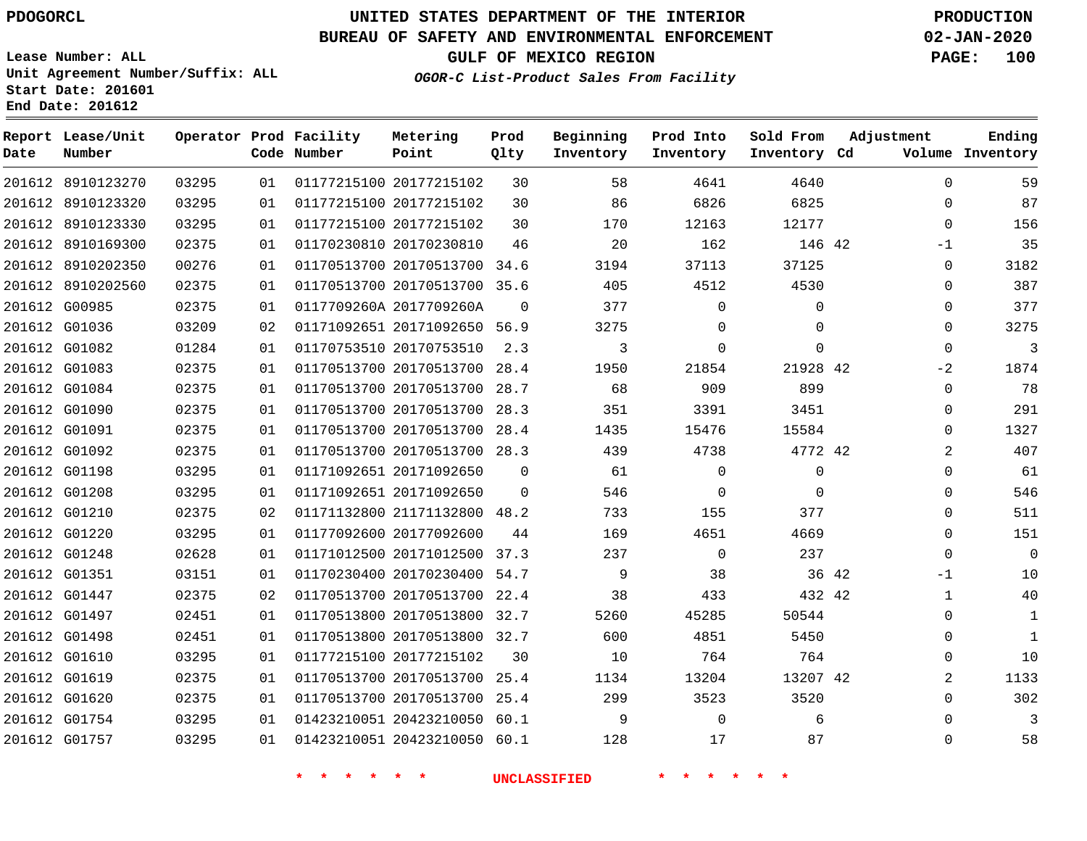**Date**

# **UNITED STATES DEPARTMENT OF THE INTERIOR PDOGORCL PRODUCTION**

**Prod Qlty**

#### **BUREAU OF SAFETY AND ENVIRONMENTAL ENFORCEMENT 02-JAN-2020**

**Lease Number: ALL Unit Agreement Number/Suffix: ALL Start Date: 201601**

**Operator Prod Facility**

**Code Number**

**Metering Point**

**End Date: 201612**

**Report Lease/Unit**

**Number**

**GULF OF MEXICO REGION PAGE: 100**

**Inventory Cd Volume**

**Adjustment**

**Ending**

**OGOR-C List-Product Sales From Facility**

**Beginning Inventory** **Prod Into Inventory** **Sold From Inventory**

| 201612 8910123270 | 03295 | 01 | 01177215100 20177215102      | 30       | 58   | 4641     | 4640     |       | 0            | 59           |
|-------------------|-------|----|------------------------------|----------|------|----------|----------|-------|--------------|--------------|
| 201612 8910123320 | 03295 | 01 | 01177215100 20177215102      | 30       | 86   | 6826     | 6825     |       | $\Omega$     | 87           |
| 201612 8910123330 | 03295 | 01 | 01177215100 20177215102      | 30       | 170  | 12163    | 12177    |       | $\mathbf 0$  | 156          |
| 201612 8910169300 | 02375 | 01 | 01170230810 20170230810      | 46       | 20   | 162      | 146 42   |       | -1           | 35           |
| 201612 8910202350 | 00276 | 01 | 01170513700 20170513700 34.6 |          | 3194 | 37113    | 37125    |       | 0            | 3182         |
| 201612 8910202560 | 02375 | 01 | 01170513700 20170513700 35.6 |          | 405  | 4512     | 4530     |       | 0            | 387          |
| 201612 G00985     | 02375 | 01 | 0117709260A 2017709260A      | $\Omega$ | 377  | 0        | 0        |       | $\mathbf{0}$ | 377          |
| 201612 G01036     | 03209 | 02 | 01171092651 20171092650 56.9 |          | 3275 | $\Omega$ | $\Omega$ |       | 0            | 3275         |
| 201612 G01082     | 01284 | 01 | 01170753510 20170753510      | 2.3      | 3    | $\Omega$ | $\Omega$ |       | $\mathbf 0$  | 3            |
| 201612 G01083     | 02375 | 01 | 01170513700 20170513700      | 28.4     | 1950 | 21854    | 21928 42 |       | $-2$         | 1874         |
| 201612 G01084     | 02375 | 01 | 01170513700 20170513700      | 28.7     | 68   | 909      | 899      |       | 0            | 78           |
| 201612 G01090     | 02375 | 01 | 01170513700 20170513700      | 28.3     | 351  | 3391     | 3451     |       | 0            | 291          |
| 201612 G01091     | 02375 | 01 | 01170513700 20170513700      | 28.4     | 1435 | 15476    | 15584    |       | $\Omega$     | 1327         |
| 201612 G01092     | 02375 | 01 | 01170513700 20170513700 28.3 |          | 439  | 4738     | 4772 42  |       | 2            | 407          |
| 201612 G01198     | 03295 | 01 | 01171092651 20171092650      | $\Omega$ | 61   | $\Omega$ | $\Omega$ |       | $\Omega$     | 61           |
| 201612 G01208     | 03295 | 01 | 01171092651 20171092650      | $\Omega$ | 546  | $\Omega$ | $\Omega$ |       | $\Omega$     | 546          |
| 201612 G01210     | 02375 | 02 | 01171132800 21171132800 48.2 |          | 733  | 155      | 377      |       | $\Omega$     | 511          |
| 201612 G01220     | 03295 | 01 | 01177092600 20177092600      | 44       | 169  | 4651     | 4669     |       | 0            | 151          |
| 201612 G01248     | 02628 | 01 | 01171012500 20171012500 37.3 |          | 237  | $\Omega$ | 237      |       | $\Omega$     | 0            |
| 201612 G01351     | 03151 | 01 | 01170230400 20170230400      | 54.7     | 9    | 38       |          | 36 42 | -1           | 10           |
| 201612 G01447     | 02375 | 02 | 01170513700 20170513700 22.4 |          | 38   | 433      | 432 42   |       | 1            | 40           |
| 201612 G01497     | 02451 | 01 | 01170513800 20170513800 32.7 |          | 5260 | 45285    | 50544    |       | $\Omega$     | $\mathbf 1$  |
| 201612 G01498     | 02451 | 01 | 01170513800 20170513800      | 32.7     | 600  | 4851     | 5450     |       | 0            | $\mathbf{1}$ |
| 201612 G01610     | 03295 | 01 | 01177215100 20177215102      | 30       | 10   | 764      | 764      |       | $\Omega$     | 10           |
| 201612 G01619     | 02375 | 01 | 01170513700 20170513700 25.4 |          | 1134 | 13204    | 13207 42 |       | 2            | 1133         |
| 201612 G01620     | 02375 | 01 | 01170513700 20170513700      | 25.4     | 299  | 3523     | 3520     |       | $\Omega$     | 302          |
| 201612 G01754     | 03295 | 01 | 01423210051 20423210050 60.1 |          | 9    | $\Omega$ | 6        |       | $\Omega$     | 3            |
| 201612 G01757     | 03295 | 01 | 01423210051 20423210050 60.1 |          | 128  | 17       | 87       |       | $\mathbf 0$  | 58           |
|                   |       |    |                              |          |      |          |          |       |              |              |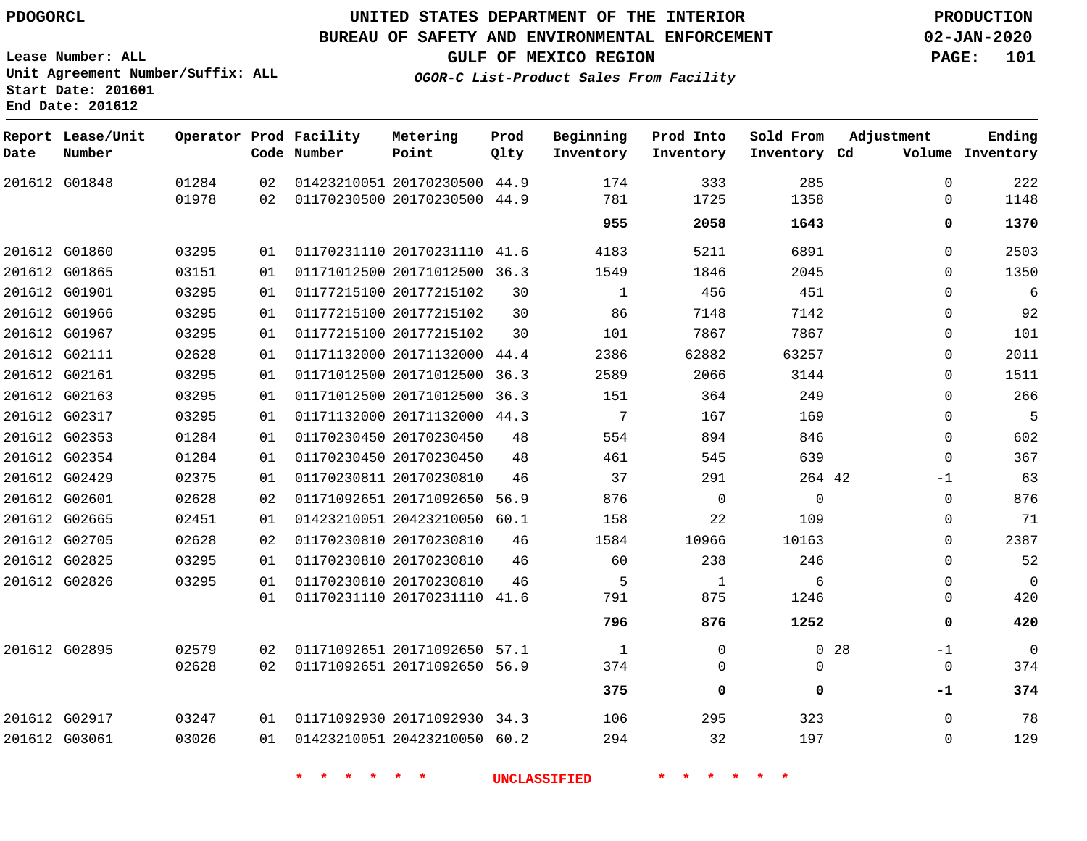**Date**

G03061

## **UNITED STATES DEPARTMENT OF THE INTERIOR PDOGORCL PRODUCTION**

#### **BUREAU OF SAFETY AND ENVIRONMENTAL ENFORCEMENT 02-JAN-2020**

**OGOR-C List-Product Sales From Facility**

**GULF OF MEXICO REGION PAGE: 101**

**Lease Number: ALL Unit Agreement Number/Suffix: ALL Start Date: 201601 End Date: 201612**

| Date | Report Lease/Unit<br>Number |       |    | Operator Prod Facility<br>Code Number | Metering<br>Point            | Prod<br>Qlty | Beginning<br>Inventory | Prod Into<br>Inventory | Sold From<br>Inventory Cd | Adjustment              | Ending<br>Volume Inventory |
|------|-----------------------------|-------|----|---------------------------------------|------------------------------|--------------|------------------------|------------------------|---------------------------|-------------------------|----------------------------|
|      | 201612 G01848               | 01284 | 02 |                                       | 01423210051 20170230500 44.9 |              | 174                    | 333                    | 285                       | $\Omega$                | 222                        |
|      |                             | 01978 | 02 |                                       | 01170230500 20170230500 44.9 |              | 781<br>                | 1725<br>.<br>          | 1358<br>                  | $\Omega$                | 1148                       |
|      |                             |       |    |                                       |                              |              | 955                    | 2058                   | 1643                      | 0                       | 1370                       |
|      | 201612 G01860               | 03295 | 01 |                                       | 01170231110 20170231110 41.6 |              | 4183                   | 5211                   | 6891                      | $\Omega$                | 2503                       |
|      | 201612 G01865               | 03151 | 01 |                                       | 01171012500 20171012500 36.3 |              | 1549                   | 1846                   | 2045                      | $\Omega$                | 1350                       |
|      | 201612 G01901               | 03295 | 01 |                                       | 01177215100 20177215102      | 30           | $\mathbf{1}$           | 456                    | 451                       | $\mathbf 0$             | 6                          |
|      | 201612 G01966               | 03295 | 01 |                                       | 01177215100 20177215102      | 30           | 86                     | 7148                   | 7142                      | $\mathbf 0$             | 92                         |
|      | 201612 G01967               | 03295 | 01 |                                       | 01177215100 20177215102      | 30           | 101                    | 7867                   | 7867                      | $\Omega$                | 101                        |
|      | 201612 G02111               | 02628 | 01 |                                       | 01171132000 20171132000 44.4 |              | 2386                   | 62882                  | 63257                     | $\Omega$                | 2011                       |
|      | 201612 G02161               | 03295 | 01 |                                       | 01171012500 20171012500      | 36.3         | 2589                   | 2066                   | 3144                      | $\Omega$                | 1511                       |
|      | 201612 G02163               | 03295 | 01 |                                       | 01171012500 20171012500 36.3 |              | 151                    | 364                    | 249                       | $\Omega$                | 266                        |
|      | 201612 G02317               | 03295 | 01 |                                       | 01171132000 20171132000 44.3 |              | 7                      | 167                    | 169                       | $\mathbf 0$             | 5                          |
|      | 201612 G02353               | 01284 | 01 |                                       | 01170230450 20170230450      | 48           | 554                    | 894                    | 846                       | $\mathbf 0$             | 602                        |
|      | 201612 G02354               | 01284 | 01 |                                       | 01170230450 20170230450      | 48           | 461                    | 545                    | 639                       | $\Omega$                | 367                        |
|      | 201612 G02429               | 02375 | 01 |                                       | 01170230811 20170230810      | 46           | 37                     | 291                    | 264 42                    | $-1$                    | 63                         |
|      | 201612 G02601               | 02628 | 02 |                                       | 01171092651 20171092650      | 56.9         | 876                    | $\Omega$               | $\Omega$                  | $\mathbf 0$             | 876                        |
|      | 201612 G02665               | 02451 | 01 |                                       | 01423210051 20423210050      | 60.1         | 158                    | 22                     | 109                       | $\mathbf 0$             | 71                         |
|      | 201612 G02705               | 02628 | 02 |                                       | 01170230810 20170230810      | 46           | 1584                   | 10966                  | 10163                     | $\Omega$                | 2387                       |
|      | 201612 G02825               | 03295 | 01 |                                       | 01170230810 20170230810      | 46           | 60                     | 238                    | 246                       | $\Omega$                | 52                         |
|      | 201612 G02826               | 03295 | 01 |                                       | 01170230810 20170230810      | 46           | 5                      | 1                      | 6                         | $\mathbf 0$             | $\Omega$                   |
|      |                             |       | 01 |                                       | 01170231110 20170231110 41.6 |              | 791                    | 875                    | 1246                      | $\mathbf 0$             | 420                        |
|      |                             |       |    |                                       |                              |              | 796                    | 876                    | 1252                      | 0                       | 420                        |
|      | 201612 G02895               | 02579 | 02 |                                       | 01171092651 20171092650 57.1 |              | 1                      | $\Omega$               |                           | 0 <sub>28</sub><br>$-1$ | $\Omega$                   |
|      |                             | 02628 | 02 |                                       | 01171092651 20171092650 56.9 |              | 374                    | $\Omega$               | $\Omega$                  | $\mathbf 0$             | 374                        |
|      |                             |       |    |                                       |                              |              | 375                    | 0                      | 0                         | -1                      | 374                        |
|      | 201612 G02917               | 03247 | 01 |                                       | 01171092930 20171092930 34.3 |              | 106                    | 295                    | 323                       | $\mathbf 0$             | 78                         |
|      | 201612 G03061               | 03026 | 01 |                                       | 01423210051 20423210050 60.2 |              | 294                    | 32                     | 197                       | $\Omega$                | 129                        |

**\* \* \* \* \* \* UNCLASSIFIED \* \* \* \* \* \***

01423210051 20423210050 60.2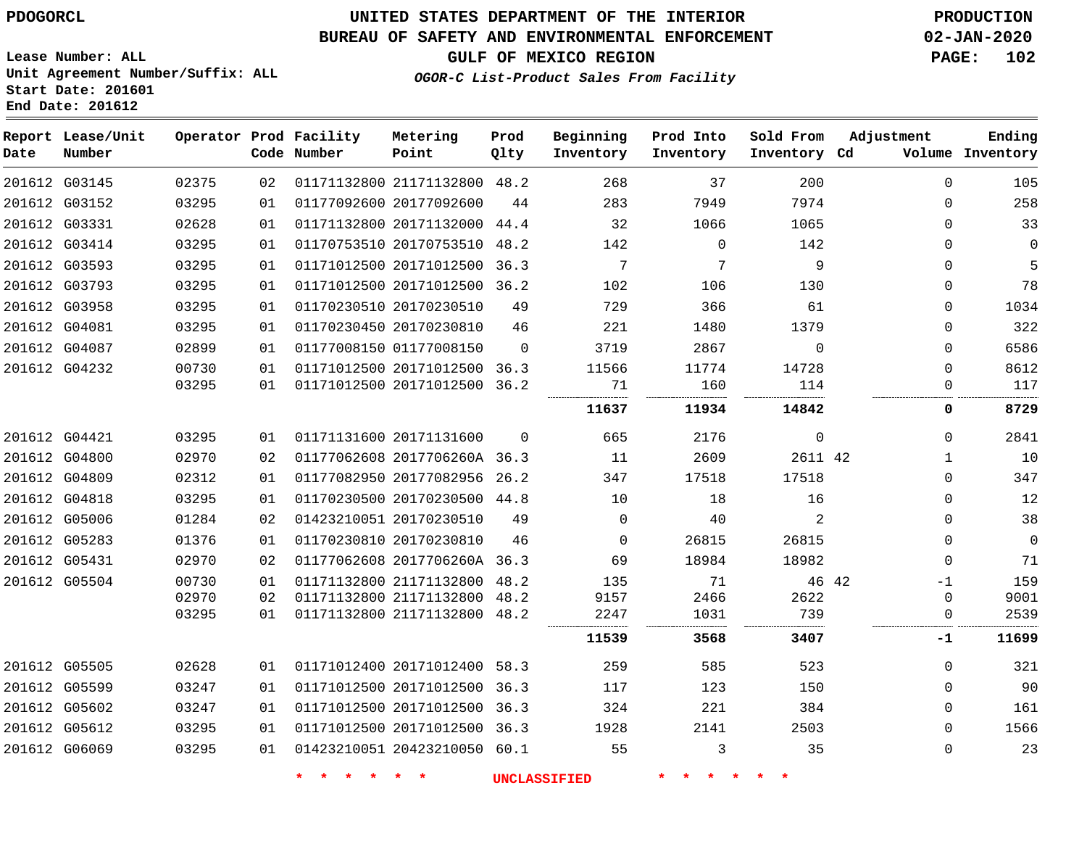**Lease Number: ALL**

**Start Date: 201601 End Date: 201612**

# **UNITED STATES DEPARTMENT OF THE INTERIOR PDOGORCL PRODUCTION**

## **BUREAU OF SAFETY AND ENVIRONMENTAL ENFORCEMENT 02-JAN-2020**

**Unit Agreement Number/Suffix: ALL**

**GULF OF MEXICO REGION PAGE: 102**

**OGOR-C List-Product Sales From Facility**

| Ending<br>Volume Inventory | Adjustment  |             | Sold From<br>Inventory Cd | Prod Into<br>Inventory | Beginning<br>Inventory | Prod<br>Qlty | Metering<br>Point            | Operator Prod Facility<br>Code Number |    |       | Report Lease/Unit<br>Number | Date |
|----------------------------|-------------|-------------|---------------------------|------------------------|------------------------|--------------|------------------------------|---------------------------------------|----|-------|-----------------------------|------|
| 105                        | $\Omega$    | 200         |                           | 37                     | 268                    |              | 01171132800 21171132800 48.2 |                                       | 02 | 02375 | 201612 G03145               |      |
| 258                        | $\Omega$    |             | 7974                      | 7949                   | 283                    | 44           |                              | 01177092600 20177092600               | 01 | 03295 | 201612 G03152               |      |
| 33                         | $\Omega$    |             | 1065                      | 1066                   | 32                     |              | 01171132800 20171132000 44.4 |                                       | 01 | 02628 | 201612 G03331               |      |
| $\overline{0}$             | $\Omega$    | 142         |                           | $\Omega$               | 142                    |              | 01170753510 20170753510 48.2 |                                       | 01 | 03295 | 201612 G03414               |      |
| 5                          | $\Omega$    | 9           |                           | $7\phantom{.0}$        | 7                      |              | 01171012500 20171012500 36.3 |                                       | 01 | 03295 | 201612 G03593               |      |
| 78                         | $\Omega$    | 130         |                           | 106                    | 102                    |              | 01171012500 20171012500 36.2 |                                       | 01 | 03295 | 201612 G03793               |      |
| 1034                       | $\Omega$    | 61          |                           | 366                    | 729                    | 49           |                              | 01170230510 20170230510               | 01 | 03295 | 201612 G03958               |      |
| 322                        | 0           |             | 1379                      | 1480                   | 221                    | 46           |                              | 01170230450 20170230810               | 01 | 03295 | 201612 G04081               |      |
| 6586                       | $\Omega$    | $\mathbf 0$ |                           | 2867                   | 3719                   | $\Omega$     |                              | 01177008150 01177008150               | 01 | 02899 | 201612 G04087               |      |
| 8612                       | $\Omega$    |             | 14728                     | 11774                  | 11566                  |              | 01171012500 20171012500 36.3 |                                       | 01 | 00730 | 201612 G04232               |      |
| 117                        | $\Omega$    | 114         |                           | 160                    | 71                     |              | 01171012500 20171012500 36.2 |                                       | 01 | 03295 |                             |      |
| 8729                       | 0           |             | 14842                     | 11934                  | 11637                  |              |                              |                                       |    |       |                             |      |
| 2841                       | $\Omega$    | $\mathbf 0$ |                           | 2176                   | 665                    | $\Omega$     |                              | 01171131600 20171131600               | 01 | 03295 | 201612 G04421               |      |
| 10                         | 1           | 2611 42     |                           | 2609                   | 11                     |              | 01177062608 2017706260A 36.3 |                                       | 02 | 02970 | 201612 G04800               |      |
| 347                        | $\Omega$    |             | 17518                     | 17518                  | 347                    |              | 01177082950 20177082956 26.2 |                                       | 01 | 02312 | 201612 G04809               |      |
| 12                         | $\mathbf 0$ | 16          |                           | 18                     | 10                     |              | 01170230500 20170230500 44.8 |                                       | 01 | 03295 | 201612 G04818               |      |
| 38                         | $\Omega$    | 2           |                           | 40                     | $\mathbf 0$            | 49           |                              | 01423210051 20170230510               | 02 | 01284 | 201612 G05006               |      |
| $\overline{0}$             | $\Omega$    |             | 26815                     | 26815                  | $\mathbf 0$            | 46           |                              | 01170230810 20170230810               | 01 | 01376 | 201612 G05283               |      |
| 71                         | $\Omega$    |             | 18982                     | 18984                  | 69                     |              | 01177062608 2017706260A 36.3 |                                       | 02 | 02970 | 201612 G05431               |      |
| 159                        | $-1$        | 46 42       |                           | 71                     | 135                    |              | 01171132800 21171132800 48.2 |                                       | 01 | 00730 | 201612 G05504               |      |
| 9001                       | $\Omega$    |             | 2622                      | 2466                   | 9157                   |              | 01171132800 21171132800 48.2 |                                       | 02 | 02970 |                             |      |
| 2539                       | $\mathbf 0$ | 739         |                           | 1031                   | 2247                   |              | 01171132800 21171132800 48.2 |                                       | 01 | 03295 |                             |      |
| 11699                      | $-1$        | 3407        |                           | 3568                   | 11539                  |              |                              |                                       |    |       |                             |      |
| 321                        | $\Omega$    | 523         |                           | 585                    | 259                    |              | 01171012400 20171012400 58.3 |                                       | 01 | 02628 | 201612 G05505               |      |
| 90                         | $\Omega$    | 150         |                           | 123                    | 117                    |              | 01171012500 20171012500 36.3 |                                       | 01 | 03247 | 201612 G05599               |      |
| 161                        | $\Omega$    | 384         |                           | 221                    | 324                    |              | 01171012500 20171012500 36.3 |                                       | 01 | 03247 | 201612 G05602               |      |
| 1566                       | $\Omega$    |             | 2503                      | 2141                   | 1928                   |              | 01171012500 20171012500 36.3 |                                       | 01 | 03295 | 201612 G05612               |      |
| 23                         | $\Omega$    | 35          |                           | 3                      | 55                     |              | 01423210051 20423210050 60.1 |                                       | 01 | 03295 | 201612 G06069               |      |
|                            |             |             |                           |                        |                        |              |                              |                                       |    |       |                             |      |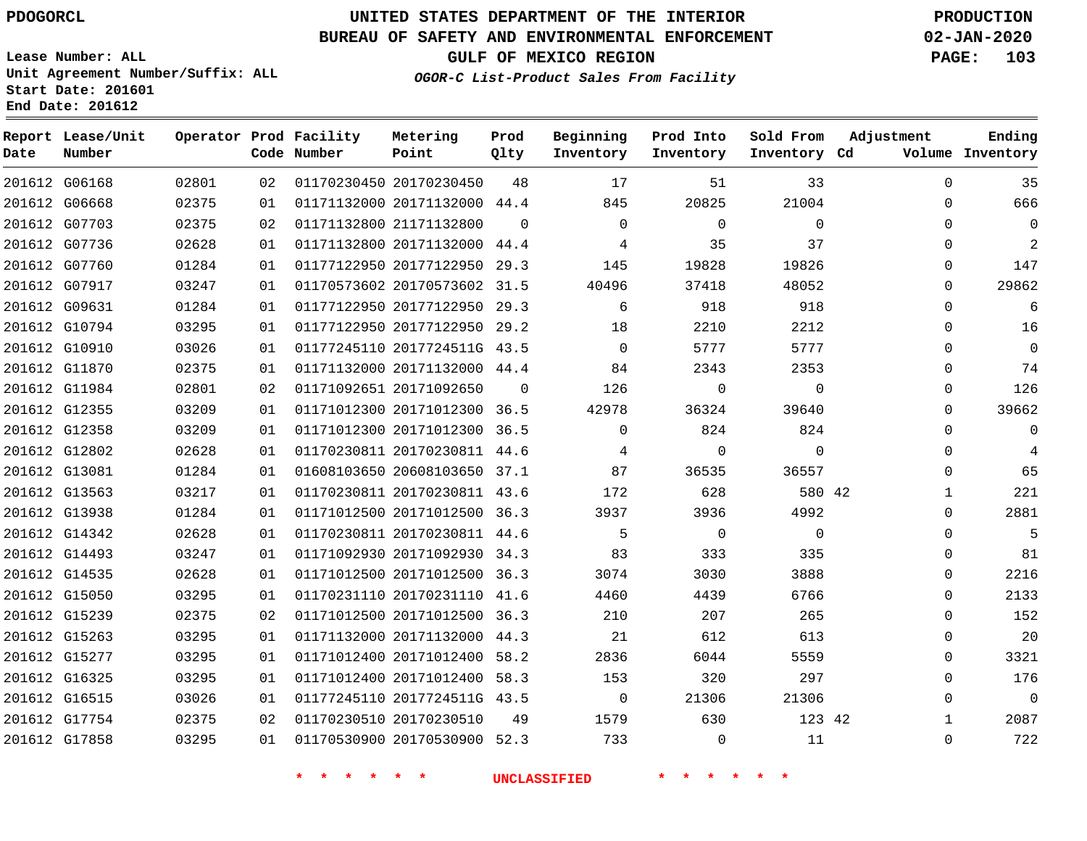# **UNITED STATES DEPARTMENT OF THE INTERIOR PDOGORCL PRODUCTION**

**Prod**

**Metering**

## **BUREAU OF SAFETY AND ENVIRONMENTAL ENFORCEMENT 02-JAN-2020**

**Lease Number: ALL Unit Agreement Number/Suffix: ALL Start Date: 201601**

**GULF OF MEXICO REGION PAGE: 103**

**Ending**

**OGOR-C List-Product Sales From Facility**

**Beginning Prod Into**

**Sold From**

**Adjustment**

| Date | Report Lease/Unit<br>Number |        | Operator Prod Facility<br>Code Number |
|------|-----------------------------|--------|---------------------------------------|
|      |                             | 0.2001 | 01170000                              |

| Date | Number        |       |    | Code Number | Point                        | Qlty     | Inventory      | Inventory      | Inventory Cd   |              | Volume Inventory |
|------|---------------|-------|----|-------------|------------------------------|----------|----------------|----------------|----------------|--------------|------------------|
|      | 201612 G06168 | 02801 | 02 |             | 01170230450 20170230450      | 48       | 17             | 51             | 33             | $\Omega$     | 35               |
|      | 201612 G06668 | 02375 | 01 |             | 01171132000 20171132000 44.4 |          | 845            | 20825          | 21004          | $\Omega$     | 666              |
|      | 201612 G07703 | 02375 | 02 |             | 01171132800 21171132800      | $\Omega$ | $\mathbf{0}$   | $\overline{0}$ | $\mathbf 0$    | $\Omega$     | $\overline{0}$   |
|      | 201612 G07736 | 02628 | 01 |             | 01171132800 20171132000 44.4 |          | 4              | 35             | 37             | $\Omega$     | 2                |
|      | 201612 G07760 | 01284 | 01 |             | 01177122950 20177122950 29.3 |          | 145            | 19828          | 19826          | $\mathbf 0$  | 147              |
|      | 201612 G07917 | 03247 | 01 |             | 01170573602 20170573602 31.5 |          | 40496          | 37418          | 48052          | $\Omega$     | 29862            |
|      | 201612 G09631 | 01284 | 01 |             | 01177122950 20177122950 29.3 |          | 6              | 918            | 918            | $\Omega$     | 6                |
|      | 201612 G10794 | 03295 | 01 |             | 01177122950 20177122950 29.2 |          | 18             | 2210           | 2212           | $\Omega$     | 16               |
|      | 201612 G10910 | 03026 | 01 |             | 01177245110 2017724511G 43.5 |          | $\overline{0}$ | 5777           | 5777           | $\Omega$     | $\overline{0}$   |
|      | 201612 G11870 | 02375 | 01 |             | 01171132000 20171132000 44.4 |          | 84             | 2343           | 2353           | $\Omega$     | 74               |
|      | 201612 G11984 | 02801 | 02 |             | 01171092651 20171092650      | $\Omega$ | 126            | $\mathbf 0$    | $\mathbf 0$    | $\Omega$     | 126              |
|      | 201612 G12355 | 03209 | 01 |             | 01171012300 20171012300 36.5 |          | 42978          | 36324          | 39640          | $\Omega$     | 39662            |
|      | 201612 G12358 | 03209 | 01 |             | 01171012300 20171012300 36.5 |          | $\Omega$       | 824            | 824            | $\Omega$     | $\overline{0}$   |
|      | 201612 G12802 | 02628 | 01 |             | 01170230811 20170230811 44.6 |          | 4              | $\overline{0}$ | $\mathbf 0$    | $\mathbf 0$  | 4                |
|      | 201612 G13081 | 01284 | 01 |             | 01608103650 20608103650 37.1 |          | 87             | 36535          | 36557          | $\Omega$     | 65               |
|      | 201612 G13563 | 03217 | 01 |             | 01170230811 20170230811 43.6 |          | 172            | 628            | 580 42         | $\mathbf{1}$ | 221              |
|      | 201612 G13938 | 01284 | 01 |             | 01171012500 20171012500 36.3 |          | 3937           | 3936           | 4992           | $\Omega$     | 2881             |
|      | 201612 G14342 | 02628 | 01 |             | 01170230811 20170230811 44.6 |          | 5              | $\overline{0}$ | $\overline{0}$ | $\Omega$     | 5                |
|      | 201612 G14493 | 03247 | 01 |             | 01171092930 20171092930 34.3 |          | 83             | 333            | 335            | $\Omega$     | 81               |
|      | 201612 G14535 | 02628 | 01 |             | 01171012500 20171012500 36.3 |          | 3074           | 3030           | 3888           | $\Omega$     | 2216             |
|      | 201612 G15050 | 03295 | 01 |             | 01170231110 20170231110 41.6 |          | 4460           | 4439           | 6766           | $\Omega$     | 2133             |
|      | 201612 G15239 | 02375 | 02 |             | 01171012500 20171012500 36.3 |          | 210            | 207            | 265            | $\Omega$     | 152              |
|      | 201612 G15263 | 03295 | 01 |             | 01171132000 20171132000 44.3 |          | 21             | 612            | 613            | $\mathbf 0$  | 20               |
|      | 201612 G15277 | 03295 | 01 |             | 01171012400 20171012400 58.2 |          | 2836           | 6044           | 5559           | $\Omega$     | 3321             |
|      | 201612 G16325 | 03295 | 01 |             | 01171012400 20171012400 58.3 |          | 153            | 320            | 297            | $\Omega$     | 176              |
|      | 201612 G16515 | 03026 | 01 |             | 01177245110 2017724511G 43.5 |          | $\overline{0}$ | 21306          | 21306          | $\Omega$     | $\overline{0}$   |
|      | 201612 G17754 | 02375 | 02 |             | 01170230510 20170230510      | 49       | 1579           | 630            | 123 42         | $\mathbf{1}$ | 2087             |
|      | 201612 G17858 | 03295 | 01 |             | 01170530900 20170530900 52.3 |          | 733            | $\overline{0}$ | 11             | $\mathbf 0$  | 722              |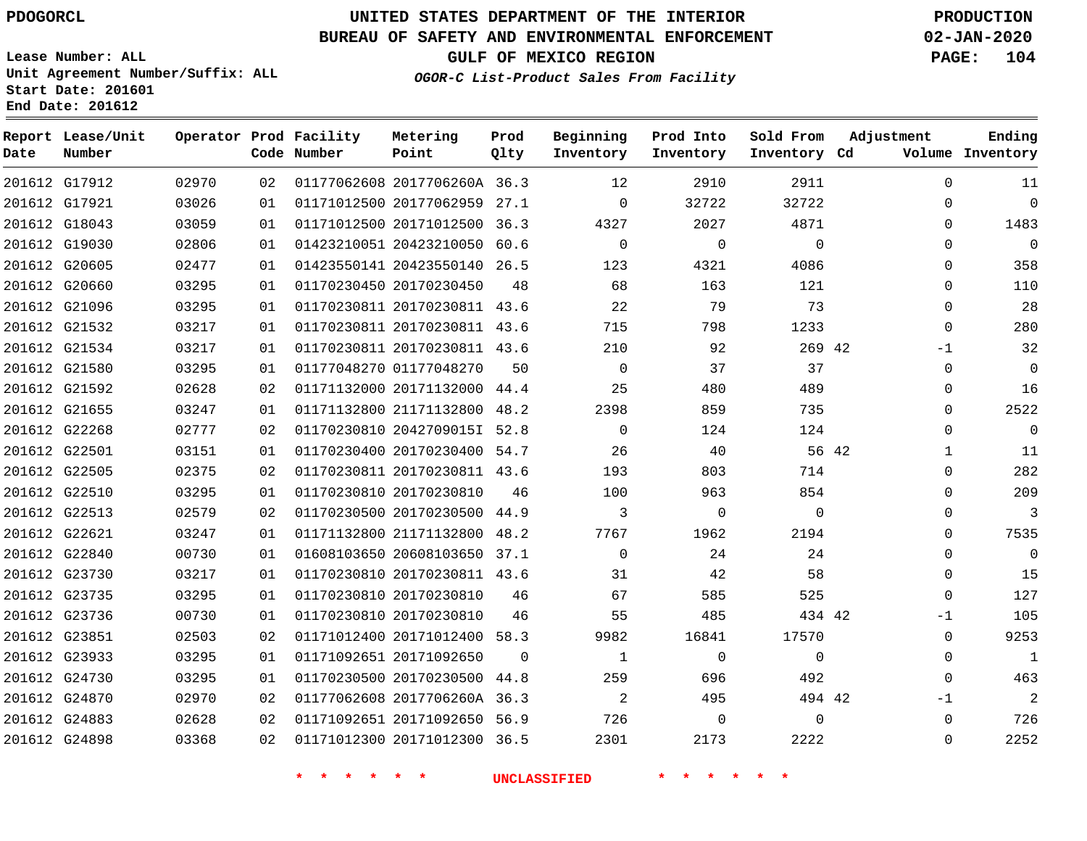**Report Lease/Unit**

## **UNITED STATES DEPARTMENT OF THE INTERIOR PDOGORCL PRODUCTION**

**Prod**

**Metering**

#### **BUREAU OF SAFETY AND ENVIRONMENTAL ENFORCEMENT 02-JAN-2020**

**Lease Number: ALL Unit Agreement Number/Suffix: ALL Start Date: 201601 End Date: 201612**

**Operator Prod Facility**

**OGOR-C List-Product Sales From Facility**

**Beginning Prod Into Sold From**

**GULF OF MEXICO REGION PAGE: 104**

**Adjustment**

**Ending**

| Date | Number        |       |    | Code Number | Point                        | Qlty     | Inventory      | Inventory    | Inventory Cd |              | Volume Inventory |
|------|---------------|-------|----|-------------|------------------------------|----------|----------------|--------------|--------------|--------------|------------------|
|      | 201612 G17912 | 02970 | 02 |             | 01177062608 2017706260A 36.3 |          | 12             | 2910         | 2911         | $\Omega$     | 11               |
|      | 201612 G17921 | 03026 | 01 |             | 01171012500 20177062959 27.1 |          | $\Omega$       | 32722        | 32722        | $\Omega$     | $\mathbf 0$      |
|      | 201612 G18043 | 03059 | 01 |             | 01171012500 20171012500 36.3 |          | 4327           | 2027         | 4871         | $\Omega$     | 1483             |
|      | 201612 G19030 | 02806 | 01 |             | 01423210051 20423210050 60.6 |          | $\mathbf 0$    | $\mathbf 0$  | $\Omega$     | $\Omega$     | $\mathbf 0$      |
|      | 201612 G20605 | 02477 | 01 |             | 01423550141 20423550140 26.5 |          | 123            | 4321         | 4086         | $\Omega$     | 358              |
|      | 201612 G20660 | 03295 | 01 |             | 01170230450 20170230450      | 48       | 68             | 163          | 121          | $\Omega$     | 110              |
|      | 201612 G21096 | 03295 | 01 |             | 01170230811 20170230811 43.6 |          | 22             | 79           | 73           | $\mathbf 0$  | 28               |
|      | 201612 G21532 | 03217 | 01 |             | 01170230811 20170230811 43.6 |          | 715            | 798          | 1233         | $\Omega$     | 280              |
|      | 201612 G21534 | 03217 | 01 |             | 01170230811 20170230811 43.6 |          | 210            | 92           | 269 42       | $-1$         | 32               |
|      | 201612 G21580 | 03295 | 01 |             | 01177048270 01177048270      | 50       | $\Omega$       | 37           | 37           | $\Omega$     | - 0              |
|      | 201612 G21592 | 02628 | 02 |             | 01171132000 20171132000 44.4 |          | 25             | 480          | 489          | $\Omega$     | 16               |
|      | 201612 G21655 | 03247 | 01 |             | 01171132800 21171132800 48.2 |          | 2398           | 859          | 735          | $\Omega$     | 2522             |
|      | 201612 G22268 | 02777 | 02 |             | 01170230810 2042709015I 52.8 |          | $\Omega$       | 124          | 124          | $\Omega$     | $\mathbf 0$      |
|      | 201612 G22501 | 03151 | 01 |             | 01170230400 20170230400 54.7 |          | 26             | 40           | 56 42        | $\mathbf{1}$ | 11               |
|      | 201612 G22505 | 02375 | 02 |             | 01170230811 20170230811 43.6 |          | 193            | 803          | 714          | $\Omega$     | 282              |
|      | 201612 G22510 | 03295 | 01 |             | 01170230810 20170230810      | 46       | 100            | 963          | 854          | $\Omega$     | 209              |
|      | 201612 G22513 | 02579 | 02 |             | 01170230500 20170230500 44.9 |          | 3              | $\mathbf 0$  | $\mathbf 0$  | $\Omega$     | 3                |
|      | 201612 G22621 | 03247 | 01 |             | 01171132800 21171132800 48.2 |          | 7767           | 1962         | 2194         | $\Omega$     | 7535             |
|      | 201612 G22840 | 00730 | 01 |             | 01608103650 20608103650 37.1 |          | $\mathbf 0$    | 24           | 24           | $\Omega$     | $\mathbf 0$      |
|      | 201612 G23730 | 03217 | 01 |             | 01170230810 20170230811 43.6 |          | 31             | 42           | 58           | $\Omega$     | 15               |
|      | 201612 G23735 | 03295 | 01 |             | 01170230810 20170230810      | 46       | 67             | 585          | 525          | $\Omega$     | 127              |
|      | 201612 G23736 | 00730 | 01 |             | 01170230810 20170230810      | 46       | 55             | 485          | 434 42       | $-1$         | 105              |
|      | 201612 G23851 | 02503 | 02 |             | 01171012400 20171012400 58.3 |          | 9982           | 16841        | 17570        | $\Omega$     | 9253             |
|      | 201612 G23933 | 03295 | 01 |             | 01171092651 20171092650      | $\Omega$ | 1              | $\mathbf{0}$ | $\Omega$     | 0            | 1                |
|      | 201612 G24730 | 03295 | 01 |             | 01170230500 20170230500 44.8 |          | 259            | 696          | 492          | $\Omega$     | 463              |
|      | 201612 G24870 | 02970 | 02 |             | 01177062608 2017706260A 36.3 |          | $\overline{2}$ | 495          | 494 42       | $-1$         | $\overline{2}$   |
|      | 201612 G24883 | 02628 | 02 |             | 01171092651 20171092650 56.9 |          | 726            | $\mathbf 0$  | $\Omega$     | $\Omega$     | 726              |
|      | 201612 G24898 | 03368 | 02 |             | 01171012300 20171012300 36.5 |          | 2301           | 2173         | 2222         | $\Omega$     | 2252             |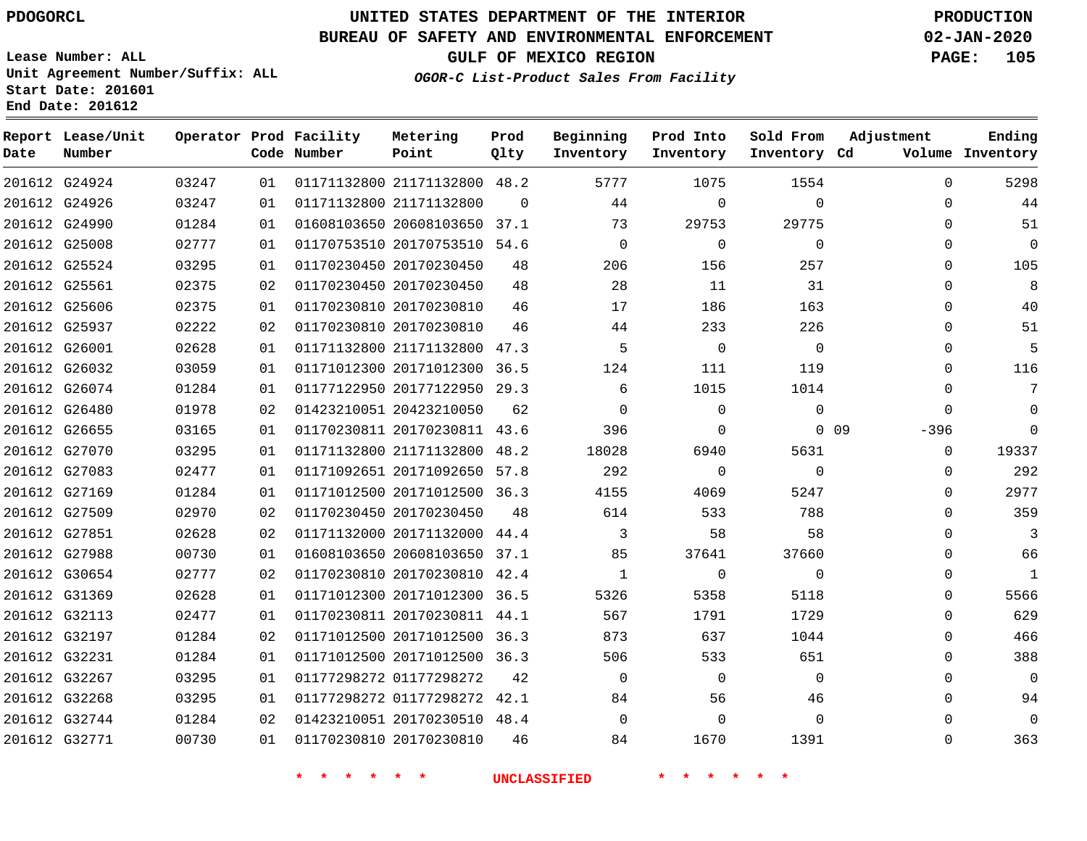# **UNITED STATES DEPARTMENT OF THE INTERIOR PDOGORCL PRODUCTION**

## **BUREAU OF SAFETY AND ENVIRONMENTAL ENFORCEMENT 02-JAN-2020**

**Lease Number: ALL Unit Agreement Number/Suffix: ALL Start Date: 201601**

**OGOR-C List-Product Sales From Facility**

**GULF OF MEXICO REGION PAGE: 105**

| Date | Report Lease/Unit<br>Number |       |    | Operator Prod Facility<br>Code Number | Metering<br>Point            | Prod<br>Qlty | Beginning<br>Inventory | Prod Into<br>Inventory | Sold From<br>Inventory Cd | Adjustment           | Ending<br>Volume Inventory |
|------|-----------------------------|-------|----|---------------------------------------|------------------------------|--------------|------------------------|------------------------|---------------------------|----------------------|----------------------------|
|      | 201612 G24924               | 03247 | 01 |                                       | 01171132800 21171132800 48.2 |              | 5777                   | 1075                   | 1554                      | $\mathbf 0$          | 5298                       |
|      | 201612 G24926               | 03247 | 01 |                                       | 01171132800 21171132800      | $\Omega$     | 44                     | $\mathbf 0$            | $\Omega$                  | $\Omega$             | 44                         |
|      | 201612 G24990               | 01284 | 01 |                                       | 01608103650 20608103650 37.1 |              | 73                     | 29753                  | 29775                     | $\Omega$             | 51                         |
|      | 201612 G25008               | 02777 | 01 |                                       | 01170753510 20170753510 54.6 |              | $\mathbf 0$            | $\mathbf 0$            | $\mathbf 0$               | 0                    | $\mathbf 0$                |
|      | 201612 G25524               | 03295 | 01 |                                       | 01170230450 20170230450      | 48           | 206                    | 156                    | 257                       | 0                    | 105                        |
|      | 201612 G25561               | 02375 | 02 |                                       | 01170230450 20170230450      | 48           | 28                     | 11                     | 31                        | $\Omega$             | 8                          |
|      | 201612 G25606               | 02375 | 01 |                                       | 01170230810 20170230810      | 46           | 17                     | 186                    | 163                       | $\Omega$             | 40                         |
|      | 201612 G25937               | 02222 | 02 |                                       | 01170230810 20170230810      | 46           | 44                     | 233                    | 226                       | 0                    | 51                         |
|      | 201612 G26001               | 02628 | 01 |                                       | 01171132800 21171132800 47.3 |              | 5                      | $\Omega$               | $\Omega$                  | $\Omega$             | 5                          |
|      | 201612 G26032               | 03059 | 01 |                                       | 01171012300 20171012300      | 36.5         | 124                    | 111                    | 119                       | $\Omega$             | 116                        |
|      | 201612 G26074               | 01284 | 01 |                                       | 01177122950 20177122950      | 29.3         | 6                      | 1015                   | 1014                      | 0                    | 7                          |
|      | 201612 G26480               | 01978 | 02 |                                       | 01423210051 20423210050      | 62           | $\Omega$               | $\Omega$               | $\Omega$                  | $\Omega$             | 0                          |
|      | 201612 G26655               | 03165 | 01 |                                       | 01170230811 20170230811      | 43.6         | 396                    | $\mathbf 0$            |                           | $0\quad09$<br>$-396$ | $\mathbf 0$                |
|      | 201612 G27070               | 03295 | 01 |                                       | 01171132800 21171132800      | 48.2         | 18028                  | 6940                   | 5631                      | $\mathbf 0$          | 19337                      |
|      | 201612 G27083               | 02477 | 01 |                                       | 01171092651 20171092650      | 57.8         | 292                    | $\Omega$               | $\Omega$                  | $\Omega$             | 292                        |
|      | 201612 G27169               | 01284 | 01 |                                       | 01171012500 20171012500 36.3 |              | 4155                   | 4069                   | 5247                      | $\Omega$             | 2977                       |
|      | 201612 G27509               | 02970 | 02 |                                       | 01170230450 20170230450      | 48           | 614                    | 533                    | 788                       | 0                    | 359                        |
|      | 201612 G27851               | 02628 | 02 |                                       | 01171132000 20171132000 44.4 |              | 3                      | 58                     | 58                        | 0                    | 3                          |
|      | 201612 G27988               | 00730 | 01 |                                       | 01608103650 20608103650      | 37.1         | 85                     | 37641                  | 37660                     | $\Omega$             | 66                         |
|      | 201612 G30654               | 02777 | 02 |                                       | 01170230810 20170230810 42.4 |              | 1                      | $\mathbf 0$            | $\Omega$                  | $\Omega$             | $\mathbf{1}$               |
|      | 201612 G31369               | 02628 | 01 |                                       | 01171012300 20171012300 36.5 |              | 5326                   | 5358                   | 5118                      | 0                    | 5566                       |
|      | 201612 G32113               | 02477 | 01 |                                       | 01170230811 20170230811 44.1 |              | 567                    | 1791                   | 1729                      | $\Omega$             | 629                        |
|      | 201612 G32197               | 01284 | 02 |                                       | 01171012500 20171012500      | 36.3         | 873                    | 637                    | 1044                      | $\Omega$             | 466                        |
|      | 201612 G32231               | 01284 | 01 |                                       | 01171012500 20171012500 36.3 |              | 506                    | 533                    | 651                       | 0                    | 388                        |
|      | 201612 G32267               | 03295 | 01 |                                       | 01177298272 01177298272      | 42           | $\Omega$               | $\mathbf 0$            | $\Omega$                  | $\Omega$             | $\mathbf 0$                |
|      | 201612 G32268               | 03295 | 01 |                                       | 01177298272 01177298272 42.1 |              | 84                     | 56                     | 46                        | 0                    | 94                         |
|      | 201612 G32744               | 01284 | 02 |                                       | 01423210051 20170230510 48.4 |              | $\Omega$               | 0                      | $\Omega$                  | $\Omega$             | 0                          |
|      | 201612 G32771               | 00730 | 01 |                                       | 01170230810 20170230810      | 46           | 84                     | 1670                   | 1391                      | $\Omega$             | 363                        |